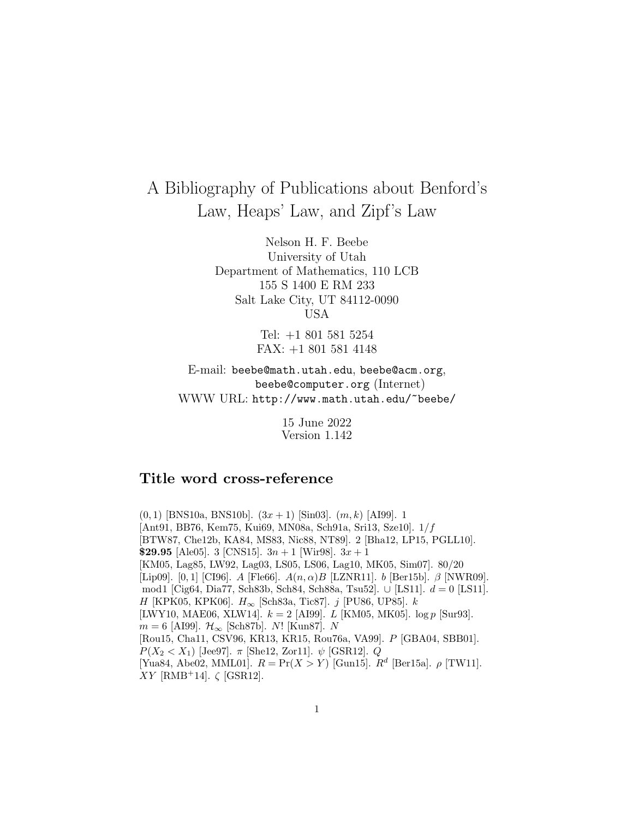# A Bibliography of Publications about Benford's Law, Heaps' Law, and Zipf's Law

Nelson H. F. Beebe University of Utah Department of Mathematics, 110 LCB 155 S 1400 E RM 233 Salt Lake City, UT 84112-0090 USA

> Tel: +1 801 581 5254 FAX: +1 801 581 4148

E-mail: beebe@math.utah.edu, beebe@acm.org, beebe@computer.org (Internet) WWW URL: http://www.math.utah.edu/~beebe/

> 15 June 2022 Version 1.142

## **Title word cross-reference**

 $(0, 1)$  [BNS10a, BNS10b].  $(3x + 1)$  [Sin03].  $(m, k)$  [AI99]. 1 [Ant91, BB76, Kem75, Kui69, MN08a, Sch91a, Sri13, Sze10]. 1/f [BTW87, Che12b, KA84, MS83, Nic88, NT89]. 2 [Bha12, LP15, PGLL10]. **\$29.95** [Ale05]. 3 [CNS15].  $3n + 1$  [Wir98].  $3x + 1$ [KM05, Lag85, LW92, Lag03, LS05, LS06, Lag10, MK05, Sim07]. 80/20 [Lip09]. [0, 1] [CI96]. A [Fle66].  $A(n, \alpha)B$  [LZNR11]. b [Ber15b].  $\beta$  [NWR09]. mod1 [Cig64, Dia77, Sch83b, Sch84, Sch88a, Tsu52]. ∪ [LS11]. d = 0 [LS11]. H [KPK05, KPK06].  $H_{\infty}$  [Sch83a, Tic87]. j [PU86, UP85]. k [LWY10, MAE06, XLW14].  $k = 2$  [AI99]. L [KM05, MK05].  $\log p$  [Sur93].  $m = 6$  [AI99].  $\mathcal{H}_{\infty}$  [Sch87b]. N! [Kun87]. N [Rou15, Cha11, CSV96, KR13, KR15, Rou76a, VA99]. P [GBA04, SBB01].  $P(X_2 < X_1)$  [Jee97].  $\pi$  [She12, Zor11].  $\psi$  [GSR12]. Q [Yua84, Abe02, MML01].  $R = \Pr(X > Y)$  [Gun15].  $R^d$  [Ber15a].  $\rho$  [TW11].  $XY$  [RMB<sup>+</sup>14].  $\zeta$  [GSR12].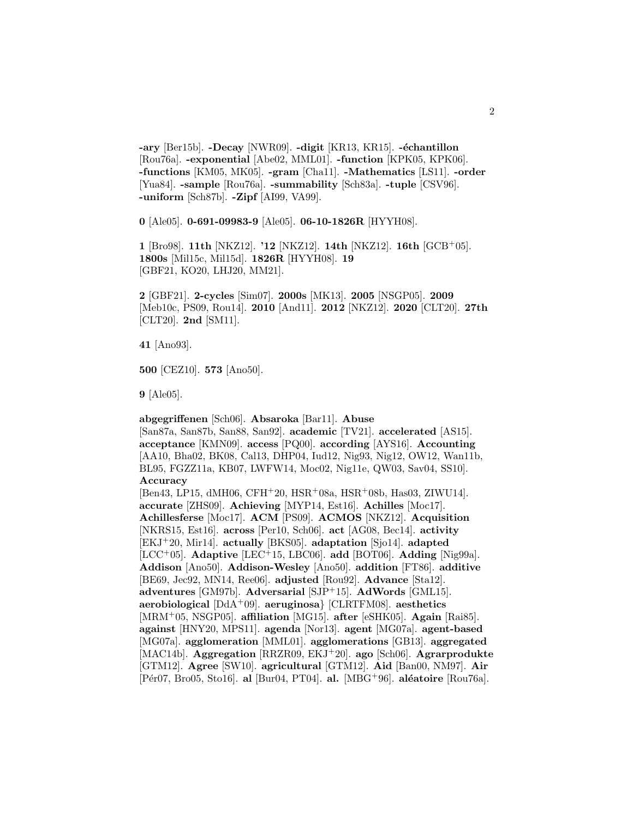**-ary** [Ber15b]. **-Decay** [NWR09]. **-digit** [KR13, KR15]. **-échantillon** [Rou76a]. **-exponential** [Abe02, MML01]. **-function** [KPK05, KPK06]. **-functions** [KM05, MK05]. **-gram** [Cha11]. **-Mathematics** [LS11]. **-order** [Yua84]. **-sample** [Rou76a]. **-summability** [Sch83a]. **-tuple** [CSV96]. **-uniform** [Sch87b]. **-Zipf** [AI99, VA99].

**0** [Ale05]. **0-691-09983-9** [Ale05]. **06-10-1826R** [HYYH08].

**1** [Bro98]. **11th** [NKZ12]. **'12** [NKZ12]. **14th** [NKZ12]. **16th** [GCB<sup>+</sup>05]. **1800s** [Mil15c, Mil15d]. **1826R** [HYYH08]. **19** [GBF21, KO20, LHJ20, MM21].

**2** [GBF21]. **2-cycles** [Sim07]. **2000s** [MK13]. **2005** [NSGP05]. **2009** [Meb10c, PS09, Rou14]. **2010** [And11]. **2012** [NKZ12]. **2020** [CLT20]. **27th** [CLT20]. **2nd** [SM11].

**41** [Ano93].

**500** [CEZ10]. **573** [Ano50].

**9** [Ale05].

### **abgegriffenen** [Sch06]. **Absaroka** [Bar11]. **Abuse**

[San87a, San87b, San88, San92]. **academic** [TV21]. **accelerated** [AS15]. **acceptance** [KMN09]. **access** [PQ00]. **according** [AYS16]. **Accounting** [AA10, Bha02, BK08, Cal13, DHP04, Iud12, Nig93, Nig12, OW12, Wan11b, BL95, FGZZ11a, KB07, LWFW14, Moc02, Nig11e, QW03, Sav04, SS10]. **Accuracy**

[Ben43, LP15, dMH06, CFH<sup>+</sup>20, HSR<sup>+</sup>08a, HSR<sup>+</sup>08b, Has03, ZIWU14]. **accurate** [ZHS09]. **Achieving** [MYP14, Est16]. **Achilles** [Moc17]. **Achillesferse** [Moc17]. **ACM** [PS09]. **ACMOS** [NKZ12]. **Acquisition** [NKRS15, Est16]. **across** [Per10, Sch06]. **act** [AG08, Bec14]. **activity** [EKJ<sup>+</sup>20, Mir14]. **actually** [BKS05]. **adaptation** [Sjo14]. **adapted** [LCC<sup>+</sup>05]. **Adaptive** [LEC<sup>+</sup>15, LBC06]. **add** [BOT06]. **Adding** [Nig99a]. **Addison** [Ano50]. **Addison-Wesley** [Ano50]. **addition** [FT86]. **additive** [BE69, Jec92, MN14, Ree06]. **adjusted** [Rou92]. **Advance** [Sta12]. **adventures** [GM97b]. **Adversarial** [SJP<sup>+</sup>15]. **AdWords** [GML15]. **aerobiological** [DdA<sup>+</sup>09]. **aeruginosa**} [CLRTFM08]. **aesthetics** [MRM<sup>+</sup>05, NSGP05]. **affiliation** [MG15]. **after** [eSHK05]. **Again** [Rai85]. **against** [HNY20, MPS11]. **agenda** [Nor13]. **agent** [MG07a]. **agent-based** [MG07a]. **agglomeration** [MML01]. **agglomerations** [GB13]. **aggregated** [MAC14b]. **Aggregation** [RRZR09, EKJ<sup>+</sup>20]. **ago** [Sch06]. **Agrarprodukte** [GTM12]. **Agree** [SW10]. **agricultural** [GTM12]. **Aid** [Ban00, NM97]. **Air** [P´er07, Bro05, Sto16]. **al** [Bur04, PT04]. **al.** [MBG<sup>+</sup>96]. **al´eatoire** [Rou76a].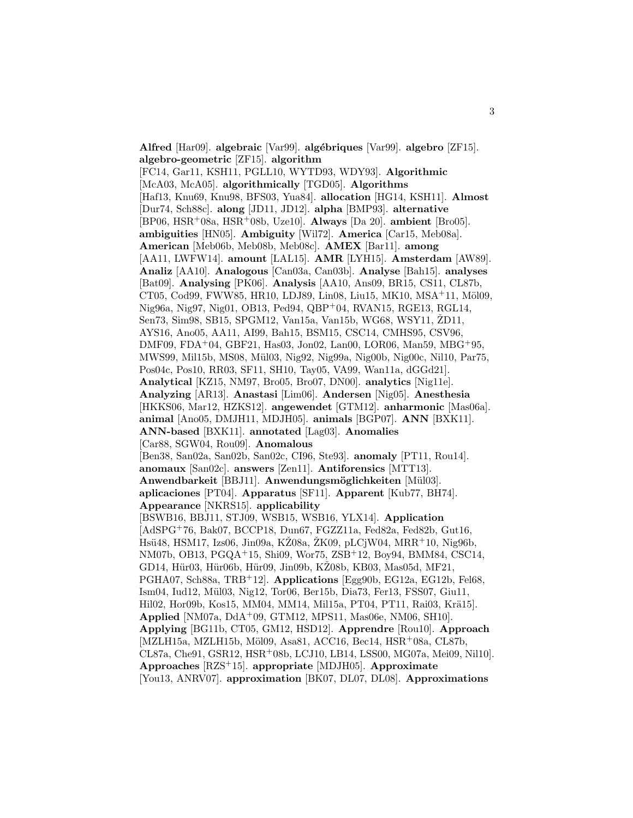**Alfred** [Har09]. **algebraic** [Var99]. **alg´ebriques** [Var99]. **algebro** [ZF15]. **algebro-geometric** [ZF15]. **algorithm** [FC14, Gar11, KSH11, PGLL10, WYTD93, WDY93]. **Algorithmic** [McA03, McA05]. **algorithmically** [TGD05]. **Algorithms** [Haf13, Knu69, Knu98, BFS03, Yua84]. **allocation** [HG14, KSH11]. **Almost** [Dur74, Sch88c]. **along** [JD11, JD12]. **alpha** [BMP93]. **alternative** [BP06, HSR<sup>+</sup>08a, HSR<sup>+</sup>08b, Uze10]. **Always** [Da 20]. **ambient** [Bro05]. **ambiguities** [HN05]. **Ambiguity** [Wil72]. **America** [Car15, Meb08a]. **American** [Meb06b, Meb08b, Meb08c]. **AMEX** [Bar11]. **among** [AA11, LWFW14]. **amount** [LAL15]. **AMR** [LYH15]. **Amsterdam** [AW89]. **Analiz** [AA10]. **Analogous** [Can03a, Can03b]. **Analyse** [Bah15]. **analyses** [Bat09]. **Analysing** [PK06]. **Analysis** [AA10, Ans09, BR15, CS11, CL87b, CT05, Cod99, FWW85, HR10, LDJ89, Lin08, Liu15, MK10, MSA+11, Möl09, Nig96a, Nig97, Nig01, OB13, Ped94, QBP<sup>+</sup>04, RVAN15, RGE13, RGL14, Sen73, Sim98, SB15, SPGM12, Van15a, Van15b, WG68, WSY11, ŽD11, AYS16, Ano05, AA11, AI99, Bah15, BSM15, CSC14, CMHS95, CSV96, DMF09, FDA<sup>+</sup>04, GBF21, Has03, Jon02, Lan00, LOR06, Man59, MBG<sup>+</sup>95, MWS99, Mil15b, MS08, M¨ul03, Nig92, Nig99a, Nig00b, Nig00c, Nil10, Par75, Pos04c, Pos10, RR03, SF11, SH10, Tay05, VA99, Wan11a, dGGd21]. **Analytical** [KZ15, NM97, Bro05, Bro07, DN00]. **analytics** [Nig11e]. **Analyzing** [AR13]. **Anastasi** [Lim06]. **Andersen** [Nig05]. **Anesthesia** [HKKS06, Mar12, HZKS12]. **angewendet** [GTM12]. **anharmonic** [Mas06a]. **animal** [Ano05, DMJH11, MDJH05]. **animals** [BGP07]. **ANN** [BXK11]. **ANN-based** [BXK11]. **annotated** [Lag03]. **Anomalies** [Car88, SGW04, Rou09]. **Anomalous** [Ben38, San02a, San02b, San02c, CI96, Ste93]. **anomaly** [PT11, Rou14]. **anomaux** [San02c]. **answers** [Zen11]. **Antiforensics** [MTT13]. **Anwendbarkeit** [BBJ11]. **Anwendungsm¨oglichkeiten** [M¨ul03]. **aplicaciones** [PT04]. **Apparatus** [SF11]. **Apparent** [Kub77, BH74]. **Appearance** [NKRS15]. **applicability** [BSWB16, BBJ11, STJ09, WSB15, WSB16, YLX14]. **Application** [AdSPG<sup>+</sup>76, Bak07, BCCP18, Dun67, FGZZ11a, Fed82a, Fed82b, Gut16, Hsü48, HSM17, Izs06, Jin09a, KZ08a, ZK09, pLCjW04, MRR<sup>+</sup>10, Nig96b, NM07b, OB13, PGQA<sup>+</sup>15, Shi09, Wor75, ZSB<sup>+</sup>12, Boy94, BMM84, CSC14, GD14, Hür03, Hür06b, Hür09, Jin09b, KŽ08b, KB03, Mas05d, MF21, PGHA07, Sch88a, TRB<sup>+</sup>12]. **Applications** [Egg90b, EG12a, EG12b, Fel68, Ism04, Iud12, M¨ul03, Nig12, Tor06, Ber15b, Dia73, Fer13, FSS07, Giu11, Hil02, Hor09b, Kos15, MM04, MM14, Mil15a, PT04, PT11, Rai03, Krä15]. **Applied** [NM07a, DdA<sup>+</sup>09, GTM12, MPS11, Mas06e, NM06, SH10]. **Applying** [BG11b, CT05, GM12, HSD12]. **Apprendre** [Rou10]. **Approach** [MZLH15a, MZLH15b, Möl09, Asa81, ACC16, Bec14, HSR+08a, CL87b, CL87a, Che91, GSR12, HSR<sup>+</sup>08b, LCJ10, LB14, LSS00, MG07a, Mei09, Nil10]. **Approaches** [RZS<sup>+</sup>15]. **appropriate** [MDJH05]. **Approximate** [You13, ANRV07]. **approximation** [BK07, DL07, DL08]. **Approximations**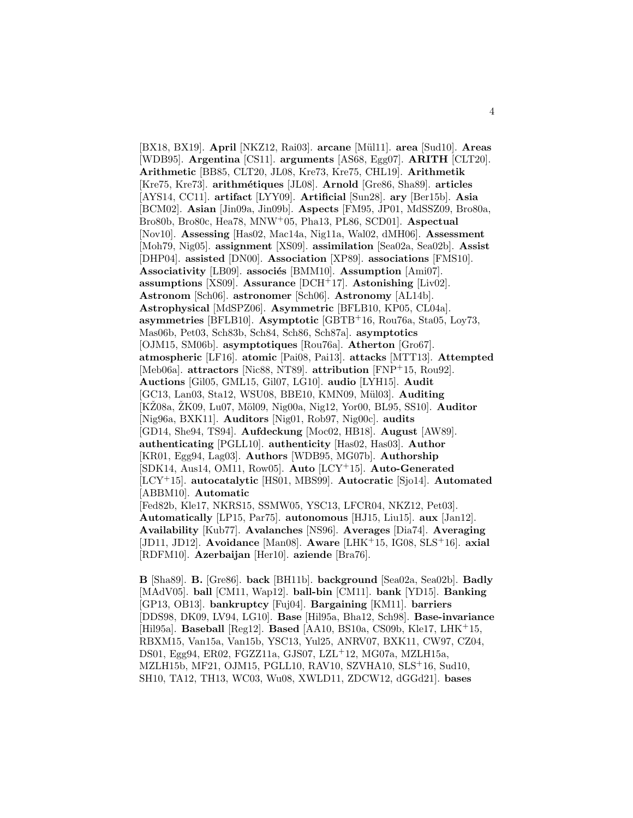[BX18, BX19]. **April** [NKZ12, Rai03]. **arcane** [M¨ul11]. **area** [Sud10]. **Areas** [WDB95]. **Argentina** [CS11]. **arguments** [AS68, Egg07]. **ARITH** [CLT20]. **Arithmetic** [BB85, CLT20, JL08, Kre73, Kre75, CHL19]. **Arithmetik** [Kre75, Kre73]. **arithm´etiques** [JL08]. **Arnold** [Gre86, Sha89]. **articles** [AYS14, CC11]. **artifact** [LYY09]. **Artificial** [Sun28]. **ary** [Ber15b]. **Asia** [BCM02]. **Asian** [Jin09a, Jin09b]. **Aspects** [FM95, JP01, MdSSZ09, Bro80a, Bro80b, Bro80c, Hea78, MNW<sup>+</sup>05, Pha13, PL86, SCD01]. **Aspectual** [Nov10]. **Assessing** [Has02, Mac14a, Nig11a, Wal02, dMH06]. **Assessment** [Moh79, Nig05]. **assignment** [XS09]. **assimilation** [Sea02a, Sea02b]. **Assist** [DHP04]. **assisted** [DN00]. **Association** [XP89]. **associations** [FMS10]. Associativity [LB09]. associés [BMM10]. Assumption [Ami07]. **assumptions** [XS09]. **Assurance** [DCH<sup>+</sup>17]. **Astonishing** [Liv02]. **Astronom** [Sch06]. **astronomer** [Sch06]. **Astronomy** [AL14b]. **Astrophysical** [MdSPZ06]. **Asymmetric** [BFLB10, KP05, CL04a]. **asymmetries** [BFLB10]. **Asymptotic** [GBTB<sup>+</sup>16, Rou76a, Sta05, Loy73, Mas06b, Pet03, Sch83b, Sch84, Sch86, Sch87a]. **asymptotics** [OJM15, SM06b]. **asymptotiques** [Rou76a]. **Atherton** [Gro67]. **atmospheric** [LF16]. **atomic** [Pai08, Pai13]. **attacks** [MTT13]. **Attempted** [Meb06a]. **attractors** [Nic88, NT89]. **attribution** [FNP<sup>+</sup>15, Rou92]. **Auctions** [Gil05, GML15, Gil07, LG10]. **audio** [LYH15]. **Audit** [GC13, Lan03, Sta12, WSU08, BBE10, KMN09, Mül03]. Auditing [KŽ08a, ŽK09, Lu07, Möl09, Nig00a, Nig12, Yor00, BL95, SS10]. **Auditor** [Nig96a, BXK11]. **Auditors** [Nig01, Rob97, Nig00c]. **audits** [GD14, She94, TS94]. **Aufdeckung** [Moc02, HB18]. **August** [AW89]. **authenticating** [PGLL10]. **authenticity** [Has02, Has03]. **Author** [KR01, Egg94, Lag03]. **Authors** [WDB95, MG07b]. **Authorship** [SDK14, Aus14, OM11, Row05]. **Auto** [LCY<sup>+</sup>15]. **Auto-Generated** [LCY<sup>+</sup>15]. **autocatalytic** [HS01, MBS99]. **Autocratic** [Sjo14]. **Automated** [ABBM10]. **Automatic** [Fed82b, Kle17, NKRS15, SSMW05, YSC13, LFCR04, NKZ12, Pet03]. **Automatically** [LP15, Par75]. **autonomous** [HJ15, Liu15]. **aux** [Jan12]. **Availability** [Kub77]. **Avalanches** [NS96]. **Averages** [Dia74]. **Averaging** [JD11, JD12]. **Avoidance** [Man08]. **Aware** [LHK<sup>+</sup>15, IG08, SLS<sup>+</sup>16]. **axial** [RDFM10]. **Azerbaijan** [Her10]. **aziende** [Bra76].

**B** [Sha89]. **B.** [Gre86]. **back** [BH11b]. **background** [Sea02a, Sea02b]. **Badly** [MAdV05]. **ball** [CM11, Wap12]. **ball-bin** [CM11]. **bank** [YD15]. **Banking** [GP13, OB13]. **bankruptcy** [Fuj04]. **Bargaining** [KM11]. **barriers** [DDS98, DK09, LV94, LG10]. **Base** [Hil95a, Bha12, Sch98]. **Base-invariance** [Hil95a]. **Baseball** [Reg12]. **Based** [AA10, BS10a, CS09b, Kle17, LHK<sup>+</sup>15, RBXM15, Van15a, Van15b, YSC13, Yul25, ANRV07, BXK11, CW97, CZ04, DS01, Egg94, ER02, FGZZ11a, GJS07, LZL<sup>+</sup>12, MG07a, MZLH15a, MZLH15b, MF21, OJM15, PGLL10, RAV10, SZVHA10, SLS<sup>+</sup>16, Sud10, SH10, TA12, TH13, WC03, Wu08, XWLD11, ZDCW12, dGGd21]. **bases**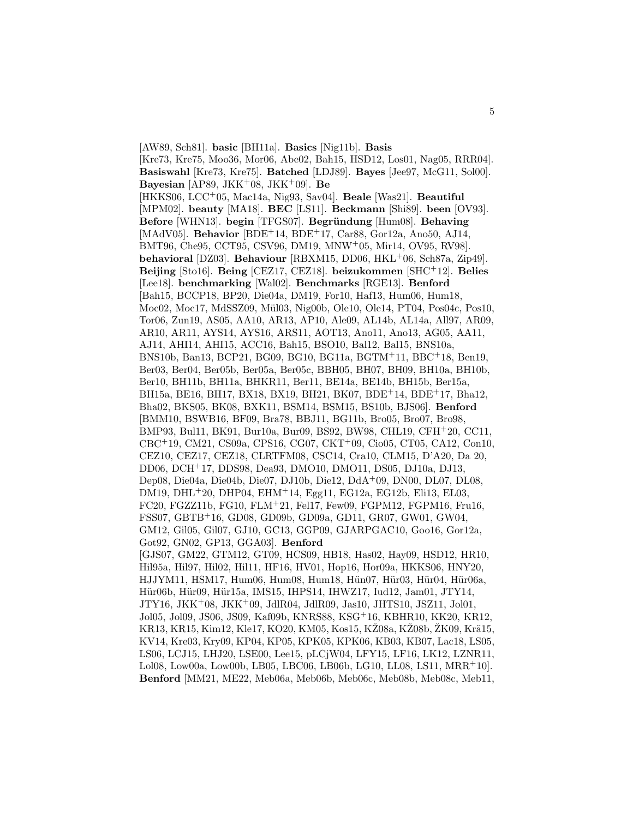[AW89, Sch81]. **basic** [BH11a]. **Basics** [Nig11b]. **Basis** [Kre73, Kre75, Moo36, Mor06, Abe02, Bah15, HSD12, Los01, Nag05, RRR04]. **Basiswahl** [Kre73, Kre75]. **Batched** [LDJ89]. **Bayes** [Jee97, McG11, Sol00]. **Bayesian** [AP89, JKK<sup>+</sup>08, JKK<sup>+</sup>09]. **Be** [HKKS06, LCC<sup>+</sup>05, Mac14a, Nig93, Sav04]. **Beale** [Was21]. **Beautiful** [MPM02]. **beauty** [MA18]. **BEC** [LS11]. **Beckmann** [Shi89]. **been** [OV93]. **Before** [WHN13]. **begin** [TFGS07]. **Begründung** [Hum08]. **Behaving** [MAdV05]. **Behavior** [BDE<sup>+</sup>14, BDE<sup>+</sup>17, Car88, Gor12a, Ano50, AJ14, BMT96, Che95, CCT95, CSV96, DM19, MNW<sup>+</sup>05, Mir14, OV95, RV98]. **behavioral** [DZ03]. **Behaviour** [RBXM15, DD06, HKL<sup>+</sup>06, Sch87a, Zip49]. **Beijing** [Sto16]. **Being** [CEZ17, CEZ18]. **beizukommen** [SHC<sup>+</sup>12]. **Belies** [Lee18]. **benchmarking** [Wal02]. **Benchmarks** [RGE13]. **Benford** [Bah15, BCCP18, BP20, Die04a, DM19, For10, Haf13, Hum06, Hum18, Moc02, Moc17, MdSSZ09, Mül03, Nig00b, Ole10, Ole14, PT04, Pos04c, Pos10, Tor06, Zun19, AS05, AA10, AR13, AP10, Ale09, AL14b, AL14a, All97, AR09, AR10, AR11, AYS14, AYS16, ARS11, AOT13, Ano11, Ano13, AG05, AA11, AJ14, AHI14, AHI15, ACC16, Bah15, BSO10, Bal12, Bal15, BNS10a, BNS10b, Ban13, BCP21, BG09, BG10, BG11a, BGTM<sup>+</sup>11, BBC<sup>+</sup>18, Ben19, Ber03, Ber04, Ber05b, Ber05a, Ber05c, BBH05, BH07, BH09, BH10a, BH10b, Ber10, BH11b, BH11a, BHKR11, Ber11, BE14a, BE14b, BH15b, Ber15a, BH15a, BE16, BH17, BX18, BX19, BH21, BK07, BDE<sup>+</sup>14, BDE<sup>+</sup>17, Bha12, Bha02, BKS05, BK08, BXK11, BSM14, BSM15, BS10b, BJS06]. **Benford** [BMM10, BSWB16, BF09, Bra78, BBJ11, BG11b, Bro05, Bro07, Bro98, BMP93, Bul11, BK91, Bur10a, Bur09, BS92, BW98, CHL19, CFH<sup>+</sup>20, CC11, CBC<sup>+</sup>19, CM21, CS09a, CPS16, CG07, CKT<sup>+</sup>09, Cio05, CT05, CA12, Con10, CEZ10, CEZ17, CEZ18, CLRTFM08, CSC14, Cra10, CLM15, D'A20, Da 20, DD06, DCH<sup>+</sup>17, DDS98, Dea93, DMO10, DMO11, DS05, DJ10a, DJ13, Dep08, Die04a, Die04b, Die07, DJ10b, Die12, DdA<sup>+</sup>09, DN00, DL07, DL08, DM19, DHL<sup>+</sup>20, DHP04, EHM<sup>+</sup>14, Egg11, EG12a, EG12b, Eli13, EL03, FC20, FGZZ11b, FG10, FLM<sup>+</sup>21, Fel17, Few09, FGPM12, FGPM16, Fru16, FSS07, GBTB<sup>+</sup>16, GD08, GD09b, GD09a, GD11, GR07, GW01, GW04, GM12, Gil05, Gil07, GJ10, GC13, GGP09, GJARPGAC10, Goo16, Gor12a, Got92, GN02, GP13, GGA03]. **Benford** [GJS07, GM22, GTM12, GT09, HCS09, HB18, Has02, Hay09, HSD12, HR10, Hil95a, Hil97, Hil02, Hil11, HF16, HV01, Hop16, Hor09a, HKKS06, HNY20, HJJYM11, HSM17, Hum06, Hum08, Hum18, Hün07, Hür03, Hür04, Hür06a, Hür06b, Hür09, Hür15a, IMS15, IHPS14, IHWZ17, Iud12, Jam01, JTY14, JTY16, JKK<sup>+</sup>08, JKK<sup>+</sup>09, JdlR04, JdlR09, Jas10, JHTS10, JSZ11, Jol01, Jol05, Jol09, JS06, JS09, Kaf09b, KNRS88, KSG<sup>+</sup>16, KBHR10, KK20, KR12, KR13, KR15, Kim12, Kle17, KO20, KM05, Kos15, KŽ08a, KŽ08b, ŽK09, Krä15, KV14, Kre03, Kry09, KP04, KP05, KPK05, KPK06, KB03, KB07, Lac18, LS05, LS06, LCJ15, LHJ20, LSE00, Lee15, pLCjW04, LFY15, LF16, LK12, LZNR11, Lol08, Low00a, Low00b, LB05, LBC06, LB06b, LG10, LL08, LS11, MRR<sup>+</sup>10]. **Benford** [MM21, ME22, Meb06a, Meb06b, Meb06c, Meb08b, Meb08c, Meb11,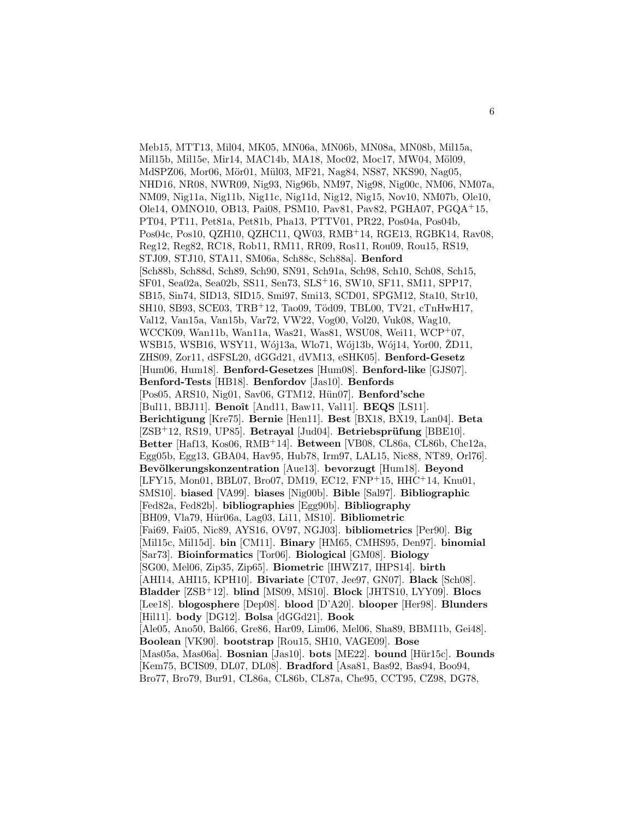Meb15, MTT13, Mil04, MK05, MN06a, MN06b, MN08a, MN08b, Mil15a, Mil15b, Mil15e, Mir14, MAC14b, MA18, Moc02, Moc17, MW04, Möl09, MdSPZ06, Mor06, Mör01, Mül03, MF21, Nag84, NS87, NKS90, Nag05, NHD16, NR08, NWR09, Nig93, Nig96b, NM97, Nig98, Nig00c, NM06, NM07a, NM09, Nig11a, Nig11b, Nig11c, Nig11d, Nig12, Nig15, Nov10, NM07b, Ole10, Ole14, OMNO10, OB13, Pai08, PSM10, Pav81, Pav82, PGHA07, PGQA<sup>+</sup>15, PT04, PT11, Pet81a, Pet81b, Pha13, PTTV01, PR22, Pos04a, Pos04b, Pos04c, Pos10, QZH10, QZHC11, QW03, RMB<sup>+</sup>14, RGE13, RGBK14, Rav08, Reg12, Reg82, RC18, Rob11, RM11, RR09, Ros11, Rou09, Rou15, RS19, STJ09, STJ10, STA11, SM06a, Sch88c, Sch88a]. **Benford** [Sch88b, Sch88d, Sch89, Sch90, SN91, Sch91a, Sch98, Sch10, Sch08, Sch15, SF01, Sea02a, Sea02b, SS11, Sen73, SLS<sup>+</sup>16, SW10, SF11, SM11, SPP17, SB15, Sin74, SID13, SID15, Smi97, Smi13, SCD01, SPGM12, Sta10, Str10, SH10, SB93, SCE03, TRB<sup>+</sup>12, Tao09, Töd09, TBL00, TV21, cTnHwH17, Val12, Van15a, Van15b, Var72, VW22, Vog00, Vol20, Vuk08, Wag10, WCCK09, Wan11b, Wan11a, Was21, Was81, WSU08, Wei11, WCP<sup>+</sup>07, WSB15, WSB16, WSY11, Wój13a, Wło71, Wój13b, Wój14, Yor00, ZD11, ZHS09, Zor11, dSFSL20, dGGd21, dVM13, eSHK05]. **Benford-Gesetz** [Hum06, Hum18]. **Benford-Gesetzes** [Hum08]. **Benford-like** [GJS07]. **Benford-Tests** [HB18]. **Benfordov** [Jas10]. **Benfords** [Pos05, ARS10, Nig01, Sav06, GTM12, Hün07]. **Benford'sche** [Bul11, BBJ11]. **Benoˆıt** [And11, Baw11, Val11]. **BEQS** [LS11]. **Berichtigung** [Kre75]. **Bernie** [Hen11]. **Best** [BX18, BX19, Lan04]. **Beta** [ZSB<sup>+</sup>12, RS19, UP85]. **Betrayal** [Jud04]. **Betriebsprüfung** [BBE10]. **Better** [Haf13, Kos06, RMB<sup>+</sup>14]. **Between** [VB08, CL86a, CL86b, Che12a, Egg05b, Egg13, GBA04, Hav95, Hub78, Irm97, LAL15, Nic88, NT89, Orl76]. **Bevölkerungskonzentration** [Aue13]. **bevorzugt** [Hum18]. **Beyond** [LFY15, Mon01, BBL07, Bro07, DM19, EC12, FNP<sup>+</sup>15, HHC<sup>+</sup>14, Knu01, SMS10]. **biased** [VA99]. **biases** [Nig00b]. **Bible** [Sal97]. **Bibliographic** [Fed82a, Fed82b]. **bibliographies** [Egg90b]. **Bibliography** [BH09, Vla79, H¨ur06a, Lag03, Li11, MS10]. **Bibliometric** [Fai69, Fai05, Nic89, AYS16, OV97, NGJ03]. **bibliometrics** [Per90]. **Big** [Mil15c, Mil15d]. **bin** [CM11]. **Binary** [HM65, CMHS95, Den97]. **binomial** [Sar73]. **Bioinformatics** [Tor06]. **Biological** [GM08]. **Biology** [SG00, Mel06, Zip35, Zip65]. **Biometric** [IHWZ17, IHPS14]. **birth** [AHI14, AHI15, KPH10]. **Bivariate** [CT07, Jee97, GN07]. **Black** [Sch08]. **Bladder** [ZSB<sup>+</sup>12]. **blind** [MS09, MS10]. **Block** [JHTS10, LYY09]. **Blocs** [Lee18]. **blogosphere** [Dep08]. **blood** [D'A20]. **blooper** [Her98]. **Blunders** [Hil11]. **body** [DG12]. **Bolsa** [dGGd21]. **Book** [Ale05, Ano50, Bal66, Gre86, Har09, Lim06, Mel06, Sha89, BBM11b, Gei48]. **Boolean** [VK90]. **bootstrap** [Rou15, SH10, VAGE09]. **Bose** [Mas05a, Mas06a]. **Bosnian** [Jas10]. **bots** [ME22]. **bound** [H¨ur15c]. **Bounds** [Kem75, BCIS09, DL07, DL08]. **Bradford** [Asa81, Bas92, Bas94, Boo94, Bro77, Bro79, Bur91, CL86a, CL86b, CL87a, Che95, CCT95, CZ98, DG78,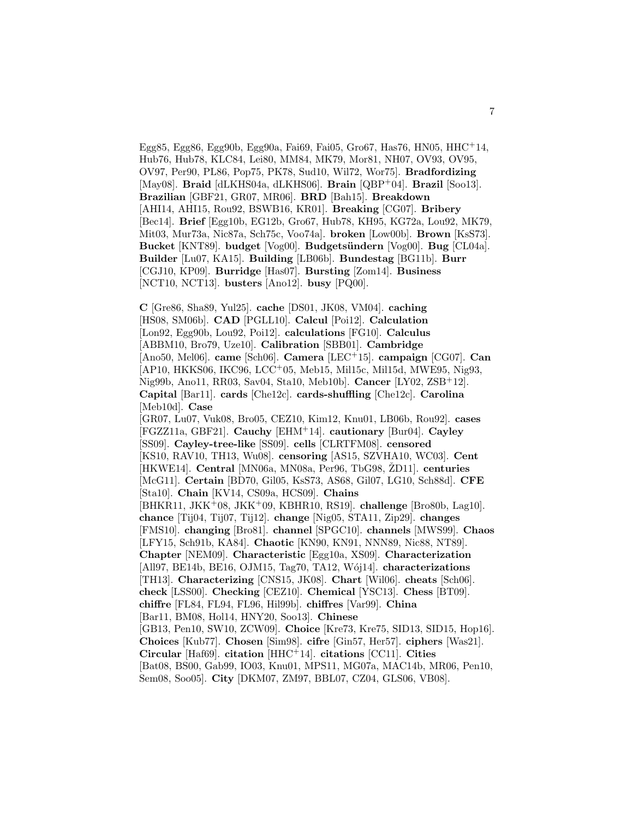Egg85, Egg86, Egg90b, Egg90a, Fai69, Fai05, Gro67, Has76, HN05, HHC<sup>+14</sup>, Hub76, Hub78, KLC84, Lei80, MM84, MK79, Mor81, NH07, OV93, OV95, OV97, Per90, PL86, Pop75, PK78, Sud10, Wil72, Wor75]. **Bradfordizing** [May08]. **Braid** [dLKHS04a, dLKHS06]. **Brain** [QBP<sup>+</sup>04]. **Brazil** [Soo13]. **Brazilian** [GBF21, GR07, MR06]. **BRD** [Bah15]. **Breakdown** [AHI14, AHI15, Rou92, BSWB16, KR01]. **Breaking** [CG07]. **Bribery** [Bec14]. **Brief** [Egg10b, EG12b, Gro67, Hub78, KH95, KG72a, Lou92, MK79, Mit03, Mur73a, Nic87a, Sch75c, Voo74a]. **broken** [Low00b]. **Brown** [KsS73]. **Bucket** [KNT89]. **budget** [Vog00]. **Budgets¨undern** [Vog00]. **Bug** [CL04a]. **Builder** [Lu07, KA15]. **Building** [LB06b]. **Bundestag** [BG11b]. **Burr** [CGJ10, KP09]. **Burridge** [Has07]. **Bursting** [Zom14]. **Business** [NCT10, NCT13]. **busters** [Ano12]. **busy** [PQ00].

**C** [Gre86, Sha89, Yul25]. **cache** [DS01, JK08, VM04]. **caching** [HS08, SM06b]. **CAD** [PGLL10]. **Calcul** [Poi12]. **Calculation** [Lon92, Egg90b, Lou92, Poi12]. **calculations** [FG10]. **Calculus** [ABBM10, Bro79, Uze10]. **Calibration** [SBB01]. **Cambridge** [Ano50, Mel06]. **came** [Sch06]. **Camera** [LEC<sup>+</sup>15]. **campaign** [CG07]. **Can** [AP10, HKKS06, IKC96, LCC<sup>+</sup>05, Meb15, Mil15c, Mil15d, MWE95, Nig93, Nig99b, Ano11, RR03, Sav04, Sta10, Meb10b]. **Cancer** [LY02, ZSB<sup>+</sup>12]. **Capital** [Bar11]. **cards** [Che12c]. **cards-shuffling** [Che12c]. **Carolina** [Meb10d]. **Case** [GR07, Lu07, Vuk08, Bro05, CEZ10, Kim12, Knu01, LB06b, Rou92]. **cases** [FGZZ11a, GBF21]. **Cauchy** [EHM<sup>+</sup>14]. **cautionary** [Bur04]. **Cayley** [SS09]. **Cayley-tree-like** [SS09]. **cells** [CLRTFM08]. **censored**

[KS10, RAV10, TH13, Wu08]. **censoring** [AS15, SZVHA10, WC03]. **Cent** [HKWE14]. **Central** [MN06a, MN08a, Per96, TbG98, ŽD11]. **centuries** [McG11]. **Certain** [BD70, Gil05, KsS73, AS68, Gil07, LG10, Sch88d]. **CFE** [Sta10]. **Chain** [KV14, CS09a, HCS09]. **Chains**

[BHKR11, JKK<sup>+</sup>08, JKK<sup>+</sup>09, KBHR10, RS19]. **challenge** [Bro80b, Lag10]. **chance** [Tij04, Tij07, Tij12]. **change** [Nig05, STA11, Zip29]. **changes** [FMS10]. **changing** [Bro81]. **channel** [SPGC10]. **channels** [MWS99]. **Chaos** [LFY15, Sch91b, KA84]. **Chaotic** [KN90, KN91, NNN89, Nic88, NT89]. **Chapter** [NEM09]. **Characteristic** [Egg10a, XS09]. **Characterization** [All97, BE14b, BE16, OJM15, Tag70, TA12, Wój14]. **characterizations** [TH13]. **Characterizing** [CNS15, JK08]. **Chart** [Wil06]. **cheats** [Sch06]. **check** [LSS00]. **Checking** [CEZ10]. **Chemical** [YSC13]. **Chess** [BT09]. **chiffre** [FL84, FL94, FL96, Hil99b]. **chiffres** [Var99]. **China** [Bar11, BM08, Hol14, HNY20, Soo13]. **Chinese** [GB13, Pen10, SW10, ZCW09]. **Choice** [Kre73, Kre75, SID13, SID15, Hop16]. **Choices** [Kub77]. **Chosen** [Sim98]. **cifre** [Gin57, Her57]. **ciphers** [Was21]. **Circular** [Haf69]. **citation** [HHC<sup>+</sup>14]. **citations** [CC11]. **Cities** [Bat08, BS00, Gab99, IO03, Knu01, MPS11, MG07a, MAC14b, MR06, Pen10,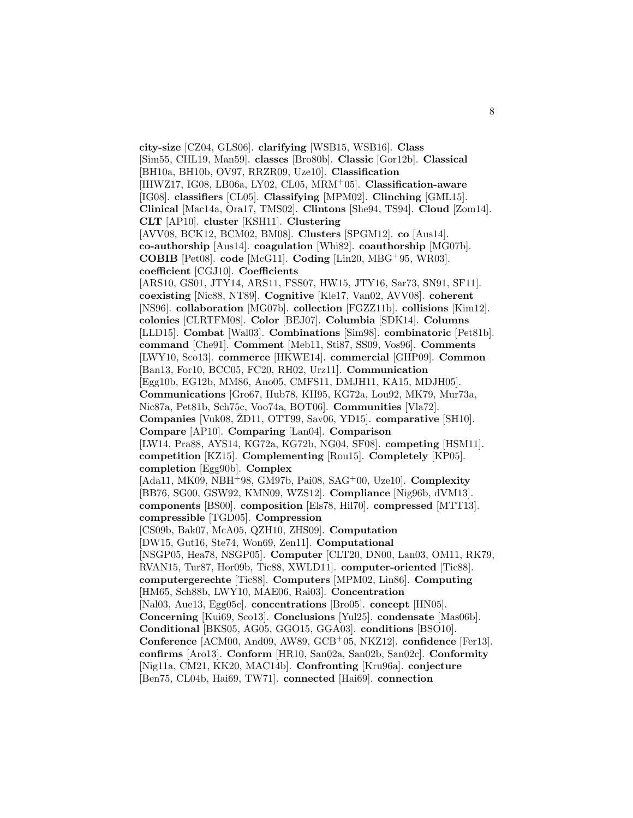**city-size** [CZ04, GLS06]. **clarifying** [WSB15, WSB16]. **Class** [Sim55, CHL19, Man59]. **classes** [Bro80b]. **Classic** [Gor12b]. **Classical** [BH10a, BH10b, OV97, RRZR09, Uze10]. **Classification** [IHWZ17, IG08, LB06a, LY02, CL05, MRM<sup>+</sup>05]. **Classification-aware** [IG08]. **classifiers** [CL05]. **Classifying** [MPM02]. **Clinching** [GML15]. **Clinical** [Mac14a, Ora17, TMS02]. **Clintons** [She94, TS94]. **Cloud** [Zom14]. **CLT** [AP10]. **cluster** [KSH11]. **Clustering** [AVV08, BCK12, BCM02, BM08]. **Clusters** [SPGM12]. **co** [Aus14]. **co-authorship** [Aus14]. **coagulation** [Whi82]. **coauthorship** [MG07b]. **COBIB** [Pet08]. **code** [McG11]. **Coding** [Lin20, MBG<sup>+</sup>95, WR03]. **coefficient** [CGJ10]. **Coefficients** [ARS10, GS01, JTY14, ARS11, FSS07, HW15, JTY16, Sar73, SN91, SF11]. **coexisting** [Nic88, NT89]. **Cognitive** [Kle17, Van02, AVV08]. **coherent** [NS96]. **collaboration** [MG07b]. **collection** [FGZZ11b]. **collisions** [Kim12]. **colonies** [CLRTFM08]. **Color** [BEJ07]. **Columbia** [SDK14]. **Columns** [LLD15]. **Combat** [Wal03]. **Combinations** [Sim98]. **combinatoric** [Pet81b]. **command** [Che91]. **Comment** [Meb11, Sti87, SS09, Vos96]. **Comments** [LWY10, Sco13]. **commerce** [HKWE14]. **commercial** [GHP09]. **Common** [Ban13, For10, BCC05, FC20, RH02, Urz11]. **Communication** [Egg10b, EG12b, MM86, Ano05, CMFS11, DMJH11, KA15, MDJH05]. **Communications** [Gro67, Hub78, KH95, KG72a, Lou92, MK79, Mur73a, Nic87a, Pet81b, Sch75c, Voo74a, BOT06]. **Communities** [Vla72]. **Companies** [Vuk08, ŽD11, OTT99, Sav06, YD15]. **comparative** [SH10]. **Compare** [AP10]. **Comparing** [Lan04]. **Comparison** [LW14, Pra88, AYS14, KG72a, KG72b, NG04, SF08]. **competing** [HSM11]. **competition** [KZ15]. **Complementing** [Rou15]. **Completely** [KP05]. **completion** [Egg90b]. **Complex** [Ada11, MK09, NBH<sup>+</sup>98, GM97b, Pai08, SAG<sup>+</sup>00, Uze10]. **Complexity** [BB76, SG00, GSW92, KMN09, WZS12]. **Compliance** [Nig96b, dVM13]. **components** [BS00]. **composition** [Els78, Hil70]. **compressed** [MTT13]. **compressible** [TGD05]. **Compression** [CS09b, Bak07, McA05, QZH10, ZHS09]. **Computation** [DW15, Gut16, Ste74, Won69, Zen11]. **Computational** [NSGP05, Hea78, NSGP05]. **Computer** [CLT20, DN00, Lan03, OM11, RK79, RVAN15, Tur87, Hor09b, Tic88, XWLD11]. **computer-oriented** [Tic88]. **computergerechte** [Tic88]. **Computers** [MPM02, Lin86]. **Computing** [HM65, Sch88b, LWY10, MAE06, Rai03]. **Concentration** [Nal03, Aue13, Egg05c]. **concentrations** [Bro05]. **concept** [HN05]. **Concerning** [Kui69, Sco13]. **Conclusions** [Yul25]. **condensate** [Mas06b]. **Conditional** [BKS05, AG05, GGO15, GGA03]. **conditions** [BSO10]. **Conference** [ACM00, And09, AW89, GCB<sup>+</sup>05, NKZ12]. **confidence** [Fer13]. **confirms** [Aro13]. **Conform** [HR10, San02a, San02b, San02c]. **Conformity** [Nig11a, CM21, KK20, MAC14b]. **Confronting** [Kru96a]. **conjecture** [Ben75, CL04b, Hai69, TW71]. **connected** [Hai69]. **connection**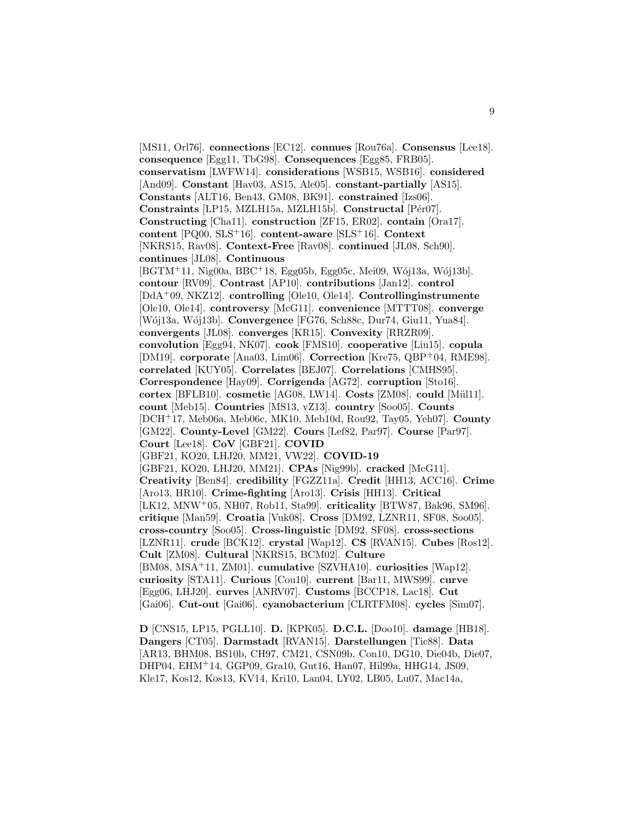[MS11, Orl76]. **connections** [EC12]. **connues** [Rou76a]. **Consensus** [Lee18]. **consequence** [Egg11, TbG98]. **Consequences** [Egg85, FRB05]. **conservatism** [LWFW14]. **considerations** [WSB15, WSB16]. **considered** [And09]. **Constant** [Hav03, AS15, Ale05]. **constant-partially** [AS15]. **Constants** [ALT16, Ben43, GM08, BK91]. **constrained** [Izs06]. **Constraints** [LP15, MZLH15a, MZLH15b]. **Constructal** [Pér07]. **Constructing** [Cha11]. **construction** [ZF15, ER02]. **contain** [Ora17]. **content** [PQ00, SLS<sup>+</sup>16]. **content-aware** [SLS<sup>+</sup>16]. **Context** [NKRS15, Rav08]. **Context-Free** [Rav08]. **continued** [JL08, Sch90]. **continues** [JL08]. **Continuous**  $[BGTM+11, Nig00a, BBC+18, Egg05b, Egg05c, Mei09, Wój13a, Wój13b].$ **contour** [RV09]. **Contrast** [AP10]. **contributions** [Jan12]. **control** [DdA<sup>+</sup>09, NKZ12]. **controlling** [Ole10, Ole14]. **Controllinginstrumente** [Ole10, Ole14]. **controversy** [McG11]. **convenience** [MTTT08]. **converge** [W´oj13a, W´oj13b]. **Convergence** [FG76, Sch88c, Dur74, Giu11, Yua84]. **convergents** [JL08]. **converges** [KR15]. **Convexity** [RRZR09]. **convolution** [Egg94, NK07]. **cook** [FMS10]. **cooperative** [Liu15]. **copula** [DM19]. **corporate** [Ana03, Lim06]. **Correction** [Kre75, QBP<sup>+</sup>04, RME98]. **correlated** [KUY05]. **Correlates** [BEJ07]. **Correlations** [CMHS95]. **Correspondence** [Hay09]. **Corrigenda** [AG72]. **corruption** [Sto16]. **cortex** [BFLB10]. **cosmetic** [AG08, LW14]. **Costs** [ZM08]. **could** [M¨ul11]. **count** [Meb15]. **Countries** [MS13, vZ13]. **country** [Soo05]. **Counts** [DCH<sup>+</sup>17, Meb06a, Meb06c, MK10, Meb10d, Rou92, Tay05, Yeh07]. **County** [GM22]. **County-Level** [GM22]. **Cours** [Lef82, Par97]. **Course** [Par97]. **Court** [Lee18]. **CoV** [GBF21]. **COVID** [GBF21, KO20, LHJ20, MM21, VW22]. **COVID-19** [GBF21, KO20, LHJ20, MM21]. **CPAs** [Nig99b]. **cracked** [McG11]. **Creativity** [Ben84]. **credibility** [FGZZ11a]. **Credit** [HH13, ACC16]. **Crime** [Aro13, HR10]. **Crime-fighting** [Aro13]. **Crisis** [HH13]. **Critical** [LK12, MNW<sup>+</sup>05, NH07, Rob11, Sta99]. **criticality** [BTW87, Bak96, SM96]. **critique** [Man59]. **Croatia** [Vuk08]. **Cross** [DM92, LZNR11, SF08, Soo05]. **cross-country** [Soo05]. **Cross-linguistic** [DM92, SF08]. **cross-sections** [LZNR11]. **crude** [BCK12]. **crystal** [Wap12]. **CS** [RVAN15]. **Cubes** [Ros12]. **Cult** [ZM08]. **Cultural** [NKRS15, BCM02]. **Culture** [BM08, MSA<sup>+</sup>11, ZM01]. **cumulative** [SZVHA10]. **curiosities** [Wap12]. **curiosity** [STA11]. **Curious** [Cou10]. **current** [Bar11, MWS99]. **curve** [Egg06, LHJ20]. **curves** [ANRV07]. **Customs** [BCCP18, Lac18]. **Cut** [Gai06]. **Cut-out** [Gai06]. **cyanobacterium** [CLRTFM08]. **cycles** [Sim07].

**D** [CNS15, LP15, PGLL10]. **D.** [KPK05]. **D.C.L.** [Doo10]. **damage** [HB18]. **Dangers** [CT05]. **Darmstadt** [RVAN15]. **Darstellungen** [Tic88]. **Data** [AR13, BHM08, BS10b, CH97, CM21, CSN09b, Con10, DG10, Die04b, Die07, DHP04, EHM<sup>+</sup>14, GGP09, Gra10, Gut16, Han07, Hil99a, HHG14, JS09, Kle17, Kos12, Kos13, KV14, Kri10, Lan04, LY02, LB05, Lu07, Mac14a,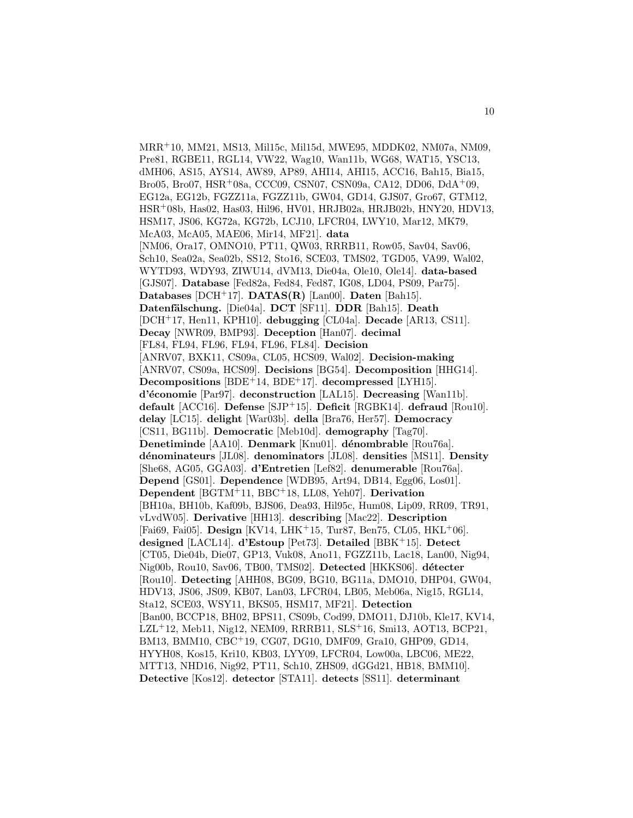MRR<sup>+</sup>10, MM21, MS13, Mil15c, Mil15d, MWE95, MDDK02, NM07a, NM09, Pre81, RGBE11, RGL14, VW22, Wag10, Wan11b, WG68, WAT15, YSC13, dMH06, AS15, AYS14, AW89, AP89, AHI14, AHI15, ACC16, Bah15, Bia15, Bro05, Bro07, HSR<sup>+</sup>08a, CCC09, CSN07, CSN09a, CA12, DD06, DdA<sup>+</sup>09, EG12a, EG12b, FGZZ11a, FGZZ11b, GW04, GD14, GJS07, Gro67, GTM12, HSR<sup>+</sup>08b, Has02, Has03, Hil96, HV01, HRJB02a, HRJB02b, HNY20, HDV13, HSM17, JS06, KG72a, KG72b, LCJ10, LFCR04, LWY10, Mar12, MK79, McA03, McA05, MAE06, Mir14, MF21]. **data** [NM06, Ora17, OMNO10, PT11, QW03, RRRB11, Row05, Sav04, Sav06, Sch10, Sea02a, Sea02b, SS12, Sto16, SCE03, TMS02, TGD05, VA99, Wal02, WYTD93, WDY93, ZIWU14, dVM13, Die04a, Ole10, Ole14]. **data-based** [GJS07]. **Database** [Fed82a, Fed84, Fed87, IG08, LD04, PS09, Par75]. **Databases** [DCH<sup>+</sup>17]. **DATAS(R)** [Lan00]. **Daten** [Bah15]. **Datenf¨alschung.** [Die04a]. **DCT** [SF11]. **DDR** [Bah15]. **Death** [DCH<sup>+</sup>17, Hen11, KPH10]. **debugging** [CL04a]. **Decade** [AR13, CS11]. **Decay** [NWR09, BMP93]. **Deception** [Han07]. **decimal** [FL84, FL94, FL96, FL94, FL96, FL84]. **Decision** [ANRV07, BXK11, CS09a, CL05, HCS09, Wal02]. **Decision-making** [ANRV07, CS09a, HCS09]. **Decisions** [BG54]. **Decomposition** [HHG14]. **Decompositions** [BDE<sup>+</sup>14, BDE<sup>+</sup>17]. **decompressed** [LYH15]. **d'´economie** [Par97]. **deconstruction** [LAL15]. **Decreasing** [Wan11b]. **default** [ACC16]. **Defense** [SJP<sup>+</sup>15]. **Deficit** [RGBK14]. **defraud** [Rou10]. **delay** [LC15]. **delight** [War03b]. **della** [Bra76, Her57]. **Democracy** [CS11, BG11b]. **Democratic** [Meb10d]. **demography** [Tag70]. **Denetiminde** [AA10]. **Denmark** [Knu01]. **d´enombrable** [Rou76a]. **d´enominateurs** [JL08]. **denominators** [JL08]. **densities** [MS11]. **Density** [She68, AG05, GGA03]. **d'Entretien** [Lef82]. **denumerable** [Rou76a]. **Depend** [GS01]. **Dependence** [WDB95, Art94, DB14, Egg06, Los01]. **Dependent** [BGTM<sup>+</sup>11, BBC<sup>+</sup>18, LL08, Yeh07]. **Derivation** [BH10a, BH10b, Kaf09b, BJS06, Dea93, Hil95c, Hum08, Lip09, RR09, TR91, vLvdW05]. **Derivative** [HH13]. **describing** [Mac22]. **Description** [Fai69, Fai05]. **Design** [KV14, LHK<sup>+</sup>15, Tur87, Ben75, CL05, HKL<sup>+</sup>06]. **designed** [LACL14]. **d'Estoup** [Pet73]. **Detailed** [BBK<sup>+</sup>15]. **Detect** [CT05, Die04b, Die07, GP13, Vuk08, Ano11, FGZZ11b, Lac18, Lan00, Nig94, Nig00b, Rou10, Sav06, TB00, TMS02. Detected [HKKS06]. détecter [Rou10]. **Detecting** [AHH08, BG09, BG10, BG11a, DMO10, DHP04, GW04, HDV13, JS06, JS09, KB07, Lan03, LFCR04, LB05, Meb06a, Nig15, RGL14, Sta12, SCE03, WSY11, BKS05, HSM17, MF21]. **Detection** [Ban00, BCCP18, BH02, BPS11, CS09b, Cod99, DMO11, DJ10b, Kle17, KV14, LZL<sup>+</sup>12, Meb11, Nig12, NEM09, RRRB11, SLS<sup>+</sup>16, Smi13, AOT13, BCP21, BM13, BMM10, CBC<sup>+</sup>19, CG07, DG10, DMF09, Gra10, GHP09, GD14, HYYH08, Kos15, Kri10, KB03, LYY09, LFCR04, Low00a, LBC06, ME22, MTT13, NHD16, Nig92, PT11, Sch10, ZHS09, dGGd21, HB18, BMM10]. **Detective** [Kos12]. **detector** [STA11]. **detects** [SS11]. **determinant**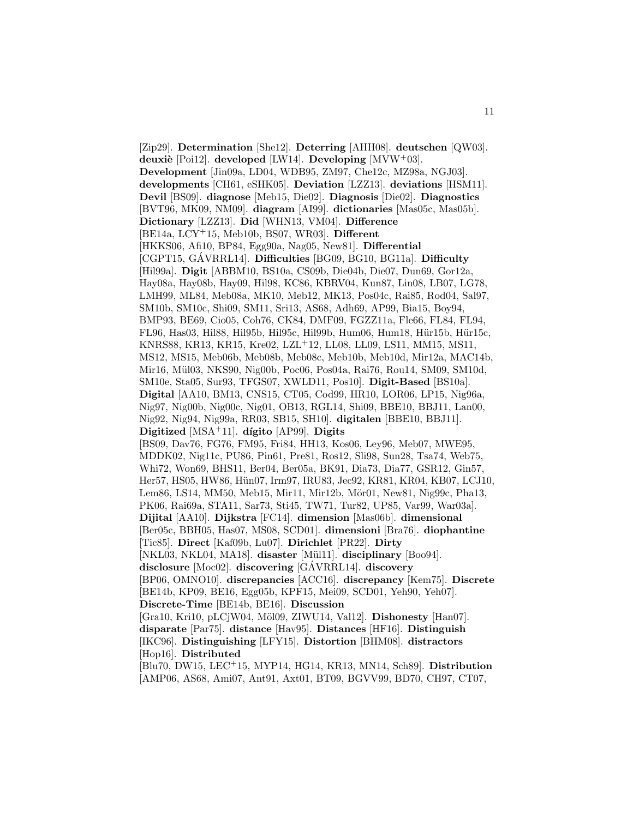[Zip29]. **Determination** [She12]. **Deterring** [AHH08]. **deutschen** [QW03]. **deuxi`e** [Poi12]. **developed** [LW14]. **Developing** [MVW<sup>+</sup>03]. **Development** [Jin09a, LD04, WDB95, ZM97, Che12c, MZ98a, NGJ03]. **developments** [CH61, eSHK05]. **Deviation** [LZZ13]. **deviations** [HSM11]. **Devil** [BS09]. **diagnose** [Meb15, Die02]. **Diagnosis** [Die02]. **Diagnostics** [BVT96, MK09, NM09]. **diagram** [AI99]. **dictionaries** [Mas05c, Mas05b]. **Dictionary** [LZZ13]. **Did** [WHN13, VM04]. **Difference** [BE14a, LCY<sup>+</sup>15, Meb10b, BS07, WR03]. **Different** [HKKS06, Afi10, BP84, Egg90a, Nag05, New81]. **Differential** [CGPT15, GÁVRRL14]. **Difficulties** [BG09, BG10, BG11a]. **Difficulty** [Hil99a]. **Digit** [ABBM10, BS10a, CS09b, Die04b, Die07, Dun69, Gor12a, Hay08a, Hay08b, Hay09, Hil98, KC86, KBRV04, Kun87, Lin08, LB07, LG78, LMH99, ML84, Meb08a, MK10, Meb12, MK13, Pos04c, Rai85, Rod04, Sal97, SM10b, SM10c, Shi09, SM11, Sri13, AS68, Adh69, AP99, Bia15, Boy94, BMP93, BE69, Cio05, Coh76, CK84, DMF09, FGZZ11a, Fle66, FL84, FL94, FL96, Has03, Hil88, Hil95b, Hil95c, Hil99b, Hum06, Hum18, Hür15b, Hür15c, KNRS88, KR13, KR15, Kre02, LZL<sup>+</sup>12, LL08, LL09, LS11, MM15, MS11, MS12, MS15, Meb06b, Meb08b, Meb08c, Meb10b, Meb10d, Mir12a, MAC14b, Mir16, Mül03, NKS90, Nig00b, Poc06, Pos04a, Rai76, Rou14, SM09, SM10d, SM10e, Sta05, Sur93, TFGS07, XWLD11, Pos10]. **Digit-Based** [BS10a]. **Digital** [AA10, BM13, CNS15, CT05, Cod99, HR10, LOR06, LP15, Nig96a, Nig97, Nig00b, Nig00c, Nig01, OB13, RGL14, Shi09, BBE10, BBJ11, Lan00, Nig92, Nig94, Nig99a, RR03, SB15, SH10]. **digitalen** [BBE10, BBJ11]. **Digitized** [MSA<sup>+</sup>11]. **dígito** [AP99]. **Digits** [BS09, Dav76, FG76, FM95, Fri84, HH13, Kos06, Ley96, Meb07, MWE95, MDDK02, Nig11c, PU86, Pin61, Pre81, Ros12, Sli98, Sun28, Tsa74, Web75, Whi72, Won69, BHS11, Ber04, Ber05a, BK91, Dia73, Dia77, GSR12, Gin57, Her57, HS05, HW86, Hün07, Irm97, IRU83, Jec92, KR81, KR04, KB07, LCJ10, Lem86, LS14, MM50, Meb15, Mir11, Mir12b, Mör01, New81, Nig99c, Pha13, PK06, Rai69a, STA11, Sar73, Sti45, TW71, Tur82, UP85, Var99, War03a]. **Dijital** [AA10]. **Dijkstra** [FC14]. **dimension** [Mas06b]. **dimensional** [Ber05c, BBH05, Has07, MS08, SCD01]. **dimensioni** [Bra76]. **diophantine** [Tic85]. **Direct** [Kaf09b, Lu07]. **Dirichlet** [PR22]. **Dirty** [NKL03, NKL04, MA18]. disaster [Mül11]. disciplinary [Boo94]. **disclosure** [Moc02]. **discovering** [GÁVRRL14]. **discovery** [BP06, OMNO10]. **discrepancies** [ACC16]. **discrepancy** [Kem75]. **Discrete** [BE14b, KP09, BE16, Egg05b, KPF15, Mei09, SCD01, Yeh90, Yeh07]. **Discrete-Time** [BE14b, BE16]. **Discussion** [Gra10, Kri10, pLCjW04, Möl09, ZIWU14, Val12]. Dishonesty [Han07]. **disparate** [Par75]. **distance** [Hav95]. **Distances** [HF16]. **Distinguish** [IKC96]. **Distinguishing** [LFY15]. **Distortion** [BHM08]. **distractors** [Hop16]. **Distributed** [Blu70, DW15, LEC<sup>+</sup>15, MYP14, HG14, KR13, MN14, Sch89]. **Distribution**

[AMP06, AS68, Ami07, Ant91, Axt01, BT09, BGVV99, BD70, CH97, CT07,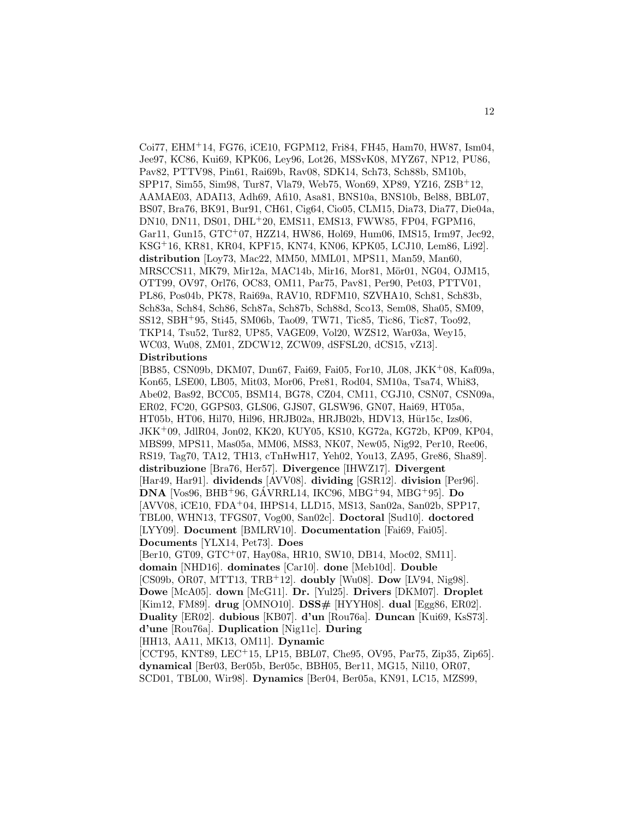Coi77, EHM<sup>+</sup>14, FG76, iCE10, FGPM12, Fri84, FH45, Ham70, HW87, Ism04, Jee97, KC86, Kui69, KPK06, Ley96, Lot26, MSSvK08, MYZ67, NP12, PU86, Pav82, PTTV98, Pin61, Rai69b, Rav08, SDK14, Sch73, Sch88b, SM10b, SPP17, Sim55, Sim98, Tur87, Vla79, Web75, Won69, XP89, YZ16, ZSB<sup>+</sup>12, AAMAE03, ADAI13, Adh69, Afi10, Asa81, BNS10a, BNS10b, Bel88, BBL07, BS07, Bra76, BK91, Bur91, CH61, Cig64, Cio05, CLM15, Dia73, Dia77, Die04a, DN10, DN11, DS01, DHL<sup>+</sup>20, EMS11, EMS13, FWW85, FP04, FGPM16, Gar11, Gun15, GTC<sup>+</sup>07, HZZ14, HW86, Hol69, Hum06, IMS15, Irm97, Jec92, KSG<sup>+</sup>16, KR81, KR04, KPF15, KN74, KN06, KPK05, LCJ10, Lem86, Li92]. **distribution** [Loy73, Mac22, MM50, MML01, MPS11, Man59, Man60, MRSCCS11, MK79, Mir12a, MAC14b, Mir16, Mor81, Mör01, NG04, OJM15, OTT99, OV97, Orl76, OC83, OM11, Par75, Pav81, Per90, Pet03, PTTV01, PL86, Pos04b, PK78, Rai69a, RAV10, RDFM10, SZVHA10, Sch81, Sch83b, Sch83a, Sch84, Sch86, Sch87a, Sch87b, Sch88d, Sco13, Sem08, Sha05, SM09, SS12, SBH<sup>+</sup>95, Sti45, SM06b, Tao09, TW71, Tic85, Tic86, Tic87, Too92, TKP14, Tsu52, Tur82, UP85, VAGE09, Vol20, WZS12, War03a, Wey15, WC03, Wu08, ZM01, ZDCW12, ZCW09, dSFSL20, dCS15, vZ13]. **Distributions**

[BB85, CSN09b, DKM07, Dun67, Fai69, Fai05, For10, JL08, JKK<sup>+</sup>08, Kaf09a, Kon65, LSE00, LB05, Mit03, Mor06, Pre81, Rod04, SM10a, Tsa74, Whi83, Abe02, Bas92, BCC05, BSM14, BG78, CZ04, CM11, CGJ10, CSN07, CSN09a, ER02, FC20, GGPS03, GLS06, GJS07, GLSW96, GN07, Hai69, HT05a, HT05b, HT06, Hil70, Hil96, HRJB02a, HRJB02b, HDV13, Hür15c, Izs06, JKK<sup>+</sup>09, JdlR04, Jon02, KK20, KUY05, KS10, KG72a, KG72b, KP09, KP04, MBS99, MPS11, Mas05a, MM06, MS83, NK07, New05, Nig92, Per10, Ree06, RS19, Tag70, TA12, TH13, cTnHwH17, Yeh02, You13, ZA95, Gre86, Sha89]. **distribuzione** [Bra76, Her57]. **Divergence** [IHWZ17]. **Divergent** [Har49, Har91]. **dividends** [AVV08]. **dividing** [GSR12]. **division** [Per96]. **DNA** [Vos96, BHB+96, GÁVRRL14, IKC96, MBG+94, MBG+95]. **Do** [AVV08, iCE10, FDA<sup>+</sup>04, IHPS14, LLD15, MS13, San02a, San02b, SPP17, TBL00, WHN13, TFGS07, Vog00, San02c]. **Doctoral** [Sud10]. **doctored** [LYY09]. **Document** [BMLRV10]. **Documentation** [Fai69, Fai05]. **Documents** [YLX14, Pet73]. **Does**

[Ber10, GT09, GTC<sup>+</sup>07, Hay08a, HR10, SW10, DB14, Moc02, SM11]. **domain** [NHD16]. **dominates** [Car10]. **done** [Meb10d]. **Double** [CS09b, OR07, MTT13, TRB<sup>+</sup>12]. **doubly** [Wu08]. **Dow** [LV94, Nig98]. **Dowe** [McA05]. **down** [McG11]. **Dr.** [Yul25]. **Drivers** [DKM07]. **Droplet** [Kim12, FM89]. **drug** [OMNO10]. **DSS#** [HYYH08]. **dual** [Egg86, ER02]. **Duality** [ER02]. **dubious** [KB07]. **d'un** [Rou76a]. **Duncan** [Kui69, KsS73]. **d'une** [Rou76a]. **Duplication** [Nig11c]. **During** [HH13, AA11, MK13, OM11]. **Dynamic**

[CCT95, KNT89, LEC<sup>+</sup>15, LP15, BBL07, Che95, OV95, Par75, Zip35, Zip65]. **dynamical** [Ber03, Ber05b, Ber05c, BBH05, Ber11, MG15, Nil10, OR07, SCD01, TBL00, Wir98]. **Dynamics** [Ber04, Ber05a, KN91, LC15, MZS99,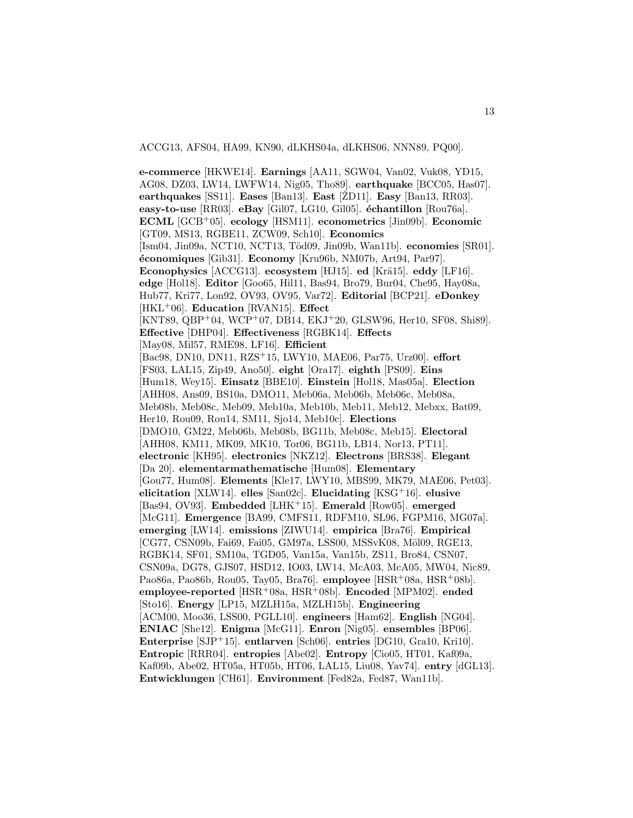ACCG13, AFS04, HA99, KN90, dLKHS04a, dLKHS06, NNN89, PQ00].

**e-commerce** [HKWE14]. **Earnings** [AA11, SGW04, Van02, Vuk08, YD15, AG08, DZ03, LW14, LWFW14, Nig05, Tho89]. **earthquake** [BCC05, Has07]. **earthquakes** [SS11]. **Eases** [Ban13]. **East** [ŽD11]. **Easy** [Ban13, RR03]. **easy-to-use** [RR03]. **eBay** [Gil07, LG10, Gil05]. **échantillon** [Rou76a]. **ECML** [GCB<sup>+</sup>05]. **ecology** [HSM11]. **econometrics** [Jin09b]. **Economic** [GT09, MS13, RGBE11, ZCW09, Sch10]. **Economics** [Ism04, Jin09a, NCT10, NCT13, T¨od09, Jin09b, Wan11b]. **economies** [SR01]. **´economiques** [Gib31]. **Economy** [Kru96b, NM07b, Art94, Par97]. **Econophysics** [ACCG13]. **ecosystem** [HJ15]. **ed** [Krä15]. **eddy** [LF16]. **edge** [Hol18]. **Editor** [Goo65, Hil11, Bas94, Bro79, Bur04, Che95, Hay08a, Hub77, Kri77, Lon92, OV93, OV95, Var72]. **Editorial** [BCP21]. **eDonkey** [HKL<sup>+</sup>06]. **Education** [RVAN15]. **Effect** [KNT89, QBP+04, WCP+07, DB14, EKJ+20, GLSW96, Her10, SF08, Shi89]. **Effective** [DHP04]. **Effectiveness** [RGBK14]. **Effects** [May08, Mil57, RME98, LF16]. **Efficient** [Bac98, DN10, DN11, RZS<sup>+</sup>15, LWY10, MAE06, Par75, Urz00]. **effort** [FS03, LAL15, Zip49, Ano50]. **eight** [Ora17]. **eighth** [PS09]. **Eins** [Hum18, Wey15]. **Einsatz** [BBE10]. **Einstein** [Hol18, Mas05a]. **Election** [AHH08, Ans09, BS10a, DMO11, Meb06a, Meb06b, Meb06c, Meb08a, Meb08b, Meb08c, Meb09, Meb10a, Meb10b, Meb11, Meb12, Mebxx, Bat09, Her10, Rou09, Rou14, SM11, Sjo14, Meb10c]. **Elections** [DMO10, GM22, Meb06b, Meb08b, BG11b, Meb08c, Meb15]. **Electoral** [AHH08, KM11, MK09, MK10, Tor06, BG11b, LB14, Nor13, PT11]. **electronic** [KH95]. **electronics** [NKZ12]. **Electrons** [BRS38]. **Elegant** [Da 20]. **elementarmathematische** [Hum08]. **Elementary** [Gou77, Hum08]. **Elements** [Kle17, LWY10, MBS99, MK79, MAE06, Pet03]. **elicitation** [XLW14]. **elles** [San02c]. **Elucidating** [KSG<sup>+</sup>16]. **elusive** [Bas94, OV93]. **Embedded** [LHK<sup>+</sup>15]. **Emerald** [Row05]. **emerged** [McG11]. **Emergence** [BA99, CMFS11, RDFM10, SL96, FGPM16, MG07a]. **emerging** [LW14]. **emissions** [ZIWU14]. **empirica** [Bra76]. **Empirical**  $[CG77, CSN09b, Fa69, Fa05, GM97a, LSS00, MSSvK08, Möl09, RGE13,$ RGBK14, SF01, SM10a, TGD05, Van15a, Van15b, ZS11, Bro84, CSN07, CSN09a, DG78, GJS07, HSD12, IO03, LW14, McA03, McA05, MW04, Nic89, Pao86a, Pao86b, Rou05, Tay05, Bra76]. **employee** [HSR<sup>+</sup>08a, HSR<sup>+</sup>08b]. **employee-reported** [HSR<sup>+</sup>08a, HSR<sup>+</sup>08b]. **Encoded** [MPM02]. **ended** [Sto16]. **Energy** [LP15, MZLH15a, MZLH15b]. **Engineering** [ACM00, Moo36, LSS00, PGLL10]. **engineers** [Ham62]. **English** [NG04]. **ENIAC** [She12]. **Enigma** [McG11]. **Enron** [Nig05]. **ensembles** [BP06]. **Enterprise** [SJP<sup>+</sup>15]. **entlarven** [Sch06]. **entries** [DG10, Gra10, Kri10]. **Entropic** [RRR04]. **entropies** [Abe02]. **Entropy** [Cio05, HT01, Kaf09a, Kaf09b, Abe02, HT05a, HT05b, HT06, LAL15, Liu08, Yav74]. **entry** [dGL13]. **Entwicklungen** [CH61]. **Environment** [Fed82a, Fed87, Wan11b].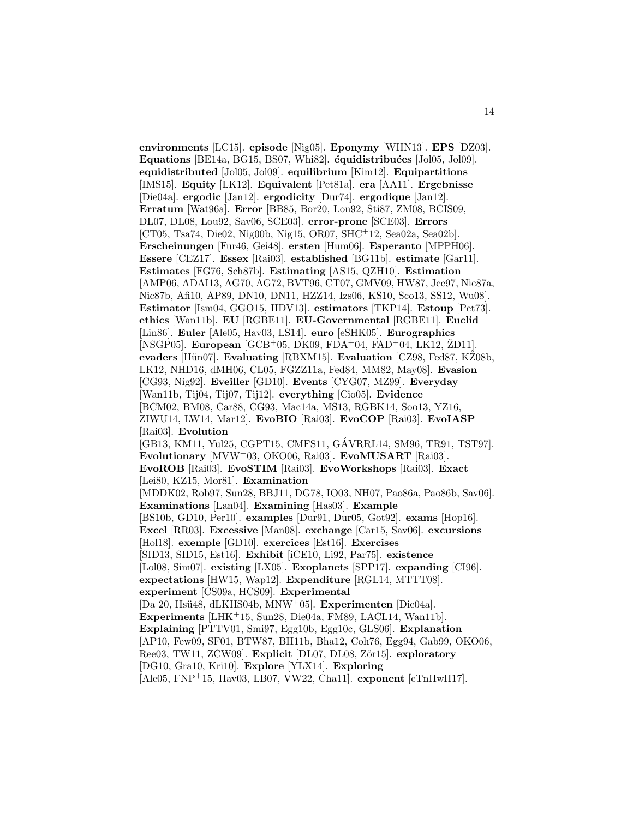**environments** [LC15]. **episode** [Nig05]. **Eponymy** [WHN13]. **EPS** [DZ03]. Equations [BE14a, BG15, BS07, Whi82]. **équidistribuées** [Jol05, Jol09]. **equidistributed** [Jol05, Jol09]. **equilibrium** [Kim12]. **Equipartitions** [IMS15]. **Equity** [LK12]. **Equivalent** [Pet81a]. **era** [AA11]. **Ergebnisse** [Die04a]. **ergodic** [Jan12]. **ergodicity** [Dur74]. **ergodique** [Jan12]. **Erratum** [Wat96a]. **Error** [BB85, Bor20, Lon92, Sti87, ZM08, BCIS09, DL07, DL08, Lou92, Sav06, SCE03]. **error-prone** [SCE03]. **Errors** [CT05, Tsa74, Die02, Nig00b, Nig15, OR07, SHC<sup>+</sup>12, Sea02a, Sea02b]. **Erscheinungen** [Fur46, Gei48]. **ersten** [Hum06]. **Esperanto** [MPPH06]. **Essere** [CEZ17]. **Essex** [Rai03]. **established** [BG11b]. **estimate** [Gar11]. **Estimates** [FG76, Sch87b]. **Estimating** [AS15, QZH10]. **Estimation** [AMP06, ADAI13, AG70, AG72, BVT96, CT07, GMV09, HW87, Jee97, Nic87a, Nic87b, Afi10, AP89, DN10, DN11, HZZ14, Izs06, KS10, Sco13, SS12, Wu08]. **Estimator** [Ism04, GGO15, HDV13]. **estimators** [TKP14]. **Estoup** [Pet73]. **ethics** [Wan11b]. **EU** [RGBE11]. **EU-Governmental** [RGBE11]. **Euclid** [Lin86]. **Euler** [Ale05, Hav03, LS14]. **euro** [eSHK05]. **Eurographics** [NSGP05]. **European** [GCB+05, DK09, FDA+04, FAD+04, LK12, ŽD11]. **evaders** [Hün07]. **Evaluating** [RBXM15]. **Evaluation** [CZ98, Fed87, KZ08b, LK12, NHD16, dMH06, CL05, FGZZ11a, Fed84, MM82, May08]. **Evasion** [CG93, Nig92]. **Eveiller** [GD10]. **Events** [CYG07, MZ99]. **Everyday** [Wan11b, Tij04, Tij07, Tij12]. **everything** [Cio05]. **Evidence** [BCM02, BM08, Car88, CG93, Mac14a, MS13, RGBK14, Soo13, YZ16, ZIWU14, LW14, Mar12]. **EvoBIO** [Rai03]. **EvoCOP** [Rai03]. **EvoIASP** [Rai03]. **Evolution** [GB13, KM11, Yul25, CGPT15, CMFS11, GAVRRL14, SM96, TR91, TST97]. ´ **Evolutionary** [MVW<sup>+</sup>03, OKO06, Rai03]. **EvoMUSART** [Rai03]. **EvoROB** [Rai03]. **EvoSTIM** [Rai03]. **EvoWorkshops** [Rai03]. **Exact** [Lei80, KZ15, Mor81]. **Examination** [MDDK02, Rob97, Sun28, BBJ11, DG78, IO03, NH07, Pao86a, Pao86b, Sav06]. **Examinations** [Lan04]. **Examining** [Has03]. **Example** [BS10b, GD10, Per10]. **examples** [Dur91, Dur05, Got92]. **exams** [Hop16]. **Excel** [RR03]. **Excessive** [Man08]. **exchange** [Car15, Sav06]. **excursions** [Hol18]. **exemple** [GD10]. **exercices** [Est16]. **Exercises** [SID13, SID15, Est16]. **Exhibit** [iCE10, Li92, Par75]. **existence** [Lol08, Sim07]. **existing** [LX05]. **Exoplanets** [SPP17]. **expanding** [CI96]. **expectations** [HW15, Wap12]. **Expenditure** [RGL14, MTTT08]. **experiment** [CS09a, HCS09]. **Experimental** [Da 20, Hs¨u48, dLKHS04b, MNW<sup>+</sup>05]. **Experimenten** [Die04a]. Experiments [LHK<sup>+</sup>15, Sun28, Die04a, FM89, LACL14, Wan11b]. **Explaining** [PTTV01, Smi97, Egg10b, Egg10c, GLS06]. **Explanation** [AP10, Few09, SF01, BTW87, BH11b, Bha12, Coh76, Egg94, Gab99, OKO06, Ree03, TW11, ZCW09]. **Explicit** [DL07, DL08, Zör15]. **exploratory** [DG10, Gra10, Kri10]. **Explore** [YLX14]. **Exploring** [Ale05, FNP<sup>+</sup>15, Hav03, LB07, VW22, Cha11]. **exponent** [cTnHwH17].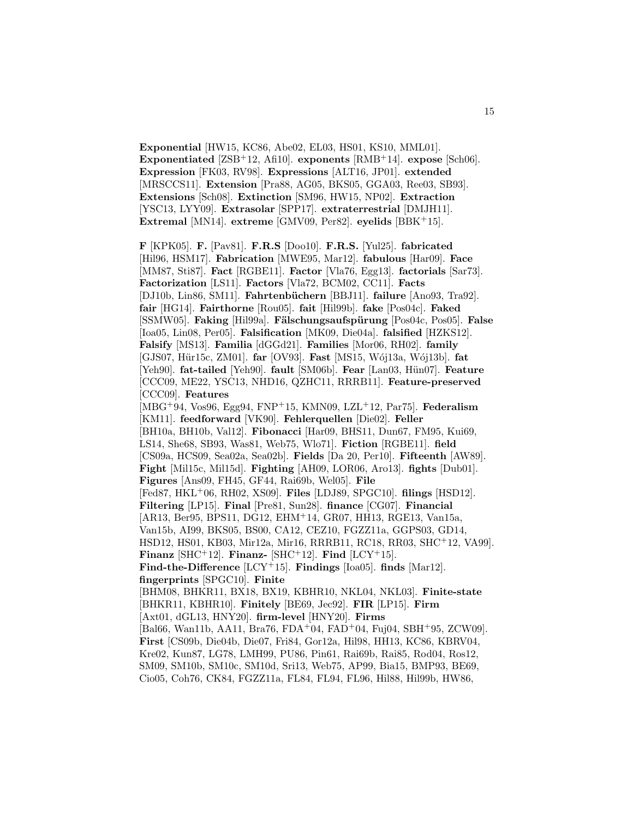**Exponential** [HW15, KC86, Abe02, EL03, HS01, KS10, MML01]. **Exponentiated** [ZSB<sup>+</sup>12, Afi10]. **exponents** [RMB<sup>+</sup>14]. **expose** [Sch06]. **Expression** [FK03, RV98]. **Expressions** [ALT16, JP01]. **extended** [MRSCCS11]. **Extension** [Pra88, AG05, BKS05, GGA03, Ree03, SB93]. **Extensions** [Sch08]. **Extinction** [SM96, HW15, NP02]. **Extraction** [YSC13, LYY09]. **Extrasolar** [SPP17]. **extraterrestrial** [DMJH11]. **Extremal** [MN14]. **extreme** [GMV09, Per82]. **eyelids** [BBK<sup>+</sup>15].

**F** [KPK05]. **F.** [Pav81]. **F.R.S** [Doo10]. **F.R.S.** [Yul25]. **fabricated** [Hil96, HSM17]. **Fabrication** [MWE95, Mar12]. **fabulous** [Har09]. **Face** [MM87, Sti87]. **Fact** [RGBE11]. **Factor** [Vla76, Egg13]. **factorials** [Sar73]. **Factorization** [LS11]. **Factors** [Vla72, BCM02, CC11]. **Facts** [DJ10b, Lin86, SM11]. **Fahrtenb¨uchern** [BBJ11]. **failure** [Ano93, Tra92]. **fair** [HG14]. **Fairthorne** [Rou05]. **fait** [Hil99b]. **fake** [Pos04c]. **Faked** [SSMW05]. **Faking** [Hil99a]. **F¨alschungsaufsp¨urung** [Pos04c, Pos05]. **False** [Ioa05, Lin08, Per05]. **Falsification** [MK09, Die04a]. **falsified** [HZKS12]. **Falsify** [MS13]. **Familia** [dGGd21]. **Families** [Mor06, RH02]. **family** [GJS07, Hür15c, ZM01]. **far** [OV93]. **Fast** [MS15, Wój13a, Wój13b]. **fat** [Yeh90]. fat-tailed [Yeh90]. fault [SM06b]. Fear [Lan03, Hün07]. Feature [CCC09, ME22, YSC13, NHD16, QZHC11, RRRB11]. **Feature-preserved** [CCC09]. **Features** [MBG<sup>+</sup>94, Vos96, Egg94, FNP<sup>+</sup>15, KMN09, LZL<sup>+</sup>12, Par75]. **Federalism** [KM11]. **feedforward** [VK90]. **Fehlerquellen** [Die02]. **Feller** [BH10a, BH10b, Val12]. **Fibonacci** [Har09, BHS11, Dun67, FM95, Kui69, LS14, She68, SB93, Was81, Web75, Wlo71]. **Fiction** [RGBE11]. **field** [CS09a, HCS09, Sea02a, Sea02b]. **Fields** [Da 20, Per10]. **Fifteenth** [AW89]. **Fight** [Mil15c, Mil15d]. **Fighting** [AH09, LOR06, Aro13]. **fights** [Dub01]. **Figures** [Ans09, FH45, GF44, Rai69b, Wel05]. **File** [Fed87, HKL<sup>+</sup>06, RH02, XS09]. **Files** [LDJ89, SPGC10]. **filings** [HSD12]. **Filtering** [LP15]. **Final** [Pre81, Sun28]. **finance** [CG07]. **Financial** [AR13, Ber95, BPS11, DG12, EHM<sup>+</sup>14, GR07, HH13, RGE13, Van15a, Van15b, AI99, BKS05, BS00, CA12, CEZ10, FGZZ11a, GGPS03, GD14, HSD12, HS01, KB03, Mir12a, Mir16, RRRB11, RC18, RR03, SHC<sup>+</sup>12, VA99]. **Finanz** [SHC<sup>+</sup>12]. **Finanz-** [SHC<sup>+</sup>12]. **Find** [LCY<sup>+</sup>15]. **Find-the-Difference** [LCY<sup>+</sup>15]. **Findings** [Ioa05]. **finds** [Mar12]. **fingerprints** [SPGC10]. **Finite** [BHM08, BHKR11, BX18, BX19, KBHR10, NKL04, NKL03]. **Finite-state** [BHKR11, KBHR10]. **Finitely** [BE69, Jec92]. **FIR** [LP15]. **Firm** [Axt01, dGL13, HNY20]. **firm-level** [HNY20]. **Firms** [Bal66, Wan11b, AA11, Bra76, FDA<sup>+</sup>04, FAD<sup>+</sup>04, Fuj04, SBH<sup>+</sup>95, ZCW09]. **First** [CS09b, Die04b, Die07, Fri84, Gor12a, Hil98, HH13, KC86, KBRV04, Kre02, Kun87, LG78, LMH99, PU86, Pin61, Rai69b, Rai85, Rod04, Ros12, SM09, SM10b, SM10c, SM10d, Sri13, Web75, AP99, Bia15, BMP93, BE69,

Cio05, Coh76, CK84, FGZZ11a, FL84, FL94, FL96, Hil88, Hil99b, HW86,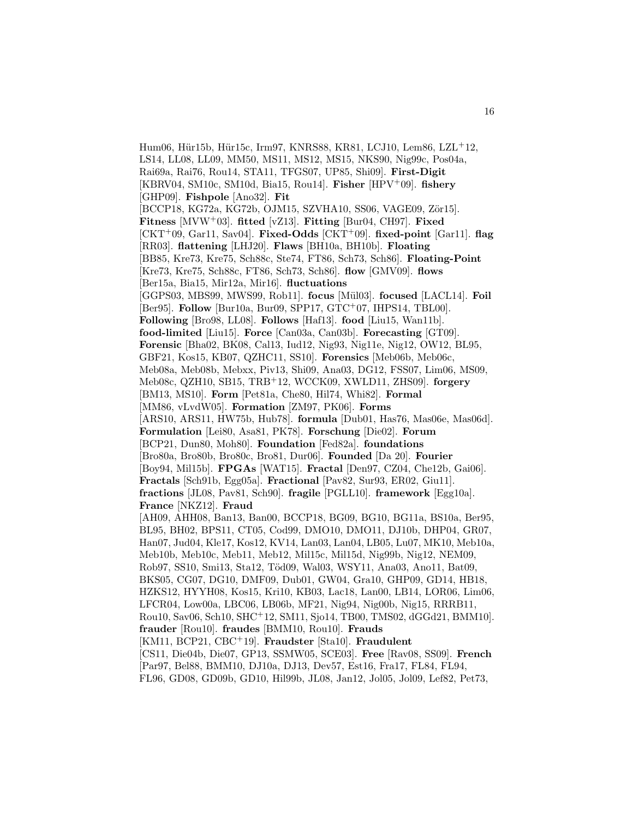Hum06, Hür15b, Hür15c, Irm97, KNRS88, KR81, LCJ10, Lem86, LZL<sup>+12</sup>, LS14, LL08, LL09, MM50, MS11, MS12, MS15, NKS90, Nig99c, Pos04a, Rai69a, Rai76, Rou14, STA11, TFGS07, UP85, Shi09]. **First-Digit** [KBRV04, SM10c, SM10d, Bia15, Rou14]. **Fisher** [HPV<sup>+</sup>09]. **fishery** [GHP09]. **Fishpole** [Ano32]. **Fit** [BCCP18, KG72a, KG72b, OJM15, SZVHA10, SS06, VAGE09, Zör15]. **Fitness** [MVW<sup>+</sup>03]. **fitted** [vZ13]. **Fitting** [Bur04, CH97]. **Fixed** [CKT<sup>+</sup>09, Gar11, Sav04]. **Fixed-Odds** [CKT<sup>+</sup>09]. **fixed-point** [Gar11]. **flag** [RR03]. **flattening** [LHJ20]. **Flaws** [BH10a, BH10b]. **Floating** [BB85, Kre73, Kre75, Sch88c, Ste74, FT86, Sch73, Sch86]. **Floating-Point** [Kre73, Kre75, Sch88c, FT86, Sch73, Sch86]. **flow** [GMV09]. **flows** [Ber15a, Bia15, Mir12a, Mir16]. **fluctuations** [GGPS03, MBS99, MWS99, Rob11]. **focus** [M¨ul03]. **focused** [LACL14]. **Foil** [Ber95]. **Follow** [Bur10a, Bur09, SPP17, GTC<sup>+</sup>07, IHPS14, TBL00]. **Following** [Bro98, LL08]. **Follows** [Haf13]. **food** [Liu15, Wan11b]. **food-limited** [Liu15]. **Force** [Can03a, Can03b]. **Forecasting** [GT09]. **Forensic** [Bha02, BK08, Cal13, Iud12, Nig93, Nig11e, Nig12, OW12, BL95, GBF21, Kos15, KB07, QZHC11, SS10]. **Forensics** [Meb06b, Meb06c, Meb08a, Meb08b, Mebxx, Piv13, Shi09, Ana03, DG12, FSS07, Lim06, MS09, Meb08c, QZH10, SB15, TRB<sup>+</sup>12, WCCK09, XWLD11, ZHS09]. **forgery** [BM13, MS10]. **Form** [Pet81a, Che80, Hil74, Whi82]. **Formal** [MM86, vLvdW05]. **Formation** [ZM97, PK06]. **Forms** [ARS10, ARS11, HW75b, Hub78]. **formula** [Dub01, Has76, Mas06e, Mas06d]. **Formulation** [Lei80, Asa81, PK78]. **Forschung** [Die02]. **Forum** [BCP21, Dun80, Moh80]. **Foundation** [Fed82a]. **foundations** [Bro80a, Bro80b, Bro80c, Bro81, Dur06]. **Founded** [Da 20]. **Fourier** [Boy94, Mil15b]. **FPGAs** [WAT15]. **Fractal** [Den97, CZ04, Che12b, Gai06]. **Fractals** [Sch91b, Egg05a]. **Fractional** [Pav82, Sur93, ER02, Giu11]. **fractions** [JL08, Pav81, Sch90]. **fragile** [PGLL10]. **framework** [Egg10a]. **France** [NKZ12]. **Fraud** [AH09, AHH08, Ban13, Ban00, BCCP18, BG09, BG10, BG11a, BS10a, Ber95, BL95, BH02, BPS11, CT05, Cod99, DMO10, DMO11, DJ10b, DHP04, GR07, Han07, Jud04, Kle17, Kos12, KV14, Lan03, Lan04, LB05, Lu07, MK10, Meb10a, Meb10b, Meb10c, Meb11, Meb12, Mil15c, Mil15d, Nig99b, Nig12, NEM09, Rob97, SS10, Smi13, Sta12, Töd09, Wal03, WSY11, Ana03, Ano11, Bat09, BKS05, CG07, DG10, DMF09, Dub01, GW04, Gra10, GHP09, GD14, HB18, HZKS12, HYYH08, Kos15, Kri10, KB03, Lac18, Lan00, LB14, LOR06, Lim06, LFCR04, Low00a, LBC06, LB06b, MF21, Nig94, Nig00b, Nig15, RRRB11, Rou10, Sav06, Sch10, SHC<sup>+</sup>12, SM11, Sjo14, TB00, TMS02, dGGd21, BMM10]. **frauder** [Rou10]. **fraudes** [BMM10, Rou10]. **Frauds** [KM11, BCP21, CBC<sup>+</sup>19]. **Fraudster** [Sta10]. **Fraudulent** [CS11, Die04b, Die07, GP13, SSMW05, SCE03]. **Free** [Rav08, SS09]. **French** [Par97, Bel88, BMM10, DJ10a, DJ13, Dev57, Est16, Fra17, FL84, FL94, FL96, GD08, GD09b, GD10, Hil99b, JL08, Jan12, Jol05, Jol09, Lef82, Pet73,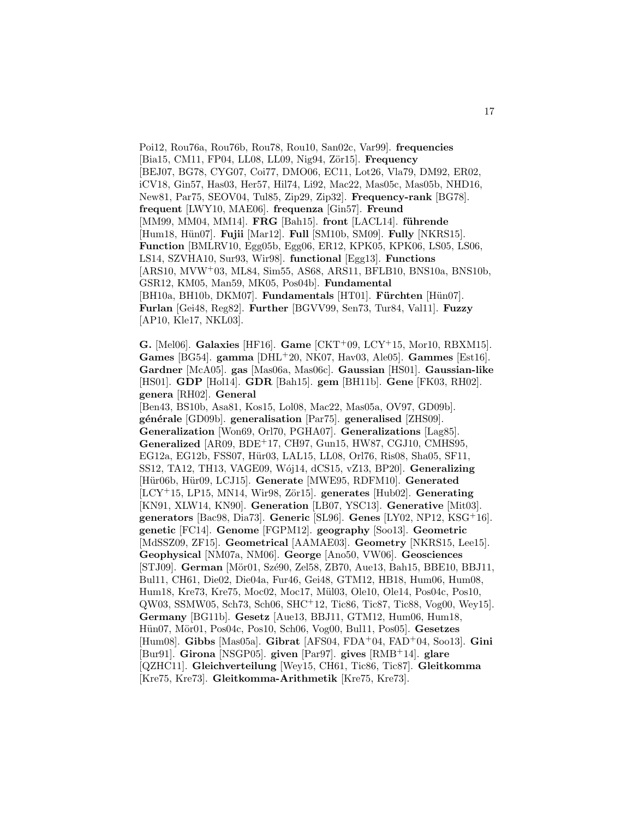Poi12, Rou76a, Rou76b, Rou78, Rou10, San02c, Var99]. **frequencies** [Bia15, CM11, FP04, LL08, LL09, Nig94, Zör15]. **Frequency** [BEJ07, BG78, CYG07, Coi77, DMO06, EC11, Lot26, Vla79, DM92, ER02, iCV18, Gin57, Has03, Her57, Hil74, Li92, Mac22, Mas05c, Mas05b, NHD16, New81, Par75, SEOV04, Tul85, Zip29, Zip32]. **Frequency-rank** [BG78]. **frequent** [LWY10, MAE06]. **frequenza** [Gin57]. **Freund** [MM99, MM04, MM14]. **FRG** [Bah15]. **front** [LACL14]. **führende** [Hum18, H¨un07]. **Fujii** [Mar12]. **Full** [SM10b, SM09]. **Fully** [NKRS15]. **Function** [BMLRV10, Egg05b, Egg06, ER12, KPK05, KPK06, LS05, LS06, LS14, SZVHA10, Sur93, Wir98]. **functional** [Egg13]. **Functions** [ARS10, MVW<sup>+</sup>03, ML84, Sim55, AS68, ARS11, BFLB10, BNS10a, BNS10b, GSR12, KM05, Man59, MK05, Pos04b]. **Fundamental** [BH10a, BH10b, DKM07]. **Fundamentals** [HT01]. **Fürchten** [Hün07]. **Furlan** [Gei48, Reg82]. **Further** [BGVV99, Sen73, Tur84, Val11]. **Fuzzy** [AP10, Kle17, NKL03].

**G.** [Mel06]. **Galaxies** [HF16]. **Game** [CKT<sup>+</sup>09, LCY<sup>+</sup>15, Mor10, RBXM15]. **Games** [BG54]. **gamma** [DHL<sup>+</sup>20, NK07, Hav03, Ale05]. **Gammes** [Est16]. **Gardner** [McA05]. **gas** [Mas06a, Mas06c]. **Gaussian** [HS01]. **Gaussian-like** [HS01]. **GDP** [Hol14]. **GDR** [Bah15]. **gem** [BH11b]. **Gene** [FK03, RH02]. **genera** [RH02]. **General** [Ben43, BS10b, Asa81, Kos15, Lol08, Mac22, Mas05a, OV97, GD09b]. **g´en´erale** [GD09b]. **generalisation** [Par75]. **generalised** [ZHS09]. **Generalization** [Won69, Orl70, PGHA07]. **Generalizations** [Lag85]. **Generalized** [AR09, BDE<sup>+</sup>17, CH97, Gun15, HW87, CGJ10, CMHS95, EG12a, EG12b, FSS07, Hür03, LAL15, LL08, Orl76, Ris08, Sha05, SF11, SS12, TA12, TH13, VAGE09, W´oj14, dCS15, vZ13, BP20]. **Generalizing** [Hür06b, Hür09, LCJ15]. Generate [MWE95, RDFM10]. Generated [LCY<sup>+</sup>15, LP15, MN14, Wir98, Zör15]. **generates** [Hub02]. **Generating** [KN91, XLW14, KN90]. **Generation** [LB07, YSC13]. **Generative** [Mit03]. **generators** [Bac98, Dia73]. **Generic** [SL96]. **Genes** [LY02, NP12, KSG<sup>+</sup>16]. **genetic** [FC14]. **Genome** [FGPM12]. **geography** [Soo13]. **Geometric** [MdSSZ09, ZF15]. **Geometrical** [AAMAE03]. **Geometry** [NKRS15, Lee15]. **Geophysical** [NM07a, NM06]. **George** [Ano50, VW06]. **Geosciences** [STJ09]. **German** [Mör01, Szé90, Zel58, ZB70, Aue13, Bah15, BBE10, BBJ11, Bul11, CH61, Die02, Die04a, Fur46, Gei48, GTM12, HB18, Hum06, Hum08, Hum18, Kre73, Kre75, Moc02, Moc17, Mül03, Ole10, Ole14, Pos04c, Pos10, QW03, SSMW05, Sch73, Sch06, SHC<sup>+</sup>12, Tic86, Tic87, Tic88, Vog00, Wey15]. **Germany** [BG11b]. **Gesetz** [Aue13, BBJ11, GTM12, Hum06, Hum18, Hün07, Mör01, Pos04c, Pos10, Sch06, Vog00, Bul11, Pos05]. Gesetzes [Hum08]. **Gibbs** [Mas05a]. **Gibrat** [AFS04, FDA<sup>+</sup>04, FAD<sup>+</sup>04, Soo13]. **Gini** [Bur91]. **Girona** [NSGP05]. **given** [Par97]. **gives** [RMB<sup>+</sup>14]. **glare** [QZHC11]. **Gleichverteilung** [Wey15, CH61, Tic86, Tic87]. **Gleitkomma** [Kre75, Kre73]. **Gleitkomma-Arithmetik** [Kre75, Kre73].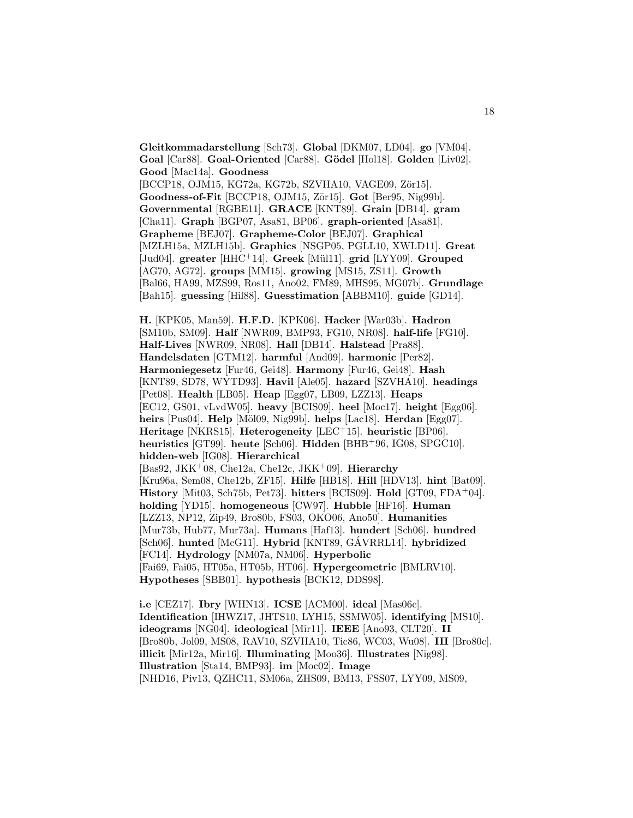**Gleitkommadarstellung** [Sch73]. **Global** [DKM07, LD04]. **go** [VM04]. **Goal** [Car88]. **Goal-Oriented** [Car88]. **G¨odel** [Hol18]. **Golden** [Liv02]. **Good** [Mac14a]. **Goodness** [BCCP18, OJM15, KG72a, KG72b, SZVHA10, VAGE09, Zör15]. **Goodness-of-Fit** [BCCP18, OJM15, Zör15]. **Got** [Ber95, Nig99b]. **Governmental** [RGBE11]. **GRACE** [KNT89]. **Grain** [DB14]. **gram** [Cha11]. **Graph** [BGP07, Asa81, BP06]. **graph-oriented** [Asa81]. **Grapheme** [BEJ07]. **Grapheme-Color** [BEJ07]. **Graphical** [MZLH15a, MZLH15b]. **Graphics** [NSGP05, PGLL10, XWLD11]. **Great** [Jud04]. **greater** [HHC<sup>+</sup>14]. **Greek** [M¨ul11]. **grid** [LYY09]. **Grouped** [AG70, AG72]. **groups** [MM15]. **growing** [MS15, ZS11]. **Growth** [Bal66, HA99, MZS99, Ros11, Ano02, FM89, MHS95, MG07b]. **Grundlage** [Bah15]. **guessing** [Hil88]. **Guesstimation** [ABBM10]. **guide** [GD14].

**H.** [KPK05, Man59]. **H.F.D.** [KPK06]. **Hacker** [War03b]. **Hadron** [SM10b, SM09]. **Half** [NWR09, BMP93, FG10, NR08]. **half-life** [FG10]. **Half-Lives** [NWR09, NR08]. **Hall** [DB14]. **Halstead** [Pra88]. **Handelsdaten** [GTM12]. **harmful** [And09]. **harmonic** [Per82]. **Harmoniegesetz** [Fur46, Gei48]. **Harmony** [Fur46, Gei48]. **Hash** [KNT89, SD78, WYTD93]. **Havil** [Ale05]. **hazard** [SZVHA10]. **headings** [Pet08]. **Health** [LB05]. **Heap** [Egg07, LB09, LZZ13]. **Heaps** [EC12, GS01, vLvdW05]. **heavy** [BCIS09]. **heel** [Moc17]. **height** [Egg06]. **heirs** [Pus04]. **Help** [M¨ol09, Nig99b]. **helps** [Lac18]. **Herdan** [Egg07]. **Heritage** [NKRS15]. **Heterogeneity** [LEC<sup>+</sup>15]. **heuristic** [BP06]. **heuristics** [GT99]. **heute** [Sch06]. **Hidden** [BHB<sup>+</sup>96, IG08, SPGC10]. **hidden-web** [IG08]. **Hierarchical** [Bas92, JKK<sup>+</sup>08, Che12a, Che12c, JKK<sup>+</sup>09]. **Hierarchy** [Kru96a, Sem08, Che12b, ZF15]. **Hilfe** [HB18]. **Hill** [HDV13]. **hint** [Bat09]. **History** [Mit03, Sch75b, Pet73]. **hitters** [BCIS09]. **Hold** [GT09, FDA<sup>+</sup>04]. **holding** [YD15]. **homogeneous** [CW97]. **Hubble** [HF16]. **Human** [LZZ13, NP12, Zip49, Bro80b, FS03, OKO06, Ano50]. **Humanities** [Mur73b, Hub77, Mur73a]. **Humans** [Haf13]. **hundert** [Sch06]. **hundred** [Sch06]. **hunted** [McG11]. **Hybrid** [KNT89, GAVRRL14]. **hybridized** [FC14]. **Hydrology** [NM07a, NM06]. **Hyperbolic** [Fai69, Fai05, HT05a, HT05b, HT06]. **Hypergeometric** [BMLRV10].

**Hypotheses** [SBB01]. **hypothesis** [BCK12, DDS98].

**i.e** [CEZ17]. **Ibry** [WHN13]. **ICSE** [ACM00]. **ideal** [Mas06c]. **Identification** [IHWZ17, JHTS10, LYH15, SSMW05]. **identifying** [MS10]. **ideograms** [NG04]. **ideological** [Mir11]. **IEEE** [Ano93, CLT20]. **II** [Bro80b, Jol09, MS08, RAV10, SZVHA10, Tic86, WC03, Wu08]. **III** [Bro80c]. **illicit** [Mir12a, Mir16]. **Illuminating** [Moo36]. **Illustrates** [Nig98]. **Illustration** [Sta14, BMP93]. **im** [Moc02]. **Image** [NHD16, Piv13, QZHC11, SM06a, ZHS09, BM13, FSS07, LYY09, MS09,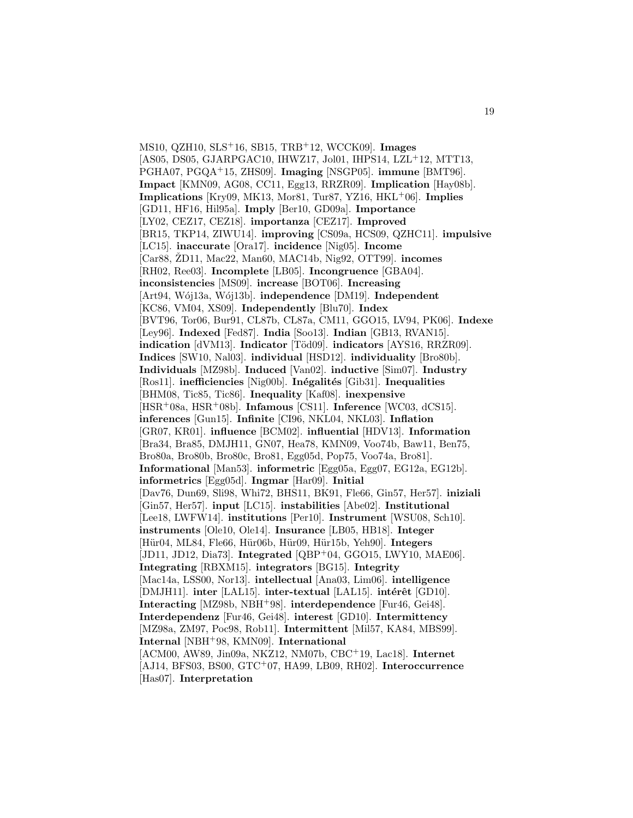MS10, QZH10, SLS<sup>+</sup>16, SB15, TRB<sup>+</sup>12, WCCK09]. **Images** [AS05, DS05, GJARPGAC10, IHWZ17, Jol01, IHPS14, LZL<sup>+</sup>12, MTT13, PGHA07, PGQA<sup>+</sup>15, ZHS09]. **Imaging** [NSGP05]. **immune** [BMT96]. **Impact** [KMN09, AG08, CC11, Egg13, RRZR09]. **Implication** [Hay08b]. **Implications** [Kry09, MK13, Mor81, Tur87, YZ16, HKL<sup>+</sup>06]. **Implies** [GD11, HF16, Hil95a]. **Imply** [Ber10, GD09a]. **Importance** [LY02, CEZ17, CEZ18]. **importanza** [CEZ17]. **Improved** [BR15, TKP14, ZIWU14]. **improving** [CS09a, HCS09, QZHC11]. **impulsive** [LC15]. **inaccurate** [Ora17]. **incidence** [Nig05]. **Income** [Car88, ŽD11, Mac22, Man60, MAC14b, Nig92, OTT99]. **incomes** [RH02, Ree03]. **Incomplete** [LB05]. **Incongruence** [GBA04]. **inconsistencies** [MS09]. **increase** [BOT06]. **Increasing** [Art94, W´oj13a, W´oj13b]. **independence** [DM19]. **Independent** [KC86, VM04, XS09]. **Independently** [Blu70]. **Index** [BVT96, Tor06, Bur91, CL87b, CL87a, CM11, GGO15, LV94, PK06]. **Indexe** [Ley96]. **Indexed** [Fed87]. **India** [Soo13]. **Indian** [GB13, RVAN15]. **indication** [dVM13]. **Indicator** [Töd09]. **indicators** [AYS16, RRZR09]. **Indices** [SW10, Nal03]. **individual** [HSD12]. **individuality** [Bro80b]. **Individuals** [MZ98b]. **Induced** [Van02]. **inductive** [Sim07]. **Industry** [Ros11]. **inefficiencies** [Nig00b]. **Inégalités** [Gib31]. **Inequalities** [BHM08, Tic85, Tic86]. **Inequality** [Kaf08]. **inexpensive** [HSR<sup>+</sup>08a, HSR<sup>+</sup>08b]. **Infamous** [CS11]. **Inference** [WC03, dCS15]. **inferences** [Gun15]. **Infinite** [CI96, NKL04, NKL03]. **Inflation** [GR07, KR01]. **influence** [BCM02]. **influential** [HDV13]. **Information** [Bra34, Bra85, DMJH11, GN07, Hea78, KMN09, Voo74b, Baw11, Ben75, Bro80a, Bro80b, Bro80c, Bro81, Egg05d, Pop75, Voo74a, Bro81]. **Informational** [Man53]. **informetric** [Egg05a, Egg07, EG12a, EG12b]. **informetrics** [Egg05d]. **Ingmar** [Har09]. **Initial** [Dav76, Dun69, Sli98, Whi72, BHS11, BK91, Fle66, Gin57, Her57]. **iniziali** [Gin57, Her57]. **input** [LC15]. **instabilities** [Abe02]. **Institutional** [Lee18, LWFW14]. **institutions** [Per10]. **Instrument** [WSU08, Sch10]. **instruments** [Ole10, Ole14]. **Insurance** [LB05, HB18]. **Integer** [H¨ur04, ML84, Fle66, H¨ur06b, H¨ur09, H¨ur15b, Yeh90]. **Integers** [JD11, JD12, Dia73]. **Integrated** [QBP<sup>+</sup>04, GGO15, LWY10, MAE06]. **Integrating** [RBXM15]. **integrators** [BG15]. **Integrity** [Mac14a, LSS00, Nor13]. **intellectual** [Ana03, Lim06]. **intelligence** [DMJH11]. **inter** [LAL15]. **inter-textual** [LAL15]. **intérêt** [GD10]. **Interacting** [MZ98b, NBH<sup>+</sup>98]. **interdependence** [Fur46, Gei48]. **Interdependenz** [Fur46, Gei48]. **interest** [GD10]. **Intermittency** [MZ98a, ZM97, Poc98, Rob11]. **Intermittent** [Mil57, KA84, MBS99]. **Internal** [NBH<sup>+</sup>98, KMN09]. **International** [ACM00, AW89, Jin09a, NKZ12, NM07b, CBC<sup>+</sup>19, Lac18]. **Internet** [AJ14, BFS03, BS00, GTC<sup>+</sup>07, HA99, LB09, RH02]. **Interoccurrence** [Has07]. **Interpretation**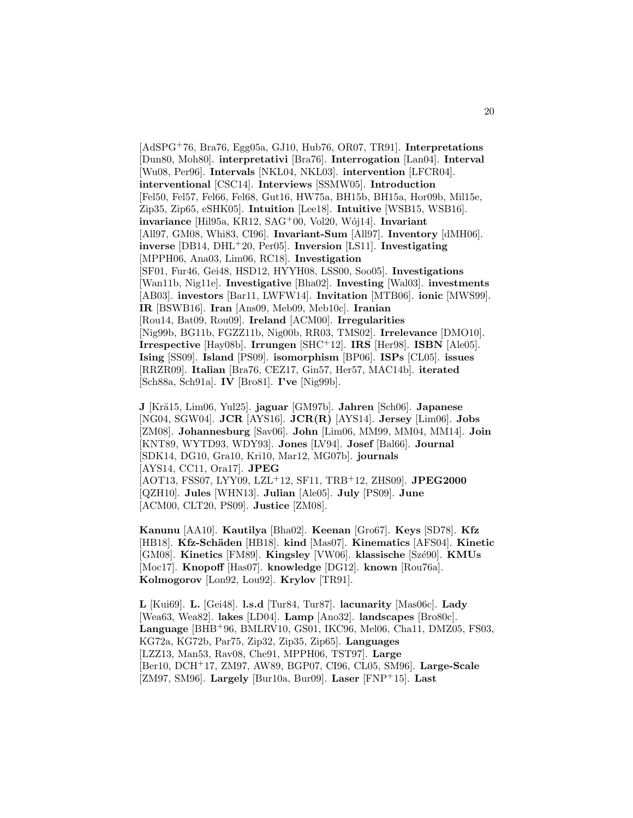[AdSPG<sup>+</sup>76, Bra76, Egg05a, GJ10, Hub76, OR07, TR91]. **Interpretations** [Dun80, Moh80]. **interpretativi** [Bra76]. **Interrogation** [Lan04]. **Interval** [Wu08, Per96]. **Intervals** [NKL04, NKL03]. **intervention** [LFCR04]. **interventional** [CSC14]. **Interviews** [SSMW05]. **Introduction** [Fel50, Fel57, Fel66, Fel68, Gut16, HW75a, BH15b, BH15a, Hor09b, Mil15e, Zip35, Zip65, eSHK05]. **Intuition** [Lee18]. **Intuitive** [WSB15, WSB16]. **invariance** [Hil95a, KR12, SAG<sup>+</sup>00, Vol20, Wój14]. **Invariant** [All97, GM08, Whi83, CI96]. **Invariant-Sum** [All97]. **Inventory** [dMH06]. **inverse** [DB14, DHL<sup>+</sup>20, Per05]. **Inversion** [LS11]. **Investigating** [MPPH06, Ana03, Lim06, RC18]. **Investigation** [SF01, Fur46, Gei48, HSD12, HYYH08, LSS00, Soo05]. **Investigations** [Wan11b, Nig11e]. **Investigative** [Bha02]. **Investing** [Wal03]. **investments** [AB03]. **investors** [Bar11, LWFW14]. **Invitation** [MTB06]. **ionic** [MWS99]. **IR** [BSWB16]. **Iran** [Ans09, Meb09, Meb10c]. **Iranian** [Rou14, Bat09, Rou09]. **Ireland** [ACM00]. **Irregularities** [Nig99b, BG11b, FGZZ11b, Nig00b, RR03, TMS02]. **Irrelevance** [DMO10]. **Irrespective** [Hay08b]. **Irrungen** [SHC<sup>+</sup>12]. **IRS** [Her98]. **ISBN** [Ale05]. **Ising** [SS09]. **Island** [PS09]. **isomorphism** [BP06]. **ISPs** [CL05]. **issues** [RRZR09]. **Italian** [Bra76, CEZ17, Gin57, Her57, MAC14b]. **iterated** [Sch88a, Sch91a]. **IV** [Bro81]. **I've** [Nig99b].

**J** [Kr¨a15, Lim06, Yul25]. **jaguar** [GM97b]. **Jahren** [Sch06]. **Japanese** [NG04, SGW04]. **JCR** [AYS16]. **JCR(R)** [AYS14]. **Jersey** [Lim06]. **Jobs** [ZM08]. **Johannesburg** [Sav06]. **John** [Lim06, MM99, MM04, MM14]. **Join** [KNT89, WYTD93, WDY93]. **Jones** [LV94]. **Josef** [Bal66]. **Journal** [SDK14, DG10, Gra10, Kri10, Mar12, MG07b]. **journals** [AYS14, CC11, Ora17]. **JPEG** [AOT13, FSS07, LYY09, LZL<sup>+</sup>12, SF11, TRB<sup>+</sup>12, ZHS09]. **JPEG2000** [QZH10]. **Jules** [WHN13]. **Julian** [Ale05]. **July** [PS09]. **June** [ACM00, CLT20, PS09]. **Justice** [ZM08].

**Kanunu** [AA10]. **Kautilya** [Bha02]. **Keenan** [Gro67]. **Keys** [SD78]. **Kfz** [HB18]. **Kfz-Sch¨aden** [HB18]. **kind** [Mas07]. **Kinematics** [AFS04]. **Kinetic** [GM08]. **Kinetics** [FM89]. **Kingsley** [VW06]. **klassische** [Sz´e90]. **KMUs** [Moc17]. **Knopoff** [Has07]. **knowledge** [DG12]. **known** [Rou76a]. **Kolmogorov** [Lon92, Lou92]. **Krylov** [TR91].

**L** [Kui69]. **L.** [Gei48]. **l.s.d** [Tur84, Tur87]. **lacunarity** [Mas06c]. **Lady** [Wea63, Wea82]. **lakes** [LD04]. **Lamp** [Ano32]. **landscapes** [Bro80c]. **Language** [BHB<sup>+</sup>96, BMLRV10, GS01, IKC96, Mel06, Cha11, DMZ05, FS03, KG72a, KG72b, Par75, Zip32, Zip35, Zip65]. **Languages** [LZZ13, Man53, Rav08, Che91, MPPH06, TST97]. **Large** [Ber10, DCH<sup>+</sup>17, ZM97, AW89, BGP07, CI96, CL05, SM96]. **Large-Scale** [ZM97, SM96]. **Largely** [Bur10a, Bur09]. **Laser** [FNP<sup>+</sup>15]. **Last**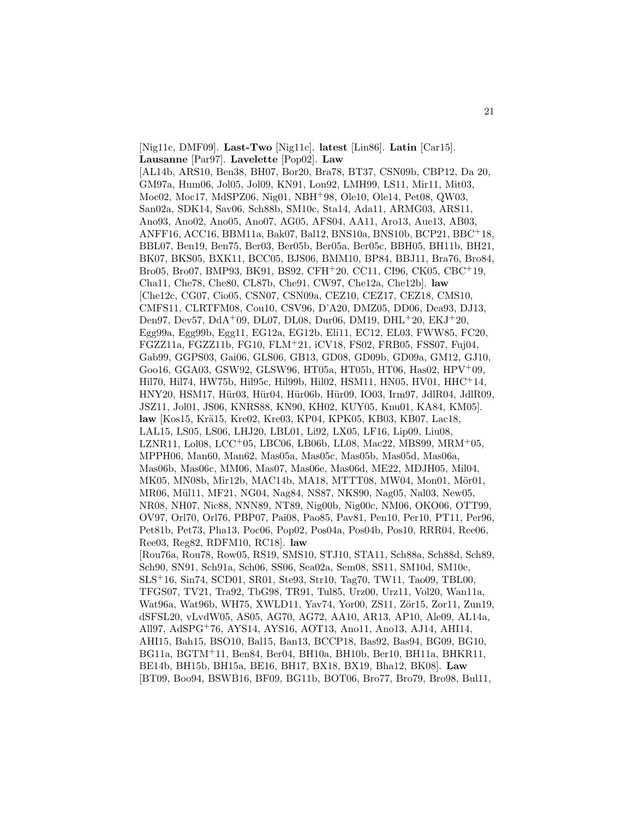[Nig11c, DMF09]. **Last-Two** [Nig11c]. **latest** [Lin86]. **Latin** [Car15]. **Lausanne** [Par97]. **Lavelette** [Pop02]. **Law** [AL14b, ARS10, Ben38, BH07, Bor20, Bra78, BT37, CSN09b, CBP12, Da 20, GM97a, Hum06, Jol05, Jol09, KN91, Lon92, LMH99, LS11, Mir11, Mit03, Moc02, Moc17, MdSPZ06, Nig01, NBH<sup>+</sup>98, Ole10, Ole14, Pet08, QW03, San02a, SDK14, Sav06, Sch88b, SM10c, Sta14, Ada11, ARMG03, ARS11, Ano93, Ano02, Ano05, Ano07, AG05, AFS04, AA11, Aro13, Aue13, AB03, ANFF16, ACC16, BBM11a, Bak07, Bal12, BNS10a, BNS10b, BCP21, BBC<sup>+</sup>18, BBL07, Ben19, Ben75, Ber03, Ber05b, Ber05a, Ber05c, BBH05, BH11b, BH21, BK07, BKS05, BXK11, BCC05, BJS06, BMM10, BP84, BBJ11, Bra76, Bro84, Bro05, Bro07, BMP93, BK91, BS92, CFH<sup>+</sup>20, CC11, CI96, CK05, CBC<sup>+</sup>19, Cha11, Che78, Che80, CL87b, Che91, CW97, Che12a, Che12b]. **law** [Che12c, CG07, Cio05, CSN07, CSN09a, CEZ10, CEZ17, CEZ18, CMS10, CMFS11, CLRTFM08, Cou10, CSV96, D'A20, DMZ05, DD06, Dea93, DJ13, Den97, Dev57, DdA<sup>+</sup>09, DL07, DL08, Dur06, DM19, DHL<sup>+</sup>20, EKJ<sup>+</sup>20, Egg99a, Egg99b, Egg11, EG12a, EG12b, Eli11, EC12, EL03, FWW85, FC20, FGZZ11a, FGZZ11b, FG10, FLM<sup>+</sup>21, iCV18, FS02, FRB05, FSS07, Fuj04, Gab99, GGPS03, Gai06, GLS06, GB13, GD08, GD09b, GD09a, GM12, GJ10, Goo16, GGA03, GSW92, GLSW96, HT05a, HT05b, HT06, Has02, HPV<sup>+</sup>09, Hil70, Hil74, HW75b, Hil95c, Hil99b, Hil02, HSM11, HN05, HV01, HHC<sup>+</sup>14, HNY20, HSM17, Hür03, Hür04, Hür06b, Hür09, IO03, Irm97, JdlR04, JdlR09, JSZ11, Jol01, JS06, KNRS88, KN90, KH02, KUY05, Knu01, KA84, KM05]. law [Kos15, Krä15, Kre02, Kre03, KP04, KPK05, KB03, KB07, Lac18, LAL15, LS05, LS06, LHJ20, LBL01, Li92, LX05, LF16, Lip09, Liu08, LZNR11, Lol08, LCC<sup>+</sup>05, LBC06, LB06b, LL08, Mac22, MBS99, MRM<sup>+</sup>05, MPPH06, Man60, Man62, Mas05a, Mas05c, Mas05b, Mas05d, Mas06a, Mas06b, Mas06c, MM06, Mas07, Mas06e, Mas06d, ME22, MDJH05, Mil04, MK05, MN08b, Mir12b, MAC14b, MA18, MTTT08, MW04, Mon01, Mör01, MR06, Mül11, MF21, NG04, Nag84, NS87, NKS90, Nag05, Nal03, New05, NR08, NH07, Nic88, NNN89, NT89, Nig00b, Nig00c, NM06, OKO06, OTT99, OV97, Orl70, Orl76, PBP07, Pai08, Pao85, Pav81, Pen10, Per10, PT11, Per96, Pet81b, Pet73, Pha13, Poc06, Pop02, Pos04a, Pos04b, Pos10, RRR04, Ree06, Ree03, Reg82, RDFM10, RC18]. **law** [Rou76a, Rou78, Row05, RS19, SMS10, STJ10, STA11, Sch88a, Sch88d, Sch89, Sch90, SN91, Sch91a, Sch06, SS06, Sea02a, Sem08, SS11, SM10d, SM10e, SLS<sup>+</sup>16, Sin74, SCD01, SR01, Ste93, Str10, Tag70, TW11, Tao09, TBL00, TFGS07, TV21, Tra92, TbG98, TR91, Tul85, Urz00, Urz11, Vol20, Wan11a, Wat96a, Wat96b, WH75, XWLD11, Yav74, Yor00, ZS11, Zör15, Zor11, Zun19, dSFSL20, vLvdW05, AS05, AG70, AG72, AA10, AR13, AP10, Ale09, AL14a, All97, AdSPG<sup>+</sup>76, AYS14, AYS16, AOT13, Ano11, Ano13, AJ14, AHI14, AHI15, Bah15, BSO10, Bal15, Ban13, BCCP18, Bas92, Bas94, BG09, BG10, BG11a, BGTM<sup>+</sup>11, Ben84, Ber04, BH10a, BH10b, Ber10, BH11a, BHKR11, BE14b, BH15b, BH15a, BE16, BH17, BX18, BX19, Bha12, BK08]. **Law** [BT09, Boo94, BSWB16, BF09, BG11b, BOT06, Bro77, Bro79, Bro98, Bul11,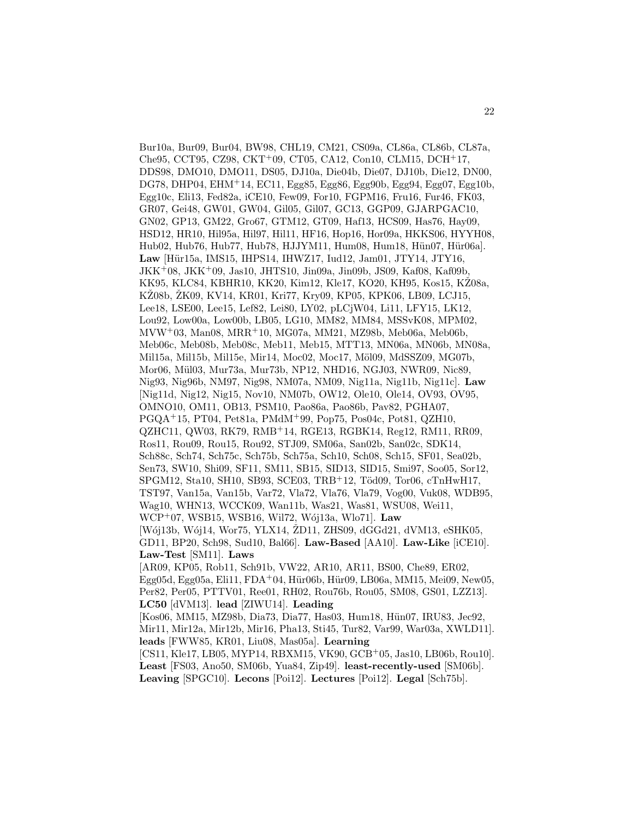Bur10a, Bur09, Bur04, BW98, CHL19, CM21, CS09a, CL86a, CL86b, CL87a, Che95, CCT95, CZ98, CKT<sup>+</sup>09, CT05, CA12, Con10, CLM15, DCH<sup>+</sup>17, DDS98, DMO10, DMO11, DS05, DJ10a, Die04b, Die07, DJ10b, Die12, DN00, DG78, DHP04, EHM<sup>+</sup>14, EC11, Egg85, Egg86, Egg90b, Egg94, Egg07, Egg10b, Egg10c, Eli13, Fed82a, iCE10, Few09, For10, FGPM16, Fru16, Fur46, FK03, GR07, Gei48, GW01, GW04, Gil05, Gil07, GC13, GGP09, GJARPGAC10, GN02, GP13, GM22, Gro67, GTM12, GT09, Haf13, HCS09, Has76, Hay09, HSD12, HR10, Hil95a, Hil97, Hil11, HF16, Hop16, Hor09a, HKKS06, HYYH08, Hub02, Hub76, Hub77, Hub78, HJJYM11, Hum08, Hum18, Hün07, Hür06a]. Law [Hür15a, IMS15, IHPS14, IHWZ17, Iud12, Jam01, JTY14, JTY16, JKK<sup>+</sup>08, JKK<sup>+</sup>09, Jas10, JHTS10, Jin09a, Jin09b, JS09, Kaf08, Kaf09b, KK95, KLC84, KBHR10, KK20, Kim12, Kle17, KO20, KH95, Kos15, KŽ08a, KŽ08b, ŽK09, KV14, KR01, Kri77, Kry09, KP05, KPK06, LB09, LCJ15, Lee18, LSE00, Lee15, Lef82, Lei80, LY02, pLCjW04, Li11, LFY15, LK12, Lou92, Low00a, Low00b, LB05, LG10, MM82, MM84, MSSvK08, MPM02, MVW<sup>+</sup>03, Man08, MRR<sup>+</sup>10, MG07a, MM21, MZ98b, Meb06a, Meb06b, Meb06c, Meb08b, Meb08c, Meb11, Meb15, MTT13, MN06a, MN06b, MN08a, Mil15a, Mil15b, Mil15e, Mir14, Moc02, Moc17, Möl09, MdSSZ09, MG07b, Mor06, Mül03, Mur73a, Mur73b, NP12, NHD16, NGJ03, NWR09, Nic89, Nig93, Nig96b, NM97, Nig98, NM07a, NM09, Nig11a, Nig11b, Nig11c]. **Law** [Nig11d, Nig12, Nig15, Nov10, NM07b, OW12, Ole10, Ole14, OV93, OV95, OMNO10, OM11, OB13, PSM10, Pao86a, Pao86b, Pav82, PGHA07, PGQA<sup>+</sup>15, PT04, Pet81a, PMdM<sup>+</sup>99, Pop75, Pos04c, Pot81, QZH10, QZHC11, QW03, RK79, RMB<sup>+</sup>14, RGE13, RGBK14, Reg12, RM11, RR09, Ros11, Rou09, Rou15, Rou92, STJ09, SM06a, San02b, San02c, SDK14, Sch88c, Sch74, Sch75c, Sch75b, Sch75a, Sch10, Sch08, Sch15, SF01, Sea02b, Sen73, SW10, Shi09, SF11, SM11, SB15, SID13, SID15, Smi97, Soo05, Sor12, SPGM12, Sta10, SH10, SB93, SCE03, TRB+12, Töd09, Tor06, cTnHwH17, TST97, Van15a, Van15b, Var72, Vla72, Vla76, Vla79, Vog00, Vuk08, WDB95, Wag10, WHN13, WCCK09, Wan11b, Was21, Was81, WSU08, Wei11, WCP<sup>+</sup>07, WSB15, WSB16, Wil72, W´oj13a, Wlo71]. **Law** [Wój13b, Wój14, Wor75, YLX14, ŽD11, ZHS09, dGGd21, dVM13, eSHK05, GD11, BP20, Sch98, Sud10, Bal66]. **Law-Based** [AA10]. **Law-Like** [iCE10]. **Law-Test** [SM11]. **Laws** [AR09, KP05, Rob11, Sch91b, VW22, AR10, AR11, BS00, Che89, ER02, Egg05d, Egg05a, Eli11, FDA+04, Hür06b, Hür09, LB06a, MM15, Mei09, New05, Per82, Per05, PTTV01, Ree01, RH02, Rou76b, Rou05, SM08, GS01, LZZ13]. **LC50** [dVM13]. **lead** [ZIWU14]. **Leading** [Kos06, MM15, MZ98b, Dia73, Dia77, Has03, Hum18, Hün07, IRU83, Jec92, Mir11, Mir12a, Mir12b, Mir16, Pha13, Sti45, Tur82, Var99, War03a, XWLD11]. **leads** [FWW85, KR01, Liu08, Mas05a]. **Learning** [CS11, Kle17, LB05, MYP14, RBXM15, VK90, GCB<sup>+</sup>05, Jas10, LB06b, Rou10]. **Least** [FS03, Ano50, SM06b, Yua84, Zip49]. **least-recently-used** [SM06b]. **Leaving** [SPGC10]. **Lecons** [Poi12]. **Lectures** [Poi12]. **Legal** [Sch75b].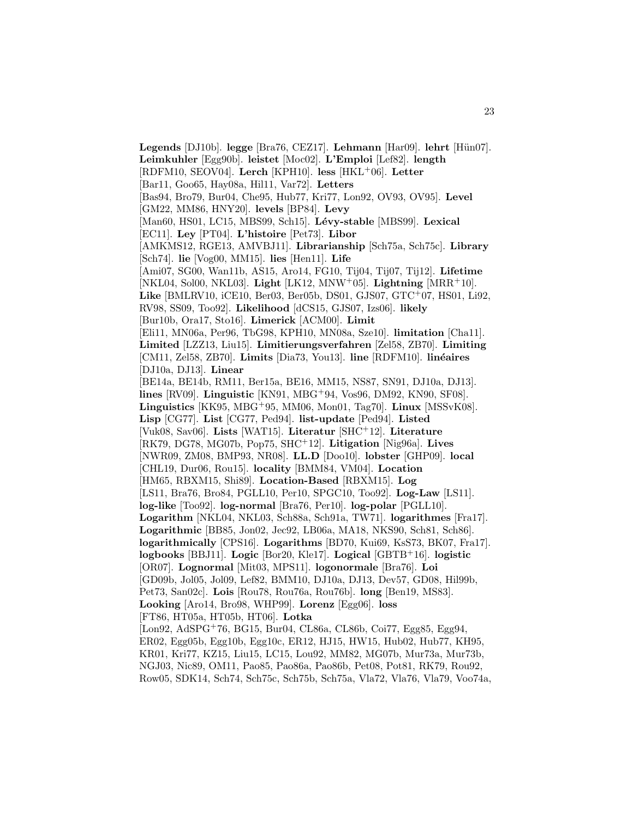**Legends** [DJ10b]. **legge** [Bra76, CEZ17]. **Lehmann** [Har09]. **lehrt** [Hün07]. **Leimkuhler** [Egg90b]. **leistet** [Moc02]. **L'Emploi** [Lef82]. **length** [RDFM10, SEOV04]. **Lerch** [KPH10]. **less** [HKL<sup>+</sup>06]. **Letter** [Bar11, Goo65, Hay08a, Hil11, Var72]. **Letters** [Bas94, Bro79, Bur04, Che95, Hub77, Kri77, Lon92, OV93, OV95]. **Level** [GM22, MM86, HNY20]. **levels** [BP84]. **Levy** [Man60, HS01, LC15, MBS99, Sch15]. Lévy-stable [MBS99]. Lexical [EC11]. **Ley** [PT04]. **L'histoire** [Pet73]. **Libor** [AMKMS12, RGE13, AMVBJ11]. **Librarianship** [Sch75a, Sch75c]. **Library** [Sch74]. **lie** [Vog00, MM15]. **lies** [Hen11]. **Life** [Ami07, SG00, Wan11b, AS15, Aro14, FG10, Tij04, Tij07, Tij12]. **Lifetime** [NKL04, Sol00, NKL03]. **Light** [LK12, MNW<sup>+</sup>05]. **Lightning** [MRR<sup>+</sup>10]. **Like** [BMLRV10, iCE10, Ber03, Ber05b, DS01, GJS07, GTC<sup>+</sup>07, HS01, Li92, RV98, SS09, Too92]. **Likelihood** [dCS15, GJS07, Izs06]. **likely** [Bur10b, Ora17, Sto16]. **Limerick** [ACM00]. **Limit** [Eli11, MN06a, Per96, TbG98, KPH10, MN08a, Sze10]. **limitation** [Cha11]. **Limited** [LZZ13, Liu15]. **Limitierungsverfahren** [Zel58, ZB70]. **Limiting** [CM11, Zel58, ZB70]. **Limits** [Dia73, You13]. **line** [RDFM10]. **linéaires** [DJ10a, DJ13]. **Linear** [BE14a, BE14b, RM11, Ber15a, BE16, MM15, NS87, SN91, DJ10a, DJ13]. **lines** [RV09]. **Linguistic** [KN91, MBG<sup>+</sup>94, Vos96, DM92, KN90, SF08]. **Linguistics** [KK95, MBG<sup>+</sup>95, MM06, Mon01, Tag70]. **Linux** [MSSvK08]. **Lisp** [CG77]. **List** [CG77, Ped94]. **list-update** [Ped94]. **Listed** [Vuk08, Sav06]. **Lists** [WAT15]. **Literatur** [SHC<sup>+</sup>12]. **Literature** [RK79, DG78, MG07b, Pop75, SHC<sup>+</sup>12]. **Litigation** [Nig96a]. **Lives** [NWR09, ZM08, BMP93, NR08]. **LL.D** [Doo10]. **lobster** [GHP09]. **local** [CHL19, Dur06, Rou15]. **locality** [BMM84, VM04]. **Location** [HM65, RBXM15, Shi89]. **Location-Based** [RBXM15]. **Log** [LS11, Bra76, Bro84, PGLL10, Per10, SPGC10, Too92]. **Log-Law** [LS11]. **log-like** [Too92]. **log-normal** [Bra76, Per10]. **log-polar** [PGLL10]. **Logarithm** [NKL04, NKL03, Sch88a, Sch91a, TW71]. **logarithmes** [Fra17]. **Logarithmic** [BB85, Jon02, Jec92, LB06a, MA18, NKS90, Sch81, Sch86]. **logarithmically** [CPS16]. **Logarithms** [BD70, Kui69, KsS73, BK07, Fra17]. **logbooks** [BBJ11]. **Logic** [Bor20, Kle17]. **Logical** [GBTB<sup>+</sup>16]. **logistic** [OR07]. **Lognormal** [Mit03, MPS11]. **logonormale** [Bra76]. **Loi** [GD09b, Jol05, Jol09, Lef82, BMM10, DJ10a, DJ13, Dev57, GD08, Hil99b, Pet73, San02c]. **Lois** [Rou78, Rou76a, Rou76b]. **long** [Ben19, MS83]. **Looking** [Aro14, Bro98, WHP99]. **Lorenz** [Egg06]. **loss** [FT86, HT05a, HT05b, HT06]. **Lotka** [Lon92, AdSPG<sup>+</sup>76, BG15, Bur04, CL86a, CL86b, Coi77, Egg85, Egg94, ER02, Egg05b, Egg10b, Egg10c, ER12, HJ15, HW15, Hub02, Hub77, KH95, KR01, Kri77, KZ15, Liu15, LC15, Lou92, MM82, MG07b, Mur73a, Mur73b, NGJ03, Nic89, OM11, Pao85, Pao86a, Pao86b, Pet08, Pot81, RK79, Rou92,

Row05, SDK14, Sch74, Sch75c, Sch75b, Sch75a, Vla72, Vla76, Vla79, Voo74a,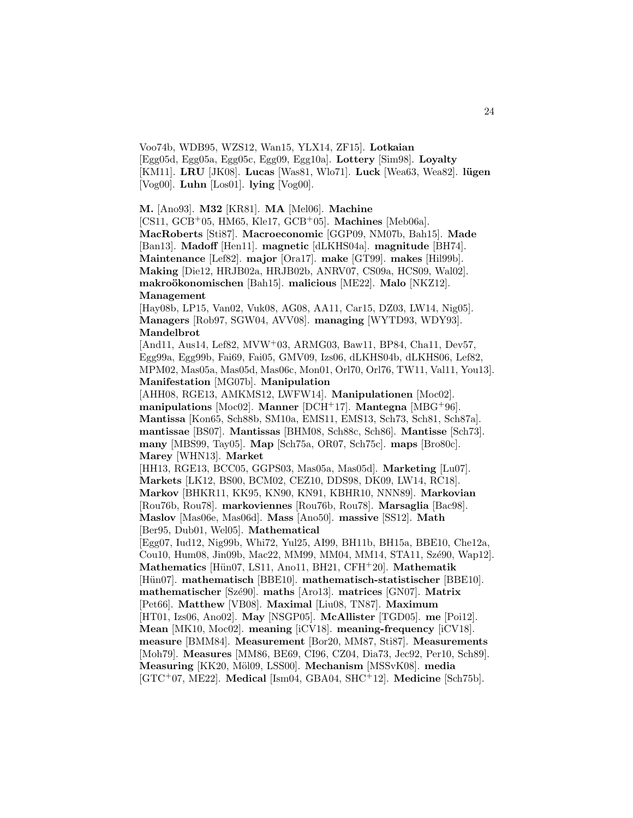Voo74b, WDB95, WZS12, Wan15, YLX14, ZF15]. **Lotkaian** [Egg05d, Egg05a, Egg05c, Egg09, Egg10a]. **Lottery** [Sim98]. **Loyalty** [KM11]. **LRU** [JK08]. **Lucas** [Was81, Wlo71]. **Luck** [Wea63, Wea82]. **l¨ugen** [Vog00]. **Luhn** [Los01]. **lying** [Vog00].

**M.** [Ano93]. **M32** [KR81]. **MA** [Mel06]. **Machine**

[CS11, GCB<sup>+</sup>05, HM65, Kle17, GCB<sup>+</sup>05]. **Machines** [Meb06a]. **MacRoberts** [Sti87]. **Macroeconomic** [GGP09, NM07b, Bah15]. **Made** [Ban13]. **Madoff** [Hen11]. **magnetic** [dLKHS04a]. **magnitude** [BH74]. **Maintenance** [Lef82]. **major** [Ora17]. **make** [GT99]. **makes** [Hil99b]. **Making** [Die12, HRJB02a, HRJB02b, ANRV07, CS09a, HCS09, Wal02]. **makro¨okonomischen** [Bah15]. **malicious** [ME22]. **Malo** [NKZ12]. **Management**

[Hay08b, LP15, Van02, Vuk08, AG08, AA11, Car15, DZ03, LW14, Nig05]. **Managers** [Rob97, SGW04, AVV08]. **managing** [WYTD93, WDY93]. **Mandelbrot**

[And11, Aus14, Lef82, MVW<sup>+</sup>03, ARMG03, Baw11, BP84, Cha11, Dev57, Egg99a, Egg99b, Fai69, Fai05, GMV09, Izs06, dLKHS04b, dLKHS06, Lef82, MPM02, Mas05a, Mas05d, Mas06c, Mon01, Orl70, Orl76, TW11, Val11, You13]. **Manifestation** [MG07b]. **Manipulation**

[AHH08, RGE13, AMKMS12, LWFW14]. **Manipulationen** [Moc02]. **manipulations** [Moc02]. **Manner** [DCH<sup>+</sup>17]. **Mantegna** [MBG<sup>+</sup>96]. **Mantissa** [Kon65, Sch88b, SM10a, EMS11, EMS13, Sch73, Sch81, Sch87a]. **mantissae** [BS07]. **Mantissas** [BHM08, Sch88c, Sch86]. **Mantisse** [Sch73]. **many** [MBS99, Tay05]. **Map** [Sch75a, OR07, Sch75c]. **maps** [Bro80c]. **Marey** [WHN13]. **Market**

[HH13, RGE13, BCC05, GGPS03, Mas05a, Mas05d]. **Marketing** [Lu07]. **Markets** [LK12, BS00, BCM02, CEZ10, DDS98, DK09, LW14, RC18]. **Markov** [BHKR11, KK95, KN90, KN91, KBHR10, NNN89]. **Markovian** [Rou76b, Rou78]. **markoviennes** [Rou76b, Rou78]. **Marsaglia** [Bac98]. **Maslov** [Mas06e, Mas06d]. **Mass** [Ano50]. **massive** [SS12]. **Math** [Ber95, Dub01, Wel05]. **Mathematical**

[Egg07, Iud12, Nig99b, Whi72, Yul25, AI99, BH11b, BH15a, BBE10, Che12a, Cou10, Hum08, Jin09b, Mac22, MM99, MM04, MM14, STA11, Szé90, Wap12]. **Mathematics** [H¨un07, LS11, Ano11, BH21, CFH<sup>+</sup>20]. **Mathematik** [Hün07]. mathematisch [BBE10]. mathematisch-statistischer [BBE10]. **mathematischer** [Sz´e90]. **maths** [Aro13]. **matrices** [GN07]. **Matrix** [Pet66]. **Matthew** [VB08]. **Maximal** [Liu08, TN87]. **Maximum** [HT01, Izs06, Ano02]. **May** [NSGP05]. **McAllister** [TGD05]. **me** [Poi12]. **Mean** [MK10, Moc02]. **meaning** [iCV18]. **meaning-frequency** [iCV18]. **measure** [BMM84]. **Measurement** [Bor20, MM87, Sti87]. **Measurements** [Moh79]. **Measures** [MM86, BE69, CI96, CZ04, Dia73, Jec92, Per10, Sch89]. **Measuring** [KK20, M¨ol09, LSS00]. **Mechanism** [MSSvK08]. **media** [GTC<sup>+</sup>07, ME22]. **Medical** [Ism04, GBA04, SHC<sup>+</sup>12]. **Medicine** [Sch75b].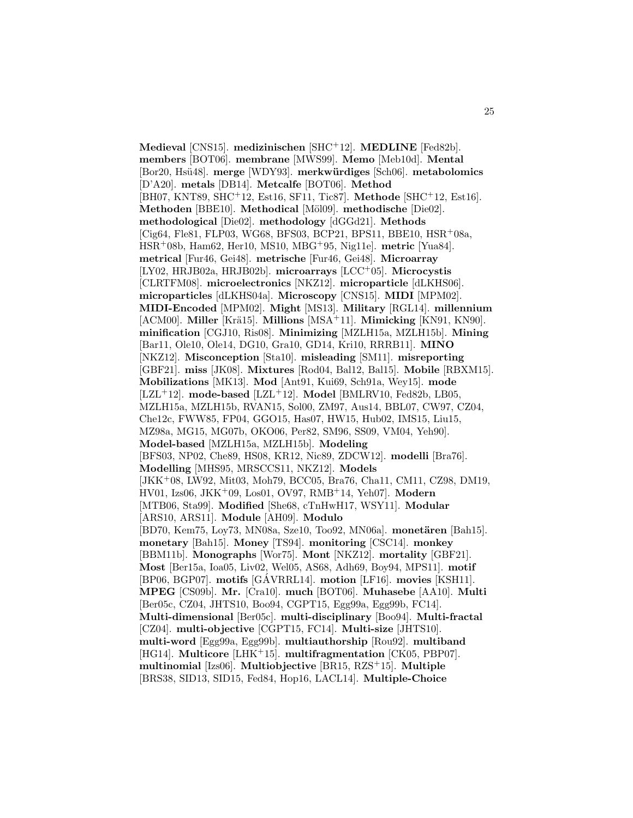**Medieval** [CNS15]. **medizinischen** [SHC<sup>+</sup>12]. **MEDLINE** [Fed82b]. **members** [BOT06]. **membrane** [MWS99]. **Memo** [Meb10d]. **Mental** [Bor20, Hs¨u48]. **merge** [WDY93]. **merkw¨urdiges** [Sch06]. **metabolomics** [D'A20]. **metals** [DB14]. **Metcalfe** [BOT06]. **Method** [BH07, KNT89, SHC<sup>+</sup>12, Est16, SF11, Tic87]. **Methode** [SHC<sup>+</sup>12, Est16]. **Methoden** [BBE10]. **Methodical** [M¨ol09]. **methodische** [Die02]. **methodological** [Die02]. **methodology** [dGGd21]. **Methods** [Cig64, Fle81, FLP03, WG68, BFS03, BCP21, BPS11, BBE10, HSR<sup>+</sup>08a, HSR<sup>+</sup>08b, Ham62, Her10, MS10, MBG<sup>+</sup>95, Nig11e]. **metric** [Yua84]. **metrical** [Fur46, Gei48]. **metrische** [Fur46, Gei48]. **Microarray** [LY02, HRJB02a, HRJB02b]. **microarrays** [LCC<sup>+</sup>05]. **Microcystis** [CLRTFM08]. **microelectronics** [NKZ12]. **microparticle** [dLKHS06]. **microparticles** [dLKHS04a]. **Microscopy** [CNS15]. **MIDI** [MPM02]. **MIDI-Encoded** [MPM02]. **Might** [MS13]. **Military** [RGL14]. **millennium** [ACM00]. **Miller** [Krä15]. **Millions** [MSA<sup>+</sup>11]. **Mimicking** [KN91, KN90]. **minification** [CGJ10, Ris08]. **Minimizing** [MZLH15a, MZLH15b]. **Mining** [Bar11, Ole10, Ole14, DG10, Gra10, GD14, Kri10, RRRB11]. **MINO** [NKZ12]. **Misconception** [Sta10]. **misleading** [SM11]. **misreporting** [GBF21]. **miss** [JK08]. **Mixtures** [Rod04, Bal12, Bal15]. **Mobile** [RBXM15]. **Mobilizations** [MK13]. **Mod** [Ant91, Kui69, Sch91a, Wey15]. **mode** [LZL<sup>+</sup>12]. **mode-based** [LZL<sup>+</sup>12]. **Model** [BMLRV10, Fed82b, LB05, MZLH15a, MZLH15b, RVAN15, Sol00, ZM97, Aus14, BBL07, CW97, CZ04, Che12c, FWW85, FP04, GGO15, Has07, HW15, Hub02, IMS15, Liu15, MZ98a, MG15, MG07b, OKO06, Per82, SM96, SS09, VM04, Yeh90]. **Model-based** [MZLH15a, MZLH15b]. **Modeling** [BFS03, NP02, Che89, HS08, KR12, Nic89, ZDCW12]. **modelli** [Bra76]. **Modelling** [MHS95, MRSCCS11, NKZ12]. **Models** [JKK<sup>+</sup>08, LW92, Mit03, Moh79, BCC05, Bra76, Cha11, CM11, CZ98, DM19, HV01, Izs06, JKK<sup>+</sup>09, Los01, OV97, RMB<sup>+</sup>14, Yeh07]. **Modern** [MTB06, Sta99]. **Modified** [She68, cTnHwH17, WSY11]. **Modular** [ARS10, ARS11]. **Module** [AH09]. **Modulo** [BD70, Kem75, Loy73, MN08a, Sze10, Too92, MN06a]. **monetären** [Bah15]. **monetary** [Bah15]. **Money** [TS94]. **monitoring** [CSC14]. **monkey** [BBM11b]. **Monographs** [Wor75]. **Mont** [NKZ12]. **mortality** [GBF21]. **Most** [Ber15a, Ioa05, Liv02, Wel05, AS68, Adh69, Boy94, MPS11]. **motif** [BP06, BGP07]. motifs [GÁVRRL14]. motion [LF16]. movies [KSH11]. **MPEG** [CS09b]. **Mr.** [Cra10]. **much** [BOT06]. **Muhasebe** [AA10]. **Multi** [Ber05c, CZ04, JHTS10, Boo94, CGPT15, Egg99a, Egg99b, FC14]. **Multi-dimensional** [Ber05c]. **multi-disciplinary** [Boo94]. **Multi-fractal** [CZ04]. **multi-objective** [CGPT15, FC14]. **Multi-size** [JHTS10]. **multi-word** [Egg99a, Egg99b]. **multiauthorship** [Rou92]. **multiband** [HG14]. **Multicore** [LHK<sup>+</sup>15]. **multifragmentation** [CK05, PBP07]. **multinomial** [Izs06]. **Multiobjective** [BR15, RZS<sup>+</sup>15]. **Multiple** [BRS38, SID13, SID15, Fed84, Hop16, LACL14]. **Multiple-Choice**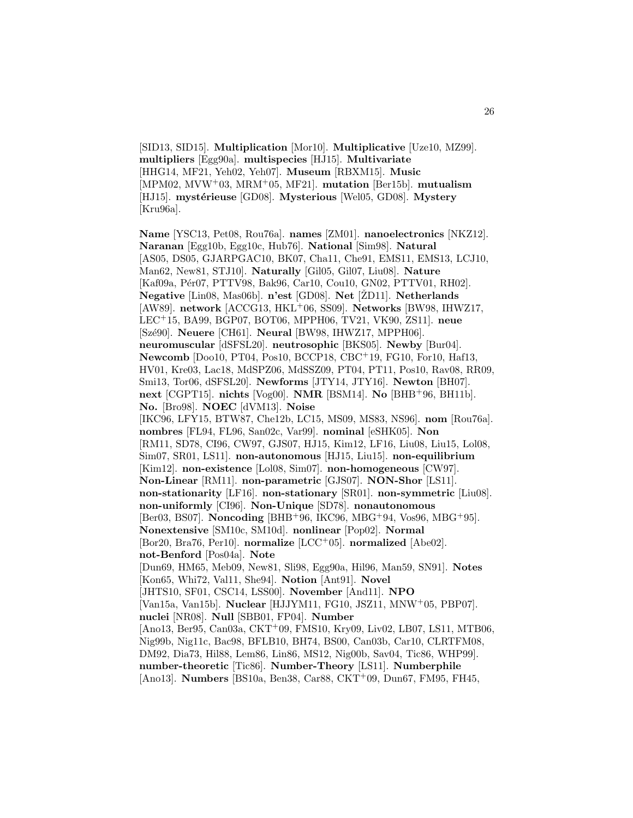[SID13, SID15]. **Multiplication** [Mor10]. **Multiplicative** [Uze10, MZ99]. **multipliers** [Egg90a]. **multispecies** [HJ15]. **Multivariate** [HHG14, MF21, Yeh02, Yeh07]. **Museum** [RBXM15]. **Music** [MPM02, MVW<sup>+</sup>03, MRM<sup>+</sup>05, MF21]. **mutation** [Ber15b]. **mutualism** [HJ15]. mystérieuse<sup>[GD08]</sup>. Mysterious<sup>[Wel05</sup>, GD08]. Mystery [Kru96a].

**Name** [YSC13, Pet08, Rou76a]. **names** [ZM01]. **nanoelectronics** [NKZ12]. **Naranan** [Egg10b, Egg10c, Hub76]. **National** [Sim98]. **Natural** [AS05, DS05, GJARPGAC10, BK07, Cha11, Che91, EMS11, EMS13, LCJ10, Man62, New81, STJ10]. **Naturally** [Gil05, Gil07, Liu08]. **Nature** [Kaf09a, Pér07, PTTV98, Bak96, Car10, Cou10, GN02, PTTV01, RH02]. **Negative** [Lin08, Mas06b]. **n'est** [GD08]. **Net** [ŽD11]. **Netherlands** [AW89]. **network** [ACCG13, HKL<sup>+</sup>06, SS09]. **Networks** [BW98, IHWZ17, LEC<sup>+</sup>15, BA99, BGP07, BOT06, MPPH06, TV21, VK90, ZS11]. **neue** [Szé90]. **Neuere** [CH61]. **Neural** [BW98, IHWZ17, MPPH06]. **neuromuscular** [dSFSL20]. **neutrosophic** [BKS05]. **Newby** [Bur04]. **Newcomb** [Doo10, PT04, Pos10, BCCP18, CBC<sup>+</sup>19, FG10, For10, Haf13, HV01, Kre03, Lac18, MdSPZ06, MdSSZ09, PT04, PT11, Pos10, Rav08, RR09, Smi13, Tor06, dSFSL20]. **Newforms** [JTY14, JTY16]. **Newton** [BH07]. **next** [CGPT15]. **nichts** [Vog00]. **NMR** [BSM14]. **No** [BHB<sup>+</sup>96, BH11b]. **No.** [Bro98]. **NOEC** [dVM13]. **Noise** [IKC96, LFY15, BTW87, Che12b, LC15, MS09, MS83, NS96]. **nom** [Rou76a]. **nombres** [FL94, FL96, San02c, Var99]. **nominal** [eSHK05]. **Non** [RM11, SD78, CI96, CW97, GJS07, HJ15, Kim12, LF16, Liu08, Liu15, Lol08, Sim07, SR01, LS11]. **non-autonomous** [HJ15, Liu15]. **non-equilibrium** [Kim12]. **non-existence** [Lol08, Sim07]. **non-homogeneous** [CW97]. **Non-Linear** [RM11]. **non-parametric** [GJS07]. **NON-Shor** [LS11]. **non-stationarity** [LF16]. **non-stationary** [SR01]. **non-symmetric** [Liu08]. **non-uniformly** [CI96]. **Non-Unique** [SD78]. **nonautonomous** [Ber03, BS07]. **Noncoding** [BHB<sup>+</sup>96, IKC96, MBG<sup>+</sup>94, Vos96, MBG<sup>+</sup>95]. **Nonextensive** [SM10c, SM10d]. **nonlinear** [Pop02]. **Normal** [Bor20, Bra76, Per10]. **normalize** [LCC<sup>+</sup>05]. **normalized** [Abe02]. **not-Benford** [Pos04a]. **Note** [Dun69, HM65, Meb09, New81, Sli98, Egg90a, Hil96, Man59, SN91]. **Notes** [Kon65, Whi72, Val11, She94]. **Notion** [Ant91]. **Novel** [JHTS10, SF01, CSC14, LSS00]. **November** [And11]. **NPO** [Van15a, Van15b]. **Nuclear** [HJJYM11, FG10, JSZ11, MNW<sup>+</sup>05, PBP07]. **nuclei** [NR08]. **Null** [SBB01, FP04]. **Number** [Ano13, Ber95, Can03a, CKT<sup>+</sup>09, FMS10, Kry09, Liv02, LB07, LS11, MTB06, Nig99b, Nig11c, Bac98, BFLB10, BH74, BS00, Can03b, Car10, CLRTFM08, DM92, Dia73, Hil88, Lem86, Lin86, MS12, Nig00b, Sav04, Tic86, WHP99]. **number-theoretic** [Tic86]. **Number-Theory** [LS11]. **Numberphile** [Ano13]. **Numbers** [BS10a, Ben38, Car88, CKT<sup>+</sup>09, Dun67, FM95, FH45,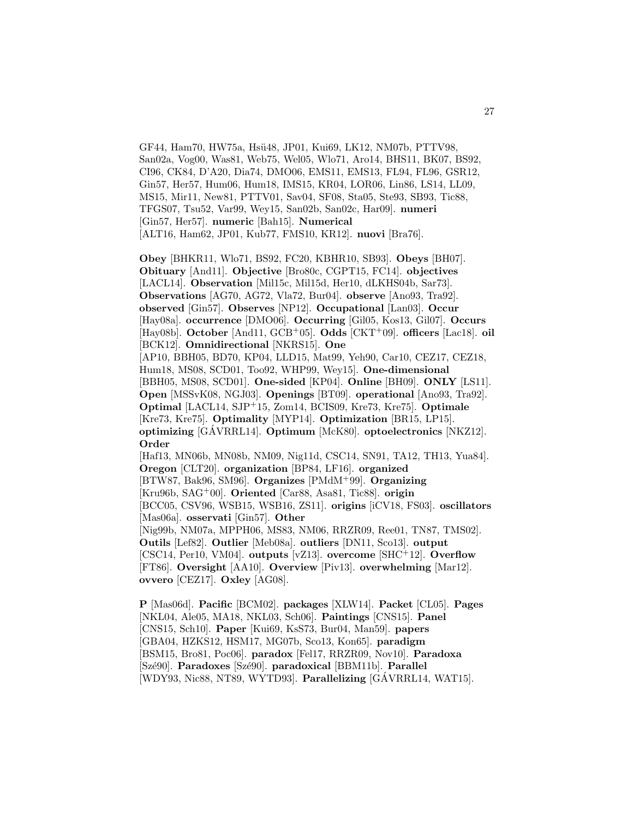GF44, Ham70, HW75a, Hsü48, JP01, Kui69, LK12, NM07b, PTTV98, San02a, Vog00, Was81, Web75, Wel05, Wlo71, Aro14, BHS11, BK07, BS92, CI96, CK84, D'A20, Dia74, DMO06, EMS11, EMS13, FL94, FL96, GSR12, Gin57, Her57, Hum06, Hum18, IMS15, KR04, LOR06, Lin86, LS14, LL09, MS15, Mir11, New81, PTTV01, Sav04, SF08, Sta05, Ste93, SB93, Tic88, TFGS07, Tsu52, Var99, Wey15, San02b, San02c, Har09]. **numeri** [Gin57, Her57]. **numeric** [Bah15]. **Numerical** [ALT16, Ham62, JP01, Kub77, FMS10, KR12]. **nuovi** [Bra76].

**Obey** [BHKR11, Wlo71, BS92, FC20, KBHR10, SB93]. **Obeys** [BH07]. **Obituary** [And11]. **Objective** [Bro80c, CGPT15, FC14]. **objectives** [LACL14]. **Observation** [Mil15c, Mil15d, Her10, dLKHS04b, Sar73]. **Observations** [AG70, AG72, Vla72, Bur04]. **observe** [Ano93, Tra92]. **observed** [Gin57]. **Observes** [NP12]. **Occupational** [Lan03]. **Occur** [Hay08a]. **occurrence** [DMO06]. **Occurring** [Gil05, Kos13, Gil07]. **Occurs** [Hay08b]. **October** [And11, GCB<sup>+</sup>05]. **Odds** [CKT<sup>+</sup>09]. **officers** [Lac18]. **oil** [BCK12]. **Omnidirectional** [NKRS15]. **One** [AP10, BBH05, BD70, KP04, LLD15, Mat99, Yeh90, Car10, CEZ17, CEZ18, Hum18, MS08, SCD01, Too92, WHP99, Wey15]. **One-dimensional** [BBH05, MS08, SCD01]. **One-sided** [KP04]. **Online** [BH09]. **ONLY** [LS11]. **Open** [MSSvK08, NGJ03]. **Openings** [BT09]. **operational** [Ano93, Tra92]. **Optimal** [LACL14, SJP<sup>+</sup>15, Zom14, BCIS09, Kre73, Kre75]. **Optimale** [Kre73, Kre75]. **Optimality** [MYP14]. **Optimization** [BR15, LP15]. **optimizing** [GAVRRL14]. **Optimum** [McK80]. **optoelectronics** [NKZ12]. **Order** [Haf13, MN06b, MN08b, NM09, Nig11d, CSC14, SN91, TA12, TH13, Yua84]. **Oregon** [CLT20]. **organization** [BP84, LF16]. **organized** [BTW87, Bak96, SM96]. **Organizes** [PMdM<sup>+</sup>99]. **Organizing** [Kru96b, SAG<sup>+</sup>00]. **Oriented** [Car88, Asa81, Tic88]. **origin** [BCC05, CSV96, WSB15, WSB16, ZS11]. **origins** [iCV18, FS03]. **oscillators** [Mas06a]. **osservati** [Gin57]. **Other** [Nig99b, NM07a, MPPH06, MS83, NM06, RRZR09, Ree01, TN87, TMS02]. **Outils** [Lef82]. **Outlier** [Meb08a]. **outliers** [DN11, Sco13]. **output**

[CSC14, Per10, VM04]. **outputs** [vZ13]. **overcome** [SHC<sup>+</sup>12]. **Overflow** [FT86]. **Oversight** [AA10]. **Overview** [Piv13]. **overwhelming** [Mar12]. **ovvero** [CEZ17]. **Oxley** [AG08].

**P** [Mas06d]. **Pacific** [BCM02]. **packages** [XLW14]. **Packet** [CL05]. **Pages** [NKL04, Ale05, MA18, NKL03, Sch06]. **Paintings** [CNS15]. **Panel** [CNS15, Sch10]. **Paper** [Kui69, KsS73, Bur04, Man59]. **papers** [GBA04, HZKS12, HSM17, MG07b, Sco13, Kon65]. **paradigm** [BSM15, Bro81, Poc06]. **paradox** [Fel17, RRZR09, Nov10]. **Paradoxa** [Sz´e90]. **Paradoxes** [Sz´e90]. **paradoxical** [BBM11b]. **Parallel** [WDY93, Nic88, NT89, WYTD93]. **Parallelizing** [GÁVRRL14, WAT15].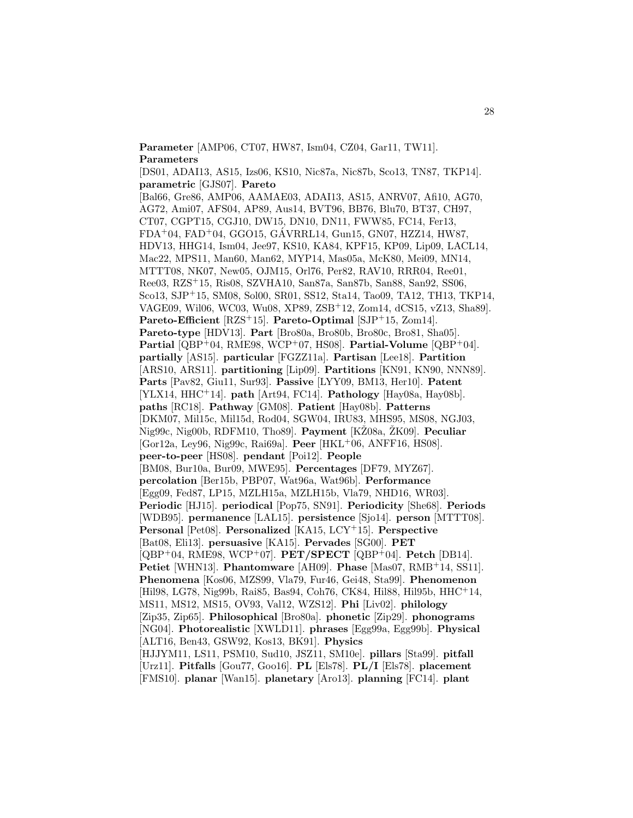**Parameter** [AMP06, CT07, HW87, Ism04, CZ04, Gar11, TW11]. **Parameters**

[DS01, ADAI13, AS15, Izs06, KS10, Nic87a, Nic87b, Sco13, TN87, TKP14]. **parametric** [GJS07]. **Pareto** [Bal66, Gre86, AMP06, AAMAE03, ADAI13, AS15, ANRV07, Afi10, AG70,

AG72, Ami07, AFS04, AP89, Aus14, BVT96, BB76, Blu70, BT37, CH97, CT07, CGPT15, CGJ10, DW15, DN10, DN11, FWW85, FC14, Fer13, FDA<sup>+</sup>04, FAD<sup>+</sup>04, GGO15, GAVRRL14, Gun15, GN07, HZZ14, HW87, ´ HDV13, HHG14, Ism04, Jee97, KS10, KA84, KPF15, KP09, Lip09, LACL14, Mac22, MPS11, Man60, Man62, MYP14, Mas05a, McK80, Mei09, MN14, MTTT08, NK07, New05, OJM15, Orl76, Per82, RAV10, RRR04, Ree01, Ree03, RZS<sup>+</sup>15, Ris08, SZVHA10, San87a, San87b, San88, San92, SS06, Sco13, SJP<sup>+</sup>15, SM08, Sol00, SR01, SS12, Sta14, Tao09, TA12, TH13, TKP14, VAGE09, Wil06, WC03, Wu08, XP89, ZSB<sup>+</sup>12, Zom14, dCS15, vZ13, Sha89]. **Pareto-Efficient** [RZS<sup>+</sup>15]. **Pareto-Optimal** [SJP<sup>+</sup>15, Zom14]. **Pareto-type** [HDV13]. **Part** [Bro80a, Bro80b, Bro80c, Bro81, Sha05]. **Partial** [QBP<sup>+</sup>04, RME98, WCP<sup>+</sup>07, HS08]. **Partial-Volume** [QBP<sup>+</sup>04]. **partially** [AS15]. **particular** [FGZZ11a]. **Partisan** [Lee18]. **Partition** [ARS10, ARS11]. **partitioning** [Lip09]. **Partitions** [KN91, KN90, NNN89]. **Parts** [Pav82, Giu11, Sur93]. **Passive** [LYY09, BM13, Her10]. **Patent** [YLX14, HHC<sup>+</sup>14]. **path** [Art94, FC14]. **Pathology** [Hay08a, Hay08b]. **paths** [RC18]. **Pathway** [GM08]. **Patient** [Hay08b]. **Patterns** [DKM07, Mil15c, Mil15d, Rod04, SGW04, IRU83, MHS95, MS08, NGJ03, Nig99c, Nig00b, RDFM10, Tho89]. **Payment** [KŽ08a, ŽK09]. **Peculiar** [Gor12a, Ley96, Nig99c, Rai69a]. **Peer** [HKL<sup>+</sup>06, ANFF16, HS08]. **peer-to-peer** [HS08]. **pendant** [Poi12]. **People** [BM08, Bur10a, Bur09, MWE95]. **Percentages** [DF79, MYZ67]. **percolation** [Ber15b, PBP07, Wat96a, Wat96b]. **Performance** [Egg09, Fed87, LP15, MZLH15a, MZLH15b, Vla79, NHD16, WR03]. **Periodic** [HJ15]. **periodical** [Pop75, SN91]. **Periodicity** [She68]. **Periods** [WDB95]. **permanence** [LAL15]. **persistence** [Sjo14]. **person** [MTTT08]. **Personal** [Pet08]. **Personalized** [KA15, LCY<sup>+</sup>15]. **Perspective** [Bat08, Eli13]. **persuasive** [KA15]. **Pervades** [SG00]. **PET** [QBP<sup>+</sup>04, RME98, WCP<sup>+</sup>07]. **PET/SPECT** [QBP<sup>+</sup>04]. **Petch** [DB14]. **Petiet** [WHN13]. **Phantomware** [AH09]. **Phase** [Mas07, RMB<sup>+</sup>14, SS11]. **Phenomena** [Kos06, MZS99, Vla79, Fur46, Gei48, Sta99]. **Phenomenon** [Hil98, LG78, Nig99b, Rai85, Bas94, Coh76, CK84, Hil88, Hil95b, HHC<sup>+</sup>14, MS11, MS12, MS15, OV93, Val12, WZS12]. **Phi** [Liv02]. **philology** [Zip35, Zip65]. **Philosophical** [Bro80a]. **phonetic** [Zip29]. **phonograms** [NG04]. **Photorealistic** [XWLD11]. **phrases** [Egg99a, Egg99b]. **Physical** [ALT16, Ben43, GSW92, Kos13, BK91]. **Physics** [HJJYM11, LS11, PSM10, Sud10, JSZ11, SM10e]. **pillars** [Sta99]. **pitfall** [Urz11]. **Pitfalls** [Gou77, Goo16]. **PL** [Els78]. **PL/I** [Els78]. **placement** [FMS10]. **planar** [Wan15]. **planetary** [Aro13]. **planning** [FC14]. **plant**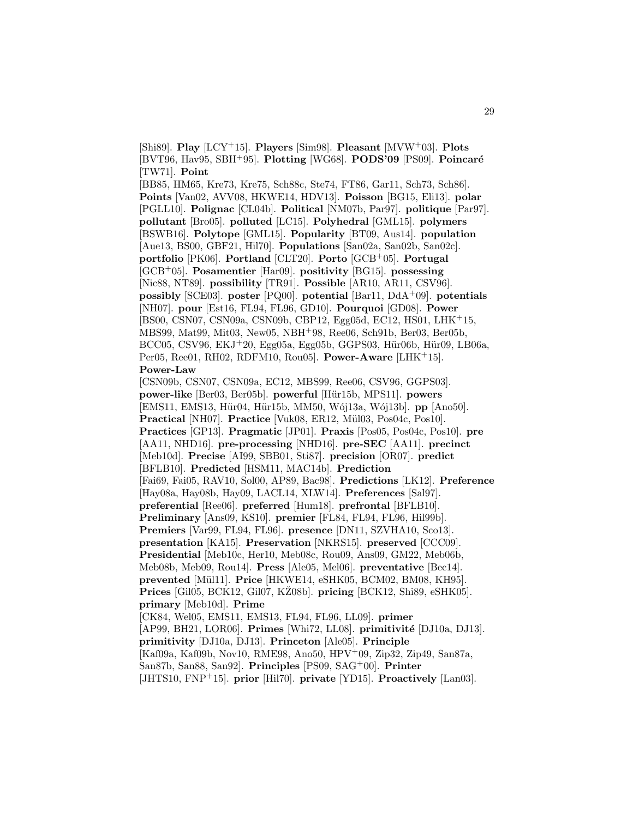[Shi89]. **Play** [LCY<sup>+</sup>15]. **Players** [Sim98]. **Pleasant** [MVW<sup>+</sup>03]. **Plots** [BVT96, Hav95, SBH<sup>+</sup>95]. **Plotting** [WG68]. **PODS'09** [PS09]. **Poincaré** [TW71]. **Point**

[BB85, HM65, Kre73, Kre75, Sch88c, Ste74, FT86, Gar11, Sch73, Sch86]. **Points** [Van02, AVV08, HKWE14, HDV13]. **Poisson** [BG15, Eli13]. **polar** [PGLL10]. **Polignac** [CL04b]. **Political** [NM07b, Par97]. **politique** [Par97]. **pollutant** [Bro05]. **polluted** [LC15]. **Polyhedral** [GML15]. **polymers** [BSWB16]. **Polytope** [GML15]. **Popularity** [BT09, Aus14]. **population** [Aue13, BS00, GBF21, Hil70]. **Populations** [San02a, San02b, San02c]. **portfolio** [PK06]. **Portland** [CLT20]. **Porto** [GCB<sup>+</sup>05]. **Portugal** [GCB<sup>+</sup>05]. **Posamentier** [Har09]. **positivity** [BG15]. **possessing** [Nic88, NT89]. **possibility** [TR91]. **Possible** [AR10, AR11, CSV96]. **possibly** [SCE03]. **poster** [PQ00]. **potential** [Bar11, DdA<sup>+</sup>09]. **potentials** [NH07]. **pour** [Est16, FL94, FL96, GD10]. **Pourquoi** [GD08]. **Power** [BS00, CSN07, CSN09a, CSN09b, CBP12, Egg05d, EC12, HS01, LHK<sup>+</sup>15, MBS99, Mat99, Mit03, New05, NBH<sup>+</sup>98, Ree06, Sch91b, Ber03, Ber05b, BCC05, CSV96, EKJ<sup>+</sup>20, Egg05a, Egg05b, GGPS03, Hür06b, Hür09, LB06a, Per05, Ree01, RH02, RDFM10, Rou05]. **Power-Aware** [LHK<sup>+</sup>15]. **Power-Law**

[CSN09b, CSN07, CSN09a, EC12, MBS99, Ree06, CSV96, GGPS03]. **power-like** [Ber03, Ber05b]. **powerful** [H¨ur15b, MPS11]. **powers** [EMS11, EMS13, Hür04, Hür15b, MM50, Wój13a, Wój13b]. **pp** [Ano50]. **Practical** [NH07]. **Practice** [Vuk08, ER12, Mül03, Pos04c, Pos10]. **Practices** [GP13]. **Pragmatic** [JP01]. **Praxis** [Pos05, Pos04c, Pos10]. **pre** [AA11, NHD16]. **pre-processing** [NHD16]. **pre-SEC** [AA11]. **precinct** [Meb10d]. **Precise** [AI99, SBB01, Sti87]. **precision** [OR07]. **predict** [BFLB10]. **Predicted** [HSM11, MAC14b]. **Prediction** [Fai69, Fai05, RAV10, Sol00, AP89, Bac98]. **Predictions** [LK12]. **Preference** [Hay08a, Hay08b, Hay09, LACL14, XLW14]. **Preferences** [Sal97]. **preferential** [Ree06]. **preferred** [Hum18]. **prefrontal** [BFLB10]. **Preliminary** [Ans09, KS10]. **premier** [FL84, FL94, FL96, Hil99b]. **Premiers** [Var99, FL94, FL96]. **presence** [DN11, SZVHA10, Sco13]. **presentation** [KA15]. **Preservation** [NKRS15]. **preserved** [CCC09]. **Presidential** [Meb10c, Her10, Meb08c, Rou09, Ans09, GM22, Meb06b, Meb08b, Meb09, Rou14]. **Press** [Ale05, Mel06]. **preventative** [Bec14]. **prevented** [M¨ul11]. **Price** [HKWE14, eSHK05, BCM02, BM08, KH95]. **Prices** [Gil05, BCK12, Gil07, KŽ08b]. **pricing** [BCK12, Shi89, eSHK05]. **primary** [Meb10d]. **Prime** [CK84, Wel05, EMS11, EMS13, FL94, FL96, LL09]. **primer** [AP99, BH21, LOR06]. Primes [Whi72, LL08]. primitivité [DJ10a, DJ13]. **primitivity** [DJ10a, DJ13]. **Princeton** [Ale05]. **Principle** [Kaf09a, Kaf09b, Nov10, RME98, Ano50, HPV<sup>+</sup>09, Zip32, Zip49, San87a, San87b, San88, San92]. **Principles** [PS09, SAG<sup>+</sup>00]. **Printer** [JHTS10, FNP<sup>+</sup>15]. **prior** [Hil70]. **private** [YD15]. **Proactively** [Lan03].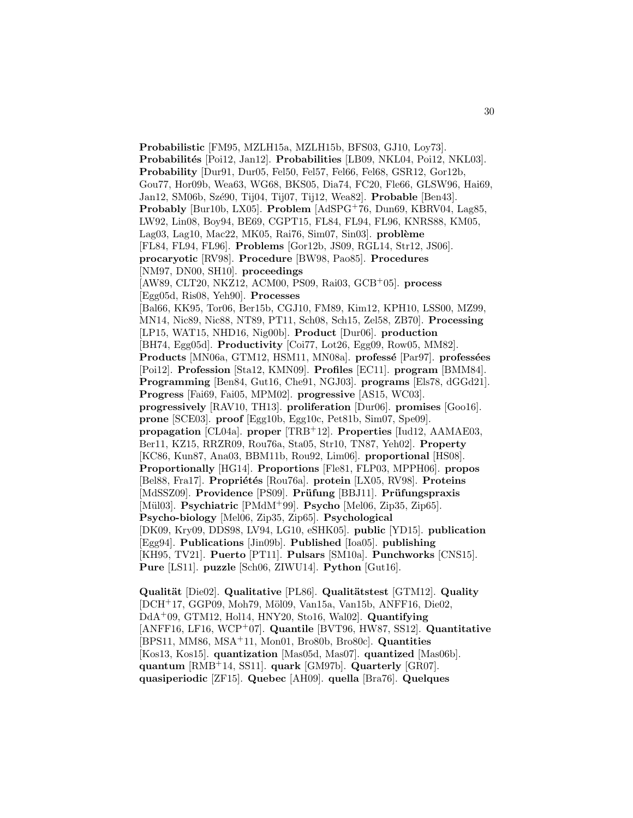**Probabilistic** [FM95, MZLH15a, MZLH15b, BFS03, GJ10, Loy73]. **Probabilit´es** [Poi12, Jan12]. **Probabilities** [LB09, NKL04, Poi12, NKL03]. **Probability** [Dur91, Dur05, Fel50, Fel57, Fel66, Fel68, GSR12, Gor12b, Gou77, Hor09b, Wea63, WG68, BKS05, Dia74, FC20, Fle66, GLSW96, Hai69, Jan12, SM06b, Sz´e90, Tij04, Tij07, Tij12, Wea82]. **Probable** [Ben43]. **Probably** [Bur10b, LX05]. **Problem** [AdSPG<sup>+</sup>76, Dun69, KBRV04, Lag85, LW92, Lin08, Boy94, BE69, CGPT15, FL84, FL94, FL96, KNRS88, KM05, Lag03, Lag10, Mac22, MK05, Rai76, Sim07, Sin03]. **problème** [FL84, FL94, FL96]. **Problems** [Gor12b, JS09, RGL14, Str12, JS06]. **procaryotic** [RV98]. **Procedure** [BW98, Pao85]. **Procedures** [NM97, DN00, SH10]. **proceedings** [AW89, CLT20, NKZ12, ACM00, PS09, Rai03, GCB<sup>+</sup>05]. **process** [Egg05d, Ris08, Yeh90]. **Processes** [Bal66, KK95, Tor06, Ber15b, CGJ10, FM89, Kim12, KPH10, LSS00, MZ99, MN14, Nic89, Nic88, NT89, PT11, Sch08, Sch15, Zel58, ZB70]. **Processing** [LP15, WAT15, NHD16, Nig00b]. **Product** [Dur06]. **production** [BH74, Egg05d]. **Productivity** [Coi77, Lot26, Egg09, Row05, MM82]. **Products** [MN06a, GTM12, HSM11, MN08a]. **professé** [Par97]. **professées** [Poi12]. **Profession** [Sta12, KMN09]. **Profiles** [EC11]. **program** [BMM84]. **Programming** [Ben84, Gut16, Che91, NGJ03]. **programs** [Els78, dGGd21]. **Progress** [Fai69, Fai05, MPM02]. **progressive** [AS15, WC03]. **progressively** [RAV10, TH13]. **proliferation** [Dur06]. **promises** [Goo16]. **prone** [SCE03]. **proof** [Egg10b, Egg10c, Pet81b, Sim07, Spe09]. **propagation** [CL04a]. **proper** [TRB<sup>+</sup>12]. **Properties** [Iud12, AAMAE03, Ber11, KZ15, RRZR09, Rou76a, Sta05, Str10, TN87, Yeh02]. **Property** [KC86, Kun87, Ana03, BBM11b, Rou92, Lim06]. **proportional** [HS08]. **Proportionally** [HG14]. **Proportions** [Fle81, FLP03, MPPH06]. **propos** [Bel88, Fra17]. Propriétés [Rou76a]. protein [LX05, RV98]. Proteins [MdSSZ09]. **Providence** [PS09]. **Prüfung** [BBJ11]. **Prüfungspraxis** [Mül03]. **Psychiatric** [PMdM<sup>+</sup>99]. **Psycho** [Mel06, Zip35, Zip65]. **Psycho-biology** [Mel06, Zip35, Zip65]. **Psychological** [DK09, Kry09, DDS98, LV94, LG10, eSHK05]. **public** [YD15]. **publication** [Egg94]. **Publications** [Jin09b]. **Published** [Ioa05]. **publishing** [KH95, TV21]. **Puerto** [PT11]. **Pulsars** [SM10a]. **Punchworks** [CNS15]. **Pure** [LS11]. **puzzle** [Sch06, ZIWU14]. **Python** [Gut16].

**Qualität** [Die02]. **Qualitative** [PL86]. **Qualitätstest** [GTM12]. **Quality** [DCH<sup>+</sup>17, GGP09, Moh79, Möl09, Van15a, Van15b, ANFF16, Die02, DdA<sup>+</sup>09, GTM12, Hol14, HNY20, Sto16, Wal02]. **Quantifying** [ANFF16, LF16, WCP<sup>+</sup>07]. **Quantile** [BVT96, HW87, SS12]. **Quantitative** [BPS11, MM86, MSA<sup>+</sup>11, Mon01, Bro80b, Bro80c]. **Quantities** [Kos13, Kos15]. **quantization** [Mas05d, Mas07]. **quantized** [Mas06b]. **quantum** [RMB<sup>+</sup>14, SS11]. **quark** [GM97b]. **Quarterly** [GR07]. **quasiperiodic** [ZF15]. **Quebec** [AH09]. **quella** [Bra76]. **Quelques**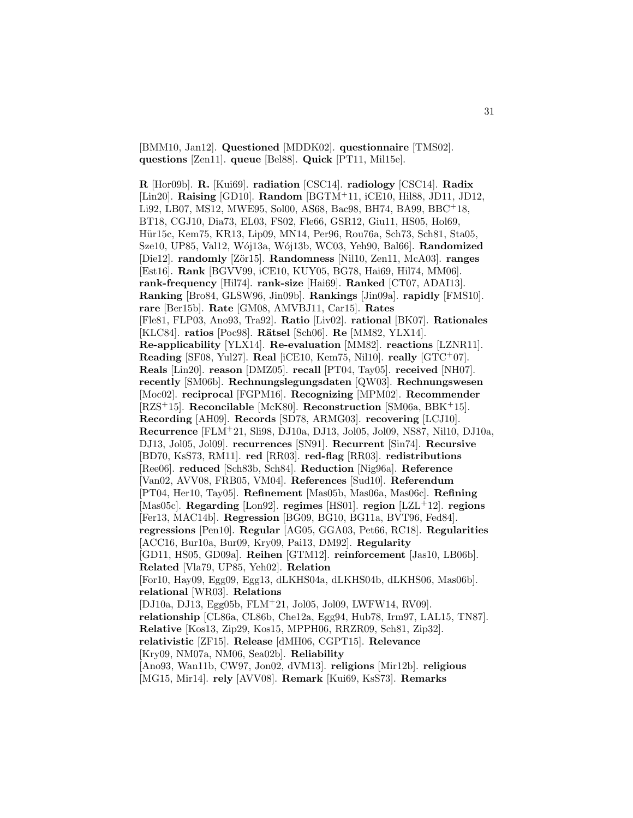[BMM10, Jan12]. **Questioned** [MDDK02]. **questionnaire** [TMS02]. **questions** [Zen11]. **queue** [Bel88]. **Quick** [PT11, Mil15e].

**R** [Hor09b]. **R.** [Kui69]. **radiation** [CSC14]. **radiology** [CSC14]. **Radix** [Lin20]. **Raising** [GD10]. **Random** [BGTM<sup>+</sup>11, iCE10, Hil88, JD11, JD12, Li92, LB07, MS12, MWE95, Sol00, AS68, Bac98, BH74, BA99, BBC<sup>+</sup>18, BT18, CGJ10, Dia73, EL03, FS02, Fle66, GSR12, Giu11, HS05, Hol69, Hür15c, Kem75, KR13, Lip09, MN14, Per96, Rou76a, Sch73, Sch81, Sta05, Sze10, UP85, Val12, W´oj13a, W´oj13b, WC03, Yeh90, Bal66]. **Randomized** [Die12]. **randomly** [Zör15]. **Randomness** [Nil10, Zen11, McA03]. **ranges** [Est16]. **Rank** [BGVV99, iCE10, KUY05, BG78, Hai69, Hil74, MM06]. **rank-frequency** [Hil74]. **rank-size** [Hai69]. **Ranked** [CT07, ADAI13]. **Ranking** [Bro84, GLSW96, Jin09b]. **Rankings** [Jin09a]. **rapidly** [FMS10]. **rare** [Ber15b]. **Rate** [GM08, AMVBJ11, Car15]. **Rates** [Fle81, FLP03, Ano93, Tra92]. **Ratio** [Liv02]. **rational** [BK07]. **Rationales** [KLC84]. **ratios** [Poc98]. **Rätsel** [Sch06]. **Re** [MM82, YLX14]. **Re-applicability** [YLX14]. **Re-evaluation** [MM82]. **reactions** [LZNR11]. **Reading** [SF08, Yul27]. **Real** [iCE10, Kem75, Nil10]. **really** [GTC<sup>+</sup>07]. **Reals** [Lin20]. **reason** [DMZ05]. **recall** [PT04, Tay05]. **received** [NH07]. **recently** [SM06b]. **Rechnungslegungsdaten** [QW03]. **Rechnungswesen** [Moc02]. **reciprocal** [FGPM16]. **Recognizing** [MPM02]. **Recommender** [RZS<sup>+</sup>15]. **Reconcilable** [McK80]. **Reconstruction** [SM06a, BBK<sup>+</sup>15]. **Recording** [AH09]. **Records** [SD78, ARMG03]. **recovering** [LCJ10]. **Recurrence** [FLM<sup>+</sup>21, Sli98, DJ10a, DJ13, Jol05, Jol09, NS87, Nil10, DJ10a, DJ13, Jol05, Jol09]. **recurrences** [SN91]. **Recurrent** [Sin74]. **Recursive** [BD70, KsS73, RM11]. **red** [RR03]. **red-flag** [RR03]. **redistributions** [Ree06]. **reduced** [Sch83b, Sch84]. **Reduction** [Nig96a]. **Reference** [Van02, AVV08, FRB05, VM04]. **References** [Sud10]. **Referendum** [PT04, Her10, Tay05]. **Refinement** [Mas05b, Mas06a, Mas06c]. **Refining** [Mas05c]. **Regarding** [Lon92]. **regimes** [HS01]. **region** [LZL<sup>+</sup>12]. **regions** [Fer13, MAC14b]. **Regression** [BG09, BG10, BG11a, BVT96, Fed84]. **regressions** [Pen10]. **Regular** [AG05, GGA03, Pet66, RC18]. **Regularities** [ACC16, Bur10a, Bur09, Kry09, Pai13, DM92]. **Regularity** [GD11, HS05, GD09a]. **Reihen** [GTM12]. **reinforcement** [Jas10, LB06b]. **Related** [Vla79, UP85, Yeh02]. **Relation** [For10, Hay09, Egg09, Egg13, dLKHS04a, dLKHS04b, dLKHS06, Mas06b]. **relational** [WR03]. **Relations** [DJ10a, DJ13, Egg05b, FLM<sup>+</sup>21, Jol05, Jol09, LWFW14, RV09]. **relationship** [CL86a, CL86b, Che12a, Egg94, Hub78, Irm97, LAL15, TN87]. **Relative** [Kos13, Zip29, Kos15, MPPH06, RRZR09, Sch81, Zip32]. **relativistic** [ZF15]. **Release** [dMH06, CGPT15]. **Relevance** [Kry09, NM07a, NM06, Sea02b]. **Reliability** [Ano93, Wan11b, CW97, Jon02, dVM13]. **religions** [Mir12b]. **religious** [MG15, Mir14]. **rely** [AVV08]. **Remark** [Kui69, KsS73]. **Remarks**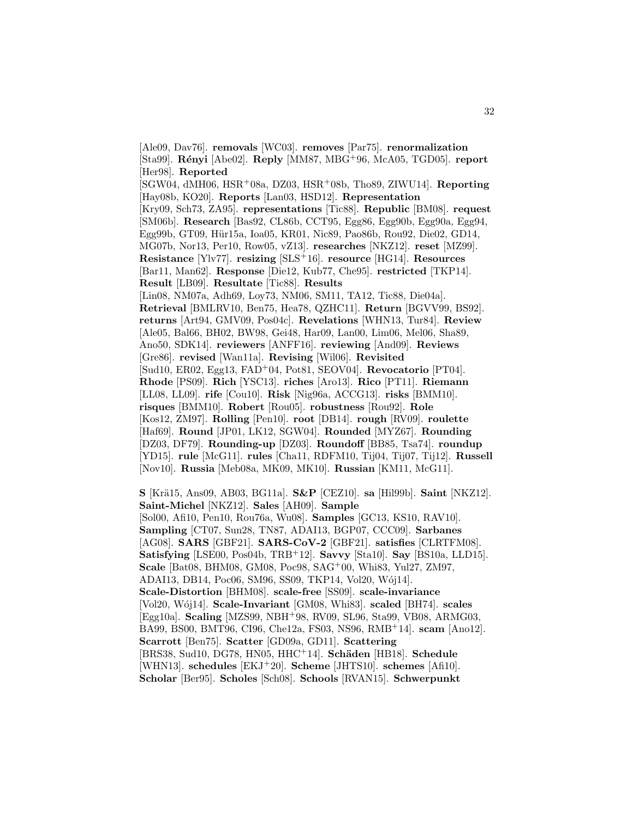[Ale09, Dav76]. **removals** [WC03]. **removes** [Par75]. **renormalization** [Sta99]. **R´enyi** [Abe02]. **Reply** [MM87, MBG<sup>+</sup>96, McA05, TGD05]. **report** [Her98]. **Reported** [SGW04, dMH06, HSR<sup>+</sup>08a, DZ03, HSR<sup>+</sup>08b, Tho89, ZIWU14]. **Reporting** [Hay08b, KO20]. **Reports** [Lan03, HSD12]. **Representation** [Kry09, Sch73, ZA95]. **representations** [Tic88]. **Republic** [BM08]. **request** [SM06b]. **Research** [Bas92, CL86b, CCT95, Egg86, Egg90b, Egg90a, Egg94, Egg99b, GT09, Hür15a, Ioa05, KR01, Nic89, Pao86b, Rou92, Die02, GD14, MG07b, Nor13, Per10, Row05, vZ13]. **researches** [NKZ12]. **reset** [MZ99]. **Resistance** [Ylv77]. **resizing** [SLS<sup>+</sup>16]. **resource** [HG14]. **Resources** [Bar11, Man62]. **Response** [Die12, Kub77, Che95]. **restricted** [TKP14]. **Result** [LB09]. **Resultate** [Tic88]. **Results** [Lin08, NM07a, Adh69, Loy73, NM06, SM11, TA12, Tic88, Die04a]. **Retrieval** [BMLRV10, Ben75, Hea78, QZHC11]. **Return** [BGVV99, BS92]. **returns** [Art94, GMV09, Pos04c]. **Revelations** [WHN13, Tur84]. **Review** [Ale05, Bal66, BH02, BW98, Gei48, Har09, Lan00, Lim06, Mel06, Sha89, Ano50, SDK14]. **reviewers** [ANFF16]. **reviewing** [And09]. **Reviews** [Gre86]. **revised** [Wan11a]. **Revising** [Wil06]. **Revisited** [Sud10, ER02, Egg13, FAD<sup>+</sup>04, Pot81, SEOV04]. **Revocatorio** [PT04]. **Rhode** [PS09]. **Rich** [YSC13]. **riches** [Aro13]. **Rico** [PT11]. **Riemann** [LL08, LL09]. **rife** [Cou10]. **Risk** [Nig96a, ACCG13]. **risks** [BMM10]. **risques** [BMM10]. **Robert** [Rou05]. **robustness** [Rou92]. **Role** [Kos12, ZM97]. **Rolling** [Pen10]. **root** [DB14]. **rough** [RV09]. **roulette** [Haf69]. **Round** [JP01, LK12, SGW04]. **Rounded** [MYZ67]. **Rounding** [DZ03, DF79]. **Rounding-up** [DZ03]. **Roundoff** [BB85, Tsa74]. **roundup** [YD15]. **rule** [McG11]. **rules** [Cha11, RDFM10, Tij04, Tij07, Tij12]. **Russell** [Nov10]. **Russia** [Meb08a, MK09, MK10]. **Russian** [KM11, McG11].

**S** [Kr¨a15, Ans09, AB03, BG11a]. **S&P** [CEZ10]. **sa** [Hil99b]. **Saint** [NKZ12]. **Saint-Michel** [NKZ12]. **Sales** [AH09]. **Sample** [Sol00, Afi10, Pen10, Rou76a, Wu08]. **Samples** [GC13, KS10, RAV10]. **Sampling** [CT07, Sun28, TN87, ADAI13, BGP07, CCC09]. **Sarbanes** [AG08]. **SARS** [GBF21]. **SARS-CoV-2** [GBF21]. **satisfies** [CLRTFM08]. **Satisfying** [LSE00, Pos04b, TRB<sup>+</sup>12]. **Savvy** [Sta10]. **Say** [BS10a, LLD15]. **Scale** [Bat08, BHM08, GM08, Poc98, SAG<sup>+</sup>00, Whi83, Yul27, ZM97, ADAI13, DB14, Poc06, SM96, SS09, TKP14, Vol20, Wój14]. **Scale-Distortion** [BHM08]. **scale-free** [SS09]. **scale-invariance** [Vol20, W´oj14]. **Scale-Invariant** [GM08, Whi83]. **scaled** [BH74]. **scales** [Egg10a]. **Scaling** [MZS99, NBH<sup>+</sup>98, RV09, SL96, Sta99, VB08, ARMG03, BA99, BS00, BMT96, CI96, Che12a, FS03, NS96, RMB<sup>+</sup>14]. **scam** [Ano12]. **Scarrott** [Ben75]. **Scatter** [GD09a, GD11]. **Scattering** [BRS38, Sud10, DG78, HN05, HHC<sup>+</sup>14]. **Schäden** [HB18]. **Schedule** [WHN13]. **schedules** [EKJ<sup>+</sup>20]. **Scheme** [JHTS10]. **schemes** [Afi10]. **Scholar** [Ber95]. **Scholes** [Sch08]. **Schools** [RVAN15]. **Schwerpunkt**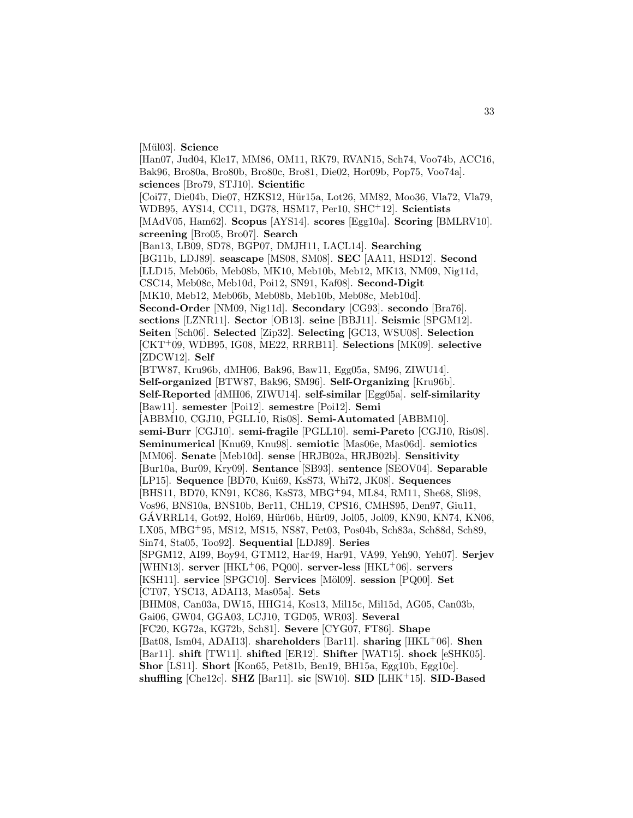[Mül03]. **Science** 

[Han07, Jud04, Kle17, MM86, OM11, RK79, RVAN15, Sch74, Voo74b, ACC16, Bak96, Bro80a, Bro80b, Bro80c, Bro81, Die02, Hor09b, Pop75, Voo74a]. **sciences** [Bro79, STJ10]. **Scientific** [Coi77, Die04b, Die07, HZKS12, Hür15a, Lot26, MM82, Moo36, Vla72, Vla79, WDB95, AYS14, CC11, DG78, HSM17, Per10, SHC<sup>+</sup>12]. **Scientists** [MAdV05, Ham62]. **Scopus** [AYS14]. **scores** [Egg10a]. **Scoring** [BMLRV10]. **screening** [Bro05, Bro07]. **Search** [Ban13, LB09, SD78, BGP07, DMJH11, LACL14]. **Searching** [BG11b, LDJ89]. **seascape** [MS08, SM08]. **SEC** [AA11, HSD12]. **Second** [LLD15, Meb06b, Meb08b, MK10, Meb10b, Meb12, MK13, NM09, Nig11d, CSC14, Meb08c, Meb10d, Poi12, SN91, Kaf08]. **Second-Digit** [MK10, Meb12, Meb06b, Meb08b, Meb10b, Meb08c, Meb10d]. **Second-Order** [NM09, Nig11d]. **Secondary** [CG93]. **secondo** [Bra76]. **sections** [LZNR11]. **Sector** [OB13]. **seine** [BBJ11]. **Seismic** [SPGM12]. **Seiten** [Sch06]. **Selected** [Zip32]. **Selecting** [GC13, WSU08]. **Selection** [CKT<sup>+</sup>09, WDB95, IG08, ME22, RRRB11]. **Selections** [MK09]. **selective** [ZDCW12]. **Self** [BTW87, Kru96b, dMH06, Bak96, Baw11, Egg05a, SM96, ZIWU14]. **Self-organized** [BTW87, Bak96, SM96]. **Self-Organizing** [Kru96b]. **Self-Reported** [dMH06, ZIWU14]. **self-similar** [Egg05a]. **self-similarity** [Baw11]. **semester** [Poi12]. **semestre** [Poi12]. **Semi** [ABBM10, CGJ10, PGLL10, Ris08]. **Semi-Automated** [ABBM10]. **semi-Burr** [CGJ10]. **semi-fragile** [PGLL10]. **semi-Pareto** [CGJ10, Ris08]. **Seminumerical** [Knu69, Knu98]. **semiotic** [Mas06e, Mas06d]. **semiotics** [MM06]. **Senate** [Meb10d]. **sense** [HRJB02a, HRJB02b]. **Sensitivity** [Bur10a, Bur09, Kry09]. **Sentance** [SB93]. **sentence** [SEOV04]. **Separable** [LP15]. **Sequence** [BD70, Kui69, KsS73, Whi72, JK08]. **Sequences** [BHS11, BD70, KN91, KC86, KsS73, MBG<sup>+</sup>94, ML84, RM11, She68, Sli98, Vos96, BNS10a, BNS10b, Ber11, CHL19, CPS16, CMHS95, Den97, Giu11,  $GAVRRL14, Got92, Hol69, Hür06b, Hür09, Jol05, Jol09, KN90, KN74, KN06,$ LX05, MBG<sup>+</sup>95, MS12, MS15, NS87, Pet03, Pos04b, Sch83a, Sch88d, Sch89, Sin74, Sta05, Too92]. **Sequential** [LDJ89]. **Series** [SPGM12, AI99, Boy94, GTM12, Har49, Har91, VA99, Yeh90, Yeh07]. **Serjev** [WHN13]. **server** [HKL<sup>+</sup>06, PQ00]. **server-less** [HKL<sup>+</sup>06]. **servers** [KSH11]. **service** [SPGC10]. **Services** [M¨ol09]. **session** [PQ00]. **Set** [CT07, YSC13, ADAI13, Mas05a]. **Sets** [BHM08, Can03a, DW15, HHG14, Kos13, Mil15c, Mil15d, AG05, Can03b, Gai06, GW04, GGA03, LCJ10, TGD05, WR03]. **Several** [FC20, KG72a, KG72b, Sch81]. **Severe** [CYG07, FT86]. **Shape** [Bat08, Ism04, ADAI13]. **shareholders** [Bar11]. **sharing** [HKL<sup>+</sup>06]. **Shen** [Bar11]. **shift** [TW11]. **shifted** [ER12]. **Shifter** [WAT15]. **shock** [eSHK05]. **Shor** [LS11]. **Short** [Kon65, Pet81b, Ben19, BH15a, Egg10b, Egg10c].

33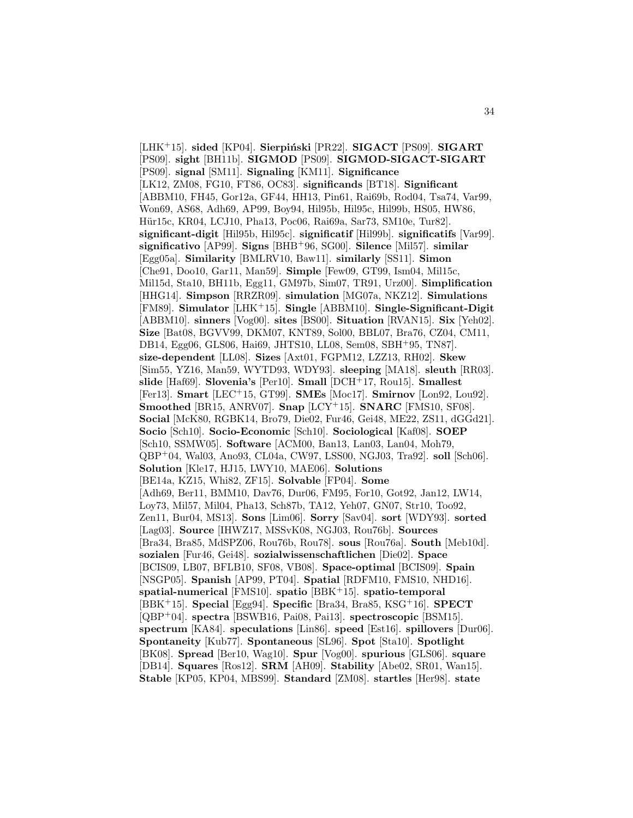[LHK<sup>+</sup>15]. **sided** [KP04]. **Sierpiński** [PR22]. **SIGACT** [PS09]. **SIGART** [PS09]. **sight** [BH11b]. **SIGMOD** [PS09]. **SIGMOD-SIGACT-SIGART** [PS09]. **signal** [SM11]. **Signaling** [KM11]. **Significance** [LK12, ZM08, FG10, FT86, OC83]. **significands** [BT18]. **Significant** [ABBM10, FH45, Gor12a, GF44, HH13, Pin61, Rai69b, Rod04, Tsa74, Var99, Won69, AS68, Adh69, AP99, Boy94, Hil95b, Hil95c, Hil99b, HS05, HW86, Hür15c, KR04, LCJ10, Pha13, Poc06, Rai69a, Sar73, SM10e, Tur82. **significant-digit** [Hil95b, Hil95c]. **significatif** [Hil99b]. **significatifs** [Var99]. **significativo** [AP99]. **Signs** [BHB<sup>+</sup>96, SG00]. **Silence** [Mil57]. **similar** [Egg05a]. **Similarity** [BMLRV10, Baw11]. **similarly** [SS11]. **Simon** [Che91, Doo10, Gar11, Man59]. **Simple** [Few09, GT99, Ism04, Mil15c, Mil15d, Sta10, BH11b, Egg11, GM97b, Sim07, TR91, Urz00]. **Simplification** [HHG14]. **Simpson** [RRZR09]. **simulation** [MG07a, NKZ12]. **Simulations** [FM89]. **Simulator** [LHK<sup>+</sup>15]. **Single** [ABBM10]. **Single-Significant-Digit** [ABBM10]. **sinners** [Vog00]. **sites** [BS00]. **Situation** [RVAN15]. **Six** [Yeh02]. **Size** [Bat08, BGVV99, DKM07, KNT89, Sol00, BBL07, Bra76, CZ04, CM11, DB14, Egg06, GLS06, Hai69, JHTS10, LL08, Sem08, SBH<sup>+</sup>95, TN87]. **size-dependent** [LL08]. **Sizes** [Axt01, FGPM12, LZZ13, RH02]. **Skew** [Sim55, YZ16, Man59, WYTD93, WDY93]. **sleeping** [MA18]. **sleuth** [RR03]. **slide** [Haf69]. **Slovenia's** [Per10]. **Small** [DCH<sup>+</sup>17, Rou15]. **Smallest** [Fer13]. **Smart** [LEC<sup>+</sup>15, GT99]. **SMEs** [Moc17]. **Smirnov** [Lon92, Lou92]. **Smoothed** [BR15, ANRV07]. **Snap** [LCY<sup>+</sup>15]. **SNARC** [FMS10, SF08]. **Social** [McK80, RGBK14, Bro79, Die02, Fur46, Gei48, ME22, ZS11, dGGd21]. **Socio** [Sch10]. **Socio-Economic** [Sch10]. **Sociological** [Kaf08]. **SOEP** [Sch10, SSMW05]. **Software** [ACM00, Ban13, Lan03, Lan04, Moh79, QBP<sup>+</sup>04, Wal03, Ano93, CL04a, CW97, LSS00, NGJ03, Tra92]. **soll** [Sch06]. **Solution** [Kle17, HJ15, LWY10, MAE06]. **Solutions** [BE14a, KZ15, Whi82, ZF15]. **Solvable** [FP04]. **Some** [Adh69, Ber11, BMM10, Dav76, Dur06, FM95, For10, Got92, Jan12, LW14, Loy73, Mil57, Mil04, Pha13, Sch87b, TA12, Yeh07, GN07, Str10, Too92, Zen11, Bur04, MS13]. **Sons** [Lim06]. **Sorry** [Sav04]. **sort** [WDY93]. **sorted** [Lag03]. **Source** [IHWZ17, MSSvK08, NGJ03, Rou76b]. **Sources** [Bra34, Bra85, MdSPZ06, Rou76b, Rou78]. **sous** [Rou76a]. **South** [Meb10d]. **sozialen** [Fur46, Gei48]. **sozialwissenschaftlichen** [Die02]. **Space** [BCIS09, LB07, BFLB10, SF08, VB08]. **Space-optimal** [BCIS09]. **Spain** [NSGP05]. **Spanish** [AP99, PT04]. **Spatial** [RDFM10, FMS10, NHD16]. **spatial-numerical** [FMS10]. **spatio** [BBK<sup>+</sup>15]. **spatio-temporal** [BBK<sup>+</sup>15]. **Special** [Egg94]. **Specific** [Bra34, Bra85, KSG<sup>+</sup>16]. **SPECT** [QBP<sup>+</sup>04]. **spectra** [BSWB16, Pai08, Pai13]. **spectroscopic** [BSM15]. **spectrum** [KA84]. **speculations** [Lin86]. **speed** [Est16]. **spillovers** [Dur06]. **Spontaneity** [Kub77]. **Spontaneous** [SL96]. **Spot** [Sta10]. **Spotlight** [BK08]. **Spread** [Ber10, Wag10]. **Spur** [Vog00]. **spurious** [GLS06]. **square** [DB14]. **Squares** [Ros12]. **SRM** [AH09]. **Stability** [Abe02, SR01, Wan15]. **Stable** [KP05, KP04, MBS99]. **Standard** [ZM08]. **startles** [Her98]. **state**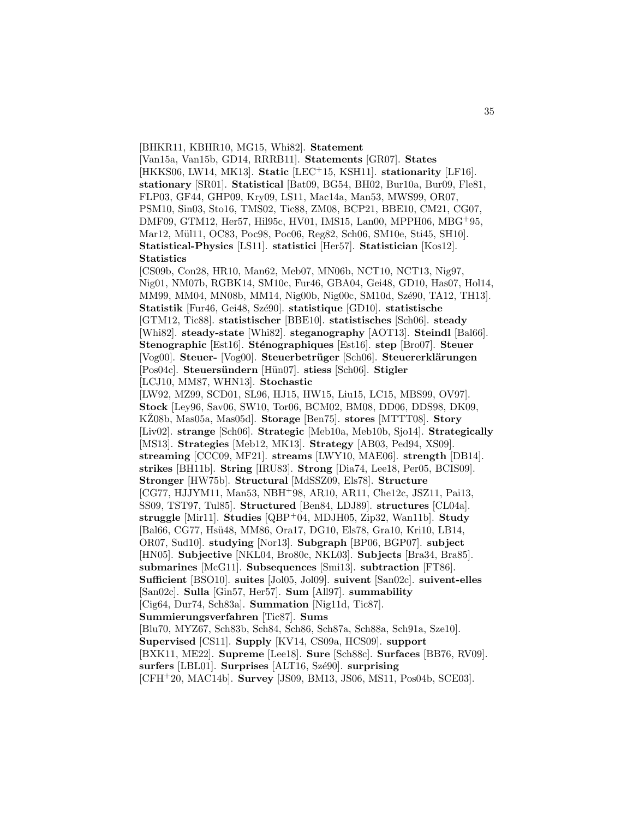#### [BHKR11, KBHR10, MG15, Whi82]. **Statement**

[Van15a, Van15b, GD14, RRRB11]. **Statements** [GR07]. **States** [HKKS06, LW14, MK13]. **Static** [LEC<sup>+</sup>15, KSH11]. **stationarity** [LF16]. **stationary** [SR01]. **Statistical** [Bat09, BG54, BH02, Bur10a, Bur09, Fle81, FLP03, GF44, GHP09, Kry09, LS11, Mac14a, Man53, MWS99, OR07, PSM10, Sin03, Sto16, TMS02, Tic88, ZM08, BCP21, BBE10, CM21, CG07, DMF09, GTM12, Her57, Hil95c, HV01, IMS15, Lan00, MPPH06, MBG<sup>+</sup>95, Mar12, Mül11, OC83, Poc98, Poc06, Reg82, Sch06, SM10e, Sti45, SH10. **Statistical-Physics** [LS11]. **statistici** [Her57]. **Statistician** [Kos12]. **Statistics**

[CS09b, Con28, HR10, Man62, Meb07, MN06b, NCT10, NCT13, Nig97, Nig01, NM07b, RGBK14, SM10c, Fur46, GBA04, Gei48, GD10, Has07, Hol14, MM99, MM04, MN08b, MM14, Nig00b, Nig00c, SM10d, Szé90, TA12, TH13]. **Statistik** [Fur46, Gei48, Sz´e90]. **statistique** [GD10]. **statistische** [GTM12, Tic88]. **statistischer** [BBE10]. **statistisches** [Sch06]. **steady** [Whi82]. **steady-state** [Whi82]. **steganography** [AOT13]. **Steindl** [Bal66]. **Stenographic** [Est16]. **Sténographiques** [Est16]. **step** [Bro07]. **Steuer** [Vog00]. **Steuer-** [Vog00]. **Steuerbetr¨uger** [Sch06]. **Steuererkl¨arungen** [Pos04c]. **Steuers¨undern** [H¨un07]. **stiess** [Sch06]. **Stigler** [LCJ10, MM87, WHN13]. **Stochastic** [LW92, MZ99, SCD01, SL96, HJ15, HW15, Liu15, LC15, MBS99, OV97]. **Stock** [Ley96, Sav06, SW10, Tor06, BCM02, BM08, DD06, DDS98, DK09, KZ08b, Mas05a, Mas05d. **Storage** [Ben75]. **stores** [MTTT08]. **Story** [Liv02]. **strange** [Sch06]. **Strategic** [Meb10a, Meb10b, Sjo14]. **Strategically** [MS13]. **Strategies** [Meb12, MK13]. **Strategy** [AB03, Ped94, XS09]. **streaming** [CCC09, MF21]. **streams** [LWY10, MAE06]. **strength** [DB14]. **strikes** [BH11b]. **String** [IRU83]. **Strong** [Dia74, Lee18, Per05, BCIS09]. **Stronger** [HW75b]. **Structural** [MdSSZ09, Els78]. **Structure** [CG77, HJJYM11, Man53, NBH<sup>+</sup>98, AR10, AR11, Che12c, JSZ11, Pai13, SS09, TST97, Tul85]. **Structured** [Ben84, LDJ89]. **structures** [CL04a]. **struggle** [Mir11]. **Studies** [QBP<sup>+</sup>04, MDJH05, Zip32, Wan11b]. **Study** [Bal66, CG77, Hsü48, MM86, Ora17, DG10, Els78, Gra10, Kri10, LB14, OR07, Sud10]. **studying** [Nor13]. **Subgraph** [BP06, BGP07]. **subject** [HN05]. **Subjective** [NKL04, Bro80c, NKL03]. **Subjects** [Bra34, Bra85]. **submarines** [McG11]. **Subsequences** [Smi13]. **subtraction** [FT86]. **Sufficient** [BSO10]. **suites** [Jol05, Jol09]. **suivent** [San02c]. **suivent-elles** [San02c]. **Sulla** [Gin57, Her57]. **Sum** [All97]. **summability** [Cig64, Dur74, Sch83a]. **Summation** [Nig11d, Tic87]. **Summierungsverfahren** [Tic87]. **Sums** [Blu70, MYZ67, Sch83b, Sch84, Sch86, Sch87a, Sch88a, Sch91a, Sze10].

**Supervised** [CS11]. **Supply** [KV14, CS09a, HCS09]. **support**

[BXK11, ME22]. **Supreme** [Lee18]. **Sure** [Sch88c]. **Surfaces** [BB76, RV09].

**surfers** [LBL01]. **Surprises** [ALT16, Szé90]. **surprising** 

[CFH<sup>+</sup>20, MAC14b]. **Survey** [JS09, BM13, JS06, MS11, Pos04b, SCE03].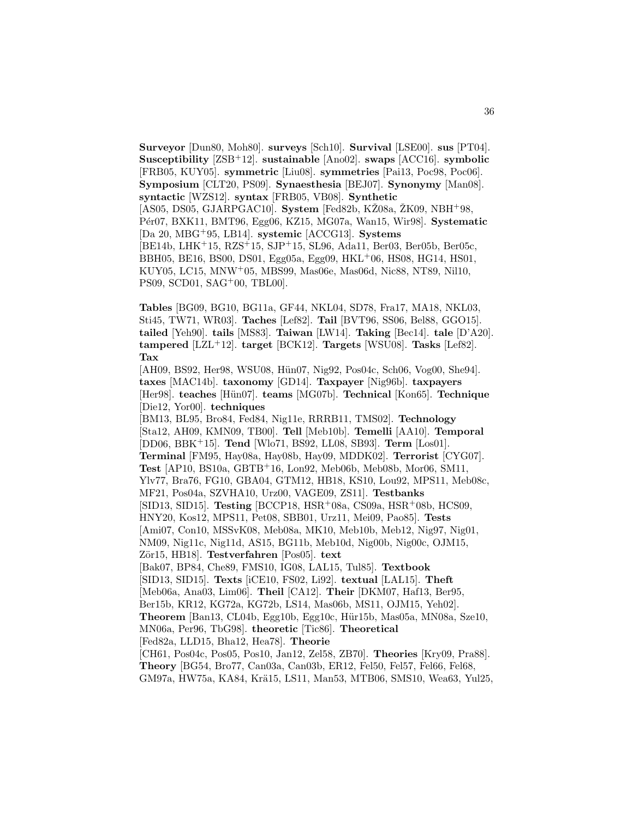**Surveyor** [Dun80, Moh80]. **surveys** [Sch10]. **Survival** [LSE00]. **sus** [PT04]. **Susceptibility** [ZSB<sup>+</sup>12]. **sustainable** [Ano02]. **swaps** [ACC16]. **symbolic** [FRB05, KUY05]. **symmetric** [Liu08]. **symmetries** [Pai13, Poc98, Poc06]. **Symposium** [CLT20, PS09]. **Synaesthesia** [BEJ07]. **Synonymy** [Man08]. **syntactic** [WZS12]. **syntax** [FRB05, VB08]. **Synthetic** [AS05, DS05, GJARPGAC10]. **System** [Fed82b, KŽ08a, ŽK09, NBH<sup>+</sup>98, P´er07, BXK11, BMT96, Egg06, KZ15, MG07a, Wan15, Wir98]. **Systematic** [Da 20, MBG<sup>+</sup>95, LB14]. **systemic** [ACCG13]. **Systems** [BE14b, LHK<sup>+</sup>15, RZS<sup>+</sup>15, SJP<sup>+</sup>15, SL96, Ada11, Ber03, Ber05b, Ber05c, BBH05, BE16, BS00, DS01, Egg05a, Egg09, HKL<sup>+</sup>06, HS08, HG14, HS01, KUY05, LC15, MNW<sup>+</sup>05, MBS99, Mas06e, Mas06d, Nic88, NT89, Nil10, PS09, SCD01, SAG<sup>+</sup>00, TBL00].

36

**Tables** [BG09, BG10, BG11a, GF44, NKL04, SD78, Fra17, MA18, NKL03, Sti45, TW71, WR03]. **Taches** [Lef82]. **Tail** [BVT96, SS06, Bel88, GGO15]. **tailed** [Yeh90]. **tails** [MS83]. **Taiwan** [LW14]. **Taking** [Bec14]. **tale** [D'A20]. **tampered** [LZL<sup>+</sup>12]. **target** [BCK12]. **Targets** [WSU08]. **Tasks** [Lef82]. **Tax**

[AH09, BS92, Her98, WSU08, Hün07, Nig92, Pos04c, Sch06, Vog00, She94]. **taxes** [MAC14b]. **taxonomy** [GD14]. **Taxpayer** [Nig96b]. **taxpayers** [Her98]. **teaches** [H¨un07]. **teams** [MG07b]. **Technical** [Kon65]. **Technique** [Die12, Yor00]. **techniques**

[BM13, BL95, Bro84, Fed84, Nig11e, RRRB11, TMS02]. **Technology** [Sta12, AH09, KMN09, TB00]. **Tell** [Meb10b]. **Temelli** [AA10]. **Temporal** [DD06, BBK<sup>+</sup>15]. **Tend** [Wlo71, BS92, LL08, SB93]. **Term** [Los01]. **Terminal** [FM95, Hay08a, Hay08b, Hay09, MDDK02]. **Terrorist** [CYG07]. **Test** [AP10, BS10a, GBTB<sup>+</sup>16, Lon92, Meb06b, Meb08b, Mor06, SM11, Ylv77, Bra76, FG10, GBA04, GTM12, HB18, KS10, Lou92, MPS11, Meb08c, MF21, Pos04a, SZVHA10, Urz00, VAGE09, ZS11]. **Testbanks** [SID13, SID15]. **Testing** [BCCP18, HSR<sup>+</sup>08a, CS09a, HSR<sup>+</sup>08b, HCS09, HNY20, Kos12, MPS11, Pet08, SBB01, Urz11, Mei09, Pao85]. **Tests** [Ami07, Con10, MSSvK08, Meb08a, MK10, Meb10b, Meb12, Nig97, Nig01, NM09, Nig11c, Nig11d, AS15, BG11b, Meb10d, Nig00b, Nig00c, OJM15, Z¨or15, HB18]. **Testverfahren** [Pos05]. **text** [Bak07, BP84, Che89, FMS10, IG08, LAL15, Tul85]. **Textbook** [SID13, SID15]. **Texts** [iCE10, FS02, Li92]. **textual** [LAL15]. **Theft** [Meb06a, Ana03, Lim06]. **Theil** [CA12]. **Their** [DKM07, Haf13, Ber95, Ber15b, KR12, KG72a, KG72b, LS14, Mas06b, MS11, OJM15, Yeh02]. **Theorem** [Ban13, CL04b, Egg10b, Egg10c, Hür15b, Mas05a, MN08a, Sze10, MN06a, Per96, TbG98]. **theoretic** [Tic86]. **Theoretical** [Fed82a, LLD15, Bha12, Hea78]. **Theorie** [CH61, Pos04c, Pos05, Pos10, Jan12, Zel58, ZB70]. **Theories** [Kry09, Pra88]. **Theory** [BG54, Bro77, Can03a, Can03b, ER12, Fel50, Fel57, Fel66, Fel68,

GM97a, HW75a, KA84, Krä15, LS11, Man53, MTB06, SMS10, Wea63, Yul25,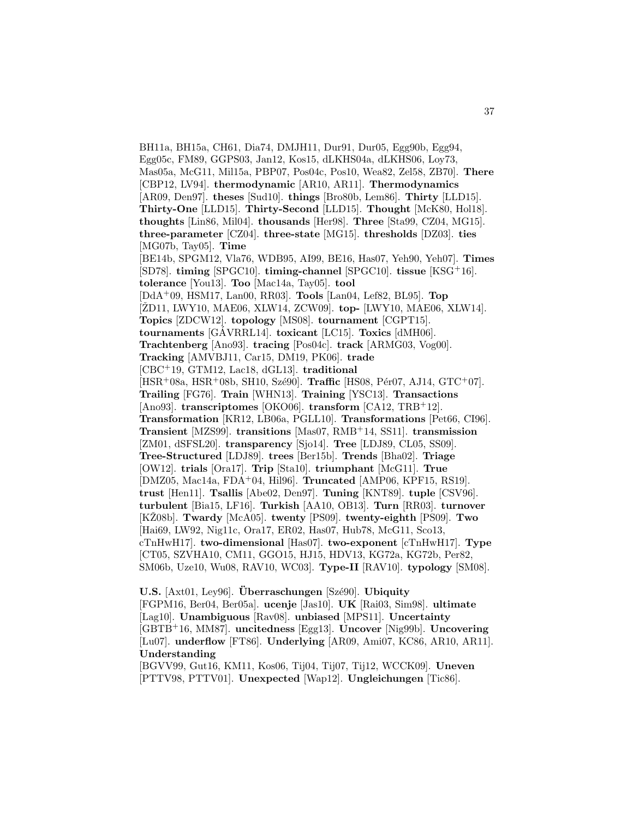BH11a, BH15a, CH61, Dia74, DMJH11, Dur91, Dur05, Egg90b, Egg94, Egg05c, FM89, GGPS03, Jan12, Kos15, dLKHS04a, dLKHS06, Loy73, Mas05a, McG11, Mil15a, PBP07, Pos04c, Pos10, Wea82, Zel58, ZB70]. **There** [CBP12, LV94]. **thermodynamic** [AR10, AR11]. **Thermodynamics** [AR09, Den97]. **theses** [Sud10]. **things** [Bro80b, Lem86]. **Thirty** [LLD15]. **Thirty-One** [LLD15]. **Thirty-Second** [LLD15]. **Thought** [McK80, Hol18]. **thoughts** [Lin86, Mil04]. **thousands** [Her98]. **Three** [Sta99, CZ04, MG15]. **three-parameter** [CZ04]. **three-state** [MG15]. **thresholds** [DZ03]. **ties** [MG07b, Tay05]. **Time** [BE14b, SPGM12, Vla76, WDB95, AI99, BE16, Has07, Yeh90, Yeh07]. **Times** [SD78]. **timing** [SPGC10]. **timing-channel** [SPGC10]. **tissue** [KSG<sup>+</sup>16]. **tolerance** [You13]. **Too** [Mac14a, Tay05]. **tool** [DdA<sup>+</sup>09, HSM17, Lan00, RR03]. **Tools** [Lan04, Lef82, BL95]. **Top** [ŽD11, LWY10, MAE06, XLW14, ZCW09]. **top-** [LWY10, MAE06, XLW14]. **Topics** [ZDCW12]. **topology** [MS08]. **tournament** [CGPT15]. **tournaments** [GAVRRL14]. **toxicant** [LC15]. **Toxics** [dMH06]. **Trachtenberg** [Ano93]. **tracing** [Pos04c]. **track** [ARMG03, Vog00]. **Tracking** [AMVBJ11, Car15, DM19, PK06]. **trade** [CBC<sup>+</sup>19, GTM12, Lac18, dGL13]. **traditional** [HSR<sup>+</sup>08a, HSR<sup>+</sup>08b, SH10, Szé90]. **Traffic** [HS08, Pér07, AJ14, GTC<sup>+</sup>07]. **Trailing** [FG76]. **Train** [WHN13]. **Training** [YSC13]. **Transactions** [Ano93]. **transcriptomes** [OKO06]. **transform** [CA12, TRB<sup>+</sup>12]. **Transformation** [KR12, LB06a, PGLL10]. **Transformations** [Pet66, CI96]. **Transient** [MZS99]. **transitions** [Mas07, RMB<sup>+</sup>14, SS11]. **transmission** [ZM01, dSFSL20]. **transparency** [Sjo14]. **Tree** [LDJ89, CL05, SS09]. **Tree-Structured** [LDJ89]. **trees** [Ber15b]. **Trends** [Bha02]. **Triage** [OW12]. **trials** [Ora17]. **Trip** [Sta10]. **triumphant** [McG11]. **True** [DMZ05, Mac14a, FDA<sup>+</sup>04, Hil96]. **Truncated** [AMP06, KPF15, RS19]. **trust** [Hen11]. **Tsallis** [Abe02, Den97]. **Tuning** [KNT89]. **tuple** [CSV96]. **turbulent** [Bia15, LF16]. **Turkish** [AA10, OB13]. **Turn** [RR03]. **turnover** [KZ08b]. ˇ **Twardy** [McA05]. **twenty** [PS09]. **twenty-eighth** [PS09]. **Two** [Hai69, LW92, Nig11c, Ora17, ER02, Has07, Hub78, McG11, Sco13, cTnHwH17]. **two-dimensional** [Has07]. **two-exponent** [cTnHwH17]. **Type** [CT05, SZVHA10, CM11, GGO15, HJ15, HDV13, KG72a, KG72b, Per82, SM06b, Uze10, Wu08, RAV10, WC03]. **Type-II** [RAV10]. **typology** [SM08].

**U.S.** [Axt01, Ley96]. **Überraschungen** [Szé90]. **Ubiquity** [FGPM16, Ber04, Ber05a]. **ucenje** [Jas10]. **UK** [Rai03, Sim98]. **ultimate** [Lag10]. **Unambiguous** [Rav08]. **unbiased** [MPS11]. **Uncertainty** [GBTB<sup>+</sup>16, MM87]. **uncitedness** [Egg13]. **Uncover** [Nig99b]. **Uncovering** [Lu07]. **underflow** [FT86]. **Underlying** [AR09, Ami07, KC86, AR10, AR11]. **Understanding**

[BGVV99, Gut16, KM11, Kos06, Tij04, Tij07, Tij12, WCCK09]. **Uneven** [PTTV98, PTTV01]. **Unexpected** [Wap12]. **Ungleichungen** [Tic86].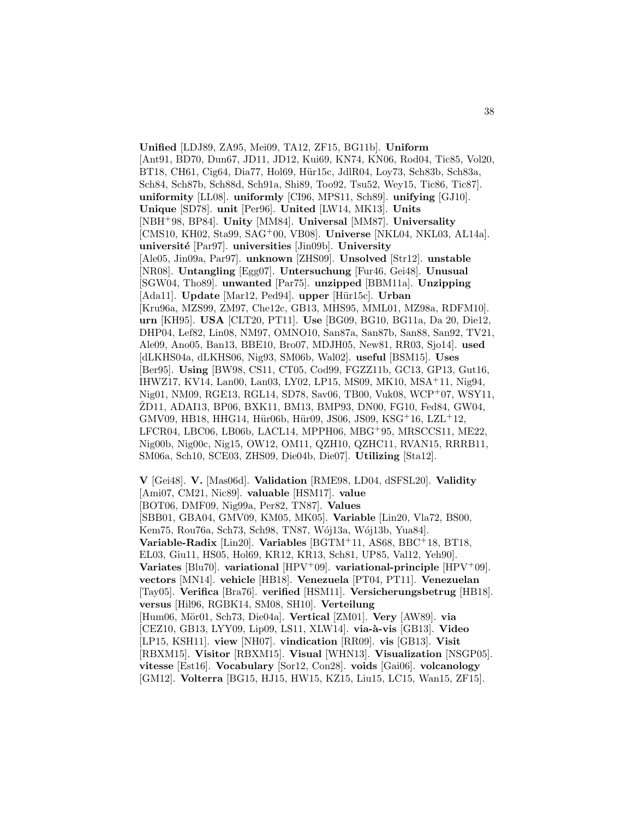**Unified** [LDJ89, ZA95, Mei09, TA12, ZF15, BG11b]. **Uniform** [Ant91, BD70, Dun67, JD11, JD12, Kui69, KN74, KN06, Rod04, Tic85, Vol20, BT18, CH61, Cig64, Dia77, Hol69, Hür15c, JdlR04, Lov73, Sch83b, Sch83a, Sch84, Sch87b, Sch88d, Sch91a, Shi89, Too92, Tsu52, Wey15, Tic86, Tic87]. **uniformity** [LL08]. **uniformly** [CI96, MPS11, Sch89]. **unifying** [GJ10]. **Unique** [SD78]. **unit** [Per96]. **United** [LW14, MK13]. **Units** [NBH<sup>+</sup>98, BP84]. **Unity** [MM84]. **Universal** [MM87]. **Universality** [CMS10, KH02, Sta99, SAG<sup>+</sup>00, VB08]. **Universe** [NKL04, NKL03, AL14a]. **universit´e** [Par97]. **universities** [Jin09b]. **University** [Ale05, Jin09a, Par97]. **unknown** [ZHS09]. **Unsolved** [Str12]. **unstable** [NR08]. **Untangling** [Egg07]. **Untersuchung** [Fur46, Gei48]. **Unusual** [SGW04, Tho89]. **unwanted** [Par75]. **unzipped** [BBM11a]. **Unzipping** [Ada11]. **Update** [Mar12, Ped94]. **upper** [Hür15c]. **Urban** [Kru96a, MZS99, ZM97, Che12c, GB13, MHS95, MML01, MZ98a, RDFM10]. **urn** [KH95]. **USA** [CLT20, PT11]. **Use** [BG09, BG10, BG11a, Da 20, Die12, DHP04, Lef82, Lin08, NM97, OMNO10, San87a, San87b, San88, San92, TV21, Ale09, Ano05, Ban13, BBE10, Bro07, MDJH05, New81, RR03, Sjo14]. **used** [dLKHS04a, dLKHS06, Nig93, SM06b, Wal02]. **useful** [BSM15]. **Uses** [Ber95]. **Using** [BW98, CS11, CT05, Cod99, FGZZ11b, GC13, GP13, Gut16, IHWZ17, KV14, Lan00, Lan03, LY02, LP15, MS09, MK10, MSA<sup>+</sup>11, Nig94, Nig01, NM09, RGE13, RGL14, SD78, Sav06, TB00, Vuk08, WCP<sup>+</sup>07, WSY11, ZD11, ADAI13, BP06, BXK11, BM13, BMP93, DN00, FG10, Fed84, GW04, GMV09, HB18, HHG14, Hür06b, Hür09, JS06, JS09, KSG<sup>+</sup>16, LZL<sup>+</sup>12, LFCR04, LBC06, LB06b, LACL14, MPPH06, MBG<sup>+</sup>95, MRSCCS11, ME22, Nig00b, Nig00c, Nig15, OW12, OM11, QZH10, QZHC11, RVAN15, RRRB11, SM06a, Sch10, SCE03, ZHS09, Die04b, Die07]. **Utilizing** [Sta12].

**V** [Gei48]. **V.** [Mas06d]. **Validation** [RME98, LD04, dSFSL20]. **Validity** [Ami07, CM21, Nic89]. **valuable** [HSM17]. **value** [BOT06, DMF09, Nig99a, Per82, TN87]. **Values** [SBB01, GBA04, GMV09, KM05, MK05]. **Variable** [Lin20, Vla72, BS00, Kem75, Rou76a, Sch73, Sch98, TN87, Wój13a, Wój13b, Yua84]. **Variable-Radix** [Lin20]. **Variables** [BGTM<sup>+</sup>11, AS68, BBC<sup>+</sup>18, BT18, EL03, Giu11, HS05, Hol69, KR12, KR13, Sch81, UP85, Val12, Yeh90]. **Variates** [Blu70]. **variational** [HPV<sup>+</sup>09]. **variational-principle** [HPV<sup>+</sup>09]. **vectors** [MN14]. **vehicle** [HB18]. **Venezuela** [PT04, PT11]. **Venezuelan** [Tay05]. **Verifica** [Bra76]. **verified** [HSM11]. **Versicherungsbetrug** [HB18]. **versus** [Hil96, RGBK14, SM08, SH10]. **Verteilung** [Hum06, M¨or01, Sch73, Die04a]. **Vertical** [ZM01]. **Very** [AW89]. **via** [CEZ10, GB13, LYY09, Lip09, LS11, XLW14]. **via-à-vis** [GB13]. **Video** [LP15, KSH11]. **view** [NH07]. **vindication** [RR09]. **vis** [GB13]. **Visit** [RBXM15]. **Visitor** [RBXM15]. **Visual** [WHN13]. **Visualization** [NSGP05]. **vitesse** [Est16]. **Vocabulary** [Sor12, Con28]. **voids** [Gai06]. **volcanology** [GM12]. **Volterra** [BG15, HJ15, HW15, KZ15, Liu15, LC15, Wan15, ZF15].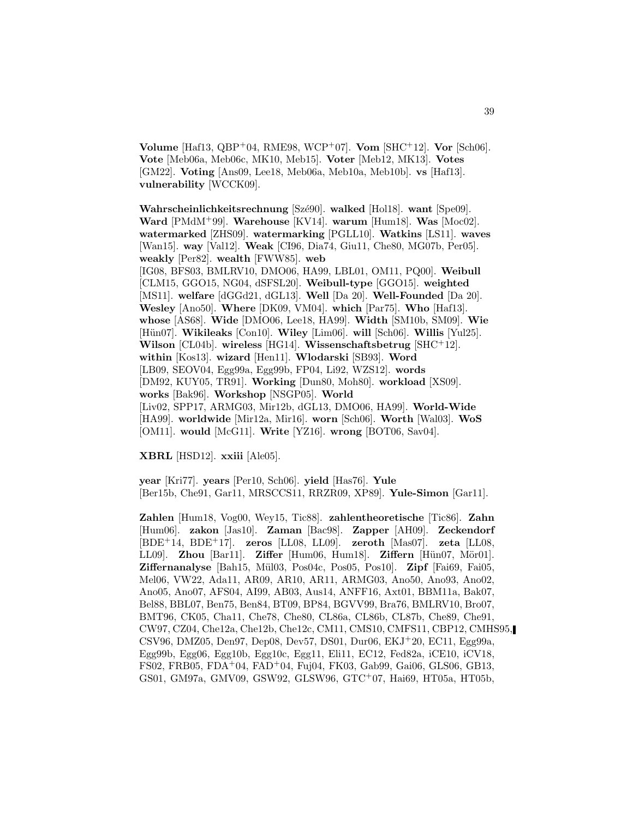**Volume** [Haf13, QBP<sup>+</sup>04, RME98, WCP<sup>+</sup>07]. **Vom** [SHC<sup>+</sup>12]. **Vor** [Sch06]. **Vote** [Meb06a, Meb06c, MK10, Meb15]. **Voter** [Meb12, MK13]. **Votes** [GM22]. **Voting** [Ans09, Lee18, Meb06a, Meb10a, Meb10b]. **vs** [Haf13]. **vulnerability** [WCCK09].

**Wahrscheinlichkeitsrechnung** [Szé90]. **walked** [Hol18]. **want** [Spe09]. **Ward** [PMdM<sup>+</sup>99]. **Warehouse** [KV14]. **warum** [Hum18]. **Was** [Moc02]. **watermarked** [ZHS09]. **watermarking** [PGLL10]. **Watkins** [LS11]. **waves** [Wan15]. **way** [Val12]. **Weak** [CI96, Dia74, Giu11, Che80, MG07b, Per05]. **weakly** [Per82]. **wealth** [FWW85]. **web** [IG08, BFS03, BMLRV10, DMO06, HA99, LBL01, OM11, PQ00]. **Weibull** [CLM15, GGO15, NG04, dSFSL20]. **Weibull-type** [GGO15]. **weighted** [MS11]. **welfare** [dGGd21, dGL13]. **Well** [Da 20]. **Well-Founded** [Da 20]. **Wesley** [Ano50]. **Where** [DK09, VM04]. **which** [Par75]. **Who** [Haf13]. **whose** [AS68]. **Wide** [DMO06, Lee18, HA99]. **Width** [SM10b, SM09]. **Wie** [Hün07]. **Wikileaks** [Con10]. **Wiley** [Lim06]. **will** [Sch06]. **Willis** [Yul25]. **Wilson** [CL04b]. **wireless** [HG14]. **Wissenschaftsbetrug** [SHC<sup>+</sup>12]. **within** [Kos13]. **wizard** [Hen11]. **Wlodarski** [SB93]. **Word** [LB09, SEOV04, Egg99a, Egg99b, FP04, Li92, WZS12]. **words** [DM92, KUY05, TR91]. **Working** [Dun80, Moh80]. **workload** [XS09]. **works** [Bak96]. **Workshop** [NSGP05]. **World** [Liv02, SPP17, ARMG03, Mir12b, dGL13, DMO06, HA99]. **World-Wide** [HA99]. **worldwide** [Mir12a, Mir16]. **worn** [Sch06]. **Worth** [Wal03]. **WoS** [OM11]. **would** [McG11]. **Write** [YZ16]. **wrong** [BOT06, Sav04].

**XBRL** [HSD12]. **xxiii** [Ale05].

**year** [Kri77]. **years** [Per10, Sch06]. **yield** [Has76]. **Yule** [Ber15b, Che91, Gar11, MRSCCS11, RRZR09, XP89]. **Yule-Simon** [Gar11].

**Zahlen** [Hum18, Vog00, Wey15, Tic88]. **zahlentheoretische** [Tic86]. **Zahn** [Hum06]. **zakon** [Jas10]. **Zaman** [Bac98]. **Zapper** [AH09]. **Zeckendorf** [BDE<sup>+</sup>14, BDE<sup>+</sup>17]. **zeros** [LL08, LL09]. **zeroth** [Mas07]. **zeta** [LL08, LL09]. **Zhou** [Bar11]. **Ziffer** [Hum06, Hum18]. **Ziffern** [Hün07, Mör01]. **Ziffernanalyse** [Bah15, M¨ul03, Pos04c, Pos05, Pos10]. **Zipf** [Fai69, Fai05, Mel06, VW22, Ada11, AR09, AR10, AR11, ARMG03, Ano50, Ano93, Ano02, Ano05, Ano07, AFS04, AI99, AB03, Aus14, ANFF16, Axt01, BBM11a, Bak07, Bel88, BBL07, Ben75, Ben84, BT09, BP84, BGVV99, Bra76, BMLRV10, Bro07, BMT96, CK05, Cha11, Che78, Che80, CL86a, CL86b, CL87b, Che89, Che91, CW97, CZ04, Che12a, Che12b, Che12c, CM11, CMS10, CMFS11, CBP12, CMHS95, CSV96, DMZ05, Den97, Dep08, Dev57, DS01, Dur06, EKJ<sup>+</sup>20, EC11, Egg99a, Egg99b, Egg06, Egg10b, Egg10c, Egg11, Eli11, EC12, Fed82a, iCE10, iCV18, FS02, FRB05, FDA<sup>+</sup>04, FAD<sup>+</sup>04, Fuj04, FK03, Gab99, Gai06, GLS06, GB13, GS01, GM97a, GMV09, GSW92, GLSW96, GTC<sup>+</sup>07, Hai69, HT05a, HT05b,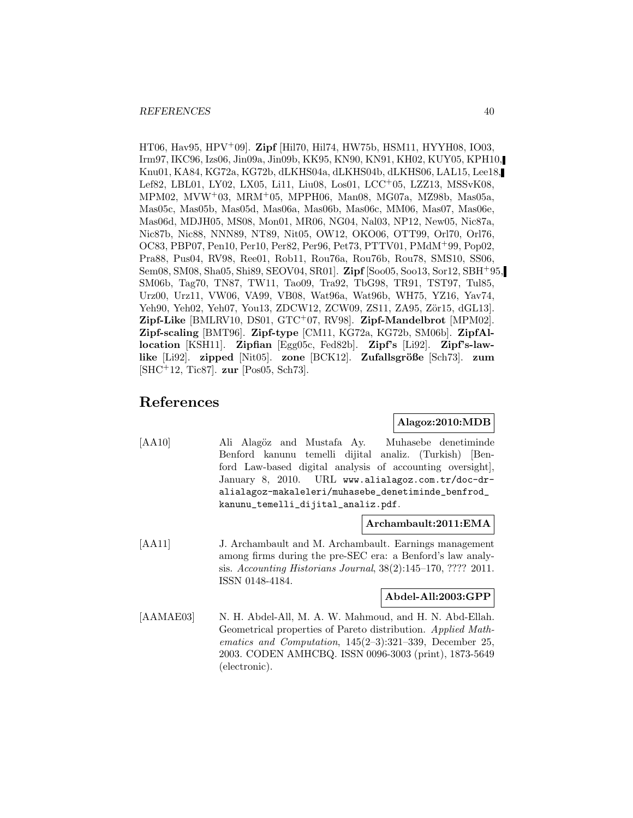HT06, Hav95, HPV<sup>+</sup>09]. **Zipf** [Hil70, Hil74, HW75b, HSM11, HYYH08, IO03, Irm97, IKC96, Izs06, Jin09a, Jin09b, KK95, KN90, KN91, KH02, KUY05, KPH10, Knu01, KA84, KG72a, KG72b, dLKHS04a, dLKHS04b, dLKHS06, LAL15, Lee18, Lef82, LBL01, LY02, LX05, Li11, Liu08, Los01, LCC<sup>+</sup>05, LZZ13, MSSvK08, MPM02, MVW<sup>+</sup>03, MRM<sup>+</sup>05, MPPH06, Man08, MG07a, MZ98b, Mas05a, Mas05c, Mas05b, Mas05d, Mas06a, Mas06b, Mas06c, MM06, Mas07, Mas06e, Mas06d, MDJH05, MS08, Mon01, MR06, NG04, Nal03, NP12, New05, Nic87a, Nic87b, Nic88, NNN89, NT89, Nit05, OW12, OKO06, OTT99, Orl70, Orl76, OC83, PBP07, Pen10, Per10, Per82, Per96, Pet73, PTTV01, PMdM<sup>+</sup>99, Pop02, Pra88, Pus04, RV98, Ree01, Rob11, Rou76a, Rou76b, Rou78, SMS10, SS06, Sem08, SM08, Sha05, Shi89, SEOV04, SR01]. **Zipf** [Soo05, Soo13, Sor12, SBH<sup>+</sup>95, SM06b, Tag70, TN87, TW11, Tao09, Tra92, TbG98, TR91, TST97, Tul85, Urz00, Urz11, VW06, VA99, VB08, Wat96a, Wat96b, WH75, YZ16, Yav74, Yeh90, Yeh02, Yeh07, You13, ZDCW12, ZCW09, ZS11, ZA95, Zör15, dGL13. **Zipf-Like** [BMLRV10, DS01, GTC<sup>+</sup>07, RV98]. **Zipf-Mandelbrot** [MPM02]. **Zipf-scaling** [BMT96]. **Zipf-type** [CM11, KG72a, KG72b, SM06b]. **ZipfAllocation** [KSH11]. **Zipfian** [Egg05c, Fed82b]. **Zipf's** [Li92]. **Zipf's-lawlike** [Li92]. **zipped** [Nit05]. **zone** [BCK12]. **Zufallsgröße** [Sch73]. **zum** [SHC<sup>+</sup>12, Tic87]. **zur** [Pos05, Sch73].

# **References**

#### **Alagoz:2010:MDB**

[AA10] Ali Alagöz and Mustafa Ay. Muhasebe denetiminde Benford kanunu temelli dijital analiz. (Turkish) [Benford Law-based digital analysis of accounting oversight], January 8, 2010. URL www.alialagoz.com.tr/doc-dralialagoz-makaleleri/muhasebe\_denetiminde\_benfrod\_ kanunu\_temelli\_dijital\_analiz.pdf.

#### **Archambault:2011:EMA**

[AA11] J. Archambault and M. Archambault. Earnings management among firms during the pre-SEC era: a Benford's law analysis. Accounting Historians Journal, 38(2):145–170, ???? 2011. ISSN 0148-4184.

# **Abdel-All:2003:GPP**

[AAMAE03] N. H. Abdel-All, M. A. W. Mahmoud, and H. N. Abd-Ellah. Geometrical properties of Pareto distribution. Applied Mathematics and Computation, 145(2–3):321–339, December 25, 2003. CODEN AMHCBQ. ISSN 0096-3003 (print), 1873-5649 (electronic).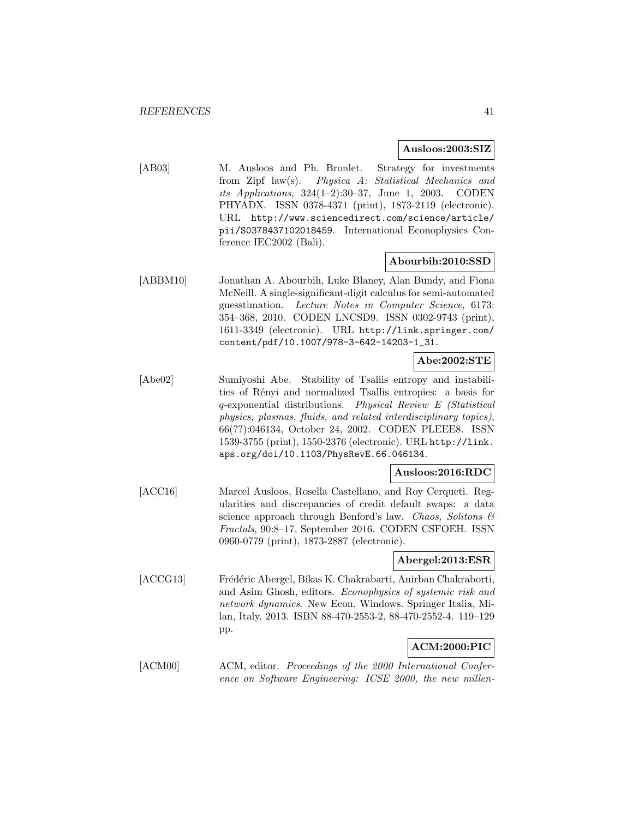#### **Ausloos:2003:SIZ**

[AB03] M. Ausloos and Ph. Bronlet. Strategy for investments from Zipf law(s). Physica A: Statistical Mechanics and its Applications, 324(1–2):30–37, June 1, 2003. CODEN PHYADX. ISSN 0378-4371 (print), 1873-2119 (electronic). URL http://www.sciencedirect.com/science/article/ pii/S0378437102018459. International Econophysics Conference IEC2002 (Bali).

#### **Abourbih:2010:SSD**

[ABBM10] Jonathan A. Abourbih, Luke Blaney, Alan Bundy, and Fiona McNeill. A single-significant-digit calculus for semi-automated guesstimation. Lecture Notes in Computer Science, 6173: 354–368, 2010. CODEN LNCSD9. ISSN 0302-9743 (print), 1611-3349 (electronic). URL http://link.springer.com/ content/pdf/10.1007/978-3-642-14203-1\_31.

# **Abe:2002:STE**

[Abe02] Sumiyoshi Abe. Stability of Tsallis entropy and instabilities of Rényi and normalized Tsallis entropies: a basis for q-exponential distributions. Physical Review E (Statistical physics, plasmas, fluids, and related interdisciplinary topics), 66(??):046134, October 24, 2002. CODEN PLEEE8. ISSN 1539-3755 (print), 1550-2376 (electronic). URL http://link. aps.org/doi/10.1103/PhysRevE.66.046134.

#### **Ausloos:2016:RDC**

[ACC16] Marcel Ausloos, Rosella Castellano, and Roy Cerqueti. Regularities and discrepancies of credit default swaps: a data science approach through Benford's law. Chaos, Solitons & Fractals, 90:8–17, September 2016. CODEN CSFOEH. ISSN 0960-0779 (print), 1873-2887 (electronic).

#### **Abergel:2013:ESR**

[ACCG13] Frédéric Abergel, Bikas K. Chakrabarti, Anirban Chakraborti, and Asim Ghosh, editors. Econophysics of systemic risk and network dynamics. New Econ. Windows. Springer Italia, Milan, Italy, 2013. ISBN 88-470-2553-2, 88-470-2552-4. 119–129 pp.

# **ACM:2000:PIC**

[ACM00] ACM, editor. Proceedings of the 2000 International Conference on Software Engineering: ICSE 2000, the new millen-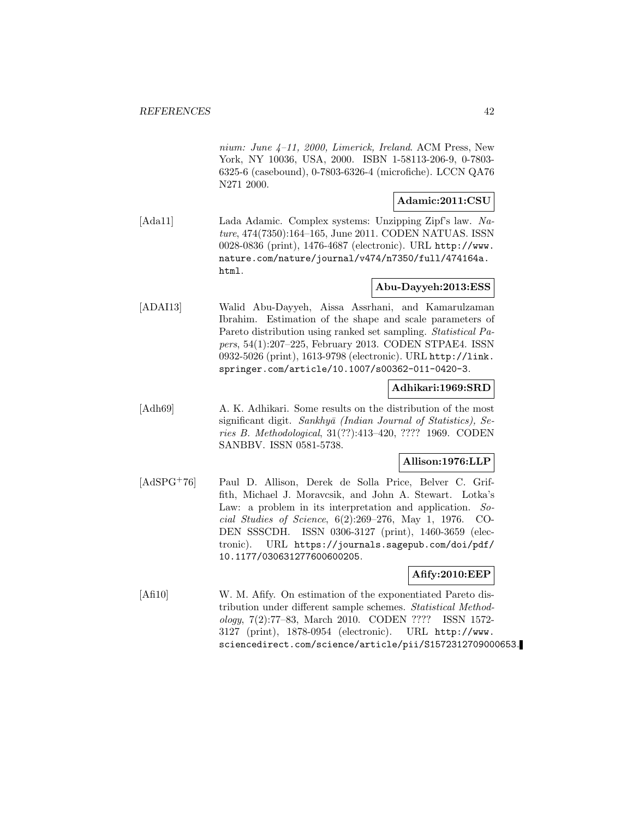nium: June 4–11, 2000, Limerick, Ireland. ACM Press, New York, NY 10036, USA, 2000. ISBN 1-58113-206-9, 0-7803- 6325-6 (casebound), 0-7803-6326-4 (microfiche). LCCN QA76 N271 2000.

#### **Adamic:2011:CSU**

[Ada11] Lada Adamic. Complex systems: Unzipping Zipf's law. Nature, 474(7350):164–165, June 2011. CODEN NATUAS. ISSN 0028-0836 (print), 1476-4687 (electronic). URL http://www. nature.com/nature/journal/v474/n7350/full/474164a. html.

# **Abu-Dayyeh:2013:ESS**

[ADAI13] Walid Abu-Dayyeh, Aissa Assrhani, and Kamarulzaman Ibrahim. Estimation of the shape and scale parameters of Pareto distribution using ranked set sampling. Statistical Papers, 54(1):207–225, February 2013. CODEN STPAE4. ISSN 0932-5026 (print), 1613-9798 (electronic). URL http://link. springer.com/article/10.1007/s00362-011-0420-3.

#### **Adhikari:1969:SRD**

[Adh69] A. K. Adhikari. Some results on the distribution of the most significant digit. Sankhyā (Indian Journal of Statistics), Series B. Methodological, 31(??):413–420, ???? 1969. CODEN SANBBV. ISSN 0581-5738.

# **Allison:1976:LLP**

[AdSPG<sup>+</sup>76] Paul D. Allison, Derek de Solla Price, Belver C. Griffith, Michael J. Moravcsik, and John A. Stewart. Lotka's Law: a problem in its interpretation and application. Social Studies of Science, 6(2):269–276, May 1, 1976. CO-DEN SSSCDH. ISSN 0306-3127 (print), 1460-3659 (electronic). URL https://journals.sagepub.com/doi/pdf/ 10.1177/030631277600600205.

#### **Afify:2010:EEP**

[Afi10] W. M. Afify. On estimation of the exponentiated Pareto distribution under different sample schemes. Statistical Methodology, 7(2):77–83, March 2010. CODEN ???? ISSN 1572- 3127 (print), 1878-0954 (electronic). URL http://www. sciencedirect.com/science/article/pii/S1572312709000653.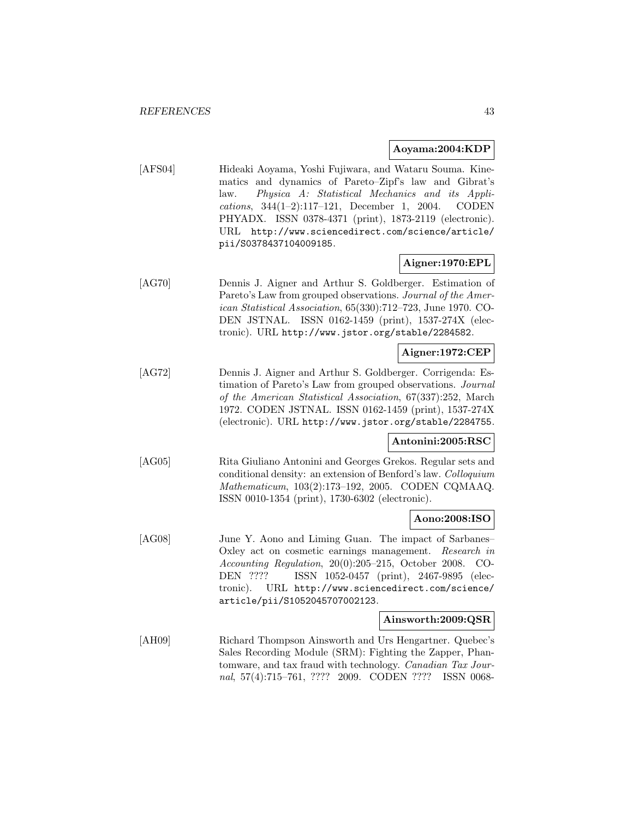#### **Aoyama:2004:KDP**

[AFS04] Hideaki Aoyama, Yoshi Fujiwara, and Wataru Souma. Kinematics and dynamics of Pareto–Zipf's law and Gibrat's law. Physica A: Statistical Mechanics and its Applications, 344(1–2):117–121, December 1, 2004. CODEN PHYADX. ISSN 0378-4371 (print), 1873-2119 (electronic). URL http://www.sciencedirect.com/science/article/ pii/S0378437104009185.

#### **Aigner:1970:EPL**

[AG70] Dennis J. Aigner and Arthur S. Goldberger. Estimation of Pareto's Law from grouped observations. Journal of the American Statistical Association, 65(330):712–723, June 1970. CO-DEN JSTNAL. ISSN 0162-1459 (print), 1537-274X (electronic). URL http://www.jstor.org/stable/2284582.

## **Aigner:1972:CEP**

[AG72] Dennis J. Aigner and Arthur S. Goldberger. Corrigenda: Estimation of Pareto's Law from grouped observations. Journal of the American Statistical Association, 67(337):252, March 1972. CODEN JSTNAL. ISSN 0162-1459 (print), 1537-274X (electronic). URL http://www.jstor.org/stable/2284755.

#### **Antonini:2005:RSC**

[AG05] Rita Giuliano Antonini and Georges Grekos. Regular sets and conditional density: an extension of Benford's law. Colloquium Mathematicum, 103(2):173–192, 2005. CODEN CQMAAQ. ISSN 0010-1354 (print), 1730-6302 (electronic).

#### **Aono:2008:ISO**

[AG08] June Y. Aono and Liming Guan. The impact of Sarbanes– Oxley act on cosmetic earnings management. Research in Accounting Regulation, 20(0):205–215, October 2008. CO-DEN ???? ISSN 1052-0457 (print), 2467-9895 (electronic). URL http://www.sciencedirect.com/science/ article/pii/S1052045707002123.

#### **Ainsworth:2009:QSR**

[AH09] Richard Thompson Ainsworth and Urs Hengartner. Quebec's Sales Recording Module (SRM): Fighting the Zapper, Phantomware, and tax fraud with technology. Canadian Tax Journal, 57(4):715–761, ???? 2009. CODEN ???? ISSN 0068-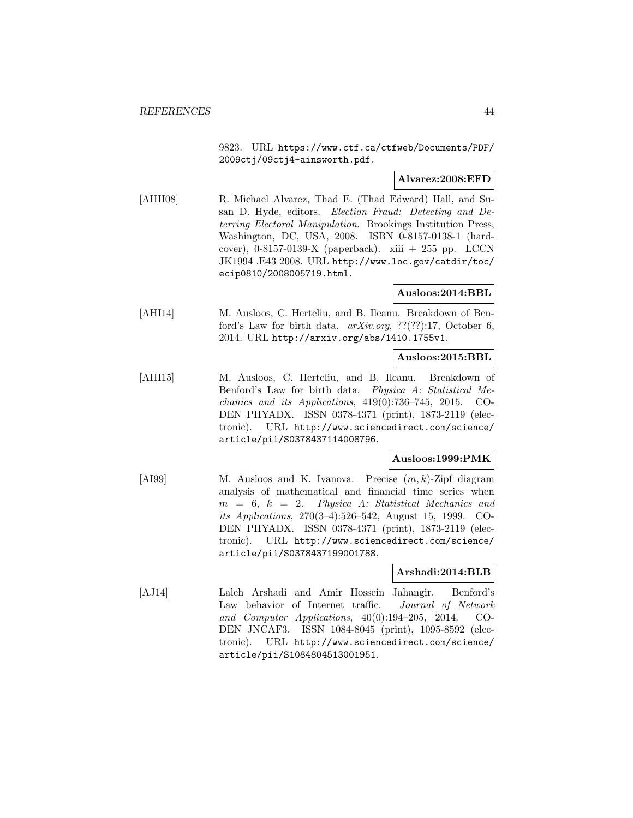9823. URL https://www.ctf.ca/ctfweb/Documents/PDF/ 2009ctj/09ctj4-ainsworth.pdf.

## **Alvarez:2008:EFD**

[AHH08] R. Michael Alvarez, Thad E. (Thad Edward) Hall, and Susan D. Hyde, editors. Election Fraud: Detecting and Deterring Electoral Manipulation. Brookings Institution Press, Washington, DC, USA, 2008. ISBN 0-8157-0138-1 (hardcover), 0-8157-0139-X (paperback). xiii + 255 pp. LCCN JK1994 .E43 2008. URL http://www.loc.gov/catdir/toc/ ecip0810/2008005719.html.

#### **Ausloos:2014:BBL**

[AHI14] M. Ausloos, C. Herteliu, and B. Ileanu. Breakdown of Benford's Law for birth data. arXiv.org, ??(??):17, October 6, 2014. URL http://arxiv.org/abs/1410.1755v1.

## **Ausloos:2015:BBL**

[AHI15] M. Ausloos, C. Herteliu, and B. Ileanu. Breakdown of Benford's Law for birth data. Physica A: Statistical Mechanics and its Applications, 419(0):736–745, 2015. CO-DEN PHYADX. ISSN 0378-4371 (print), 1873-2119 (electronic). URL http://www.sciencedirect.com/science/ article/pii/S0378437114008796.

# **Ausloos:1999:PMK**

 $[AB99]$  M. Ausloos and K. Ivanova. Precise  $(m, k)$ -Zipf diagram analysis of mathematical and financial time series when  $m = 6, k = 2$ . Physica A: Statistical Mechanics and its Applications, 270(3–4):526–542, August 15, 1999. CO-DEN PHYADX. ISSN 0378-4371 (print), 1873-2119 (electronic). URL http://www.sciencedirect.com/science/ article/pii/S0378437199001788.

# **Arshadi:2014:BLB**

[AJ14] Laleh Arshadi and Amir Hossein Jahangir. Benford's Law behavior of Internet traffic. Journal of Network and Computer Applications,  $40(0):194-205$ ,  $2014$ . CO-DEN JNCAF3. ISSN 1084-8045 (print), 1095-8592 (electronic). URL http://www.sciencedirect.com/science/ article/pii/S1084804513001951.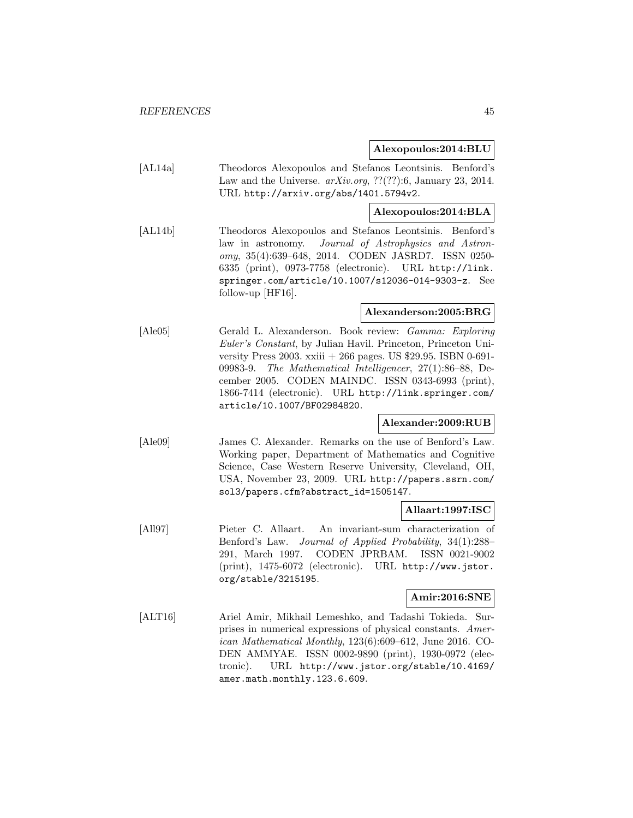#### **Alexopoulos:2014:BLU**

[AL14a] Theodoros Alexopoulos and Stefanos Leontsinis. Benford's Law and the Universe.  $arXiv.org$ , ??(??):6, January 23, 2014. URL http://arxiv.org/abs/1401.5794v2.

#### **Alexopoulos:2014:BLA**

[AL14b] Theodoros Alexopoulos and Stefanos Leontsinis. Benford's law in astronomy. Journal of Astrophysics and Astronomy, 35(4):639–648, 2014. CODEN JASRD7. ISSN 0250- 6335 (print), 0973-7758 (electronic). URL http://link. springer.com/article/10.1007/s12036-014-9303-z. See follow-up [HF16].

## **Alexanderson:2005:BRG**

[Ale05] Gerald L. Alexanderson. Book review: Gamma: Exploring Euler's Constant, by Julian Havil. Princeton, Princeton University Press 2003. xxiii + 266 pages. US \$29.95. ISBN 0-691- 09983-9. The Mathematical Intelligencer, 27(1):86–88, December 2005. CODEN MAINDC. ISSN 0343-6993 (print), 1866-7414 (electronic). URL http://link.springer.com/ article/10.1007/BF02984820.

#### **Alexander:2009:RUB**

[Ale09] James C. Alexander. Remarks on the use of Benford's Law. Working paper, Department of Mathematics and Cognitive Science, Case Western Reserve University, Cleveland, OH, USA, November 23, 2009. URL http://papers.ssrn.com/ sol3/papers.cfm?abstract\_id=1505147.

## **Allaart:1997:ISC**

[All97] Pieter C. Allaart. An invariant-sum characterization of Benford's Law. Journal of Applied Probability, 34(1):288– 291, March 1997. CODEN JPRBAM. ISSN 0021-9002 (print), 1475-6072 (electronic). URL http://www.jstor. org/stable/3215195.

# **Amir:2016:SNE**

[ALT16] Ariel Amir, Mikhail Lemeshko, and Tadashi Tokieda. Surprises in numerical expressions of physical constants. American Mathematical Monthly, 123(6):609–612, June 2016. CO-DEN AMMYAE. ISSN 0002-9890 (print), 1930-0972 (electronic). URL http://www.jstor.org/stable/10.4169/ amer.math.monthly.123.6.609.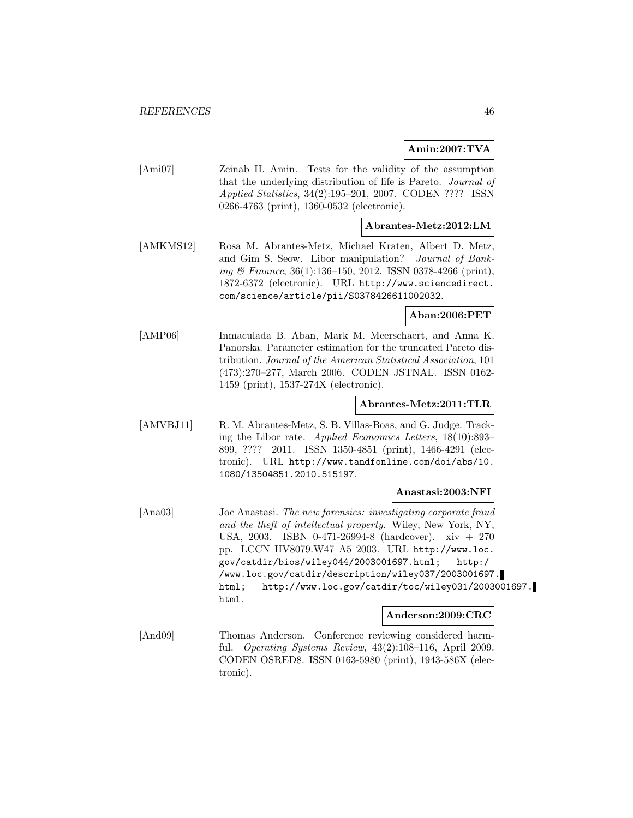## **Amin:2007:TVA**

[Ami07] Zeinab H. Amin. Tests for the validity of the assumption that the underlying distribution of life is Pareto. Journal of Applied Statistics, 34(2):195–201, 2007. CODEN ???? ISSN 0266-4763 (print), 1360-0532 (electronic).

## **Abrantes-Metz:2012:LM**

[AMKMS12] Rosa M. Abrantes-Metz, Michael Kraten, Albert D. Metz, and Gim S. Seow. Libor manipulation? Journal of Banking & Finance, 36(1):136–150, 2012. ISSN 0378-4266 (print), 1872-6372 (electronic). URL http://www.sciencedirect. com/science/article/pii/S0378426611002032.

**Aban:2006:PET**

[AMP06] Inmaculada B. Aban, Mark M. Meerschaert, and Anna K. Panorska. Parameter estimation for the truncated Pareto distribution. Journal of the American Statistical Association, 101 (473):270–277, March 2006. CODEN JSTNAL. ISSN 0162- 1459 (print), 1537-274X (electronic).

#### **Abrantes-Metz:2011:TLR**

[AMVBJ11] R. M. Abrantes-Metz, S. B. Villas-Boas, and G. Judge. Tracking the Libor rate. Applied Economics Letters, 18(10):893– 899, ???? 2011. ISSN 1350-4851 (print), 1466-4291 (electronic). URL http://www.tandfonline.com/doi/abs/10. 1080/13504851.2010.515197.

#### **Anastasi:2003:NFI**

[Ana03] Joe Anastasi. The new forensics: investigating corporate fraud and the theft of intellectual property. Wiley, New York, NY, USA, 2003. ISBN 0-471-26994-8 (hardcover). xiv + 270 pp. LCCN HV8079.W47 A5 2003. URL http://www.loc. gov/catdir/bios/wiley044/2003001697.html; http:/ /www.loc.gov/catdir/description/wiley037/2003001697. html; http://www.loc.gov/catdir/toc/wiley031/2003001697. html.

#### **Anderson:2009:CRC**

[And09] Thomas Anderson. Conference reviewing considered harmful. Operating Systems Review, 43(2):108–116, April 2009. CODEN OSRED8. ISSN 0163-5980 (print), 1943-586X (electronic).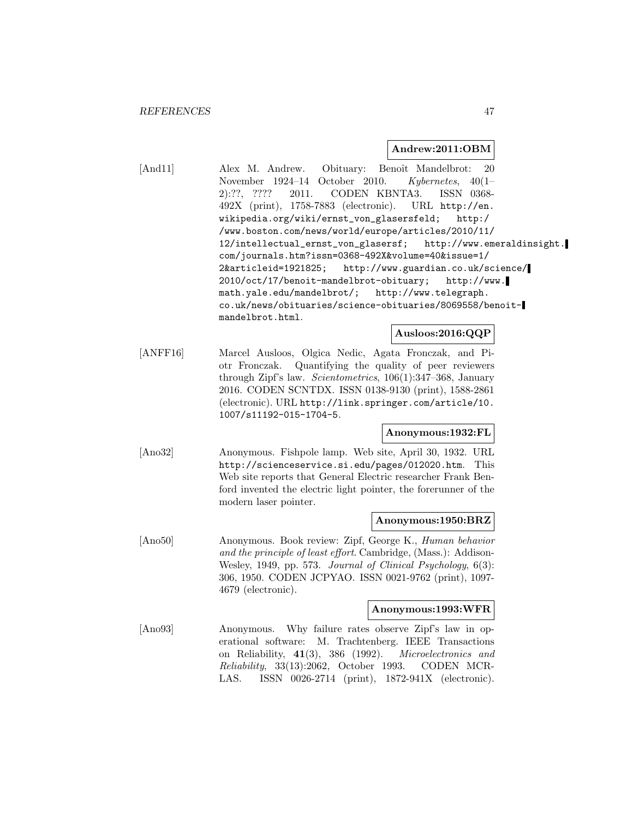#### **Andrew:2011:OBM**

[And11] Alex M. Andrew. Obituary: Benoît Mandelbrot: 20 November 1924–14 October 2010. Kybernetes, 40(1– 2):??, ???? 2011. CODEN KBNTA3. ISSN 0368- 492X (print), 1758-7883 (electronic). URL http://en. wikipedia.org/wiki/ernst\_von\_glasersfeld; http:/ /www.boston.com/news/world/europe/articles/2010/11/ 12/intellectual\_ernst\_von\_glasersf; http://www.emeraldinsight. com/journals.htm?issn=0368-492X&volume=40&issue=1/ 2&articleid=1921825; http://www.guardian.co.uk/science/ 2010/oct/17/benoit-mandelbrot-obituary; http://www. math.yale.edu/mandelbrot/; http://www.telegraph. co.uk/news/obituaries/science-obituaries/8069558/benoitmandelbrot.html.

## **Ausloos:2016:QQP**

[ANFF16] Marcel Ausloos, Olgica Nedic, Agata Fronczak, and Piotr Fronczak. Quantifying the quality of peer reviewers through Zipf's law. Scientometrics, 106(1):347–368, January 2016. CODEN SCNTDX. ISSN 0138-9130 (print), 1588-2861 (electronic). URL http://link.springer.com/article/10. 1007/s11192-015-1704-5.

#### **Anonymous:1932:FL**

[Ano32] Anonymous. Fishpole lamp. Web site, April 30, 1932. URL http://scienceservice.si.edu/pages/012020.htm. This Web site reports that General Electric researcher Frank Benford invented the electric light pointer, the forerunner of the modern laser pointer.

#### **Anonymous:1950:BRZ**

[Ano50] Anonymous. Book review: Zipf, George K., Human behavior and the principle of least effort. Cambridge, (Mass.): Addison-Wesley, 1949, pp. 573. Journal of Clinical Psychology, 6(3): 306, 1950. CODEN JCPYAO. ISSN 0021-9762 (print), 1097- 4679 (electronic).

#### **Anonymous:1993:WFR**

[Ano93] Anonymous. Why failure rates observe Zipf's law in operational software: M. Trachtenberg. IEEE Transactions on Reliability, **41**(3), 386 (1992). Microelectronics and Reliability, 33(13):2062, October 1993. CODEN MCR-LAS. ISSN 0026-2714 (print), 1872-941X (electronic).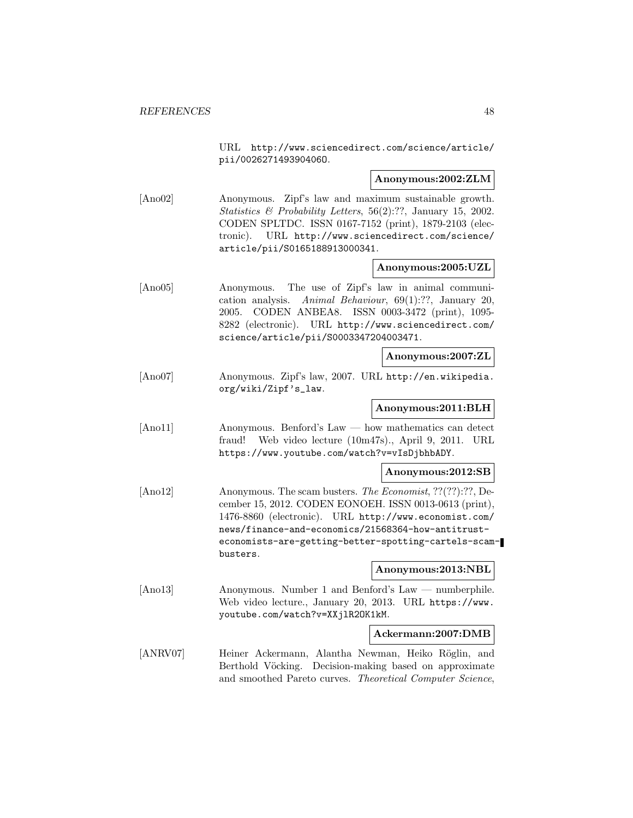URL http://www.sciencedirect.com/science/article/ pii/002627149390406O.

#### **Anonymous:2002:ZLM**

[Ano02] Anonymous. Zipf's law and maximum sustainable growth. Statistics  $\mathcal B$  Probability Letters, 56(2):??, January 15, 2002. CODEN SPLTDC. ISSN 0167-7152 (print), 1879-2103 (electronic). URL http://www.sciencedirect.com/science/ article/pii/S0165188913000341.

#### **Anonymous:2005:UZL**

[Ano05] Anonymous. The use of Zipf's law in animal communication analysis. Animal Behaviour, 69(1):??, January 20, 2005. CODEN ANBEA8. ISSN 0003-3472 (print), 1095- 8282 (electronic). URL http://www.sciencedirect.com/ science/article/pii/S0003347204003471.

#### **Anonymous:2007:ZL**

[Ano07] Anonymous. Zipf's law, 2007. URL http://en.wikipedia. org/wiki/Zipf's\_law.

## **Anonymous:2011:BLH**

[Ano11] Anonymous. Benford's Law — how mathematics can detect fraud! Web video lecture (10m47s)., April 9, 2011. URL https://www.youtube.com/watch?v=vIsDjbhbADY.

#### **Anonymous:2012:SB**

[Ano12] Anonymous. The scam busters. The Economist, ??(??):??, December 15, 2012. CODEN EONOEH. ISSN 0013-0613 (print), 1476-8860 (electronic). URL http://www.economist.com/ news/finance-and-economics/21568364-how-antitrusteconomists-are-getting-better-spotting-cartels-scambusters.

#### **Anonymous:2013:NBL**

[Ano13] Anonymous. Number 1 and Benford's Law — numberphile. Web video lecture., January 20, 2013. URL https://www. youtube.com/watch?v=XXjlR2OK1kM.

## **Ackermann:2007:DMB**

[ANRV07] Heiner Ackermann, Alantha Newman, Heiko Röglin, and Berthold Vöcking. Decision-making based on approximate and smoothed Pareto curves. Theoretical Computer Science,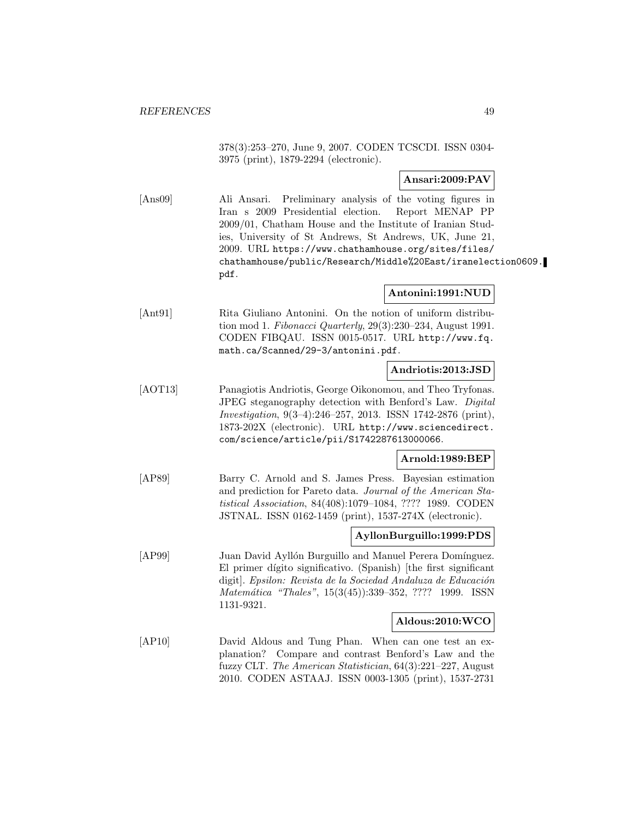378(3):253–270, June 9, 2007. CODEN TCSCDI. ISSN 0304- 3975 (print), 1879-2294 (electronic).

# **Ansari:2009:PAV**

[Ans09] Ali Ansari. Preliminary analysis of the voting figures in Iran s 2009 Presidential election. Report MENAP PP 2009/01, Chatham House and the Institute of Iranian Studies, University of St Andrews, St Andrews, UK, June 21, 2009. URL https://www.chathamhouse.org/sites/files/ chathamhouse/public/Research/Middle%20East/iranelection0609. pdf.

#### **Antonini:1991:NUD**

[Ant91] Rita Giuliano Antonini. On the notion of uniform distribution mod 1. Fibonacci Quarterly, 29(3):230–234, August 1991. CODEN FIBQAU. ISSN 0015-0517. URL http://www.fq. math.ca/Scanned/29-3/antonini.pdf.

#### **Andriotis:2013:JSD**

[AOT13] Panagiotis Andriotis, George Oikonomou, and Theo Tryfonas. JPEG steganography detection with Benford's Law. Digital Investigation, 9(3–4):246–257, 2013. ISSN 1742-2876 (print), 1873-202X (electronic). URL http://www.sciencedirect. com/science/article/pii/S1742287613000066.

# **Arnold:1989:BEP**

[AP89] Barry C. Arnold and S. James Press. Bayesian estimation and prediction for Pareto data. Journal of the American Statistical Association, 84(408):1079–1084, ???? 1989. CODEN JSTNAL. ISSN 0162-1459 (print), 1537-274X (electronic).

## **AyllonBurguillo:1999:PDS**

[AP99] Juan David Ayllón Burguillo and Manuel Perera Domínguez. El primer dígito significativo. (Spanish) [the first significant digit]. Epsilon: Revista de la Sociedad Andaluza de Educación Matemática "Thales", 15(3(45)):339–352, ???? 1999. ISSN 1131-9321.

#### **Aldous:2010:WCO**

[AP10] David Aldous and Tung Phan. When can one test an explanation? Compare and contrast Benford's Law and the fuzzy CLT. The American Statistician, 64(3):221–227, August 2010. CODEN ASTAAJ. ISSN 0003-1305 (print), 1537-2731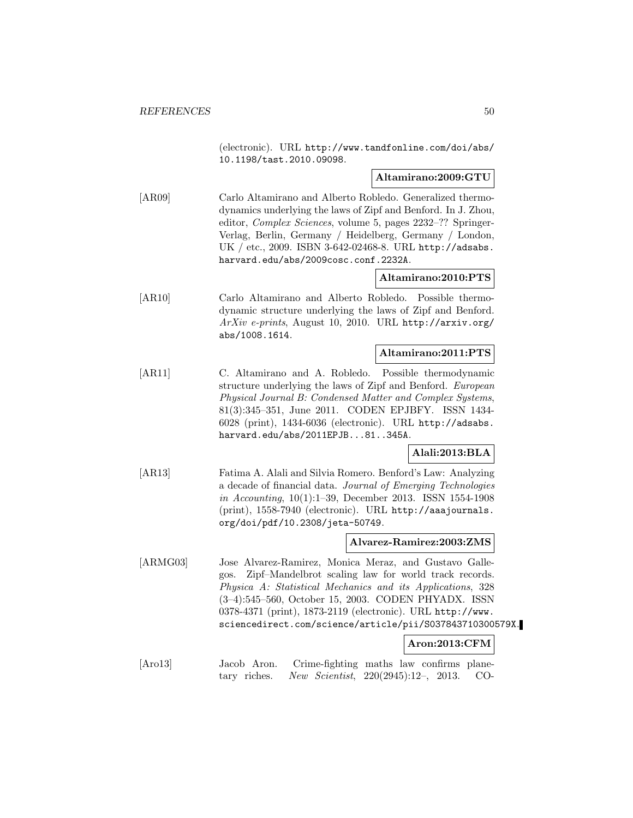(electronic). URL http://www.tandfonline.com/doi/abs/ 10.1198/tast.2010.09098.

#### **Altamirano:2009:GTU**

[AR09] Carlo Altamirano and Alberto Robledo. Generalized thermodynamics underlying the laws of Zipf and Benford. In J. Zhou, editor, Complex Sciences, volume 5, pages 2232–?? Springer-Verlag, Berlin, Germany / Heidelberg, Germany / London, UK / etc., 2009. ISBN 3-642-02468-8. URL http://adsabs. harvard.edu/abs/2009cosc.conf.2232A.

# **Altamirano:2010:PTS**

[AR10] Carlo Altamirano and Alberto Robledo. Possible thermodynamic structure underlying the laws of Zipf and Benford. ArXiv e-prints, August 10, 2010. URL http://arxiv.org/ abs/1008.1614.

#### **Altamirano:2011:PTS**

[AR11] C. Altamirano and A. Robledo. Possible thermodynamic structure underlying the laws of Zipf and Benford. European Physical Journal B: Condensed Matter and Complex Systems, 81(3):345–351, June 2011. CODEN EPJBFY. ISSN 1434- 6028 (print), 1434-6036 (electronic). URL http://adsabs. harvard.edu/abs/2011EPJB...81..345A.

# **Alali:2013:BLA**

[AR13] Fatima A. Alali and Silvia Romero. Benford's Law: Analyzing a decade of financial data. Journal of Emerging Technologies in Accounting, 10(1):1–39, December 2013. ISSN 1554-1908 (print), 1558-7940 (electronic). URL http://aaajournals. org/doi/pdf/10.2308/jeta-50749.

#### **Alvarez-Ramirez:2003:ZMS**

[ARMG03] Jose Alvarez-Ramirez, Monica Meraz, and Gustavo Gallegos. Zipf–Mandelbrot scaling law for world track records. Physica A: Statistical Mechanics and its Applications, 328 (3–4):545–560, October 15, 2003. CODEN PHYADX. ISSN 0378-4371 (print), 1873-2119 (electronic). URL http://www. sciencedirect.com/science/article/pii/S037843710300579X.

#### **Aron:2013:CFM**

| [Aro13] | Jacob Aron. Crime-fighting maths law confirms plane-   |  |  |
|---------|--------------------------------------------------------|--|--|
|         | tary riches. New Scientist, $220(2945):12-, 2013.$ CO- |  |  |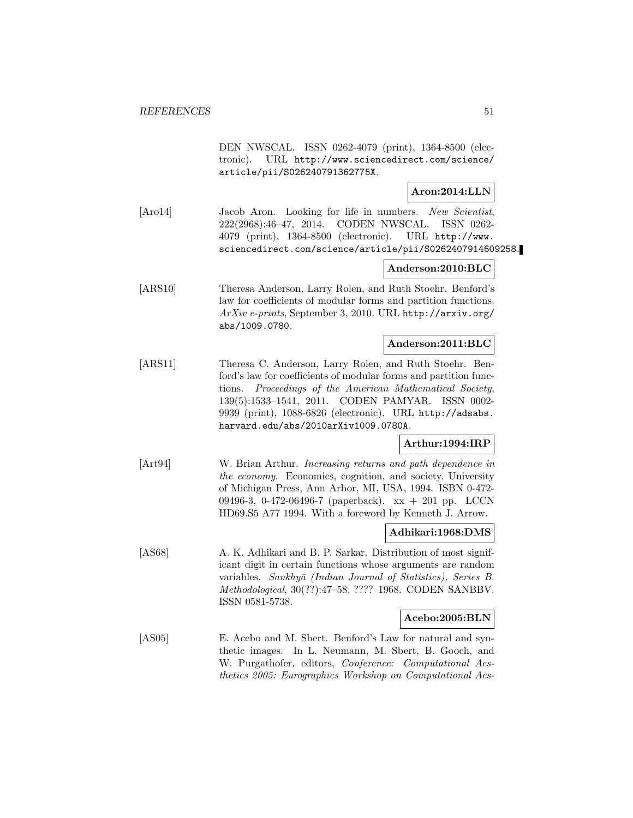DEN NWSCAL. ISSN 0262-4079 (print), 1364-8500 (electronic). URL http://www.sciencedirect.com/science/ article/pii/S026240791362775X.

## **Aron:2014:LLN**

[Aro14] Jacob Aron. Looking for life in numbers. New Scientist, 222(2968):46–47, 2014. CODEN NWSCAL. ISSN 0262- 4079 (print), 1364-8500 (electronic). URL http://www. sciencedirect.com/science/article/pii/S0262407914609258.

## **Anderson:2010:BLC**

[ARS10] Theresa Anderson, Larry Rolen, and Ruth Stoehr. Benford's law for coefficients of modular forms and partition functions. ArXiv e-prints, September 3, 2010. URL http://arxiv.org/ abs/1009.0780.

## **Anderson:2011:BLC**

[ARS11] Theresa C. Anderson, Larry Rolen, and Ruth Stoehr. Benford's law for coefficients of modular forms and partition functions. Proceedings of the American Mathematical Society, 139(5):1533–1541, 2011. CODEN PAMYAR. ISSN 0002- 9939 (print), 1088-6826 (electronic). URL http://adsabs. harvard.edu/abs/2010arXiv1009.0780A.

## **Arthur:1994:IRP**

[Art94] W. Brian Arthur. Increasing returns and path dependence in the economy. Economics, cognition, and society. University of Michigan Press, Ann Arbor, MI, USA, 1994. ISBN 0-472- 09496-3, 0-472-06496-7 (paperback). xx + 201 pp. LCCN HD69.S5 A77 1994. With a foreword by Kenneth J. Arrow.

#### **Adhikari:1968:DMS**

[AS68] A. K. Adhikari and B. P. Sarkar. Distribution of most significant digit in certain functions whose arguments are random variables. Sankhyā (Indian Journal of Statistics), Series B. Methodological, 30(??):47–58, ???? 1968. CODEN SANBBV. ISSN 0581-5738.

#### **Acebo:2005:BLN**

[AS05] E. Acebo and M. Sbert. Benford's Law for natural and synthetic images. In L. Neumann, M. Sbert, B. Gooch, and W. Purgathofer, editors, Conference: Computational Aesthetics 2005: Eurographics Workshop on Computational Aes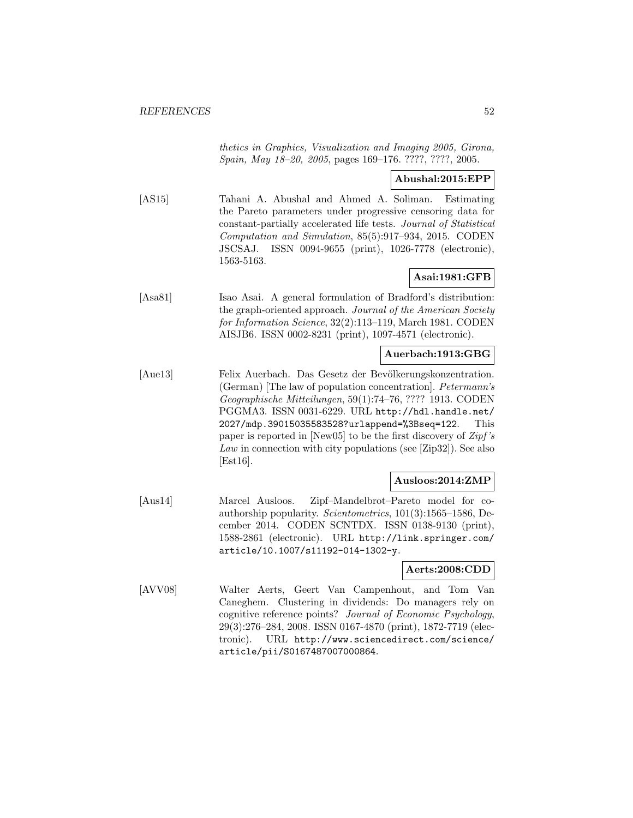thetics in Graphics, Visualization and Imaging 2005, Girona, Spain, May 18–20, 2005, pages 169–176. ????, ????, 2005.

## **Abushal:2015:EPP**

[AS15] Tahani A. Abushal and Ahmed A. Soliman. Estimating the Pareto parameters under progressive censoring data for constant-partially accelerated life tests. Journal of Statistical Computation and Simulation, 85(5):917–934, 2015. CODEN JSCSAJ. ISSN 0094-9655 (print), 1026-7778 (electronic), 1563-5163.

# **Asai:1981:GFB**

[Asa81] Isao Asai. A general formulation of Bradford's distribution: the graph-oriented approach. Journal of the American Society for Information Science, 32(2):113–119, March 1981. CODEN AISJB6. ISSN 0002-8231 (print), 1097-4571 (electronic).

#### **Auerbach:1913:GBG**

[Aue13] Felix Auerbach. Das Gesetz der Bevölkerungskonzentration. (German) [The law of population concentration]. Petermann's Geographische Mitteilungen, 59(1):74–76, ???? 1913. CODEN PGGMA3. ISSN 0031-6229. URL http://hdl.handle.net/ 2027/mdp.39015035583528?urlappend=%3Bseq=122. This paper is reported in [New05] to be the first discovery of  $Zipf's$ Law in connection with city populations (see [Zip32]). See also [Est16].

#### **Ausloos:2014:ZMP**

[Aus14] Marcel Ausloos. Zipf–Mandelbrot–Pareto model for coauthorship popularity. Scientometrics, 101(3):1565–1586, December 2014. CODEN SCNTDX. ISSN 0138-9130 (print), 1588-2861 (electronic). URL http://link.springer.com/ article/10.1007/s11192-014-1302-y.

### **Aerts:2008:CDD**

[AVV08] Walter Aerts, Geert Van Campenhout, and Tom Van Caneghem. Clustering in dividends: Do managers rely on cognitive reference points? Journal of Economic Psychology, 29(3):276–284, 2008. ISSN 0167-4870 (print), 1872-7719 (electronic). URL http://www.sciencedirect.com/science/ article/pii/S0167487007000864.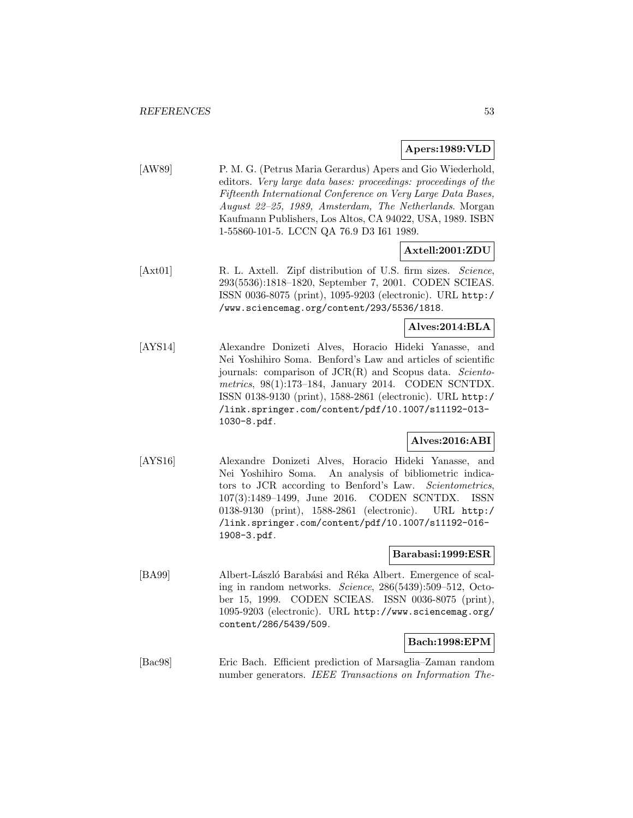#### **Apers:1989:VLD**

[AW89] P. M. G. (Petrus Maria Gerardus) Apers and Gio Wiederhold, editors. Very large data bases: proceedings: proceedings of the Fifteenth International Conference on Very Large Data Bases, August 22–25, 1989, Amsterdam, The Netherlands. Morgan Kaufmann Publishers, Los Altos, CA 94022, USA, 1989. ISBN 1-55860-101-5. LCCN QA 76.9 D3 I61 1989.

**Axtell:2001:ZDU**

[Axt01] R. L. Axtell. Zipf distribution of U.S. firm sizes. Science, 293(5536):1818–1820, September 7, 2001. CODEN SCIEAS. ISSN 0036-8075 (print), 1095-9203 (electronic). URL http:/ /www.sciencemag.org/content/293/5536/1818.

**Alves:2014:BLA**

[AYS14] Alexandre Donizeti Alves, Horacio Hideki Yanasse, and Nei Yoshihiro Soma. Benford's Law and articles of scientific journals: comparison of  $JCR(R)$  and Scopus data. Scientometrics, 98(1):173–184, January 2014. CODEN SCNTDX. ISSN 0138-9130 (print), 1588-2861 (electronic). URL http:/ /link.springer.com/content/pdf/10.1007/s11192-013- 1030-8.pdf.

#### **Alves:2016:ABI**

[AYS16] Alexandre Donizeti Alves, Horacio Hideki Yanasse, and Nei Yoshihiro Soma. An analysis of bibliometric indicators to JCR according to Benford's Law. Scientometrics, 107(3):1489–1499, June 2016. CODEN SCNTDX. ISSN 0138-9130 (print), 1588-2861 (electronic). URL http:/ /link.springer.com/content/pdf/10.1007/s11192-016- 1908-3.pdf.

#### **Barabasi:1999:ESR**

[BA99] Albert-László Barabási and Réka Albert. Emergence of scaling in random networks. Science, 286(5439):509–512, October 15, 1999. CODEN SCIEAS. ISSN 0036-8075 (print), 1095-9203 (electronic). URL http://www.sciencemag.org/ content/286/5439/509.

# **Bach:1998:EPM**

[Bac98] Eric Bach. Efficient prediction of Marsaglia–Zaman random number generators. IEEE Transactions on Information The-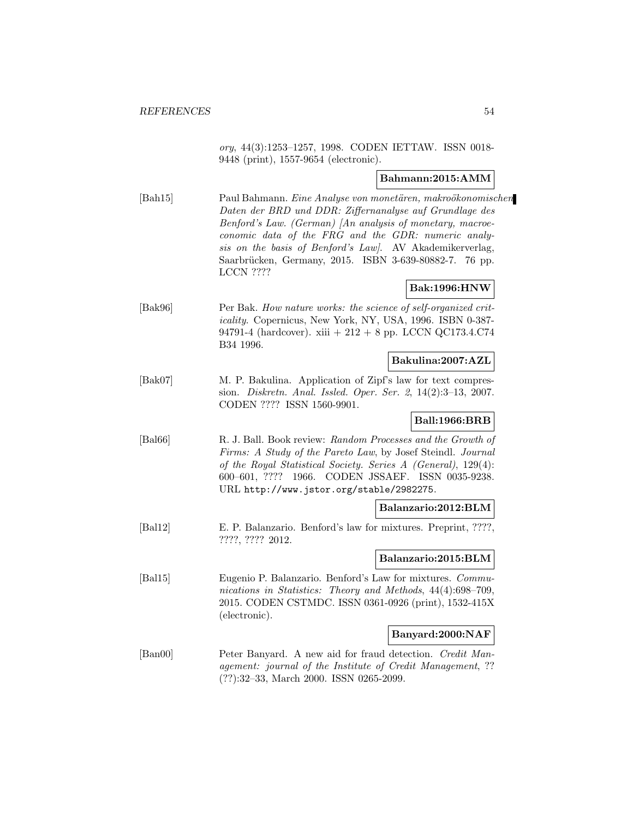ory, 44(3):1253–1257, 1998. CODEN IETTAW. ISSN 0018- 9448 (print), 1557-9654 (electronic).

## **Bahmann:2015:AMM**

[Bah15] Paul Bahmann. Eine Analyse von monetären, makroökonomischen Daten der BRD und DDR: Ziffernanalyse auf Grundlage des Benford's Law. (German) [An analysis of monetary, macroeconomic data of the FRG and the GDR: numeric analysis on the basis of Benford's Law]. AV Akademikerverlag, Saarbrücken, Germany, 2015. ISBN 3-639-80882-7. 76 pp. LCCN ????

# **Bak:1996:HNW**

[Bak96] Per Bak. How nature works: the science of self-organized criticality. Copernicus, New York, NY, USA, 1996. ISBN 0-387- 94791-4 (hardcover). xiii + 212 + 8 pp. LCCN QC173.4.C74 B34 1996.

# **Bakulina:2007:AZL**

[Bak07] M. P. Bakulina. Application of Zipf's law for text compression. Diskretn. Anal. Issled. Oper. Ser. 2, 14(2):3–13, 2007. CODEN ???? ISSN 1560-9901.

# **Ball:1966:BRB**

[Bal66] R. J. Ball. Book review: Random Processes and the Growth of Firms: A Study of the Pareto Law, by Josef Steindl. Journal of the Royal Statistical Society. Series A (General), 129(4): 600–601, ???? 1966. CODEN JSSAEF. ISSN 0035-9238. URL http://www.jstor.org/stable/2982275.

#### **Balanzario:2012:BLM**

[Bal12] E. P. Balanzario. Benford's law for mixtures. Preprint, ????, ????, ???? 2012.

**Balanzario:2015:BLM**

[Bal15] Eugenio P. Balanzario. Benford's Law for mixtures. Communications in Statistics: Theory and Methods, 44(4):698–709, 2015. CODEN CSTMDC. ISSN 0361-0926 (print), 1532-415X (electronic).

#### **Banyard:2000:NAF**

[Ban00] Peter Banyard. A new aid for fraud detection. Credit Management: journal of the Institute of Credit Management, ?? (??):32–33, March 2000. ISSN 0265-2099.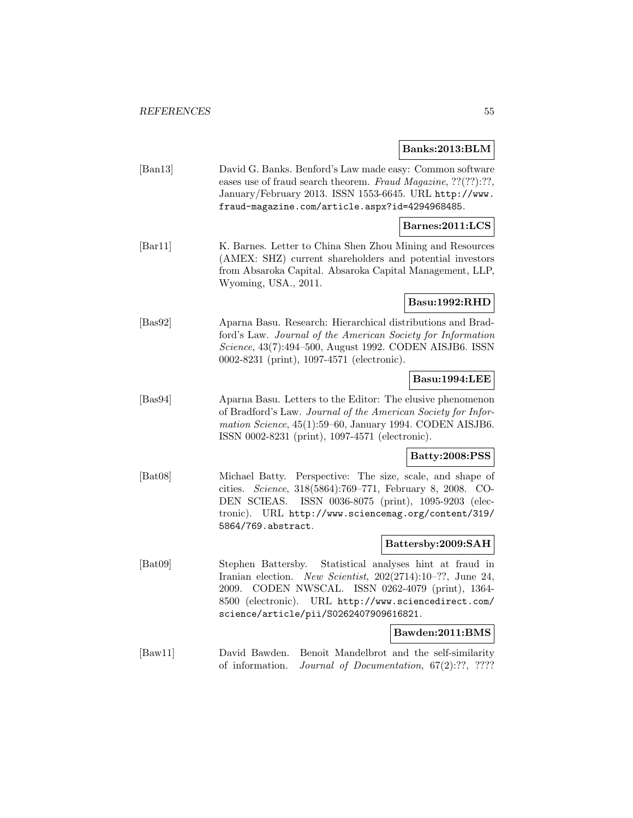# **Banks:2013:BLM**

|                             |                                                                                                                                                                                                                                                                   | Daliks:2019:DLIM                      |
|-----------------------------|-------------------------------------------------------------------------------------------------------------------------------------------------------------------------------------------------------------------------------------------------------------------|---------------------------------------|
| $\left[\text{Ban}13\right]$ | David G. Banks. Benford's Law made easy: Common software<br>eases use of fraud search theorem. Fraud Magazine, ??(??):??,<br>January/February 2013. ISSN 1553-6645. URL http://www.<br>fraud-magazine.com/article.aspx?id=4294968485.                             |                                       |
|                             |                                                                                                                                                                                                                                                                   | Barnes:2011:LCS                       |
| [Bar11]                     | K. Barnes. Letter to China Shen Zhou Mining and Resources<br>(AMEX: SHZ) current shareholders and potential investors<br>from Absaroka Capital. Absaroka Capital Management, LLP,<br>Wyoming, USA., 2011.                                                         |                                       |
|                             |                                                                                                                                                                                                                                                                   | Basu:1992:RHD                         |
| [Bas92]                     | Aparna Basu. Research: Hierarchical distributions and Brad-<br>ford's Law. Journal of the American Society for Information<br>Science, 43(7):494-500, August 1992. CODEN AISJB6. ISSN<br>0002-8231 (print), 1097-4571 (electronic).                               |                                       |
|                             |                                                                                                                                                                                                                                                                   | Basu:1994:LEE                         |
| [Bas94]                     | Aparna Basu. Letters to the Editor: The elusive phenomenon<br>of Bradford's Law. Journal of the American Society for Infor-<br>mation Science, 45(1):59-60, January 1994. CODEN AISJB6.<br>ISSN 0002-8231 (print), 1097-4571 (electronic).                        |                                       |
|                             |                                                                                                                                                                                                                                                                   | Batty:2008:PSS                        |
| [ <b>Bat08</b> ]            | Michael Batty. Perspective: The size, scale, and shape of<br>Science, 318(5864):769-771, February 8, 2008. CO-<br>cities.<br>ISSN 0036-8075 (print), 1095-9203 (elec-<br>DEN SCIEAS.<br>tronic). URL http://www.sciencemag.org/content/319/<br>5864/769.abstract. |                                       |
|                             |                                                                                                                                                                                                                                                                   | Battersby:2009:SAH                    |
| [ <b>Bat09</b> ]            | Stephen Battersby.<br>Iranian election. New Scientist, 202(2714):10-??, June 24,<br>CODEN NWSCAL. ISSN 0262-4079 (print), 1364-<br>2009.<br>8500 (electronic). URL http://www.sciencedirect.com/<br>science/article/pii/S0262407909616821.                        | Statistical analyses hint at fraud in |
|                             |                                                                                                                                                                                                                                                                   | Bawden:2011:BMS                       |

[Baw11] David Bawden. Benoît Mandelbrot and the self-similarity of information. Journal of Documentation, 67(2):??, ????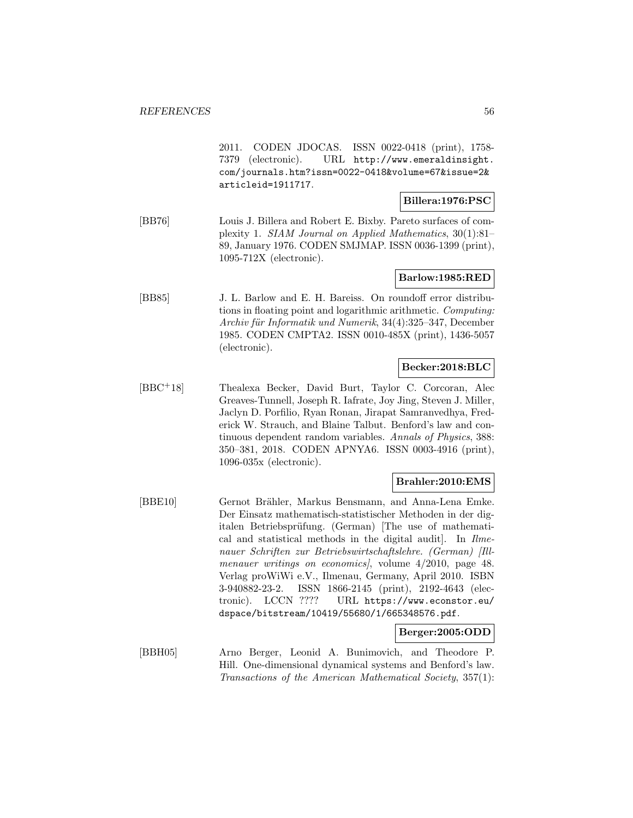2011. CODEN JDOCAS. ISSN 0022-0418 (print), 1758- 7379 (electronic). URL http://www.emeraldinsight. com/journals.htm?issn=0022-0418&volume=67&issue=2& articleid=1911717.

#### **Billera:1976:PSC**

[BB76] Louis J. Billera and Robert E. Bixby. Pareto surfaces of complexity 1. SIAM Journal on Applied Mathematics, 30(1):81– 89, January 1976. CODEN SMJMAP. ISSN 0036-1399 (print), 1095-712X (electronic).

# **Barlow:1985:RED**

[BB85] J. L. Barlow and E. H. Bareiss. On roundoff error distributions in floating point and logarithmic arithmetic. Computing: Archiv für Informatik und Numerik, 34(4):325-347, December 1985. CODEN CMPTA2. ISSN 0010-485X (print), 1436-5057 (electronic).

#### **Becker:2018:BLC**

[BBC<sup>+</sup>18] Thealexa Becker, David Burt, Taylor C. Corcoran, Alec Greaves-Tunnell, Joseph R. Iafrate, Joy Jing, Steven J. Miller, Jaclyn D. Porfilio, Ryan Ronan, Jirapat Samranvedhya, Frederick W. Strauch, and Blaine Talbut. Benford's law and continuous dependent random variables. Annals of Physics, 388: 350–381, 2018. CODEN APNYA6. ISSN 0003-4916 (print), 1096-035x (electronic).

## **Brahler:2010:EMS**

[BBE10] Gernot Brähler, Markus Bensmann, and Anna-Lena Emke. Der Einsatz mathematisch-statistischer Methoden in der digitalen Betriebsprüfung. (German) [The use of mathematical and statistical methods in the digital audit. In *Ilme*nauer Schriften zur Betriebswirtschaftslehre. (German) [Illmenauer writings on economics, volume  $4/2010$ , page 48. Verlag proWiWi e.V., Ilmenau, Germany, April 2010. ISBN 3-940882-23-2. ISSN 1866-2145 (print), 2192-4643 (electronic). LCCN ???? URL https://www.econstor.eu/ dspace/bitstream/10419/55680/1/665348576.pdf.

#### **Berger:2005:ODD**

[BBH05] Arno Berger, Leonid A. Bunimovich, and Theodore P. Hill. One-dimensional dynamical systems and Benford's law. Transactions of the American Mathematical Society, 357(1):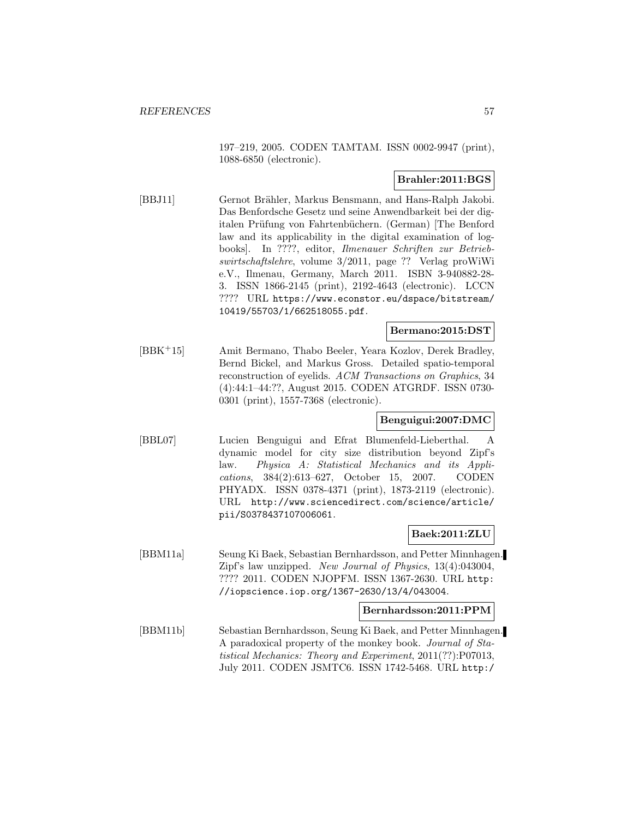197–219, 2005. CODEN TAMTAM. ISSN 0002-9947 (print), 1088-6850 (electronic).

# **Brahler:2011:BGS**

[BBJ11] Gernot Brähler, Markus Bensmann, and Hans-Ralph Jakobi. Das Benfordsche Gesetz und seine Anwendbarkeit bei der digitalen Prüfung von Fahrtenbüchern. (German) [The Benford law and its applicability in the digital examination of logbooks]. In ????, editor, Ilmenauer Schriften zur Betriebswirtschaftslehre, volume 3/2011, page ?? Verlag proWiWi e.V., Ilmenau, Germany, March 2011. ISBN 3-940882-28- 3. ISSN 1866-2145 (print), 2192-4643 (electronic). LCCN ???? URL https://www.econstor.eu/dspace/bitstream/ 10419/55703/1/662518055.pdf.

#### **Bermano:2015:DST**

[BBK<sup>+</sup>15] Amit Bermano, Thabo Beeler, Yeara Kozlov, Derek Bradley, Bernd Bickel, and Markus Gross. Detailed spatio-temporal reconstruction of eyelids. ACM Transactions on Graphics, 34 (4):44:1–44:??, August 2015. CODEN ATGRDF. ISSN 0730- 0301 (print), 1557-7368 (electronic).

#### **Benguigui:2007:DMC**

[BBL07] Lucien Benguigui and Efrat Blumenfeld-Lieberthal. A dynamic model for city size distribution beyond Zipf's law. Physica A: Statistical Mechanics and its Applications, 384(2):613–627, October 15, 2007. CODEN PHYADX. ISSN 0378-4371 (print), 1873-2119 (electronic). URL http://www.sciencedirect.com/science/article/ pii/S0378437107006061.

## **Baek:2011:ZLU**

[BBM11a] Seung Ki Baek, Sebastian Bernhardsson, and Petter Minnhagen. Zipf's law unzipped. New Journal of Physics, 13(4):043004, ???? 2011. CODEN NJOPFM. ISSN 1367-2630. URL http: //iopscience.iop.org/1367-2630/13/4/043004.

#### **Bernhardsson:2011:PPM**

[BBM11b] Sebastian Bernhardsson, Seung Ki Baek, and Petter Minnhagen. A paradoxical property of the monkey book. Journal of Statistical Mechanics: Theory and Experiment, 2011(??):P07013, July 2011. CODEN JSMTC6. ISSN 1742-5468. URL http:/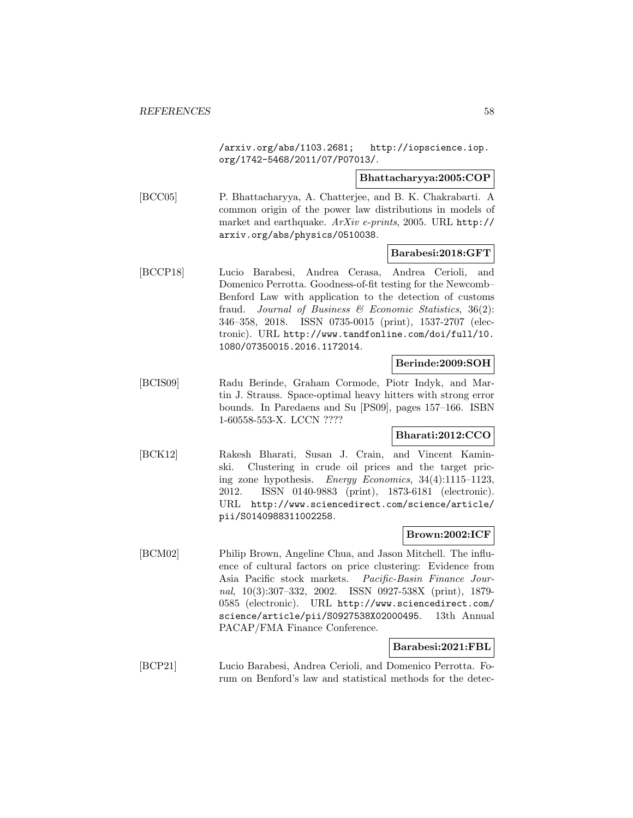/arxiv.org/abs/1103.2681; http://iopscience.iop. org/1742-5468/2011/07/P07013/.

**Bhattacharyya:2005:COP**

[BCC05] P. Bhattacharyya, A. Chatterjee, and B. K. Chakrabarti. A common origin of the power law distributions in models of market and earthquake. ArXiv e-prints, 2005. URL http:// arxiv.org/abs/physics/0510038.

#### **Barabesi:2018:GFT**

[BCCP18] Lucio Barabesi, Andrea Cerasa, Andrea Cerioli, and Domenico Perrotta. Goodness-of-fit testing for the Newcomb– Benford Law with application to the detection of customs fraud. Journal of Business & Economic Statistics, 36(2): 346–358, 2018. ISSN 0735-0015 (print), 1537-2707 (electronic). URL http://www.tandfonline.com/doi/full/10. 1080/07350015.2016.1172014.

# **Berinde:2009:SOH**

[BCIS09] Radu Berinde, Graham Cormode, Piotr Indyk, and Martin J. Strauss. Space-optimal heavy hitters with strong error bounds. In Paredaens and Su [PS09], pages 157–166. ISBN 1-60558-553-X. LCCN ????

#### **Bharati:2012:CCO**

[BCK12] Rakesh Bharati, Susan J. Crain, and Vincent Kaminski. Clustering in crude oil prices and the target pricing zone hypothesis. Energy Economics, 34(4):1115–1123, 2012. ISSN 0140-9883 (print), 1873-6181 (electronic). URL http://www.sciencedirect.com/science/article/ pii/S0140988311002258.

## **Brown:2002:ICF**

[BCM02] Philip Brown, Angeline Chua, and Jason Mitchell. The influence of cultural factors on price clustering: Evidence from Asia Pacific stock markets. Pacific-Basin Finance Journal, 10(3):307–332, 2002. ISSN 0927-538X (print), 1879- 0585 (electronic). URL http://www.sciencedirect.com/ science/article/pii/S0927538X02000495. 13th Annual PACAP/FMA Finance Conference.

#### **Barabesi:2021:FBL**

[BCP21] Lucio Barabesi, Andrea Cerioli, and Domenico Perrotta. Forum on Benford's law and statistical methods for the detec-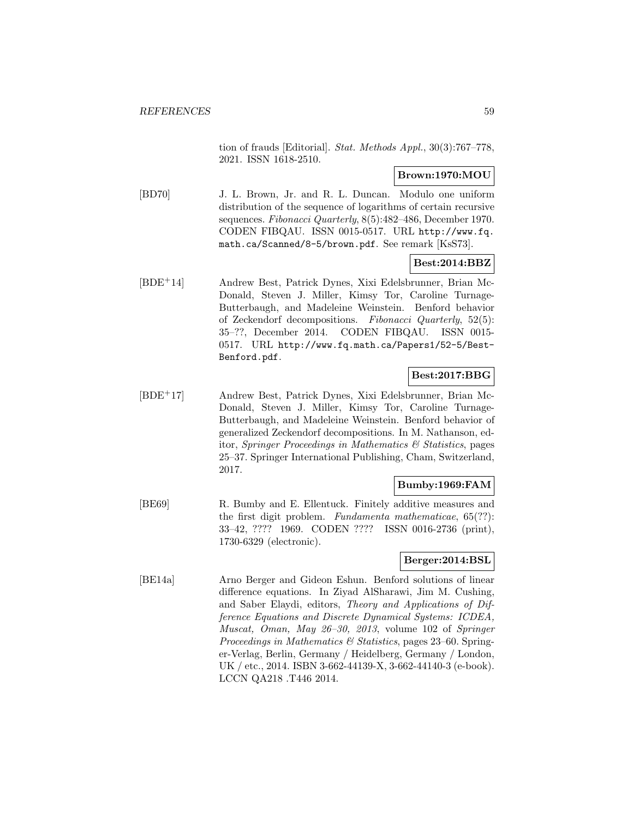tion of frauds [Editorial]. Stat. Methods Appl., 30(3):767-778, 2021. ISSN 1618-2510.

# **Brown:1970:MOU**

[BD70] J. L. Brown, Jr. and R. L. Duncan. Modulo one uniform distribution of the sequence of logarithms of certain recursive sequences. Fibonacci Quarterly, 8(5):482-486, December 1970. CODEN FIBQAU. ISSN 0015-0517. URL http://www.fq. math.ca/Scanned/8-5/brown.pdf. See remark [KsS73].

# **Best:2014:BBZ**

[BDE<sup>+</sup>14] Andrew Best, Patrick Dynes, Xixi Edelsbrunner, Brian Mc-Donald, Steven J. Miller, Kimsy Tor, Caroline Turnage-Butterbaugh, and Madeleine Weinstein. Benford behavior of Zeckendorf decompositions. Fibonacci Quarterly, 52(5): 35–??, December 2014. CODEN FIBQAU. ISSN 0015- 0517. URL http://www.fq.math.ca/Papers1/52-5/Best-Benford.pdf.

## **Best:2017:BBG**

[BDE<sup>+</sup>17] Andrew Best, Patrick Dynes, Xixi Edelsbrunner, Brian Mc-Donald, Steven J. Miller, Kimsy Tor, Caroline Turnage-Butterbaugh, and Madeleine Weinstein. Benford behavior of generalized Zeckendorf decompositions. In M. Nathanson, editor, Springer Proceedings in Mathematics  $\mathcal C$  Statistics, pages 25–37. Springer International Publishing, Cham, Switzerland, 2017.

## **Bumby:1969:FAM**

[BE69] R. Bumby and E. Ellentuck. Finitely additive measures and the first digit problem. Fundamenta mathematicae, 65(??): 33–42, ???? 1969. CODEN ???? ISSN 0016-2736 (print), 1730-6329 (electronic).

# **Berger:2014:BSL**

[BE14a] Arno Berger and Gideon Eshun. Benford solutions of linear difference equations. In Ziyad AlSharawi, Jim M. Cushing, and Saber Elaydi, editors, Theory and Applications of Difference Equations and Discrete Dynamical Systems: ICDEA, Muscat, Oman, May 26–30, 2013, volume 102 of Springer Proceedings in Mathematics  $\mathcal C$  Statistics, pages 23–60. Springer-Verlag, Berlin, Germany / Heidelberg, Germany / London, UK / etc., 2014. ISBN 3-662-44139-X, 3-662-44140-3 (e-book). LCCN QA218 .T446 2014.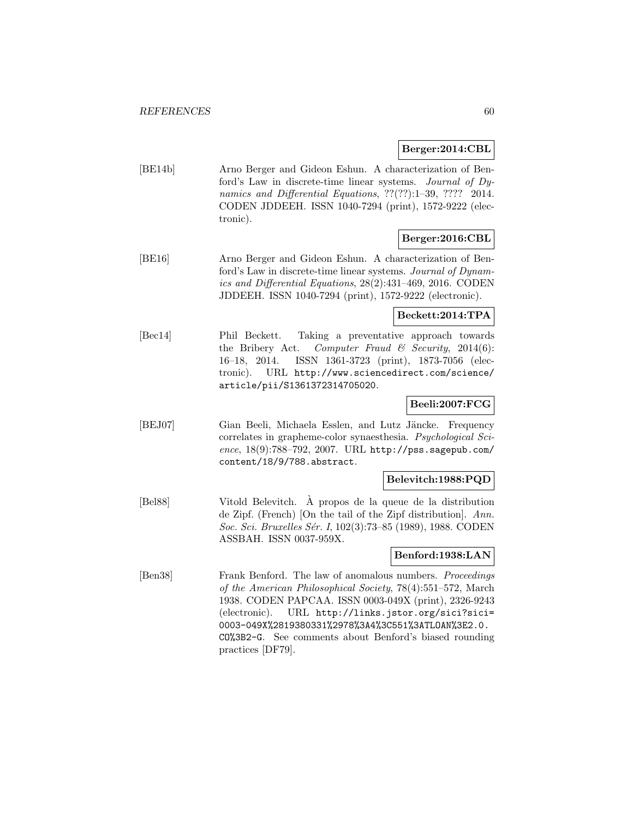#### **Berger:2014:CBL**

[BE14b] Arno Berger and Gideon Eshun. A characterization of Benford's Law in discrete-time linear systems. Journal of Dynamics and Differential Equations, ??(??):1–39, ???? 2014. CODEN JDDEEH. ISSN 1040-7294 (print), 1572-9222 (electronic).

# **Berger:2016:CBL**

[BE16] Arno Berger and Gideon Eshun. A characterization of Benford's Law in discrete-time linear systems. Journal of Dynamics and Differential Equations, 28(2):431–469, 2016. CODEN JDDEEH. ISSN 1040-7294 (print), 1572-9222 (electronic).

## **Beckett:2014:TPA**

[Bec14] Phil Beckett. Taking a preventative approach towards the Bribery Act. Computer Fraud & Security, 2014(6): 16–18, 2014. ISSN 1361-3723 (print), 1873-7056 (electronic). URL http://www.sciencedirect.com/science/ article/pii/S1361372314705020.

# **Beeli:2007:FCG**

[BEJ07] Gian Beeli, Michaela Esslen, and Lutz Jäncke. Frequency correlates in grapheme-color synaesthesia. Psychological Science,  $18(9)$ :788-792, 2007. URL http://pss.sagepub.com/ content/18/9/788.abstract.

### **Belevitch:1988:PQD**

[Bel88] Vitold Belevitch. A propos de la queue de la distribution ` de Zipf. (French) [On the tail of the Zipf distribution]. Ann. Soc. Sci. Bruxelles Sér. I, 102(3):73–85 (1989), 1988. CODEN ASSBAH. ISSN 0037-959X.

# **Benford:1938:LAN**

[Ben38] Frank Benford. The law of anomalous numbers. Proceedings of the American Philosophical Society, 78(4):551–572, March 1938. CODEN PAPCAA. ISSN 0003-049X (print), 2326-9243 (electronic). URL http://links.jstor.org/sici?sici= 0003-049X%2819380331%2978%3A4%3C551%3ATLOAN%3E2.0. CO%3B2-G. See comments about Benford's biased rounding practices [DF79].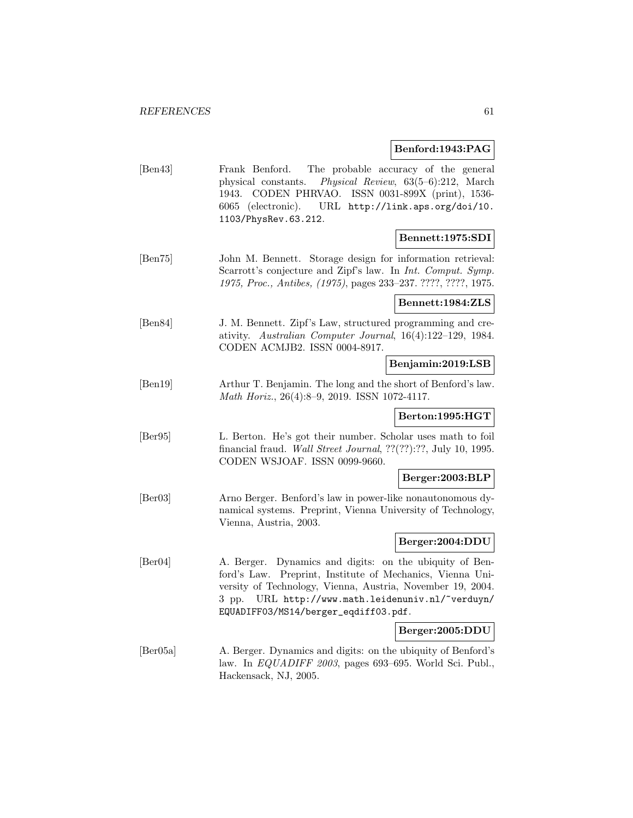# **Benford:1943:PAG**

|                              | <b>Demorationality</b>                                                                                                                                                                                                                                                                |  |
|------------------------------|---------------------------------------------------------------------------------------------------------------------------------------------------------------------------------------------------------------------------------------------------------------------------------------|--|
| $\left[\text{Ben}43\right]$  | Frank Benford.<br>The probable accuracy of the general<br>Physical Review, $63(5-6):212$ , March<br>physical constants.<br>CODEN PHRVAO. ISSN 0031-899X (print), 1536-<br>1943.<br>6065 (electronic). URL http://link.aps.org/doi/10.<br>1103/PhysRev.63.212.                         |  |
|                              | Bennett:1975:SDI                                                                                                                                                                                                                                                                      |  |
| $\left[\text{Ben}75\right]$  | John M. Bennett. Storage design for information retrieval:<br>Scarrott's conjecture and Zipf's law. In Int. Comput. Symp.<br>1975, Proc., Antibes, (1975), pages 233-237. ????, ????, 1975.                                                                                           |  |
|                              | $\bf Bennett{:}1984{:}\mathbf{ZLS}$                                                                                                                                                                                                                                                   |  |
| [Ben84]                      | J. M. Bennett. Zipf's Law, structured programming and cre-<br>ativity. Australian Computer Journal, 16(4):122-129, 1984.<br>CODEN ACMJB2. ISSN 0004-8917.                                                                                                                             |  |
|                              | Benjamin:2019:LSB                                                                                                                                                                                                                                                                     |  |
| [Ben19]                      | Arthur T. Benjamin. The long and the short of Benford's law.<br>Math Horiz., 26(4):8-9, 2019. ISSN 1072-4117.                                                                                                                                                                         |  |
|                              | Berton:1995:HGT                                                                                                                                                                                                                                                                       |  |
| [Ber95]                      | L. Berton. He's got their number. Scholar uses math to foil<br>financial fraud. Wall Street Journal, ??(??):??, July 10, 1995.<br>CODEN WSJOAF. ISSN 0099-9660.                                                                                                                       |  |
|                              | Berger:2003:BLP                                                                                                                                                                                                                                                                       |  |
| $\left[\text{Ber}03\right]$  | Arno Berger. Benford's law in power-like nonautonomous dy-<br>namical systems. Preprint, Vienna University of Technology,<br>Vienna, Austria, 2003.                                                                                                                                   |  |
|                              | Berger:2004:DDU                                                                                                                                                                                                                                                                       |  |
| $\left[\text{Ber}04\right]$  | Dynamics and digits: on the ubiquity of Ben-<br>A. Berger.<br>ford's Law. Preprint, Institute of Mechanics, Vienna Uni-<br>versity of Technology, Vienna, Austria, November 19, 2004.<br>URL http://www.math.leidenuniv.nl/~verduyn/<br>3 pp.<br>EQUADIFF03/MS14/berger_eqdiff03.pdf. |  |
|                              | Berger:2005:DDU                                                                                                                                                                                                                                                                       |  |
| $\left \text{Ber05a}\right $ | A. Berger. Dynamics and digits: on the ubiquity of Benford's<br>law. In $EQUADIFF 2003$ , pages 693-695. World Sci. Publ.,<br>Hackensack, NJ, 2005.                                                                                                                                   |  |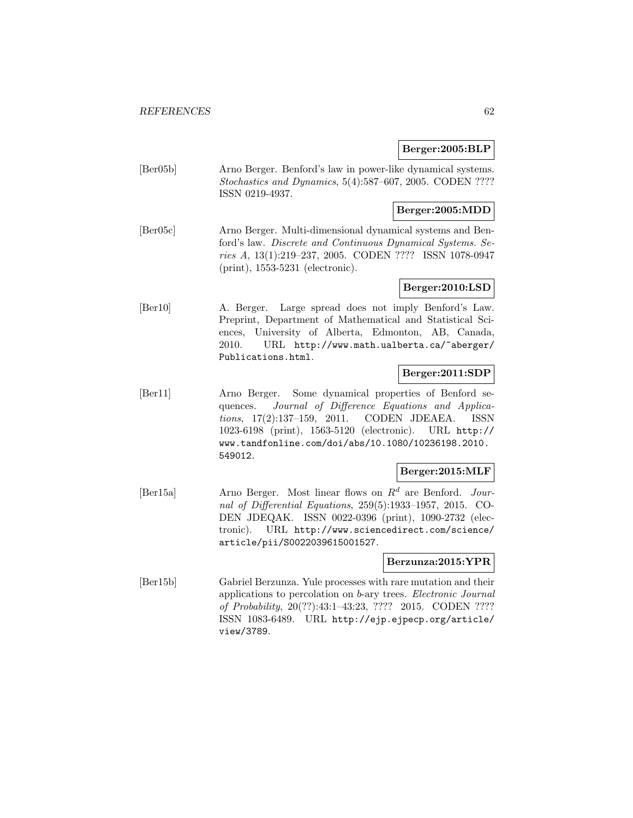## **Berger:2005:BLP**

[Ber05b] Arno Berger. Benford's law in power-like dynamical systems. Stochastics and Dynamics, 5(4):587–607, 2005. CODEN ???? ISSN 0219-4937.

## **Berger:2005:MDD**

[Ber05c] Arno Berger. Multi-dimensional dynamical systems and Benford's law. Discrete and Continuous Dynamical Systems. Series A, 13(1):219–237, 2005. CODEN ???? ISSN 1078-0947 (print), 1553-5231 (electronic).

# **Berger:2010:LSD**

[Ber10] A. Berger. Large spread does not imply Benford's Law. Preprint, Department of Mathematical and Statistical Sciences, University of Alberta, Edmonton, AB, Canada, 2010. URL http://www.math.ualberta.ca/~aberger/ Publications.html.

# **Berger:2011:SDP**

[Ber11] Arno Berger. Some dynamical properties of Benford sequences. Journal of Difference Equations and Applications, 17(2):137–159, 2011. CODEN JDEAEA. ISSN 1023-6198 (print), 1563-5120 (electronic). URL http:// www.tandfonline.com/doi/abs/10.1080/10236198.2010. 549012.

#### **Berger:2015:MLF**

[Ber15a] Arno Berger. Most linear flows on  $R^d$  are Benford. Journal of Differential Equations, 259(5):1933–1957, 2015. CO-DEN JDEQAK. ISSN 0022-0396 (print), 1090-2732 (electronic). URL http://www.sciencedirect.com/science/ article/pii/S0022039615001527.

## **Berzunza:2015:YPR**

[Ber15b] Gabriel Berzunza. Yule processes with rare mutation and their applications to percolation on b-ary trees. Electronic Journal of Probability, 20(??):43:1–43:23, ???? 2015. CODEN ???? ISSN 1083-6489. URL http://ejp.ejpecp.org/article/ view/3789.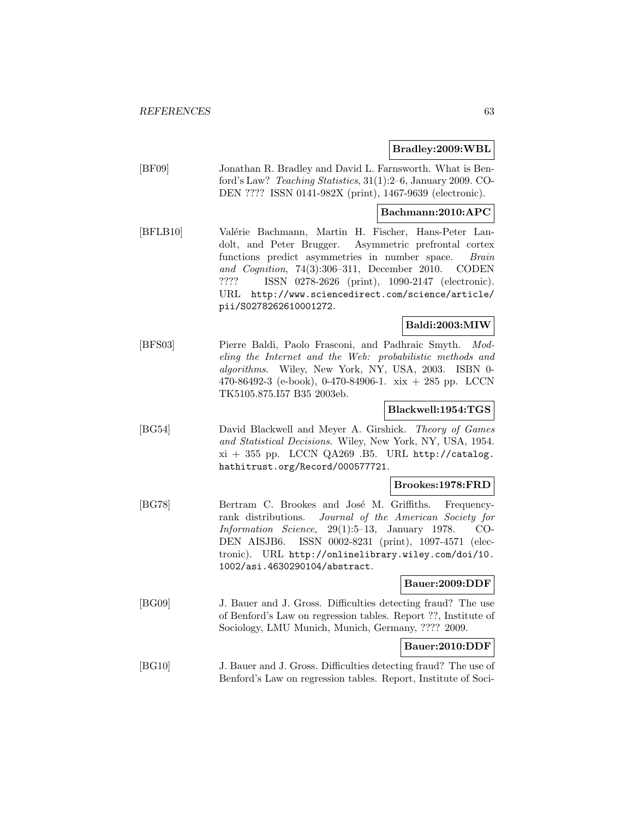#### **Bradley:2009:WBL**

[BF09] Jonathan R. Bradley and David L. Farnsworth. What is Benford's Law? Teaching Statistics, 31(1):2–6, January 2009. CO-DEN ???? ISSN 0141-982X (print), 1467-9639 (electronic).

## **Bachmann:2010:APC**

[BFLB10] Valérie Bachmann, Martin H. Fischer, Hans-Peter Landolt, and Peter Brugger. Asymmetric prefrontal cortex functions predict asymmetries in number space. Brain and Cognition, 74(3):306–311, December 2010. CODEN ???? ISSN 0278-2626 (print), 1090-2147 (electronic). URL http://www.sciencedirect.com/science/article/ pii/S0278262610001272.

# **Baldi:2003:MIW**

[BFS03] Pierre Baldi, Paolo Frasconi, and Padhraic Smyth. Modeling the Internet and the Web: probabilistic methods and algorithms. Wiley, New York, NY, USA, 2003. ISBN 0- 470-86492-3 (e-book), 0-470-84906-1. xix + 285 pp. LCCN TK5105.875.I57 B35 2003eb.

# **Blackwell:1954:TGS**

[BG54] David Blackwell and Meyer A. Girshick. Theory of Games and Statistical Decisions. Wiley, New York, NY, USA, 1954.  $xi + 355$  pp. LCCN QA269 .B5. URL http://catalog. hathitrust.org/Record/000577721.

#### **Brookes:1978:FRD**

[BG78] Bertram C. Brookes and José M. Griffiths. Frequencyrank distributions. Journal of the American Society for Information Science, 29(1):5–13, January 1978. CO-DEN AISJB6. ISSN 0002-8231 (print), 1097-4571 (electronic). URL http://onlinelibrary.wiley.com/doi/10. 1002/asi.4630290104/abstract.

## **Bauer:2009:DDF**

[BG09] J. Bauer and J. Gross. Difficulties detecting fraud? The use of Benford's Law on regression tables. Report ??, Institute of Sociology, LMU Munich, Munich, Germany, ???? 2009.

# **Bauer:2010:DDF**

[BG10] J. Bauer and J. Gross. Difficulties detecting fraud? The use of Benford's Law on regression tables. Report, Institute of Soci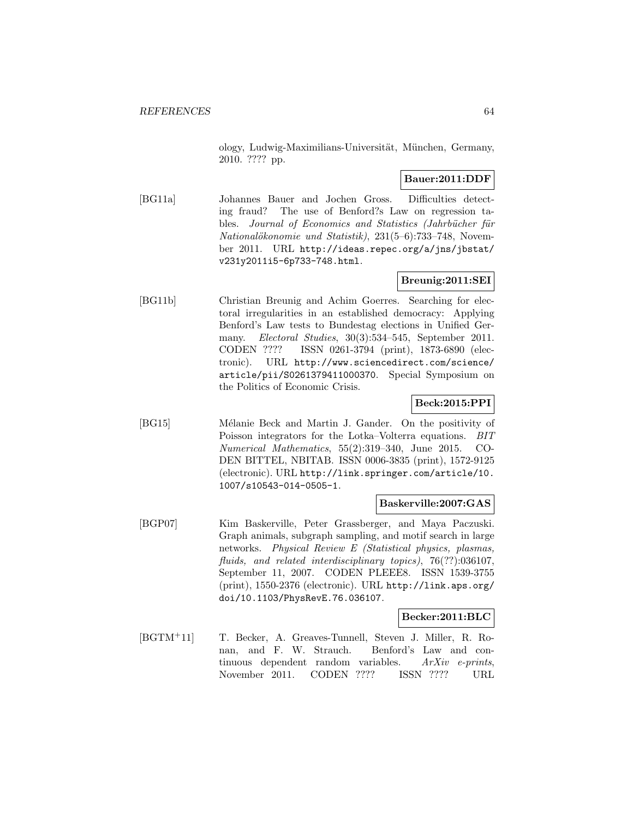ology, Ludwig-Maximilians-Universität, München, Germany, 2010. ???? pp.

# **Bauer:2011:DDF**

[BG11a] Johannes Bauer and Jochen Gross. Difficulties detecting fraud? The use of Benford?s Law on regression tables. Journal of Economics and Statistics (Jahrbücher für  $Nationalökonomie$  und  $Statistik$ ),  $231(5-6):733-748$ , November 2011. URL http://ideas.repec.org/a/jns/jbstat/ v231y2011i5-6p733-748.html.

# **Breunig:2011:SEI**

[BG11b] Christian Breunig and Achim Goerres. Searching for electoral irregularities in an established democracy: Applying Benford's Law tests to Bundestag elections in Unified Germany. Electoral Studies, 30(3):534–545, September 2011. CODEN ???? ISSN 0261-3794 (print), 1873-6890 (electronic). URL http://www.sciencedirect.com/science/ article/pii/S0261379411000370. Special Symposium on the Politics of Economic Crisis.

# **Beck:2015:PPI**

[BG15] Mélanie Beck and Martin J. Gander. On the positivity of Poisson integrators for the Lotka–Volterra equations. BIT Numerical Mathematics, 55(2):319–340, June 2015. CO-DEN BITTEL, NBITAB. ISSN 0006-3835 (print), 1572-9125 (electronic). URL http://link.springer.com/article/10. 1007/s10543-014-0505-1.

#### **Baskerville:2007:GAS**

[BGP07] Kim Baskerville, Peter Grassberger, and Maya Paczuski. Graph animals, subgraph sampling, and motif search in large networks. Physical Review E (Statistical physics, plasmas, fluids, and related interdisciplinary topics), 76(??):036107, September 11, 2007. CODEN PLEEE8. ISSN 1539-3755 (print), 1550-2376 (electronic). URL http://link.aps.org/ doi/10.1103/PhysRevE.76.036107.

# **Becker:2011:BLC**

[BGTM<sup>+</sup>11] T. Becker, A. Greaves-Tunnell, Steven J. Miller, R. Ronan, and F. W. Strauch. Benford's Law and continuous dependent random variables. ArXiv e-prints, November 2011. CODEN ???? ISSN ???? URL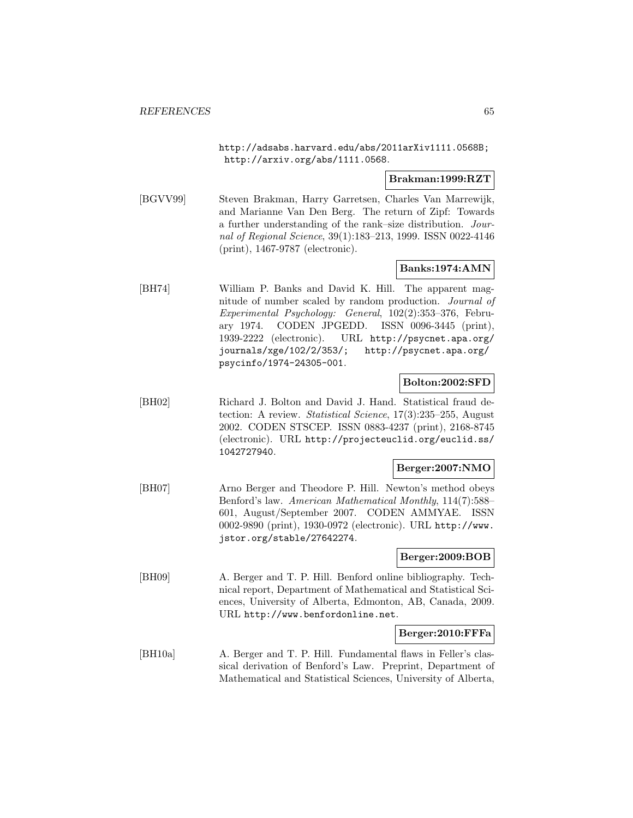http://adsabs.harvard.edu/abs/2011arXiv1111.0568B; http://arxiv.org/abs/1111.0568.

#### **Brakman:1999:RZT**

[BGVV99] Steven Brakman, Harry Garretsen, Charles Van Marrewijk, and Marianne Van Den Berg. The return of Zipf: Towards a further understanding of the rank–size distribution. Journal of Regional Science, 39(1):183–213, 1999. ISSN 0022-4146 (print), 1467-9787 (electronic).

#### **Banks:1974:AMN**

[BH74] William P. Banks and David K. Hill. The apparent magnitude of number scaled by random production. Journal of Experimental Psychology: General, 102(2):353–376, February 1974. CODEN JPGEDD. ISSN 0096-3445 (print), 1939-2222 (electronic). URL http://psycnet.apa.org/ journals/xge/102/2/353/; http://psycnet.apa.org/ psycinfo/1974-24305-001.

#### **Bolton:2002:SFD**

[BH02] Richard J. Bolton and David J. Hand. Statistical fraud detection: A review. *Statistical Science*, 17(3):235–255, August 2002. CODEN STSCEP. ISSN 0883-4237 (print), 2168-8745 (electronic). URL http://projecteuclid.org/euclid.ss/ 1042727940.

#### **Berger:2007:NMO**

[BH07] Arno Berger and Theodore P. Hill. Newton's method obeys Benford's law. American Mathematical Monthly, 114(7):588– 601, August/September 2007. CODEN AMMYAE. ISSN 0002-9890 (print), 1930-0972 (electronic). URL http://www. jstor.org/stable/27642274.

#### **Berger:2009:BOB**

[BH09] A. Berger and T. P. Hill. Benford online bibliography. Technical report, Department of Mathematical and Statistical Sciences, University of Alberta, Edmonton, AB, Canada, 2009. URL http://www.benfordonline.net.

## **Berger:2010:FFFa**

[BH10a] A. Berger and T. P. Hill. Fundamental flaws in Feller's classical derivation of Benford's Law. Preprint, Department of Mathematical and Statistical Sciences, University of Alberta,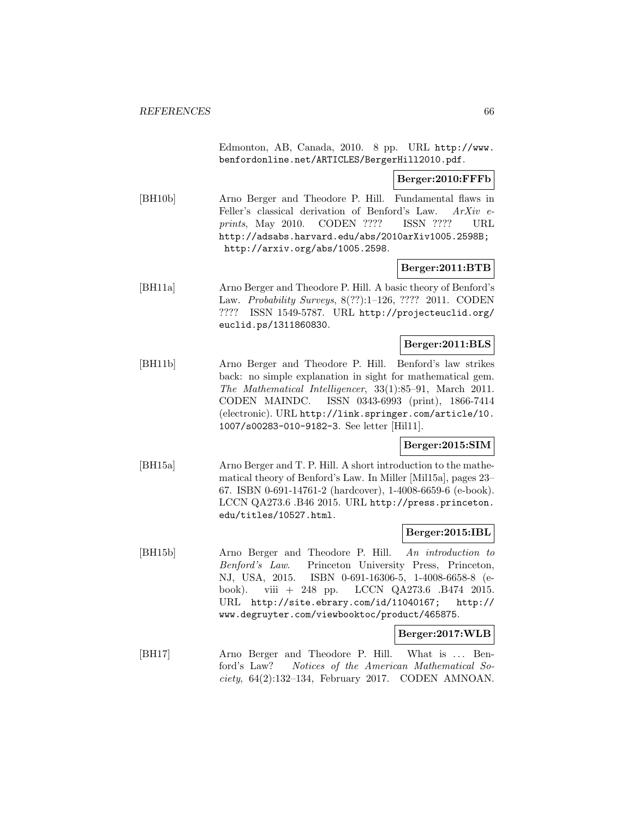Edmonton, AB, Canada, 2010. 8 pp. URL http://www. benfordonline.net/ARTICLES/BergerHill2010.pdf.

**Berger:2010:FFFb**

[BH10b] Arno Berger and Theodore P. Hill. Fundamental flaws in Feller's classical derivation of Benford's Law. ArXiv eprints, May 2010. CODEN ???? ISSN ???? URL http://adsabs.harvard.edu/abs/2010arXiv1005.2598B; http://arxiv.org/abs/1005.2598.

#### **Berger:2011:BTB**

[BH11a] Arno Berger and Theodore P. Hill. A basic theory of Benford's Law. Probability Surveys, 8(??):1–126, ???? 2011. CODEN ???? ISSN 1549-5787. URL http://projecteuclid.org/ euclid.ps/1311860830.

#### **Berger:2011:BLS**

[BH11b] Arno Berger and Theodore P. Hill. Benford's law strikes back: no simple explanation in sight for mathematical gem. The Mathematical Intelligencer, 33(1):85–91, March 2011. CODEN MAINDC. ISSN 0343-6993 (print), 1866-7414 (electronic). URL http://link.springer.com/article/10. 1007/s00283-010-9182-3. See letter [Hil11].

## **Berger:2015:SIM**

[BH15a] Arno Berger and T. P. Hill. A short introduction to the mathematical theory of Benford's Law. In Miller [Mil15a], pages 23– 67. ISBN 0-691-14761-2 (hardcover), 1-4008-6659-6 (e-book). LCCN QA273.6 .B46 2015. URL http://press.princeton. edu/titles/10527.html.

## **Berger:2015:IBL**

[BH15b] Arno Berger and Theodore P. Hill. An introduction to Benford's Law. Princeton University Press, Princeton, NJ, USA, 2015. ISBN 0-691-16306-5, 1-4008-6658-8 (ebook). viii + 248 pp. LCCN QA273.6 .B474 2015. URL http://site.ebrary.com/id/11040167; http:// www.degruyter.com/viewbooktoc/product/465875.

#### **Berger:2017:WLB**

[BH17] Arno Berger and Theodore P. Hill. What is ... Benford's Law? Notices of the American Mathematical So $ciety, 64(2):132-134, February 2017. CODEN AMNOAN.$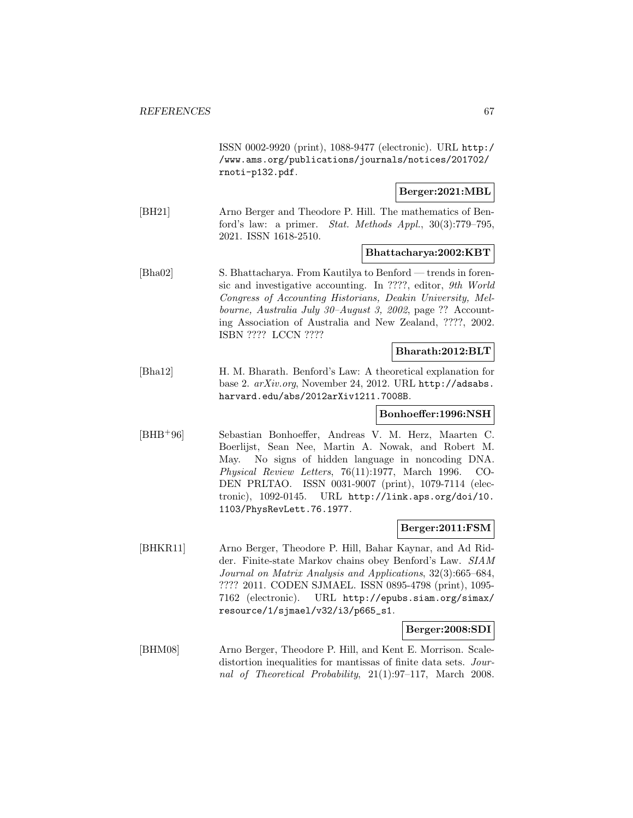ISSN 0002-9920 (print), 1088-9477 (electronic). URL http:/ /www.ams.org/publications/journals/notices/201702/ rnoti-p132.pdf.

## **Berger:2021:MBL**

[BH21] Arno Berger and Theodore P. Hill. The mathematics of Benford's law: a primer. Stat. Methods Appl., 30(3):779–795, 2021. ISSN 1618-2510.

**Bhattacharya:2002:KBT**

[Bha02] S. Bhattacharya. From Kautilya to Benford — trends in forensic and investigative accounting. In ????, editor, 9th World Congress of Accounting Historians, Deakin University, Melbourne, Australia July 30–August 3, 2002, page ?? Accounting Association of Australia and New Zealand, ????, 2002. ISBN ???? LCCN ????

#### **Bharath:2012:BLT**

[Bha12] H. M. Bharath. Benford's Law: A theoretical explanation for base 2. arXiv.org, November 24, 2012. URL http://adsabs. harvard.edu/abs/2012arXiv1211.7008B.

## **Bonhoeffer:1996:NSH**

[BHB<sup>+</sup>96] Sebastian Bonhoeffer, Andreas V. M. Herz, Maarten C. Boerlijst, Sean Nee, Martin A. Nowak, and Robert M. May. No signs of hidden language in noncoding DNA. Physical Review Letters, 76(11):1977, March 1996. CO-DEN PRLTAO. ISSN 0031-9007 (print), 1079-7114 (electronic), 1092-0145. URL http://link.aps.org/doi/10. 1103/PhysRevLett.76.1977.

#### **Berger:2011:FSM**

[BHKR11] Arno Berger, Theodore P. Hill, Bahar Kaynar, and Ad Ridder. Finite-state Markov chains obey Benford's Law. SIAM Journal on Matrix Analysis and Applications, 32(3):665–684, ???? 2011. CODEN SJMAEL. ISSN 0895-4798 (print), 1095- 7162 (electronic). URL http://epubs.siam.org/simax/ resource/1/sjmael/v32/i3/p665\_s1.

## **Berger:2008:SDI**

[BHM08] Arno Berger, Theodore P. Hill, and Kent E. Morrison. Scaledistortion inequalities for mantissas of finite data sets. Journal of Theoretical Probability, 21(1):97–117, March 2008.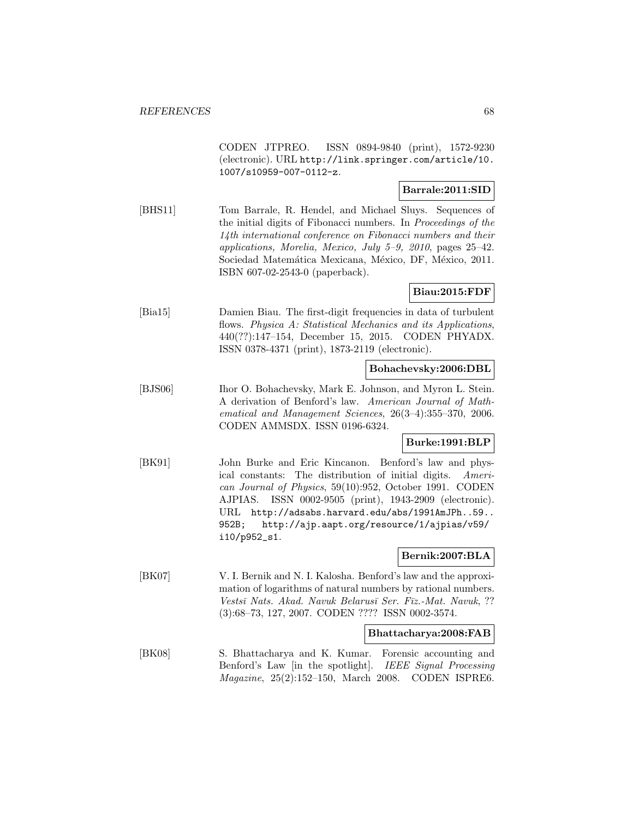CODEN JTPREO. ISSN 0894-9840 (print), 1572-9230 (electronic). URL http://link.springer.com/article/10. 1007/s10959-007-0112-z.

#### **Barrale:2011:SID**

[BHS11] Tom Barrale, R. Hendel, and Michael Sluys. Sequences of the initial digits of Fibonacci numbers. In Proceedings of the 14th international conference on Fibonacci numbers and their applications, Morelia, Mexico, July 5–9, 2010, pages 25–42. Sociedad Matemática Mexicana, México, DF, México, 2011. ISBN 607-02-2543-0 (paperback).

#### **Biau:2015:FDF**

[Bia15] Damien Biau. The first-digit frequencies in data of turbulent flows. Physica A: Statistical Mechanics and its Applications, 440(??):147–154, December 15, 2015. CODEN PHYADX. ISSN 0378-4371 (print), 1873-2119 (electronic).

#### **Bohachevsky:2006:DBL**

[BJS06] Ihor O. Bohachevsky, Mark E. Johnson, and Myron L. Stein. A derivation of Benford's law. American Journal of Mathematical and Management Sciences, 26(3–4):355–370, 2006. CODEN AMMSDX. ISSN 0196-6324.

## **Burke:1991:BLP**

[BK91] John Burke and Eric Kincanon. Benford's law and physical constants: The distribution of initial digits. American Journal of Physics, 59(10):952, October 1991. CODEN AJPIAS. ISSN 0002-9505 (print), 1943-2909 (electronic). URL http://adsabs.harvard.edu/abs/1991AmJPh..59.. 952B; http://ajp.aapt.org/resource/1/ajpias/v59/ i10/p952\_s1.

## **Bernik:2007:BLA**

[BK07] V. I. Bernik and N. I. Kalosha. Benford's law and the approximation of logarithms of natural numbers by rational numbers. Vestsī Nats. Akad. Navuk Belarusī Ser. Fīz.-Mat. Navuk, ?? (3):68–73, 127, 2007. CODEN ???? ISSN 0002-3574.

#### **Bhattacharya:2008:FAB**

[BK08] S. Bhattacharya and K. Kumar. Forensic accounting and Benford's Law [in the spotlight]. IEEE Signal Processing Magazine, 25(2):152–150, March 2008. CODEN ISPRE6.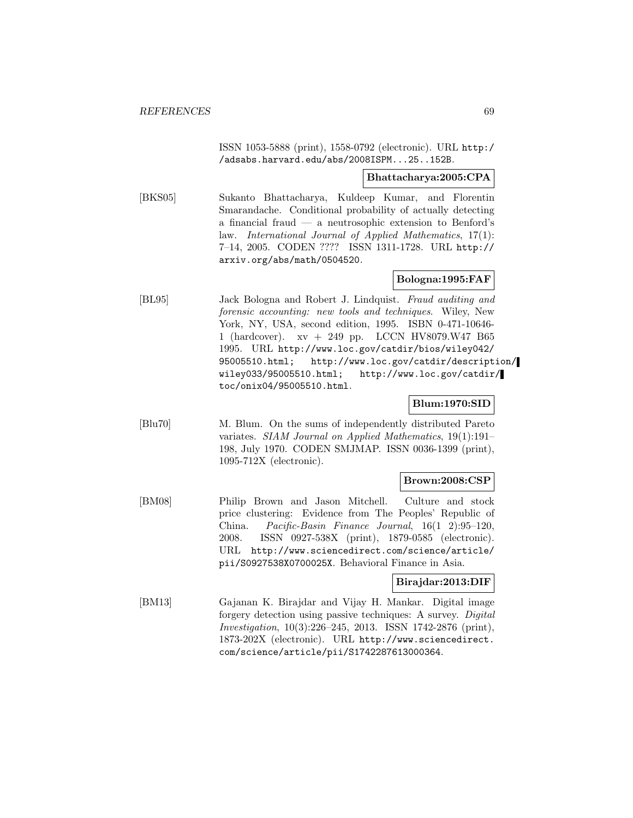ISSN 1053-5888 (print), 1558-0792 (electronic). URL http:/ /adsabs.harvard.edu/abs/2008ISPM...25..152B.

#### **Bhattacharya:2005:CPA**

[BKS05] Sukanto Bhattacharya, Kuldeep Kumar, and Florentin Smarandache. Conditional probability of actually detecting a financial fraud — a neutrosophic extension to Benford's law. International Journal of Applied Mathematics, 17(1): 7–14, 2005. CODEN ???? ISSN 1311-1728. URL http:// arxiv.org/abs/math/0504520.

# **Bologna:1995:FAF**

[BL95] Jack Bologna and Robert J. Lindquist. Fraud auditing and forensic accounting: new tools and techniques. Wiley, New York, NY, USA, second edition, 1995. ISBN 0-471-10646- 1 (hardcover). xv + 249 pp. LCCN HV8079.W47 B65 1995. URL http://www.loc.gov/catdir/bios/wiley042/ 95005510.html; http://www.loc.gov/catdir/description/ wiley033/95005510.html; http://www.loc.gov/catdir/ toc/onix04/95005510.html.

#### **Blum:1970:SID**

[Blu70] M. Blum. On the sums of independently distributed Pareto variates. SIAM Journal on Applied Mathematics, 19(1):191– 198, July 1970. CODEN SMJMAP. ISSN 0036-1399 (print), 1095-712X (electronic).

#### **Brown:2008:CSP**

[BM08] Philip Brown and Jason Mitchell. Culture and stock price clustering: Evidence from The Peoples' Republic of China. Pacific-Basin Finance Journal, 16(1 2):95–120, 2008. ISSN 0927-538X (print), 1879-0585 (electronic). URL http://www.sciencedirect.com/science/article/ pii/S0927538X0700025X. Behavioral Finance in Asia.

## **Birajdar:2013:DIF**

[BM13] Gajanan K. Birajdar and Vijay H. Mankar. Digital image forgery detection using passive techniques: A survey. Digital Investigation, 10(3):226–245, 2013. ISSN 1742-2876 (print), 1873-202X (electronic). URL http://www.sciencedirect. com/science/article/pii/S1742287613000364.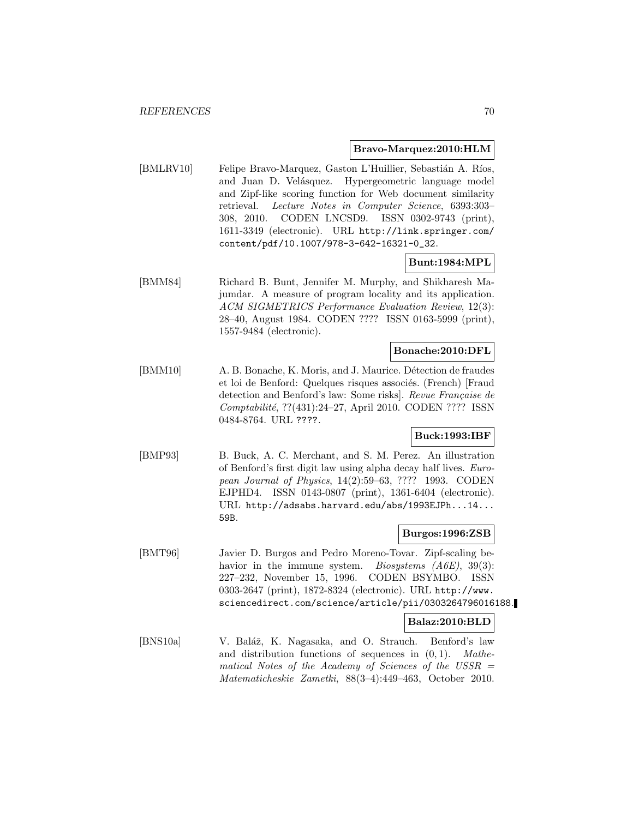#### **Bravo-Marquez:2010:HLM**

[BMLRV10] Felipe Bravo-Marquez, Gaston L'Huillier, Sebastián A. Ríos, and Juan D. Velásquez. Hypergeometric language model and Zipf-like scoring function for Web document similarity retrieval. Lecture Notes in Computer Science, 6393:303– 308, 2010. CODEN LNCSD9. ISSN 0302-9743 (print), 1611-3349 (electronic). URL http://link.springer.com/ content/pdf/10.1007/978-3-642-16321-0\_32.

#### **Bunt:1984:MPL**

[BMM84] Richard B. Bunt, Jennifer M. Murphy, and Shikharesh Majumdar. A measure of program locality and its application. ACM SIGMETRICS Performance Evaluation Review, 12(3): 28–40, August 1984. CODEN ???? ISSN 0163-5999 (print), 1557-9484 (electronic).

#### **Bonache:2010:DFL**

[BMM10] A. B. Bonache, K. Moris, and J. Maurice. Détection de fraudes et loi de Benford: Quelques risques associés. (French) [Fraud detection and Benford's law: Some risks]. Revue Française de Comptabilité, ??(431):24-27, April 2010. CODEN ???? ISSN 0484-8764. URL ????.

#### **Buck:1993:IBF**

[BMP93] B. Buck, A. C. Merchant, and S. M. Perez. An illustration of Benford's first digit law using alpha decay half lives. European Journal of Physics, 14(2):59–63, ???? 1993. CODEN EJPHD4. ISSN 0143-0807 (print), 1361-6404 (electronic). URL http://adsabs.harvard.edu/abs/1993EJPh...14... 59B.

# **Burgos:1996:ZSB**

[BMT96] Javier D. Burgos and Pedro Moreno-Tovar. Zipf-scaling behavior in the immune system. *Biosystems (A6E)*, 39(3): 227–232, November 15, 1996. CODEN BSYMBO. ISSN 0303-2647 (print), 1872-8324 (electronic). URL http://www. sciencedirect.com/science/article/pii/0303264796016188.

#### **Balaz:2010:BLD**

[BNS10a] V. Baláž, K. Nagasaka, and O. Strauch. Benford's law and distribution functions of sequences in  $(0, 1)$ . Mathematical Notes of the Academy of Sciences of the USSR  $=$ Matematicheskie Zametki, 88(3–4):449–463, October 2010.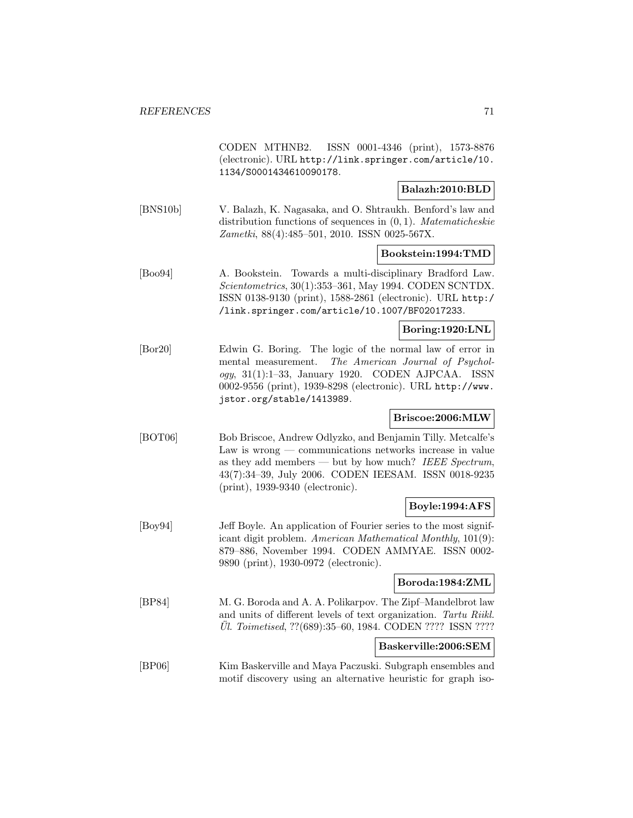|                 | CODEN MTHNB2. ISSN 0001-4346 (print), 1573-8876<br>(electronic). URL http://link.springer.com/article/10.<br>1134/S0001434610090178.                                                                                                                                             |  |  |  |
|-----------------|----------------------------------------------------------------------------------------------------------------------------------------------------------------------------------------------------------------------------------------------------------------------------------|--|--|--|
|                 | Balazh:2010:BLD                                                                                                                                                                                                                                                                  |  |  |  |
| [BNS10b]        | V. Balazh, K. Nagasaka, and O. Shtraukh. Benford's law and<br>distribution functions of sequences in $(0, 1)$ . <i>Matematicheskie</i><br>Zametki, 88(4):485-501, 2010. ISSN 0025-567X.                                                                                          |  |  |  |
|                 | Bookstein:1994:TMD                                                                                                                                                                                                                                                               |  |  |  |
| [Boo94]         | Towards a multi-disciplinary Bradford Law.<br>A. Bookstein.<br>Scientometrics, 30(1):353-361, May 1994. CODEN SCNTDX.<br>ISSN 0138-9130 (print), 1588-2861 (electronic). URL http:/<br>/link.springer.com/article/10.1007/BF02017233.                                            |  |  |  |
|                 | Boring:1920:LNL                                                                                                                                                                                                                                                                  |  |  |  |
| $[{\rm Bor}20]$ | Edwin G. Boring. The logic of the normal law of error in<br>The American Journal of Psychol-<br>mental measurement.<br>ogy, 31(1):1-33, January 1920. CODEN AJPCAA. ISSN<br>0002-9556 (print), 1939-8298 (electronic). URL http://www.<br>jstor.org/stable/1413989.              |  |  |  |
|                 | Briscoe:2006:MLW                                                                                                                                                                                                                                                                 |  |  |  |
| [foot00]        | Bob Briscoe, Andrew Odlyzko, and Benjamin Tilly. Metcalfe's<br>Law is $wrong$ — communications networks increase in value<br>as they add members — but by how much? IEEE Spectrum,<br>43(7):34-39, July 2006. CODEN IEESAM. ISSN 0018-9235<br>$(print), 1939-9340$ (electronic). |  |  |  |
|                 | Boyle:1994:AFS                                                                                                                                                                                                                                                                   |  |  |  |
| [Boy94]         | Jeff Boyle. An application of Fourier series to the most signif-<br>icant digit problem. American Mathematical Monthly, 101(9):<br>879-886, November 1994. CODEN AMMYAE. ISSN 0002-<br>9890 (print), 1930-0972 (electronic).                                                     |  |  |  |
|                 | Boroda:1984:ZML                                                                                                                                                                                                                                                                  |  |  |  |
| [BP84]          | M. G. Boroda and A. A. Polikarpov. The Zipf-Mandelbrot law<br>and units of different levels of text organization. Tartu Riikl.<br><i>Ul. Toimetised,</i> ??(689):35–60, 1984. CODEN ???? ISSN ????                                                                               |  |  |  |
|                 | Baskerville:2006:SEM                                                                                                                                                                                                                                                             |  |  |  |
| [BP06]          | Kim Baskerville and Maya Paczuski. Subgraph ensembles and<br>motif discovery using an alternative heuristic for graph iso-                                                                                                                                                       |  |  |  |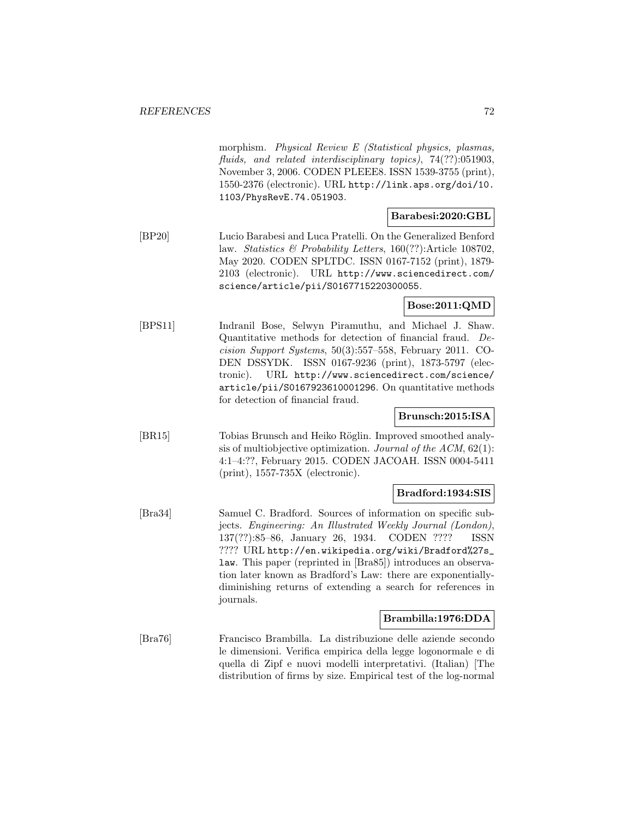morphism. Physical Review E (Statistical physics, plasmas, fluids, and related interdisciplinary topics), 74(??):051903, November 3, 2006. CODEN PLEEE8. ISSN 1539-3755 (print), 1550-2376 (electronic). URL http://link.aps.org/doi/10. 1103/PhysRevE.74.051903.

## **Barabesi:2020:GBL**

[BP20] Lucio Barabesi and Luca Pratelli. On the Generalized Benford law. Statistics & Probability Letters, 160(??):Article 108702, May 2020. CODEN SPLTDC. ISSN 0167-7152 (print), 1879- 2103 (electronic). URL http://www.sciencedirect.com/ science/article/pii/S0167715220300055.

# **Bose:2011:QMD**

[BPS11] Indranil Bose, Selwyn Piramuthu, and Michael J. Shaw. Quantitative methods for detection of financial fraud. Decision Support Systems, 50(3):557–558, February 2011. CO-DEN DSSYDK. ISSN 0167-9236 (print), 1873-5797 (electronic). URL http://www.sciencedirect.com/science/ article/pii/S0167923610001296. On quantitative methods for detection of financial fraud.

# **Brunsch:2015:ISA**

[BR15] Tobias Brunsch and Heiko Röglin. Improved smoothed analysis of multiobjective optimization. Journal of the ACM, 62(1): 4:1–4:??, February 2015. CODEN JACOAH. ISSN 0004-5411 (print), 1557-735X (electronic).

# **Bradford:1934:SIS**

[Bra34] Samuel C. Bradford. Sources of information on specific subjects. Engineering: An Illustrated Weekly Journal (London), 137(??):85–86, January 26, 1934. CODEN ???? ISSN ???? URL http://en.wikipedia.org/wiki/Bradford%27s\_ law. This paper (reprinted in [Bra85]) introduces an observation later known as Bradford's Law: there are exponentiallydiminishing returns of extending a search for references in journals.

#### **Brambilla:1976:DDA**

[Bra76] Francisco Brambilla. La distribuzione delle aziende secondo le dimensioni. Verifica empirica della legge logonormale e di quella di Zipf e nuovi modelli interpretativi. (Italian) [The distribution of firms by size. Empirical test of the log-normal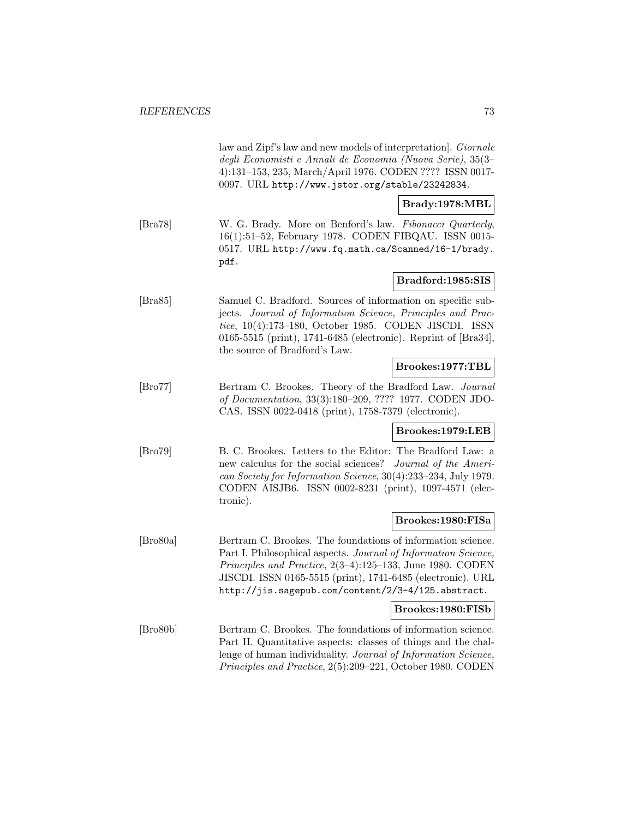|                             | law and Zipf's law and new models of interpretation. <i>Giornale</i><br>degli Economisti e Annali de Economia (Nuova Serie), 35(3–<br>4):131-153, 235, March/April 1976. CODEN ???? ISSN 0017-<br>0097. URL http://www.jstor.org/stable/23242834.                                                               |
|-----------------------------|-----------------------------------------------------------------------------------------------------------------------------------------------------------------------------------------------------------------------------------------------------------------------------------------------------------------|
|                             | Brady:1978:MBL                                                                                                                                                                                                                                                                                                  |
| $\left[\text{Bra}78\right]$ | W. G. Brady. More on Benford's law. Fibonacci Quarterly,<br>16(1):51-52, February 1978. CODEN FIBQAU. ISSN 0015-<br>0517. URL http://www.fq.math.ca/Scanned/16-1/brady.<br>pdf.                                                                                                                                 |
|                             | Bradford:1985:SIS                                                                                                                                                                                                                                                                                               |
| $[\text{Bra85}]$            | Samuel C. Bradford. Sources of information on specific sub-<br>jects. Journal of Information Science, Principles and Prac-<br>tice, 10(4):173-180, October 1985. CODEN JISCDI. ISSN<br>0165-5515 (print), 1741-6485 (electronic). Reprint of [Bra34],<br>the source of Bradford's Law.                          |
|                             | Brookes:1977:TBL                                                                                                                                                                                                                                                                                                |
| $\left[\text{Bro77}\right]$ | Bertram C. Brookes. Theory of the Bradford Law. Journal<br>of Documentation, 33(3):180-209, ???? 1977. CODEN JDO-<br>CAS. ISSN 0022-0418 (print), 1758-7379 (electronic).                                                                                                                                       |
|                             | Brookes:1979:LEB                                                                                                                                                                                                                                                                                                |
| $[\rm Bro79]$               | B. C. Brookes. Letters to the Editor: The Bradford Law: a<br>new calculus for the social sciences? Journal of the Ameri-<br>can Society for Information Science, 30(4):233-234, July 1979.<br>CODEN AISJB6. ISSN 0002-8231 (print), 1097-4571 (elec-<br>tronic).                                                |
|                             | Brookes:1980:FISa                                                                                                                                                                                                                                                                                               |
| [Bro80a]                    | Bertram C. Brookes. The foundations of information science.<br>Part I. Philosophical aspects. Journal of Information Science,<br>Principles and Practice, 2(3-4):125-133, June 1980. CODEN<br>JISCDI. ISSN 0165-5515 (print), 1741-6485 (electronic). URL<br>http://jis.sagepub.com/content/2/3-4/125.abstract. |
|                             | Brookes:1980:FISb                                                                                                                                                                                                                                                                                               |
| [Bro80b]                    | Bertram C. Brookes. The foundations of information science.<br>Part II. Quantitative aspects: classes of things and the chal-<br>lenge of human individuality. Journal of Information Science,<br>Principles and Practice, 2(5):209-221, October 1980. CODEN                                                    |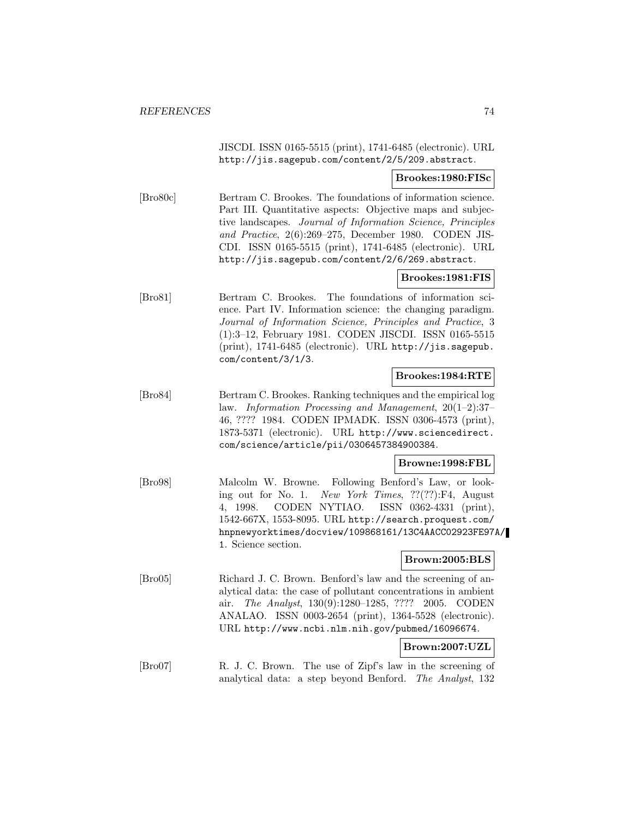JISCDI. ISSN 0165-5515 (print), 1741-6485 (electronic). URL http://jis.sagepub.com/content/2/5/209.abstract.

#### **Brookes:1980:FISc**

[Bro80c] Bertram C. Brookes. The foundations of information science. Part III. Quantitative aspects: Objective maps and subjective landscapes. Journal of Information Science, Principles and Practice, 2(6):269–275, December 1980. CODEN JIS-CDI. ISSN 0165-5515 (print), 1741-6485 (electronic). URL http://jis.sagepub.com/content/2/6/269.abstract.

#### **Brookes:1981:FIS**

[Bro81] Bertram C. Brookes. The foundations of information science. Part IV. Information science: the changing paradigm. Journal of Information Science, Principles and Practice, 3 (1):3–12, February 1981. CODEN JISCDI. ISSN 0165-5515 (print), 1741-6485 (electronic). URL http://jis.sagepub. com/content/3/1/3.

#### **Brookes:1984:RTE**

[Bro84] Bertram C. Brookes. Ranking techniques and the empirical log law. Information Processing and Management, 20(1–2):37– 46, ???? 1984. CODEN IPMADK. ISSN 0306-4573 (print), 1873-5371 (electronic). URL http://www.sciencedirect. com/science/article/pii/0306457384900384.

#### **Browne:1998:FBL**

[Bro98] Malcolm W. Browne. Following Benford's Law, or looking out for No. 1. New York Times, ??(??):F4, August 4, 1998. CODEN NYTIAO. ISSN 0362-4331 (print), 1542-667X, 1553-8095. URL http://search.proquest.com/ hnpnewyorktimes/docview/109868161/13C4AACC02923FE97A/ 1. Science section.

#### **Brown:2005:BLS**

[Bro05] Richard J. C. Brown. Benford's law and the screening of analytical data: the case of pollutant concentrations in ambient air. The Analyst, 130(9):1280–1285, ???? 2005. CODEN ANALAO. ISSN 0003-2654 (print), 1364-5528 (electronic). URL http://www.ncbi.nlm.nih.gov/pubmed/16096674.

#### **Brown:2007:UZL**

[Bro07] R. J. C. Brown. The use of Zipf's law in the screening of analytical data: a step beyond Benford. The Analyst, 132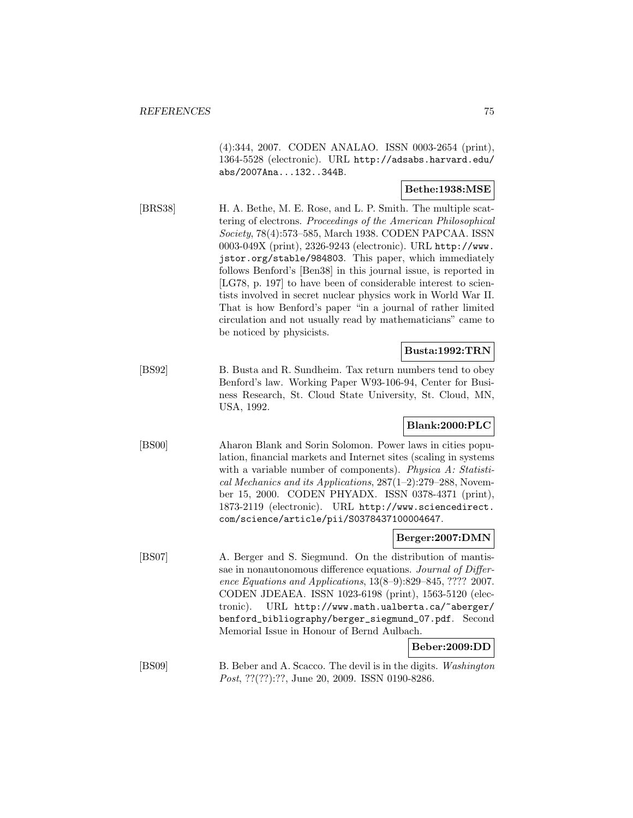(4):344, 2007. CODEN ANALAO. ISSN 0003-2654 (print), 1364-5528 (electronic). URL http://adsabs.harvard.edu/ abs/2007Ana...132..344B.

### **Bethe:1938:MSE**

[BRS38] H. A. Bethe, M. E. Rose, and L. P. Smith. The multiple scattering of electrons. Proceedings of the American Philosophical Society, 78(4):573–585, March 1938. CODEN PAPCAA. ISSN 0003-049X (print), 2326-9243 (electronic). URL http://www. jstor.org/stable/984803. This paper, which immediately follows Benford's [Ben38] in this journal issue, is reported in [LG78, p. 197] to have been of considerable interest to scientists involved in secret nuclear physics work in World War II. That is how Benford's paper "in a journal of rather limited circulation and not usually read by mathematicians" came to be noticed by physicists.

### **Busta:1992:TRN**

[BS92] B. Busta and R. Sundheim. Tax return numbers tend to obey Benford's law. Working Paper W93-106-94, Center for Business Research, St. Cloud State University, St. Cloud, MN, USA, 1992.

# **Blank:2000:PLC**

[BS00] Aharon Blank and Sorin Solomon. Power laws in cities population, financial markets and Internet sites (scaling in systems with a variable number of components). Physica A: Statistical Mechanics and its Applications,  $287(1-2)$ :279-288, November 15, 2000. CODEN PHYADX. ISSN 0378-4371 (print), 1873-2119 (electronic). URL http://www.sciencedirect. com/science/article/pii/S0378437100004647.

#### **Berger:2007:DMN**

[BS07] A. Berger and S. Siegmund. On the distribution of mantissae in nonautonomous difference equations. Journal of Difference Equations and Applications, 13(8–9):829–845, ???? 2007. CODEN JDEAEA. ISSN 1023-6198 (print), 1563-5120 (electronic). URL http://www.math.ualberta.ca/~aberger/ benford\_bibliography/berger\_siegmund\_07.pdf. Second Memorial Issue in Honour of Bernd Aulbach.

### **Beber:2009:DD**

[BS09] B. Beber and A. Scacco. The devil is in the digits. Washington Post, ??(??):??, June 20, 2009. ISSN 0190-8286.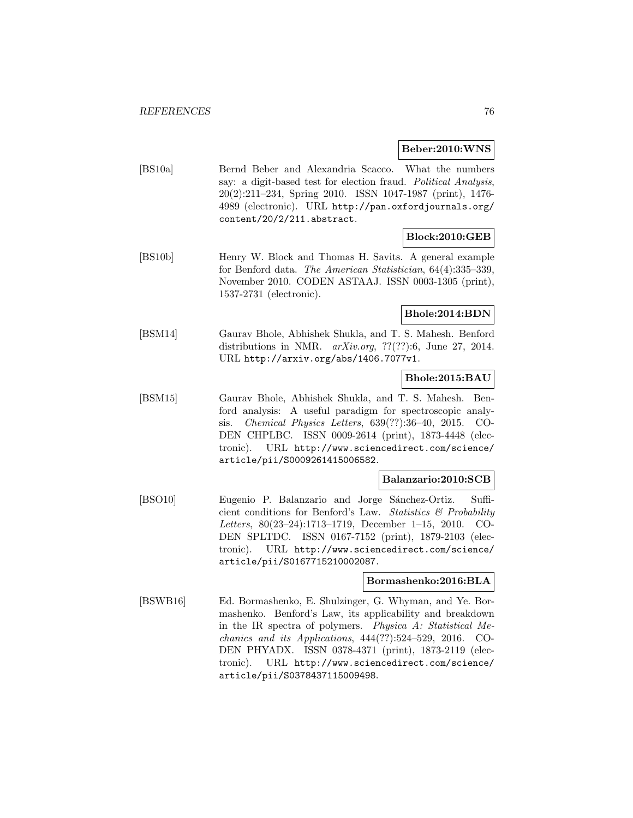#### **Beber:2010:WNS**

[BS10a] Bernd Beber and Alexandria Scacco. What the numbers say: a digit-based test for election fraud. Political Analysis, 20(2):211–234, Spring 2010. ISSN 1047-1987 (print), 1476- 4989 (electronic). URL http://pan.oxfordjournals.org/ content/20/2/211.abstract.

### **Block:2010:GEB**

[BS10b] Henry W. Block and Thomas H. Savits. A general example for Benford data. The American Statistician, 64(4):335–339, November 2010. CODEN ASTAAJ. ISSN 0003-1305 (print), 1537-2731 (electronic).

### **Bhole:2014:BDN**

[BSM14] Gaurav Bhole, Abhishek Shukla, and T. S. Mahesh. Benford distributions in NMR.  $arXiv.org$ , ??(??):6, June 27, 2014. URL http://arxiv.org/abs/1406.7077v1.

### **Bhole:2015:BAU**

[BSM15] Gaurav Bhole, Abhishek Shukla, and T. S. Mahesh. Benford analysis: A useful paradigm for spectroscopic analysis. Chemical Physics Letters, 639(??):36–40, 2015. CO-DEN CHPLBC. ISSN 0009-2614 (print), 1873-4448 (electronic). URL http://www.sciencedirect.com/science/ article/pii/S0009261415006582.

#### **Balanzario:2010:SCB**

[BSO10] Eugenio P. Balanzario and Jorge Sánchez-Ortiz. Sufficient conditions for Benford's Law. Statistics  $\mathcal B$  Probability Letters, 80(23–24):1713–1719, December 1–15, 2010. CO-DEN SPLTDC. ISSN 0167-7152 (print), 1879-2103 (electronic). URL http://www.sciencedirect.com/science/ article/pii/S0167715210002087.

### **Bormashenko:2016:BLA**

[BSWB16] Ed. Bormashenko, E. Shulzinger, G. Whyman, and Ye. Bormashenko. Benford's Law, its applicability and breakdown in the IR spectra of polymers. Physica A: Statistical Mechanics and its Applications, 444(??):524–529, 2016. CO-DEN PHYADX. ISSN 0378-4371 (print), 1873-2119 (electronic). URL http://www.sciencedirect.com/science/ article/pii/S0378437115009498.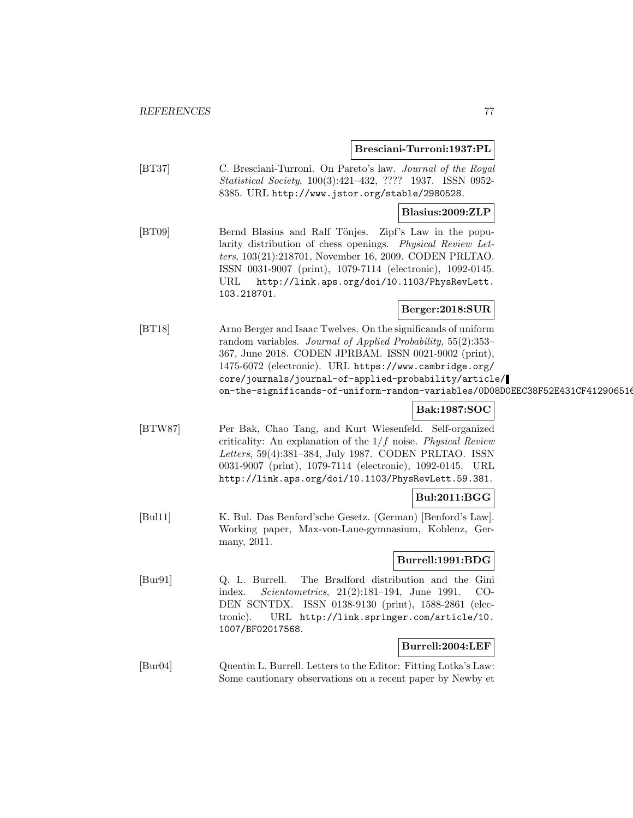**Bresciani-Turroni:1937:PL**

| [BT37]  | C. Bresciani-Turroni. On Pareto's law. Journal of the Royal<br><i>Statistical Society</i> , 100(3):421-432, ???? 1937. ISSN 0952-<br>8385. URL http://www.jstor.org/stable/2980528.                                                                                                                                                                                                          |
|---------|----------------------------------------------------------------------------------------------------------------------------------------------------------------------------------------------------------------------------------------------------------------------------------------------------------------------------------------------------------------------------------------------|
|         | Blasius:2009:ZLP                                                                                                                                                                                                                                                                                                                                                                             |
| [BT09]  | Bernd Blasius and Ralf Tönjes.<br>Zipf's Law in the popu-<br>larity distribution of chess openings. Physical Review Let-<br>ters, 103(21):218701, November 16, 2009. CODEN PRLTAO.<br>ISSN 0031-9007 (print), 1079-7114 (electronic), 1092-0145.<br>URL<br>http://link.aps.org/doi/10.1103/PhysRevLett.<br>103.218701.                                                                       |
|         | Berger:2018:SUR                                                                                                                                                                                                                                                                                                                                                                              |
| [BT18]  | Arno Berger and Isaac Twelves. On the significands of uniform<br>random variables. Journal of Applied Probability, $55(2):353-$<br>367, June 2018. CODEN JPRBAM. ISSN 0021-9002 (print),<br>1475-6072 (electronic). URL https://www.cambridge.org/<br>core/journals/journal-of-applied-probability/article/<br>on-the-significands-of-uniform-random-variables/ODO8DOEEC38F52E431CF412906516 |
|         | Bak:1987:SOC                                                                                                                                                                                                                                                                                                                                                                                 |
| [BTW87] | Per Bak, Chao Tang, and Kurt Wiesenfeld. Self-organized<br>criticality: An explanation of the $1/f$ noise. Physical Review<br>Letters, 59(4):381-384, July 1987. CODEN PRLTAO. ISSN<br>0031-9007 (print), 1079-7114 (electronic), 1092-0145. URL<br>http://link.aps.org/doi/10.1103/PhysRevLett.59.381.                                                                                      |
|         | <b>Bul:2011:BGG</b>                                                                                                                                                                                                                                                                                                                                                                          |
| [Bul11] | K. Bul. Das Benford'sche Gesetz. (German) [Benford's Law].<br>Working paper, Max-von-Laue-gymnasium, Koblenz, Ger-<br>many, 2011.                                                                                                                                                                                                                                                            |
|         | Burrell:1991:BDG                                                                                                                                                                                                                                                                                                                                                                             |
| [Bur91] | Q. L. Burrell.<br>The Bradford distribution and the Gini<br><i>Scientometrics</i> , $21(2):181-194$ , June 1991.<br>CO-<br>index.<br>DEN SCNTDX. ISSN 0138-9130 (print), 1588-2861 (elec-<br>tronic).<br>URL http://link.springer.com/article/10.<br>1007/BF02017568.                                                                                                                        |
|         | Burrell:2004:LEF                                                                                                                                                                                                                                                                                                                                                                             |
| [Bur04] | Quentin L. Burrell. Letters to the Editor: Fitting Lotka's Law:<br>Some cautionary observations on a recent paper by Newby et                                                                                                                                                                                                                                                                |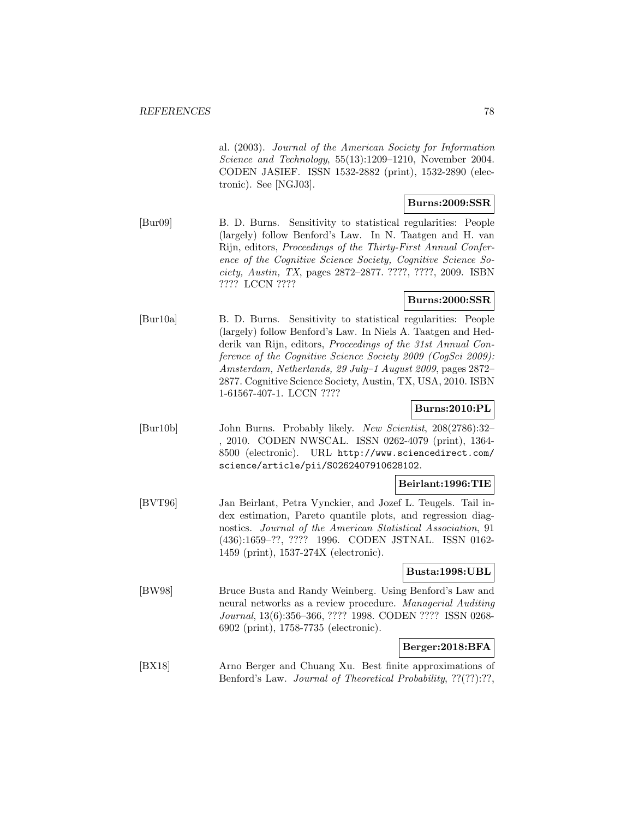al. (2003). Journal of the American Society for Information Science and Technology, 55(13):1209–1210, November 2004. CODEN JASIEF. ISSN 1532-2882 (print), 1532-2890 (electronic). See [NGJ03].

### **Burns:2009:SSR**

[Bur09] B. D. Burns. Sensitivity to statistical regularities: People (largely) follow Benford's Law. In N. Taatgen and H. van Rijn, editors, Proceedings of the Thirty-First Annual Conference of the Cognitive Science Society, Cognitive Science Society, Austin, TX, pages 2872–2877. ????, ????, 2009. ISBN ???? LCCN ????

### **Burns:2000:SSR**

[Bur10a] B. D. Burns. Sensitivity to statistical regularities: People (largely) follow Benford's Law. In Niels A. Taatgen and Hedderik van Rijn, editors, Proceedings of the 31st Annual Conference of the Cognitive Science Society 2009 (CogSci 2009): Amsterdam, Netherlands, 29 July–1 August 2009, pages 2872– 2877. Cognitive Science Society, Austin, TX, USA, 2010. ISBN 1-61567-407-1. LCCN ????

# **Burns:2010:PL**

[Bur10b] John Burns. Probably likely. New Scientist, 208(2786):32– , 2010. CODEN NWSCAL. ISSN 0262-4079 (print), 1364- 8500 (electronic). URL http://www.sciencedirect.com/ science/article/pii/S0262407910628102.

#### **Beirlant:1996:TIE**

[BVT96] Jan Beirlant, Petra Vynckier, and Jozef L. Teugels. Tail index estimation, Pareto quantile plots, and regression diagnostics. Journal of the American Statistical Association, 91 (436):1659–??, ???? 1996. CODEN JSTNAL. ISSN 0162- 1459 (print), 1537-274X (electronic).

### **Busta:1998:UBL**

[BW98] Bruce Busta and Randy Weinberg. Using Benford's Law and neural networks as a review procedure. Managerial Auditing Journal, 13(6):356–366, ???? 1998. CODEN ???? ISSN 0268- 6902 (print), 1758-7735 (electronic).

### **Berger:2018:BFA**

[BX18] Arno Berger and Chuang Xu. Best finite approximations of Benford's Law. Journal of Theoretical Probability, ??(??):??,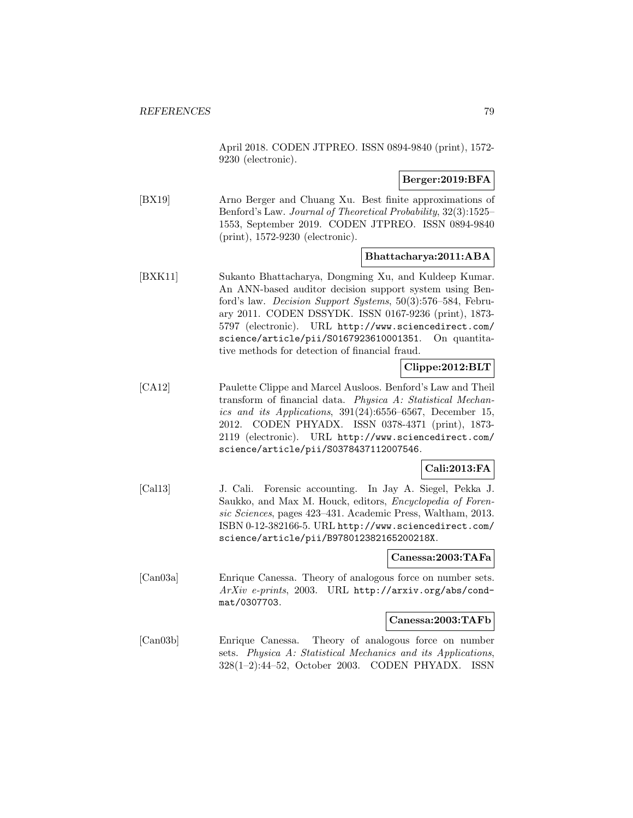April 2018. CODEN JTPREO. ISSN 0894-9840 (print), 1572- 9230 (electronic).

### **Berger:2019:BFA**

[BX19] Arno Berger and Chuang Xu. Best finite approximations of Benford's Law. Journal of Theoretical Probability, 32(3):1525– 1553, September 2019. CODEN JTPREO. ISSN 0894-9840 (print), 1572-9230 (electronic).

#### **Bhattacharya:2011:ABA**

[BXK11] Sukanto Bhattacharya, Dongming Xu, and Kuldeep Kumar. An ANN-based auditor decision support system using Benford's law. Decision Support Systems, 50(3):576–584, February 2011. CODEN DSSYDK. ISSN 0167-9236 (print), 1873- 5797 (electronic). URL http://www.sciencedirect.com/ science/article/pii/S0167923610001351. On quantitative methods for detection of financial fraud.

### **Clippe:2012:BLT**

[CA12] Paulette Clippe and Marcel Ausloos. Benford's Law and Theil transform of financial data. Physica A: Statistical Mechanics and its Applications, 391(24):6556–6567, December 15, 2012. CODEN PHYADX. ISSN 0378-4371 (print), 1873- 2119 (electronic). URL http://www.sciencedirect.com/ science/article/pii/S0378437112007546.

#### **Cali:2013:FA**

[Cal13] J. Cali. Forensic accounting. In Jay A. Siegel, Pekka J. Saukko, and Max M. Houck, editors, Encyclopedia of Forensic Sciences, pages 423–431. Academic Press, Waltham, 2013. ISBN 0-12-382166-5. URL http://www.sciencedirect.com/ science/article/pii/B978012382165200218X.

#### **Canessa:2003:TAFa**

[Can03a] Enrique Canessa. Theory of analogous force on number sets. ArXiv e-prints, 2003. URL http://arxiv.org/abs/condmat/0307703.

#### **Canessa:2003:TAFb**

[Can03b] Enrique Canessa. Theory of analogous force on number sets. Physica A: Statistical Mechanics and its Applications, 328(1–2):44–52, October 2003. CODEN PHYADX. ISSN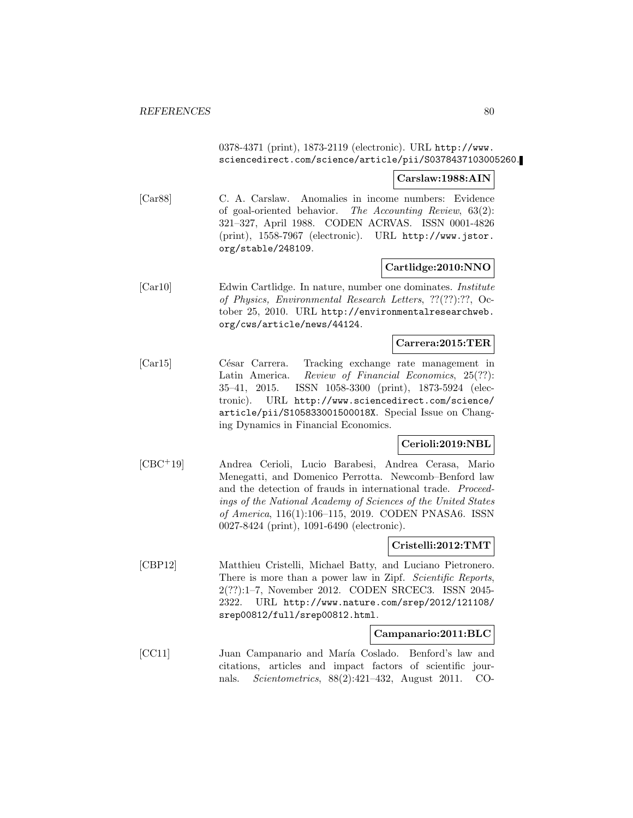### 0378-4371 (print), 1873-2119 (electronic). URL http://www. sciencedirect.com/science/article/pii/S0378437103005260.

#### **Carslaw:1988:AIN**

[Car88] C. A. Carslaw. Anomalies in income numbers: Evidence of goal-oriented behavior. The Accounting Review, 63(2): 321–327, April 1988. CODEN ACRVAS. ISSN 0001-4826 (print), 1558-7967 (electronic). URL http://www.jstor. org/stable/248109.

#### **Cartlidge:2010:NNO**

[Car10] Edwin Cartlidge. In nature, number one dominates. Institute of Physics, Environmental Research Letters, ??(??):??, October 25, 2010. URL http://environmentalresearchweb. org/cws/article/news/44124.

#### **Carrera:2015:TER**

[Car15] César Carrera. Tracking exchange rate management in Latin America. Review of Financial Economics, 25(??): 35–41, 2015. ISSN 1058-3300 (print), 1873-5924 (electronic). URL http://www.sciencedirect.com/science/ article/pii/S105833001500018X. Special Issue on Changing Dynamics in Financial Economics.

### **Cerioli:2019:NBL**

[CBC<sup>+</sup>19] Andrea Cerioli, Lucio Barabesi, Andrea Cerasa, Mario Menegatti, and Domenico Perrotta. Newcomb–Benford law and the detection of frauds in international trade. Proceedings of the National Academy of Sciences of the United States of America, 116(1):106–115, 2019. CODEN PNASA6. ISSN 0027-8424 (print), 1091-6490 (electronic).

#### **Cristelli:2012:TMT**

[CBP12] Matthieu Cristelli, Michael Batty, and Luciano Pietronero. There is more than a power law in Zipf. Scientific Reports, 2(??):1–7, November 2012. CODEN SRCEC3. ISSN 2045- 2322. URL http://www.nature.com/srep/2012/121108/ srep00812/full/srep00812.html.

#### **Campanario:2011:BLC**

[CC11] Juan Campanario and María Coslado. Benford's law and citations, articles and impact factors of scientific journals. Scientometrics, 88(2):421–432, August 2011. CO-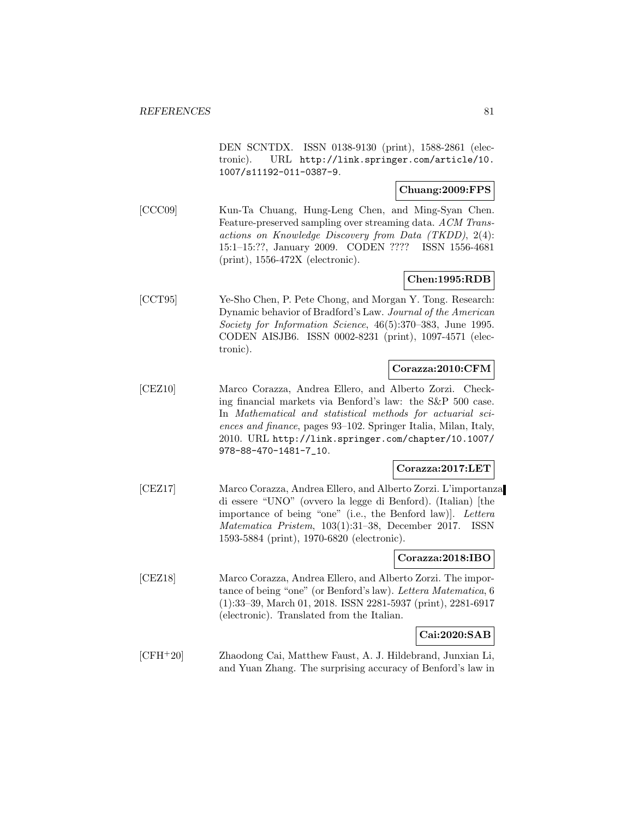DEN SCNTDX. ISSN 0138-9130 (print), 1588-2861 (electronic). URL http://link.springer.com/article/10. 1007/s11192-011-0387-9.

### **Chuang:2009:FPS**

[CCC09] Kun-Ta Chuang, Hung-Leng Chen, and Ming-Syan Chen. Feature-preserved sampling over streaming data. ACM Transactions on Knowledge Discovery from Data (TKDD), 2(4): 15:1–15:??, January 2009. CODEN ???? ISSN 1556-4681 (print), 1556-472X (electronic).

### **Chen:1995:RDB**

[CCT95] Ye-Sho Chen, P. Pete Chong, and Morgan Y. Tong. Research: Dynamic behavior of Bradford's Law. Journal of the American Society for Information Science, 46(5):370–383, June 1995. CODEN AISJB6. ISSN 0002-8231 (print), 1097-4571 (electronic).

### **Corazza:2010:CFM**

[CEZ10] Marco Corazza, Andrea Ellero, and Alberto Zorzi. Checking financial markets via Benford's law: the S&P 500 case. In Mathematical and statistical methods for actuarial sciences and finance, pages 93–102. Springer Italia, Milan, Italy, 2010. URL http://link.springer.com/chapter/10.1007/ 978-88-470-1481-7\_10.

#### **Corazza:2017:LET**

[CEZ17] Marco Corazza, Andrea Ellero, and Alberto Zorzi. L'importanza di essere "UNO" (ovvero la legge di Benford). (Italian) [the importance of being "one" (i.e., the Benford law)]. Lettera Matematica Pristem, 103(1):31–38, December 2017. ISSN 1593-5884 (print), 1970-6820 (electronic).

#### **Corazza:2018:IBO**

[CEZ18] Marco Corazza, Andrea Ellero, and Alberto Zorzi. The importance of being "one" (or Benford's law). Lettera Matematica, 6 (1):33–39, March 01, 2018. ISSN 2281-5937 (print), 2281-6917 (electronic). Translated from the Italian.

#### **Cai:2020:SAB**

[CFH<sup>+</sup>20] Zhaodong Cai, Matthew Faust, A. J. Hildebrand, Junxian Li, and Yuan Zhang. The surprising accuracy of Benford's law in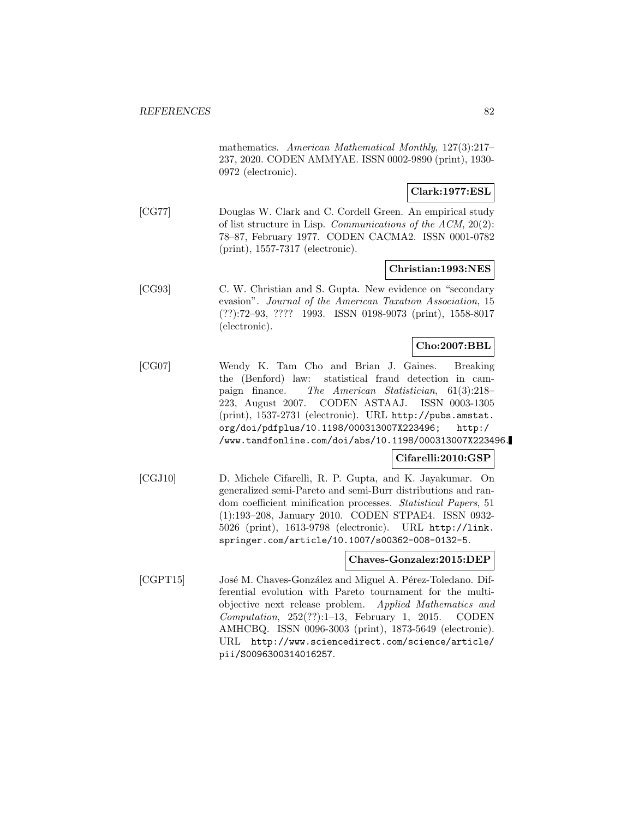mathematics. American Mathematical Monthly, 127(3):217– 237, 2020. CODEN AMMYAE. ISSN 0002-9890 (print), 1930- 0972 (electronic).

### **Clark:1977:ESL**

[CG77] Douglas W. Clark and C. Cordell Green. An empirical study of list structure in Lisp. Communications of the ACM, 20(2): 78–87, February 1977. CODEN CACMA2. ISSN 0001-0782 (print), 1557-7317 (electronic).

#### **Christian:1993:NES**

[CG93] C. W. Christian and S. Gupta. New evidence on "secondary evasion". Journal of the American Taxation Association, 15 (??):72–93, ???? 1993. ISSN 0198-9073 (print), 1558-8017 (electronic).

### **Cho:2007:BBL**

[CG07] Wendy K. Tam Cho and Brian J. Gaines. Breaking the (Benford) law: statistical fraud detection in campaign finance. The American Statistician, 61(3):218– 223, August 2007. CODEN ASTAAJ. ISSN 0003-1305 (print), 1537-2731 (electronic). URL http://pubs.amstat. org/doi/pdfplus/10.1198/000313007X223496; http:/ /www.tandfonline.com/doi/abs/10.1198/000313007X223496.

#### **Cifarelli:2010:GSP**

[CGJ10] D. Michele Cifarelli, R. P. Gupta, and K. Jayakumar. On generalized semi-Pareto and semi-Burr distributions and random coefficient minification processes. Statistical Papers, 51 (1):193–208, January 2010. CODEN STPAE4. ISSN 0932- 5026 (print), 1613-9798 (electronic). URL http://link. springer.com/article/10.1007/s00362-008-0132-5.

#### **Chaves-Gonzalez:2015:DEP**

[CGPT15] José M. Chaves-González and Miguel A. Pérez-Toledano. Differential evolution with Pareto tournament for the multiobjective next release problem. Applied Mathematics and  $Computation$ ,  $252(??):1-13$ , February 1, 2015. CODEN AMHCBQ. ISSN 0096-3003 (print), 1873-5649 (electronic). URL http://www.sciencedirect.com/science/article/ pii/S0096300314016257.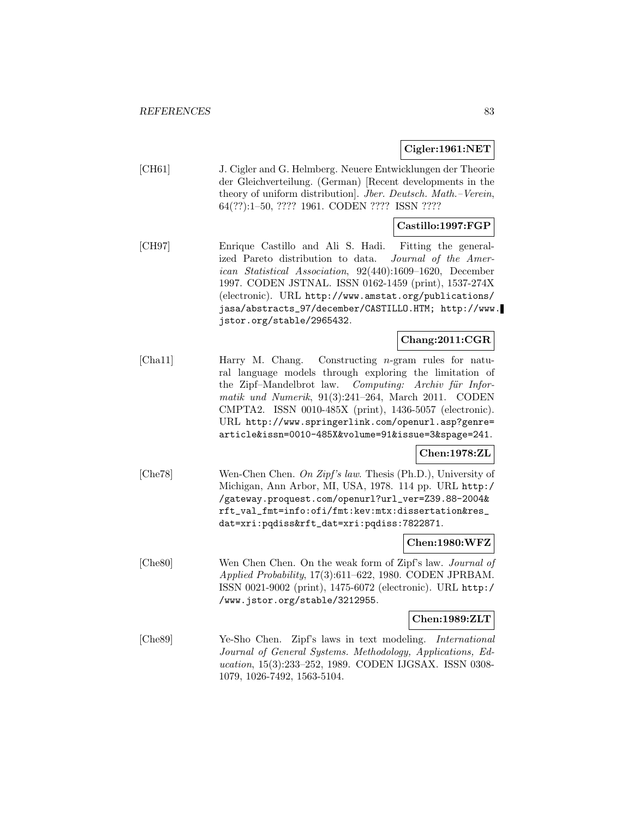#### **Cigler:1961:NET**

[CH61] J. Cigler and G. Helmberg. Neuere Entwicklungen der Theorie der Gleichverteilung. (German) [Recent developments in the theory of uniform distribution]. Jber. Deutsch. Math.–Verein, 64(??):1–50, ???? 1961. CODEN ???? ISSN ????

### **Castillo:1997:FGP**

[CH97] Enrique Castillo and Ali S. Hadi. Fitting the generalized Pareto distribution to data. Journal of the American Statistical Association, 92(440):1609–1620, December 1997. CODEN JSTNAL. ISSN 0162-1459 (print), 1537-274X (electronic). URL http://www.amstat.org/publications/ jasa/abstracts\_97/december/CASTILLO.HTM; http://www. jstor.org/stable/2965432.

# **Chang:2011:CGR**

[Cha11] Harry M. Chang. Constructing n-gram rules for natural language models through exploring the limitation of the Zipf–Mandelbrot law. Computing: Archiv für Informatik und Numerik, 91(3):241–264, March 2011. CODEN CMPTA2. ISSN 0010-485X (print), 1436-5057 (electronic). URL http://www.springerlink.com/openurl.asp?genre= article&issn=0010-485X&volume=91&issue=3&spage=241.

### **Chen:1978:ZL**

[Che78] Wen-Chen Chen. On Zipf's law. Thesis (Ph.D.), University of Michigan, Ann Arbor, MI, USA, 1978. 114 pp. URL http:/ /gateway.proquest.com/openurl?url\_ver=Z39.88-2004& rft\_val\_fmt=info:ofi/fmt:kev:mtx:dissertation&res\_ dat=xri:pqdiss&rft\_dat=xri:pqdiss:7822871.

**Chen:1980:WFZ**

[Che80] Wen Chen Chen. On the weak form of Zipf's law. Journal of Applied Probability, 17(3):611–622, 1980. CODEN JPRBAM. ISSN 0021-9002 (print), 1475-6072 (electronic). URL http:/ /www.jstor.org/stable/3212955.

#### **Chen:1989:ZLT**

[Che89] Ye-Sho Chen. Zipf's laws in text modeling. International Journal of General Systems. Methodology, Applications, Education, 15(3):233–252, 1989. CODEN IJGSAX. ISSN 0308- 1079, 1026-7492, 1563-5104.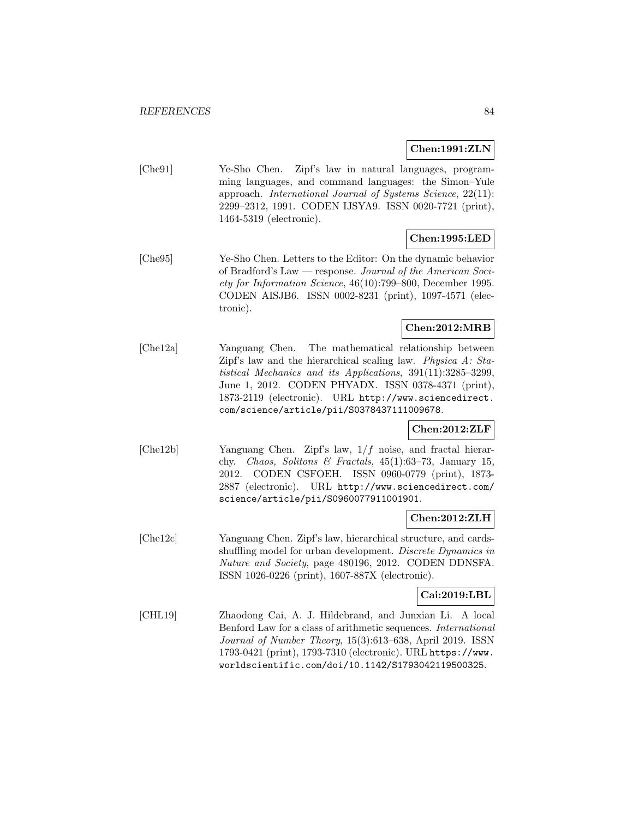#### **Chen:1991:ZLN**

[Che91] Ye-Sho Chen. Zipf's law in natural languages, programming languages, and command languages: the Simon–Yule approach. International Journal of Systems Science, 22(11): 2299–2312, 1991. CODEN IJSYA9. ISSN 0020-7721 (print), 1464-5319 (electronic).

### **Chen:1995:LED**

[Che95] Ye-Sho Chen. Letters to the Editor: On the dynamic behavior of Bradford's Law — response. Journal of the American Society for Information Science, 46(10):799–800, December 1995. CODEN AISJB6. ISSN 0002-8231 (print), 1097-4571 (electronic).

### **Chen:2012:MRB**

[Che12a] Yanguang Chen. The mathematical relationship between Zipf's law and the hierarchical scaling law. Physica A: Statistical Mechanics and its Applications, 391(11):3285–3299, June 1, 2012. CODEN PHYADX. ISSN 0378-4371 (print), 1873-2119 (electronic). URL http://www.sciencedirect. com/science/article/pii/S0378437111009678.

#### **Chen:2012:ZLF**

[Che12b] Yanguang Chen. Zipf's law, 1/f noise, and fractal hierarchy. Chaos, Solitons & Fractals,  $45(1):63-73$ , January 15, 2012. CODEN CSFOEH. ISSN 0960-0779 (print), 1873- 2887 (electronic). URL http://www.sciencedirect.com/ science/article/pii/S0960077911001901.

#### **Chen:2012:ZLH**

[Che12c] Yanguang Chen. Zipf's law, hierarchical structure, and cardsshuffling model for urban development. Discrete Dynamics in Nature and Society, page 480196, 2012. CODEN DDNSFA. ISSN 1026-0226 (print), 1607-887X (electronic).

### **Cai:2019:LBL**

[CHL19] Zhaodong Cai, A. J. Hildebrand, and Junxian Li. A local Benford Law for a class of arithmetic sequences. International Journal of Number Theory, 15(3):613–638, April 2019. ISSN 1793-0421 (print), 1793-7310 (electronic). URL https://www. worldscientific.com/doi/10.1142/S1793042119500325.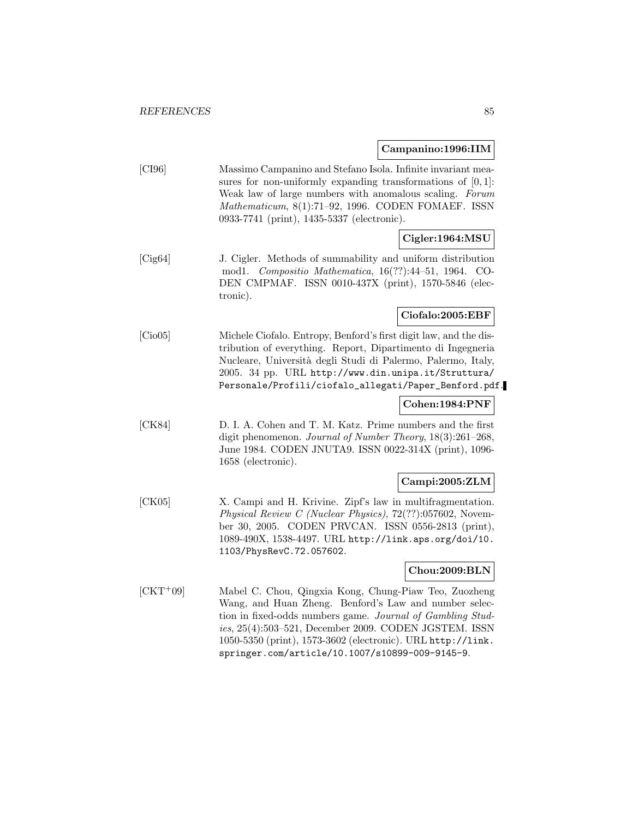# **Campanino:1996:IIM**

|            | <u>ampanmore</u> o origina                                                                                                                                                                                                                                                                                                                              |
|------------|---------------------------------------------------------------------------------------------------------------------------------------------------------------------------------------------------------------------------------------------------------------------------------------------------------------------------------------------------------|
| [CI96]     | Massimo Campanino and Stefano Isola. Infinite invariant mea-<br>sures for non-uniformly expanding transformations of $[0,1]$ :<br>Weak law of large numbers with anomalous scaling. Forum<br>Mathematicum, 8(1):71-92, 1996. CODEN FOMAEF. ISSN<br>0933-7741 (print), 1435-5337 (electronic).                                                           |
|            | Cigler:1964:MSU                                                                                                                                                                                                                                                                                                                                         |
| [Cig64]    | J. Cigler. Methods of summability and uniform distribution<br>mod<br>1. Compositio Mathematica, 16(??):44-51, 1964.<br>$CO-$<br>DEN CMPMAF. ISSN 0010-437X (print), 1570-5846 (elec-<br>                                                                                                                                                                |
|            | Ciofalo:2005:EBF                                                                                                                                                                                                                                                                                                                                        |
| [Cio05]    | Michele Ciofalo. Entropy, Benford's first digit law, and the dis-<br>tribution of everything. Report, Dipartimento di Ingegneria<br>Nucleare, Università degli Studi di Palermo, Palermo, Italy,<br>2005. 34 pp. URL http://www.din.unipa.it/Struttura/<br>Personale/Profili/ciofalo_allegati/Paper_Benford.pdf.                                        |
|            | Cohen:1984:PNF                                                                                                                                                                                                                                                                                                                                          |
| [CK84]     | D. I. A. Cohen and T. M. Katz. Prime numbers and the first<br>digit phenomenon. Journal of Number Theory, 18(3):261-268,<br>June 1984. CODEN JNUTA9. ISSN 0022-314X (print), 1096-<br>1658 (electronic).                                                                                                                                                |
|            | Campi:2005:ZLM                                                                                                                                                                                                                                                                                                                                          |
| [CK05]     | X. Campi and H. Krivine. Zipf's law in multifragmentation.<br><i>Physical Review C (Nuclear Physics)</i> , 72(??):057602, Novem-<br>ber 30, 2005. CODEN PRVCAN. ISSN 0556-2813 (print),<br>1089-490X, 1538-4497. URL http://link.aps.org/doi/10.<br>1103/PhysRevC.72.057602.                                                                            |
|            | Chou:2009:BLN                                                                                                                                                                                                                                                                                                                                           |
| $[CHT+09]$ | Mabel C. Chou, Qingxia Kong, Chung-Piaw Teo, Zuozheng<br>Wang, and Huan Zheng. Benford's Law and number selec-<br>tion in fixed-odds numbers game. Journal of Gambling Stud-<br>ies, 25(4):503-521, December 2009. CODEN JGSTEM. ISSN<br>1050-5350 (print), 1573-3602 (electronic). URL http://link.<br>springer.com/article/10.1007/s10899-009-9145-9. |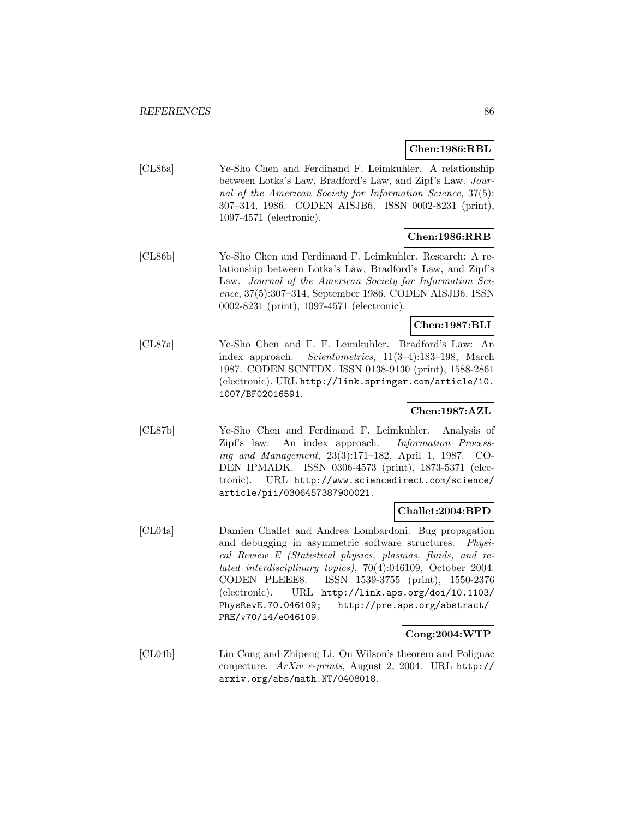#### **Chen:1986:RBL**

| [CL86a] | Ye-Sho Chen and Ferdinand F. Leimkuhler. A relationship     |
|---------|-------------------------------------------------------------|
|         | between Lotka's Law, Bradford's Law, and Zipf's Law. Jour-  |
|         | nal of the American Society for Information Science, 37(5): |
|         | 307-314, 1986. CODEN AISJB6. ISSN 0002-8231 (print),        |
|         | $1097-4571$ (electronic).                                   |

# **Chen:1986:RRB**

[CL86b] Ye-Sho Chen and Ferdinand F. Leimkuhler. Research: A relationship between Lotka's Law, Bradford's Law, and Zipf's Law. Journal of the American Society for Information Science, 37(5):307–314, September 1986. CODEN AISJB6. ISSN 0002-8231 (print), 1097-4571 (electronic).

### **Chen:1987:BLI**

[CL87a] Ye-Sho Chen and F. F. Leimkuhler. Bradford's Law: An index approach. Scientometrics, 11(3–4):183–198, March 1987. CODEN SCNTDX. ISSN 0138-9130 (print), 1588-2861 (electronic). URL http://link.springer.com/article/10. 1007/BF02016591.

# **Chen:1987:AZL**

[CL87b] Ye-Sho Chen and Ferdinand F. Leimkuhler. Analysis of Zipf's law: An index approach. Information Processing and Management, 23(3):171–182, April 1, 1987. CO-DEN IPMADK. ISSN 0306-4573 (print), 1873-5371 (electronic). URL http://www.sciencedirect.com/science/ article/pii/0306457387900021.

### **Challet:2004:BPD**

[CL04a] Damien Challet and Andrea Lombardoni. Bug propagation and debugging in asymmetric software structures. Physical Review E (Statistical physics, plasmas, fluids, and related interdisciplinary topics), 70(4):046109, October 2004. CODEN PLEEE8. ISSN 1539-3755 (print), 1550-2376 (electronic). URL http://link.aps.org/doi/10.1103/ PhysRevE.70.046109; http://pre.aps.org/abstract/ PRE/v70/i4/e046109.

#### **Cong:2004:WTP**

[CL04b] Lin Cong and Zhipeng Li. On Wilson's theorem and Polignac conjecture. ArXiv e-prints, August 2, 2004. URL http:// arxiv.org/abs/math.NT/0408018.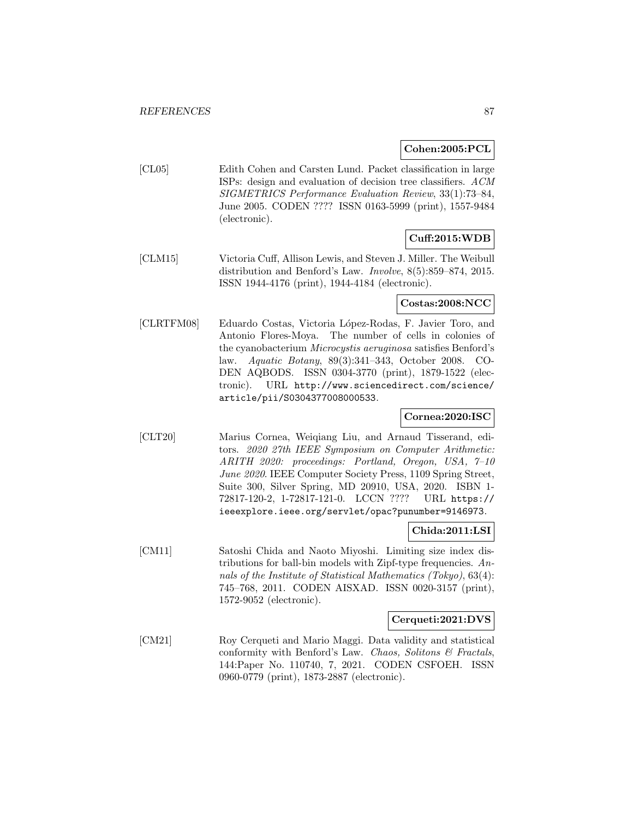**Cohen:2005:PCL**

[CL05] Edith Cohen and Carsten Lund. Packet classification in large ISPs: design and evaluation of decision tree classifiers. ACM SIGMETRICS Performance Evaluation Review, 33(1):73–84, June 2005. CODEN ???? ISSN 0163-5999 (print), 1557-9484 (electronic).

# **Cuff:2015:WDB**

[CLM15] Victoria Cuff, Allison Lewis, and Steven J. Miller. The Weibull distribution and Benford's Law. Involve, 8(5):859–874, 2015. ISSN 1944-4176 (print), 1944-4184 (electronic).

#### **Costas:2008:NCC**

[CLRTFM08] Eduardo Costas, Victoria López-Rodas, F. Javier Toro, and Antonio Flores-Moya. The number of cells in colonies of the cyanobacterium Microcystis aeruginosa satisfies Benford's law. Aquatic Botany, 89(3):341–343, October 2008. CO-DEN AQBODS. ISSN 0304-3770 (print), 1879-1522 (electronic). URL http://www.sciencedirect.com/science/ article/pii/S0304377008000533.

### **Cornea:2020:ISC**

[CLT20] Marius Cornea, Weiqiang Liu, and Arnaud Tisserand, editors. 2020 27th IEEE Symposium on Computer Arithmetic: ARITH 2020: proceedings: Portland, Oregon, USA, 7–10 June 2020. IEEE Computer Society Press, 1109 Spring Street, Suite 300, Silver Spring, MD 20910, USA, 2020. ISBN 1- 72817-120-2, 1-72817-121-0. LCCN ???? URL https:// ieeexplore.ieee.org/servlet/opac?punumber=9146973.

#### **Chida:2011:LSI**

[CM11] Satoshi Chida and Naoto Miyoshi. Limiting size index distributions for ball-bin models with Zipf-type frequencies.  $An$ nals of the Institute of Statistical Mathematics (Tokyo), 63(4): 745–768, 2011. CODEN AISXAD. ISSN 0020-3157 (print), 1572-9052 (electronic).

#### **Cerqueti:2021:DVS**

[CM21] Roy Cerqueti and Mario Maggi. Data validity and statistical conformity with Benford's Law. Chaos, Solitons  $\mathcal C$  Fractals, 144:Paper No. 110740, 7, 2021. CODEN CSFOEH. ISSN 0960-0779 (print), 1873-2887 (electronic).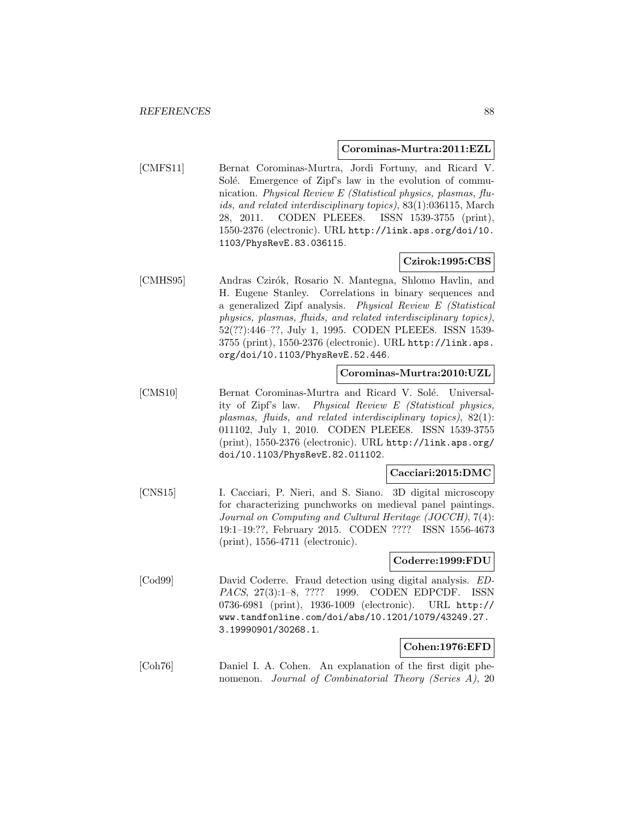#### **Corominas-Murtra:2011:EZL**

[CMFS11] Bernat Corominas-Murtra, Jordi Fortuny, and Ricard V. Solé. Emergence of Zipf's law in the evolution of communication. Physical Review E (Statistical physics, plasmas, fluids, and related interdisciplinary topics), 83(1):036115, March 28, 2011. CODEN PLEEE8. ISSN 1539-3755 (print), 1550-2376 (electronic). URL http://link.aps.org/doi/10. 1103/PhysRevE.83.036115.

#### **Czirok:1995:CBS**

[CMHS95] Andras Czir´ok, Rosario N. Mantegna, Shlomo Havlin, and H. Eugene Stanley. Correlations in binary sequences and a generalized Zipf analysis. Physical Review E (Statistical physics, plasmas, fluids, and related interdisciplinary topics), 52(??):446–??, July 1, 1995. CODEN PLEEE8. ISSN 1539- 3755 (print), 1550-2376 (electronic). URL http://link.aps. org/doi/10.1103/PhysRevE.52.446.

#### **Corominas-Murtra:2010:UZL**

[CMS10] Bernat Corominas-Murtra and Ricard V. Solé. Universality of Zipf's law. Physical Review E (Statistical physics, plasmas, fluids, and related interdisciplinary topics), 82(1): 011102, July 1, 2010. CODEN PLEEE8. ISSN 1539-3755 (print), 1550-2376 (electronic). URL http://link.aps.org/ doi/10.1103/PhysRevE.82.011102.

#### **Cacciari:2015:DMC**

[CNS15] I. Cacciari, P. Nieri, and S. Siano. 3D digital microscopy for characterizing punchworks on medieval panel paintings. Journal on Computing and Cultural Heritage (JOCCH), 7(4): 19:1–19:??, February 2015. CODEN ???? ISSN 1556-4673 (print), 1556-4711 (electronic).

### **Coderre:1999:FDU**

[Cod99] David Coderre. Fraud detection using digital analysis. ED-PACS, 27(3):1–8, ???? 1999. CODEN EDPCDF. ISSN 0736-6981 (print), 1936-1009 (electronic). URL http:// www.tandfonline.com/doi/abs/10.1201/1079/43249.27. 3.19990901/30268.1.

### **Cohen:1976:EFD**

[Coh76] Daniel I. A. Cohen. An explanation of the first digit phenomenon. Journal of Combinatorial Theory (Series A), 20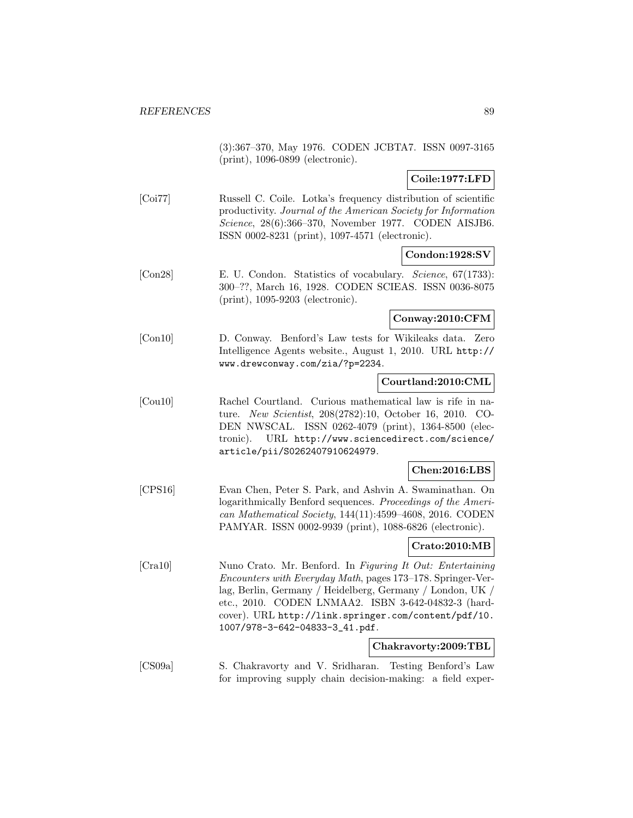(3):367–370, May 1976. CODEN JCBTA7. ISSN 0097-3165 (print), 1096-0899 (electronic).

### **Coile:1977:LFD**

[Coi77] Russell C. Coile. Lotka's frequency distribution of scientific productivity. Journal of the American Society for Information Science, 28(6):366–370, November 1977. CODEN AISJB6. ISSN 0002-8231 (print), 1097-4571 (electronic).

### **Condon:1928:SV**

[Con28] E. U. Condon. Statistics of vocabulary. Science, 67(1733): 300–??, March 16, 1928. CODEN SCIEAS. ISSN 0036-8075 (print), 1095-9203 (electronic).

#### **Conway:2010:CFM**

[Con10] D. Conway. Benford's Law tests for Wikileaks data. Zero Intelligence Agents website., August 1, 2010. URL http:// www.drewconway.com/zia/?p=2234.

### **Courtland:2010:CML**

[Cou10] Rachel Courtland. Curious mathematical law is rife in nature. New Scientist, 208(2782):10, October 16, 2010. CO-DEN NWSCAL. ISSN 0262-4079 (print), 1364-8500 (electronic). URL http://www.sciencedirect.com/science/ article/pii/S0262407910624979.

#### **Chen:2016:LBS**

[CPS16] Evan Chen, Peter S. Park, and Ashvin A. Swaminathan. On logarithmically Benford sequences. Proceedings of the American Mathematical Society, 144(11):4599–4608, 2016. CODEN PAMYAR. ISSN 0002-9939 (print), 1088-6826 (electronic).

# **Crato:2010:MB**

[Cra10] Nuno Crato. Mr. Benford. In Figuring It Out: Entertaining Encounters with Everyday Math, pages 173–178. Springer-Verlag, Berlin, Germany / Heidelberg, Germany / London, UK / etc., 2010. CODEN LNMAA2. ISBN 3-642-04832-3 (hardcover). URL http://link.springer.com/content/pdf/10. 1007/978-3-642-04833-3\_41.pdf.

#### **Chakravorty:2009:TBL**

[CS09a] S. Chakravorty and V. Sridharan. Testing Benford's Law for improving supply chain decision-making: a field exper-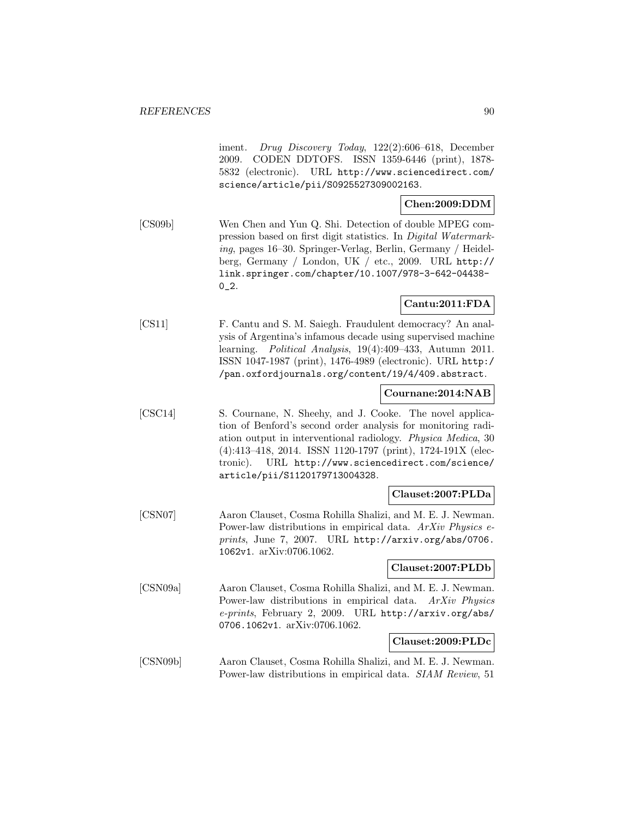iment. Drug Discovery Today, 122(2):606–618, December 2009. CODEN DDTOFS. ISSN 1359-6446 (print), 1878- 5832 (electronic). URL http://www.sciencedirect.com/ science/article/pii/S0925527309002163.

# **Chen:2009:DDM**

[CS09b] Wen Chen and Yun Q. Shi. Detection of double MPEG compression based on first digit statistics. In Digital Watermarking, pages 16–30. Springer-Verlag, Berlin, Germany / Heidelberg, Germany / London, UK / etc., 2009. URL http:// link.springer.com/chapter/10.1007/978-3-642-04438-  $0_{-2}$ .

### **Cantu:2011:FDA**

[CS11] F. Cantu and S. M. Saiegh. Fraudulent democracy? An analysis of Argentina's infamous decade using supervised machine learning. Political Analysis, 19(4):409–433, Autumn 2011. ISSN 1047-1987 (print), 1476-4989 (electronic). URL http:/ /pan.oxfordjournals.org/content/19/4/409.abstract.

#### **Cournane:2014:NAB**

[CSC14] S. Cournane, N. Sheehy, and J. Cooke. The novel application of Benford's second order analysis for monitoring radiation output in interventional radiology. Physica Medica, 30 (4):413–418, 2014. ISSN 1120-1797 (print), 1724-191X (electronic). URL http://www.sciencedirect.com/science/ article/pii/S1120179713004328.

#### **Clauset:2007:PLDa**

[CSN07] Aaron Clauset, Cosma Rohilla Shalizi, and M. E. J. Newman. Power-law distributions in empirical data. ArXiv Physics eprints, June 7, 2007. URL http://arxiv.org/abs/0706. 1062v1. arXiv:0706.1062.

#### **Clauset:2007:PLDb**

[CSN09a] Aaron Clauset, Cosma Rohilla Shalizi, and M. E. J. Newman. Power-law distributions in empirical data. ArXiv Physics e-prints, February 2, 2009. URL http://arxiv.org/abs/ 0706.1062v1. arXiv:0706.1062.

### **Clauset:2009:PLDc**

[CSN09b] Aaron Clauset, Cosma Rohilla Shalizi, and M. E. J. Newman. Power-law distributions in empirical data. SIAM Review, 51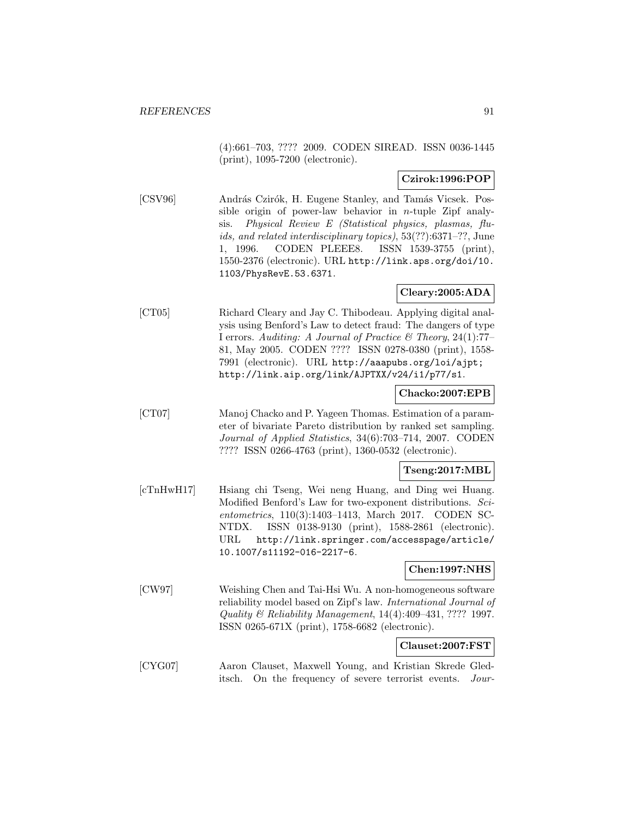(4):661–703, ???? 2009. CODEN SIREAD. ISSN 0036-1445 (print), 1095-7200 (electronic).

### **Czirok:1996:POP**

[CSV96] András Czirók, H. Eugene Stanley, and Tamás Vicsek. Possible origin of power-law behavior in *n*-tuple Zipf analysis. Physical Review E (Statistical physics, plasmas, fluids, and related interdisciplinary topics), 53(??):6371–??, June 1, 1996. CODEN PLEEE8. ISSN 1539-3755 (print), 1550-2376 (electronic). URL http://link.aps.org/doi/10. 1103/PhysRevE.53.6371.

### **Cleary:2005:ADA**

[CT05] Richard Cleary and Jay C. Thibodeau. Applying digital analysis using Benford's Law to detect fraud: The dangers of type I errors. Auditing: A Journal of Practice & Theory, 24(1):77– 81, May 2005. CODEN ???? ISSN 0278-0380 (print), 1558- 7991 (electronic). URL http://aaapubs.org/loi/ajpt; http://link.aip.org/link/AJPTXX/v24/i1/p77/s1.

#### **Chacko:2007:EPB**

[CT07] Manoj Chacko and P. Yageen Thomas. Estimation of a parameter of bivariate Pareto distribution by ranked set sampling. Journal of Applied Statistics, 34(6):703–714, 2007. CODEN ???? ISSN 0266-4763 (print), 1360-0532 (electronic).

#### **Tseng:2017:MBL**

[cTnHwH17] Hsiang chi Tseng, Wei neng Huang, and Ding wei Huang. Modified Benford's Law for two-exponent distributions. Scientometrics, 110(3):1403–1413, March 2017. CODEN SC-NTDX. ISSN 0138-9130 (print), 1588-2861 (electronic). URL http://link.springer.com/accesspage/article/ 10.1007/s11192-016-2217-6.

#### **Chen:1997:NHS**

[CW97] Weishing Chen and Tai-Hsi Wu. A non-homogeneous software reliability model based on Zipf's law. International Journal of Quality & Reliability Management, 14(4):409–431, ???? 1997. ISSN 0265-671X (print), 1758-6682 (electronic).

#### **Clauset:2007:FST**

[CYG07] Aaron Clauset, Maxwell Young, and Kristian Skrede Gleditsch. On the frequency of severe terrorist events. Jour-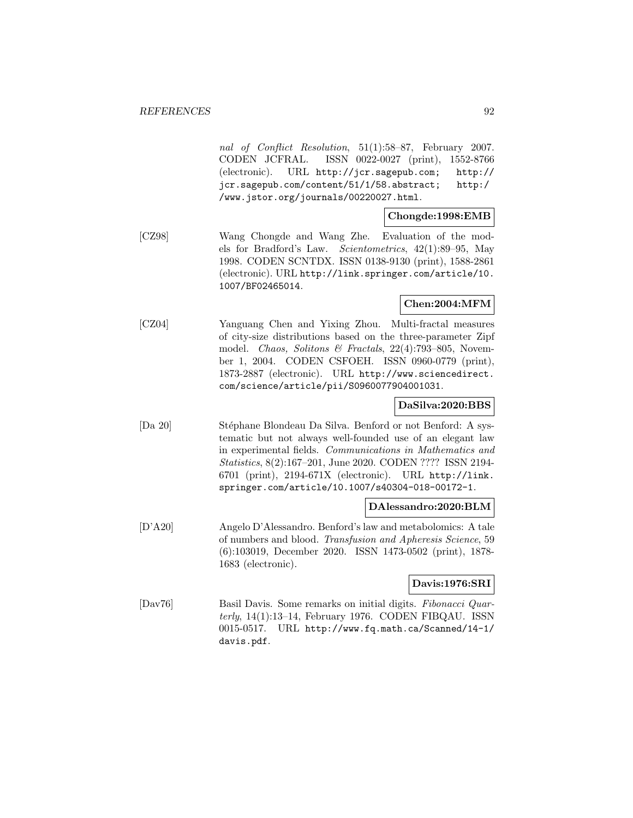nal of Conflict Resolution, 51(1):58–87, February 2007. CODEN JCFRAL. ISSN 0022-0027 (print), 1552-8766 (electronic). URL http://jcr.sagepub.com; http:// jcr.sagepub.com/content/51/1/58.abstract; http:/ /www.jstor.org/journals/00220027.html.

### **Chongde:1998:EMB**

[CZ98] Wang Chongde and Wang Zhe. Evaluation of the models for Bradford's Law. Scientometrics, 42(1):89–95, May 1998. CODEN SCNTDX. ISSN 0138-9130 (print), 1588-2861 (electronic). URL http://link.springer.com/article/10. 1007/BF02465014.

### **Chen:2004:MFM**

[CZ04] Yanguang Chen and Yixing Zhou. Multi-fractal measures of city-size distributions based on the three-parameter Zipf model. Chaos, Solitons & Fractals, 22(4):793–805, November 1, 2004. CODEN CSFOEH. ISSN 0960-0779 (print), 1873-2887 (electronic). URL http://www.sciencedirect. com/science/article/pii/S0960077904001031.

### **DaSilva:2020:BBS**

[Da 20] Stéphane Blondeau Da Silva. Benford or not Benford: A systematic but not always well-founded use of an elegant law in experimental fields. Communications in Mathematics and Statistics, 8(2):167–201, June 2020. CODEN ???? ISSN 2194- 6701 (print), 2194-671X (electronic). URL http://link. springer.com/article/10.1007/s40304-018-00172-1.

#### **DAlessandro:2020:BLM**

[D'A20] Angelo D'Alessandro. Benford's law and metabolomics: A tale of numbers and blood. Transfusion and Apheresis Science, 59 (6):103019, December 2020. ISSN 1473-0502 (print), 1878- 1683 (electronic).

#### **Davis:1976:SRI**

[Dav76] Basil Davis. Some remarks on initial digits. Fibonacci Quar $terly, 14(1):13-14, February 1976. CODEN FIBQAU. ISSN$ 0015-0517. URL http://www.fq.math.ca/Scanned/14-1/ davis.pdf.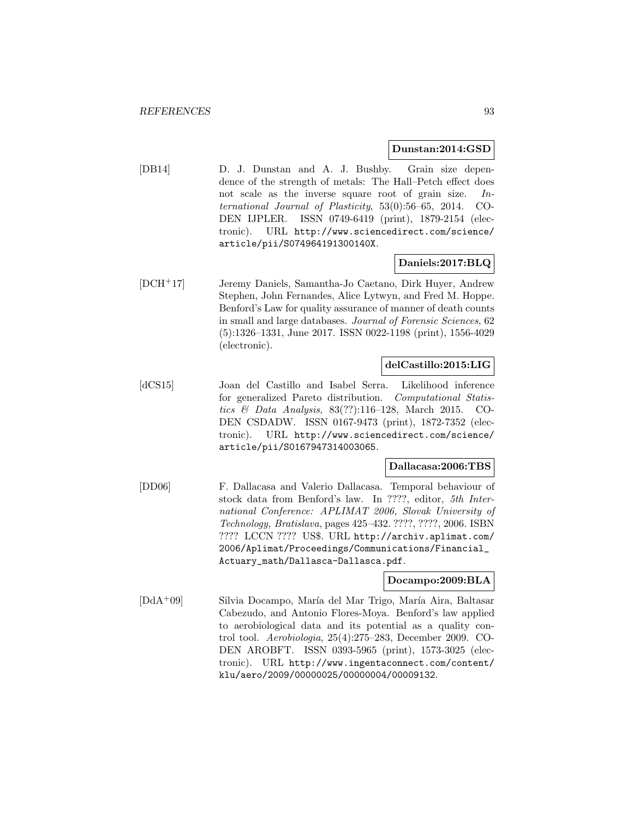#### **Dunstan:2014:GSD**

[DB14] D. J. Dunstan and A. J. Bushby. Grain size dependence of the strength of metals: The Hall–Petch effect does not scale as the inverse square root of grain size. International Journal of Plasticity, 53(0):56–65, 2014. CO-DEN IJPLER. ISSN 0749-6419 (print), 1879-2154 (electronic). URL http://www.sciencedirect.com/science/ article/pii/S074964191300140X.

### **Daniels:2017:BLQ**

[DCH<sup>+</sup>17] Jeremy Daniels, Samantha-Jo Caetano, Dirk Huyer, Andrew Stephen, John Fernandes, Alice Lytwyn, and Fred M. Hoppe. Benford's Law for quality assurance of manner of death counts in small and large databases. Journal of Forensic Sciences, 62 (5):1326–1331, June 2017. ISSN 0022-1198 (print), 1556-4029 (electronic).

#### **delCastillo:2015:LIG**

[dCS15] Joan del Castillo and Isabel Serra. Likelihood inference for generalized Pareto distribution. Computational Statistics & Data Analysis, 83(??):116–128, March 2015. CO-DEN CSDADW. ISSN 0167-9473 (print), 1872-7352 (electronic). URL http://www.sciencedirect.com/science/ article/pii/S0167947314003065.

#### **Dallacasa:2006:TBS**

[DD06] F. Dallacasa and Valerio Dallacasa. Temporal behaviour of stock data from Benford's law. In ????, editor, 5th International Conference: APLIMAT 2006, Slovak University of Technology, Bratislava, pages 425–432. ????, ????, 2006. ISBN ???? LCCN ???? US\$. URL http://archiv.aplimat.com/ 2006/Aplimat/Proceedings/Communications/Financial\_ Actuary\_math/Dallasca-Dallasca.pdf.

#### **Docampo:2009:BLA**

[DdA<sup>+</sup>09] Silvia Docampo, María del Mar Trigo, María Aira, Baltasar Cabezudo, and Antonio Flores-Moya. Benford's law applied to aerobiological data and its potential as a quality control tool. Aerobiologia, 25(4):275–283, December 2009. CO-DEN AROBFT. ISSN 0393-5965 (print), 1573-3025 (electronic). URL http://www.ingentaconnect.com/content/ klu/aero/2009/00000025/00000004/00009132.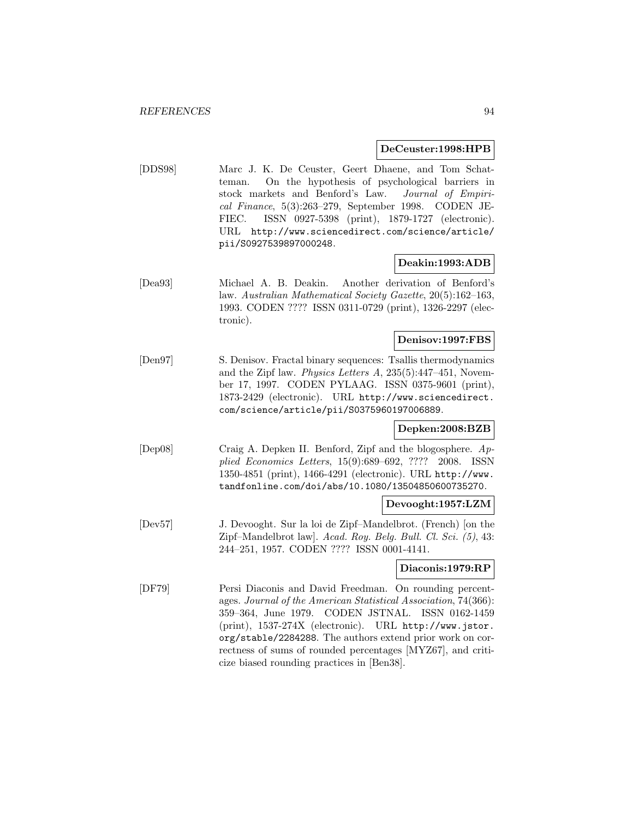#### **DeCeuster:1998:HPB**

[DDS98] Marc J. K. De Ceuster, Geert Dhaene, and Tom Schatteman. On the hypothesis of psychological barriers in stock markets and Benford's Law. Journal of Empirical Finance, 5(3):263–279, September 1998. CODEN JE-FIEC. ISSN 0927-5398 (print), 1879-1727 (electronic). URL http://www.sciencedirect.com/science/article/ pii/S0927539897000248.

#### **Deakin:1993:ADB**

[Dea93] Michael A. B. Deakin. Another derivation of Benford's law. Australian Mathematical Society Gazette, 20(5):162–163, 1993. CODEN ???? ISSN 0311-0729 (print), 1326-2297 (electronic).

## **Denisov:1997:FBS**

[Den97] S. Denisov. Fractal binary sequences: Tsallis thermodynamics and the Zipf law. Physics Letters A, 235(5):447–451, November 17, 1997. CODEN PYLAAG. ISSN 0375-9601 (print), 1873-2429 (electronic). URL http://www.sciencedirect. com/science/article/pii/S0375960197006889.

#### **Depken:2008:BZB**

[Dep08] Craig A. Depken II. Benford, Zipf and the blogosphere. Applied Economics Letters, 15(9):689–692, ???? 2008. ISSN 1350-4851 (print), 1466-4291 (electronic). URL http://www. tandfonline.com/doi/abs/10.1080/13504850600735270.

#### **Devooght:1957:LZM**

[Dev57] J. Devooght. Sur la loi de Zipf–Mandelbrot. (French) [on the Zipf–Mandelbrot law]. Acad. Roy. Belg. Bull. Cl. Sci. (5), 43: 244–251, 1957. CODEN ???? ISSN 0001-4141.

#### **Diaconis:1979:RP**

[DF79] Persi Diaconis and David Freedman. On rounding percentages. Journal of the American Statistical Association, 74(366): 359–364, June 1979. CODEN JSTNAL. ISSN 0162-1459 (print), 1537-274X (electronic). URL http://www.jstor. org/stable/2284288. The authors extend prior work on correctness of sums of rounded percentages [MYZ67], and criticize biased rounding practices in [Ben38].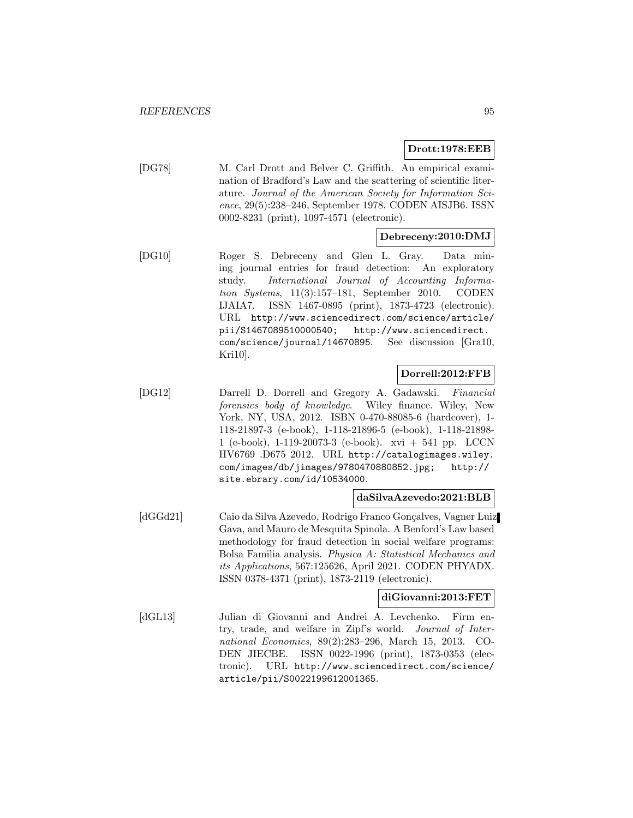**Drott:1978:EEB**

[DG78] M. Carl Drott and Belver C. Griffith. An empirical examination of Bradford's Law and the scattering of scientific literature. Journal of the American Society for Information Science, 29(5):238–246, September 1978. CODEN AISJB6. ISSN 0002-8231 (print), 1097-4571 (electronic).

#### **Debreceny:2010:DMJ**

[DG10] Roger S. Debreceny and Glen L. Gray. Data mining journal entries for fraud detection: An exploratory study. International Journal of Accounting Information Systems, 11(3):157–181, September 2010. CODEN IJAIA7. ISSN 1467-0895 (print), 1873-4723 (electronic). URL http://www.sciencedirect.com/science/article/ pii/S1467089510000540; http://www.sciencedirect. com/science/journal/14670895. See discussion [Gra10, Kri10].

# **Dorrell:2012:FFB**

[DG12] Darrell D. Dorrell and Gregory A. Gadawski. Financial forensics body of knowledge. Wiley finance. Wiley, New York, NY, USA, 2012. ISBN 0-470-88085-6 (hardcover), 1- 118-21897-3 (e-book), 1-118-21896-5 (e-book), 1-118-21898- 1 (e-book), 1-119-20073-3 (e-book). xvi + 541 pp. LCCN HV6769 .D675 2012. URL http://catalogimages.wiley. com/images/db/jimages/9780470880852.jpg; http:// site.ebrary.com/id/10534000.

#### **daSilvaAzevedo:2021:BLB**

[dGGd21] Caio da Silva Azevedo, Rodrigo Franco Gonçalves, Vagner Luiz Gava, and Mauro de Mesquita Spinola. A Benford's Law based methodology for fraud detection in social welfare programs: Bolsa Familia analysis. Physica A: Statistical Mechanics and its Applications, 567:125626, April 2021. CODEN PHYADX. ISSN 0378-4371 (print), 1873-2119 (electronic).

#### **diGiovanni:2013:FET**

[dGL13] Julian di Giovanni and Andrei A. Levchenko. Firm entry, trade, and welfare in Zipf's world. Journal of International Economics, 89(2):283–296, March 15, 2013. CO-DEN JIECBE. ISSN 0022-1996 (print), 1873-0353 (electronic). URL http://www.sciencedirect.com/science/ article/pii/S0022199612001365.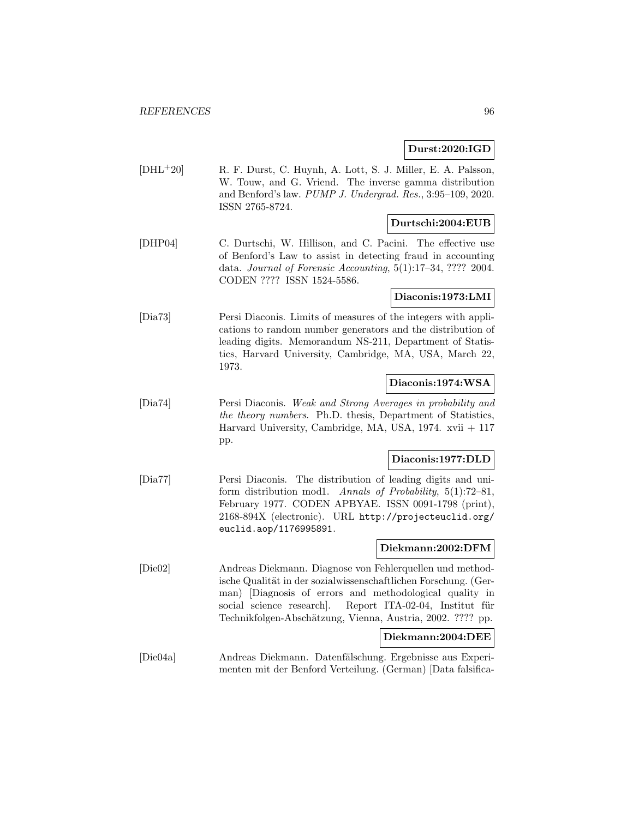#### **Durst:2020:IGD**

[DHL<sup>+</sup>20] R. F. Durst, C. Huynh, A. Lott, S. J. Miller, E. A. Palsson, W. Touw, and G. Vriend. The inverse gamma distribution and Benford's law. PUMP J. Undergrad. Res., 3:95–109, 2020. ISSN 2765-8724.

## **Durtschi:2004:EUB**

[DHP04] C. Durtschi, W. Hillison, and C. Pacini. The effective use of Benford's Law to assist in detecting fraud in accounting data. Journal of Forensic Accounting, 5(1):17–34, ???? 2004. CODEN ???? ISSN 1524-5586.

#### **Diaconis:1973:LMI**

[Dia73] Persi Diaconis. Limits of measures of the integers with applications to random number generators and the distribution of leading digits. Memorandum NS-211, Department of Statistics, Harvard University, Cambridge, MA, USA, March 22, 1973.

#### **Diaconis:1974:WSA**

[Dia74] Persi Diaconis. Weak and Strong Averages in probability and the theory numbers. Ph.D. thesis, Department of Statistics, Harvard University, Cambridge, MA, USA,  $1974$ . xvii  $+117$ pp.

### **Diaconis:1977:DLD**

[Dia77] Persi Diaconis. The distribution of leading digits and uniform distribution mod1. Annals of Probability, 5(1):72–81, February 1977. CODEN APBYAE. ISSN 0091-1798 (print), 2168-894X (electronic). URL http://projecteuclid.org/ euclid.aop/1176995891.

### **Diekmann:2002:DFM**

[Die02] Andreas Diekmann. Diagnose von Fehlerquellen und methodische Qualität in der sozialwissenschaftlichen Forschung. (German) [Diagnosis of errors and methodological quality in social science research. Report ITA-02-04, Institut für Technikfolgen-Abschätzung, Vienna, Austria, 2002. ???? pp.

### **Diekmann:2004:DEE**

[Die04a] Andreas Diekmann. Datenfälschung. Ergebnisse aus Experimenten mit der Benford Verteilung. (German) [Data falsifica-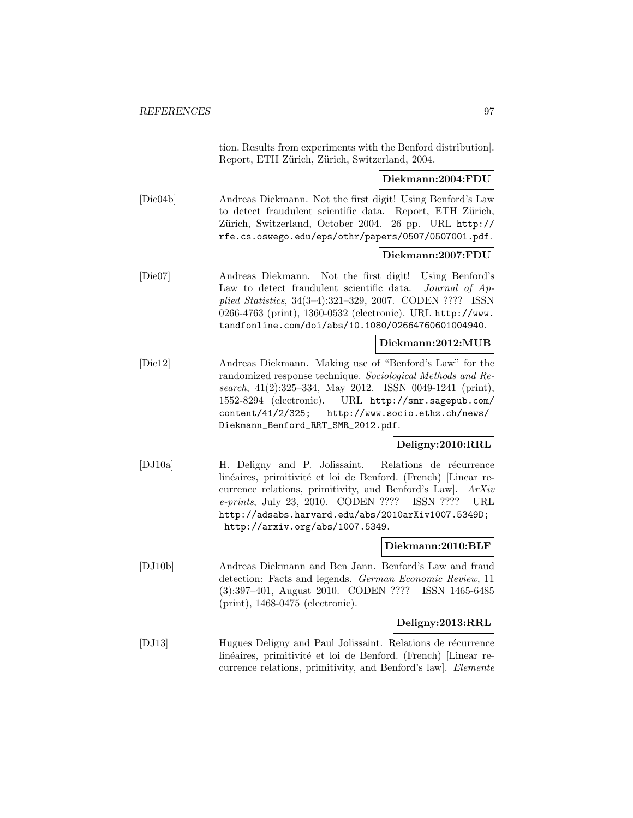|          | tion. Results from experiments with the Benford distribution.<br>Report, ETH Zürich, Zürich, Switzerland, 2004.                                                                                                                                                                                                                                          |
|----------|----------------------------------------------------------------------------------------------------------------------------------------------------------------------------------------------------------------------------------------------------------------------------------------------------------------------------------------------------------|
|          | Diekmann:2004:FDU                                                                                                                                                                                                                                                                                                                                        |
| [Die04b] | Andreas Diekmann. Not the first digit! Using Benford's Law<br>to detect fraudulent scientific data.<br>Report, ETH Zürich,<br>Zürich, Switzerland, October 2004. 26 pp. URL http://<br>rfe.cs.oswego.edu/eps/othr/papers/0507/0507001.pdf.                                                                                                               |
|          | Diekmann:2007:FDU                                                                                                                                                                                                                                                                                                                                        |
| [Die07]  | Not the first digit!<br>Andreas Diekmann.<br>Using Benford's<br>Law to detect fraudulent scientific data. Journal of Ap-<br>plied Statistics, 34(3-4):321-329, 2007. CODEN ???? ISSN<br>0266-4763 (print), 1360-0532 (electronic). URL http://www.<br>tandfonline.com/doi/abs/10.1080/02664760601004940.                                                 |
|          | Diekmann:2012:MUB                                                                                                                                                                                                                                                                                                                                        |
| [Die12]  | Andreas Diekmann. Making use of "Benford's Law" for the<br>randomized response technique. Sociological Methods and Re-<br>search, 41(2):325-334, May 2012. ISSN 0049-1241 (print),<br>1552-8294 (electronic). URL http://smr.sagepub.com/<br>content/41/2/325;<br>http://www.socio.ethz.ch/news/<br>Diekmann_Benford_RRT_SMR_2012.pdf.                   |
|          | Deligny:2010:RRL                                                                                                                                                                                                                                                                                                                                         |
| [DJ10a]  | H. Deligny and P. Jolissaint.<br>Relations de récurrence<br>linéaires, primitivité et loi de Benford. (French) [Linear re-<br>currence relations, primitivity, and Benford's Law].<br>ArXiv<br>e-prints, July 23, 2010. CODEN ????<br>ISSN ????<br>$_{\rm URL}$<br>http://adsabs.harvard.edu/abs/2010arXiv1007.5349D;<br>http://arxiv.org/abs/1007.5349. |
|          | Diekmann:2010:BLF                                                                                                                                                                                                                                                                                                                                        |
| [DJ10b]  | Andreas Diekmann and Ben Jann. Benford's Law and fraud<br>detection: Facts and legends. German Economic Review, 11<br>$(3):397-401$ , August 2010. CODEN ????<br>ISSN 1465-6485<br>$(print), 1468-0475$ (electronic).                                                                                                                                    |
|          | Deligny:2013:RRL                                                                                                                                                                                                                                                                                                                                         |
| DJ13     | Hugues Deligny and Paul Jolissaint. Relations de récurrence<br>linéaires, primitivité et loi de Benford. (French) [Linear re-<br>currence relations, primitivity, and Benford's law]. Elemente                                                                                                                                                           |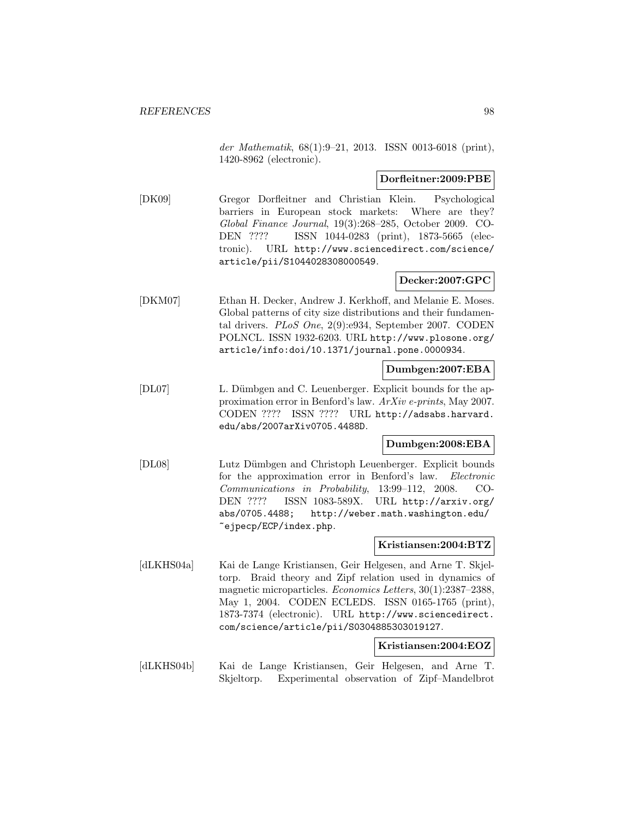der Mathematik, 68(1):9–21, 2013. ISSN 0013-6018 (print), 1420-8962 (electronic).

#### **Dorfleitner:2009:PBE**

[DK09] Gregor Dorfleitner and Christian Klein. Psychological barriers in European stock markets: Where are they? Global Finance Journal, 19(3):268–285, October 2009. CO-DEN ???? ISSN 1044-0283 (print), 1873-5665 (electronic). URL http://www.sciencedirect.com/science/ article/pii/S1044028308000549.

### **Decker:2007:GPC**

[DKM07] Ethan H. Decker, Andrew J. Kerkhoff, and Melanie E. Moses. Global patterns of city size distributions and their fundamental drivers. PLoS One, 2(9):e934, September 2007. CODEN POLNCL. ISSN 1932-6203. URL http://www.plosone.org/ article/info:doi/10.1371/journal.pone.0000934.

#### **Dumbgen:2007:EBA**

[DL07] L. Dümbgen and C. Leuenberger. Explicit bounds for the approximation error in Benford's law. ArXiv e-prints, May 2007. CODEN ???? ISSN ???? URL http://adsabs.harvard. edu/abs/2007arXiv0705.4488D.

#### **Dumbgen:2008:EBA**

[DL08] Lutz D¨umbgen and Christoph Leuenberger. Explicit bounds for the approximation error in Benford's law. Electronic Communications in Probability, 13:99–112, 2008. CO-DEN ???? ISSN 1083-589X. URL http://arxiv.org/ abs/0705.4488; http://weber.math.washington.edu/ ~ejpecp/ECP/index.php.

#### **Kristiansen:2004:BTZ**

[dLKHS04a] Kai de Lange Kristiansen, Geir Helgesen, and Arne T. Skjeltorp. Braid theory and Zipf relation used in dynamics of magnetic microparticles. Economics Letters, 30(1):2387–2388, May 1, 2004. CODEN ECLEDS. ISSN 0165-1765 (print), 1873-7374 (electronic). URL http://www.sciencedirect. com/science/article/pii/S0304885303019127.

#### **Kristiansen:2004:EOZ**

[dLKHS04b] Kai de Lange Kristiansen, Geir Helgesen, and Arne T. Skjeltorp. Experimental observation of Zipf–Mandelbrot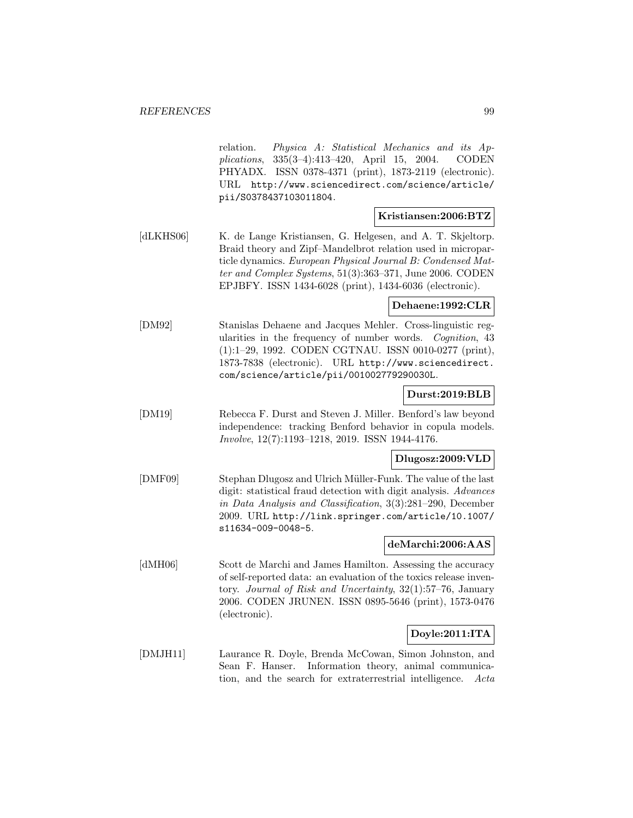relation. Physica A: Statistical Mechanics and its Applications, 335(3–4):413–420, April 15, 2004. CODEN PHYADX. ISSN 0378-4371 (print), 1873-2119 (electronic). URL http://www.sciencedirect.com/science/article/ pii/S0378437103011804. **Kristiansen:2006:BTZ** [dLKHS06] K. de Lange Kristiansen, G. Helgesen, and A. T. Skjeltorp. Braid theory and Zipf–Mandelbrot relation used in microparticle dynamics. European Physical Journal B: Condensed Matter and Complex Systems, 51(3):363–371, June 2006. CODEN EPJBFY. ISSN 1434-6028 (print), 1434-6036 (electronic). **Dehaene:1992:CLR** [DM92] Stanislas Dehaene and Jacques Mehler. Cross-linguistic regularities in the frequency of number words. Cognition, 43 (1):1–29, 1992. CODEN CGTNAU. ISSN 0010-0277 (print), 1873-7838 (electronic). URL http://www.sciencedirect. com/science/article/pii/001002779290030L. **Durst:2019:BLB** [DM19] Rebecca F. Durst and Steven J. Miller. Benford's law beyond independence: tracking Benford behavior in copula models. Involve, 12(7):1193–1218, 2019. ISSN 1944-4176. **Dlugosz:2009:VLD** [DMF09] Stephan Dlugosz and Ulrich Müller-Funk. The value of the last digit: statistical fraud detection with digit analysis. Advances in Data Analysis and Classification, 3(3):281–290, December 2009. URL http://link.springer.com/article/10.1007/ s11634-009-0048-5. **deMarchi:2006:AAS** [dMH06] Scott de Marchi and James Hamilton. Assessing the accuracy of self-reported data: an evaluation of the toxics release inventory. Journal of Risk and Uncertainty, 32(1):57–76, January 2006. CODEN JRUNEN. ISSN 0895-5646 (print), 1573-0476 (electronic). **Doyle:2011:ITA** [DMJH11] Laurance R. Doyle, Brenda McCowan, Simon Johnston, and Sean F. Hanser. Information theory, animal communica-

tion, and the search for extraterrestrial intelligence. Acta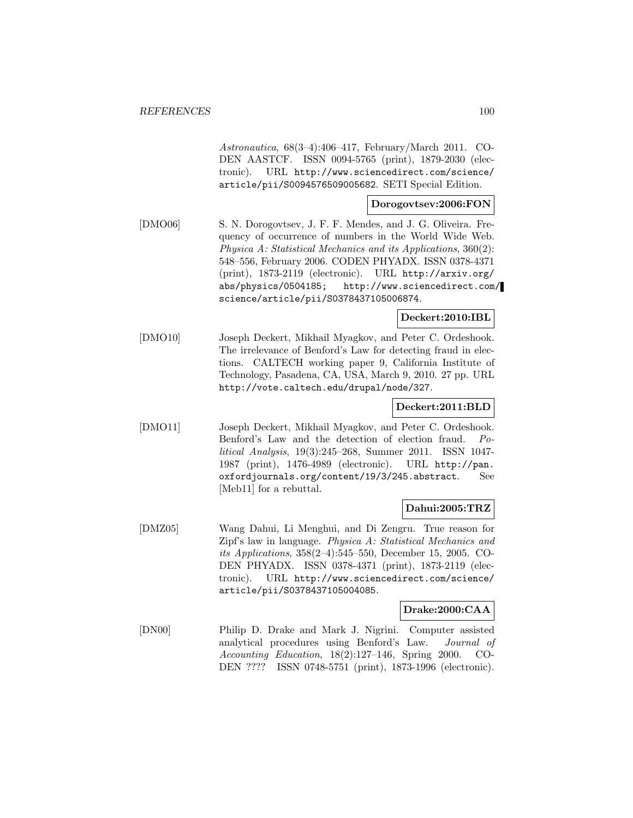Astronautica, 68(3–4):406–417, February/March 2011. CO-DEN AASTCF. ISSN 0094-5765 (print), 1879-2030 (electronic). URL http://www.sciencedirect.com/science/ article/pii/S0094576509005682. SETI Special Edition.

#### **Dorogovtsev:2006:FON**

[DMO06] S. N. Dorogovtsev, J. F. F. Mendes, and J. G. Oliveira. Frequency of occurrence of numbers in the World Wide Web. Physica A: Statistical Mechanics and its Applications, 360(2): 548–556, February 2006. CODEN PHYADX. ISSN 0378-4371 (print), 1873-2119 (electronic). URL http://arxiv.org/ abs/physics/0504185; http://www.sciencedirect.com/ science/article/pii/S0378437105006874.

### **Deckert:2010:IBL**

[DMO10] Joseph Deckert, Mikhail Myagkov, and Peter C. Ordeshook. The irrelevance of Benford's Law for detecting fraud in elections. CALTECH working paper 9, California Institute of Technology, Pasadena, CA, USA, March 9, 2010. 27 pp. URL http://vote.caltech.edu/drupal/node/327.

# **Deckert:2011:BLD**

[DMO11] Joseph Deckert, Mikhail Myagkov, and Peter C. Ordeshook. Benford's Law and the detection of election fraud. Political Analysis, 19(3):245–268, Summer 2011. ISSN 1047- 1987 (print), 1476-4989 (electronic). URL http://pan. oxfordjournals.org/content/19/3/245.abstract. See [Meb11] for a rebuttal.

### **Dahui:2005:TRZ**

[DMZ05] Wang Dahui, Li Menghui, and Di Zengru. True reason for Zipf's law in language. Physica A: Statistical Mechanics and its Applications, 358(2–4):545–550, December 15, 2005. CO-DEN PHYADX. ISSN 0378-4371 (print), 1873-2119 (electronic). URL http://www.sciencedirect.com/science/ article/pii/S0378437105004085.

#### **Drake:2000:CAA**

[DN00] Philip D. Drake and Mark J. Nigrini. Computer assisted analytical procedures using Benford's Law. Journal of Accounting Education, 18(2):127–146, Spring 2000. CO-DEN ???? ISSN 0748-5751 (print), 1873-1996 (electronic).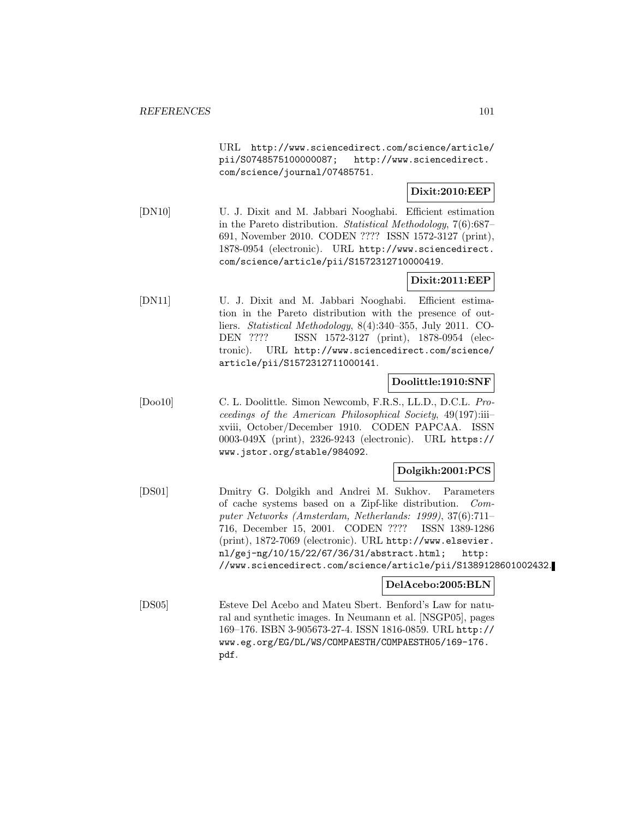URL http://www.sciencedirect.com/science/article/ pii/S0748575100000087; http://www.sciencedirect. com/science/journal/07485751.

# **Dixit:2010:EEP**

[DN10] U. J. Dixit and M. Jabbari Nooghabi. Efficient estimation in the Pareto distribution. Statistical Methodology, 7(6):687– 691, November 2010. CODEN ???? ISSN 1572-3127 (print), 1878-0954 (electronic). URL http://www.sciencedirect. com/science/article/pii/S1572312710000419.

### **Dixit:2011:EEP**

[DN11] U. J. Dixit and M. Jabbari Nooghabi. Efficient estimation in the Pareto distribution with the presence of outliers. Statistical Methodology, 8(4):340–355, July 2011. CO-DEN ???? ISSN 1572-3127 (print), 1878-0954 (electronic). URL http://www.sciencedirect.com/science/ article/pii/S1572312711000141.

### **Doolittle:1910:SNF**

[Doo10] C. L. Doolittle. Simon Newcomb, F.R.S., LL.D., D.C.L. Proceedings of the American Philosophical Society, 49(197):iii– xviii, October/December 1910. CODEN PAPCAA. ISSN 0003-049X (print), 2326-9243 (electronic). URL https:// www.jstor.org/stable/984092.

#### **Dolgikh:2001:PCS**

[DS01] Dmitry G. Dolgikh and Andrei M. Sukhov. Parameters of cache systems based on a Zipf-like distribution. Computer Networks (Amsterdam, Netherlands: 1999), 37(6):711– 716, December 15, 2001. CODEN ???? ISSN 1389-1286 (print), 1872-7069 (electronic). URL http://www.elsevier. nl/gej-ng/10/15/22/67/36/31/abstract.html; http: //www.sciencedirect.com/science/article/pii/S1389128601002432.

#### **DelAcebo:2005:BLN**

[DS05] Esteve Del Acebo and Mateu Sbert. Benford's Law for natural and synthetic images. In Neumann et al. [NSGP05], pages 169–176. ISBN 3-905673-27-4. ISSN 1816-0859. URL http:// www.eg.org/EG/DL/WS/COMPAESTH/COMPAESTH05/169-176. pdf.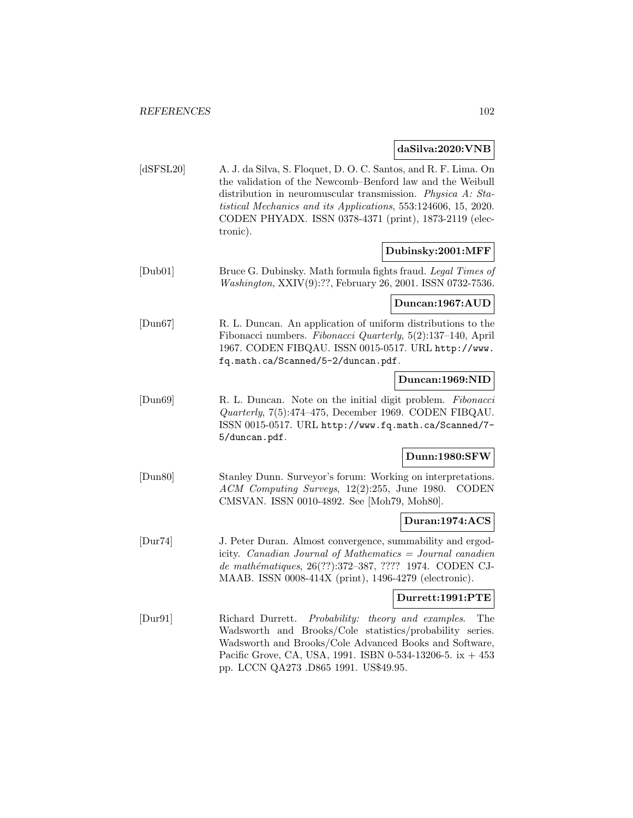#### **daSilva:2020:VNB**

[dSFSL20] A. J. da Silva, S. Floquet, D. O. C. Santos, and R. F. Lima. On the validation of the Newcomb–Benford law and the Weibull distribution in neuromuscular transmission. Physica A: Statistical Mechanics and its Applications, 553:124606, 15, 2020. CODEN PHYADX. ISSN 0378-4371 (print), 1873-2119 (electronic).

#### **Dubinsky:2001:MFF**

[Dub01] Bruce G. Dubinsky. Math formula fights fraud. Legal Times of Washington, XXIV(9):??, February 26, 2001. ISSN 0732-7536.

#### **Duncan:1967:AUD**

[Dun67] R. L. Duncan. An application of uniform distributions to the Fibonacci numbers. Fibonacci Quarterly, 5(2):137–140, April 1967. CODEN FIBQAU. ISSN 0015-0517. URL http://www. fq.math.ca/Scanned/5-2/duncan.pdf.

#### **Duncan:1969:NID**

[Dun69] R. L. Duncan. Note on the initial digit problem. Fibonacci Quarterly, 7(5):474–475, December 1969. CODEN FIBQAU. ISSN 0015-0517. URL http://www.fq.math.ca/Scanned/7- 5/duncan.pdf.

#### **Dunn:1980:SFW**

[Dun80] Stanley Dunn. Surveyor's forum: Working on interpretations. ACM Computing Surveys, 12(2):255, June 1980. CODEN CMSVAN. ISSN 0010-4892. See [Moh79, Moh80].

#### **Duran:1974:ACS**

[Dur74] J. Peter Duran. Almost convergence, summability and ergodicity. Canadian Journal of Mathematics = Journal canadien de mathématiques, 26(??):372-387, ???? 1974. CODEN CJ-MAAB. ISSN 0008-414X (print), 1496-4279 (electronic).

#### **Durrett:1991:PTE**

[Dur91] Richard Durrett. Probability: theory and examples. The Wadsworth and Brooks/Cole statistics/probability series. Wadsworth and Brooks/Cole Advanced Books and Software, Pacific Grove, CA, USA, 1991. ISBN 0-534-13206-5. ix  $+453$ pp. LCCN QA273 .D865 1991. US\$49.95.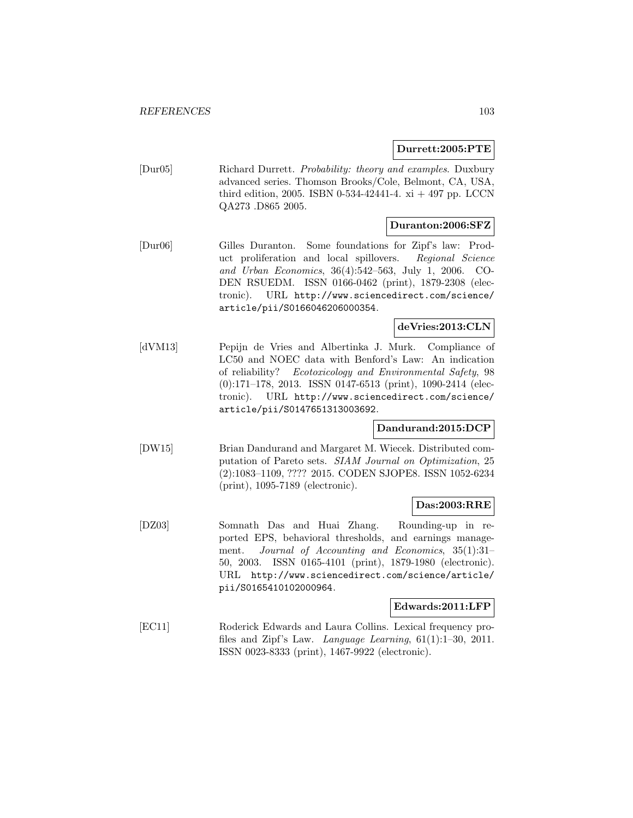**Durrett:2005:PTE**

[Dur05] Richard Durrett. Probability: theory and examples. Duxbury advanced series. Thomson Brooks/Cole, Belmont, CA, USA, third edition, 2005. ISBN 0-534-42441-4. xi  $+$  497 pp. LCCN QA273 .D865 2005.

### **Duranton:2006:SFZ**

[Dur06] Gilles Duranton. Some foundations for Zipf's law: Product proliferation and local spillovers. Regional Science and Urban Economics, 36(4):542–563, July 1, 2006. CO-DEN RSUEDM. ISSN 0166-0462 (print), 1879-2308 (electronic). URL http://www.sciencedirect.com/science/ article/pii/S0166046206000354.

### **deVries:2013:CLN**

[dVM13] Pepijn de Vries and Albertinka J. Murk. Compliance of LC50 and NOEC data with Benford's Law: An indication of reliability? Ecotoxicology and Environmental Safety, 98 (0):171–178, 2013. ISSN 0147-6513 (print), 1090-2414 (electronic). URL http://www.sciencedirect.com/science/ article/pii/S0147651313003692.

### **Dandurand:2015:DCP**

[DW15] Brian Dandurand and Margaret M. Wiecek. Distributed computation of Pareto sets. SIAM Journal on Optimization, 25 (2):1083–1109, ???? 2015. CODEN SJOPE8. ISSN 1052-6234 (print), 1095-7189 (electronic).

#### **Das:2003:RRE**

[DZ03] Somnath Das and Huai Zhang. Rounding-up in reported EPS, behavioral thresholds, and earnings management. Journal of Accounting and Economics, 35(1):31– 50, 2003. ISSN 0165-4101 (print), 1879-1980 (electronic). URL http://www.sciencedirect.com/science/article/ pii/S0165410102000964.

#### **Edwards:2011:LFP**

[EC11] Roderick Edwards and Laura Collins. Lexical frequency profiles and Zipf's Law. Language Learning, 61(1):1–30, 2011. ISSN 0023-8333 (print), 1467-9922 (electronic).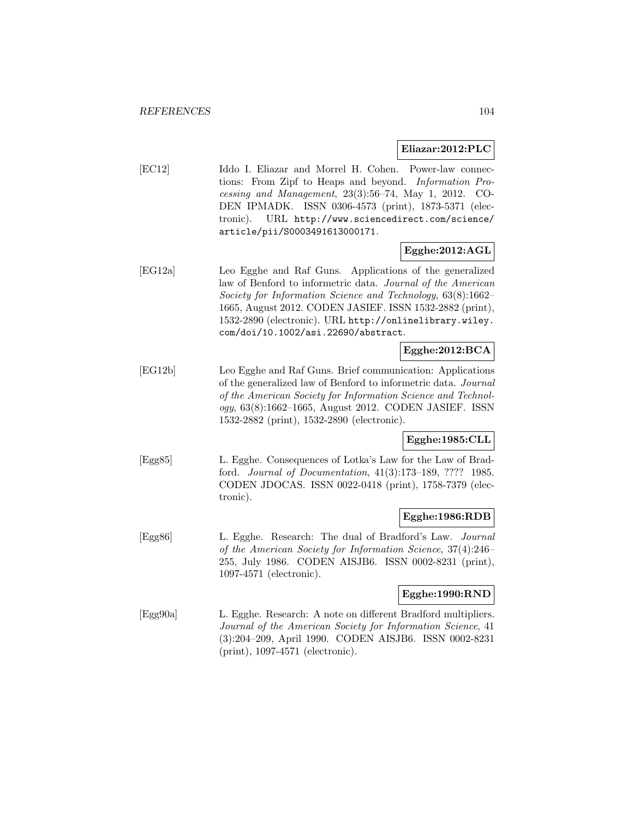#### **Eliazar:2012:PLC**

[EC12] Iddo I. Eliazar and Morrel H. Cohen. Power-law connections: From Zipf to Heaps and beyond. Information Processing and Management, 23(3):56–74, May 1, 2012. CO-DEN IPMADK. ISSN 0306-4573 (print), 1873-5371 (electronic). URL http://www.sciencedirect.com/science/ article/pii/S0003491613000171.

### **Egghe:2012:AGL**

[EG12a] Leo Egghe and Raf Guns. Applications of the generalized law of Benford to informetric data. Journal of the American Society for Information Science and Technology, 63(8):1662– 1665, August 2012. CODEN JASIEF. ISSN 1532-2882 (print), 1532-2890 (electronic). URL http://onlinelibrary.wiley. com/doi/10.1002/asi.22690/abstract.

# **Egghe:2012:BCA**

[EG12b] Leo Egghe and Raf Guns. Brief communication: Applications of the generalized law of Benford to informetric data. Journal of the American Society for Information Science and Technology, 63(8):1662–1665, August 2012. CODEN JASIEF. ISSN 1532-2882 (print), 1532-2890 (electronic).

### **Egghe:1985:CLL**

[Egg85] L. Egghe. Consequences of Lotka's Law for the Law of Bradford. Journal of Documentation, 41(3):173–189, ???? 1985. CODEN JDOCAS. ISSN 0022-0418 (print), 1758-7379 (electronic).

#### **Egghe:1986:RDB**

[Egg86] L. Egghe. Research: The dual of Bradford's Law. Journal of the American Society for Information Science, 37(4):246– 255, July 1986. CODEN AISJB6. ISSN 0002-8231 (print), 1097-4571 (electronic).

# **Egghe:1990:RND**

[Egg90a] L. Egghe. Research: A note on different Bradford multipliers. Journal of the American Society for Information Science, 41 (3):204–209, April 1990. CODEN AISJB6. ISSN 0002-8231 (print), 1097-4571 (electronic).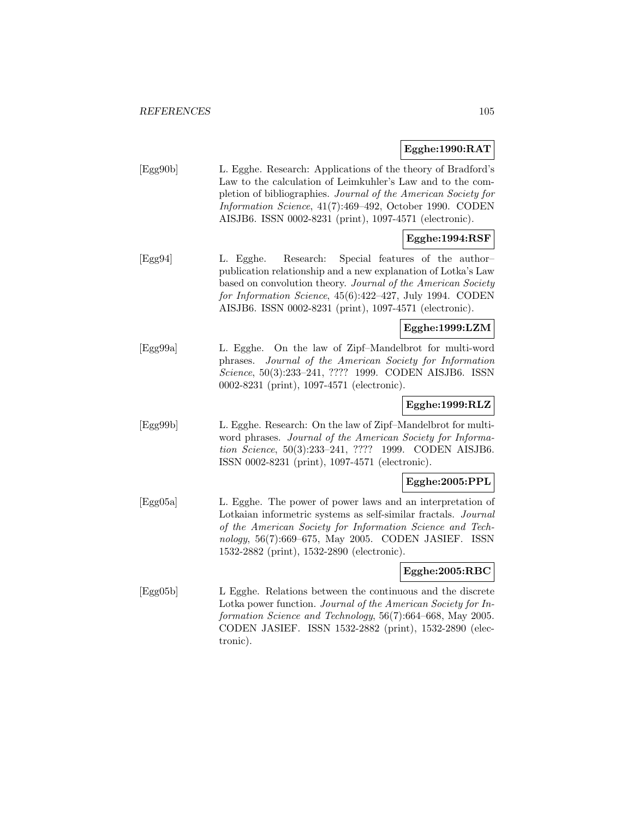#### **Egghe:1990:RAT**

| Egg90b | L. Egghe. Research: Applications of the theory of Bradford's   |
|--------|----------------------------------------------------------------|
|        | Law to the calculation of Leimkuhler's Law and to the com-     |
|        | pletion of bibliographies. Journal of the American Society for |
|        | Information Science, 41(7):469–492, October 1990. CODEN        |
|        | AISJB6. ISSN 0002-8231 (print), 1097-4571 (electronic).        |

# **Egghe:1994:RSF**

[Egg94] L. Egghe. Research: Special features of the author– publication relationship and a new explanation of Lotka's Law based on convolution theory. Journal of the American Society for Information Science, 45(6):422–427, July 1994. CODEN AISJB6. ISSN 0002-8231 (print), 1097-4571 (electronic).

### **Egghe:1999:LZM**

[Egg99a] L. Egghe. On the law of Zipf–Mandelbrot for multi-word phrases. Journal of the American Society for Information Science, 50(3):233–241, ???? 1999. CODEN AISJB6. ISSN 0002-8231 (print), 1097-4571 (electronic).

### **Egghe:1999:RLZ**

[Egg99b] L. Egghe. Research: On the law of Zipf–Mandelbrot for multiword phrases. Journal of the American Society for Information Science, 50(3):233–241, ???? 1999. CODEN AISJB6. ISSN 0002-8231 (print), 1097-4571 (electronic).

### **Egghe:2005:PPL**

[Egg05a] L. Egghe. The power of power laws and an interpretation of Lotkaian informetric systems as self-similar fractals. Journal of the American Society for Information Science and Technology, 56(7):669–675, May 2005. CODEN JASIEF. ISSN 1532-2882 (print), 1532-2890 (electronic).

### **Egghe:2005:RBC**

[Egg05b] L Egghe. Relations between the continuous and the discrete Lotka power function. Journal of the American Society for Information Science and Technology, 56(7):664–668, May 2005. CODEN JASIEF. ISSN 1532-2882 (print), 1532-2890 (electronic).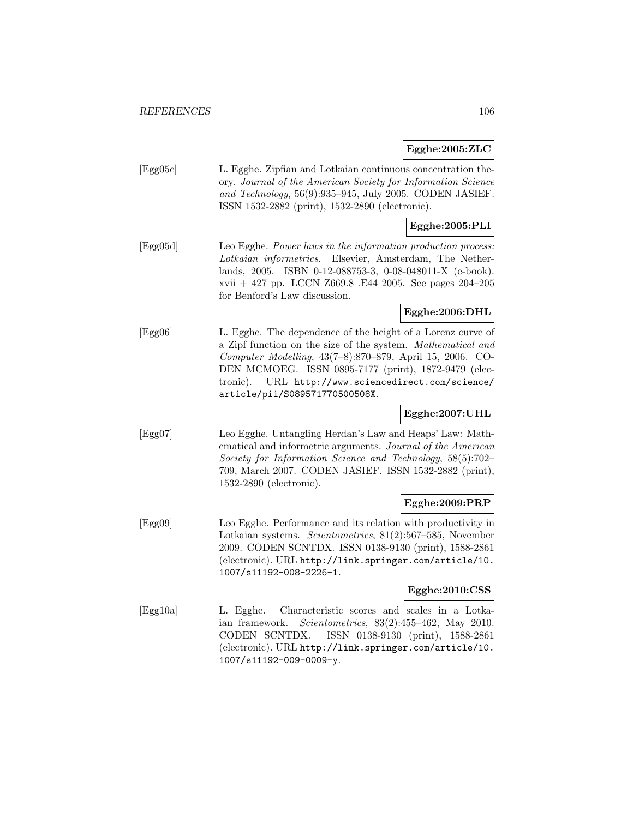### **Egghe:2005:ZLC**

[Egg05c] L. Egghe. Zipfian and Lotkaian continuous concentration theory. Journal of the American Society for Information Science and Technology, 56(9):935–945, July 2005. CODEN JASIEF. ISSN 1532-2882 (print), 1532-2890 (electronic).

# **Egghe:2005:PLI**

[Egg05d] Leo Egghe. Power laws in the information production process: Lotkaian informetrics. Elsevier, Amsterdam, The Netherlands, 2005. ISBN 0-12-088753-3, 0-08-048011-X (e-book). xvii + 427 pp. LCCN Z669.8 .E44 2005. See pages 204–205 for Benford's Law discussion.

# **Egghe:2006:DHL**

[Egg06] L. Egghe. The dependence of the height of a Lorenz curve of a Zipf function on the size of the system. Mathematical and Computer Modelling, 43(7–8):870–879, April 15, 2006. CO-DEN MCMOEG. ISSN 0895-7177 (print), 1872-9479 (electronic). URL http://www.sciencedirect.com/science/ article/pii/S089571770500508X.

## **Egghe:2007:UHL**

[Egg07] Leo Egghe. Untangling Herdan's Law and Heaps' Law: Mathematical and informetric arguments. Journal of the American Society for Information Science and Technology, 58(5):702– 709, March 2007. CODEN JASIEF. ISSN 1532-2882 (print), 1532-2890 (electronic).

#### **Egghe:2009:PRP**

[Egg09] Leo Egghe. Performance and its relation with productivity in Lotkaian systems. Scientometrics, 81(2):567–585, November 2009. CODEN SCNTDX. ISSN 0138-9130 (print), 1588-2861 (electronic). URL http://link.springer.com/article/10. 1007/s11192-008-2226-1.

### **Egghe:2010:CSS**

[Egg10a] L. Egghe. Characteristic scores and scales in a Lotkaian framework. Scientometrics, 83(2):455–462, May 2010. CODEN SCNTDX. ISSN 0138-9130 (print), 1588-2861 (electronic). URL http://link.springer.com/article/10. 1007/s11192-009-0009-y.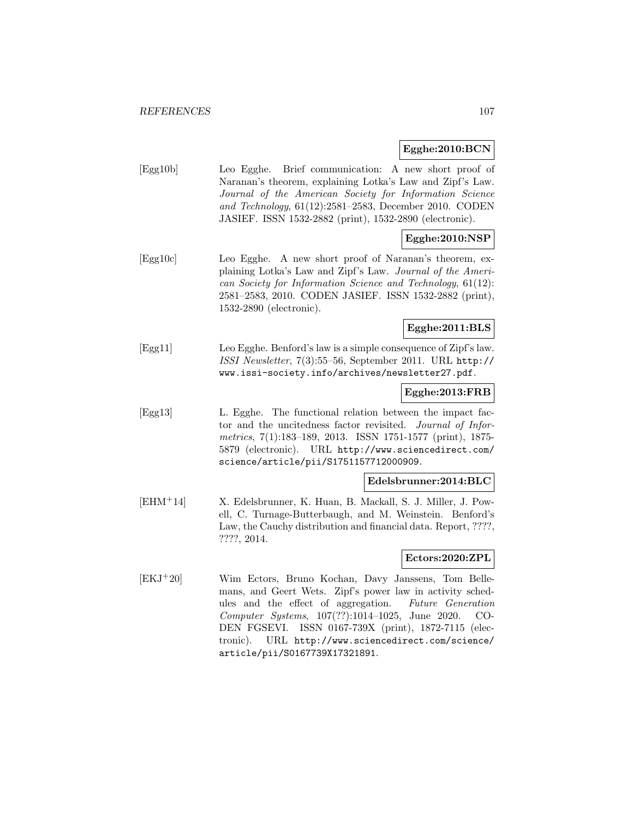#### **Egghe:2010:BCN**

| Egg10b | Leo Egghe. Brief communication: A new short proof of      |
|--------|-----------------------------------------------------------|
|        | Naranan's theorem, explaining Lotka's Law and Zipf's Law. |
|        | Journal of the American Society for Information Science   |
|        | and Technology, $61(12):2581-2583$ , December 2010. CODEN |
|        | JASIEF. ISSN 1532-2882 (print), 1532-2890 (electronic).   |

# **Egghe:2010:NSP**

[Egg10c] Leo Egghe. A new short proof of Naranan's theorem, explaining Lotka's Law and Zipf's Law. Journal of the American Society for Information Science and Technology, 61(12): 2581–2583, 2010. CODEN JASIEF. ISSN 1532-2882 (print), 1532-2890 (electronic).

# **Egghe:2011:BLS**

[Egg11] Leo Egghe. Benford's law is a simple consequence of Zipf's law. ISSI Newsletter, 7(3):55–56, September 2011. URL http:// www.issi-society.info/archives/newsletter27.pdf.

#### **Egghe:2013:FRB**

[Egg13] L. Egghe. The functional relation between the impact factor and the uncitedness factor revisited. Journal of Informetrics, 7(1):183–189, 2013. ISSN 1751-1577 (print), 1875- 5879 (electronic). URL http://www.sciencedirect.com/ science/article/pii/S1751157712000909.

### **Edelsbrunner:2014:BLC**

[EHM<sup>+</sup>14] X. Edelsbrunner, K. Huan, B. Mackall, S. J. Miller, J. Powell, C. Turnage-Butterbaugh, and M. Weinstein. Benford's Law, the Cauchy distribution and financial data. Report, ????, ????, 2014.

#### **Ectors:2020:ZPL**

[EKJ<sup>+</sup>20] Wim Ectors, Bruno Kochan, Davy Janssens, Tom Bellemans, and Geert Wets. Zipf's power law in activity schedules and the effect of aggregation. Future Generation Computer Systems, 107(??):1014–1025, June 2020. CO-DEN FGSEVI. ISSN 0167-739X (print), 1872-7115 (electronic). URL http://www.sciencedirect.com/science/ article/pii/S0167739X17321891.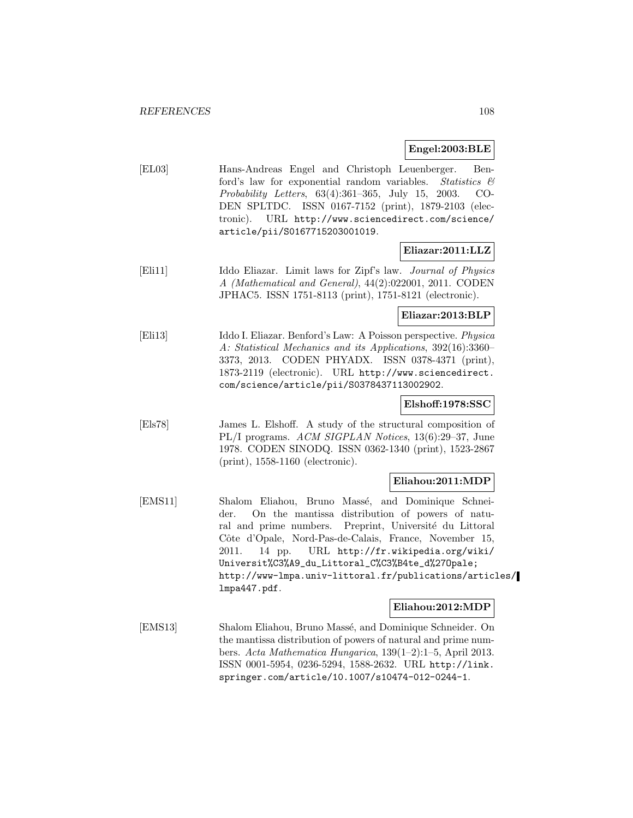#### **Engel:2003:BLE**

[EL03] Hans-Andreas Engel and Christoph Leuenberger. Benford's law for exponential random variables. Statistics  $\mathcal{C}$ Probability Letters, 63(4):361–365, July 15, 2003. CO-DEN SPLTDC. ISSN 0167-7152 (print), 1879-2103 (electronic). URL http://www.sciencedirect.com/science/ article/pii/S0167715203001019.

#### **Eliazar:2011:LLZ**

[Eli11] Iddo Eliazar. Limit laws for Zipf's law. Journal of Physics A (Mathematical and General), 44(2):022001, 2011. CODEN JPHAC5. ISSN 1751-8113 (print), 1751-8121 (electronic).

#### **Eliazar:2013:BLP**

[Eli13] Iddo I. Eliazar. Benford's Law: A Poisson perspective. Physica A: Statistical Mechanics and its Applications, 392(16):3360– 3373, 2013. CODEN PHYADX. ISSN 0378-4371 (print), 1873-2119 (electronic). URL http://www.sciencedirect. com/science/article/pii/S0378437113002902.

### **Elshoff:1978:SSC**

[Els78] James L. Elshoff. A study of the structural composition of PL/I programs. ACM SIGPLAN Notices, 13(6):29–37, June 1978. CODEN SINODQ. ISSN 0362-1340 (print), 1523-2867 (print), 1558-1160 (electronic).

#### **Eliahou:2011:MDP**

[EMS11] Shalom Eliahou, Bruno Massé, and Dominique Schneider. On the mantissa distribution of powers of natural and prime numbers. Preprint, Université du Littoral Côte d'Opale, Nord-Pas-de-Calais, France, November 15, 2011. 14 pp. URL http://fr.wikipedia.org/wiki/ Universit%C3%A9\_du\_Littoral\_C%C3%B4te\_d%27Opale; http://www-lmpa.univ-littoral.fr/publications/articles/ lmpa447.pdf.

#### **Eliahou:2012:MDP**

[EMS13] Shalom Eliahou, Bruno Massé, and Dominique Schneider. On the mantissa distribution of powers of natural and prime numbers. Acta Mathematica Hungarica, 139(1–2):1–5, April 2013. ISSN 0001-5954, 0236-5294, 1588-2632. URL http://link. springer.com/article/10.1007/s10474-012-0244-1.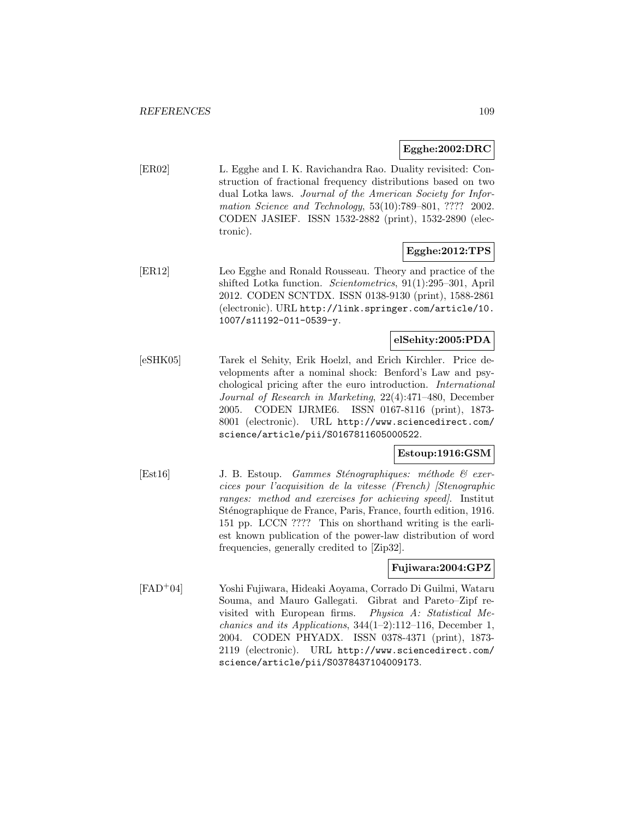## **Egghe:2002:DRC**

[ER02] L. Egghe and I. K. Ravichandra Rao. Duality revisited: Construction of fractional frequency distributions based on two dual Lotka laws. Journal of the American Society for Information Science and Technology, 53(10):789–801, ???? 2002. CODEN JASIEF. ISSN 1532-2882 (print), 1532-2890 (electronic).

## **Egghe:2012:TPS**

[ER12] Leo Egghe and Ronald Rousseau. Theory and practice of the shifted Lotka function. Scientometrics, 91(1):295–301, April 2012. CODEN SCNTDX. ISSN 0138-9130 (print), 1588-2861 (electronic). URL http://link.springer.com/article/10. 1007/s11192-011-0539-y.

## **elSehity:2005:PDA**

[eSHK05] Tarek el Sehity, Erik Hoelzl, and Erich Kirchler. Price developments after a nominal shock: Benford's Law and psychological pricing after the euro introduction. International Journal of Research in Marketing, 22(4):471–480, December 2005. CODEN IJRME6. ISSN 0167-8116 (print), 1873- 8001 (electronic). URL http://www.sciencedirect.com/ science/article/pii/S0167811605000522.

## **Estoup:1916:GSM**

[Est16] J. B. Estoup. *Gammes Sténographiques: méthode*  $\mathcal{C}$  *exer*cices pour l'acquisition de la vitesse (French) [Stenographic ranges: method and exercises for achieving speed]. Institut Sténographique de France, Paris, France, fourth edition, 1916. 151 pp. LCCN ???? This on shorthand writing is the earliest known publication of the power-law distribution of word frequencies, generally credited to [Zip32].

## **Fujiwara:2004:GPZ**

[FAD<sup>+</sup>04] Yoshi Fujiwara, Hideaki Aoyama, Corrado Di Guilmi, Wataru Souma, and Mauro Gallegati. Gibrat and Pareto–Zipf revisited with European firms. Physica A: Statistical Mechanics and its Applications, 344(1–2):112–116, December 1, 2004. CODEN PHYADX. ISSN 0378-4371 (print), 1873- 2119 (electronic). URL http://www.sciencedirect.com/ science/article/pii/S0378437104009173.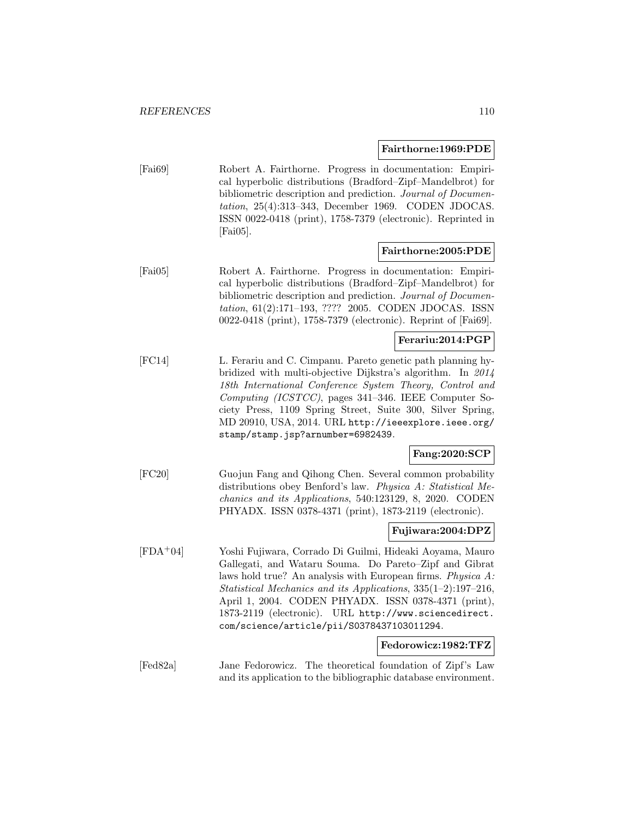#### **Fairthorne:1969:PDE**

[Fai69] Robert A. Fairthorne. Progress in documentation: Empirical hyperbolic distributions (Bradford–Zipf–Mandelbrot) for bibliometric description and prediction. Journal of Documentation, 25(4):313–343, December 1969. CODEN JDOCAS. ISSN 0022-0418 (print), 1758-7379 (electronic). Reprinted in  $[{\rm Fai}05]$ .

#### **Fairthorne:2005:PDE**

[Fai05] Robert A. Fairthorne. Progress in documentation: Empirical hyperbolic distributions (Bradford–Zipf–Mandelbrot) for bibliometric description and prediction. Journal of Documentation, 61(2):171–193, ???? 2005. CODEN JDOCAS. ISSN 0022-0418 (print), 1758-7379 (electronic). Reprint of [Fai69].

## **Ferariu:2014:PGP**

[FC14] L. Ferariu and C. Cimpanu. Pareto genetic path planning hybridized with multi-objective Dijkstra's algorithm. In 2014 18th International Conference System Theory, Control and Computing (ICSTCC), pages 341–346. IEEE Computer Society Press, 1109 Spring Street, Suite 300, Silver Spring, MD 20910, USA, 2014. URL http://ieeexplore.ieee.org/ stamp/stamp.jsp?arnumber=6982439.

## **Fang:2020:SCP**

[FC20] Guojun Fang and Qihong Chen. Several common probability distributions obey Benford's law. Physica A: Statistical Mechanics and its Applications, 540:123129, 8, 2020. CODEN PHYADX. ISSN 0378-4371 (print), 1873-2119 (electronic).

## **Fujiwara:2004:DPZ**

[FDA<sup>+</sup>04] Yoshi Fujiwara, Corrado Di Guilmi, Hideaki Aoyama, Mauro Gallegati, and Wataru Souma. Do Pareto–Zipf and Gibrat laws hold true? An analysis with European firms. Physica A: Statistical Mechanics and its Applications, 335(1–2):197–216, April 1, 2004. CODEN PHYADX. ISSN 0378-4371 (print), 1873-2119 (electronic). URL http://www.sciencedirect. com/science/article/pii/S0378437103011294.

#### **Fedorowicz:1982:TFZ**

[Fed82a] Jane Fedorowicz. The theoretical foundation of Zipf's Law and its application to the bibliographic database environment.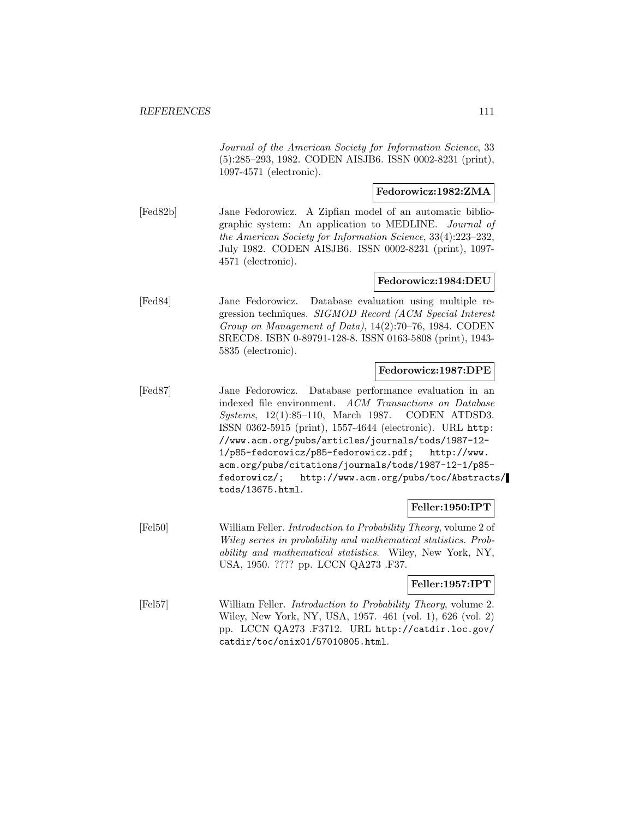Journal of the American Society for Information Science, 33 (5):285–293, 1982. CODEN AISJB6. ISSN 0002-8231 (print), 1097-4571 (electronic).

## **Fedorowicz:1982:ZMA**

[Fed82b] Jane Fedorowicz. A Zipfian model of an automatic bibliographic system: An application to MEDLINE. Journal of the American Society for Information Science, 33(4):223–232, July 1982. CODEN AISJB6. ISSN 0002-8231 (print), 1097- 4571 (electronic).

## **Fedorowicz:1984:DEU**

[Fed84] Jane Fedorowicz. Database evaluation using multiple regression techniques. SIGMOD Record (ACM Special Interest Group on Management of Data), 14(2):70–76, 1984. CODEN SRECD8. ISBN 0-89791-128-8. ISSN 0163-5808 (print), 1943- 5835 (electronic).

#### **Fedorowicz:1987:DPE**

[Fed87] Jane Fedorowicz. Database performance evaluation in an indexed file environment. ACM Transactions on Database Systems, 12(1):85–110, March 1987. CODEN ATDSD3. ISSN 0362-5915 (print), 1557-4644 (electronic). URL http: //www.acm.org/pubs/articles/journals/tods/1987-12- 1/p85-fedorowicz/p85-fedorowicz.pdf; http://www. acm.org/pubs/citations/journals/tods/1987-12-1/p85 fedorowicz/; http://www.acm.org/pubs/toc/Abstracts/ tods/13675.html.

#### **Feller:1950:IPT**

[Fel50] William Feller. Introduction to Probability Theory, volume 2 of Wiley series in probability and mathematical statistics. Probability and mathematical statistics. Wiley, New York, NY, USA, 1950. ???? pp. LCCN QA273 .F37.

#### **Feller:1957:IPT**

[Fel57] William Feller. Introduction to Probability Theory, volume 2. Wiley, New York, NY, USA, 1957. 461 (vol. 1), 626 (vol. 2) pp. LCCN QA273 .F3712. URL http://catdir.loc.gov/ catdir/toc/onix01/57010805.html.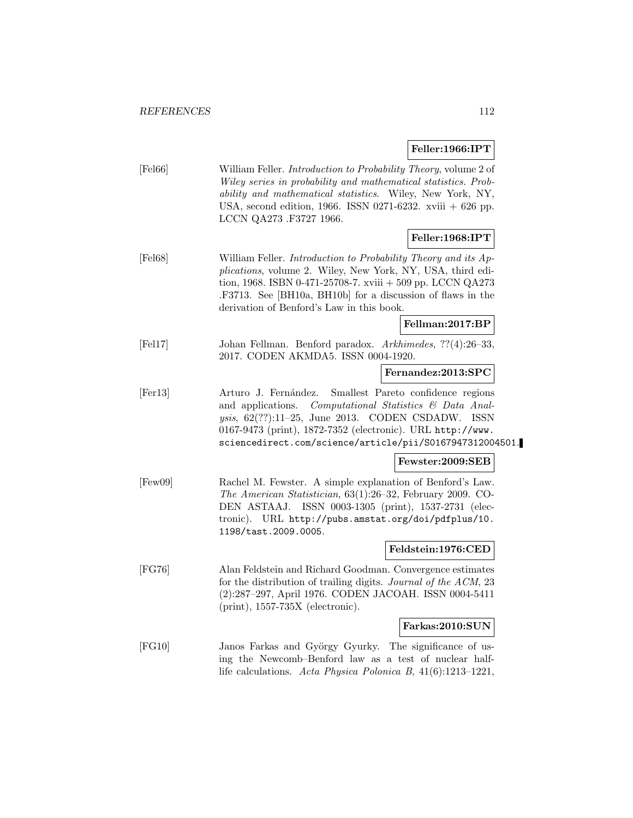# **Feller:1966:IPT**

| [Fe166]             | William Feller. Introduction to Probability Theory, volume 2 of<br>Wiley series in probability and mathematical statistics. Prob-<br>ability and mathematical statistics. Wiley, New York, NY,<br>USA, second edition, 1966. ISSN 0271-6232. xviii $+$ 626 pp.<br>LCCN QA273 .F3727 1966.               |
|---------------------|---------------------------------------------------------------------------------------------------------------------------------------------------------------------------------------------------------------------------------------------------------------------------------------------------------|
|                     | Feller:1968:IPT                                                                                                                                                                                                                                                                                         |
| [Fe168]             | William Feller. Introduction to Probability Theory and its Ap-<br>plications, volume 2. Wiley, New York, NY, USA, third edi-<br>tion, 1968. ISBN 0-471-25708-7. xviii $+509$ pp. LCCN QA273<br>.F3713. See [BH10a, BH10b] for a discussion of flaws in the<br>derivation of Benford's Law in this book. |
|                     | Fellman:2017:BP                                                                                                                                                                                                                                                                                         |
| [Fe17]              | Johan Fellman. Benford paradox. Arkhimedes, ??(4):26-33,<br>2017. CODEN AKMDA5. ISSN 0004-1920.                                                                                                                                                                                                         |
|                     | Fernandez:2013:SPC                                                                                                                                                                                                                                                                                      |
| [Fe <sub>13</sub> ] | Arturo J. Fernández.<br>Smallest Pareto confidence regions<br>Computational Statistics & Data Anal-<br>and applications.<br>ysis, 62(??):11-25, June 2013. CODEN CSDADW. ISSN<br>0167-9473 (print), 1872-7352 (electronic). URL http://www.<br>sciencedirect.com/science/article/pii/S0167947312004501. |
|                     | Fewster:2009:SEB                                                                                                                                                                                                                                                                                        |
| [Few09]             | Rachel M. Fewster. A simple explanation of Benford's Law.<br>The American Statistician, 63(1):26-32, February 2009. CO-<br>ISSN 0003-1305 (print), 1537-2731 (elec-<br>DEN ASTAAJ.<br>tronic). URL http://pubs.amstat.org/doi/pdfplus/10.<br>1198/tast.2009.0005.                                       |
|                     | Feldstein:1976:CED                                                                                                                                                                                                                                                                                      |
| [FG76]              | Alan Feldstein and Richard Goodman. Convergence estimates<br>for the distribution of trailing digits. Journal of the ACM, 23<br>(2):287-297, April 1976. CODEN JACOAH. ISSN 0004-5411<br>$(print), 1557-735X$ (electronic).                                                                             |
|                     | Farkas:2010:SUN                                                                                                                                                                                                                                                                                         |
| [FG10]              | Janos Farkas and György Gyurky. The significance of us-<br>ing the Newcomb-Benford law as a test of nuclear half-<br>life calculations. Acta Physica Polonica B, $41(6):1213-1221$ ,                                                                                                                    |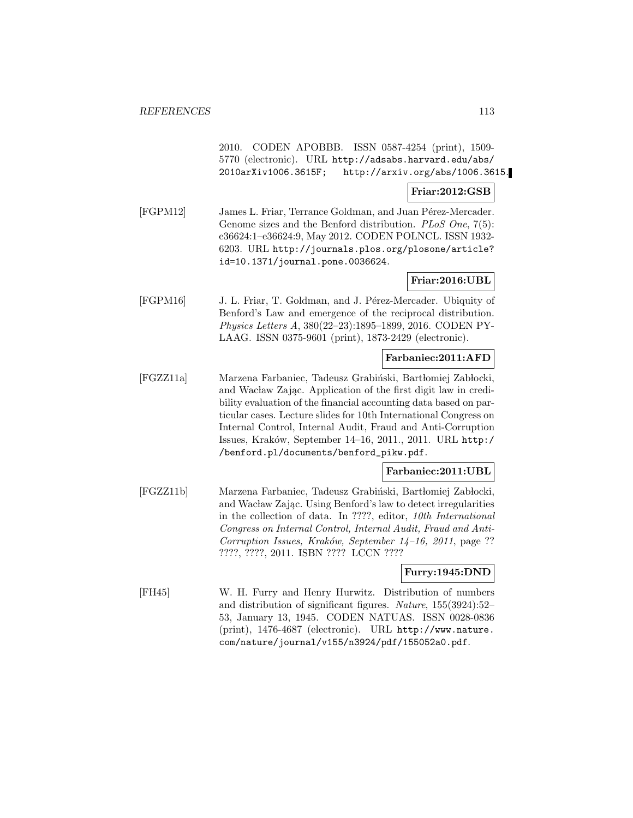2010. CODEN APOBBB. ISSN 0587-4254 (print), 1509- 5770 (electronic). URL http://adsabs.harvard.edu/abs/ 2010arXiv1006.3615F; http://arxiv.org/abs/1006.3615.

#### **Friar:2012:GSB**

[FGPM12] James L. Friar, Terrance Goldman, and Juan Pérez-Mercader. Genome sizes and the Benford distribution. PLoS One, 7(5): e36624:1–e36624:9, May 2012. CODEN POLNCL. ISSN 1932- 6203. URL http://journals.plos.org/plosone/article? id=10.1371/journal.pone.0036624.

## **Friar:2016:UBL**

[FGPM16] J. L. Friar, T. Goldman, and J. Pérez-Mercader. Ubiquity of Benford's Law and emergence of the reciprocal distribution. Physics Letters A, 380(22–23):1895–1899, 2016. CODEN PY-LAAG. ISSN 0375-9601 (print), 1873-2429 (electronic).

## **Farbaniec:2011:AFD**

[FGZZ11a] Marzena Farbaniec, Tadeusz Grabiński, Bartłomiej Zabłocki, and Wacław Zając. Application of the first digit law in credibility evaluation of the financial accounting data based on particular cases. Lecture slides for 10th International Congress on Internal Control, Internal Audit, Fraud and Anti-Corruption Issues, Kraków, September 14-16, 2011., 2011. URL http:/ /benford.pl/documents/benford\_pikw.pdf.

## **Farbaniec:2011:UBL**

[FGZZ11b] Marzena Farbaniec, Tadeusz Grabiński, Bartłomiej Zabłocki, and Wacław Zając. Using Benford's law to detect irregularities in the collection of data. In ????, editor, 10th International Congress on Internal Control, Internal Audit, Fraud and Anti-Corruption Issues, Kraków, September 14–16, 2011, page ?? ????, ????, 2011. ISBN ???? LCCN ????

## **Furry:1945:DND**

[FH45] W. H. Furry and Henry Hurwitz. Distribution of numbers and distribution of significant figures. Nature, 155(3924):52– 53, January 13, 1945. CODEN NATUAS. ISSN 0028-0836 (print), 1476-4687 (electronic). URL http://www.nature. com/nature/journal/v155/n3924/pdf/155052a0.pdf.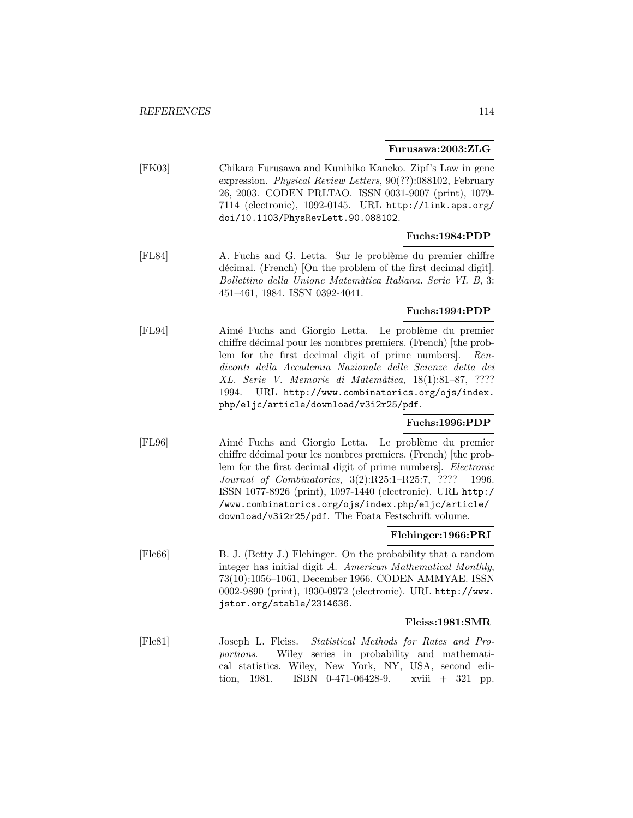**Furusawa:2003:ZLG**

[FK03] Chikara Furusawa and Kunihiko Kaneko. Zipf's Law in gene expression. Physical Review Letters, 90(??):088102, February 26, 2003. CODEN PRLTAO. ISSN 0031-9007 (print), 1079- 7114 (electronic), 1092-0145. URL http://link.aps.org/ doi/10.1103/PhysRevLett.90.088102.

## **Fuchs:1984:PDP**

[FL84] A. Fuchs and G. Letta. Sur le problème du premier chiffre décimal. (French) [On the problem of the first decimal digit]. Bollettino della Unione Matem`atica Italiana. Serie VI. B, 3: 451–461, 1984. ISSN 0392-4041.

## **Fuchs:1994:PDP**

[FL94] Aimé Fuchs and Giorgio Letta. Le problème du premier chiffre décimal pour les nombres premiers. (French) [the problem for the first decimal digit of prime numbers]. Rendiconti della Accademia Nazionale delle Scienze detta dei XL. Serie V. Memorie di Matemàtica, 18(1):81-87, ???? 1994. URL http://www.combinatorics.org/ojs/index. php/eljc/article/download/v3i2r25/pdf.

## **Fuchs:1996:PDP**

[FL96] Aimé Fuchs and Giorgio Letta. Le problème du premier chiffre décimal pour les nombres premiers. (French) [the problem for the first decimal digit of prime numbers]. Electronic Journal of Combinatorics, 3(2):R25:1–R25:7, ???? 1996. ISSN 1077-8926 (print), 1097-1440 (electronic). URL http:/ /www.combinatorics.org/ojs/index.php/eljc/article/ download/v3i2r25/pdf. The Foata Festschrift volume.

## **Flehinger:1966:PRI**

[Fle66] B. J. (Betty J.) Flehinger. On the probability that a random integer has initial digit A. American Mathematical Monthly, 73(10):1056–1061, December 1966. CODEN AMMYAE. ISSN 0002-9890 (print), 1930-0972 (electronic). URL http://www. jstor.org/stable/2314636.

## **Fleiss:1981:SMR**

[Fle81] Joseph L. Fleiss. Statistical Methods for Rates and Proportions. Wiley series in probability and mathematical statistics. Wiley, New York, NY, USA, second edition, 1981. ISBN 0-471-06428-9. xviii + 321 pp.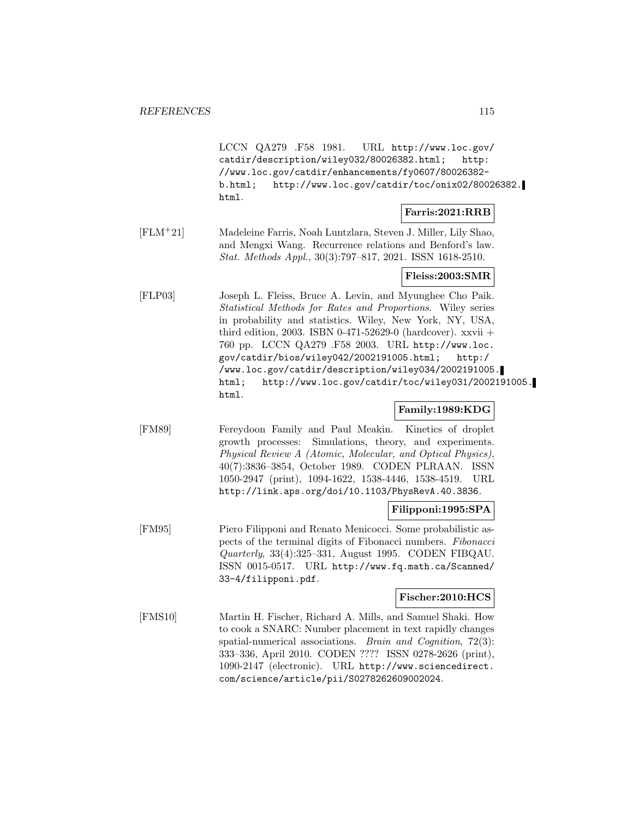LCCN QA279 .F58 1981. URL http://www.loc.gov/ catdir/description/wiley032/80026382.html; http: //www.loc.gov/catdir/enhancements/fy0607/80026382 b.html; http://www.loc.gov/catdir/toc/onix02/80026382. html.

#### **Farris:2021:RRB**

[FLM<sup>+</sup>21] Madeleine Farris, Noah Luntzlara, Steven J. Miller, Lily Shao, and Mengxi Wang. Recurrence relations and Benford's law. Stat. Methods Appl., 30(3):797–817, 2021. ISSN 1618-2510.

## **Fleiss:2003:SMR**

[FLP03] Joseph L. Fleiss, Bruce A. Levin, and Myunghee Cho Paik. Statistical Methods for Rates and Proportions. Wiley series in probability and statistics. Wiley, New York, NY, USA, third edition, 2003. ISBN 0-471-52629-0 (hardcover).  $xxvii +$ 760 pp. LCCN QA279 .F58 2003. URL http://www.loc. gov/catdir/bios/wiley042/2002191005.html; http:/ /www.loc.gov/catdir/description/wiley034/2002191005. html; http://www.loc.gov/catdir/toc/wiley031/2002191005. html.

## **Family:1989:KDG**

[FM89] Fereydoon Family and Paul Meakin. Kinetics of droplet growth processes: Simulations, theory, and experiments. Physical Review A (Atomic, Molecular, and Optical Physics), 40(7):3836–3854, October 1989. CODEN PLRAAN. ISSN 1050-2947 (print), 1094-1622, 1538-4446, 1538-4519. URL http://link.aps.org/doi/10.1103/PhysRevA.40.3836.

## **Filipponi:1995:SPA**

[FM95] Piero Filipponi and Renato Menicocci. Some probabilistic aspects of the terminal digits of Fibonacci numbers. Fibonacci Quarterly, 33(4):325–331, August 1995. CODEN FIBQAU. ISSN 0015-0517. URL http://www.fq.math.ca/Scanned/ 33-4/filipponi.pdf.

## **Fischer:2010:HCS**

[FMS10] Martin H. Fischer, Richard A. Mills, and Samuel Shaki. How to cook a SNARC: Number placement in text rapidly changes spatial-numerical associations. Brain and Cognition, 72(3): 333–336, April 2010. CODEN ???? ISSN 0278-2626 (print), 1090-2147 (electronic). URL http://www.sciencedirect. com/science/article/pii/S0278262609002024.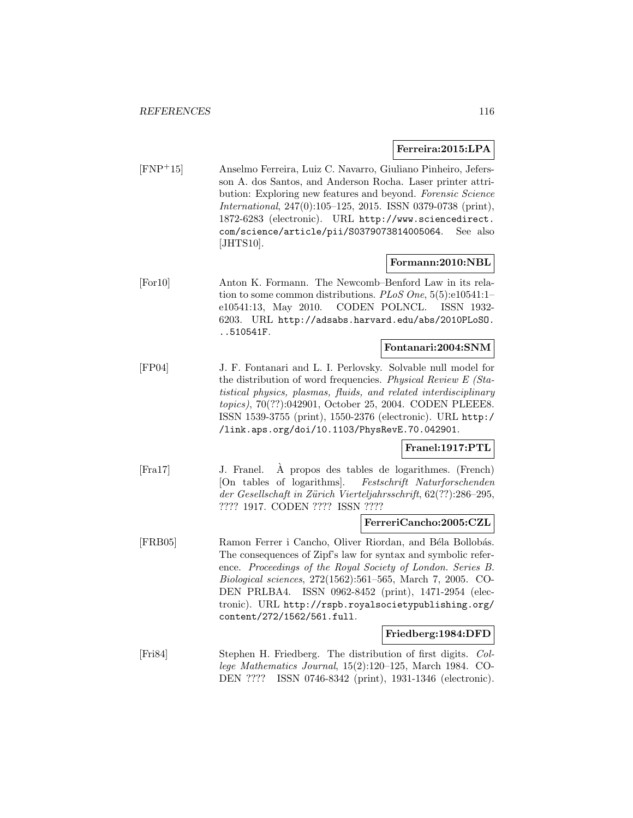#### **Ferreira:2015:LPA**

[FNP<sup>+</sup>15] Anselmo Ferreira, Luiz C. Navarro, Giuliano Pinheiro, Jefersson A. dos Santos, and Anderson Rocha. Laser printer attribution: Exploring new features and beyond. Forensic Science International, 247(0):105–125, 2015. ISSN 0379-0738 (print), 1872-6283 (electronic). URL http://www.sciencedirect. com/science/article/pii/S0379073814005064. See also [JHTS10].

## **Formann:2010:NBL**

[For10] Anton K. Formann. The Newcomb–Benford Law in its relation to some common distributions. PLoS One, 5(5):e10541:1e10541:13, May 2010. CODEN POLNCL. ISSN 1932- 6203. URL http://adsabs.harvard.edu/abs/2010PLoSO. ..510541F.

#### **Fontanari:2004:SNM**

[FP04] J. F. Fontanari and L. I. Perlovsky. Solvable null model for the distribution of word frequencies. Physical Review E (Statistical physics, plasmas, fluids, and related interdisciplinary topics), 70(??):042901, October 25, 2004. CODEN PLEEE8. ISSN 1539-3755 (print), 1550-2376 (electronic). URL http:/ /link.aps.org/doi/10.1103/PhysRevE.70.042901.

## **Franel:1917:PTL**

[Fra17] J. Franel. A propos des tables de logarithmes. (French) ` [On tables of logarithms]. Festschrift Naturforschenden der Gesellschaft in Zürich Vierteljahrsschrift, 62(??):286–295, ???? 1917. CODEN ???? ISSN ????

#### **FerreriCancho:2005:CZL**

[FRB05] Ramon Ferrer i Cancho, Oliver Riordan, and Béla Bollobás. The consequences of Zipf's law for syntax and symbolic reference. Proceedings of the Royal Society of London. Series B. Biological sciences, 272(1562):561–565, March 7, 2005. CO-DEN PRLBA4. ISSN 0962-8452 (print), 1471-2954 (electronic). URL http://rspb.royalsocietypublishing.org/ content/272/1562/561.full.

## **Friedberg:1984:DFD**

[Fri84] Stephen H. Friedberg. The distribution of first digits. College Mathematics Journal, 15(2):120–125, March 1984. CO-DEN ???? ISSN 0746-8342 (print), 1931-1346 (electronic).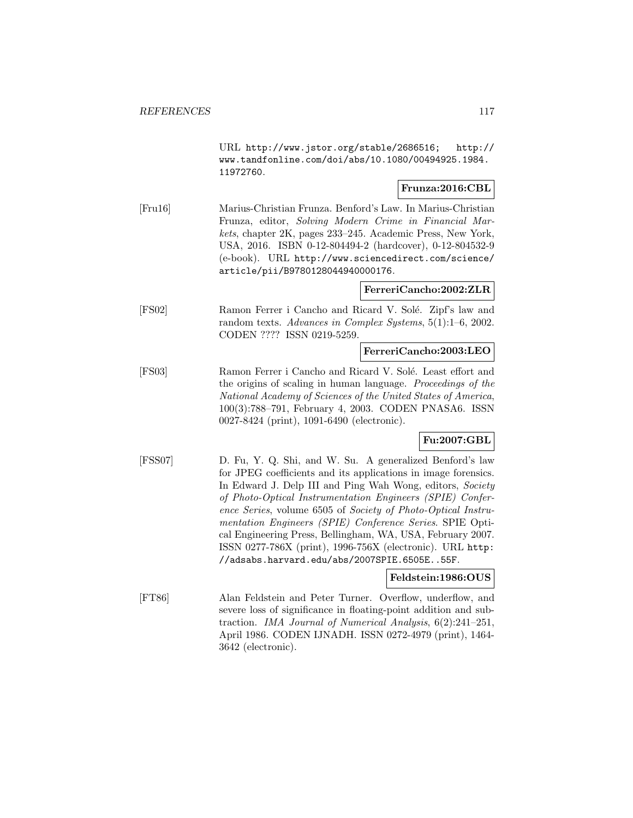URL http://www.jstor.org/stable/2686516; http:// www.tandfonline.com/doi/abs/10.1080/00494925.1984. 11972760.

## **Frunza:2016:CBL**

[Fru16] Marius-Christian Frunza. Benford's Law. In Marius-Christian Frunza, editor, Solving Modern Crime in Financial Markets, chapter 2K, pages 233–245. Academic Press, New York, USA, 2016. ISBN 0-12-804494-2 (hardcover), 0-12-804532-9 (e-book). URL http://www.sciencedirect.com/science/ article/pii/B9780128044940000176.

## **FerreriCancho:2002:ZLR**

[FS02] Ramon Ferrer i Cancho and Ricard V. Solé. Zipf's law and random texts. Advances in Complex Systems, 5(1):1–6, 2002. CODEN ???? ISSN 0219-5259.

#### **FerreriCancho:2003:LEO**

[FS03] Ramon Ferrer i Cancho and Ricard V. Solé. Least effort and the origins of scaling in human language. Proceedings of the National Academy of Sciences of the United States of America, 100(3):788–791, February 4, 2003. CODEN PNASA6. ISSN 0027-8424 (print), 1091-6490 (electronic).

## **Fu:2007:GBL**

[FSS07] D. Fu, Y. Q. Shi, and W. Su. A generalized Benford's law for JPEG coefficients and its applications in image forensics. In Edward J. Delp III and Ping Wah Wong, editors, Society of Photo-Optical Instrumentation Engineers (SPIE) Conference Series, volume 6505 of Society of Photo-Optical Instrumentation Engineers (SPIE) Conference Series. SPIE Optical Engineering Press, Bellingham, WA, USA, February 2007. ISSN 0277-786X (print), 1996-756X (electronic). URL http: //adsabs.harvard.edu/abs/2007SPIE.6505E..55F.

## **Feldstein:1986:OUS**

[FT86] Alan Feldstein and Peter Turner. Overflow, underflow, and severe loss of significance in floating-point addition and subtraction. IMA Journal of Numerical Analysis, 6(2):241–251, April 1986. CODEN IJNADH. ISSN 0272-4979 (print), 1464- 3642 (electronic).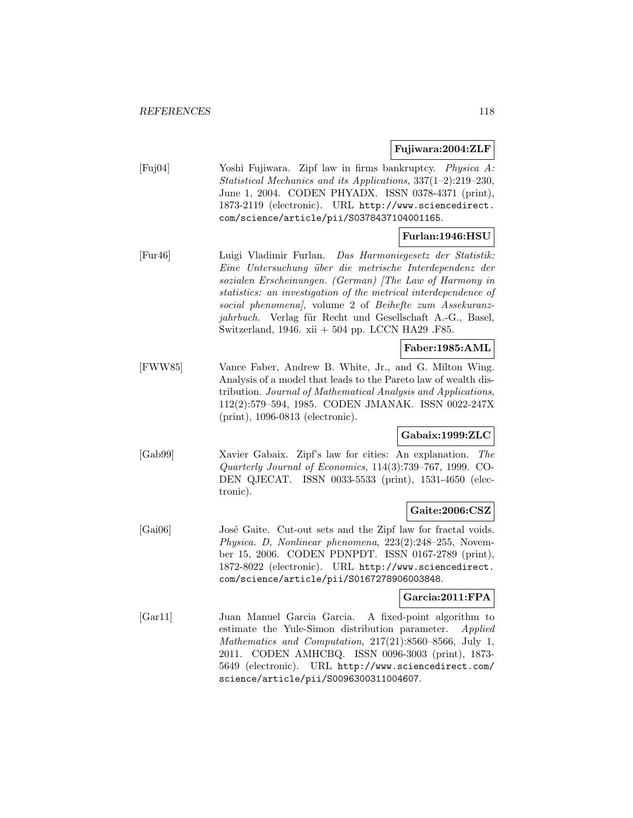## **Fujiwara:2004:ZLF**

[Fuj04] Yoshi Fujiwara. Zipf law in firms bankruptcy. Physica A: Statistical Mechanics and its Applications, 337(1–2):219–230, June 1, 2004. CODEN PHYADX. ISSN 0378-4371 (print), 1873-2119 (electronic). URL http://www.sciencedirect. com/science/article/pii/S0378437104001165.

## **Furlan:1946:HSU**

[Fur46] Luigi Vladimir Furlan. Das Harmoniegesetz der Statistik: Eine Untersuchung über die metrische Interdependenz der sozialen Erscheinungen. (German) [The Law of Harmony in statistics: an investigation of the metrical interdependence of social phenomena], volume 2 of Beihefte zum Assekuranzjahrbuch. Verlag für Recht und Gesellschaft A.-G., Basel, Switzerland, 1946. xii + 504 pp. LCCN HA29 .F85.

## **Faber:1985:AML**

[FWW85] Vance Faber, Andrew B. White, Jr., and G. Milton Wing. Analysis of a model that leads to the Pareto law of wealth distribution. Journal of Mathematical Analysis and Applications, 112(2):579–594, 1985. CODEN JMANAK. ISSN 0022-247X (print), 1096-0813 (electronic).

## **Gabaix:1999:ZLC**

[Gab99] Xavier Gabaix. Zipf's law for cities: An explanation. The Quarterly Journal of Economics, 114(3):739–767, 1999. CO-DEN QJECAT. ISSN 0033-5533 (print), 1531-4650 (electronic).

## **Gaite:2006:CSZ**

[Gai06] José Gaite. Cut-out sets and the Zipf law for fractal voids. Physica. D, Nonlinear phenomena, 223(2):248–255, November 15, 2006. CODEN PDNPDT. ISSN 0167-2789 (print), 1872-8022 (electronic). URL http://www.sciencedirect. com/science/article/pii/S0167278906003848.

## **Garcia:2011:FPA**

[Gar11] Juan Manuel Garcia Garcia. A fixed-point algorithm to estimate the Yule-Simon distribution parameter. Applied Mathematics and Computation, 217(21):8560–8566, July 1, 2011. CODEN AMHCBQ. ISSN 0096-3003 (print), 1873- 5649 (electronic). URL http://www.sciencedirect.com/ science/article/pii/S0096300311004607.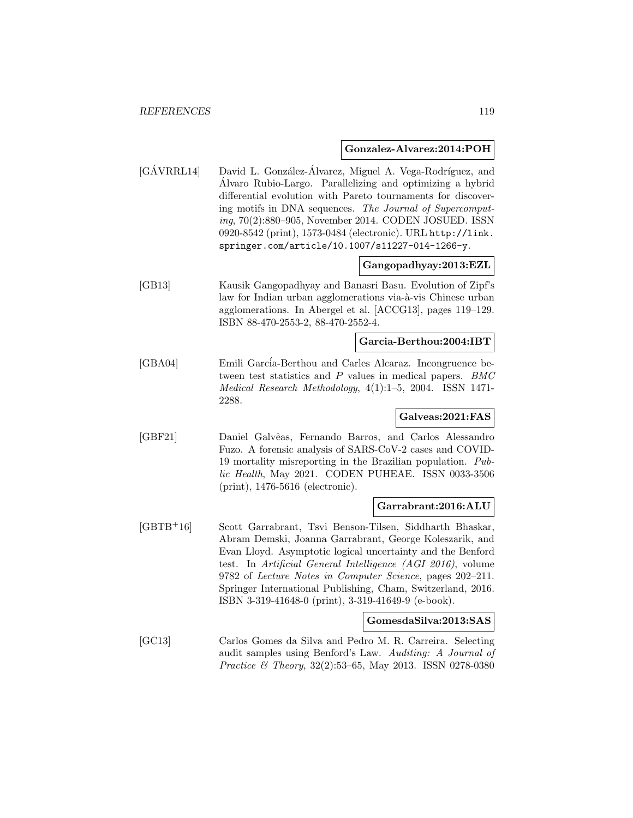#### **Gonzalez-Alvarez:2014:POH**

[GÁVRRL14] David L. González-Álvarez, Miguel A. Vega-Rodríguez, and Alvaro Rubio-Largo. Parallelizing and optimizing a hybrid ´ differential evolution with Pareto tournaments for discovering motifs in DNA sequences. The Journal of Supercomputing, 70(2):880–905, November 2014. CODEN JOSUED. ISSN 0920-8542 (print), 1573-0484 (electronic). URL http://link. springer.com/article/10.1007/s11227-014-1266-y.

## **Gangopadhyay:2013:EZL**

[GB13] Kausik Gangopadhyay and Banasri Basu. Evolution of Zipf's law for Indian urban agglomerations via-à-vis Chinese urban agglomerations. In Abergel et al. [ACCG13], pages 119–129. ISBN 88-470-2553-2, 88-470-2552-4.

## **Garcia-Berthou:2004:IBT**

[GBA04] Emili García-Berthou and Carles Alcaraz. Incongruence between test statistics and P values in medical papers. BMC Medical Research Methodology, 4(1):1–5, 2004. ISSN 1471- 2288.

## **Galveas:2021:FAS**

[GBF21] Daniel Galvˆeas, Fernando Barros, and Carlos Alessandro Fuzo. A forensic analysis of SARS-CoV-2 cases and COVID-19 mortality misreporting in the Brazilian population. Public Health, May 2021. CODEN PUHEAE. ISSN 0033-3506 (print), 1476-5616 (electronic).

#### **Garrabrant:2016:ALU**

[GBTB<sup>+</sup>16] Scott Garrabrant, Tsvi Benson-Tilsen, Siddharth Bhaskar, Abram Demski, Joanna Garrabrant, George Koleszarik, and Evan Lloyd. Asymptotic logical uncertainty and the Benford test. In Artificial General Intelligence (AGI 2016), volume 9782 of Lecture Notes in Computer Science, pages 202–211. Springer International Publishing, Cham, Switzerland, 2016. ISBN 3-319-41648-0 (print), 3-319-41649-9 (e-book).

#### **GomesdaSilva:2013:SAS**

[GC13] Carlos Gomes da Silva and Pedro M. R. Carreira. Selecting audit samples using Benford's Law. Auditing: A Journal of Practice & Theory, 32(2):53–65, May 2013. ISSN 0278-0380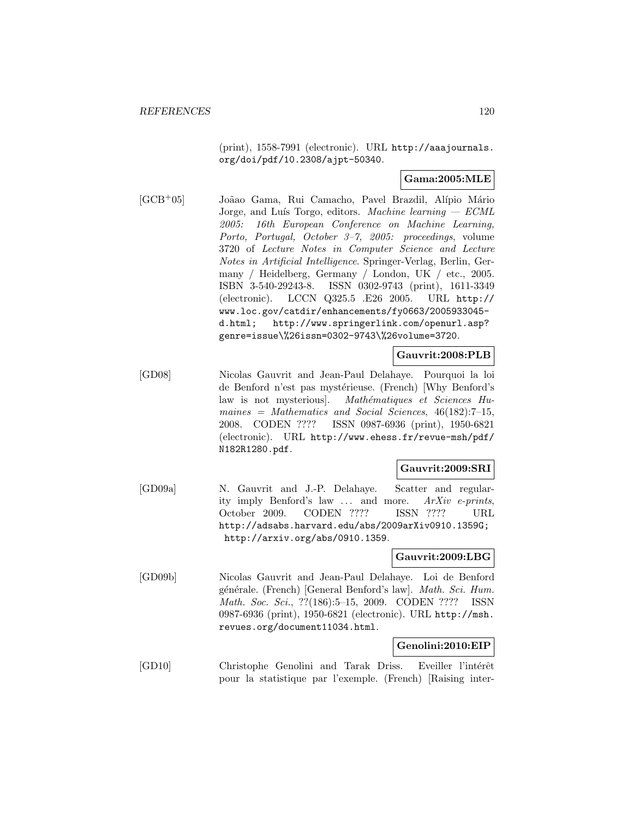(print), 1558-7991 (electronic). URL http://aaajournals. org/doi/pdf/10.2308/ajpt-50340.

## **Gama:2005:MLE**

[GCB<sup>+</sup>05] Joãao Gama, Rui Camacho, Pavel Brazdil, Alípio Mário Jorge, and Luís Torgo, editors. Machine learning  $-$  ECML 2005: 16th European Conference on Machine Learning, Porto, Portugal, October 3–7, 2005: proceedings, volume 3720 of Lecture Notes in Computer Science and Lecture Notes in Artificial Intelligence. Springer-Verlag, Berlin, Germany / Heidelberg, Germany / London, UK / etc., 2005. ISBN 3-540-29243-8. ISSN 0302-9743 (print), 1611-3349 (electronic). LCCN Q325.5 .E26 2005. URL http:// www.loc.gov/catdir/enhancements/fy0663/2005933045 d.html; http://www.springerlink.com/openurl.asp? genre=issue\%26issn=0302-9743\%26volume=3720.

## **Gauvrit:2008:PLB**

[GD08] Nicolas Gauvrit and Jean-Paul Delahaye. Pourquoi la loi de Benford n'est pas mystérieuse. (French) [Why Benford's law is not mysterious]. Mathématiques et Sciences Humaines = Mathematics and Social Sciences,  $46(182):7-15$ , 2008. CODEN ???? ISSN 0987-6936 (print), 1950-6821 (electronic). URL http://www.ehess.fr/revue-msh/pdf/ N182R1280.pdf.

## **Gauvrit:2009:SRI**

[GD09a] N. Gauvrit and J.-P. Delahaye. Scatter and regularity imply Benford's law ... and more. ArXiv e-prints, October 2009. CODEN ???? ISSN ???? URL http://adsabs.harvard.edu/abs/2009arXiv0910.1359G; http://arxiv.org/abs/0910.1359.

## **Gauvrit:2009:LBG**

[GD09b] Nicolas Gauvrit and Jean-Paul Delahaye. Loi de Benford générale. (French) [General Benford's law]. Math. Sci. Hum. Math. Soc. Sci., ??(186):5–15, 2009. CODEN ???? ISSN 0987-6936 (print), 1950-6821 (electronic). URL http://msh. revues.org/document11034.html.

## **Genolini:2010:EIP**

[GD10] Christophe Genolini and Tarak Driss. Eveiller l'intérêt pour la statistique par l'exemple. (French) [Raising inter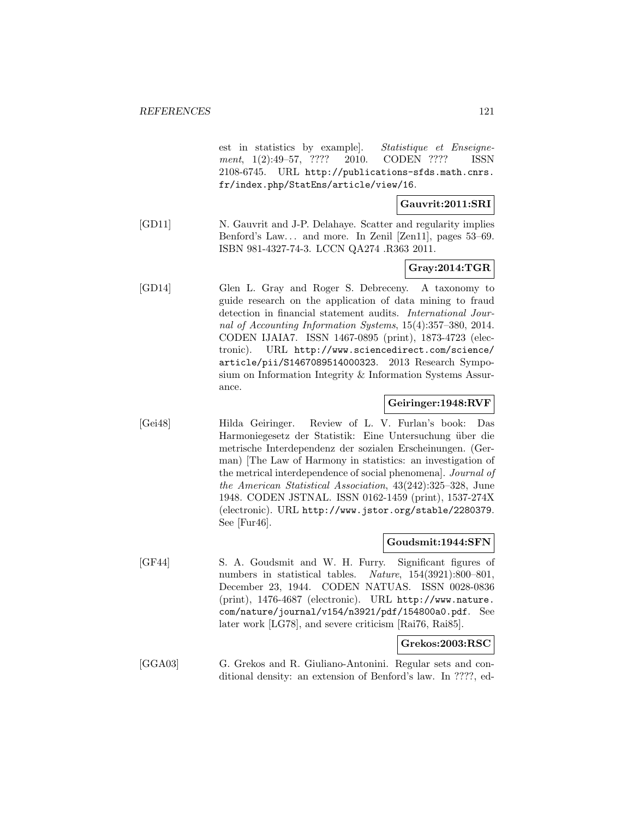est in statistics by example]. Statistique et Enseignement, 1(2):49–57, ???? 2010. CODEN ???? ISSN 2108-6745. URL http://publications-sfds.math.cnrs. fr/index.php/StatEns/article/view/16.

## **Gauvrit:2011:SRI**

[GD11] N. Gauvrit and J-P. Delahaye. Scatter and regularity implies Benford's Law... and more. In Zenil [Zen11], pages 53–69. ISBN 981-4327-74-3. LCCN QA274 .R363 2011.

## **Gray:2014:TGR**

[GD14] Glen L. Gray and Roger S. Debreceny. A taxonomy to guide research on the application of data mining to fraud detection in financial statement audits. International Journal of Accounting Information Systems, 15(4):357–380, 2014. CODEN IJAIA7. ISSN 1467-0895 (print), 1873-4723 (electronic). URL http://www.sciencedirect.com/science/ article/pii/S1467089514000323. 2013 Research Symposium on Information Integrity & Information Systems Assurance.

## **Geiringer:1948:RVF**

[Gei48] Hilda Geiringer. Review of L. V. Furlan's book: Das Harmoniegesetz der Statistik: Eine Untersuchung über die metrische Interdependenz der sozialen Erscheinungen. (German) [The Law of Harmony in statistics: an investigation of the metrical interdependence of social phenomena]. Journal of the American Statistical Association, 43(242):325–328, June 1948. CODEN JSTNAL. ISSN 0162-1459 (print), 1537-274X (electronic). URL http://www.jstor.org/stable/2280379. See [Fur46].

#### **Goudsmit:1944:SFN**

[GF44] S. A. Goudsmit and W. H. Furry. Significant figures of numbers in statistical tables. Nature, 154(3921):800-801, December 23, 1944. CODEN NATUAS. ISSN 0028-0836 (print), 1476-4687 (electronic). URL http://www.nature. com/nature/journal/v154/n3921/pdf/154800a0.pdf. See later work [LG78], and severe criticism [Rai76, Rai85].

## **Grekos:2003:RSC**

[GGA03] G. Grekos and R. Giuliano-Antonini. Regular sets and conditional density: an extension of Benford's law. In ????, ed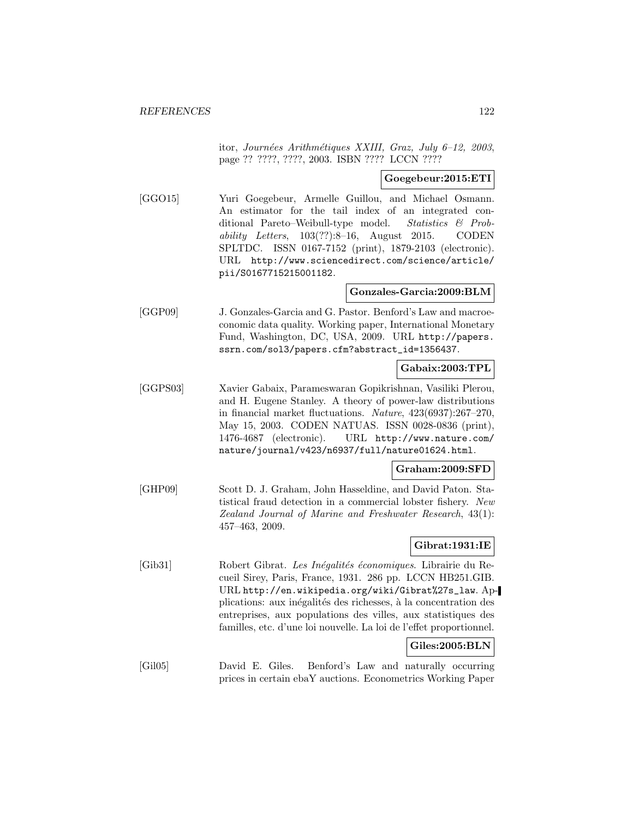itor, Journées Arithmétiques XXIII, Graz, July 6-12, 2003, page ?? ????, ????, 2003. ISBN ???? LCCN ????

## **Goegebeur:2015:ETI**

[GGO15] Yuri Goegebeur, Armelle Guillou, and Michael Osmann. An estimator for the tail index of an integrated conditional Pareto–Weibull-type model. Statistics & Probability Letters,  $103(??):8-16$ , August 2015. CODEN SPLTDC. ISSN 0167-7152 (print), 1879-2103 (electronic). URL http://www.sciencedirect.com/science/article/ pii/S0167715215001182.

## **Gonzales-Garcia:2009:BLM**

[GGP09] J. Gonzales-Garcia and G. Pastor. Benford's Law and macroeconomic data quality. Working paper, International Monetary Fund, Washington, DC, USA, 2009. URL http://papers. ssrn.com/sol3/papers.cfm?abstract\_id=1356437.

## **Gabaix:2003:TPL**

[GGPS03] Xavier Gabaix, Parameswaran Gopikrishnan, Vasiliki Plerou, and H. Eugene Stanley. A theory of power-law distributions in financial market fluctuations. Nature, 423(6937):267–270, May 15, 2003. CODEN NATUAS. ISSN 0028-0836 (print), 1476-4687 (electronic). URL http://www.nature.com/ nature/journal/v423/n6937/full/nature01624.html.

## **Graham:2009:SFD**

[GHP09] Scott D. J. Graham, John Hasseldine, and David Paton. Statistical fraud detection in a commercial lobster fishery. New Zealand Journal of Marine and Freshwater Research, 43(1): 457–463, 2009.

## **Gibrat:1931:IE**

- [Gib31] Robert Gibrat. Les Inégalités économiques. Librairie du Recueil Sirey, Paris, France, 1931. 286 pp. LCCN HB251.GIB. URL http://en.wikipedia.org/wiki/Gibrat%27s\_law. Applications: aux inégalités des richesses, à la concentration des entreprises, aux populations des villes, aux statistiques des familles, etc. d'une loi nouvelle. La loi de l'effet proportionnel. **Giles:2005:BLN**
- [Gil05] David E. Giles. Benford's Law and naturally occurring prices in certain ebaY auctions. Econometrics Working Paper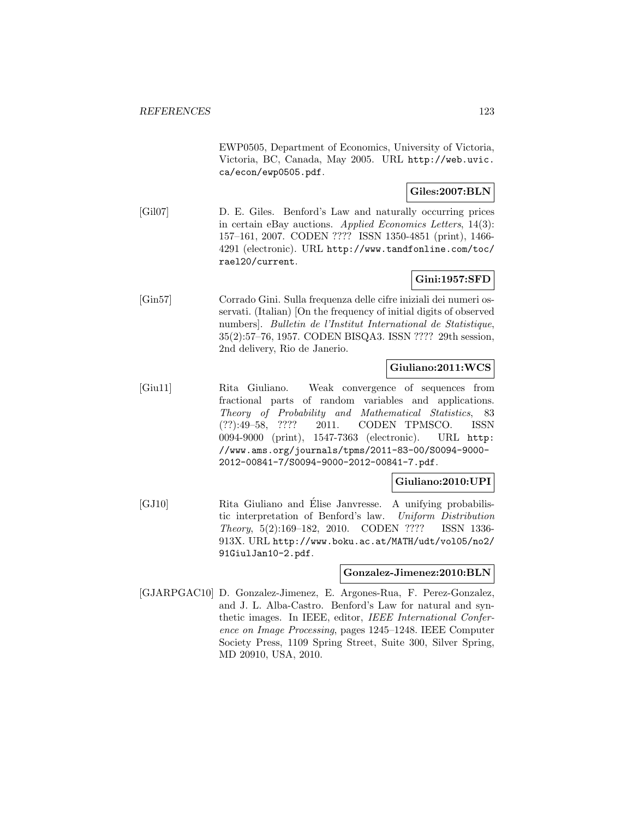EWP0505, Department of Economics, University of Victoria, Victoria, BC, Canada, May 2005. URL http://web.uvic. ca/econ/ewp0505.pdf.

## **Giles:2007:BLN**

[Gil07] D. E. Giles. Benford's Law and naturally occurring prices in certain eBay auctions. Applied Economics Letters, 14(3): 157–161, 2007. CODEN ???? ISSN 1350-4851 (print), 1466- 4291 (electronic). URL http://www.tandfonline.com/toc/ rael20/current.

## **Gini:1957:SFD**

[Gin57] Corrado Gini. Sulla frequenza delle cifre iniziali dei numeri osservati. (Italian) [On the frequency of initial digits of observed numbers]. Bulletin de l'Institut International de Statistique, 35(2):57–76, 1957. CODEN BISQA3. ISSN ???? 29th session, 2nd delivery, Rio de Janerio.

## **Giuliano:2011:WCS**

[Giu11] Rita Giuliano. Weak convergence of sequences from fractional parts of random variables and applications. Theory of Probability and Mathematical Statistics, 83 (??):49–58, ???? 2011. CODEN TPMSCO. ISSN 0094-9000 (print), 1547-7363 (electronic). URL http: //www.ams.org/journals/tpms/2011-83-00/S0094-9000- 2012-00841-7/S0094-9000-2012-00841-7.pdf.

## **Giuliano:2010:UPI**

[GJ10] Rita Giuliano and Elise Janvresse. A unifying probabilis- ´ tic interpretation of Benford's law. Uniform Distribution Theory, 5(2):169–182, 2010. CODEN ???? ISSN 1336- 913X. URL http://www.boku.ac.at/MATH/udt/vol05/no2/ 91GiulJan10-2.pdf.

## **Gonzalez-Jimenez:2010:BLN**

[GJARPGAC10] D. Gonzalez-Jimenez, E. Argones-Rua, F. Perez-Gonzalez, and J. L. Alba-Castro. Benford's Law for natural and synthetic images. In IEEE, editor, IEEE International Conference on Image Processing, pages 1245–1248. IEEE Computer Society Press, 1109 Spring Street, Suite 300, Silver Spring, MD 20910, USA, 2010.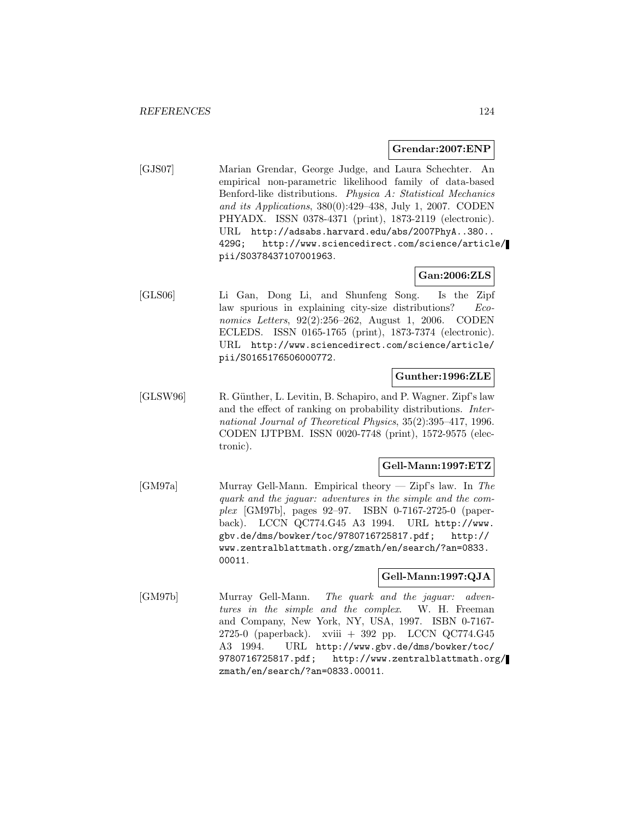#### **Grendar:2007:ENP**

[GJS07] Marian Grendar, George Judge, and Laura Schechter. An empirical non-parametric likelihood family of data-based Benford-like distributions. Physica A: Statistical Mechanics and its Applications, 380(0):429–438, July 1, 2007. CODEN PHYADX. ISSN 0378-4371 (print), 1873-2119 (electronic). URL http://adsabs.harvard.edu/abs/2007PhyA..380.. 429G; http://www.sciencedirect.com/science/article/ pii/S0378437107001963.

## **Gan:2006:ZLS**

[GLS06] Li Gan, Dong Li, and Shunfeng Song. Is the Zipf law spurious in explaining city-size distributions? Economics Letters, 92(2):256–262, August 1, 2006. CODEN ECLEDS. ISSN 0165-1765 (print), 1873-7374 (electronic). URL http://www.sciencedirect.com/science/article/ pii/S0165176506000772.

## **Gunther:1996:ZLE**

[GLSW96] R. Günther, L. Levitin, B. Schapiro, and P. Wagner. Zipf's law and the effect of ranking on probability distributions. International Journal of Theoretical Physics, 35(2):395–417, 1996. CODEN IJTPBM. ISSN 0020-7748 (print), 1572-9575 (electronic).

## **Gell-Mann:1997:ETZ**

[GM97a] Murray Gell-Mann. Empirical theory — Zipf's law. In The quark and the jaguar: adventures in the simple and the complex [GM97b], pages 92–97. ISBN 0-7167-2725-0 (paperback). LCCN QC774.G45 A3 1994. URL http://www. gbv.de/dms/bowker/toc/9780716725817.pdf; http:// www.zentralblattmath.org/zmath/en/search/?an=0833. 00011.

## **Gell-Mann:1997:QJA**

[GM97b] Murray Gell-Mann. The quark and the jaguar: adventures in the simple and the complex. W. H. Freeman and Company, New York, NY, USA, 1997. ISBN 0-7167- 2725-0 (paperback). xviii + 392 pp. LCCN QC774.G45 A3 1994. URL http://www.gbv.de/dms/bowker/toc/ 9780716725817.pdf; http://www.zentralblattmath.org/ zmath/en/search/?an=0833.00011.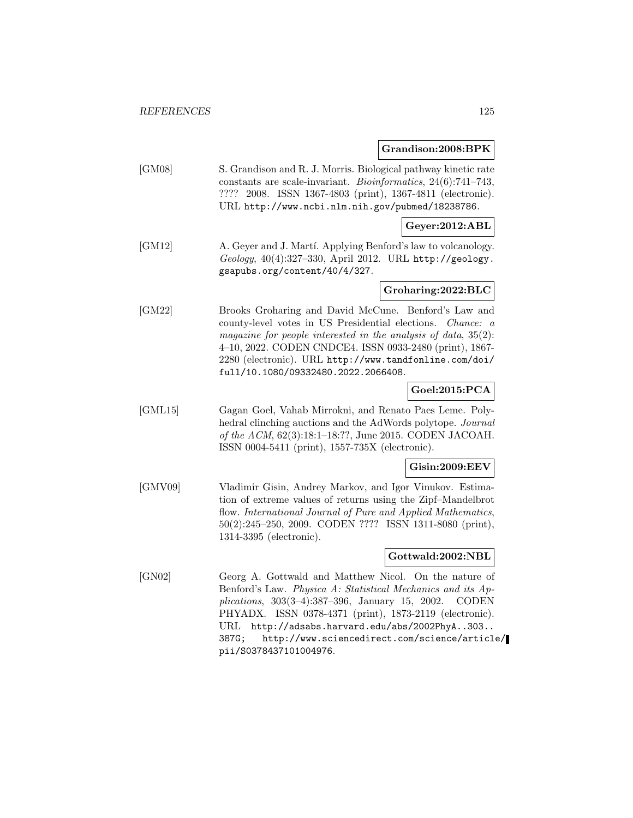# **Grandison:2008:BPK**

|         | aranuisun.2000.dr iv                                                                                                                                                                                                                                                                                                                                                   |
|---------|------------------------------------------------------------------------------------------------------------------------------------------------------------------------------------------------------------------------------------------------------------------------------------------------------------------------------------------------------------------------|
| [GM08]  | S. Grandison and R. J. Morris. Biological pathway kinetic rate<br>constants are scale-invariant. <i>Bioinformatics</i> , $24(6)$ :741-743,<br>???? 2008. ISSN 1367-4803 (print), 1367-4811 (electronic).<br>URL http://www.ncbi.nlm.nih.gov/pubmed/18238786.                                                                                                           |
|         | Geyer:2012:ABL                                                                                                                                                                                                                                                                                                                                                         |
| [GM12]  | A. Geyer and J. Martí. Applying Benford's law to volcanology.<br>Geology, 40(4):327-330, April 2012. URL http://geology.<br>gsapubs.org/content/40/4/327.                                                                                                                                                                                                              |
|         | Groharing:2022:BLC                                                                                                                                                                                                                                                                                                                                                     |
| [GM22]  | Brooks Groharing and David McCune. Benford's Law and<br>county-level votes in US Presidential elections.<br>Chance: a<br>magazine for people interested in the analysis of data, $35(2)$ :<br>4-10, 2022. CODEN CNDCE4. ISSN 0933-2480 (print), 1867-<br>2280 (electronic). URL http://www.tandfonline.com/doi/<br>full/10.1080/09332480.2022.2066408.                 |
|         | Goel:2015:PCA                                                                                                                                                                                                                                                                                                                                                          |
| [GML15] | Gagan Goel, Vahab Mirrokni, and Renato Paes Leme. Poly-<br>hedral clinching auctions and the AdWords polytope. Journal<br>of the ACM, 62(3):18:1-18:??, June 2015. CODEN JACOAH.<br>ISSN 0004-5411 (print), $1557-735X$ (electronic).                                                                                                                                  |
|         | Gisin:2009:EEV                                                                                                                                                                                                                                                                                                                                                         |
| [GMV09] | Vladimir Gisin, Andrey Markov, and Igor Vinukov. Estima-<br>tion of extreme values of returns using the Zipf-Mandelbrot<br>flow. International Journal of Pure and Applied Mathematics,<br>$50(2):245-250$ , 2009. CODEN ???? ISSN 1311-8080 (print),<br>1314-3395 (electronic).                                                                                       |
|         | $\operatorname{Gottwald:2002:NBL}$                                                                                                                                                                                                                                                                                                                                     |
| [GN02]  | Georg A. Gottwald and Matthew Nicol. On the nature of<br>Benford's Law. Physica A: Statistical Mechanics and its Ap-<br>plications, $303(3-4):387-396$ , January 15, 2002.<br><b>CODEN</b><br>ISSN 0378-4371 (print), 1873-2119 (electronic).<br>PHYADX.<br>http://adsabs.harvard.edu/abs/2002PhyA303<br>URL<br>http://www.sciencedirect.com/science/article/<br>387G; |

pii/S0378437101004976.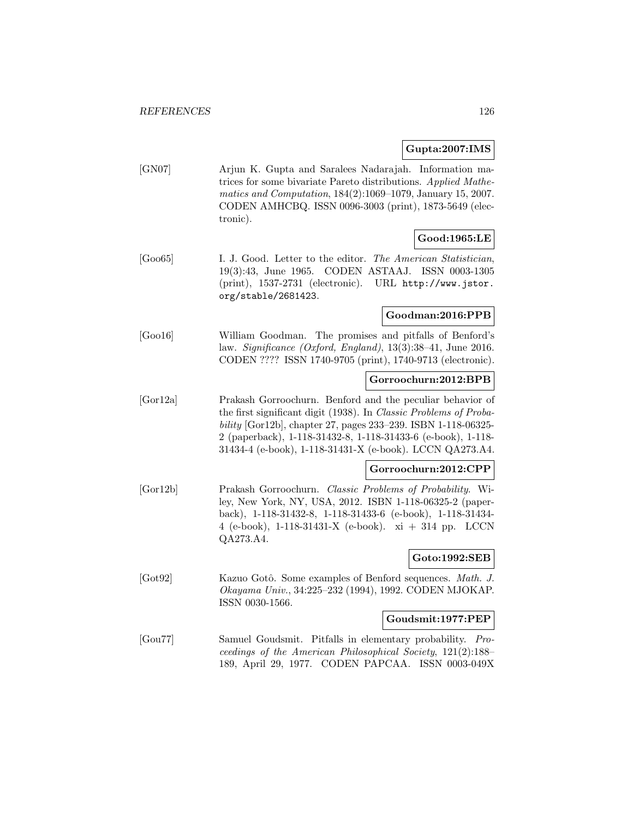## **Gupta:2007:IMS**

| [GN07] | Ariun K. Gupta and Saralees Nadarajah. Information ma-         |
|--------|----------------------------------------------------------------|
|        | trices for some bivariate Pareto distributions. Applied Mathe- |
|        | matics and Computation, $184(2):1069-1079$ , January 15, 2007. |
|        | CODEN AMHCBQ. ISSN 0096-3003 (print), 1873-5649 (elec-         |
|        | tronic).                                                       |

## **Good:1965:LE**

[Goo65] I. J. Good. Letter to the editor. The American Statistician, 19(3):43, June 1965. CODEN ASTAAJ. ISSN 0003-1305 (print), 1537-2731 (electronic). URL http://www.jstor. org/stable/2681423.

## **Goodman:2016:PPB**

[Goo16] William Goodman. The promises and pitfalls of Benford's law. Significance (Oxford, England), 13(3):38–41, June 2016. CODEN ???? ISSN 1740-9705 (print), 1740-9713 (electronic).

## **Gorroochurn:2012:BPB**

[Gor12a] Prakash Gorroochurn. Benford and the peculiar behavior of the first significant digit (1938). In Classic Problems of Probability [Gor12b], chapter 27, pages 233–239. ISBN 1-118-06325- 2 (paperback), 1-118-31432-8, 1-118-31433-6 (e-book), 1-118- 31434-4 (e-book), 1-118-31431-X (e-book). LCCN QA273.A4.

## **Gorroochurn:2012:CPP**

[Gor12b] Prakash Gorroochurn. Classic Problems of Probability. Wiley, New York, NY, USA, 2012. ISBN 1-118-06325-2 (paperback), 1-118-31432-8, 1-118-31433-6 (e-book), 1-118-31434- 4 (e-book), 1-118-31431-X (e-book). xi + 314 pp. LCCN QA273.A4.

## **Goto:1992:SEB**

[Got92] Kazuo Gotô. Some examples of Benford sequences. Math. J. Okayama Univ., 34:225–232 (1994), 1992. CODEN MJOKAP. ISSN 0030-1566.

## **Goudsmit:1977:PEP**

[Gou77] Samuel Goudsmit. Pitfalls in elementary probability. Proceedings of the American Philosophical Society, 121(2):188– 189, April 29, 1977. CODEN PAPCAA. ISSN 0003-049X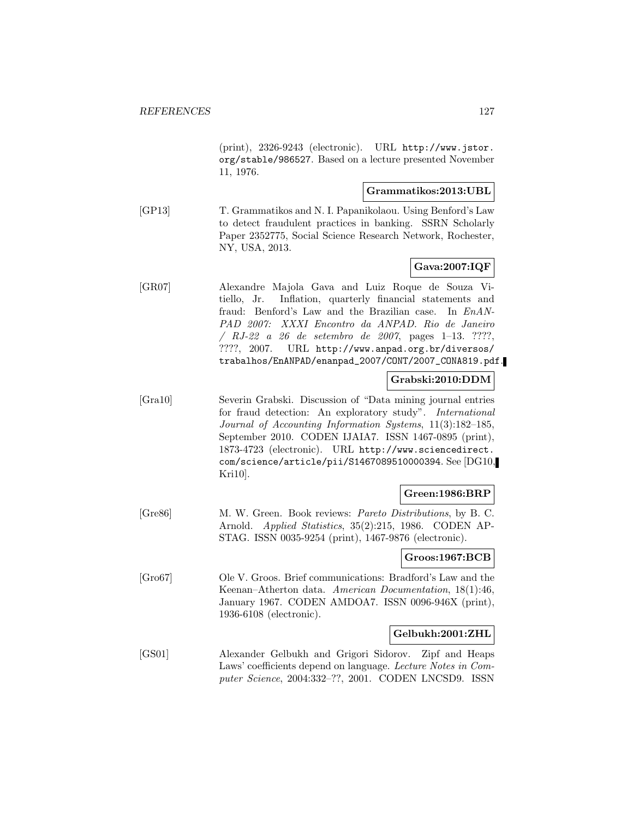(print), 2326-9243 (electronic). URL http://www.jstor. org/stable/986527. Based on a lecture presented November 11, 1976.

## **Grammatikos:2013:UBL**

[GP13] T. Grammatikos and N. I. Papanikolaou. Using Benford's Law to detect fraudulent practices in banking. SSRN Scholarly Paper 2352775, Social Science Research Network, Rochester, NY, USA, 2013.

## **Gava:2007:IQF**

[GR07] Alexandre Majola Gava and Luiz Roque de Souza Vitiello, Jr. Inflation, quarterly financial statements and fraud: Benford's Law and the Brazilian case. In EnAN-PAD 2007: XXXI Encontro da ANPAD. Rio de Janeiro  $/ RJ-22 a 26 de setembro de 2007, pages 1-13. ????$ ????, 2007. URL http://www.anpad.org.br/diversos/ trabalhos/EnANPAD/enanpad\_2007/CONT/2007\_CONA819.pdf.

## **Grabski:2010:DDM**

[Gra10] Severin Grabski. Discussion of "Data mining journal entries for fraud detection: An exploratory study". International Journal of Accounting Information Systems, 11(3):182–185, September 2010. CODEN IJAIA7. ISSN 1467-0895 (print), 1873-4723 (electronic). URL http://www.sciencedirect. com/science/article/pii/S1467089510000394. See [DG10, Kri10].

## **Green:1986:BRP**

[Gre86] M. W. Green. Book reviews: Pareto Distributions, by B. C. Arnold. Applied Statistics, 35(2):215, 1986. CODEN AP-STAG. ISSN 0035-9254 (print), 1467-9876 (electronic).

#### **Groos:1967:BCB**

[Gro67] Ole V. Groos. Brief communications: Bradford's Law and the Keenan–Atherton data. American Documentation, 18(1):46, January 1967. CODEN AMDOA7. ISSN 0096-946X (print), 1936-6108 (electronic).

## **Gelbukh:2001:ZHL**

[GS01] Alexander Gelbukh and Grigori Sidorov. Zipf and Heaps Laws' coefficients depend on language. Lecture Notes in Computer Science, 2004:332–??, 2001. CODEN LNCSD9. ISSN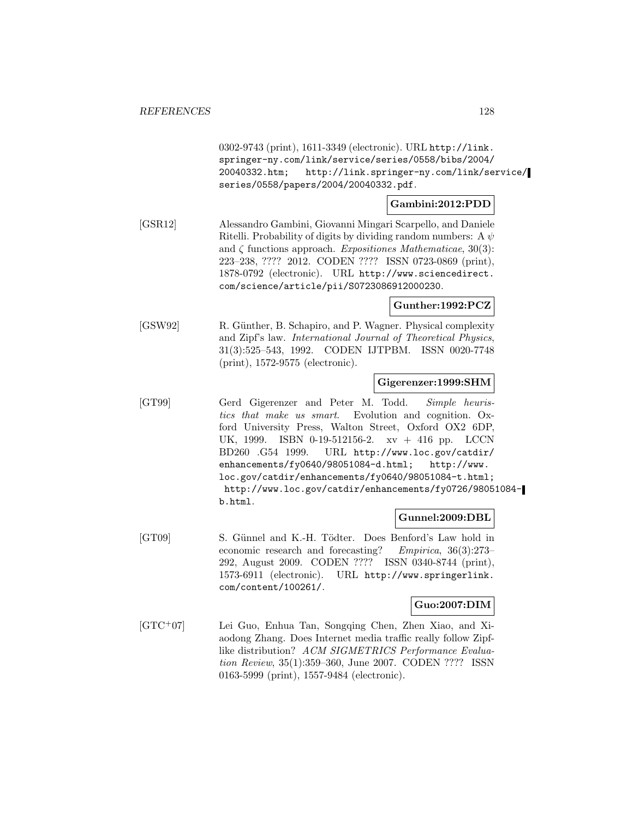0302-9743 (print), 1611-3349 (electronic). URL http://link. springer-ny.com/link/service/series/0558/bibs/2004/ 20040332.htm; http://link.springer-ny.com/link/service/ series/0558/papers/2004/20040332.pdf.

## **Gambini:2012:PDD**

[GSR12] Alessandro Gambini, Giovanni Mingari Scarpello, and Daniele Ritelli. Probability of digits by dividing random numbers: A  $\psi$ and  $\zeta$  functions approach. Expositiones Mathematicae, 30(3): 223–238, ???? 2012. CODEN ???? ISSN 0723-0869 (print), 1878-0792 (electronic). URL http://www.sciencedirect. com/science/article/pii/S0723086912000230.

## **Gunther:1992:PCZ**

[GSW92] R. Günther, B. Schapiro, and P. Wagner. Physical complexity and Zipf's law. International Journal of Theoretical Physics, 31(3):525–543, 1992. CODEN IJTPBM. ISSN 0020-7748 (print), 1572-9575 (electronic).

#### **Gigerenzer:1999:SHM**

[GT99] Gerd Gigerenzer and Peter M. Todd. Simple heuristics that make us smart. Evolution and cognition. Oxford University Press, Walton Street, Oxford OX2 6DP, UK, 1999. ISBN 0-19-512156-2. xv + 416 pp. LCCN BD260 .G54 1999. URL http://www.loc.gov/catdir/ enhancements/fy0640/98051084-d.html; http://www. loc.gov/catdir/enhancements/fy0640/98051084-t.html; http://www.loc.gov/catdir/enhancements/fy0726/98051084 b.html.

#### **Gunnel:2009:DBL**

[GT09] S. Günnel and K.-H. Tödter. Does Benford's Law hold in economic research and forecasting? Empirica, 36(3):273– 292, August 2009. CODEN ???? ISSN 0340-8744 (print), 1573-6911 (electronic). URL http://www.springerlink. com/content/100261/.

## **Guo:2007:DIM**

[GTC<sup>+</sup>07] Lei Guo, Enhua Tan, Songqing Chen, Zhen Xiao, and Xiaodong Zhang. Does Internet media traffic really follow Zipflike distribution? ACM SIGMETRICS Performance Evaluation Review, 35(1):359–360, June 2007. CODEN ???? ISSN 0163-5999 (print), 1557-9484 (electronic).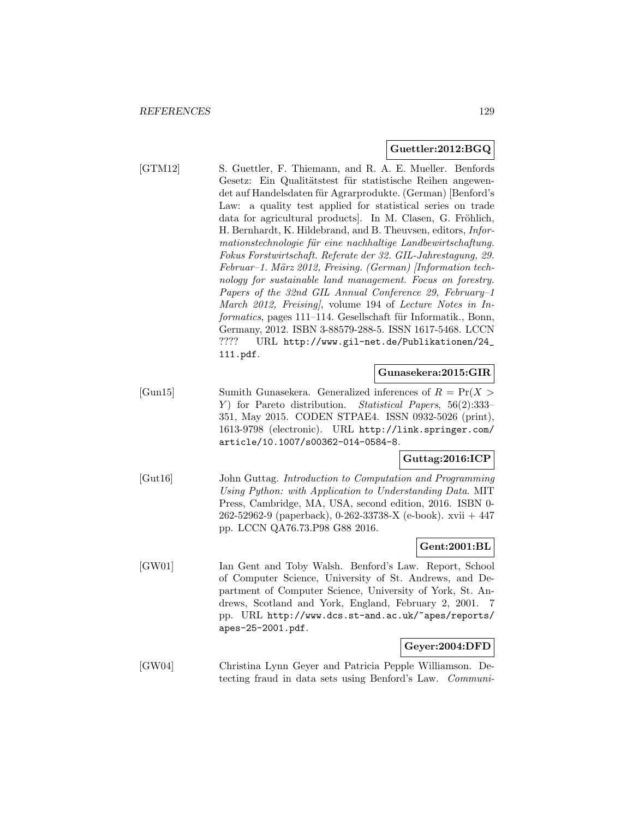## **Guettler:2012:BGQ**

[GTM12] S. Guettler, F. Thiemann, and R. A. E. Mueller. Benfords Gesetz: Ein Qualitätstest für statistische Reihen angewendet auf Handelsdaten für Agrarprodukte. (German) [Benford's Law: a quality test applied for statistical series on trade data for agricultural products. In M. Clasen, G. Fröhlich, H. Bernhardt, K. Hildebrand, and B. Theuvsen, editors, Informationstechnologie für eine nachhaltige Landbewirtschaftung. Fokus Forstwirtschaft. Referate der 32. GIL-Jahrestagung, 29. Februar–1. März 2012, Freising. (German) [Information technology for sustainable land management. Focus on forestry. Papers of the 32nd GIL Annual Conference 29, February–1 March 2012, Freising, volume 194 of Lecture Notes in Informatics, pages 111–114. Gesellschaft für Informatik., Bonn, Germany, 2012. ISBN 3-88579-288-5. ISSN 1617-5468. LCCN ???? URL http://www.gil-net.de/Publikationen/24\_ 111.pdf.

#### **Gunasekera:2015:GIR**

[Gun15] Sumith Gunasekera. Generalized inferences of  $R = \Pr(X >$ Y) for Pareto distribution. Statistical Papers, 56(2):333– 351, May 2015. CODEN STPAE4. ISSN 0932-5026 (print), 1613-9798 (electronic). URL http://link.springer.com/ article/10.1007/s00362-014-0584-8.

## **Guttag:2016:ICP**

[Gut16] John Guttag. Introduction to Computation and Programming Using Python: with Application to Understanding Data. MIT Press, Cambridge, MA, USA, second edition, 2016. ISBN 0- 262-52962-9 (paperback), 0-262-33738-X (e-book). xvii + 447 pp. LCCN QA76.73.P98 G88 2016.

## **Gent:2001:BL**

[GW01] Ian Gent and Toby Walsh. Benford's Law. Report, School of Computer Science, University of St. Andrews, and Department of Computer Science, University of York, St. Andrews, Scotland and York, England, February 2, 2001. 7 pp. URL http://www.dcs.st-and.ac.uk/~apes/reports/ apes-25-2001.pdf.

## **Geyer:2004:DFD**

[GW04] Christina Lynn Geyer and Patricia Pepple Williamson. Detecting fraud in data sets using Benford's Law. Communi-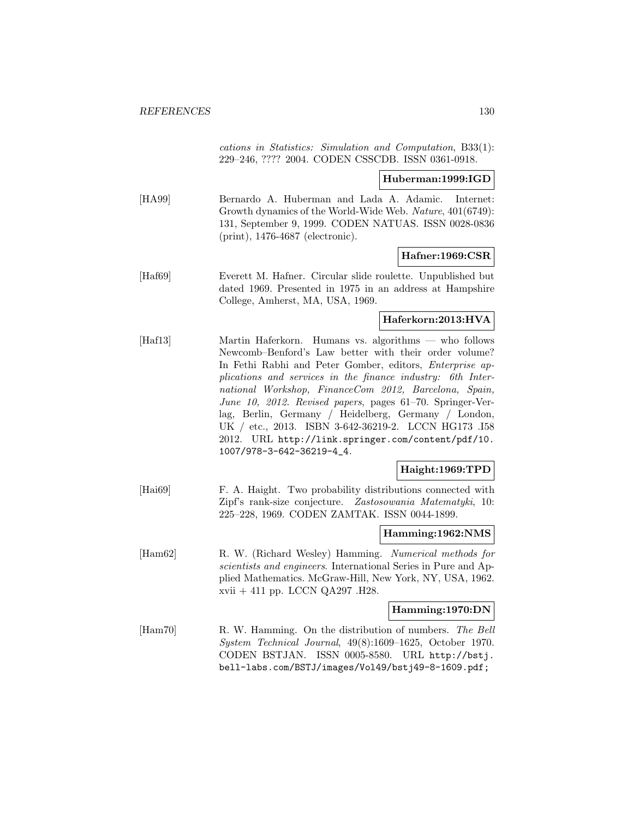cations in Statistics: Simulation and Computation, B33(1): 229–246, ???? 2004. CODEN CSSCDB. ISSN 0361-0918.

**Huberman:1999:IGD**

[HA99] Bernardo A. Huberman and Lada A. Adamic. Internet: Growth dynamics of the World-Wide Web. Nature, 401(6749): 131, September 9, 1999. CODEN NATUAS. ISSN 0028-0836 (print), 1476-4687 (electronic).

#### **Hafner:1969:CSR**

[Haf69] Everett M. Hafner. Circular slide roulette. Unpublished but dated 1969. Presented in 1975 in an address at Hampshire College, Amherst, MA, USA, 1969.

#### **Haferkorn:2013:HVA**

[Haf13] Martin Haferkorn. Humans vs. algorithms — who follows Newcomb–Benford's Law better with their order volume? In Fethi Rabhi and Peter Gomber, editors, Enterprise applications and services in the finance industry: 6th International Workshop, FinanceCom 2012, Barcelona, Spain, June 10, 2012. Revised papers, pages 61–70. Springer-Verlag, Berlin, Germany / Heidelberg, Germany / London, UK / etc., 2013. ISBN 3-642-36219-2. LCCN HG173 .I58 2012. URL http://link.springer.com/content/pdf/10. 1007/978-3-642-36219-4\_4.

## **Haight:1969:TPD**

[Hai69] F. A. Haight. Two probability distributions connected with Zipf's rank-size conjecture. Zastosowania Matematyki, 10: 225–228, 1969. CODEN ZAMTAK. ISSN 0044-1899.

#### **Hamming:1962:NMS**

[Ham62] R. W. (Richard Wesley) Hamming. Numerical methods for scientists and engineers. International Series in Pure and Applied Mathematics. McGraw-Hill, New York, NY, USA, 1962. xvii + 411 pp. LCCN QA297 .H28.

#### **Hamming:1970:DN**

[Ham70] R. W. Hamming. On the distribution of numbers. The Bell System Technical Journal, 49(8):1609–1625, October 1970. CODEN BSTJAN. ISSN 0005-8580. URL http://bstj. bell-labs.com/BSTJ/images/Vol49/bstj49-8-1609.pdf;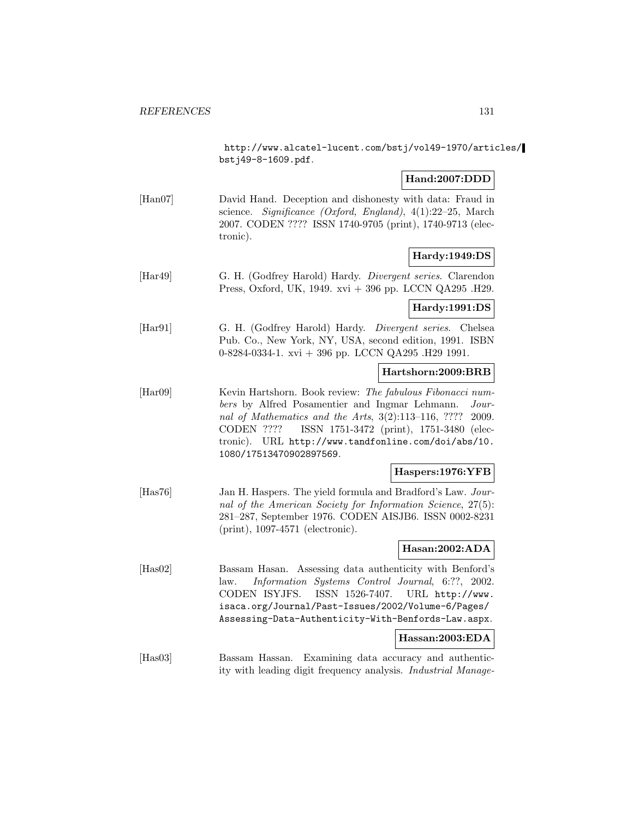http://www.alcatel-lucent.com/bstj/vol49-1970/articles/ bstj49-8-1609.pdf.

## **Hand:2007:DDD**

[Han07] David Hand. Deception and dishonesty with data: Fraud in science. Significance (Oxford, England), 4(1):22–25, March 2007. CODEN ???? ISSN 1740-9705 (print), 1740-9713 (electronic).

## **Hardy:1949:DS**

[Har49] G. H. (Godfrey Harold) Hardy. Divergent series. Clarendon Press, Oxford, UK, 1949. xvi + 396 pp. LCCN QA295 .H29.

## **Hardy:1991:DS**

[Har91] G. H. (Godfrey Harold) Hardy. Divergent series. Chelsea Pub. Co., New York, NY, USA, second edition, 1991. ISBN 0-8284-0334-1. xvi + 396 pp. LCCN QA295 .H29 1991.

## **Hartshorn:2009:BRB**

[Har09] Kevin Hartshorn. Book review: The fabulous Fibonacci numbers by Alfred Posamentier and Ingmar Lehmann. Journal of Mathematics and the Arts, 3(2):113–116, ???? 2009. CODEN ???? ISSN 1751-3472 (print), 1751-3480 (electronic). URL http://www.tandfonline.com/doi/abs/10. 1080/17513470902897569.

## **Haspers:1976:YFB**

[Has76] Jan H. Haspers. The yield formula and Bradford's Law. Journal of the American Society for Information Science, 27(5): 281–287, September 1976. CODEN AISJB6. ISSN 0002-8231 (print), 1097-4571 (electronic).

## **Hasan:2002:ADA**

[Has02] Bassam Hasan. Assessing data authenticity with Benford's law. Information Systems Control Journal, 6:??, 2002. CODEN ISYJFS. ISSN 1526-7407. URL http://www. isaca.org/Journal/Past-Issues/2002/Volume-6/Pages/ Assessing-Data-Authenticity-With-Benfords-Law.aspx.

#### **Hassan:2003:EDA**

[Has03] Bassam Hassan. Examining data accuracy and authenticity with leading digit frequency analysis. Industrial Manage-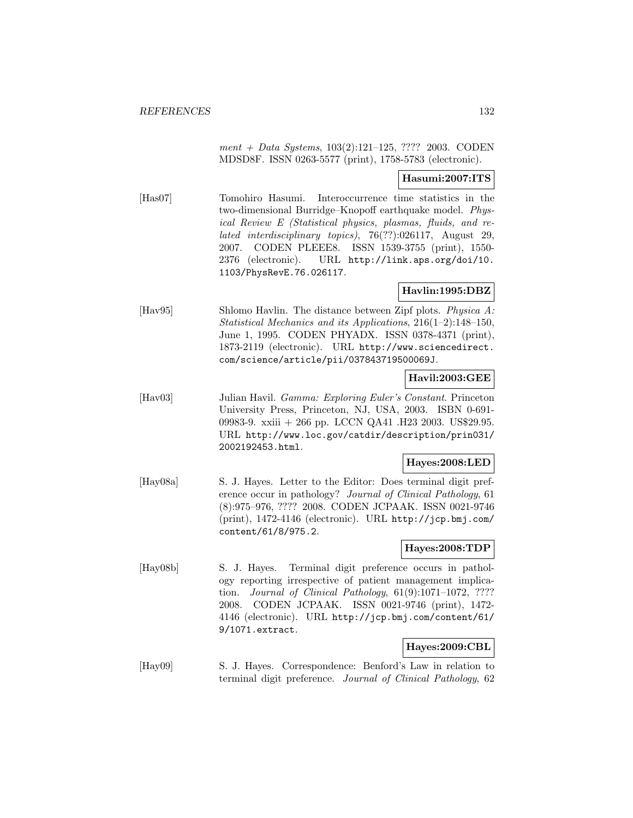$ment + Data Systems, 103(2):121–125, ???? 2003. CODEN$ MDSD8F. ISSN 0263-5577 (print), 1758-5783 (electronic).

## **Hasumi:2007:ITS**

[Has07] Tomohiro Hasumi. Interoccurrence time statistics in the two-dimensional Burridge–Knopoff earthquake model. Physical Review E (Statistical physics, plasmas, fluids, and related interdisciplinary topics), 76(??):026117, August 29, 2007. CODEN PLEEE8. ISSN 1539-3755 (print), 1550- 2376 (electronic). URL http://link.aps.org/doi/10. 1103/PhysRevE.76.026117.

## **Havlin:1995:DBZ**

[Hav95] Shlomo Havlin. The distance between Zipf plots. Physica A: Statistical Mechanics and its Applications, 216(1–2):148–150, June 1, 1995. CODEN PHYADX. ISSN 0378-4371 (print), 1873-2119 (electronic). URL http://www.sciencedirect. com/science/article/pii/037843719500069J.

## **Havil:2003:GEE**

[Hav03] Julian Havil. Gamma: Exploring Euler's Constant. Princeton University Press, Princeton, NJ, USA, 2003. ISBN 0-691- 09983-9. xxiii + 266 pp. LCCN QA41 .H23 2003. US\$29.95. URL http://www.loc.gov/catdir/description/prin031/ 2002192453.html.

## **Hayes:2008:LED**

[Hay08a] S. J. Hayes. Letter to the Editor: Does terminal digit preference occur in pathology? Journal of Clinical Pathology, 61 (8):975–976, ???? 2008. CODEN JCPAAK. ISSN 0021-9746 (print), 1472-4146 (electronic). URL http://jcp.bmj.com/ content/61/8/975.2.

## **Hayes:2008:TDP**

[Hay08b] S. J. Hayes. Terminal digit preference occurs in pathology reporting irrespective of patient management implication. Journal of Clinical Pathology,  $61(9):1071-1072$ , ???? 2008. CODEN JCPAAK. ISSN 0021-9746 (print), 1472- 4146 (electronic). URL http://jcp.bmj.com/content/61/ 9/1071.extract.

## **Hayes:2009:CBL**

[Hay09] S. J. Hayes. Correspondence: Benford's Law in relation to terminal digit preference. Journal of Clinical Pathology, 62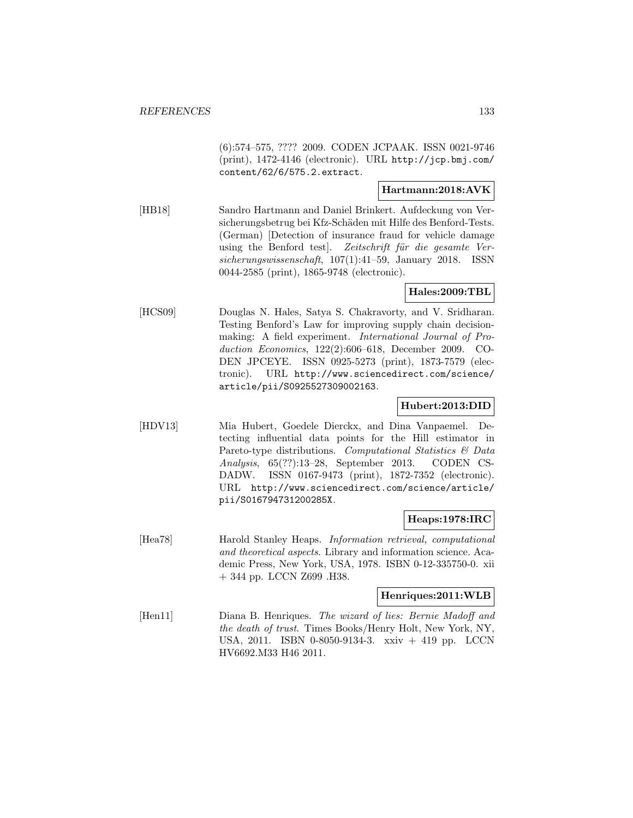(6):574–575, ???? 2009. CODEN JCPAAK. ISSN 0021-9746 (print), 1472-4146 (electronic). URL http://jcp.bmj.com/ content/62/6/575.2.extract.

## **Hartmann:2018:AVK**

[HB18] Sandro Hartmann and Daniel Brinkert. Aufdeckung von Versicherungsbetrug bei Kfz-Schäden mit Hilfe des Benford-Tests. (German) [Detection of insurance fraud for vehicle damage using the Benford test. Zeitschrift für die gesamte Versicherungswissenschaft, 107(1):41–59, January 2018. ISSN 0044-2585 (print), 1865-9748 (electronic).

## **Hales:2009:TBL**

[HCS09] Douglas N. Hales, Satya S. Chakravorty, and V. Sridharan. Testing Benford's Law for improving supply chain decisionmaking: A field experiment. International Journal of Production Economics, 122(2):606–618, December 2009. CO-DEN JPCEYE. ISSN 0925-5273 (print), 1873-7579 (electronic). URL http://www.sciencedirect.com/science/ article/pii/S0925527309002163.

## **Hubert:2013:DID**

[HDV13] Mia Hubert, Goedele Dierckx, and Dina Vanpaemel. Detecting influential data points for the Hill estimator in Pareto-type distributions. Computational Statistics & Data Analysis, 65(??):13–28, September 2013. CODEN CS-DADW. ISSN 0167-9473 (print), 1872-7352 (electronic). URL http://www.sciencedirect.com/science/article/ pii/S016794731200285X.

## **Heaps:1978:IRC**

[Hea78] Harold Stanley Heaps. Information retrieval, computational and theoretical aspects. Library and information science. Academic Press, New York, USA, 1978. ISBN 0-12-335750-0. xii + 344 pp. LCCN Z699 .H38.

## **Henriques:2011:WLB**

[Hen11] Diana B. Henriques. The wizard of lies: Bernie Madoff and the death of trust. Times Books/Henry Holt, New York, NY, USA, 2011. ISBN 0-8050-9134-3. xxiv + 419 pp. LCCN HV6692.M33 H46 2011.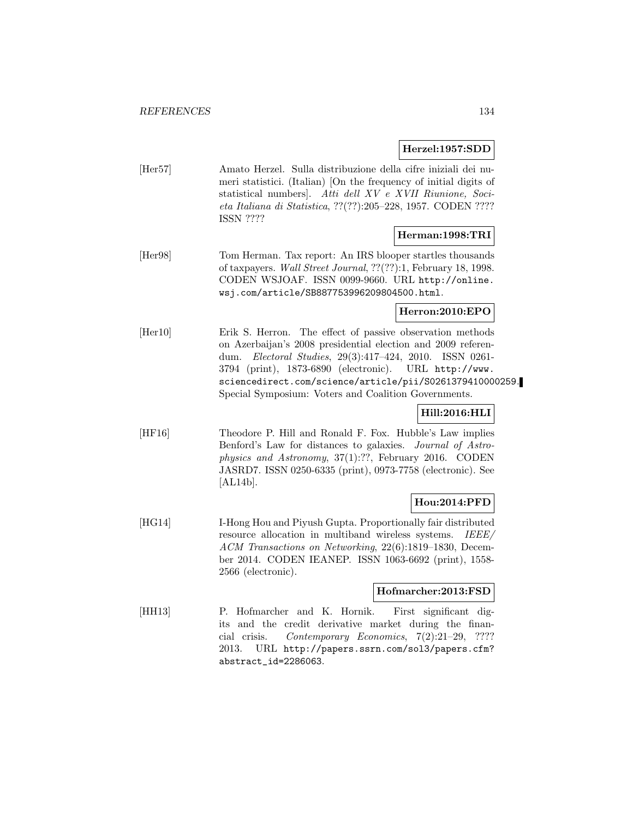## **Herzel:1957:SDD**

[Her57] Amato Herzel. Sulla distribuzione della cifre iniziali dei numeri statistici. (Italian) [On the frequency of initial digits of statistical numbers]. Atti dell XV e XVII Riunione, Societa Italiana di Statistica, ??(??):205–228, 1957. CODEN ???? ISSN ????

## **Herman:1998:TRI**

[Her98] Tom Herman. Tax report: An IRS blooper startles thousands of taxpayers. Wall Street Journal, ??(??):1, February 18, 1998. CODEN WSJOAF. ISSN 0099-9660. URL http://online. wsj.com/article/SB887753996209804500.html.

## **Herron:2010:EPO**

[Her10] Erik S. Herron. The effect of passive observation methods on Azerbaijan's 2008 presidential election and 2009 referendum. Electoral Studies, 29(3):417–424, 2010. ISSN 0261- 3794 (print), 1873-6890 (electronic). URL http://www. sciencedirect.com/science/article/pii/S0261379410000259. Special Symposium: Voters and Coalition Governments.

## **Hill:2016:HLI**

[HF16] Theodore P. Hill and Ronald F. Fox. Hubble's Law implies Benford's Law for distances to galaxies. Journal of Astrophysics and Astronomy, 37(1):??, February 2016. CODEN JASRD7. ISSN 0250-6335 (print), 0973-7758 (electronic). See [AL14b].

## **Hou:2014:PFD**

[HG14] **I-Hong Hou and Piyush Gupta. Proportionally fair distributed** resource allocation in multiband wireless systems. IEEE/ ACM Transactions on Networking, 22(6):1819–1830, December 2014. CODEN IEANEP. ISSN 1063-6692 (print), 1558- 2566 (electronic).

## **Hofmarcher:2013:FSD**

[HH13] P. Hofmarcher and K. Hornik. First significant digits and the credit derivative market during the financial crisis. Contemporary Economics, 7(2):21–29, ???? 2013. URL http://papers.ssrn.com/sol3/papers.cfm? abstract\_id=2286063.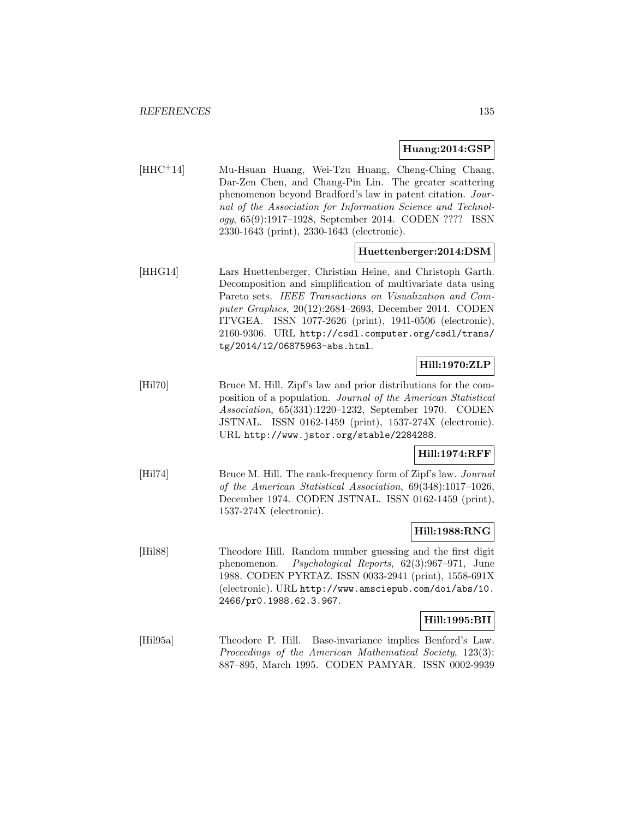## **Huang:2014:GSP**

[HHC<sup>+</sup>14] Mu-Hsuan Huang, Wei-Tzu Huang, Cheng-Ching Chang, Dar-Zen Chen, and Chang-Pin Lin. The greater scattering phenomenon beyond Bradford's law in patent citation. Journal of the Association for Information Science and Technology, 65(9):1917–1928, September 2014. CODEN ???? ISSN 2330-1643 (print), 2330-1643 (electronic).

## **Huettenberger:2014:DSM**

[HHG14] Lars Huettenberger, Christian Heine, and Christoph Garth. Decomposition and simplification of multivariate data using Pareto sets. IEEE Transactions on Visualization and Computer Graphics, 20(12):2684–2693, December 2014. CODEN ITVGEA. ISSN 1077-2626 (print), 1941-0506 (electronic), 2160-9306. URL http://csdl.computer.org/csdl/trans/ tg/2014/12/06875963-abs.html.

## **Hill:1970:ZLP**

[Hil70] Bruce M. Hill. Zipf's law and prior distributions for the composition of a population. Journal of the American Statistical Association, 65(331):1220–1232, September 1970. CODEN JSTNAL. ISSN 0162-1459 (print), 1537-274X (electronic). URL http://www.jstor.org/stable/2284288.

## **Hill:1974:RFF**

[Hil74] Bruce M. Hill. The rank-frequency form of Zipf's law. *Journal* of the American Statistical Association, 69(348):1017–1026, December 1974. CODEN JSTNAL. ISSN 0162-1459 (print), 1537-274X (electronic).

## **Hill:1988:RNG**

[Hil88] Theodore Hill. Random number guessing and the first digit phenomenon. Psychological Reports, 62(3):967–971, June 1988. CODEN PYRTAZ. ISSN 0033-2941 (print), 1558-691X (electronic). URL http://www.amsciepub.com/doi/abs/10. 2466/pr0.1988.62.3.967.

## **Hill:1995:BII**

[Hil95a] Theodore P. Hill. Base-invariance implies Benford's Law. Proceedings of the American Mathematical Society, 123(3): 887–895, March 1995. CODEN PAMYAR. ISSN 0002-9939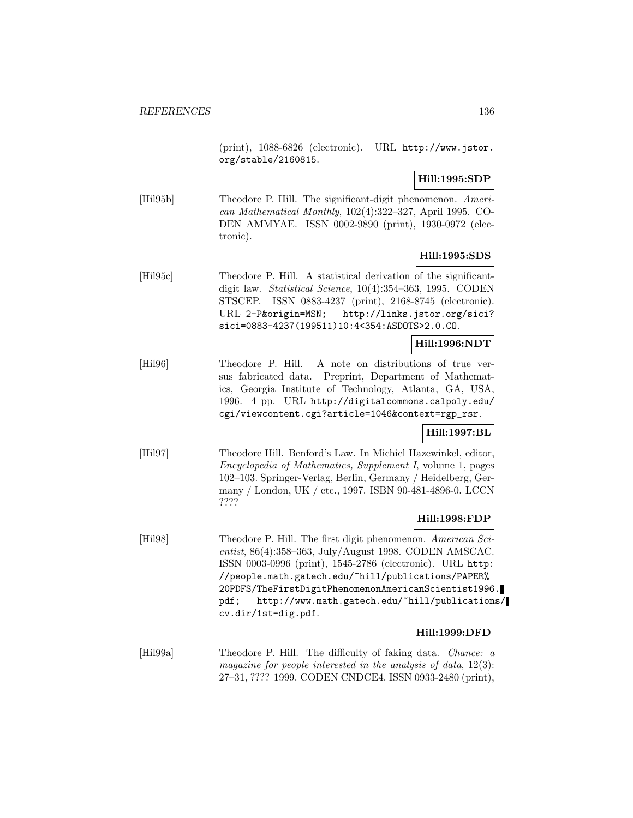(print), 1088-6826 (electronic). URL http://www.jstor. org/stable/2160815.

**Hill:1995:SDP**

[Hil95b] Theodore P. Hill. The significant-digit phenomenon. American Mathematical Monthly, 102(4):322–327, April 1995. CO-DEN AMMYAE. ISSN 0002-9890 (print), 1930-0972 (electronic).

## **Hill:1995:SDS**

[Hil95c] Theodore P. Hill. A statistical derivation of the significantdigit law. Statistical Science, 10(4):354–363, 1995. CODEN STSCEP. ISSN 0883-4237 (print), 2168-8745 (electronic). URL 2-P&origin=MSN; http://links.jstor.org/sici? sici=0883-4237(199511)10:4<354:ASDOTS>2.0.CO.

## **Hill:1996:NDT**

[Hil96] Theodore P. Hill. A note on distributions of true versus fabricated data. Preprint, Department of Mathematics, Georgia Institute of Technology, Atlanta, GA, USA, 1996. 4 pp. URL http://digitalcommons.calpoly.edu/ cgi/viewcontent.cgi?article=1046&context=rgp\_rsr.

## **Hill:1997:BL**

[Hil97] Theodore Hill. Benford's Law. In Michiel Hazewinkel, editor, Encyclopedia of Mathematics, Supplement I, volume 1, pages 102–103. Springer-Verlag, Berlin, Germany / Heidelberg, Germany / London, UK / etc., 1997. ISBN 90-481-4896-0. LCCN ????

## **Hill:1998:FDP**

[Hil98] Theodore P. Hill. The first digit phenomenon. American Scientist, 86(4):358–363, July/August 1998. CODEN AMSCAC. ISSN 0003-0996 (print), 1545-2786 (electronic). URL http: //people.math.gatech.edu/~hill/publications/PAPER% 20PDFS/TheFirstDigitPhenomenonAmericanScientist1996. pdf; http://www.math.gatech.edu/~hill/publications/ cv.dir/1st-dig.pdf.

## **Hill:1999:DFD**

[Hil99a] Theodore P. Hill. The difficulty of faking data. Chance: a magazine for people interested in the analysis of data, 12(3): 27–31, ???? 1999. CODEN CNDCE4. ISSN 0933-2480 (print),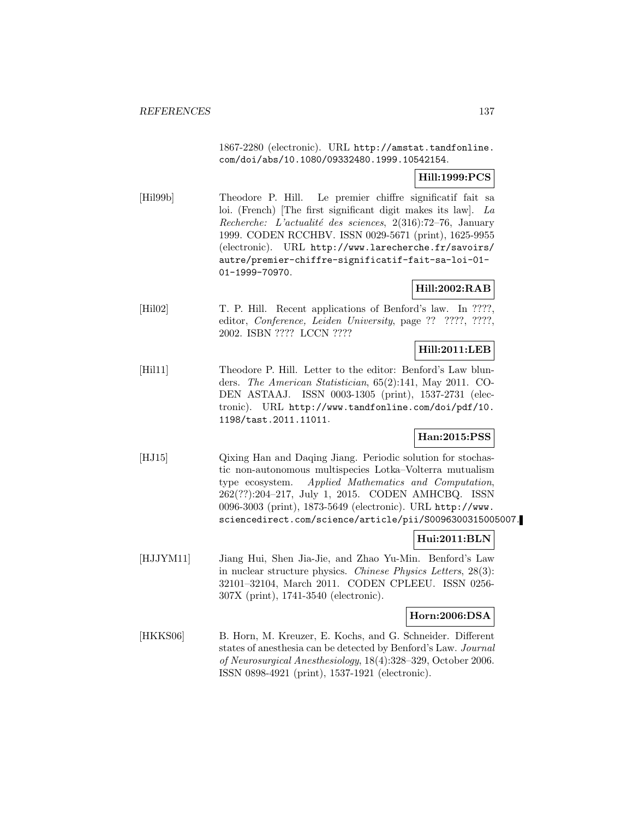1867-2280 (electronic). URL http://amstat.tandfonline. com/doi/abs/10.1080/09332480.1999.10542154.

## **Hill:1999:PCS**

[Hil99b] Theodore P. Hill. Le premier chiffre significatif fait sa loi. (French) [The first significant digit makes its law]. La Recherche: L'actualité des sciences,  $2(316)$ :72–76, January 1999. CODEN RCCHBV. ISSN 0029-5671 (print), 1625-9955 (electronic). URL http://www.larecherche.fr/savoirs/ autre/premier-chiffre-significatif-fait-sa-loi-01- 01-1999-70970.

## **Hill:2002:RAB**

[Hil02] T. P. Hill. Recent applications of Benford's law. In ????, editor, *Conference*, *Leiden University*, page ?? ????, ????, 2002. ISBN ???? LCCN ????

## **Hill:2011:LEB**

[Hil11] Theodore P. Hill. Letter to the editor: Benford's Law blunders. The American Statistician, 65(2):141, May 2011. CO-DEN ASTAAJ. ISSN 0003-1305 (print), 1537-2731 (electronic). URL http://www.tandfonline.com/doi/pdf/10. 1198/tast.2011.11011.

## **Han:2015:PSS**

[HJ15] Qixing Han and Daqing Jiang. Periodic solution for stochastic non-autonomous multispecies Lotka–Volterra mutualism type ecosystem. Applied Mathematics and Computation, 262(??):204–217, July 1, 2015. CODEN AMHCBQ. ISSN 0096-3003 (print), 1873-5649 (electronic). URL http://www. sciencedirect.com/science/article/pii/S0096300315005007.

## **Hui:2011:BLN**

[HJJYM11] Jiang Hui, Shen Jia-Jie, and Zhao Yu-Min. Benford's Law in nuclear structure physics. Chinese Physics Letters, 28(3): 32101–32104, March 2011. CODEN CPLEEU. ISSN 0256- 307X (print), 1741-3540 (electronic).

## **Horn:2006:DSA**

[HKKS06] B. Horn, M. Kreuzer, E. Kochs, and G. Schneider. Different states of anesthesia can be detected by Benford's Law. Journal of Neurosurgical Anesthesiology, 18(4):328–329, October 2006. ISSN 0898-4921 (print), 1537-1921 (electronic).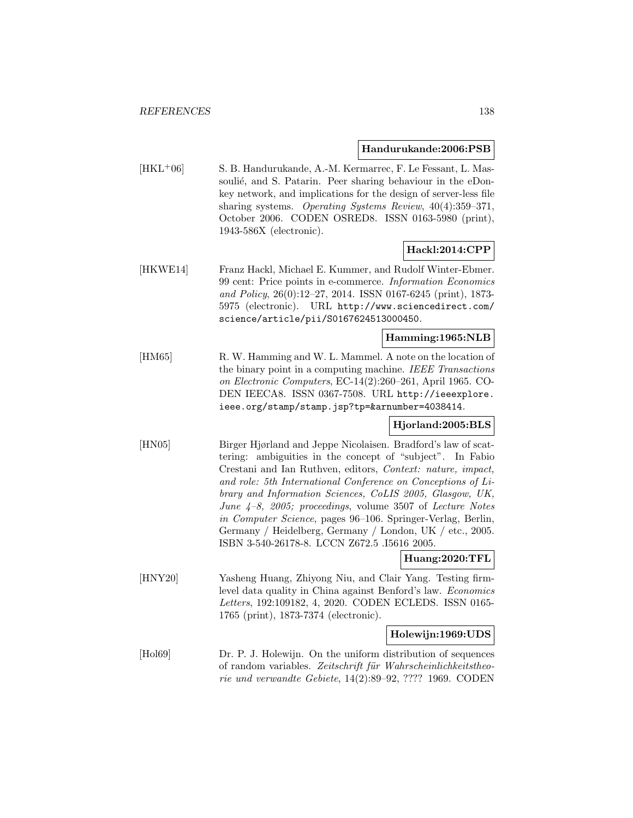#### **Handurukande:2006:PSB**

[HKL<sup>+</sup>06] S. B. Handurukande, A.-M. Kermarrec, F. Le Fessant, L. Massoulié, and S. Patarin. Peer sharing behaviour in the eDonkey network, and implications for the design of server-less file sharing systems. Operating Systems Review, 40(4):359–371, October 2006. CODEN OSRED8. ISSN 0163-5980 (print), 1943-586X (electronic).

## **Hackl:2014:CPP**

[HKWE14] Franz Hackl, Michael E. Kummer, and Rudolf Winter-Ebmer. 99 cent: Price points in e-commerce. Information Economics and Policy, 26(0):12–27, 2014. ISSN 0167-6245 (print), 1873- 5975 (electronic). URL http://www.sciencedirect.com/ science/article/pii/S0167624513000450.

## **Hamming:1965:NLB**

[HM65] R. W. Hamming and W. L. Mammel. A note on the location of the binary point in a computing machine. IEEE Transactions on Electronic Computers, EC-14(2):260–261, April 1965. CO-DEN IEECA8. ISSN 0367-7508. URL http://ieeexplore. ieee.org/stamp/stamp.jsp?tp=&arnumber=4038414.

## **Hjorland:2005:BLS**

[HN05] Birger Hjørland and Jeppe Nicolaisen. Bradford's law of scattering: ambiguities in the concept of "subject". In Fabio Crestani and Ian Ruthven, editors, Context: nature, impact, and role: 5th International Conference on Conceptions of Library and Information Sciences, CoLIS 2005, Glasgow, UK, June 4–8, 2005; proceedings, volume 3507 of Lecture Notes in Computer Science, pages 96–106. Springer-Verlag, Berlin, Germany / Heidelberg, Germany / London, UK / etc., 2005. ISBN 3-540-26178-8. LCCN Z672.5 .I5616 2005.

## **Huang:2020:TFL**

[HNY20] Yasheng Huang, Zhiyong Niu, and Clair Yang. Testing firmlevel data quality in China against Benford's law. Economics Letters, 192:109182, 4, 2020. CODEN ECLEDS. ISSN 0165- 1765 (print), 1873-7374 (electronic).

#### **Holewijn:1969:UDS**

[Hol69] Dr. P. J. Holewijn. On the uniform distribution of sequences of random variables. Zeitschrift für Wahrscheinlichkeitstheorie und verwandte Gebiete, 14(2):89–92, ???? 1969. CODEN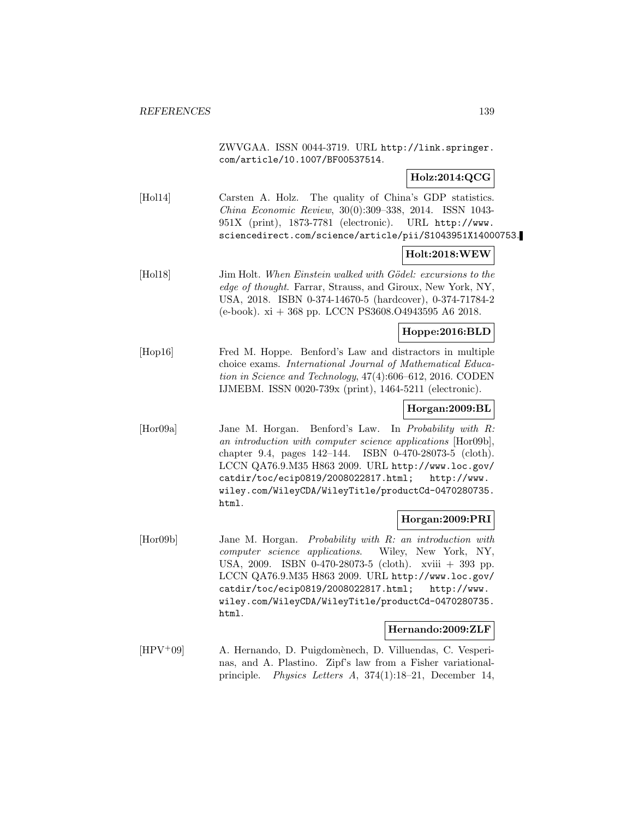ZWVGAA. ISSN 0044-3719. URL http://link.springer. com/article/10.1007/BF00537514.

## **Holz:2014:QCG**

[Hol14] Carsten A. Holz. The quality of China's GDP statistics. China Economic Review, 30(0):309–338, 2014. ISSN 1043- 951X (print), 1873-7781 (electronic). URL http://www. sciencedirect.com/science/article/pii/S1043951X14000753.

## **Holt:2018:WEW**

[Hol18] Jim Holt. When Einstein walked with Gödel: excursions to the edge of thought. Farrar, Strauss, and Giroux, New York, NY, USA, 2018. ISBN 0-374-14670-5 (hardcover), 0-374-71784-2 (e-book). xi + 368 pp. LCCN PS3608.O4943595 A6 2018.

## **Hoppe:2016:BLD**

[Hop16] Fred M. Hoppe. Benford's Law and distractors in multiple choice exams. International Journal of Mathematical Education in Science and Technology, 47(4):606–612, 2016. CODEN IJMEBM. ISSN 0020-739x (print), 1464-5211 (electronic).

## **Horgan:2009:BL**

[Hor09a] Jane M. Horgan. Benford's Law. In Probability with R: an introduction with computer science applications [Hor09b], chapter 9.4, pages 142–144. ISBN 0-470-28073-5 (cloth). LCCN QA76.9.M35 H863 2009. URL http://www.loc.gov/ catdir/toc/ecip0819/2008022817.html; http://www. wiley.com/WileyCDA/WileyTitle/productCd-0470280735. html.

## **Horgan:2009:PRI**

[Hor09b] Jane M. Horgan. Probability with R: an introduction with computer science applications. Wiley, New York, NY, USA, 2009. ISBN 0-470-28073-5 (cloth). xviii + 393 pp. LCCN QA76.9.M35 H863 2009. URL http://www.loc.gov/ catdir/toc/ecip0819/2008022817.html; http://www. wiley.com/WileyCDA/WileyTitle/productCd-0470280735. html.

#### **Hernando:2009:ZLF**

[HPV<sup>+</sup>09] A. Hernando, D. Puigdomènech, D. Villuendas, C. Vesperinas, and A. Plastino. Zipf's law from a Fisher variationalprinciple. Physics Letters A, 374(1):18–21, December 14,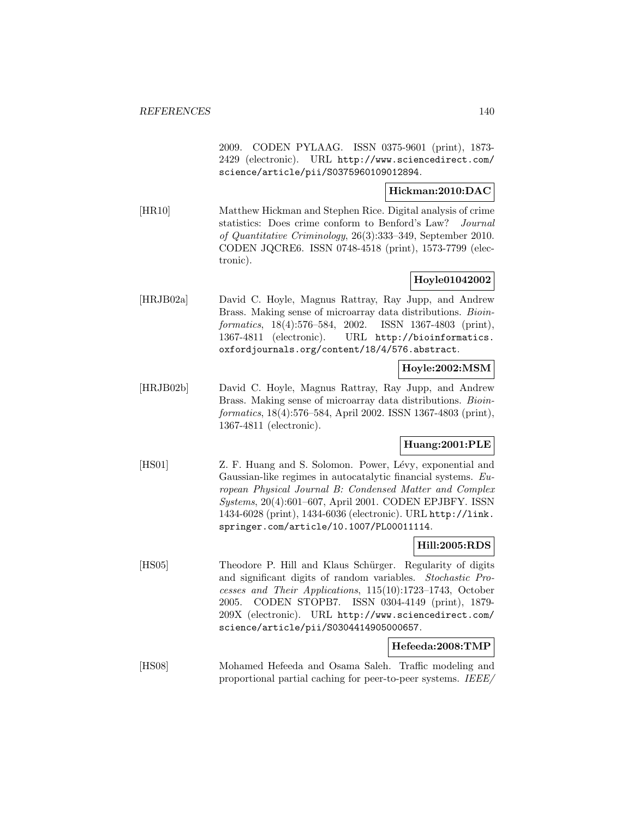2009. CODEN PYLAAG. ISSN 0375-9601 (print), 1873- 2429 (electronic). URL http://www.sciencedirect.com/ science/article/pii/S0375960109012894.

## **Hickman:2010:DAC**

[HR10] Matthew Hickman and Stephen Rice. Digital analysis of crime statistics: Does crime conform to Benford's Law? Journal of Quantitative Criminology, 26(3):333–349, September 2010. CODEN JQCRE6. ISSN 0748-4518 (print), 1573-7799 (electronic).

## **Hoyle01042002**

[HRJB02a] David C. Hoyle, Magnus Rattray, Ray Jupp, and Andrew Brass. Making sense of microarray data distributions. Bioinformatics, 18(4):576–584, 2002. ISSN 1367-4803 (print), 1367-4811 (electronic). URL http://bioinformatics. oxfordjournals.org/content/18/4/576.abstract.

## **Hoyle:2002:MSM**

[HRJB02b] David C. Hoyle, Magnus Rattray, Ray Jupp, and Andrew Brass. Making sense of microarray data distributions. *Bioin*formatics, 18(4):576–584, April 2002. ISSN 1367-4803 (print), 1367-4811 (electronic).

## **Huang:2001:PLE**

[HS01] Z. F. Huang and S. Solomon. Power, Lévy, exponential and Gaussian-like regimes in autocatalytic financial systems. European Physical Journal B: Condensed Matter and Complex Systems, 20(4):601–607, April 2001. CODEN EPJBFY. ISSN 1434-6028 (print), 1434-6036 (electronic). URL http://link. springer.com/article/10.1007/PL00011114.

## **Hill:2005:RDS**

[HS05] Theodore P. Hill and Klaus Schürger. Regularity of digits and significant digits of random variables. Stochastic Processes and Their Applications, 115(10):1723–1743, October 2005. CODEN STOPB7. ISSN 0304-4149 (print), 1879- 209X (electronic). URL http://www.sciencedirect.com/ science/article/pii/S0304414905000657.

## **Hefeeda:2008:TMP**

[HS08] Mohamed Hefeeda and Osama Saleh. Traffic modeling and proportional partial caching for peer-to-peer systems. IEEE/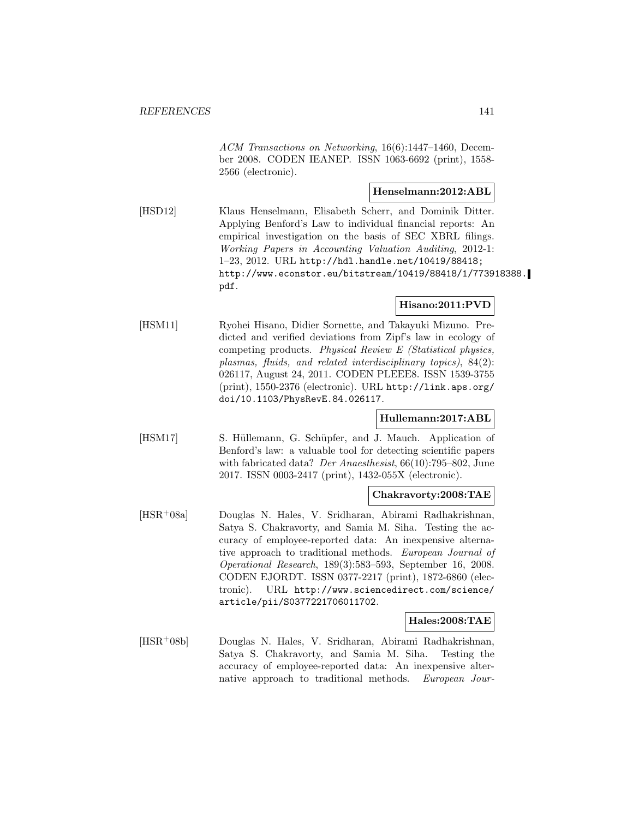ACM Transactions on Networking, 16(6):1447–1460, December 2008. CODEN IEANEP. ISSN 1063-6692 (print), 1558- 2566 (electronic).

## **Henselmann:2012:ABL**

[HSD12] Klaus Henselmann, Elisabeth Scherr, and Dominik Ditter. Applying Benford's Law to individual financial reports: An empirical investigation on the basis of SEC XBRL filings. Working Papers in Accounting Valuation Auditing, 2012-1: 1–23, 2012. URL http://hdl.handle.net/10419/88418; http://www.econstor.eu/bitstream/10419/88418/1/773918388. pdf.

## **Hisano:2011:PVD**

[HSM11] Ryohei Hisano, Didier Sornette, and Takayuki Mizuno. Predicted and verified deviations from Zipf's law in ecology of competing products. Physical Review E (Statistical physics, plasmas, fluids, and related interdisciplinary topics), 84(2): 026117, August 24, 2011. CODEN PLEEE8. ISSN 1539-3755 (print), 1550-2376 (electronic). URL http://link.aps.org/ doi/10.1103/PhysRevE.84.026117.

## **Hullemann:2017:ABL**

[HSM17] S. Hüllemann, G. Schüpfer, and J. Mauch. Application of Benford's law: a valuable tool for detecting scientific papers with fabricated data? *Der Anaesthesist*, 66(10):795–802, June 2017. ISSN 0003-2417 (print), 1432-055X (electronic).

## **Chakravorty:2008:TAE**

[HSR<sup>+</sup>08a] Douglas N. Hales, V. Sridharan, Abirami Radhakrishnan, Satya S. Chakravorty, and Samia M. Siha. Testing the accuracy of employee-reported data: An inexpensive alternative approach to traditional methods. European Journal of Operational Research, 189(3):583–593, September 16, 2008. CODEN EJORDT. ISSN 0377-2217 (print), 1872-6860 (electronic). URL http://www.sciencedirect.com/science/ article/pii/S0377221706011702.

## **Hales:2008:TAE**

[HSR<sup>+</sup>08b] Douglas N. Hales, V. Sridharan, Abirami Radhakrishnan, Satya S. Chakravorty, and Samia M. Siha. Testing the accuracy of employee-reported data: An inexpensive alternative approach to traditional methods. European Jour-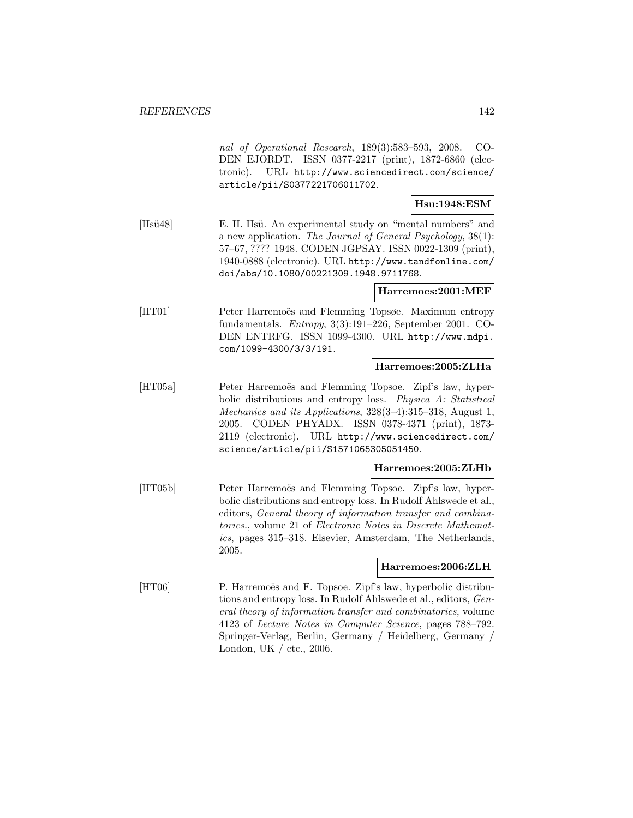|             | nal of Operational Research, 189(3):583-593, 2008.<br>CO-<br>DEN EJORDT. ISSN 0377-2217 (print), 1872-6860 (elec-<br>URL http://www.sciencedirect.com/science/<br>tronic).<br>article/pii/S0377221706011702.                                                                                                                                             |
|-------------|----------------------------------------------------------------------------------------------------------------------------------------------------------------------------------------------------------------------------------------------------------------------------------------------------------------------------------------------------------|
|             | Hsu:1948:ESM                                                                                                                                                                                                                                                                                                                                             |
| [ $Hsi48$ ] | E. H. Hsü. An experimental study on "mental numbers" and<br>a new application. The Journal of General Psychology, $38(1)$ :<br>57-67, ???? 1948. CODEN JGPSAY. ISSN 0022-1309 (print),<br>1940-0888 (electronic). URL http://www.tandfonline.com/<br>doi/abs/10.1080/00221309.1948.9711768.                                                              |
|             | Harremoes:2001:MEF                                                                                                                                                                                                                                                                                                                                       |
| [HT01]      | Peter Harremoës and Flemming Topsøe. Maximum entropy<br>fundamentals. <i>Entropy</i> , $3(3):191-226$ , September 2001. CO-<br>DEN ENTRFG. ISSN 1099-4300. URL http://www.mdpi.<br>com/1099-4300/3/3/191.                                                                                                                                                |
|             | Harremoes:2005:ZLHa                                                                                                                                                                                                                                                                                                                                      |
| [HT05a]     | Peter Harremoës and Flemming Topsoe. Zipf's law, hyper-<br>bolic distributions and entropy loss. Physica A: Statistical<br>Mechanics and its Applications, 328(3-4):315-318, August 1,<br>CODEN PHYADX. ISSN 0378-4371 (print), 1873-<br>2005.<br>2119 (electronic). URL http://www.sciencedirect.com/<br>science/article/pii/S1571065305051450.         |
|             | Harremoes:2005:ZLHb                                                                                                                                                                                                                                                                                                                                      |
| [HT05b]     | Peter Harremoës and Flemming Topsoe. Zipf's law, hyper-<br>bolic distributions and entropy loss. In Rudolf Ahlswede et al.,<br>editors, General theory of information transfer and combina-<br>torics., volume 21 of Electronic Notes in Discrete Mathemat-<br>ics, pages 315–318. Elsevier, Amsterdam, The Netherlands,<br>2005.                        |
|             | Harremoes:2006:ZLH                                                                                                                                                                                                                                                                                                                                       |
| [HT06]      | P. Harremoës and F. Topsoe. Zipf's law, hyperbolic distribu-<br>tions and entropy loss. In Rudolf Ahlswede et al., editors, Gen-<br>eral theory of information transfer and combinatorics, volume<br>4123 of Lecture Notes in Computer Science, pages 788–792.<br>Springer-Verlag, Berlin, Germany / Heidelberg, Germany /<br>London, UK $/$ etc., 2006. |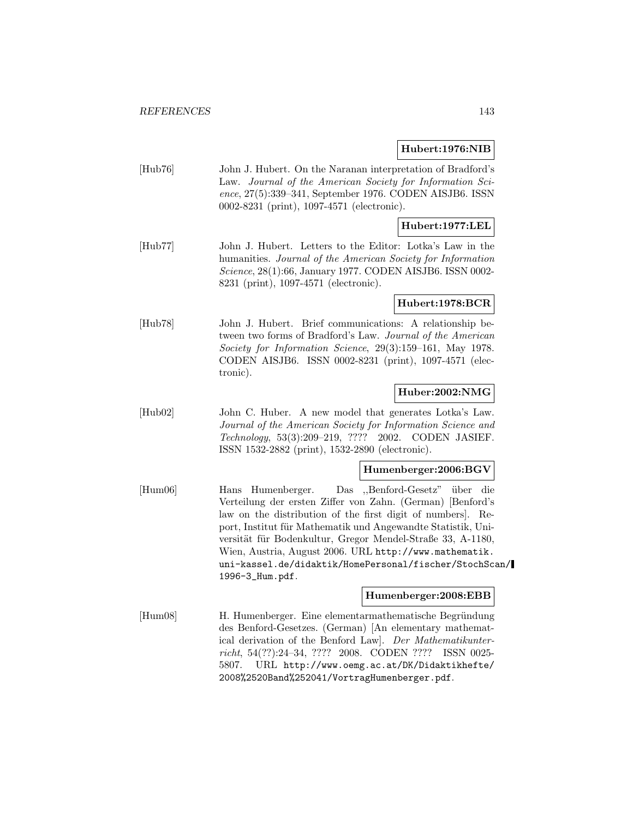## **Hubert:1976:NIB**

[Hub76] John J. Hubert. On the Naranan interpretation of Bradford's Law. Journal of the American Society for Information Science, 27(5):339–341, September 1976. CODEN AISJB6. ISSN 0002-8231 (print), 1097-4571 (electronic).

## **Hubert:1977:LEL**

[Hub77] John J. Hubert. Letters to the Editor: Lotka's Law in the humanities. Journal of the American Society for Information Science, 28(1):66, January 1977. CODEN AISJB6. ISSN 0002- 8231 (print), 1097-4571 (electronic).

#### **Hubert:1978:BCR**

[Hub78] John J. Hubert. Brief communications: A relationship between two forms of Bradford's Law. Journal of the American Society for Information Science, 29(3):159–161, May 1978. CODEN AISJB6. ISSN 0002-8231 (print), 1097-4571 (electronic).

## **Huber:2002:NMG**

[Hub02] John C. Huber. A new model that generates Lotka's Law. Journal of the American Society for Information Science and Technology, 53(3):209–219, ???? 2002. CODEN JASIEF. ISSN 1532-2882 (print), 1532-2890 (electronic).

## **Humenberger:2006:BGV**

[Hum06] Hans Humenberger. Das ,,Benford-Gesetz" ¨uber die Verteilung der ersten Ziffer von Zahn. (German) [Benford's law on the distribution of the first digit of numbers]. Report, Institut für Mathematik und Angewandte Statistik, Universität für Bodenkultur, Gregor Mendel-Straße 33, A-1180, Wien, Austria, August 2006. URL http://www.mathematik. uni-kassel.de/didaktik/HomePersonal/fischer/StochScan/ 1996-3\_Hum.pdf.

#### **Humenberger:2008:EBB**

[Hum08] H. Humenberger. Eine elementarmathematische Begründung des Benford-Gesetzes. (German) [An elementary mathematical derivation of the Benford Law]. Der Mathematikunterricht, 54(??):24–34, ???? 2008. CODEN ???? ISSN 0025- 5807. URL http://www.oemg.ac.at/DK/Didaktikhefte/ 2008%2520Band%252041/VortragHumenberger.pdf.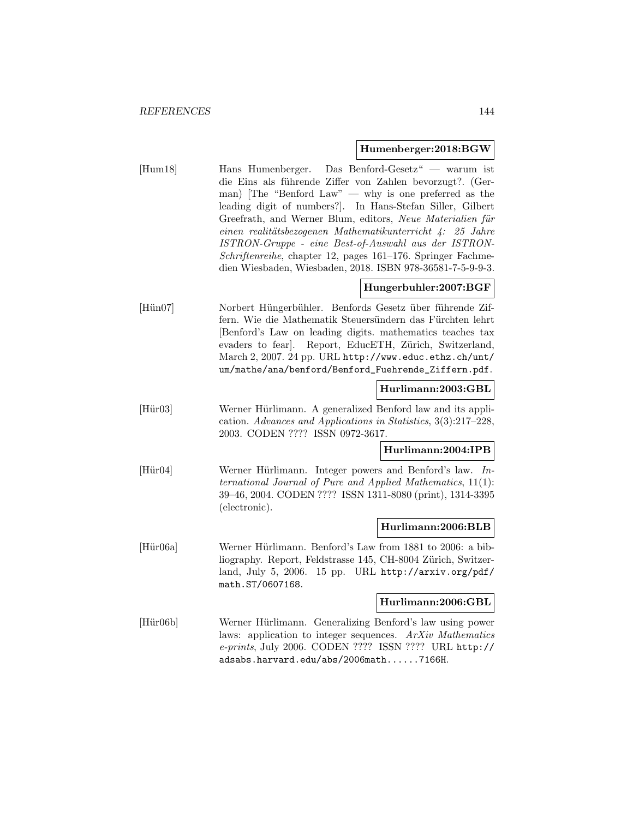#### **Humenberger:2018:BGW**

[Hum18] Hans Humenberger. Das Benford-Gesetz" — warum ist die Eins als führende Ziffer von Zahlen bevorzugt?. (German) The "Benford Law" — why is one preferred as the leading digit of numbers?]. In Hans-Stefan Siller, Gilbert Greefrath, and Werner Blum, editors, Neue Materialien für einen realitätsbezogenen Mathematikunterricht 4: 25 Jahre ISTRON-Gruppe - eine Best-of-Auswahl aus der ISTRON-Schriftenreihe, chapter 12, pages 161–176. Springer Fachmedien Wiesbaden, Wiesbaden, 2018. ISBN 978-36581-7-5-9-9-3.

## **Hungerbuhler:2007:BGF**

[Hün07] Norbert Hüngerbühler. Benfords Gesetz über führende Ziffern. Wie die Mathematik Steuersündern das Fürchten lehrt [Benford's Law on leading digits. mathematics teaches tax evaders to fear]. Report, EducETH, Zürich, Switzerland, March 2, 2007. 24 pp. URL http://www.educ.ethz.ch/unt/ um/mathe/ana/benford/Benford\_Fuehrende\_Ziffern.pdf.

#### **Hurlimann:2003:GBL**

[Hür03] Werner Hürlimann. A generalized Benford law and its application. Advances and Applications in Statistics, 3(3):217–228, 2003. CODEN ???? ISSN 0972-3617.

## **Hurlimann:2004:IPB**

[Hür04] Werner Hürlimann. Integer powers and Benford's law. International Journal of Pure and Applied Mathematics, 11(1): 39–46, 2004. CODEN ???? ISSN 1311-8080 (print), 1314-3395 (electronic).

## **Hurlimann:2006:BLB**

[Hür06a] Werner Hürlimann. Benford's Law from 1881 to 2006: a bibliography. Report, Feldstrasse 145, CH-8004 Zürich, Switzerland, July 5, 2006. 15 pp. URL http://arxiv.org/pdf/ math.ST/0607168.

#### **Hurlimann:2006:GBL**

[Hür06b] Werner Hürlimann. Generalizing Benford's law using power laws: application to integer sequences. ArXiv Mathematics e-prints, July 2006. CODEN ???? ISSN ???? URL http:// adsabs.harvard.edu/abs/2006math......7166H.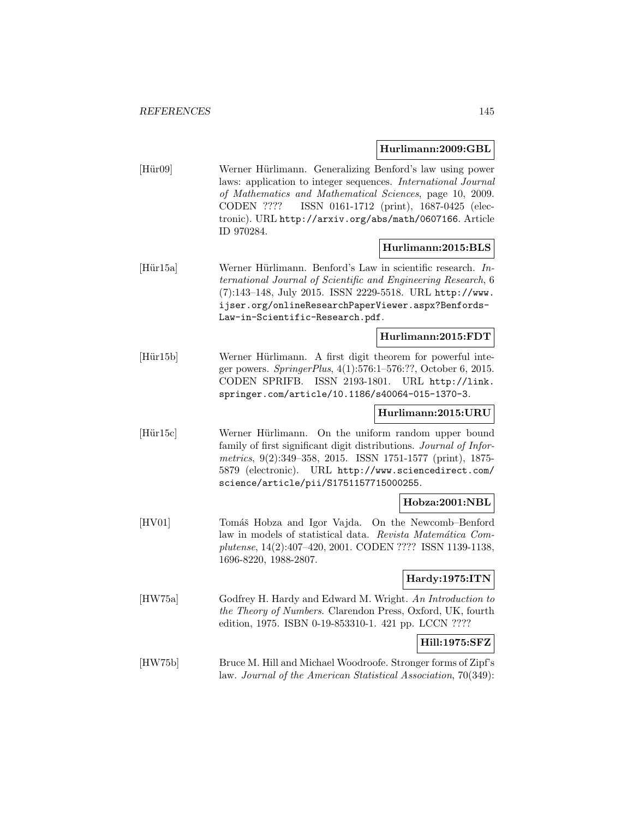### **Hurlimann:2009:GBL**

[Hür09] Werner Hürlimann. Generalizing Benford's law using power laws: application to integer sequences. International Journal of Mathematics and Mathematical Sciences, page 10, 2009. CODEN ???? ISSN 0161-1712 (print), 1687-0425 (electronic). URL http://arxiv.org/abs/math/0607166. Article ID 970284.

### **Hurlimann:2015:BLS**

[Hür15a] Werner Hürlimann. Benford's Law in scientific research. International Journal of Scientific and Engineering Research, 6 (7):143–148, July 2015. ISSN 2229-5518. URL http://www. ijser.org/onlineResearchPaperViewer.aspx?Benfords-Law-in-Scientific-Research.pdf.

#### **Hurlimann:2015:FDT**

[Hür15b] Werner Hürlimann. A first digit theorem for powerful integer powers. SpringerPlus, 4(1):576:1–576:??, October 6, 2015. CODEN SPRIFB. ISSN 2193-1801. URL http://link. springer.com/article/10.1186/s40064-015-1370-3.

### **Hurlimann:2015:URU**

[Hür15c] Werner Hürlimann. On the uniform random upper bound family of first significant digit distributions. *Journal of Infor*metrics, 9(2):349–358, 2015. ISSN 1751-1577 (print), 1875- 5879 (electronic). URL http://www.sciencedirect.com/ science/article/pii/S1751157715000255.

### **Hobza:2001:NBL**

[HV01] Tomáš Hobza and Igor Vajda. On the Newcomb–Benford law in models of statistical data. Revista Matemática Complutense, 14(2):407–420, 2001. CODEN ???? ISSN 1139-1138, 1696-8220, 1988-2807.

# **Hardy:1975:ITN**

[HW75a] Godfrey H. Hardy and Edward M. Wright. An Introduction to the Theory of Numbers. Clarendon Press, Oxford, UK, fourth edition, 1975. ISBN 0-19-853310-1. 421 pp. LCCN ????

### **Hill:1975:SFZ**

[HW75b] Bruce M. Hill and Michael Woodroofe. Stronger forms of Zipf's law. Journal of the American Statistical Association, 70(349):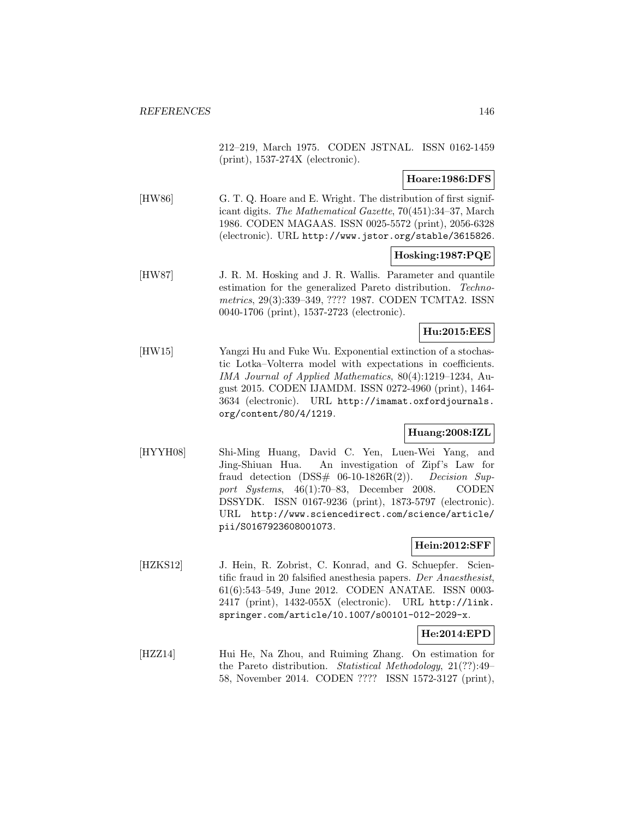212–219, March 1975. CODEN JSTNAL. ISSN 0162-1459 (print), 1537-274X (electronic).

### **Hoare:1986:DFS**

[HW86] G. T. Q. Hoare and E. Wright. The distribution of first significant digits. The Mathematical Gazette, 70(451):34–37, March 1986. CODEN MAGAAS. ISSN 0025-5572 (print), 2056-6328 (electronic). URL http://www.jstor.org/stable/3615826.

### **Hosking:1987:PQE**

[HW87] J. R. M. Hosking and J. R. Wallis. Parameter and quantile estimation for the generalized Pareto distribution. Technometrics, 29(3):339–349, ???? 1987. CODEN TCMTA2. ISSN 0040-1706 (print), 1537-2723 (electronic).

### **Hu:2015:EES**

[HW15] Yangzi Hu and Fuke Wu. Exponential extinction of a stochastic Lotka–Volterra model with expectations in coefficients. IMA Journal of Applied Mathematics, 80(4):1219–1234, August 2015. CODEN IJAMDM. ISSN 0272-4960 (print), 1464- 3634 (electronic). URL http://imamat.oxfordjournals. org/content/80/4/1219.

### **Huang:2008:IZL**

[HYYH08] Shi-Ming Huang, David C. Yen, Luen-Wei Yang, and Jing-Shiuan Hua. An investigation of Zipf's Law for fraud detection  $(DSS# 06-10-1826R(2))$ . Decision Support Systems, 46(1):70–83, December 2008. CODEN DSSYDK. ISSN 0167-9236 (print), 1873-5797 (electronic). URL http://www.sciencedirect.com/science/article/ pii/S0167923608001073.

# **Hein:2012:SFF**

[HZKS12] J. Hein, R. Zobrist, C. Konrad, and G. Schuepfer. Scientific fraud in 20 falsified anesthesia papers. Der Anaesthesist, 61(6):543–549, June 2012. CODEN ANATAE. ISSN 0003- 2417 (print), 1432-055X (electronic). URL http://link. springer.com/article/10.1007/s00101-012-2029-x.

### **He:2014:EPD**

[HZZ14] Hui He, Na Zhou, and Ruiming Zhang. On estimation for the Pareto distribution. Statistical Methodology, 21(??):49– 58, November 2014. CODEN ???? ISSN 1572-3127 (print),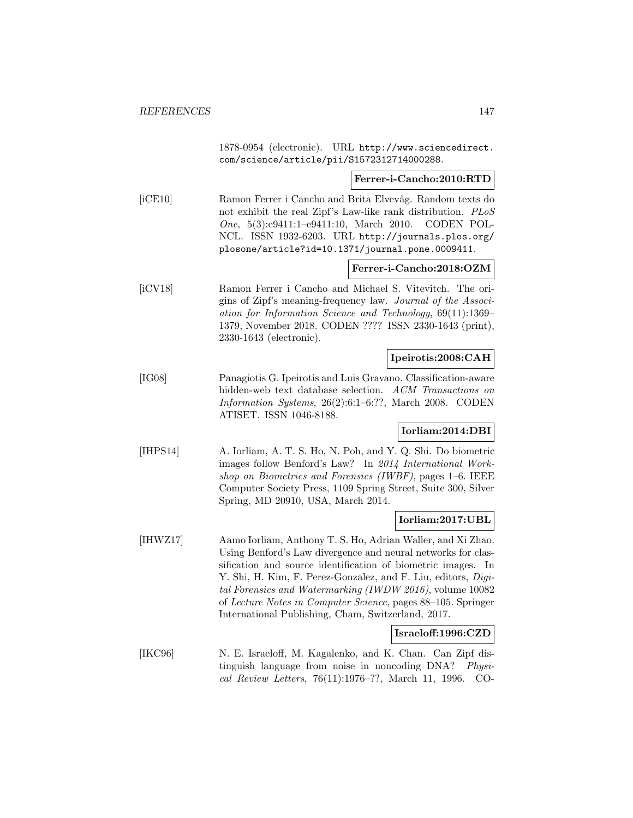1878-0954 (electronic). URL http://www.sciencedirect. com/science/article/pii/S1572312714000288.

**Ferrer-i-Cancho:2010:RTD**

[iCE10] Ramon Ferrer i Cancho and Brita Elvevåg. Random texts do not exhibit the real Zipf's Law-like rank distribution. *PLoS* One, 5(3):e9411:1–e9411:10, March 2010. CODEN POL-NCL. ISSN 1932-6203. URL http://journals.plos.org/ plosone/article?id=10.1371/journal.pone.0009411.

**Ferrer-i-Cancho:2018:OZM**

[iCV18] Ramon Ferrer i Cancho and Michael S. Vitevitch. The origins of Zipf's meaning-frequency law. Journal of the Association for Information Science and Technology, 69(11):1369– 1379, November 2018. CODEN ???? ISSN 2330-1643 (print), 2330-1643 (electronic).

### **Ipeirotis:2008:CAH**

[IG08] Panagiotis G. Ipeirotis and Luis Gravano. Classification-aware hidden-web text database selection. ACM Transactions on Information Systems, 26(2):6:1–6:??, March 2008. CODEN ATISET. ISSN 1046-8188.

### **Iorliam:2014:DBI**

[IHPS14] A. Iorliam, A. T. S. Ho, N. Poh, and Y. Q. Shi. Do biometric images follow Benford's Law? In 2014 International Workshop on Biometrics and Forensics (IWBF), pages 1–6. IEEE Computer Society Press, 1109 Spring Street, Suite 300, Silver Spring, MD 20910, USA, March 2014.

#### **Iorliam:2017:UBL**

[IHWZ17] Aamo Iorliam, Anthony T. S. Ho, Adrian Waller, and Xi Zhao. Using Benford's Law divergence and neural networks for classification and source identification of biometric images. In Y. Shi, H. Kim, F. Perez-Gonzalez, and F. Liu, editors, *Digi*tal Forensics and Watermarking (IWDW 2016), volume 10082 of Lecture Notes in Computer Science, pages 88–105. Springer International Publishing, Cham, Switzerland, 2017.

### **Israeloff:1996:CZD**

[IKC96] N. E. Israeloff, M. Kagalenko, and K. Chan. Can Zipf distinguish language from noise in noncoding DNA? Physical Review Letters, 76(11):1976–??, March 11, 1996. CO-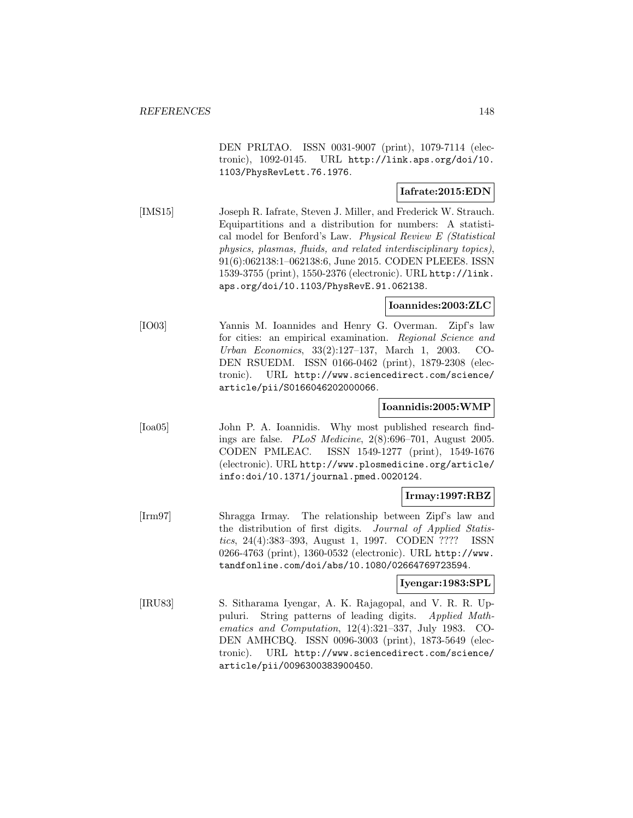DEN PRLTAO. ISSN 0031-9007 (print), 1079-7114 (electronic), 1092-0145. URL http://link.aps.org/doi/10. 1103/PhysRevLett.76.1976.

### **Iafrate:2015:EDN**

[IMS15] Joseph R. Iafrate, Steven J. Miller, and Frederick W. Strauch. Equipartitions and a distribution for numbers: A statistical model for Benford's Law. Physical Review E (Statistical physics, plasmas, fluids, and related interdisciplinary topics), 91(6):062138:1–062138:6, June 2015. CODEN PLEEE8. ISSN 1539-3755 (print), 1550-2376 (electronic). URL http://link. aps.org/doi/10.1103/PhysRevE.91.062138.

### **Ioannides:2003:ZLC**

[IO03] Yannis M. Ioannides and Henry G. Overman. Zipf's law for cities: an empirical examination. Regional Science and Urban Economics, 33(2):127–137, March 1, 2003. CO-DEN RSUEDM. ISSN 0166-0462 (print), 1879-2308 (electronic). URL http://www.sciencedirect.com/science/ article/pii/S0166046202000066.

### **Ioannidis:2005:WMP**

[Ioa05] John P. A. Ioannidis. Why most published research findings are false. PLoS Medicine, 2(8):696–701, August 2005. CODEN PMLEAC. ISSN 1549-1277 (print), 1549-1676 (electronic). URL http://www.plosmedicine.org/article/ info:doi/10.1371/journal.pmed.0020124.

### **Irmay:1997:RBZ**

[Irm97] Shragga Irmay. The relationship between Zipf's law and the distribution of first digits. *Journal of Applied Statis*tics, 24(4):383–393, August 1, 1997. CODEN ???? ISSN 0266-4763 (print), 1360-0532 (electronic). URL http://www. tandfonline.com/doi/abs/10.1080/02664769723594.

### **Iyengar:1983:SPL**

[IRU83] S. Sitharama Iyengar, A. K. Rajagopal, and V. R. R. Uppuluri. String patterns of leading digits. Applied Mathematics and Computation, 12(4):321–337, July 1983. CO-DEN AMHCBQ. ISSN 0096-3003 (print), 1873-5649 (electronic). URL http://www.sciencedirect.com/science/ article/pii/0096300383900450.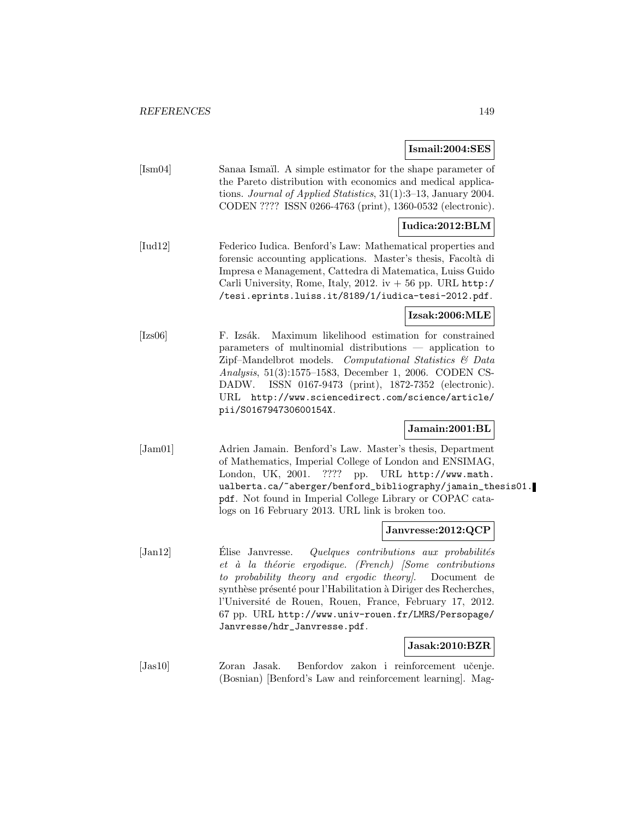#### **Ismail:2004:SES**

| [Im04] | Sanaa Ismail. A simple estimator for the shape parameter of        |
|--------|--------------------------------------------------------------------|
|        | the Pareto distribution with economics and medical applica-        |
|        | tions. Journal of Applied Statistics, $31(1):3-13$ , January 2004. |
|        | CODEN ???? ISSN 0266-4763 (print), 1360-0532 (electronic).         |
|        |                                                                    |

### **Iudica:2012:BLM**

[Iud12] Federico Iudica. Benford's Law: Mathematical properties and forensic accounting applications. Master's thesis, Facoltà di Impresa e Management, Cattedra di Matematica, Luiss Guido Carli University, Rome, Italy, 2012. iv  $+56$  pp. URL http:/ /tesi.eprints.luiss.it/8189/1/iudica-tesi-2012.pdf.

### **Izsak:2006:MLE**

[Izs06] F. Izsák. Maximum likelihood estimation for constrained parameters of multinomial distributions — application to Zipf–Mandelbrot models. Computational Statistics & Data Analysis, 51(3):1575–1583, December 1, 2006. CODEN CS-DADW. ISSN 0167-9473 (print), 1872-7352 (electronic). URL http://www.sciencedirect.com/science/article/ pii/S016794730600154X.

### **Jamain:2001:BL**

[Jam01] Adrien Jamain. Benford's Law. Master's thesis, Department of Mathematics, Imperial College of London and ENSIMAG, London, UK, 2001. ???? pp. URL http://www.math. ualberta.ca/~aberger/benford\_bibliography/jamain\_thesis01. pdf. Not found in Imperial College Library or COPAC catalogs on 16 February 2013. URL link is broken too.

#### **Janvresse:2012:QCP**

 $[Jan12]$  Elise Janvresse. Quelques contributions aux probabilités et à la théorie ergodique. (French) [Some contributions to probability theory and ergodic theory]. Document de synthèse présenté pour l'Habilitation à Diriger des Recherches, l'Université de Rouen, Rouen, France, February 17, 2012. 67 pp. URL http://www.univ-rouen.fr/LMRS/Persopage/ Janvresse/hdr\_Janvresse.pdf.

### **Jasak:2010:BZR**

[Jas10] Zoran Jasak. Benfordov zakon i reinforcement učenje. (Bosnian) [Benford's Law and reinforcement learning]. Mag-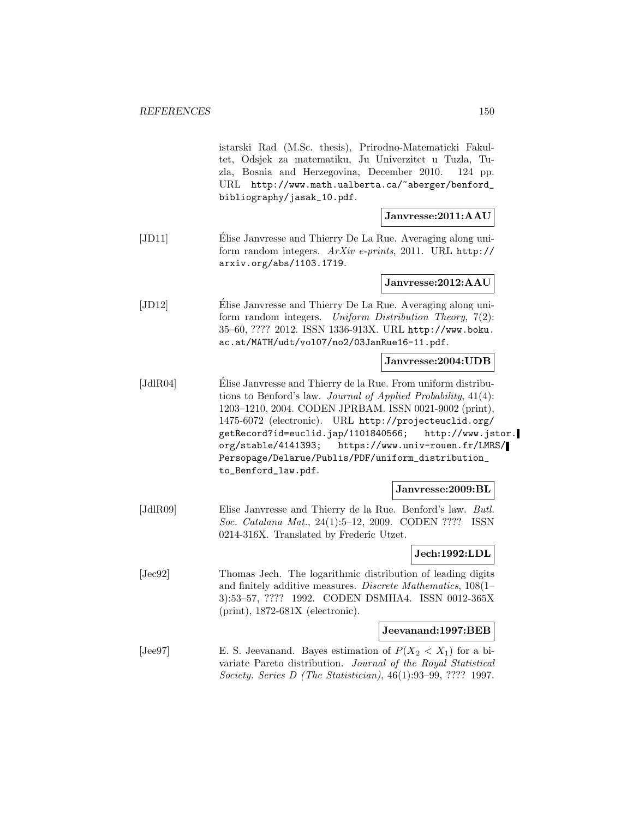istarski Rad (M.Sc. thesis), Prirodno-Matematicki Fakultet, Odsjek za matematiku, Ju Univerzitet u Tuzla, Tuzla, Bosnia and Herzegovina, December 2010. 124 pp. URL http://www.math.ualberta.ca/~aberger/benford\_ bibliography/jasak\_10.pdf.

**Janvresse:2011:AAU**

[JD11] Elise Janvresse and Thierry De La Rue. Averaging along uniform random integers. ArXiv e-prints, 2011. URL http:// arxiv.org/abs/1103.1719.

**Janvresse:2012:AAU**

[JD12] Elise Janvresse and Thierry De La Rue. Averaging along uniform random integers. Uniform Distribution Theory, 7(2): 35–60, ???? 2012. ISSN 1336-913X. URL http://www.boku. ac.at/MATH/udt/vol07/no2/03JanRue16-11.pdf.

**Janvresse:2004:UDB**

[JdlR04] Elise Janvresse and Thierry de la Rue. From uniform distribu- ´ tions to Benford's law. Journal of Applied Probability, 41(4): 1203–1210, 2004. CODEN JPRBAM. ISSN 0021-9002 (print), 1475-6072 (electronic). URL http://projecteuclid.org/ getRecord?id=euclid.jap/1101840566; http://www.jstor. org/stable/4141393; https://www.univ-rouen.fr/LMRS/ Persopage/Delarue/Publis/PDF/uniform\_distribution\_ to\_Benford\_law.pdf.

#### **Janvresse:2009:BL**

[JdlR09] Elise Janvresse and Thierry de la Rue. Benford's law. Butl. Soc. Catalana Mat., 24(1):5–12, 2009. CODEN ???? ISSN 0214-316X. Translated by Frederic Utzet.

#### **Jech:1992:LDL**

[Jec92] Thomas Jech. The logarithmic distribution of leading digits and finitely additive measures. Discrete Mathematics, 108(1– 3):53–57, ???? 1992. CODEN DSMHA4. ISSN 0012-365X (print), 1872-681X (electronic).

### **Jeevanand:1997:BEB**

[Jee97] E. S. Jeevanand. Bayes estimation of  $P(X_2 < X_1)$  for a bivariate Pareto distribution. Journal of the Royal Statistical Society. Series D (The Statistician), 46(1):93–99, ???? 1997.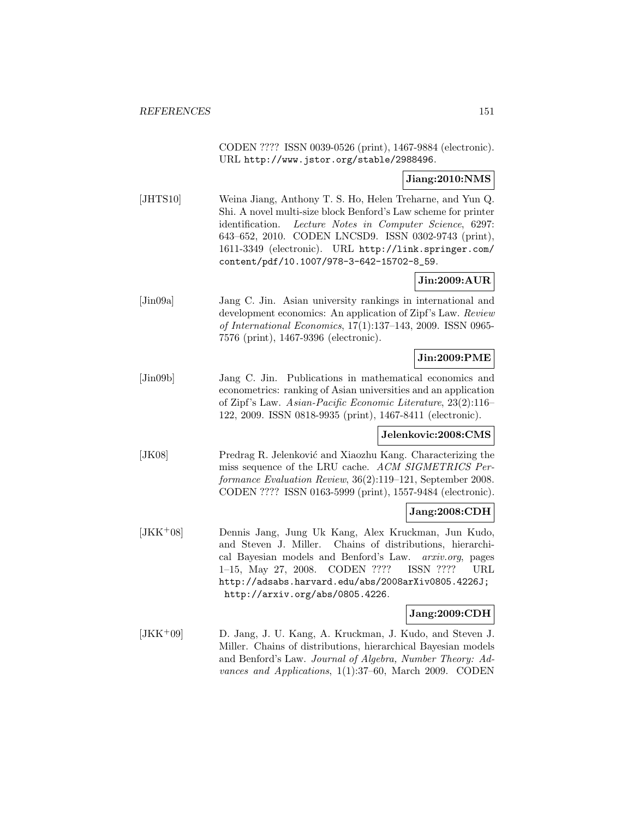CODEN ???? ISSN 0039-0526 (print), 1467-9884 (electronic). URL http://www.jstor.org/stable/2988496.

### **Jiang:2010:NMS**

[JHTS10] Weina Jiang, Anthony T. S. Ho, Helen Treharne, and Yun Q. Shi. A novel multi-size block Benford's Law scheme for printer identification. Lecture Notes in Computer Science, 6297: 643–652, 2010. CODEN LNCSD9. ISSN 0302-9743 (print), 1611-3349 (electronic). URL http://link.springer.com/ content/pdf/10.1007/978-3-642-15702-8\_59.

# **Jin:2009:AUR**

[Jin09a] Jang C. Jin. Asian university rankings in international and development economics: An application of Zipf's Law. Review of International Economics, 17(1):137–143, 2009. ISSN 0965- 7576 (print), 1467-9396 (electronic).

# **Jin:2009:PME**

[Jin09b] Jang C. Jin. Publications in mathematical economics and econometrics: ranking of Asian universities and an application of Zipf's Law. Asian-Pacific Economic Literature, 23(2):116– 122, 2009. ISSN 0818-9935 (print), 1467-8411 (electronic).

### **Jelenkovic:2008:CMS**

[JK08] Predrag R. Jelenković and Xiaozhu Kang. Characterizing the miss sequence of the LRU cache. ACM SIGMETRICS Performance Evaluation Review, 36(2):119–121, September 2008. CODEN ???? ISSN 0163-5999 (print), 1557-9484 (electronic).

### **Jang:2008:CDH**

[JKK<sup>+</sup>08] Dennis Jang, Jung Uk Kang, Alex Kruckman, Jun Kudo, and Steven J. Miller. Chains of distributions, hierarchical Bayesian models and Benford's Law. arxiv.org, pages 1–15, May 27, 2008. CODEN ???? ISSN ???? URL http://adsabs.harvard.edu/abs/2008arXiv0805.4226J; http://arxiv.org/abs/0805.4226.

### **Jang:2009:CDH**

[JKK<sup>+</sup>09] D. Jang, J. U. Kang, A. Kruckman, J. Kudo, and Steven J. Miller. Chains of distributions, hierarchical Bayesian models and Benford's Law. Journal of Algebra, Number Theory: Advances and Applications, 1(1):37–60, March 2009. CODEN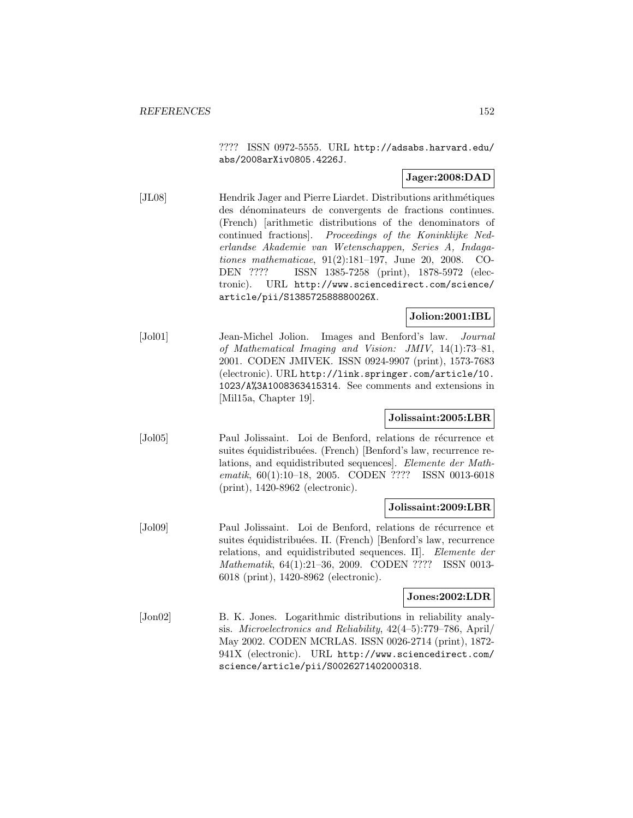???? ISSN 0972-5555. URL http://adsabs.harvard.edu/ abs/2008arXiv0805.4226J.

# **Jager:2008:DAD**

[JL08] Hendrik Jager and Pierre Liardet. Distributions arithm´etiques des dénominateurs de convergents de fractions continues. (French) [arithmetic distributions of the denominators of continued fractions]. Proceedings of the Koninklijke Nederlandse Akademie van Wetenschappen, Series A, Indagationes mathematicae, 91(2):181–197, June 20, 2008. CO-DEN ???? ISSN 1385-7258 (print), 1878-5972 (electronic). URL http://www.sciencedirect.com/science/ article/pii/S138572588880026X.

# **Jolion:2001:IBL**

[Jol01] Jean-Michel Jolion. Images and Benford's law. Journal of Mathematical Imaging and Vision: JMIV, 14(1):73–81, 2001. CODEN JMIVEK. ISSN 0924-9907 (print), 1573-7683 (electronic). URL http://link.springer.com/article/10. 1023/A%3A1008363415314. See comments and extensions in [Mil15a, Chapter 19].

### **Jolissaint:2005:LBR**

[Jol05] Paul Jolissaint. Loi de Benford, relations de récurrence et suites équidistribuées. (French) [Benford's law, recurrence relations, and equidistributed sequences]. Elemente der Mathematik, 60(1):10–18, 2005. CODEN ???? ISSN 0013-6018 (print), 1420-8962 (electronic).

### **Jolissaint:2009:LBR**

[Jol09] Paul Jolissaint. Loi de Benford, relations de récurrence et suites équidistribuées. II. (French) [Benford's law, recurrence relations, and equidistributed sequences. II]. Elemente der Mathematik, 64(1):21–36, 2009. CODEN ???? ISSN 0013- 6018 (print), 1420-8962 (electronic).

### **Jones:2002:LDR**

[Jon02] B. K. Jones. Logarithmic distributions in reliability analysis. Microelectronics and Reliability, 42(4–5):779–786, April/ May 2002. CODEN MCRLAS. ISSN 0026-2714 (print), 1872- 941X (electronic). URL http://www.sciencedirect.com/ science/article/pii/S0026271402000318.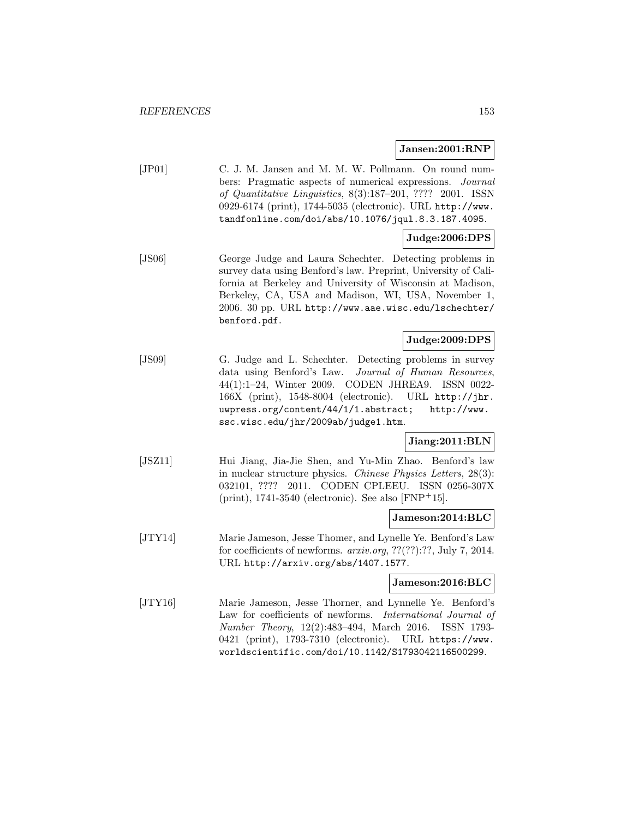#### **Jansen:2001:RNP**

[JP01] C. J. M. Jansen and M. M. W. Pollmann. On round numbers: Pragmatic aspects of numerical expressions. Journal of Quantitative Linguistics, 8(3):187–201, ???? 2001. ISSN 0929-6174 (print), 1744-5035 (electronic). URL http://www. tandfonline.com/doi/abs/10.1076/jqul.8.3.187.4095.

# **Judge:2006:DPS**

[JS06] George Judge and Laura Schechter. Detecting problems in survey data using Benford's law. Preprint, University of California at Berkeley and University of Wisconsin at Madison, Berkeley, CA, USA and Madison, WI, USA, November 1, 2006. 30 pp. URL http://www.aae.wisc.edu/lschechter/ benford.pdf.

# **Judge:2009:DPS**

[JS09] G. Judge and L. Schechter. Detecting problems in survey data using Benford's Law. Journal of Human Resources, 44(1):1–24, Winter 2009. CODEN JHREA9. ISSN 0022- 166X (print), 1548-8004 (electronic). URL http://jhr. uwpress.org/content/44/1/1.abstract; http://www. ssc.wisc.edu/jhr/2009ab/judge1.htm.

### **Jiang:2011:BLN**

[JSZ11] Hui Jiang, Jia-Jie Shen, and Yu-Min Zhao. Benford's law in nuclear structure physics. Chinese Physics Letters, 28(3): 032101, ???? 2011. CODEN CPLEEU. ISSN 0256-307X (print), 1741-3540 (electronic). See also [FNP<sup>+</sup>15].

### **Jameson:2014:BLC**

[JTY14] Marie Jameson, Jesse Thomer, and Lynelle Ye. Benford's Law for coefficients of newforms. arxiv.org, ??(??):??, July 7, 2014. URL http://arxiv.org/abs/1407.1577.

### **Jameson:2016:BLC**

[JTY16] Marie Jameson, Jesse Thorner, and Lynnelle Ye. Benford's Law for coefficients of newforms. International Journal of Number Theory, 12(2):483–494, March 2016. ISSN 1793- 0421 (print), 1793-7310 (electronic). URL https://www. worldscientific.com/doi/10.1142/S1793042116500299.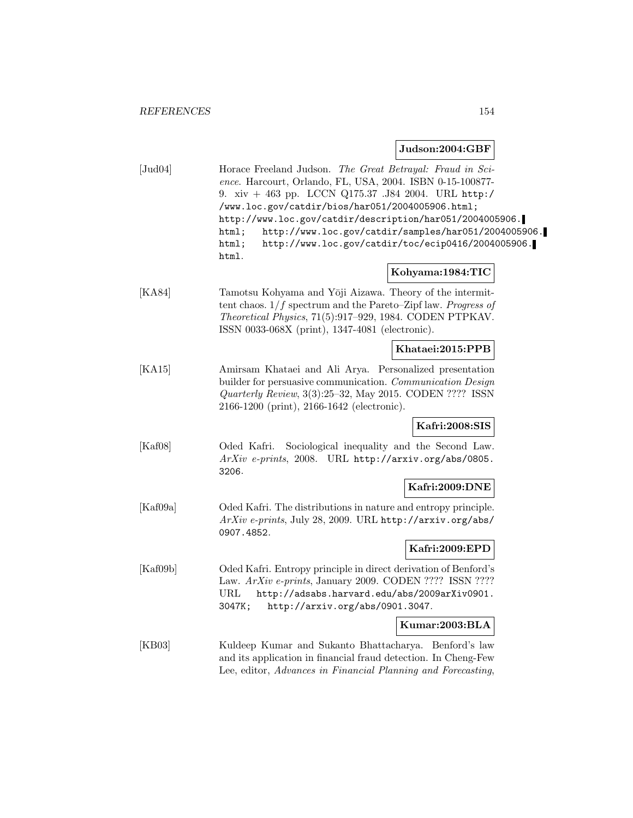# **Judson:2004:GBF**

| [Jud04]  | Horace Freeland Judson. The Great Betrayal: Fraud in Sci-<br>ence. Harcourt, Orlando, FL, USA, 2004. ISBN 0-15-100877-<br>9. xiv + 463 pp. LCCN Q175.37 .J84 2004. URL http:/<br>/www.loc.gov/catdir/bios/har051/2004005906.html;<br>http://www.loc.gov/catdir/description/har051/2004005906.<br>http://www.loc.gov/catdir/samples/har051/2004005906.<br>html;<br>http://www.loc.gov/catdir/toc/ecip0416/2004005906.<br>html;<br>html. |
|----------|----------------------------------------------------------------------------------------------------------------------------------------------------------------------------------------------------------------------------------------------------------------------------------------------------------------------------------------------------------------------------------------------------------------------------------------|
|          | Kohyama:1984:TIC                                                                                                                                                                                                                                                                                                                                                                                                                       |
| [KA84]   | Tamotsu Kohyama and Yōji Aizawa. Theory of the intermit-<br>tent chaos. $1/f$ spectrum and the Pareto-Zipf law. Progress of<br>Theoretical Physics, 71(5):917-929, 1984. CODEN PTPKAV.<br>ISSN 0033-068X (print), 1347-4081 (electronic).                                                                                                                                                                                              |
|          | Khataei:2015:PPB                                                                                                                                                                                                                                                                                                                                                                                                                       |
| [KA15]   | Amirsam Khataei and Ali Arya. Personalized presentation<br>builder for persuasive communication. Communication Design<br>Quarterly Review, $3(3):25-32$ , May 2015. CODEN ???? ISSN<br>2166-1200 (print), 2166-1642 (electronic).                                                                                                                                                                                                      |
|          | Kafri:2008:SIS                                                                                                                                                                                                                                                                                                                                                                                                                         |
| [Kaf08]  | Oded Kafri.<br>Sociological inequality and the Second Law.<br>ArXiv e-prints, 2008. URL http://arxiv.org/abs/0805.<br>3206.                                                                                                                                                                                                                                                                                                            |
|          | Kafri:2009:DNE                                                                                                                                                                                                                                                                                                                                                                                                                         |
| [Kaf09a] | Oded Kafri. The distributions in nature and entropy principle.<br>ArXiv e-prints, July 28, 2009. URL http://arxiv.org/abs/<br>0907.4852.                                                                                                                                                                                                                                                                                               |
|          | Kafri:2009:EPD                                                                                                                                                                                                                                                                                                                                                                                                                         |
| [Kaf09b] | Oded Kafri. Entropy principle in direct derivation of Benford's<br>Law. ArXiv e-prints, January 2009. CODEN ???? ISSN ????<br>http://adsabs.harvard.edu/abs/2009arXiv0901.<br>URL<br>http://arxiv.org/abs/0901.3047.<br>3047K;                                                                                                                                                                                                         |
|          | Kumar:2003:BLA                                                                                                                                                                                                                                                                                                                                                                                                                         |
| [KB03]   | Kuldeep Kumar and Sukanto Bhattacharya. Benford's law<br>and its application in financial fraud detection. In Cheng-Few<br>Lee, editor, Advances in Financial Planning and Forecasting,                                                                                                                                                                                                                                                |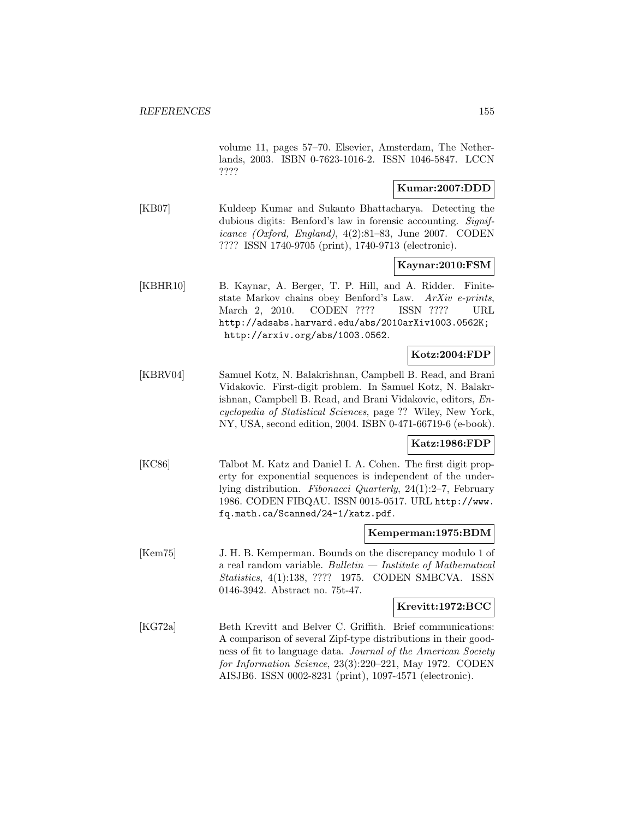volume 11, pages 57–70. Elsevier, Amsterdam, The Netherlands, 2003. ISBN 0-7623-1016-2. ISSN 1046-5847. LCCN ????

### **Kumar:2007:DDD**

[KB07] Kuldeep Kumar and Sukanto Bhattacharya. Detecting the dubious digits: Benford's law in forensic accounting. Significance (Oxford, England), 4(2):81–83, June 2007. CODEN ???? ISSN 1740-9705 (print), 1740-9713 (electronic).

### **Kaynar:2010:FSM**

[KBHR10] B. Kaynar, A. Berger, T. P. Hill, and A. Ridder. Finitestate Markov chains obey Benford's Law. ArXiv e-prints, March 2, 2010. CODEN ???? ISSN ???? URL http://adsabs.harvard.edu/abs/2010arXiv1003.0562K; http://arxiv.org/abs/1003.0562.

### **Kotz:2004:FDP**

[KBRV04] Samuel Kotz, N. Balakrishnan, Campbell B. Read, and Brani Vidakovic. First-digit problem. In Samuel Kotz, N. Balakrishnan, Campbell B. Read, and Brani Vidakovic, editors, Encyclopedia of Statistical Sciences, page ?? Wiley, New York, NY, USA, second edition, 2004. ISBN 0-471-66719-6 (e-book).

### **Katz:1986:FDP**

[KC86] Talbot M. Katz and Daniel I. A. Cohen. The first digit property for exponential sequences is independent of the underlying distribution. Fibonacci Quarterly, 24(1):2–7, February 1986. CODEN FIBQAU. ISSN 0015-0517. URL http://www. fq.math.ca/Scanned/24-1/katz.pdf.

#### **Kemperman:1975:BDM**

[Kem75] J. H. B. Kemperman. Bounds on the discrepancy modulo 1 of a real random variable. Bulletin  $-$  Institute of Mathematical Statistics, 4(1):138, ???? 1975. CODEN SMBCVA. ISSN 0146-3942. Abstract no. 75t-47.

#### **Krevitt:1972:BCC**

[KG72a] Beth Krevitt and Belver C. Griffith. Brief communications: A comparison of several Zipf-type distributions in their goodness of fit to language data. Journal of the American Society for Information Science, 23(3):220–221, May 1972. CODEN AISJB6. ISSN 0002-8231 (print), 1097-4571 (electronic).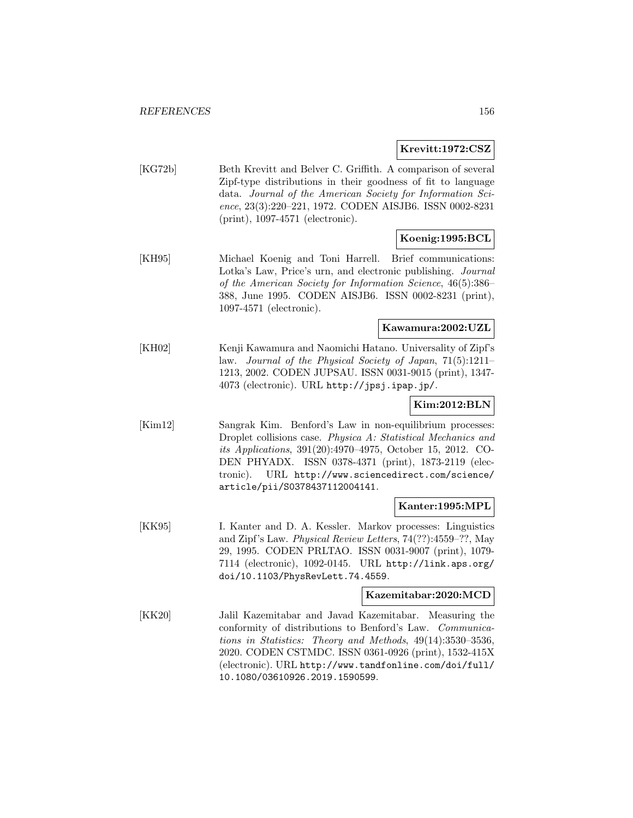#### **Krevitt:1972:CSZ**

[KG72b] Beth Krevitt and Belver C. Griffith. A comparison of several Zipf-type distributions in their goodness of fit to language data. Journal of the American Society for Information Science, 23(3):220–221, 1972. CODEN AISJB6. ISSN 0002-8231 (print), 1097-4571 (electronic).

# **Koenig:1995:BCL**

[KH95] Michael Koenig and Toni Harrell. Brief communications: Lotka's Law, Price's urn, and electronic publishing. Journal of the American Society for Information Science, 46(5):386– 388, June 1995. CODEN AISJB6. ISSN 0002-8231 (print), 1097-4571 (electronic).

### **Kawamura:2002:UZL**

[KH02] Kenji Kawamura and Naomichi Hatano. Universality of Zipf's law. Journal of the Physical Society of Japan, 71(5):1211– 1213, 2002. CODEN JUPSAU. ISSN 0031-9015 (print), 1347- 4073 (electronic). URL http://jpsj.ipap.jp/.

### **Kim:2012:BLN**

[Kim12] Sangrak Kim. Benford's Law in non-equilibrium processes: Droplet collisions case. Physica A: Statistical Mechanics and its Applications, 391(20):4970–4975, October 15, 2012. CO-DEN PHYADX. ISSN 0378-4371 (print), 1873-2119 (electronic). URL http://www.sciencedirect.com/science/ article/pii/S0378437112004141.

#### **Kanter:1995:MPL**

[KK95] I. Kanter and D. A. Kessler. Markov processes: Linguistics and Zipf's Law. Physical Review Letters, 74(??):4559–??, May 29, 1995. CODEN PRLTAO. ISSN 0031-9007 (print), 1079- 7114 (electronic), 1092-0145. URL http://link.aps.org/ doi/10.1103/PhysRevLett.74.4559.

#### **Kazemitabar:2020:MCD**

[KK20] Jalil Kazemitabar and Javad Kazemitabar. Measuring the conformity of distributions to Benford's Law. Communications in Statistics: Theory and Methods, 49(14):3530–3536, 2020. CODEN CSTMDC. ISSN 0361-0926 (print), 1532-415X (electronic). URL http://www.tandfonline.com/doi/full/ 10.1080/03610926.2019.1590599.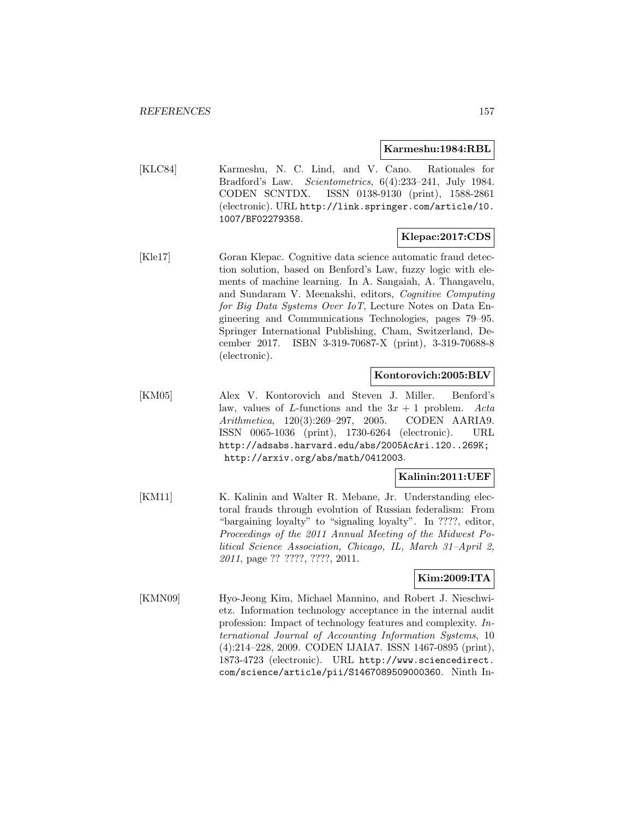#### **Karmeshu:1984:RBL**

[KLC84] Karmeshu, N. C. Lind, and V. Cano. Rationales for Bradford's Law. Scientometrics, 6(4):233–241, July 1984. CODEN SCNTDX. ISSN 0138-9130 (print), 1588-2861 (electronic). URL http://link.springer.com/article/10. 1007/BF02279358.

### **Klepac:2017:CDS**

[Kle17] Goran Klepac. Cognitive data science automatic fraud detection solution, based on Benford's Law, fuzzy logic with elements of machine learning. In A. Sangaiah, A. Thangavelu, and Sundaram V. Meenakshi, editors, Cognitive Computing for Big Data Systems Over IoT, Lecture Notes on Data Engineering and Communications Technologies, pages 79–95. Springer International Publishing, Cham, Switzerland, December 2017. ISBN 3-319-70687-X (print), 3-319-70688-8 (electronic).

### **Kontorovich:2005:BLV**

[KM05] Alex V. Kontorovich and Steven J. Miller. Benford's law, values of L-functions and the  $3x + 1$  problem. Acta Arithmetica, 120(3):269–297, 2005. CODEN AARIA9. ISSN 0065-1036 (print), 1730-6264 (electronic). URL http://adsabs.harvard.edu/abs/2005AcAri.120..269K; http://arxiv.org/abs/math/0412003.

### **Kalinin:2011:UEF**

[KM11] K. Kalinin and Walter R. Mebane, Jr. Understanding electoral frauds through evolution of Russian federalism: From "bargaining loyalty" to "signaling loyalty". In ????, editor, Proceedings of the 2011 Annual Meeting of the Midwest Political Science Association, Chicago, IL, March 31–April 2, 2011, page ?? ????, ????, 2011.

# **Kim:2009:ITA**

[KMN09] Hyo-Jeong Kim, Michael Mannino, and Robert J. Nieschwietz. Information technology acceptance in the internal audit profession: Impact of technology features and complexity. International Journal of Accounting Information Systems, 10 (4):214–228, 2009. CODEN IJAIA7. ISSN 1467-0895 (print), 1873-4723 (electronic). URL http://www.sciencedirect. com/science/article/pii/S1467089509000360. Ninth In-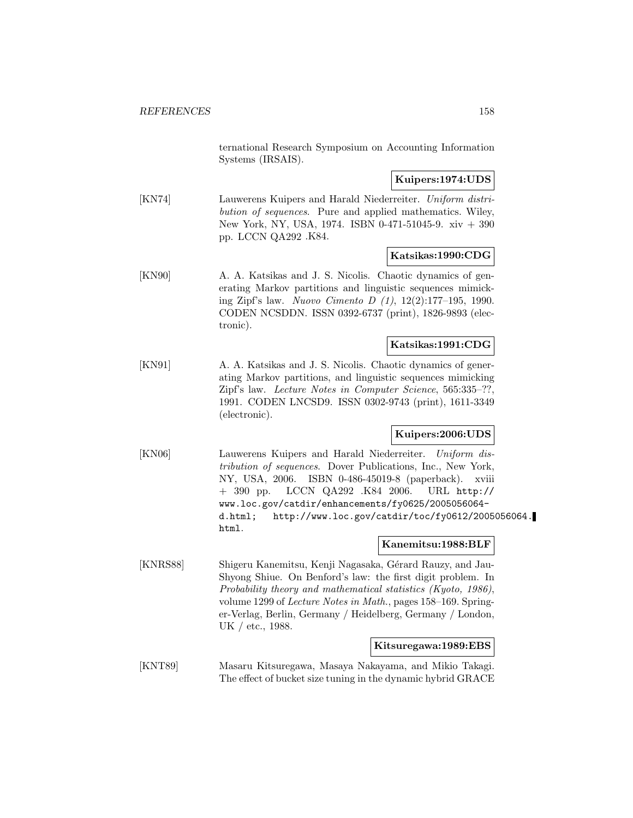ternational Research Symposium on Accounting Information Systems (IRSAIS).

## **Kuipers:1974:UDS**

[KN74] Lauwerens Kuipers and Harald Niederreiter. Uniform distribution of sequences. Pure and applied mathematics. Wiley, New York, NY, USA, 1974. ISBN 0-471-51045-9. xiv + 390 pp. LCCN QA292 .K84.

### **Katsikas:1990:CDG**

[KN90] A. A. Katsikas and J. S. Nicolis. Chaotic dynamics of generating Markov partitions and linguistic sequences mimicking Zipf's law. Nuovo Cimento D (1), 12(2):177–195, 1990. CODEN NCSDDN. ISSN 0392-6737 (print), 1826-9893 (electronic).

#### **Katsikas:1991:CDG**

[KN91] A. A. Katsikas and J. S. Nicolis. Chaotic dynamics of generating Markov partitions, and linguistic sequences mimicking Zipf's law. Lecture Notes in Computer Science, 565:335–??, 1991. CODEN LNCSD9. ISSN 0302-9743 (print), 1611-3349 (electronic).

### **Kuipers:2006:UDS**

[KN06] Lauwerens Kuipers and Harald Niederreiter. Uniform distribution of sequences. Dover Publications, Inc., New York, NY, USA, 2006. ISBN 0-486-45019-8 (paperback). xviii + 390 pp. LCCN QA292 .K84 2006. URL http:// www.loc.gov/catdir/enhancements/fy0625/2005056064 d.html; http://www.loc.gov/catdir/toc/fy0612/2005056064. html.

### **Kanemitsu:1988:BLF**

[KNRS88] Shigeru Kanemitsu, Kenji Nagasaka, Gérard Rauzy, and Jau-Shyong Shiue. On Benford's law: the first digit problem. In Probability theory and mathematical statistics (Kyoto, 1986), volume 1299 of Lecture Notes in Math., pages 158–169. Springer-Verlag, Berlin, Germany / Heidelberg, Germany / London, UK / etc., 1988.

### **Kitsuregawa:1989:EBS**

[KNT89] Masaru Kitsuregawa, Masaya Nakayama, and Mikio Takagi. The effect of bucket size tuning in the dynamic hybrid GRACE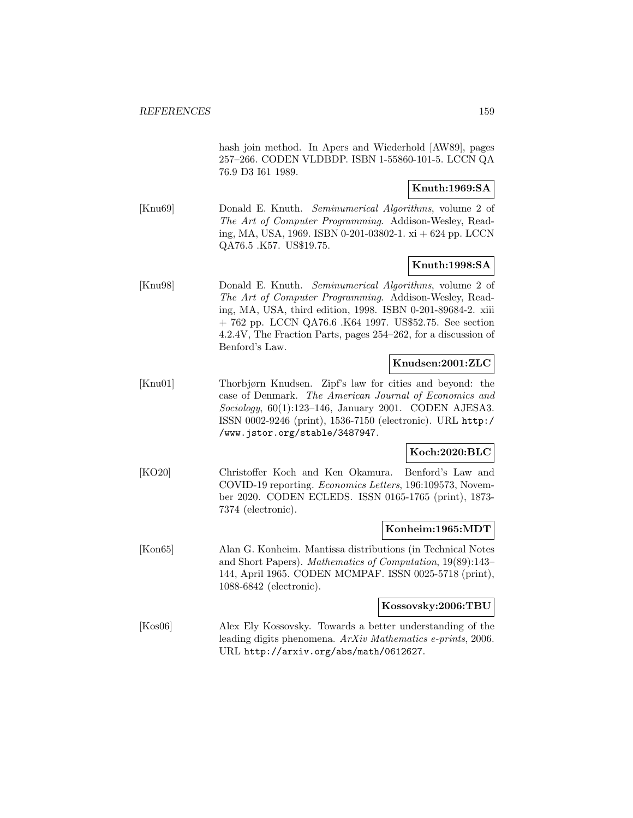hash join method. In Apers and Wiederhold [AW89], pages 257–266. CODEN VLDBDP. ISBN 1-55860-101-5. LCCN QA 76.9 D3 I61 1989.

# **Knuth:1969:SA**

[Knu69] Donald E. Knuth. *Seminumerical Algorithms*, volume 2 of The Art of Computer Programming. Addison-Wesley, Reading, MA, USA, 1969. ISBN 0-201-03802-1. xi + 624 pp. LCCN QA76.5 .K57. US\$19.75.

### **Knuth:1998:SA**

[Knu98] Donald E. Knuth. Seminumerical Algorithms, volume 2 of The Art of Computer Programming. Addison-Wesley, Reading, MA, USA, third edition, 1998. ISBN 0-201-89684-2. xiii + 762 pp. LCCN QA76.6 .K64 1997. US\$52.75. See section 4.2.4V, The Fraction Parts, pages 254–262, for a discussion of Benford's Law.

# **Knudsen:2001:ZLC**

[Knu01] Thorbjørn Knudsen. Zipf's law for cities and beyond: the case of Denmark. The American Journal of Economics and Sociology, 60(1):123–146, January 2001. CODEN AJESA3. ISSN 0002-9246 (print), 1536-7150 (electronic). URL http:/ /www.jstor.org/stable/3487947.

### **Koch:2020:BLC**

[KO20] Christoffer Koch and Ken Okamura. Benford's Law and COVID-19 reporting. Economics Letters, 196:109573, November 2020. CODEN ECLEDS. ISSN 0165-1765 (print), 1873- 7374 (electronic).

#### **Konheim:1965:MDT**

[Kon65] Alan G. Konheim. Mantissa distributions (in Technical Notes and Short Papers). Mathematics of Computation, 19(89):143– 144, April 1965. CODEN MCMPAF. ISSN 0025-5718 (print), 1088-6842 (electronic).

#### **Kossovsky:2006:TBU**

[Kos06] Alex Ely Kossovsky. Towards a better understanding of the leading digits phenomena. ArXiv Mathematics e-prints, 2006. URL http://arxiv.org/abs/math/0612627.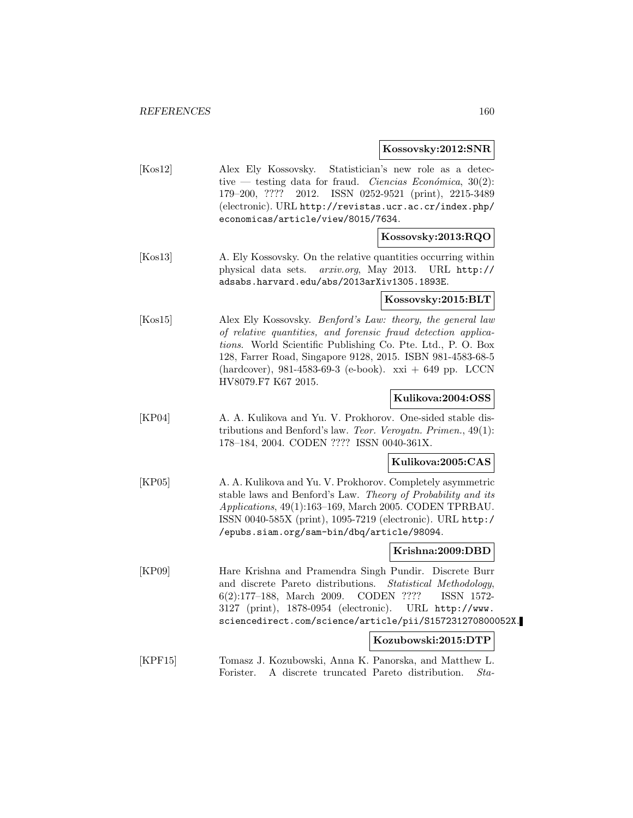**Kossovsky:2012:SNR**

[Kos12] Alex Ely Kossovsky. Statistician's new role as a detective — testing data for fraud. Ciencias Económica,  $30(2)$ : 179–200, ???? 2012. ISSN 0252-9521 (print), 2215-3489 (electronic). URL http://revistas.ucr.ac.cr/index.php/ economicas/article/view/8015/7634.

### **Kossovsky:2013:RQO**

[Kos13] A. Ely Kossovsky. On the relative quantities occurring within physical data sets. arxiv.org, May 2013. URL http:// adsabs.harvard.edu/abs/2013arXiv1305.1893E.

#### **Kossovsky:2015:BLT**

[Kos15] Alex Ely Kossovsky. *Benford's Law: theory, the general law* of relative quantities, and forensic fraud detection applications. World Scientific Publishing Co. Pte. Ltd., P. O. Box 128, Farrer Road, Singapore 9128, 2015. ISBN 981-4583-68-5 (hardcover), 981-4583-69-3 (e-book). xxi + 649 pp. LCCN HV8079.F7 K67 2015.

### **Kulikova:2004:OSS**

[KP04] A. A. Kulikova and Yu. V. Prokhorov. One-sided stable distributions and Benford's law. Teor. Veroyatn. Primen., 49(1): 178–184, 2004. CODEN ???? ISSN 0040-361X.

### **Kulikova:2005:CAS**

[KP05] A. A. Kulikova and Yu. V. Prokhorov. Completely asymmetric stable laws and Benford's Law. Theory of Probability and its Applications, 49(1):163–169, March 2005. CODEN TPRBAU. ISSN 0040-585X (print), 1095-7219 (electronic). URL http:/ /epubs.siam.org/sam-bin/dbq/article/98094.

### **Krishna:2009:DBD**

[KP09] Hare Krishna and Pramendra Singh Pundir. Discrete Burr and discrete Pareto distributions. Statistical Methodology, 6(2):177–188, March 2009. CODEN ???? ISSN 1572- 3127 (print), 1878-0954 (electronic). URL http://www. sciencedirect.com/science/article/pii/S157231270800052X.

### **Kozubowski:2015:DTP**

[KPF15] Tomasz J. Kozubowski, Anna K. Panorska, and Matthew L. Forister. A discrete truncated Pareto distribution. Sta-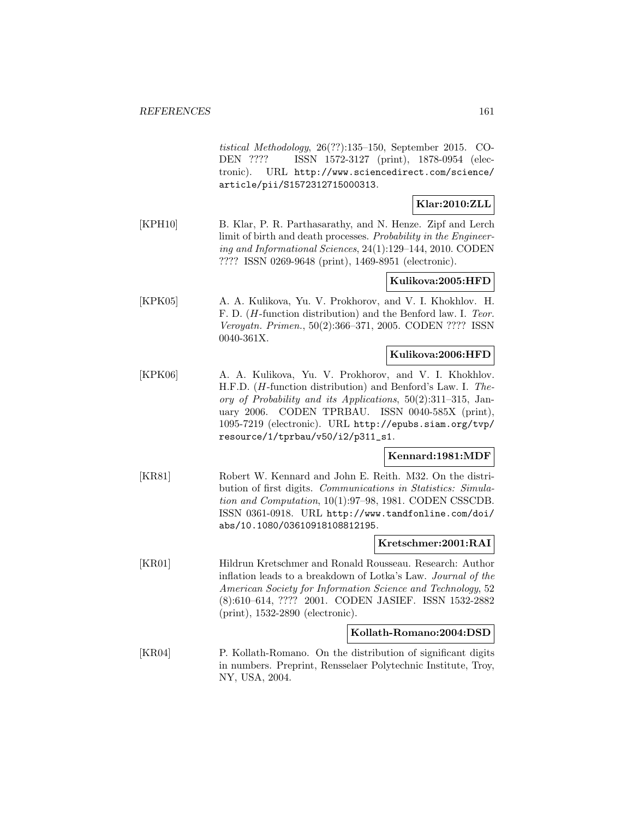tistical Methodology, 26(??):135–150, September 2015. CO-DEN ???? ISSN 1572-3127 (print), 1878-0954 (electronic). URL http://www.sciencedirect.com/science/ article/pii/S1572312715000313.

# **Klar:2010:ZLL**

[KPH10] B. Klar, P. R. Parthasarathy, and N. Henze. Zipf and Lerch limit of birth and death processes. Probability in the Engineering and Informational Sciences, 24(1):129–144, 2010. CODEN ???? ISSN 0269-9648 (print), 1469-8951 (electronic).

### **Kulikova:2005:HFD**

[KPK05] A. A. Kulikova, Yu. V. Prokhorov, and V. I. Khokhlov. H. F. D. (H-function distribution) and the Benford law. I. Teor. Veroyatn. Primen., 50(2):366–371, 2005. CODEN ???? ISSN 0040-361X.

### **Kulikova:2006:HFD**

[KPK06] A. A. Kulikova, Yu. V. Prokhorov, and V. I. Khokhlov. H.F.D. (H-function distribution) and Benford's Law. I. Theory of Probability and its Applications, 50(2):311–315, January 2006. CODEN TPRBAU. ISSN 0040-585X (print), 1095-7219 (electronic). URL http://epubs.siam.org/tvp/ resource/1/tprbau/v50/i2/p311\_s1.

### **Kennard:1981:MDF**

[KR81] Robert W. Kennard and John E. Reith. M32. On the distribution of first digits. Communications in Statistics: Simulation and Computation, 10(1):97–98, 1981. CODEN CSSCDB. ISSN 0361-0918. URL http://www.tandfonline.com/doi/ abs/10.1080/03610918108812195.

### **Kretschmer:2001:RAI**

[KR01] Hildrun Kretschmer and Ronald Rousseau. Research: Author inflation leads to a breakdown of Lotka's Law. Journal of the American Society for Information Science and Technology, 52 (8):610–614, ???? 2001. CODEN JASIEF. ISSN 1532-2882 (print), 1532-2890 (electronic).

#### **Kollath-Romano:2004:DSD**

[KR04] P. Kollath-Romano. On the distribution of significant digits in numbers. Preprint, Rensselaer Polytechnic Institute, Troy, NY, USA, 2004.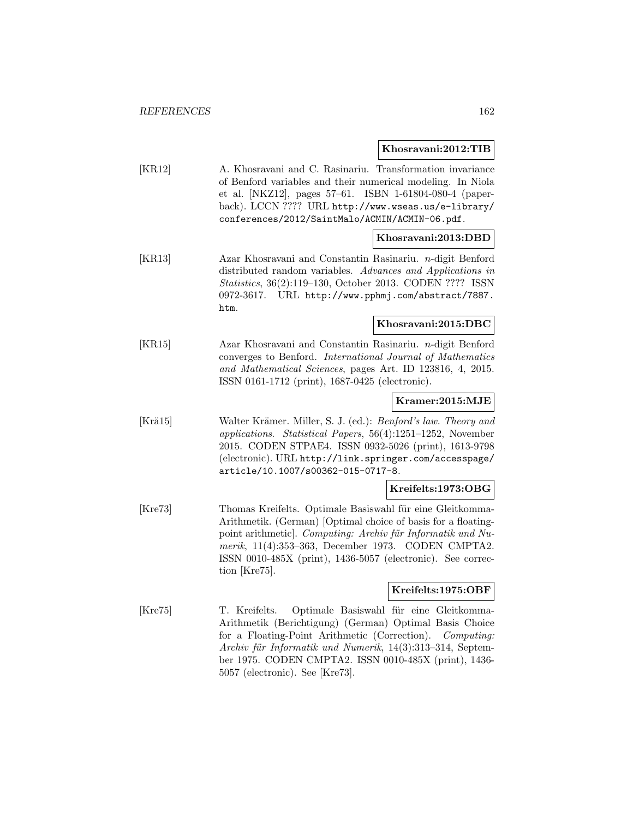#### **Khosravani:2012:TIB**

| [KR12] | A. Khosravani and C. Rasinariu. Transformation invariance   |
|--------|-------------------------------------------------------------|
|        | of Benford variables and their numerical modeling. In Niola |
|        | et al. [NKZ12], pages 57–61. ISBN 1-61804-080-4 (paper-     |
|        | back). LCCN ???? URL http://www.wseas.us/e-library/         |
|        | conferences/2012/SaintMalo/ACMIN/ACMIN-06.pdf.              |

### **Khosravani:2013:DBD**

[KR13] Azar Khosravani and Constantin Rasinariu. n-digit Benford distributed random variables. Advances and Applications in Statistics, 36(2):119–130, October 2013. CODEN ???? ISSN 0972-3617. URL http://www.pphmj.com/abstract/7887. htm.

### **Khosravani:2015:DBC**

[KR15] Azar Khosravani and Constantin Rasinariu. n-digit Benford converges to Benford. International Journal of Mathematics and Mathematical Sciences, pages Art. ID 123816, 4, 2015. ISSN 0161-1712 (print), 1687-0425 (electronic).

### **Kramer:2015:MJE**

[Krä15] Walter Krämer. Miller, S. J. (ed.): *Benford's law. Theory and* applications. Statistical Papers, 56(4):1251–1252, November 2015. CODEN STPAE4. ISSN 0932-5026 (print), 1613-9798 (electronic). URL http://link.springer.com/accesspage/ article/10.1007/s00362-015-0717-8.

### **Kreifelts:1973:OBG**

[Kre73] Thomas Kreifelts. Optimale Basiswahl für eine Gleitkomma-Arithmetik. (German) [Optimal choice of basis for a floatingpoint arithmetic]. Computing: Archiv für Informatik und Numerik, 11(4):353–363, December 1973. CODEN CMPTA2. ISSN 0010-485X (print), 1436-5057 (electronic). See correction [Kre75].

### **Kreifelts:1975:OBF**

[Kre75] T. Kreifelts. Optimale Basiswahl für eine Gleitkomma-Arithmetik (Berichtigung) (German) Optimal Basis Choice for a Floating-Point Arithmetic (Correction). Computing: Archiv für Informatik und Numerik, 14(3):313-314, September 1975. CODEN CMPTA2. ISSN 0010-485X (print), 1436- 5057 (electronic). See [Kre73].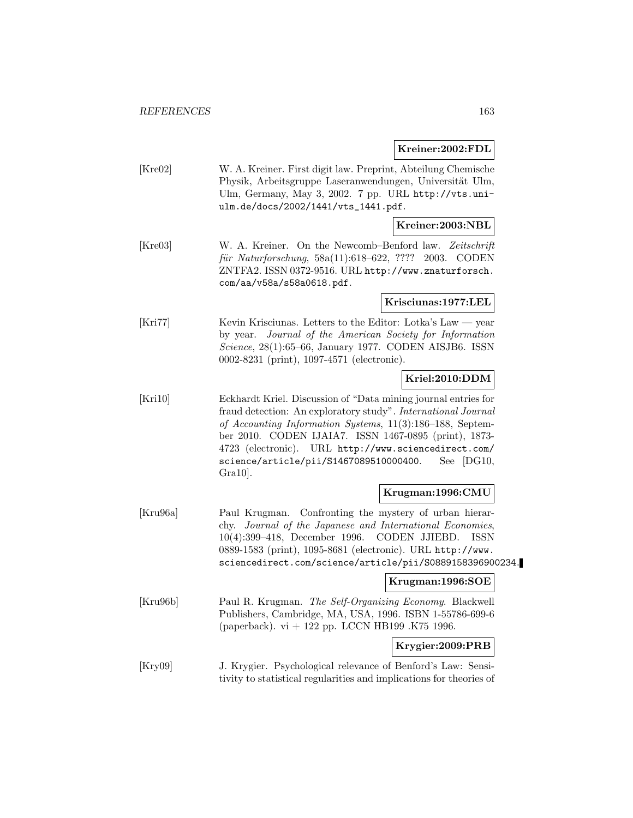### **Kreiner:2002:FDL**

| [Kre02] | W. A. Kreiner. First digit law. Preprint, Abteilung Chemische |
|---------|---------------------------------------------------------------|
|         | Physik, Arbeitsgruppe Laseranwendungen, Universität Ulm,      |
|         | Ulm, Germany, May 3, 2002. 7 pp. URL http://vts.uni-          |
|         | ulm.de/docs/2002/1441/vts_1441.pdf.                           |
|         | Kreiner: 2003: NBL                                            |
|         |                                                               |
| [Kre03] | W. A. Kreiner. On the Newcomb-Benford law. Zeitschrift        |
|         | für Naturforschung, 58a(11):618-622, ???? 2003. CODEN         |

ZNTFA2. ISSN 0372-9516. URL http://www.znaturforsch. com/aa/v58a/s58a0618.pdf.

#### **Krisciunas:1977:LEL**

[Kri77] Kevin Krisciunas. Letters to the Editor: Lotka's Law — year by year. Journal of the American Society for Information Science, 28(1):65–66, January 1977. CODEN AISJB6. ISSN 0002-8231 (print), 1097-4571 (electronic).

# **Kriel:2010:DDM**

[Kri10] Eckhardt Kriel. Discussion of "Data mining journal entries for fraud detection: An exploratory study". International Journal of Accounting Information Systems, 11(3):186–188, September 2010. CODEN IJAIA7. ISSN 1467-0895 (print), 1873- 4723 (electronic). URL http://www.sciencedirect.com/ science/article/pii/S1467089510000400. See [DG10, Gra10].

### **Krugman:1996:CMU**

[Kru96a] Paul Krugman. Confronting the mystery of urban hierarchy. Journal of the Japanese and International Economies, 10(4):399–418, December 1996. CODEN JJIEBD. ISSN 0889-1583 (print), 1095-8681 (electronic). URL http://www. sciencedirect.com/science/article/pii/S0889158396900234.

### **Krugman:1996:SOE**

[Kru96b] Paul R. Krugman. The Self-Organizing Economy. Blackwell Publishers, Cambridge, MA, USA, 1996. ISBN 1-55786-699-6 (paperback). vi + 122 pp. LCCN HB199 .K75 1996.

# **Krygier:2009:PRB**

[Kry09] J. Krygier. Psychological relevance of Benford's Law: Sensitivity to statistical regularities and implications for theories of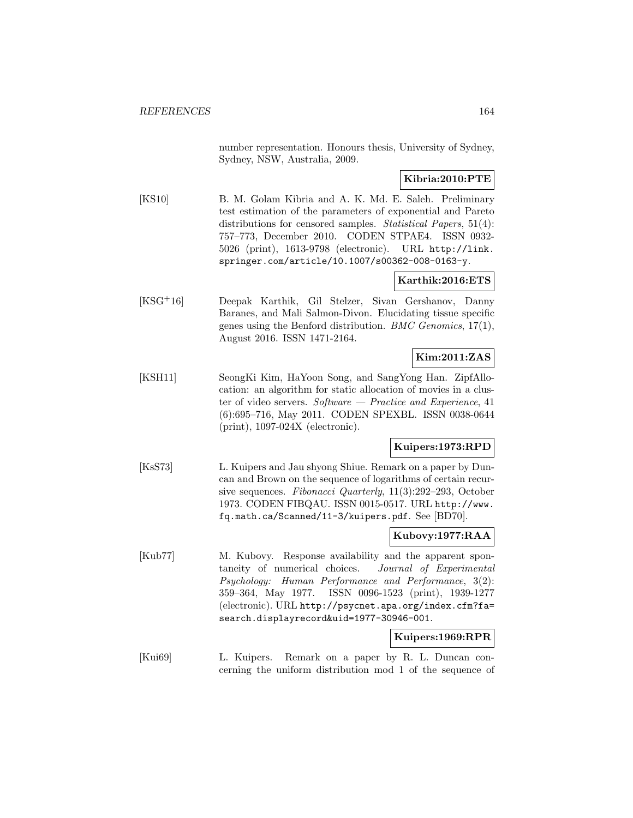number representation. Honours thesis, University of Sydney, Sydney, NSW, Australia, 2009.

### **Kibria:2010:PTE**

[KS10] B. M. Golam Kibria and A. K. Md. E. Saleh. Preliminary test estimation of the parameters of exponential and Pareto distributions for censored samples. *Statistical Papers*, 51(4): 757–773, December 2010. CODEN STPAE4. ISSN 0932- 5026 (print), 1613-9798 (electronic). URL http://link. springer.com/article/10.1007/s00362-008-0163-y.

### **Karthik:2016:ETS**

[KSG<sup>+</sup>16] Deepak Karthik, Gil Stelzer, Sivan Gershanov, Danny Baranes, and Mali Salmon-Divon. Elucidating tissue specific genes using the Benford distribution. BMC Genomics, 17(1), August 2016. ISSN 1471-2164.

# **Kim:2011:ZAS**

[KSH11] SeongKi Kim, HaYoon Song, and SangYong Han. ZipfAllocation: an algorithm for static allocation of movies in a cluster of video servers.  $Software - Practice$  and Experience, 41 (6):695–716, May 2011. CODEN SPEXBL. ISSN 0038-0644 (print), 1097-024X (electronic).

# **Kuipers:1973:RPD**

[KsS73] L. Kuipers and Jau shyong Shiue. Remark on a paper by Duncan and Brown on the sequence of logarithms of certain recursive sequences. Fibonacci Quarterly, 11(3):292–293, October 1973. CODEN FIBQAU. ISSN 0015-0517. URL http://www. fq.math.ca/Scanned/11-3/kuipers.pdf. See [BD70].

### **Kubovy:1977:RAA**

[Kub77] M. Kubovy. Response availability and the apparent spontaneity of numerical choices. Journal of Experimental Psychology: Human Performance and Performance, 3(2): 359–364, May 1977. ISSN 0096-1523 (print), 1939-1277 (electronic). URL http://psycnet.apa.org/index.cfm?fa= search.displayrecord&uid=1977-30946-001.

### **Kuipers:1969:RPR**

[Kui69] L. Kuipers. Remark on a paper by R. L. Duncan concerning the uniform distribution mod 1 of the sequence of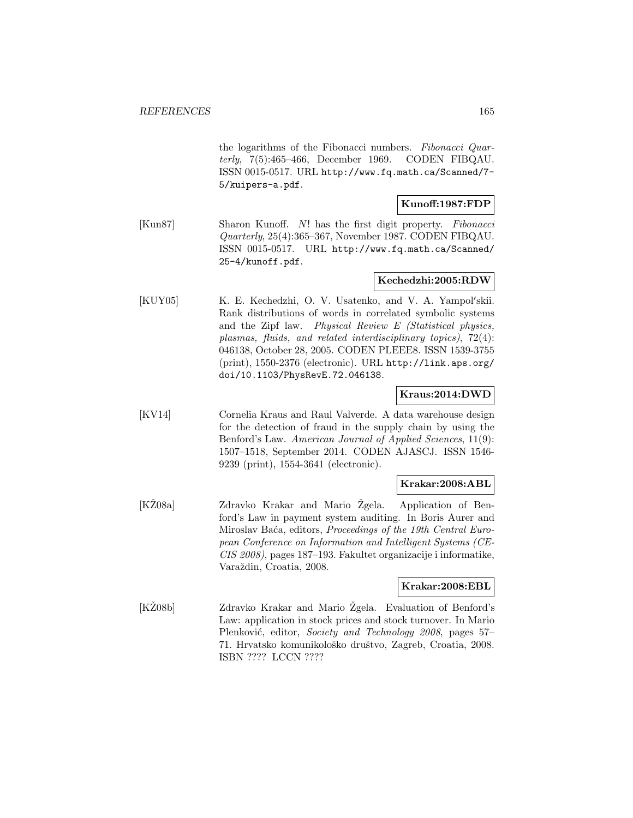the logarithms of the Fibonacci numbers. Fibonacci Quarterly, 7(5):465–466, December 1969. CODEN FIBQAU. ISSN 0015-0517. URL http://www.fq.math.ca/Scanned/7- 5/kuipers-a.pdf.

### **Kunoff:1987:FDP**

[Kun87] Sharon Kunoff. N! has the first digit property. Fibonacci Quarterly, 25(4):365–367, November 1987. CODEN FIBQAU. ISSN 0015-0517. URL http://www.fq.math.ca/Scanned/ 25-4/kunoff.pdf.

### **Kechedzhi:2005:RDW**

[KUY05] K. E. Kechedzhi, O. V. Usatenko, and V. A. Yampol'skii. Rank distributions of words in correlated symbolic systems and the Zipf law. Physical Review E (Statistical physics, plasmas, fluids, and related interdisciplinary topics), 72(4): 046138, October 28, 2005. CODEN PLEEE8. ISSN 1539-3755 (print), 1550-2376 (electronic). URL http://link.aps.org/ doi/10.1103/PhysRevE.72.046138.

### **Kraus:2014:DWD**

[KV14] Cornelia Kraus and Raul Valverde. A data warehouse design for the detection of fraud in the supply chain by using the Benford's Law. American Journal of Applied Sciences, 11(9): 1507–1518, September 2014. CODEN AJASCJ. ISSN 1546- 9239 (print), 1554-3641 (electronic).

### **Krakar:2008:ABL**

[KŽ08a] Zdravko Krakar and Mario Žgela. Application of Benford's Law in payment system auditing. In Boris Aurer and Miroslav Baća, editors, Proceedings of the 19th Central European Conference on Information and Intelligent Systems (CE-CIS 2008), pages 187–193. Fakultet organizacije i informatike, Varaždin, Croatia, 2008.

### **Krakar:2008:EBL**

[KZ08b] Zdravko Krakar and Mario Zgela. Evaluation of Benford's Law: application in stock prices and stock turnover. In Mario Plenković, editor, Society and Technology 2008, pages 57– 71. Hrvatsko komunikološko društvo, Zagreb, Croatia, 2008. ISBN ???? LCCN ????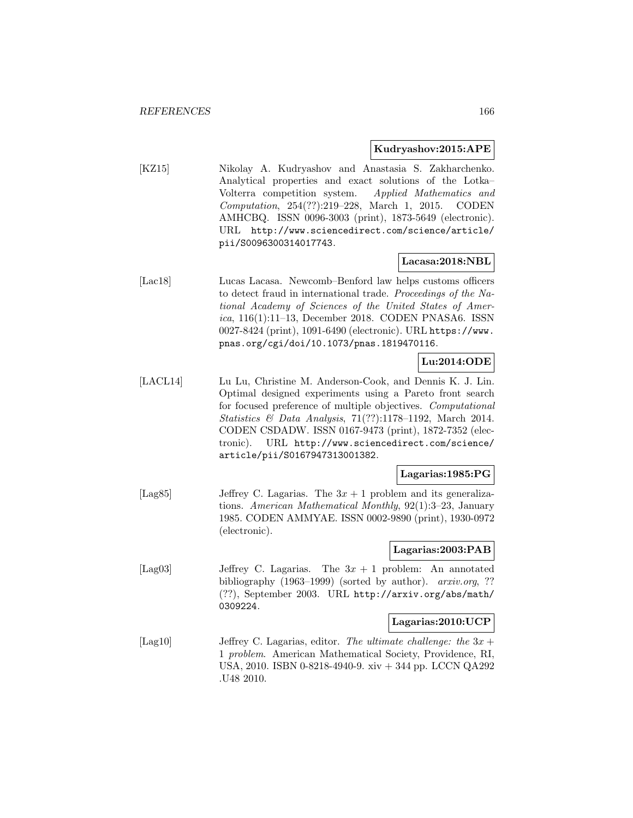#### **Kudryashov:2015:APE**

[KZ15] Nikolay A. Kudryashov and Anastasia S. Zakharchenko. Analytical properties and exact solutions of the Lotka– Volterra competition system. Applied Mathematics and Computation, 254(??):219–228, March 1, 2015. CODEN AMHCBQ. ISSN 0096-3003 (print), 1873-5649 (electronic). URL http://www.sciencedirect.com/science/article/ pii/S0096300314017743.

### **Lacasa:2018:NBL**

[Lac18] Lucas Lacasa. Newcomb–Benford law helps customs officers to detect fraud in international trade. Proceedings of the National Academy of Sciences of the United States of America, 116(1):11–13, December 2018. CODEN PNASA6. ISSN 0027-8424 (print), 1091-6490 (electronic). URL https://www. pnas.org/cgi/doi/10.1073/pnas.1819470116.

### **Lu:2014:ODE**

[LACL14] Lu Lu, Christine M. Anderson-Cook, and Dennis K. J. Lin. Optimal designed experiments using a Pareto front search for focused preference of multiple objectives. Computational Statistics & Data Analysis, 71(??):1178–1192, March 2014. CODEN CSDADW. ISSN 0167-9473 (print), 1872-7352 (electronic). URL http://www.sciencedirect.com/science/ article/pii/S0167947313001382.

#### **Lagarias:1985:PG**

[Lag85] Jeffrey C. Lagarias. The  $3x + 1$  problem and its generalizations. American Mathematical Monthly, 92(1):3–23, January 1985. CODEN AMMYAE. ISSN 0002-9890 (print), 1930-0972 (electronic).

### **Lagarias:2003:PAB**

[Lag03] Jeffrey C. Lagarias. The  $3x + 1$  problem: An annotated bibliography (1963–1999) (sorted by author). *arxiv.org*, ?? (??), September 2003. URL http://arxiv.org/abs/math/ 0309224.

#### **Lagarias:2010:UCP**

[Lag10] Jeffrey C. Lagarias, editor. The ultimate challenge: the  $3x +$ 1 problem. American Mathematical Society, Providence, RI, USA, 2010. ISBN 0-8218-4940-9. xiv + 344 pp. LCCN QA292 .U48 2010.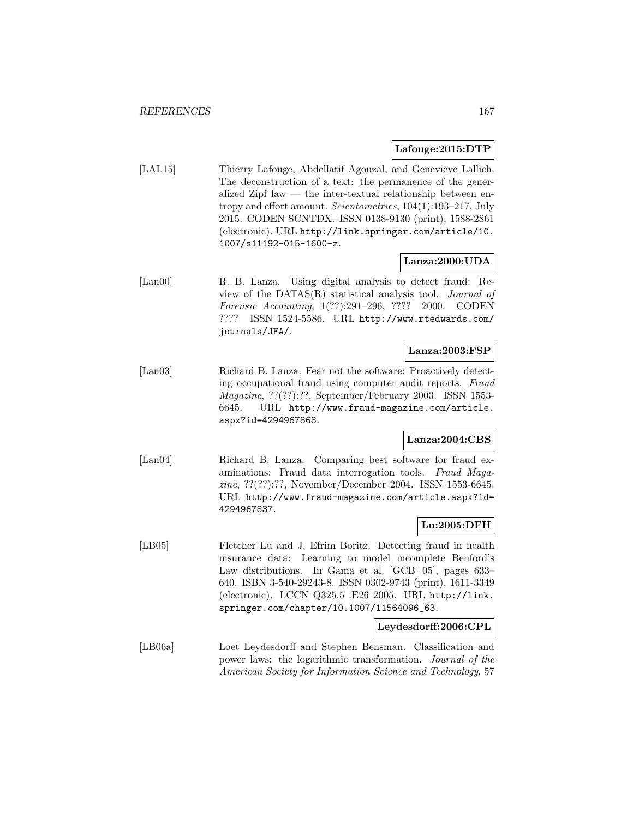#### **Lafouge:2015:DTP**

[LAL15] Thierry Lafouge, Abdellatif Agouzal, and Genevieve Lallich. The deconstruction of a text: the permanence of the generalized Zipf law — the inter-textual relationship between entropy and effort amount. Scientometrics, 104(1):193–217, July 2015. CODEN SCNTDX. ISSN 0138-9130 (print), 1588-2861 (electronic). URL http://link.springer.com/article/10. 1007/s11192-015-1600-z.

### **Lanza:2000:UDA**

[Lan00] R. B. Lanza. Using digital analysis to detect fraud: Review of the DATAS(R) statistical analysis tool. Journal of Forensic Accounting, 1(??):291–296, ???? 2000. CODEN ???? ISSN 1524-5586. URL http://www.rtedwards.com/ journals/JFA/.

### **Lanza:2003:FSP**

[Lan03] Richard B. Lanza. Fear not the software: Proactively detecting occupational fraud using computer audit reports. Fraud Magazine, ??(??):??, September/February 2003. ISSN 1553- 6645. URL http://www.fraud-magazine.com/article. aspx?id=4294967868.

### **Lanza:2004:CBS**

[Lan04] Richard B. Lanza. Comparing best software for fraud examinations: Fraud data interrogation tools. Fraud Magazine, ??(??):??, November/December 2004. ISSN 1553-6645. URL http://www.fraud-magazine.com/article.aspx?id= 4294967837.

### **Lu:2005:DFH**

[LB05] Fletcher Lu and J. Efrim Boritz. Detecting fraud in health insurance data: Learning to model incomplete Benford's Law distributions. In Gama et al. [GCB+05], pages 633– 640. ISBN 3-540-29243-8. ISSN 0302-9743 (print), 1611-3349 (electronic). LCCN Q325.5 .E26 2005. URL http://link. springer.com/chapter/10.1007/11564096\_63.

#### **Leydesdorff:2006:CPL**

[LB06a] Loet Leydesdorff and Stephen Bensman. Classification and power laws: the logarithmic transformation. Journal of the American Society for Information Science and Technology, 57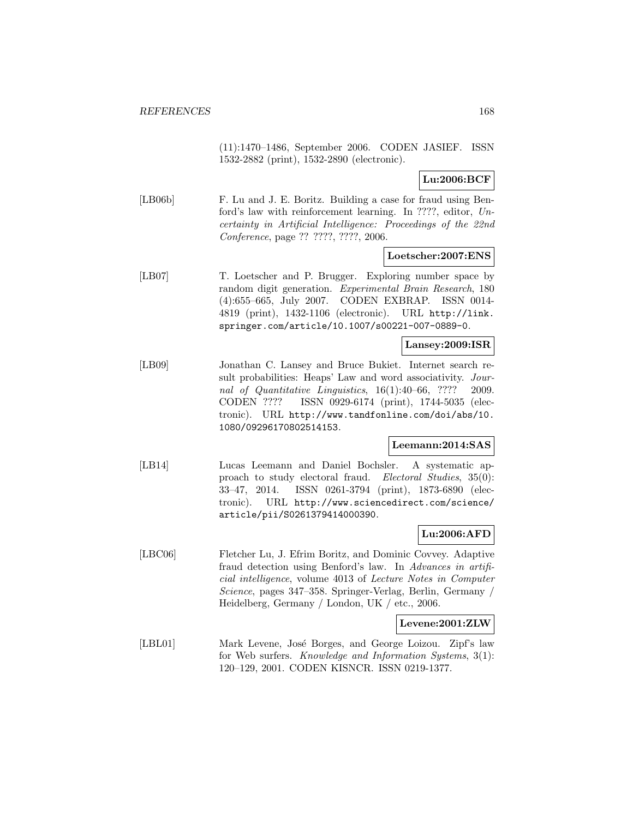(11):1470–1486, September 2006. CODEN JASIEF. ISSN 1532-2882 (print), 1532-2890 (electronic).

**Lu:2006:BCF**

[LB06b] F. Lu and J. E. Boritz. Building a case for fraud using Benford's law with reinforcement learning. In ????, editor, Uncertainty in Artificial Intelligence: Proceedings of the 22nd Conference, page ?? ????, ????, 2006.

#### **Loetscher:2007:ENS**

[LB07] T. Loetscher and P. Brugger. Exploring number space by random digit generation. Experimental Brain Research, 180 (4):655–665, July 2007. CODEN EXBRAP. ISSN 0014- 4819 (print), 1432-1106 (electronic). URL http://link. springer.com/article/10.1007/s00221-007-0889-0.

#### **Lansey:2009:ISR**

[LB09] Jonathan C. Lansey and Bruce Bukiet. Internet search result probabilities: Heaps' Law and word associativity. Journal of Quantitative Linguistics, 16(1):40–66, ???? 2009. CODEN ???? ISSN 0929-6174 (print), 1744-5035 (electronic). URL http://www.tandfonline.com/doi/abs/10. 1080/09296170802514153.

### **Leemann:2014:SAS**

[LB14] Lucas Leemann and Daniel Bochsler. A systematic approach to study electoral fraud. Electoral Studies, 35(0): 33–47, 2014. ISSN 0261-3794 (print), 1873-6890 (electronic). URL http://www.sciencedirect.com/science/ article/pii/S0261379414000390.

### **Lu:2006:AFD**

[LBC06] Fletcher Lu, J. Efrim Boritz, and Dominic Covvey. Adaptive fraud detection using Benford's law. In Advances in artificial intelligence, volume 4013 of Lecture Notes in Computer Science, pages 347–358. Springer-Verlag, Berlin, Germany / Heidelberg, Germany / London, UK / etc., 2006.

### **Levene:2001:ZLW**

[LBL01] Mark Levene, José Borges, and George Loizou. Zipf's law for Web surfers. Knowledge and Information Systems, 3(1): 120–129, 2001. CODEN KISNCR. ISSN 0219-1377.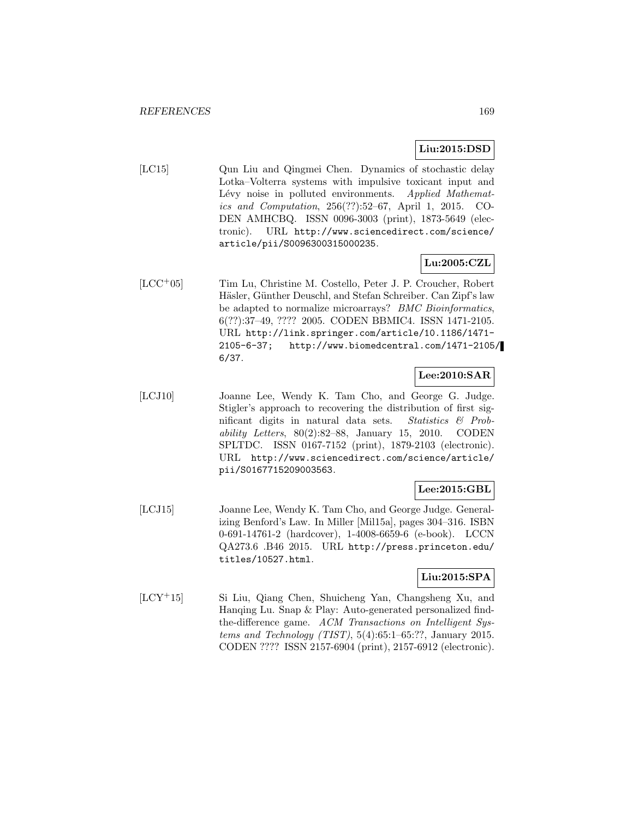# **Liu:2015:DSD**

[LC15] Qun Liu and Qingmei Chen. Dynamics of stochastic delay Lotka–Volterra systems with impulsive toxicant input and Lévy noise in polluted environments. Applied Mathematics and Computation, 256(??):52–67, April 1, 2015. CO-DEN AMHCBQ. ISSN 0096-3003 (print), 1873-5649 (electronic). URL http://www.sciencedirect.com/science/ article/pii/S0096300315000235.

# **Lu:2005:CZL**

[LCC<sup>+</sup>05] Tim Lu, Christine M. Costello, Peter J. P. Croucher, Robert Häsler, Günther Deuschl, and Stefan Schreiber. Can Zipf's law be adapted to normalize microarrays? BMC Bioinformatics, 6(??):37–49, ???? 2005. CODEN BBMIC4. ISSN 1471-2105. URL http://link.springer.com/article/10.1186/1471- 2105-6-37; http://www.biomedcentral.com/1471-2105/ 6/37.

# **Lee:2010:SAR**

[LCJ10] Joanne Lee, Wendy K. Tam Cho, and George G. Judge. Stigler's approach to recovering the distribution of first significant digits in natural data sets. Statistics & Probability Letters,  $80(2):82-88$ , January 15, 2010. CODEN SPLTDC. ISSN 0167-7152 (print), 1879-2103 (electronic). URL http://www.sciencedirect.com/science/article/ pii/S0167715209003563.

# **Lee:2015:GBL**

[LCJ15] Joanne Lee, Wendy K. Tam Cho, and George Judge. Generalizing Benford's Law. In Miller [Mil15a], pages 304–316. ISBN 0-691-14761-2 (hardcover), 1-4008-6659-6 (e-book). LCCN QA273.6 .B46 2015. URL http://press.princeton.edu/ titles/10527.html.

### **Liu:2015:SPA**

[LCY<sup>+</sup>15] Si Liu, Qiang Chen, Shuicheng Yan, Changsheng Xu, and Hanqing Lu. Snap & Play: Auto-generated personalized findthe-difference game. ACM Transactions on Intelligent Systems and Technology (TIST),  $5(4):65:1-65:$ ??, January 2015. CODEN ???? ISSN 2157-6904 (print), 2157-6912 (electronic).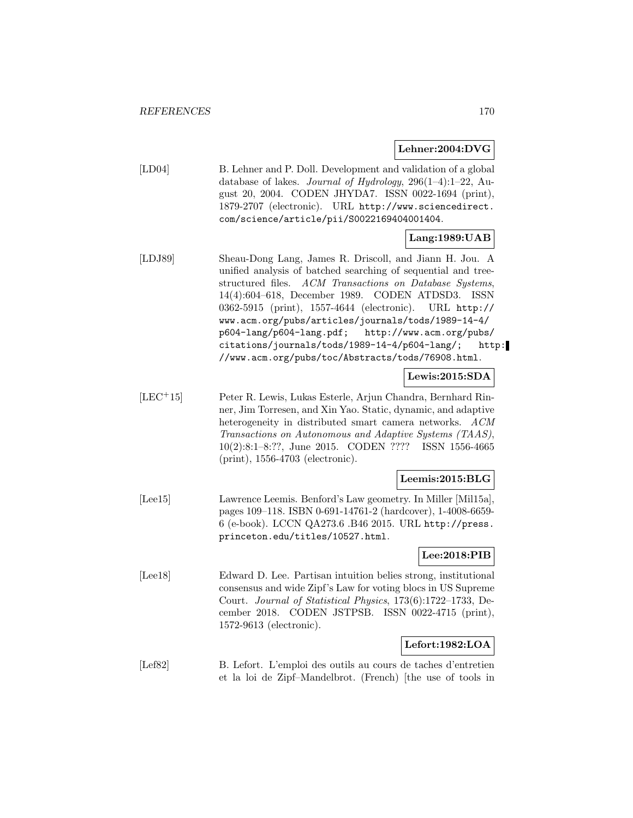#### **Lehner:2004:DVG**

[LD04] B. Lehner and P. Doll. Development and validation of a global database of lakes. Journal of Hydrology, 296(1–4):1–22, August 20, 2004. CODEN JHYDA7. ISSN 0022-1694 (print), 1879-2707 (electronic). URL http://www.sciencedirect. com/science/article/pii/S0022169404001404.

### **Lang:1989:UAB**

[LDJ89] Sheau-Dong Lang, James R. Driscoll, and Jiann H. Jou. A unified analysis of batched searching of sequential and treestructured files. ACM Transactions on Database Systems, 14(4):604–618, December 1989. CODEN ATDSD3. ISSN 0362-5915 (print), 1557-4644 (electronic). URL http:// www.acm.org/pubs/articles/journals/tods/1989-14-4/ p604-lang/p604-lang.pdf; http://www.acm.org/pubs/ citations/journals/tods/1989-14-4/p604-lang/; http: //www.acm.org/pubs/toc/Abstracts/tods/76908.html.

### **Lewis:2015:SDA**

[LEC<sup>+</sup>15] Peter R. Lewis, Lukas Esterle, Arjun Chandra, Bernhard Rinner, Jim Torresen, and Xin Yao. Static, dynamic, and adaptive heterogeneity in distributed smart camera networks. ACM Transactions on Autonomous and Adaptive Systems (TAAS), 10(2):8:1–8:??, June 2015. CODEN ???? ISSN 1556-4665 (print), 1556-4703 (electronic).

### **Leemis:2015:BLG**

[Lee15] Lawrence Leemis. Benford's Law geometry. In Miller [Mil15a], pages 109–118. ISBN 0-691-14761-2 (hardcover), 1-4008-6659- 6 (e-book). LCCN QA273.6 .B46 2015. URL http://press. princeton.edu/titles/10527.html.

### **Lee:2018:PIB**

[Lee18] Edward D. Lee. Partisan intuition belies strong, institutional consensus and wide Zipf's Law for voting blocs in US Supreme Court. Journal of Statistical Physics, 173(6):1722–1733, December 2018. CODEN JSTPSB. ISSN 0022-4715 (print), 1572-9613 (electronic).

### **Lefort:1982:LOA**

[Lef82] B. Lefort. L'emploi des outils au cours de taches d'entretien et la loi de Zipf–Mandelbrot. (French) [the use of tools in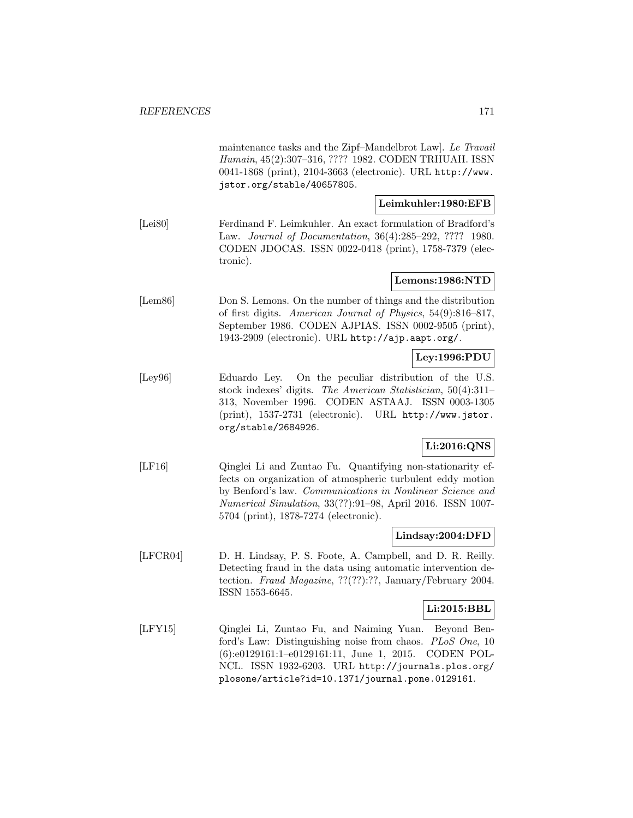maintenance tasks and the Zipf–Mandelbrot Law]. Le Travail Humain, 45(2):307–316, ???? 1982. CODEN TRHUAH. ISSN 0041-1868 (print), 2104-3663 (electronic). URL http://www. jstor.org/stable/40657805. **Leimkuhler:1980:EFB** [Lei80] Ferdinand F. Leimkuhler. An exact formulation of Bradford's Law. Journal of Documentation, 36(4):285–292, ???? 1980. CODEN JDOCAS. ISSN 0022-0418 (print), 1758-7379 (electronic). **Lemons:1986:NTD** [Lem86] Don S. Lemons. On the number of things and the distribution of first digits. American Journal of Physics, 54(9):816–817, September 1986. CODEN AJPIAS. ISSN 0002-9505 (print), 1943-2909 (electronic). URL http://ajp.aapt.org/. **Ley:1996:PDU** [Ley96] Eduardo Ley. On the peculiar distribution of the U.S. stock indexes' digits. The American Statistician, 50(4):311– 313, November 1996. CODEN ASTAAJ. ISSN 0003-1305 (print), 1537-2731 (electronic). URL http://www.jstor. org/stable/2684926. **Li:2016:QNS** [LF16] Qinglei Li and Zuntao Fu. Quantifying non-stationarity effects on organization of atmospheric turbulent eddy motion by Benford's law. Communications in Nonlinear Science and Numerical Simulation, 33(??):91–98, April 2016. ISSN 1007- 5704 (print), 1878-7274 (electronic). **Lindsay:2004:DFD** [LFCR04] D. H. Lindsay, P. S. Foote, A. Campbell, and D. R. Reilly. Detecting fraud in the data using automatic intervention detection. Fraud Magazine, ??(??):??, January/February 2004. ISSN 1553-6645. **Li:2015:BBL** [LFY15] Qinglei Li, Zuntao Fu, and Naiming Yuan. Beyond Benford's Law: Distinguishing noise from chaos. PLoS One, 10 (6):e0129161:1–e0129161:11, June 1, 2015. CODEN POL-NCL. ISSN 1932-6203. URL http://journals.plos.org/

plosone/article?id=10.1371/journal.pone.0129161.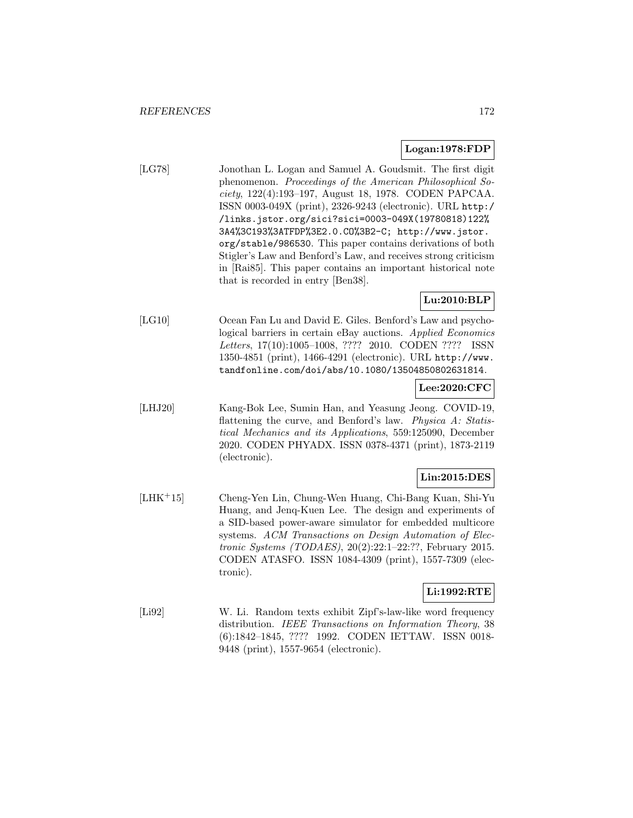### **Logan:1978:FDP**

[LG78] Jonothan L. Logan and Samuel A. Goudsmit. The first digit phenomenon. Proceedings of the American Philosophical Society, 122(4):193–197, August 18, 1978. CODEN PAPCAA. ISSN 0003-049X (print), 2326-9243 (electronic). URL http:/ /links.jstor.org/sici?sici=0003-049X(19780818)122% 3A4%3C193%3ATFDP%3E2.0.CO%3B2-C; http://www.jstor. org/stable/986530. This paper contains derivations of both Stigler's Law and Benford's Law, and receives strong criticism in [Rai85]. This paper contains an important historical note that is recorded in entry [Ben38].

# **Lu:2010:BLP**

[LG10] Ocean Fan Lu and David E. Giles. Benford's Law and psychological barriers in certain eBay auctions. Applied Economics Letters, 17(10):1005–1008, ???? 2010. CODEN ???? ISSN 1350-4851 (print), 1466-4291 (electronic). URL http://www. tandfonline.com/doi/abs/10.1080/13504850802631814.

### **Lee:2020:CFC**

[LHJ20] Kang-Bok Lee, Sumin Han, and Yeasung Jeong. COVID-19, flattening the curve, and Benford's law. Physica A: Statistical Mechanics and its Applications, 559:125090, December 2020. CODEN PHYADX. ISSN 0378-4371 (print), 1873-2119 (electronic).

### **Lin:2015:DES**

[LHK<sup>+</sup>15] Cheng-Yen Lin, Chung-Wen Huang, Chi-Bang Kuan, Shi-Yu Huang, and Jenq-Kuen Lee. The design and experiments of a SID-based power-aware simulator for embedded multicore systems. ACM Transactions on Design Automation of Electronic Systems (TODAES), 20(2):22:1–22:??, February 2015. CODEN ATASFO. ISSN 1084-4309 (print), 1557-7309 (electronic).

# **Li:1992:RTE**

[Li92] W. Li. Random texts exhibit Zipf's-law-like word frequency distribution. IEEE Transactions on Information Theory, 38 (6):1842–1845, ???? 1992. CODEN IETTAW. ISSN 0018- 9448 (print), 1557-9654 (electronic).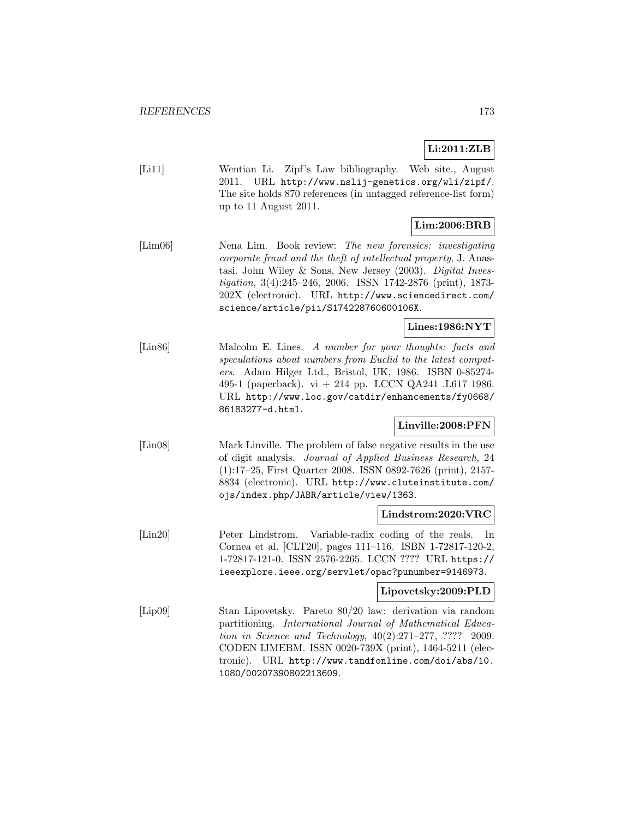# **Li:2011:ZLB**

[Li11] Wentian Li. Zipf's Law bibliography. Web site., August 2011. URL http://www.nslij-genetics.org/wli/zipf/. The site holds 870 references (in untagged reference-list form) up to 11 August 2011.

### **Lim:2006:BRB**

[Lim06] Nena Lim. Book review: The new forensics: investigating corporate fraud and the theft of intellectual property, J. Anastasi. John Wiley & Sons, New Jersey (2003). Digital Investigation, 3(4):245–246, 2006. ISSN 1742-2876 (print), 1873- 202X (electronic). URL http://www.sciencedirect.com/ science/article/pii/S174228760600106X.

# **Lines:1986:NYT**

[Lin86] Malcolm E. Lines. A number for your thoughts: facts and speculations about numbers from Euclid to the latest computers. Adam Hilger Ltd., Bristol, UK, 1986. ISBN 0-85274- 495-1 (paperback). vi + 214 pp. LCCN QA241 .L617 1986. URL http://www.loc.gov/catdir/enhancements/fy0668/ 86183277-d.html.

### **Linville:2008:PFN**

[Lin08] Mark Linville. The problem of false negative results in the use of digit analysis. Journal of Applied Business Research, 24 (1):17–25, First Quarter 2008. ISSN 0892-7626 (print), 2157- 8834 (electronic). URL http://www.cluteinstitute.com/ ojs/index.php/JABR/article/view/1363.

### **Lindstrom:2020:VRC**

[Lin20] Peter Lindstrom. Variable-radix coding of the reals. In Cornea et al. [CLT20], pages 111–116. ISBN 1-72817-120-2, 1-72817-121-0. ISSN 2576-2265. LCCN ???? URL https:// ieeexplore.ieee.org/servlet/opac?punumber=9146973.

### **Lipovetsky:2009:PLD**

[Lip09] Stan Lipovetsky. Pareto 80/20 law: derivation via random partitioning. International Journal of Mathematical Education in Science and Technology, 40(2):271–277, ???? 2009. CODEN IJMEBM. ISSN 0020-739X (print), 1464-5211 (electronic). URL http://www.tandfonline.com/doi/abs/10. 1080/00207390802213609.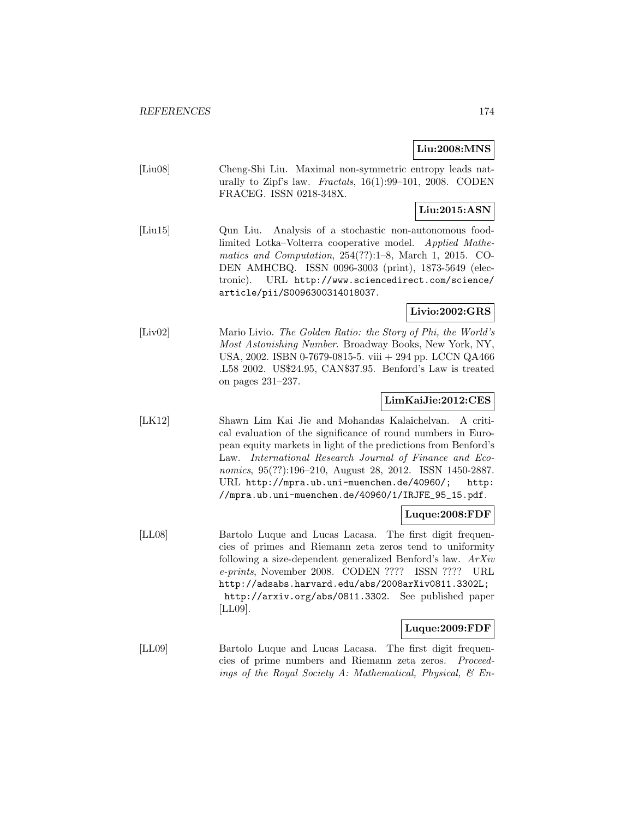# **Liu:2008:MNS**

[Liu08] Cheng-Shi Liu. Maximal non-symmetric entropy leads naturally to Zipf's law. Fractals,  $16(1):99-101$ ,  $2008$ . CODEN FRACEG. ISSN 0218-348X.

# **Liu:2015:ASN**

[Liu15] Qun Liu. Analysis of a stochastic non-autonomous foodlimited Lotka–Volterra cooperative model. Applied Mathematics and Computation, 254(??):1–8, March 1, 2015. CO-DEN AMHCBQ. ISSN 0096-3003 (print), 1873-5649 (electronic). URL http://www.sciencedirect.com/science/ article/pii/S0096300314018037.

# **Livio:2002:GRS**

[Liv02] Mario Livio. The Golden Ratio: the Story of Phi, the World's Most Astonishing Number. Broadway Books, New York, NY, USA, 2002. ISBN 0-7679-0815-5. viii + 294 pp. LCCN QA466 .L58 2002. US\$24.95, CAN\$37.95. Benford's Law is treated on pages 231–237.

### **LimKaiJie:2012:CES**

[LK12] Shawn Lim Kai Jie and Mohandas Kalaichelvan. A critical evaluation of the significance of round numbers in European equity markets in light of the predictions from Benford's Law. International Research Journal of Finance and Economics, 95(??):196–210, August 28, 2012. ISSN 1450-2887. URL http://mpra.ub.uni-muenchen.de/40960/; http: //mpra.ub.uni-muenchen.de/40960/1/IRJFE\_95\_15.pdf.

### **Luque:2008:FDF**

[LL08] Bartolo Luque and Lucas Lacasa. The first digit frequencies of primes and Riemann zeta zeros tend to uniformity following a size-dependent generalized Benford's law. ArXiv e-prints, November 2008. CODEN ???? ISSN ???? URL http://adsabs.harvard.edu/abs/2008arXiv0811.3302L; http://arxiv.org/abs/0811.3302. See published paper [LL09].

#### **Luque:2009:FDF**

[LL09] Bartolo Luque and Lucas Lacasa. The first digit frequencies of prime numbers and Riemann zeta zeros. Proceedings of the Royal Society A: Mathematical, Physical, & En-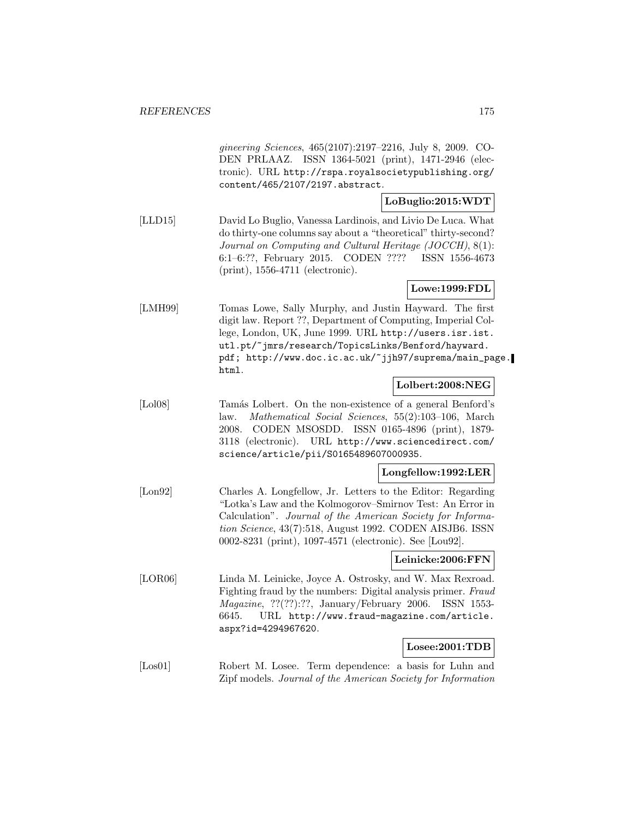gineering Sciences, 465(2107):2197–2216, July 8, 2009. CO-DEN PRLAAZ. ISSN 1364-5021 (print), 1471-2946 (electronic). URL http://rspa.royalsocietypublishing.org/ content/465/2107/2197.abstract.

### **LoBuglio:2015:WDT**

[LLD15] David Lo Buglio, Vanessa Lardinois, and Livio De Luca. What do thirty-one columns say about a "theoretical" thirty-second? Journal on Computing and Cultural Heritage (JOCCH), 8(1): 6:1–6:??, February 2015. CODEN ???? ISSN 1556-4673 (print), 1556-4711 (electronic).

### **Lowe:1999:FDL**

[LMH99] Tomas Lowe, Sally Murphy, and Justin Hayward. The first digit law. Report ??, Department of Computing, Imperial College, London, UK, June 1999. URL http://users.isr.ist. utl.pt/~jmrs/research/TopicsLinks/Benford/hayward. pdf; http://www.doc.ic.ac.uk/~jjh97/suprema/main\_page. html.

### **Lolbert:2008:NEG**

[Lol08] Tamás Lolbert. On the non-existence of a general Benford's law. Mathematical Social Sciences, 55(2):103–106, March 2008. CODEN MSOSDD. ISSN 0165-4896 (print), 1879- 3118 (electronic). URL http://www.sciencedirect.com/ science/article/pii/S0165489607000935.

#### **Longfellow:1992:LER**

[Lon92] Charles A. Longfellow, Jr. Letters to the Editor: Regarding "Lotka's Law and the Kolmogorov–Smirnov Test: An Error in Calculation". Journal of the American Society for Information Science, 43(7):518, August 1992. CODEN AISJB6. ISSN 0002-8231 (print), 1097-4571 (electronic). See [Lou92].

### **Leinicke:2006:FFN**

[LOR06] Linda M. Leinicke, Joyce A. Ostrosky, and W. Max Rexroad. Fighting fraud by the numbers: Digital analysis primer. Fraud Magazine, ??(??):??, January/February 2006. ISSN 1553- 6645. URL http://www.fraud-magazine.com/article. aspx?id=4294967620.

### **Losee:2001:TDB**

[Los01] Robert M. Losee. Term dependence: a basis for Luhn and Zipf models. Journal of the American Society for Information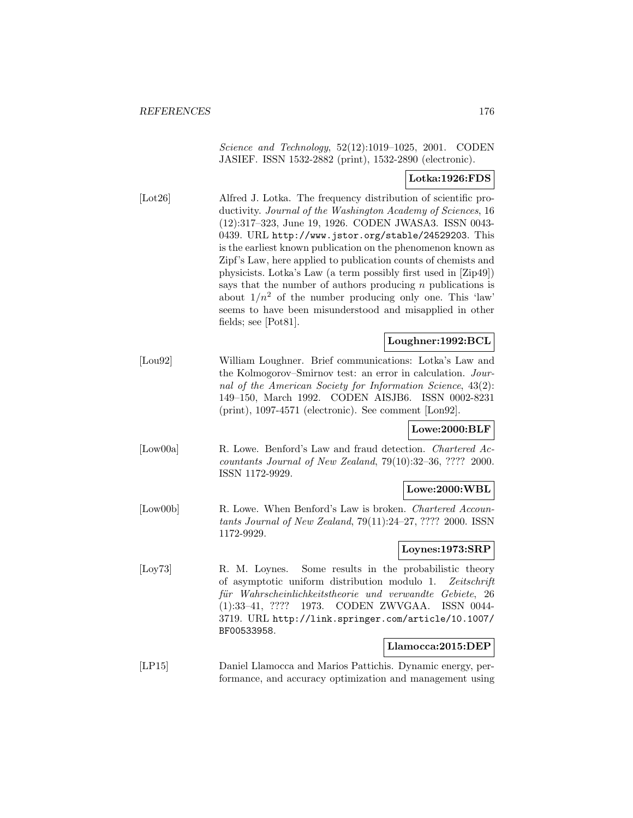Science and Technology, 52(12):1019–1025, 2001. CODEN JASIEF. ISSN 1532-2882 (print), 1532-2890 (electronic).

### **Lotka:1926:FDS**

[Lot26] Alfred J. Lotka. The frequency distribution of scientific productivity. Journal of the Washington Academy of Sciences, 16 (12):317–323, June 19, 1926. CODEN JWASA3. ISSN 0043- 0439. URL http://www.jstor.org/stable/24529203. This is the earliest known publication on the phenomenon known as Zipf's Law, here applied to publication counts of chemists and physicists. Lotka's Law (a term possibly first used in [Zip49]) says that the number of authors producing  $n$  publications is about  $1/n^2$  of the number producing only one. This 'law' seems to have been misunderstood and misapplied in other fields; see [Pot81].

### **Loughner:1992:BCL**

[Lou92] William Loughner. Brief communications: Lotka's Law and the Kolmogorov–Smirnov test: an error in calculation. Journal of the American Society for Information Science, 43(2): 149–150, March 1992. CODEN AISJB6. ISSN 0002-8231 (print), 1097-4571 (electronic). See comment [Lon92].

#### **Lowe:2000:BLF**

[Low00a] R. Lowe. Benford's Law and fraud detection. Chartered Accountants Journal of New Zealand, 79(10):32–36, ???? 2000. ISSN 1172-9929.

### **Lowe:2000:WBL**

[Low00b] R. Lowe. When Benford's Law is broken. Chartered Accountants Journal of New Zealand, 79(11):24–27, ???? 2000. ISSN 1172-9929.

### **Loynes:1973:SRP**

[Loy73] R. M. Loynes. Some results in the probabilistic theory of asymptotic uniform distribution modulo 1. Zeitschrift für Wahrscheinlichkeitstheorie und verwandte Gebiete, 26 (1):33–41, ???? 1973. CODEN ZWVGAA. ISSN 0044- 3719. URL http://link.springer.com/article/10.1007/ BF00533958.

### **Llamocca:2015:DEP**

[LP15] Daniel Llamocca and Marios Pattichis. Dynamic energy, performance, and accuracy optimization and management using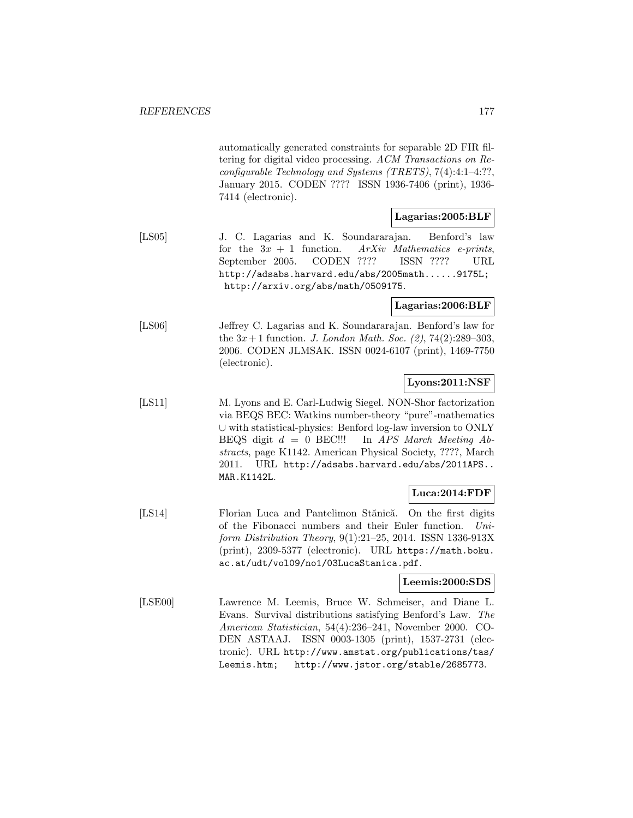automatically generated constraints for separable 2D FIR filtering for digital video processing. ACM Transactions on Reconfigurable Technology and Systems (TRETS), 7(4):4:1–4:??, January 2015. CODEN ???? ISSN 1936-7406 (print), 1936- 7414 (electronic).

### **Lagarias:2005:BLF**

[LS05] J. C. Lagarias and K. Soundararajan. Benford's law for the  $3x + 1$  function. ArXiv Mathematics e-prints, September 2005. CODEN ???? ISSN ???? URL http://adsabs.harvard.edu/abs/2005math......9175L; http://arxiv.org/abs/math/0509175.

**Lagarias:2006:BLF**

[LS06] Jeffrey C. Lagarias and K. Soundararajan. Benford's law for the  $3x + 1$  function. *J. London Math. Soc.* (2), 74(2):289–303, 2006. CODEN JLMSAK. ISSN 0024-6107 (print), 1469-7750 (electronic).

## **Lyons:2011:NSF**

[LS11] M. Lyons and E. Carl-Ludwig Siegel. NON-Shor factorization via BEQS BEC: Watkins number-theory "pure"-mathematics ∪ with statistical-physics: Benford log-law inversion to ONLY BEQS digit  $d = 0$  BEC!!! In APS March Meeting Abstracts, page K1142. American Physical Society, ????, March 2011. URL http://adsabs.harvard.edu/abs/2011APS.. MAR.K1142L.

### **Luca:2014:FDF**

[LS14] Florian Luca and Pantelimon Stănică. On the first digits of the Fibonacci numbers and their Euler function. Uniform Distribution Theory, 9(1):21–25, 2014. ISSN 1336-913X (print), 2309-5377 (electronic). URL https://math.boku. ac.at/udt/vol09/no1/03LucaStanica.pdf.

### **Leemis:2000:SDS**

[LSE00] Lawrence M. Leemis, Bruce W. Schmeiser, and Diane L. Evans. Survival distributions satisfying Benford's Law. The American Statistician, 54(4):236–241, November 2000. CO-DEN ASTAAJ. ISSN 0003-1305 (print), 1537-2731 (electronic). URL http://www.amstat.org/publications/tas/ Leemis.htm; http://www.jstor.org/stable/2685773.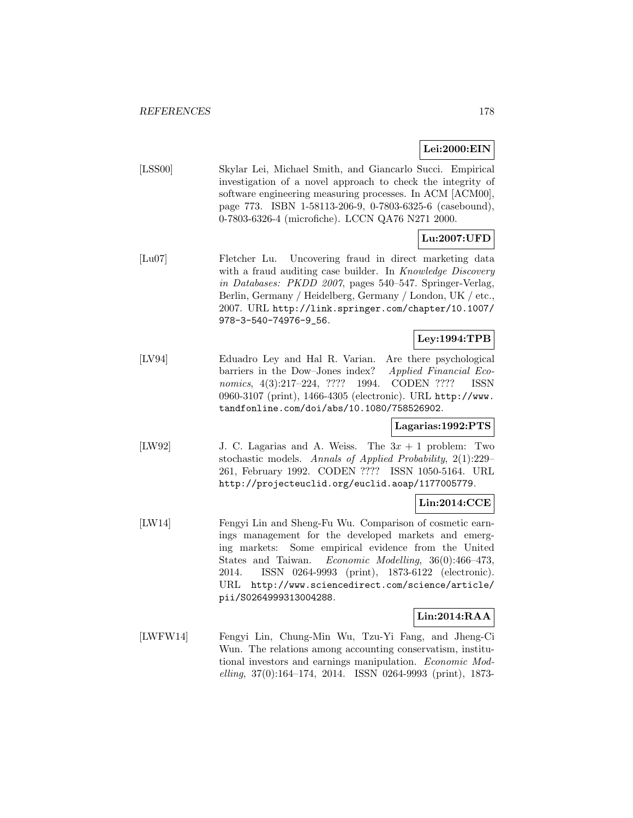### **Lei:2000:EIN**

[LSS00] Skylar Lei, Michael Smith, and Giancarlo Succi. Empirical investigation of a novel approach to check the integrity of software engineering measuring processes. In ACM [ACM00], page 773. ISBN 1-58113-206-9, 0-7803-6325-6 (casebound), 0-7803-6326-4 (microfiche). LCCN QA76 N271 2000.

# **Lu:2007:UFD**

[Lu07] Fletcher Lu. Uncovering fraud in direct marketing data with a fraud auditing case builder. In Knowledge Discovery in Databases: PKDD 2007, pages 540–547. Springer-Verlag, Berlin, Germany / Heidelberg, Germany / London, UK / etc., 2007. URL http://link.springer.com/chapter/10.1007/ 978-3-540-74976-9\_56.

# **Ley:1994:TPB**

[LV94] Eduadro Ley and Hal R. Varian. Are there psychological barriers in the Dow–Jones index? Applied Financial Economics, 4(3):217–224, ???? 1994. CODEN ???? ISSN 0960-3107 (print), 1466-4305 (electronic). URL http://www. tandfonline.com/doi/abs/10.1080/758526902.

### **Lagarias:1992:PTS**

[LW92] J. C. Lagarias and A. Weiss. The 3x + 1 problem: Two stochastic models. Annals of Applied Probability, 2(1):229– 261, February 1992. CODEN ???? ISSN 1050-5164. URL http://projecteuclid.org/euclid.aoap/1177005779.

### **Lin:2014:CCE**

[LW14] Fengyi Lin and Sheng-Fu Wu. Comparison of cosmetic earnings management for the developed markets and emerging markets: Some empirical evidence from the United States and Taiwan. Economic Modelling, 36(0):466–473, 2014. ISSN 0264-9993 (print), 1873-6122 (electronic). URL http://www.sciencedirect.com/science/article/ pii/S0264999313004288.

### **Lin:2014:RAA**

[LWFW14] Fengyi Lin, Chung-Min Wu, Tzu-Yi Fang, and Jheng-Ci Wun. The relations among accounting conservatism, institutional investors and earnings manipulation. Economic Modelling, 37(0):164–174, 2014. ISSN 0264-9993 (print), 1873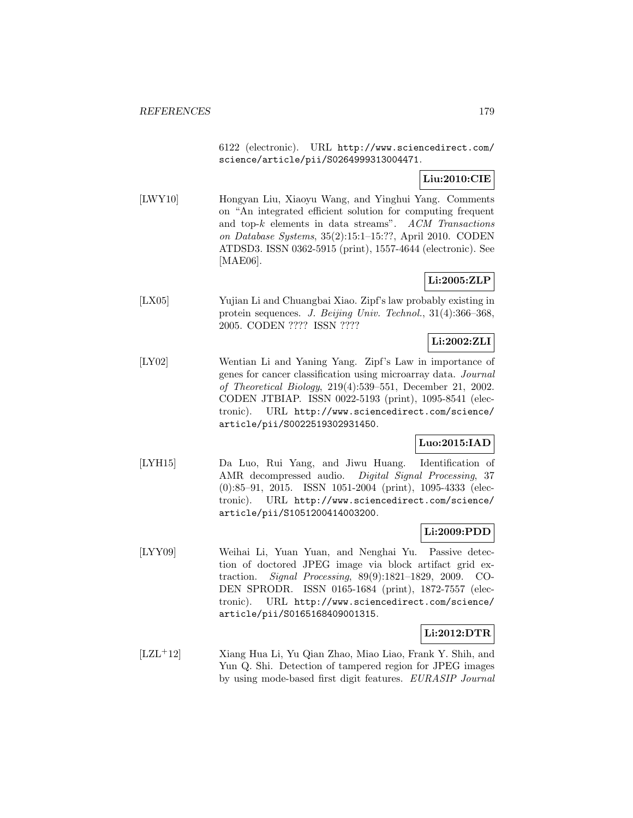6122 (electronic). URL http://www.sciencedirect.com/ science/article/pii/S0264999313004471.

# **Liu:2010:CIE**

[LWY10] Hongyan Liu, Xiaoyu Wang, and Yinghui Yang. Comments on "An integrated efficient solution for computing frequent and top-k elements in data streams". ACM Transactions on Database Systems, 35(2):15:1–15:??, April 2010. CODEN ATDSD3. ISSN 0362-5915 (print), 1557-4644 (electronic). See [MAE06].

# **Li:2005:ZLP**

[LX05] Yujian Li and Chuangbai Xiao. Zipf's law probably existing in protein sequences. J. Beijing Univ. Technol., 31(4):366–368, 2005. CODEN ???? ISSN ????

# **Li:2002:ZLI**

[LY02] Wentian Li and Yaning Yang. Zipf's Law in importance of genes for cancer classification using microarray data. Journal of Theoretical Biology, 219(4):539–551, December 21, 2002. CODEN JTBIAP. ISSN 0022-5193 (print), 1095-8541 (electronic). URL http://www.sciencedirect.com/science/ article/pii/S0022519302931450.

### **Luo:2015:IAD**

[LYH15] Da Luo, Rui Yang, and Jiwu Huang. Identification of AMR decompressed audio. Digital Signal Processing, 37 (0):85–91, 2015. ISSN 1051-2004 (print), 1095-4333 (electronic). URL http://www.sciencedirect.com/science/ article/pii/S1051200414003200.

### **Li:2009:PDD**

[LYY09] Weihai Li, Yuan Yuan, and Nenghai Yu. Passive detection of doctored JPEG image via block artifact grid extraction. Signal Processing, 89(9):1821–1829, 2009. CO-DEN SPRODR. ISSN 0165-1684 (print), 1872-7557 (electronic). URL http://www.sciencedirect.com/science/ article/pii/S0165168409001315.

### **Li:2012:DTR**

[LZL<sup>+</sup>12] Xiang Hua Li, Yu Qian Zhao, Miao Liao, Frank Y. Shih, and Yun Q. Shi. Detection of tampered region for JPEG images by using mode-based first digit features. EURASIP Journal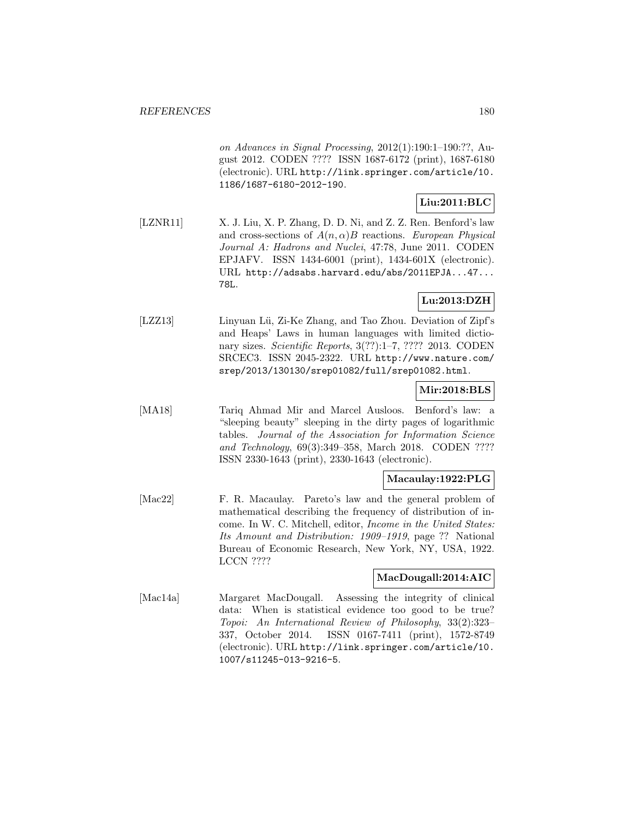on Advances in Signal Processing, 2012(1):190:1–190:??, August 2012. CODEN ???? ISSN 1687-6172 (print), 1687-6180 (electronic). URL http://link.springer.com/article/10. 1186/1687-6180-2012-190.

# **Liu:2011:BLC**

[LZNR11] X. J. Liu, X. P. Zhang, D. D. Ni, and Z. Z. Ren. Benford's law and cross-sections of  $A(n, \alpha)B$  reactions. European Physical Journal A: Hadrons and Nuclei, 47:78, June 2011. CODEN EPJAFV. ISSN 1434-6001 (print), 1434-601X (electronic). URL http://adsabs.harvard.edu/abs/2011EPJA...47... 78L.

# **Lu:2013:DZH**

[LZZ13] Linyuan Lü, Zi-Ke Zhang, and Tao Zhou. Deviation of Zipf's and Heaps' Laws in human languages with limited dictionary sizes. Scientific Reports, 3(??):1-7, ???? 2013. CODEN SRCEC3. ISSN 2045-2322. URL http://www.nature.com/ srep/2013/130130/srep01082/full/srep01082.html.

### **Mir:2018:BLS**

[MA18] Tariq Ahmad Mir and Marcel Ausloos. Benford's law: a "sleeping beauty" sleeping in the dirty pages of logarithmic tables. Journal of the Association for Information Science and Technology, 69(3):349–358, March 2018. CODEN ???? ISSN 2330-1643 (print), 2330-1643 (electronic).

### **Macaulay:1922:PLG**

[Mac22] F. R. Macaulay. Pareto's law and the general problem of mathematical describing the frequency of distribution of income. In W. C. Mitchell, editor, Income in the United States: Its Amount and Distribution: 1909–1919, page ?? National Bureau of Economic Research, New York, NY, USA, 1922. LCCN ????

### **MacDougall:2014:AIC**

[Mac14a] Margaret MacDougall. Assessing the integrity of clinical data: When is statistical evidence too good to be true? Topoi: An International Review of Philosophy, 33(2):323– 337, October 2014. ISSN 0167-7411 (print), 1572-8749 (electronic). URL http://link.springer.com/article/10. 1007/s11245-013-9216-5.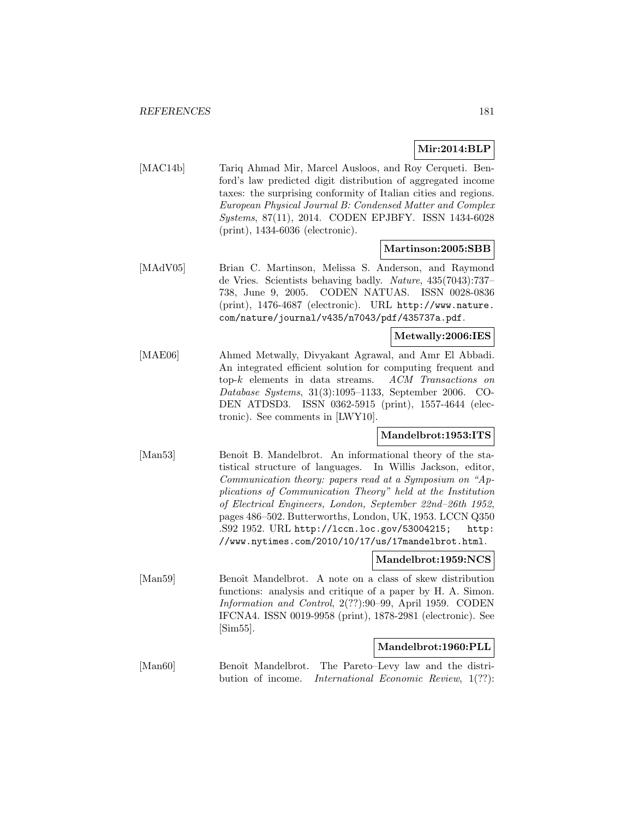# **Mir:2014:BLP**

[MAC14b] Tariq Ahmad Mir, Marcel Ausloos, and Roy Cerqueti. Benford's law predicted digit distribution of aggregated income taxes: the surprising conformity of Italian cities and regions. European Physical Journal B: Condensed Matter and Complex Systems, 87(11), 2014. CODEN EPJBFY. ISSN 1434-6028 (print), 1434-6036 (electronic).

# **Martinson:2005:SBB**

[MAdV05] Brian C. Martinson, Melissa S. Anderson, and Raymond de Vries. Scientists behaving badly. Nature, 435(7043):737– 738, June 9, 2005. CODEN NATUAS. ISSN 0028-0836 (print), 1476-4687 (electronic). URL http://www.nature. com/nature/journal/v435/n7043/pdf/435737a.pdf.

# **Metwally:2006:IES**

[MAE06] Ahmed Metwally, Divyakant Agrawal, and Amr El Abbadi. An integrated efficient solution for computing frequent and top-k elements in data streams. ACM Transactions on Database Systems, 31(3):1095–1133, September 2006. CO-DEN ATDSD3. ISSN 0362-5915 (print), 1557-4644 (electronic). See comments in [LWY10].

# **Mandelbrot:1953:ITS**

[Man53] Benoît B. Mandelbrot. An informational theory of the statistical structure of languages. In Willis Jackson, editor, Communication theory: papers read at a Symposium on "Applications of Communication Theory" held at the Institution of Electrical Engineers, London, September 22nd–26th 1952, pages 486–502. Butterworths, London, UK, 1953. LCCN Q350 .S92 1952. URL http://lccn.loc.gov/53004215; http: //www.nytimes.com/2010/10/17/us/17mandelbrot.html.

# **Mandelbrot:1959:NCS**

[Man59] Benoît Mandelbrot. A note on a class of skew distribution functions: analysis and critique of a paper by H. A. Simon. Information and Control, 2(??):90–99, April 1959. CODEN IFCNA4. ISSN 0019-9958 (print), 1878-2981 (electronic). See [Sim55].

# **Mandelbrot:1960:PLL**

[Man60] Benoît Mandelbrot. The Pareto–Levy law and the distribution of income. International Economic Review, 1(??):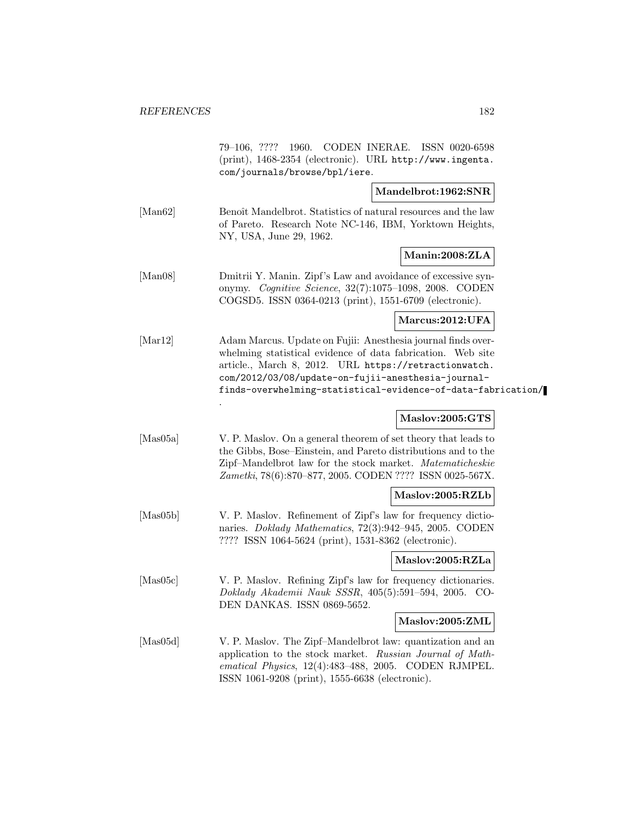|          | 79-106, ???? 1960. CODEN INERAE. ISSN 0020-6598<br>(print), 1468-2354 (electronic). URL http://www.ingenta.<br>com/journals/browse/bpl/iere.                                                                                                                                                               |                     |  |
|----------|------------------------------------------------------------------------------------------------------------------------------------------------------------------------------------------------------------------------------------------------------------------------------------------------------------|---------------------|--|
|          |                                                                                                                                                                                                                                                                                                            | Mandelbrot:1962:SNR |  |
| [Man62]  | Benoît Mandelbrot. Statistics of natural resources and the law<br>of Pareto. Research Note NC-146, IBM, Yorktown Heights,<br>NY, USA, June 29, 1962.                                                                                                                                                       |                     |  |
|          |                                                                                                                                                                                                                                                                                                            | Manin:2008:ZLA      |  |
| [Man08]  | Dmitrii Y. Manin. Zipf's Law and avoidance of excessive syn-<br>onymy. Cognitive Science, 32(7):1075-1098, 2008. CODEN<br>COGSD5. ISSN 0364-0213 (print), 1551-6709 (electronic).                                                                                                                          |                     |  |
|          |                                                                                                                                                                                                                                                                                                            | Marcus:2012:UFA     |  |
| [Mar12]  | Adam Marcus. Update on Fujii: Anesthesia journal finds over-<br>whelming statistical evidence of data fabrication. Web site<br>article., March 8, 2012. URL https://retractionwatch.<br>com/2012/03/08/update-on-fujii-anesthesia-journal-<br>finds-overwhelming-statistical-evidence-of-data-fabrication/ |                     |  |
|          |                                                                                                                                                                                                                                                                                                            | Maslov:2005:GTS     |  |
| [Mas05a] | V. P. Maslov. On a general theorem of set theory that leads to<br>the Gibbs, Bose–Einstein, and Pareto distributions and to the<br>Zipf-Mandelbrot law for the stock market. Matematicheskie<br>Zametki, 78(6):870-877, 2005. CODEN ???? ISSN 0025-567X.                                                   |                     |  |
|          |                                                                                                                                                                                                                                                                                                            | Maslov:2005:RZLb    |  |
| [Mas05b] | V. P. Maslov. Refinement of Zipf's law for frequency dictio-<br>naries. <i>Doklady Mathematics</i> , 72(3):942-945, 2005. CODEN<br>???? ISSN 1064-5624 (print), 1531-8362 (electronic).                                                                                                                    |                     |  |
|          |                                                                                                                                                                                                                                                                                                            | Maslov:2005:RZLa    |  |
| [Mas05c] | V. P. Maslov. Refining Zipf's law for frequency dictionaries.<br>Doklady Akademii Nauk SSSR, 405(5):591-594, 2005. CO-<br>DEN DANKAS. ISSN 0869-5652.                                                                                                                                                      |                     |  |
|          |                                                                                                                                                                                                                                                                                                            | Maslov:2005:ZML     |  |
| [Mas05d] | V. P. Maslov. The Zipf-Mandelbrot law: quantization and an<br>application to the stock market. Russian Journal of Math-<br>ematical Physics, 12(4):483-488, 2005. CODEN RJMPEL.<br>ISSN 1061-9208 (print), 1555-6638 (electronic).                                                                         |                     |  |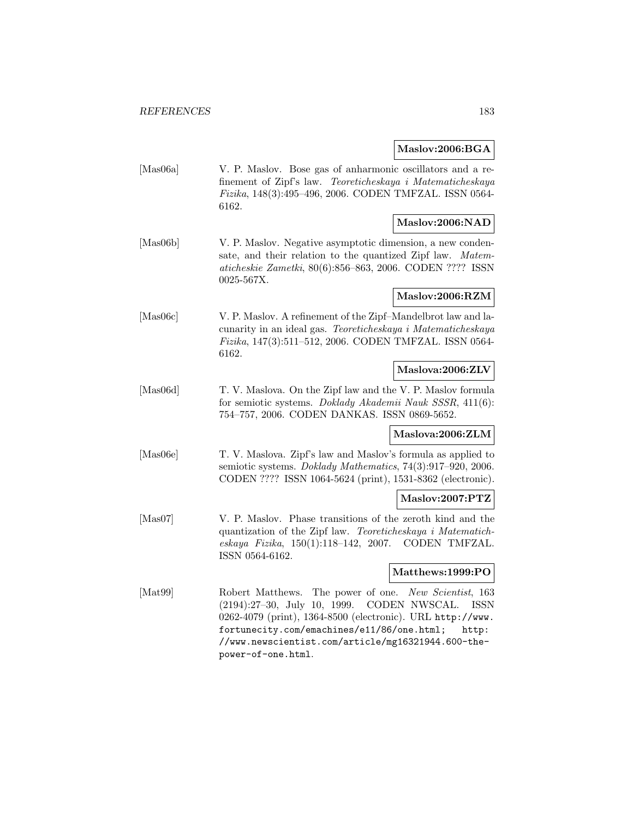#### **Maslov:2006:BGA**

[Mas06a] V. P. Maslov. Bose gas of anharmonic oscillators and a refinement of Zipf's law. Teoreticheskaya i Matematicheskaya Fizika, 148(3):495–496, 2006. CODEN TMFZAL. ISSN 0564- 6162.

# **Maslov:2006:NAD**

[Mas06b] V. P. Maslov. Negative asymptotic dimension, a new condensate, and their relation to the quantized Zipf law. Matematicheskie Zametki, 80(6):856–863, 2006. CODEN ???? ISSN 0025-567X.

# **Maslov:2006:RZM**

[Mas06c] V. P. Maslov. A refinement of the Zipf–Mandelbrot law and lacunarity in an ideal gas. Teoreticheskaya i Matematicheskaya Fizika, 147(3):511–512, 2006. CODEN TMFZAL. ISSN 0564- 6162.

#### **Maslova:2006:ZLV**

[Mas06d] T. V. Maslova. On the Zipf law and the V. P. Maslov formula for semiotic systems. Doklady Akademii Nauk SSSR, 411(6): 754–757, 2006. CODEN DANKAS. ISSN 0869-5652.

# **Maslova:2006:ZLM**

[Mas06e] T. V. Maslova. Zipf's law and Maslov's formula as applied to semiotic systems. Doklady Mathematics, 74(3):917–920, 2006. CODEN ???? ISSN 1064-5624 (print), 1531-8362 (electronic).

# **Maslov:2007:PTZ**

[Mas07] V. P. Maslov. Phase transitions of the zeroth kind and the quantization of the Zipf law. Teoreticheskaya i Matematicheskaya Fizika, 150(1):118–142, 2007. CODEN TMFZAL. ISSN 0564-6162.

#### **Matthews:1999:PO**

[Mat99] Robert Matthews. The power of one. New Scientist, 163 (2194):27–30, July 10, 1999. CODEN NWSCAL. ISSN 0262-4079 (print), 1364-8500 (electronic). URL http://www. fortunecity.com/emachines/e11/86/one.html; http: //www.newscientist.com/article/mg16321944.600-thepower-of-one.html.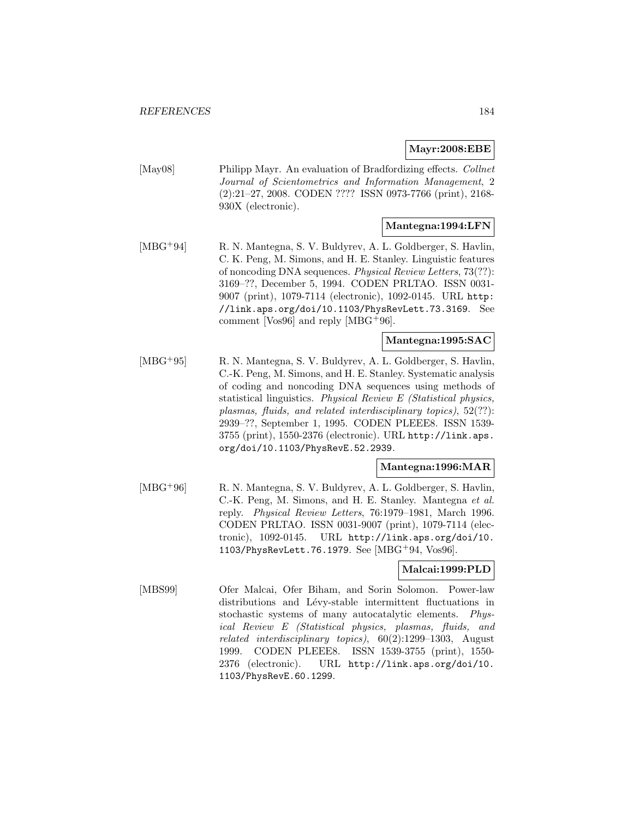# **Mayr:2008:EBE**

[May08] Philipp Mayr. An evaluation of Bradfordizing effects. Collnet Journal of Scientometrics and Information Management, 2 (2):21–27, 2008. CODEN ???? ISSN 0973-7766 (print), 2168- 930X (electronic).

# **Mantegna:1994:LFN**

[MBG<sup>+</sup>94] R. N. Mantegna, S. V. Buldyrev, A. L. Goldberger, S. Havlin, C. K. Peng, M. Simons, and H. E. Stanley. Linguistic features of noncoding DNA sequences. Physical Review Letters, 73(??): 3169–??, December 5, 1994. CODEN PRLTAO. ISSN 0031- 9007 (print), 1079-7114 (electronic), 1092-0145. URL http: //link.aps.org/doi/10.1103/PhysRevLett.73.3169. See comment [Vos96] and reply [MBG<sup>+</sup>96].

# **Mantegna:1995:SAC**

[MBG<sup>+</sup>95] R. N. Mantegna, S. V. Buldyrev, A. L. Goldberger, S. Havlin, C.-K. Peng, M. Simons, and H. E. Stanley. Systematic analysis of coding and noncoding DNA sequences using methods of statistical linguistics. Physical Review E (Statistical physics, plasmas, fluids, and related interdisciplinary topics), 52(??): 2939–??, September 1, 1995. CODEN PLEEE8. ISSN 1539- 3755 (print), 1550-2376 (electronic). URL http://link.aps. org/doi/10.1103/PhysRevE.52.2939.

#### **Mantegna:1996:MAR**

[MBG<sup>+96]</sup> R. N. Mantegna, S. V. Buldyrev, A. L. Goldberger, S. Havlin, C.-K. Peng, M. Simons, and H. E. Stanley. Mantegna et al. reply. Physical Review Letters, 76:1979–1981, March 1996. CODEN PRLTAO. ISSN 0031-9007 (print), 1079-7114 (electronic), 1092-0145. URL http://link.aps.org/doi/10. 1103/PhysRevLett.76.1979. See [MBG<sup>+</sup>94, Vos96].

#### **Malcai:1999:PLD**

[MBS99] Ofer Malcai, Ofer Biham, and Sorin Solomon. Power-law distributions and Lévy-stable intermittent fluctuations in stochastic systems of many autocatalytic elements. Physical Review E (Statistical physics, plasmas, fluids, and related interdisciplinary topics), 60(2):1299–1303, August 1999. CODEN PLEEE8. ISSN 1539-3755 (print), 1550- 2376 (electronic). URL http://link.aps.org/doi/10. 1103/PhysRevE.60.1299.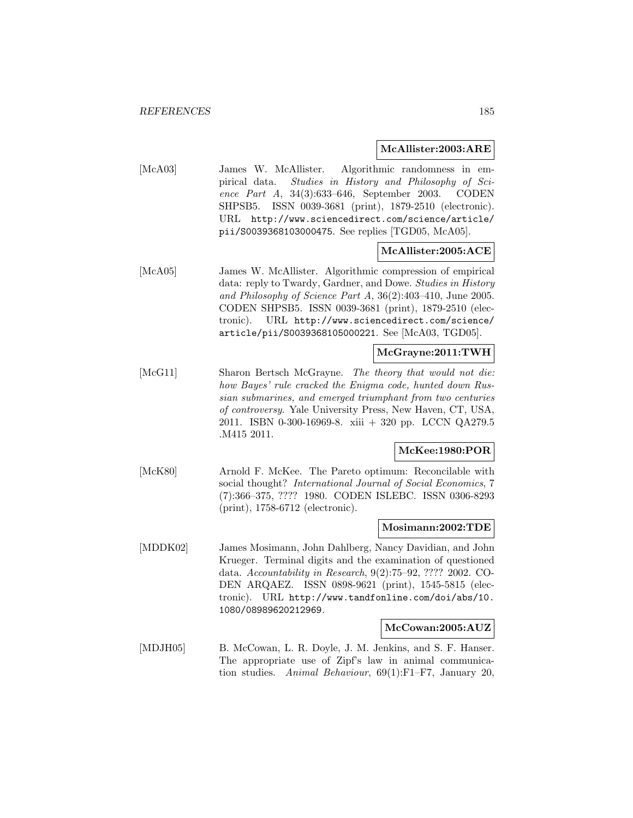#### **McAllister:2003:ARE**

[McA03] James W. McAllister. Algorithmic randomness in empirical data. Studies in History and Philosophy of Science Part A, 34(3):633–646, September 2003. CODEN SHPSB5. ISSN 0039-3681 (print), 1879-2510 (electronic). URL http://www.sciencedirect.com/science/article/ pii/S0039368103000475. See replies [TGD05, McA05].

# **McAllister:2005:ACE**

[McA05] James W. McAllister. Algorithmic compression of empirical data: reply to Twardy, Gardner, and Dowe. Studies in History and Philosophy of Science Part A, 36(2):403–410, June 2005. CODEN SHPSB5. ISSN 0039-3681 (print), 1879-2510 (electronic). URL http://www.sciencedirect.com/science/ article/pii/S0039368105000221. See [McA03, TGD05].

# **McGrayne:2011:TWH**

[McG11] Sharon Bertsch McGrayne. The theory that would not die: how Bayes' rule cracked the Enigma code, hunted down Russian submarines, and emerged triumphant from two centuries of controversy. Yale University Press, New Haven, CT, USA, 2011. ISBN 0-300-16969-8. xiii + 320 pp. LCCN QA279.5 .M415 2011.

# **McKee:1980:POR**

[McK80] Arnold F. McKee. The Pareto optimum: Reconcilable with social thought? International Journal of Social Economics, 7 (7):366–375, ???? 1980. CODEN ISLEBC. ISSN 0306-8293 (print), 1758-6712 (electronic).

# **Mosimann:2002:TDE**

[MDDK02] James Mosimann, John Dahlberg, Nancy Davidian, and John Krueger. Terminal digits and the examination of questioned data. Accountability in Research, 9(2):75–92, ???? 2002. CO-DEN ARQAEZ. ISSN 0898-9621 (print), 1545-5815 (electronic). URL http://www.tandfonline.com/doi/abs/10. 1080/08989620212969.

# **McCowan:2005:AUZ**

[MDJH05] B. McCowan, L. R. Doyle, J. M. Jenkins, and S. F. Hanser. The appropriate use of Zipf's law in animal communication studies. Animal Behaviour, 69(1):F1–F7, January 20,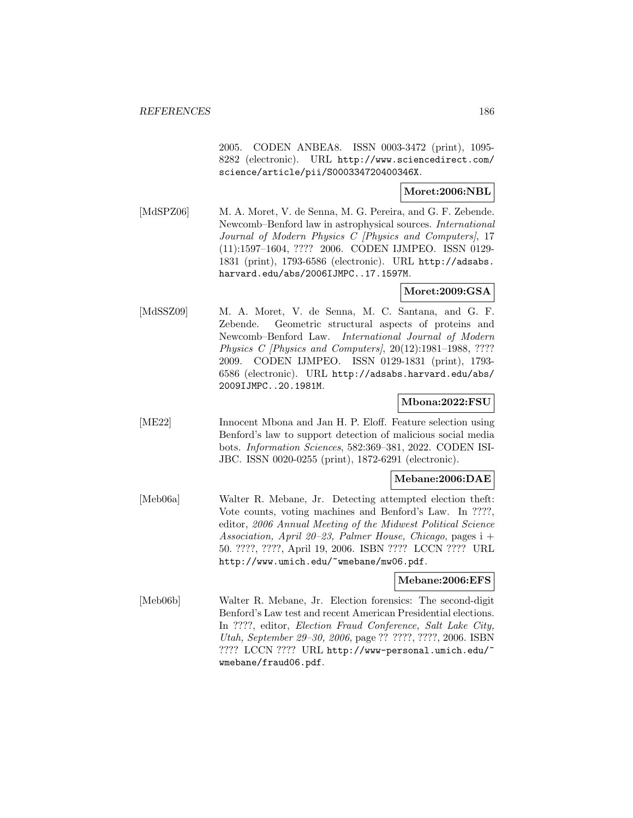2005. CODEN ANBEA8. ISSN 0003-3472 (print), 1095- 8282 (electronic). URL http://www.sciencedirect.com/ science/article/pii/S000334720400346X.

# **Moret:2006:NBL**

[MdSPZ06] M. A. Moret, V. de Senna, M. G. Pereira, and G. F. Zebende. Newcomb–Benford law in astrophysical sources. International Journal of Modern Physics C [Physics and Computers], 17 (11):1597–1604, ???? 2006. CODEN IJMPEO. ISSN 0129- 1831 (print), 1793-6586 (electronic). URL http://adsabs. harvard.edu/abs/2006IJMPC..17.1597M.

# **Moret:2009:GSA**

[MdSSZ09] M. A. Moret, V. de Senna, M. C. Santana, and G. F. Zebende. Geometric structural aspects of proteins and Newcomb–Benford Law. International Journal of Modern Physics C [Physics and Computers], 20(12):1981–1988, ???? 2009. CODEN IJMPEO. ISSN 0129-1831 (print), 1793- 6586 (electronic). URL http://adsabs.harvard.edu/abs/ 2009IJMPC..20.1981M.

# **Mbona:2022:FSU**

[ME22] Innocent Mbona and Jan H. P. Eloff. Feature selection using Benford's law to support detection of malicious social media bots. Information Sciences, 582:369–381, 2022. CODEN ISI-JBC. ISSN 0020-0255 (print), 1872-6291 (electronic).

# **Mebane:2006:DAE**

[Meb06a] Walter R. Mebane, Jr. Detecting attempted election theft: Vote counts, voting machines and Benford's Law. In ????, editor, 2006 Annual Meeting of the Midwest Political Science Association, April 20–23, Palmer House, Chicago, pages i + 50. ????, ????, April 19, 2006. ISBN ???? LCCN ???? URL http://www.umich.edu/~wmebane/mw06.pdf.

# **Mebane:2006:EFS**

[Meb06b] Walter R. Mebane, Jr. Election forensics: The second-digit Benford's Law test and recent American Presidential elections. In ????, editor, Election Fraud Conference, Salt Lake City, Utah, September 29–30, 2006, page ?? ????, ????, 2006. ISBN ???? LCCN ???? URL http://www-personal.umich.edu/~ wmebane/fraud06.pdf.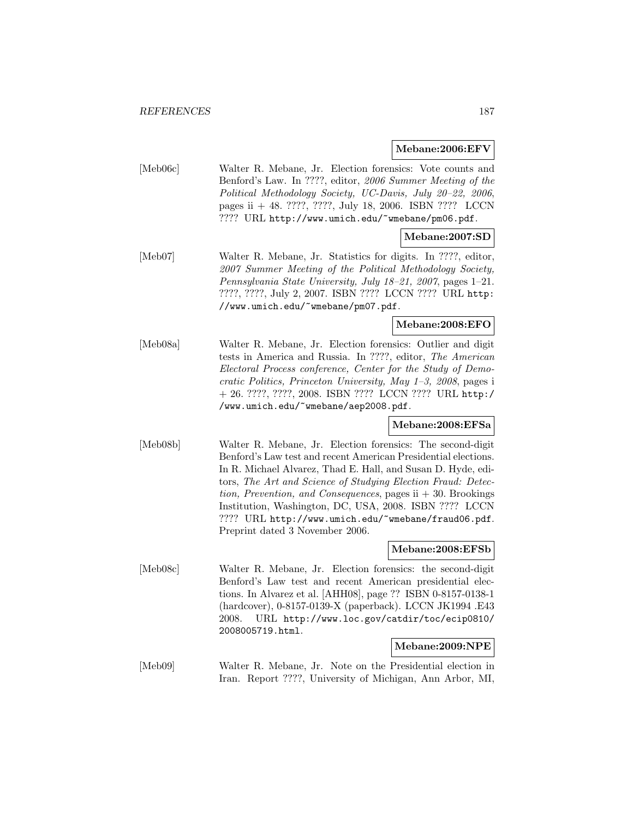**Mebane:2006:EFV**

|          | iviedaile.2000.ET v                                                                                                                                                                                                                                                                                                                                                                                                                                                                |  |
|----------|------------------------------------------------------------------------------------------------------------------------------------------------------------------------------------------------------------------------------------------------------------------------------------------------------------------------------------------------------------------------------------------------------------------------------------------------------------------------------------|--|
| [Meb06c] | Walter R. Mebane, Jr. Election forensics: Vote counts and<br>Benford's Law. In ????, editor, 2006 Summer Meeting of the<br>Political Methodology Society, UC-Davis, July 20-22, 2006,<br>pages ii $+$ 48. ????, ????, July 18, 2006. ISBN ???? LCCN<br>???? URL http://www.umich.edu/~wmebane/pm06.pdf.                                                                                                                                                                            |  |
|          | Mebane:2007:SD                                                                                                                                                                                                                                                                                                                                                                                                                                                                     |  |
| [Meb07]  | Walter R. Mebane, Jr. Statistics for digits. In ????, editor,<br>2007 Summer Meeting of the Political Methodology Society,<br>Pennsylvania State University, July 18-21, 2007, pages 1-21.<br>????, ????, July 2, 2007. ISBN ???? LCCN ???? URL http:<br>//www.umich.edu/~wmebane/pm07.pdf.                                                                                                                                                                                        |  |
|          | Mebane:2008:EFO                                                                                                                                                                                                                                                                                                                                                                                                                                                                    |  |
| [Meb08a] | Walter R. Mebane, Jr. Election forensics: Outlier and digit<br>tests in America and Russia. In ????, editor, The American<br>Electoral Process conference, Center for the Study of Demo-<br>cratic Politics, Princeton University, May 1-3, 2008, pages i<br>+ 26. ????, ????, 2008. ISBN ???? LCCN ???? URL http:/<br>/www.umich.edu/"wmebane/aep2008.pdf.                                                                                                                        |  |
|          | Mebane:2008:EFSa                                                                                                                                                                                                                                                                                                                                                                                                                                                                   |  |
| [Meb08b] | Walter R. Mebane, Jr. Election forensics: The second-digit<br>Benford's Law test and recent American Presidential elections.<br>In R. Michael Alvarez, Thad E. Hall, and Susan D. Hyde, edi-<br>tors, The Art and Science of Studying Election Fraud: Detec-<br>tion, Prevention, and Consequences, pages ii $+30$ . Brookings<br>Institution, Washington, DC, USA, 2008. ISBN ???? LCCN<br>???? URL http://www.umich.edu/~wmebane/fraud06.pdf.<br>Preprint dated 3 November 2006. |  |
|          | Mebane:2008:EFSb                                                                                                                                                                                                                                                                                                                                                                                                                                                                   |  |
| [Meb08c] | Walter R. Mebane, Jr. Election forensics: the second-digit<br>Benford's Law test and recent American presidential elec-<br>tions. In Alvarez et al. [AHH08], page ?? ISBN 0-8157-0138-1<br>(hardcover), 0-8157-0139-X (paperback). LCCN JK1994.E43<br>URL http://www.loc.gov/catdir/toc/ecip0810/<br>2008.<br>2008005719.html.<br>Mebane:2009:NPE                                                                                                                                  |  |
| [Meb09]  | Walter R. Mebane, Jr. Note on the Presidential election in                                                                                                                                                                                                                                                                                                                                                                                                                         |  |
|          | Iran. Report ????, University of Michigan, Ann Arbor, MI,                                                                                                                                                                                                                                                                                                                                                                                                                          |  |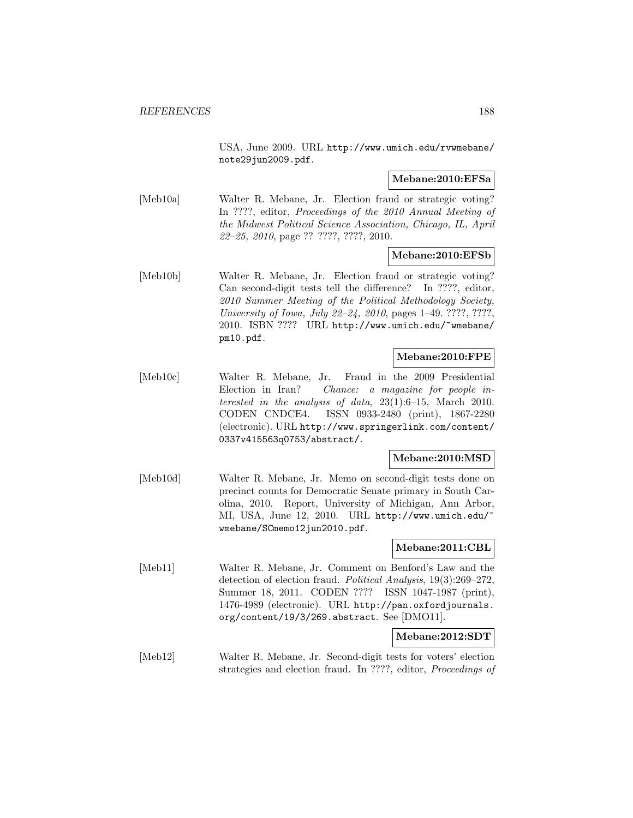USA, June 2009. URL http://www.umich.edu/rvwmebane/ note29jun2009.pdf.

# **Mebane:2010:EFSa**

[Meb10a] Walter R. Mebane, Jr. Election fraud or strategic voting? In ????, editor, Proceedings of the 2010 Annual Meeting of the Midwest Political Science Association, Chicago, IL, April 22–25, 2010, page ?? ????, ????, 2010.

# **Mebane:2010:EFSb**

[Meb10b] Walter R. Mebane, Jr. Election fraud or strategic voting? Can second-digit tests tell the difference? In ????, editor, 2010 Summer Meeting of the Political Methodology Society, University of Iowa, July 22–24, 2010, pages 1–49. ????, ????, 2010. ISBN ???? URL http://www.umich.edu/~wmebane/ pm10.pdf.

# **Mebane:2010:FPE**

[Meb10c] Walter R. Mebane, Jr. Fraud in the 2009 Presidential Election in Iran? Chance: a magazine for people interested in the analysis of data,  $23(1):6-15$ , March 2010. CODEN CNDCE4. ISSN 0933-2480 (print), 1867-2280 (electronic). URL http://www.springerlink.com/content/ 0337v415563q0753/abstract/.

# **Mebane:2010:MSD**

[Meb10d] Walter R. Mebane, Jr. Memo on second-digit tests done on precinct counts for Democratic Senate primary in South Carolina, 2010. Report, University of Michigan, Ann Arbor, MI, USA, June 12, 2010. URL http://www.umich.edu/~ wmebane/SCmemo12jun2010.pdf.

# **Mebane:2011:CBL**

[Meb11] Walter R. Mebane, Jr. Comment on Benford's Law and the detection of election fraud. Political Analysis, 19(3):269–272, Summer 18, 2011. CODEN ???? ISSN 1047-1987 (print), 1476-4989 (electronic). URL http://pan.oxfordjournals. org/content/19/3/269.abstract. See [DMO11].

# **Mebane:2012:SDT**

[Meb12] Walter R. Mebane, Jr. Second-digit tests for voters' election strategies and election fraud. In ????, editor, Proceedings of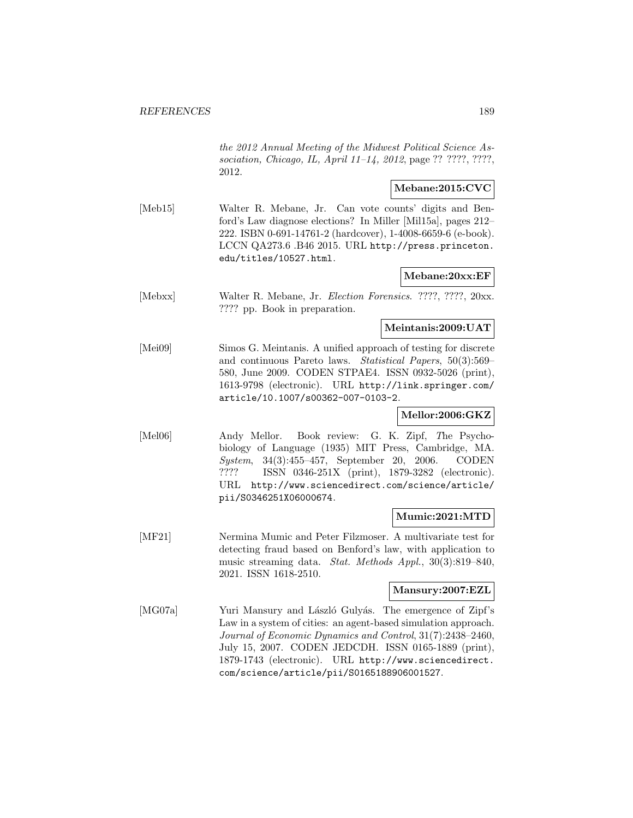the 2012 Annual Meeting of the Midwest Political Science Association, Chicago, IL, April 11–14, 2012, page ?? ????, ????, 2012.

# **Mebane:2015:CVC**

[Meb15] Walter R. Mebane, Jr. Can vote counts' digits and Benford's Law diagnose elections? In Miller [Mil15a], pages 212– 222. ISBN 0-691-14761-2 (hardcover), 1-4008-6659-6 (e-book). LCCN QA273.6 .B46 2015. URL http://press.princeton. edu/titles/10527.html.

# **Mebane:20xx:EF**

[Mebxx] Walter R. Mebane, Jr. Election Forensics. ????, ????, 20xx. ???? pp. Book in preparation.

# **Meintanis:2009:UAT**

[Mei09] Simos G. Meintanis. A unified approach of testing for discrete and continuous Pareto laws. Statistical Papers, 50(3):569– 580, June 2009. CODEN STPAE4. ISSN 0932-5026 (print), 1613-9798 (electronic). URL http://link.springer.com/ article/10.1007/s00362-007-0103-2.

# **Mellor:2006:GKZ**

[Mel06] Andy Mellor. Book review: G. K. Zipf, The Psychobiology of Language (1935) MIT Press, Cambridge, MA. System, 34(3):455–457, September 20, 2006. CODEN ???? ISSN 0346-251X (print), 1879-3282 (electronic). URL http://www.sciencedirect.com/science/article/ pii/S0346251X06000674.

# **Mumic:2021:MTD**

[MF21] Nermina Mumic and Peter Filzmoser. A multivariate test for detecting fraud based on Benford's law, with application to music streaming data. Stat. Methods Appl., 30(3):819–840, 2021. ISSN 1618-2510.

#### **Mansury:2007:EZL**

[MG07a] Yuri Mansury and László Gulyás. The emergence of Zipf's Law in a system of cities: an agent-based simulation approach. Journal of Economic Dynamics and Control, 31(7):2438–2460, July 15, 2007. CODEN JEDCDH. ISSN 0165-1889 (print), 1879-1743 (electronic). URL http://www.sciencedirect. com/science/article/pii/S0165188906001527.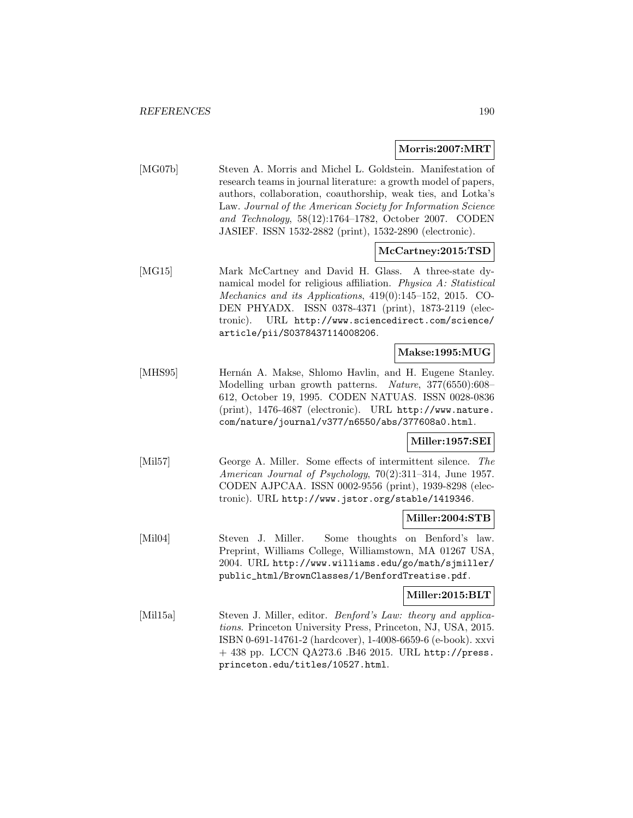#### **Morris:2007:MRT**

[MG07b] Steven A. Morris and Michel L. Goldstein. Manifestation of research teams in journal literature: a growth model of papers, authors, collaboration, coauthorship, weak ties, and Lotka's Law. Journal of the American Society for Information Science and Technology, 58(12):1764–1782, October 2007. CODEN JASIEF. ISSN 1532-2882 (print), 1532-2890 (electronic).

# **McCartney:2015:TSD**

[MG15] Mark McCartney and David H. Glass. A three-state dynamical model for religious affiliation. Physica A: Statistical Mechanics and its Applications, 419(0):145–152, 2015. CO-DEN PHYADX. ISSN 0378-4371 (print), 1873-2119 (electronic). URL http://www.sciencedirect.com/science/ article/pii/S0378437114008206.

#### **Makse:1995:MUG**

[MHS95] Hernán A. Makse, Shlomo Havlin, and H. Eugene Stanley. Modelling urban growth patterns. Nature, 377(6550):608– 612, October 19, 1995. CODEN NATUAS. ISSN 0028-0836 (print), 1476-4687 (electronic). URL http://www.nature. com/nature/journal/v377/n6550/abs/377608a0.html.

# **Miller:1957:SEI**

[Mil57] George A. Miller. Some effects of intermittent silence. The American Journal of Psychology, 70(2):311–314, June 1957. CODEN AJPCAA. ISSN 0002-9556 (print), 1939-8298 (electronic). URL http://www.jstor.org/stable/1419346.

# **Miller:2004:STB**

[Mil04] Steven J. Miller. Some thoughts on Benford's law. Preprint, Williams College, Williamstown, MA 01267 USA, 2004. URL http://www.williams.edu/go/math/sjmiller/ public\_html/BrownClasses/1/BenfordTreatise.pdf.

# **Miller:2015:BLT**

[Mil15a] Steven J. Miller, editor. Benford's Law: theory and applications. Princeton University Press, Princeton, NJ, USA, 2015. ISBN 0-691-14761-2 (hardcover), 1-4008-6659-6 (e-book). xxvi + 438 pp. LCCN QA273.6 .B46 2015. URL http://press. princeton.edu/titles/10527.html.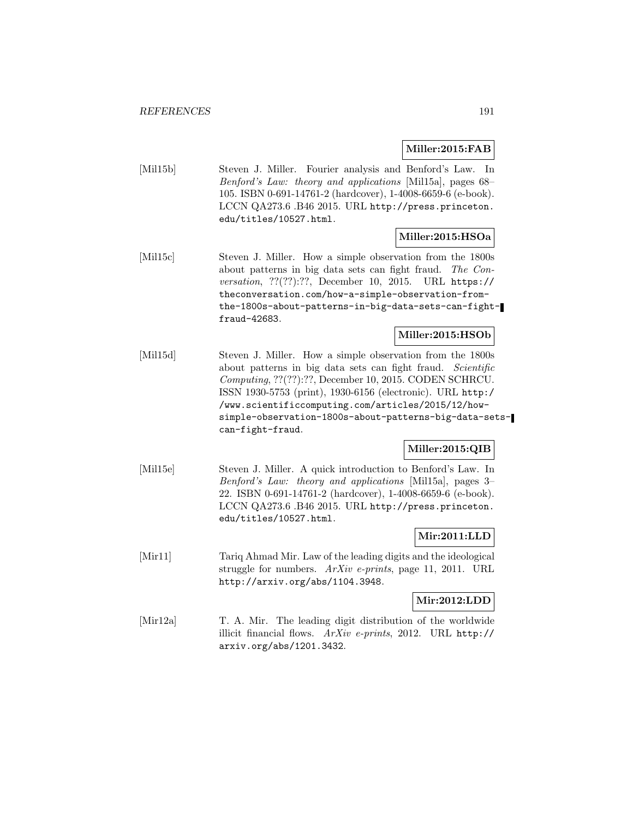#### **Miller:2015:FAB**

[Mil15b] Steven J. Miller. Fourier analysis and Benford's Law. In Benford's Law: theory and applications [Mil15a], pages 68– 105. ISBN 0-691-14761-2 (hardcover), 1-4008-6659-6 (e-book). LCCN QA273.6 .B46 2015. URL http://press.princeton. edu/titles/10527.html.

#### **Miller:2015:HSOa**

[Mil15c] Steven J. Miller. How a simple observation from the 1800s about patterns in big data sets can fight fraud. The Conversation, ??(??):??, December 10, 2015. URL https:// theconversation.com/how-a-simple-observation-fromthe-1800s-about-patterns-in-big-data-sets-can-fightfraud-42683.

# **Miller:2015:HSOb**

[Mil15d] Steven J. Miller. How a simple observation from the 1800s about patterns in big data sets can fight fraud. Scientific Computing, ??(??):??, December 10, 2015. CODEN SCHRCU. ISSN 1930-5753 (print), 1930-6156 (electronic). URL http:/ /www.scientificcomputing.com/articles/2015/12/howsimple-observation-1800s-about-patterns-big-data-setscan-fight-fraud.

# **Miller:2015:QIB**

[Mil15e] Steven J. Miller. A quick introduction to Benford's Law. In Benford's Law: theory and applications [Mil15a], pages 3– 22. ISBN 0-691-14761-2 (hardcover), 1-4008-6659-6 (e-book). LCCN QA273.6 .B46 2015. URL http://press.princeton. edu/titles/10527.html.

# **Mir:2011:LLD**

[Mir11] Tariq Ahmad Mir. Law of the leading digits and the ideological struggle for numbers. ArXiv e-prints, page 11, 2011. URL http://arxiv.org/abs/1104.3948.

#### **Mir:2012:LDD**

[Mir12a] T. A. Mir. The leading digit distribution of the worldwide illicit financial flows. ArXiv e-prints, 2012. URL http:// arxiv.org/abs/1201.3432.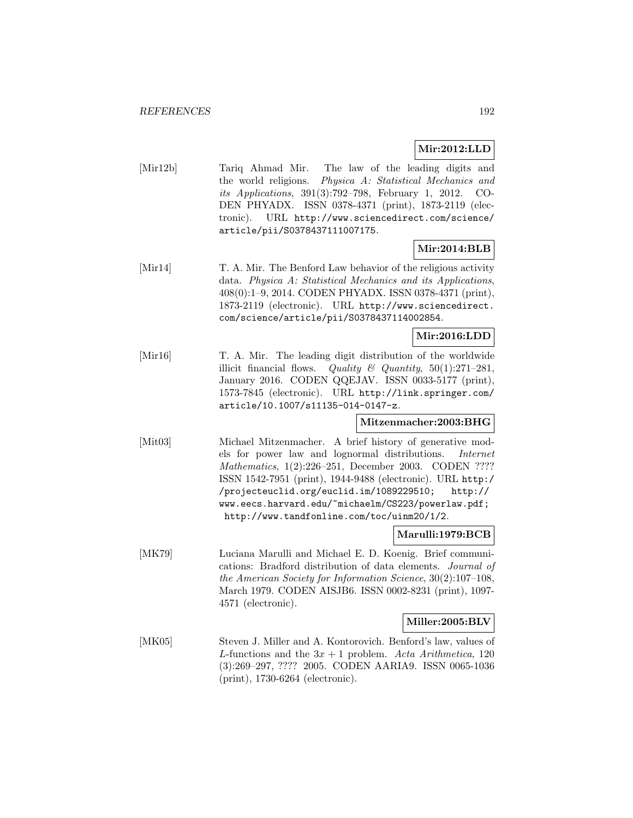# **Mir:2012:LLD**

[Mir12b] Tariq Ahmad Mir. The law of the leading digits and the world religions. Physica A: Statistical Mechanics and its Applications, 391(3):792–798, February 1, 2012. CO-DEN PHYADX. ISSN 0378-4371 (print), 1873-2119 (electronic). URL http://www.sciencedirect.com/science/ article/pii/S0378437111007175.

# **Mir:2014:BLB**

[Mir14] T. A. Mir. The Benford Law behavior of the religious activity data. Physica A: Statistical Mechanics and its Applications, 408(0):1–9, 2014. CODEN PHYADX. ISSN 0378-4371 (print), 1873-2119 (electronic). URL http://www.sciencedirect. com/science/article/pii/S0378437114002854.

# **Mir:2016:LDD**

[Mir16] T. A. Mir. The leading digit distribution of the worldwide illicit financial flows. Quality  $\mathcal{C}$  Quantity, 50(1):271-281, January 2016. CODEN QQEJAV. ISSN 0033-5177 (print), 1573-7845 (electronic). URL http://link.springer.com/ article/10.1007/s11135-014-0147-z.

# **Mitzenmacher:2003:BHG**

[Mit03] Michael Mitzenmacher. A brief history of generative models for power law and lognormal distributions. Internet Mathematics, 1(2):226–251, December 2003. CODEN ???? ISSN 1542-7951 (print), 1944-9488 (electronic). URL http:/ /projecteuclid.org/euclid.im/1089229510; http:// www.eecs.harvard.edu/~michaelm/CS223/powerlaw.pdf; http://www.tandfonline.com/toc/uinm20/1/2.

# **Marulli:1979:BCB**

[MK79] Luciana Marulli and Michael E. D. Koenig. Brief communications: Bradford distribution of data elements. Journal of the American Society for Information Science, 30(2):107–108, March 1979. CODEN AISJB6. ISSN 0002-8231 (print), 1097- 4571 (electronic).

# **Miller:2005:BLV**

[MK05] Steven J. Miller and A. Kontorovich. Benford's law, values of L-functions and the  $3x + 1$  problem. Acta Arithmetica, 120 (3):269–297, ???? 2005. CODEN AARIA9. ISSN 0065-1036 (print), 1730-6264 (electronic).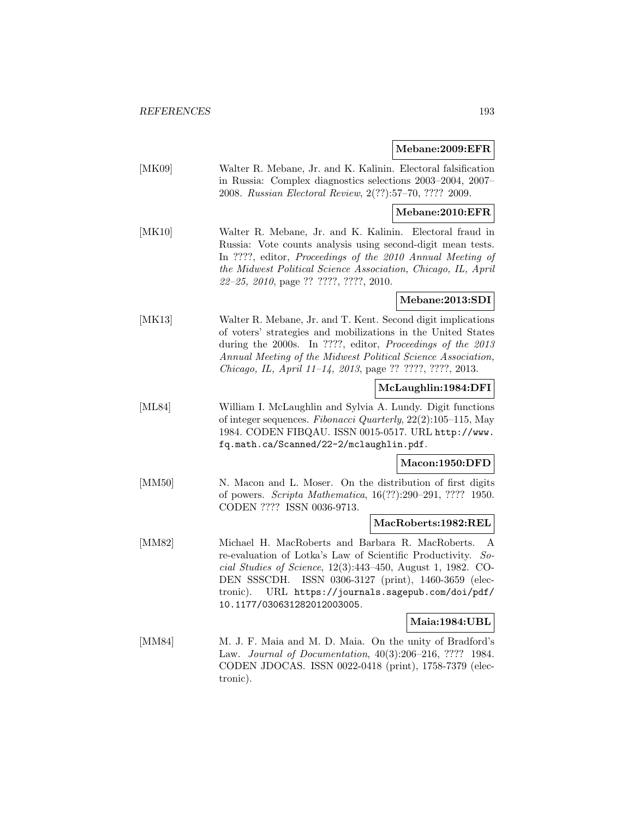# **Mebane:2009:EFR**

|        | 100000000000011                                                                                                                                                                                                                                                                                                                                 |  |
|--------|-------------------------------------------------------------------------------------------------------------------------------------------------------------------------------------------------------------------------------------------------------------------------------------------------------------------------------------------------|--|
| [MK09] | Walter R. Mebane, Jr. and K. Kalinin. Electoral falsification<br>in Russia: Complex diagnostics selections 2003-2004, 2007-<br>2008. Russian Electoral Review, 2(??):57-70, ???? 2009.                                                                                                                                                          |  |
|        | Mebane:2010:EFR                                                                                                                                                                                                                                                                                                                                 |  |
| [MK10] | Walter R. Mebane, Jr. and K. Kalinin. Electoral fraud in<br>Russia: Vote counts analysis using second-digit mean tests.<br>In ????, editor, Proceedings of the 2010 Annual Meeting of<br>the Midwest Political Science Association, Chicago, IL, April<br>22-25, 2010, page ?? ????, ????, 2010.                                                |  |
|        | Mebane:2013:SDI                                                                                                                                                                                                                                                                                                                                 |  |
| [MK13] | Walter R. Mebane, Jr. and T. Kent. Second digit implications<br>of voters' strategies and mobilizations in the United States<br>during the 2000s. In ????, editor, Proceedings of the 2013<br>Annual Meeting of the Midwest Political Science Association,<br>Chicago, IL, April 11-14, 2013, page ?? ????, ????, 2013.                         |  |
|        | McLaughlin:1984:DFI                                                                                                                                                                                                                                                                                                                             |  |
| [ML84] | William I. McLaughlin and Sylvia A. Lundy. Digit functions<br>of integer sequences. Fibonacci Quarterly, $22(2):105-115$ , May<br>1984. CODEN FIBQAU. ISSN 0015-0517. URL http://www.<br>fq.math.ca/Scanned/22-2/mclaughlin.pdf.                                                                                                                |  |
|        | Macon:1950:DFD                                                                                                                                                                                                                                                                                                                                  |  |
| [MM50] | N. Macon and L. Moser. On the distribution of first digits<br>of powers. Scripta Mathematica, 16(??):290-291, ???? 1950.<br>CODEN ???? ISSN 0036-9713.                                                                                                                                                                                          |  |
|        | MacRoberts:1982:REL                                                                                                                                                                                                                                                                                                                             |  |
| [MM82] | Michael H. MacRoberts and Barbara R. MacRoberts.<br>А<br>re-evaluation of Lotka's Law of Scientific Productivity.<br>$So-$<br>cial Studies of Science, $12(3):443-450$ , August 1, 1982. CO-<br>ISSN 0306-3127 (print), 1460-3659 (elec-<br>DEN SSSCDH.<br>URL https://journals.sagepub.com/doi/pdf/<br>tronic).<br>10.1177/030631282012003005. |  |
|        | Maia:1984:UBL                                                                                                                                                                                                                                                                                                                                   |  |
| [MM84] | M. J. F. Maia and M. D. Maia. On the unity of Bradford's<br>Law. Journal of Documentation, 40(3):206-216, ???? 1984.<br>CODEN JDOCAS. ISSN 0022-0418 (print), 1758-7379 (elec-<br>tronic).                                                                                                                                                      |  |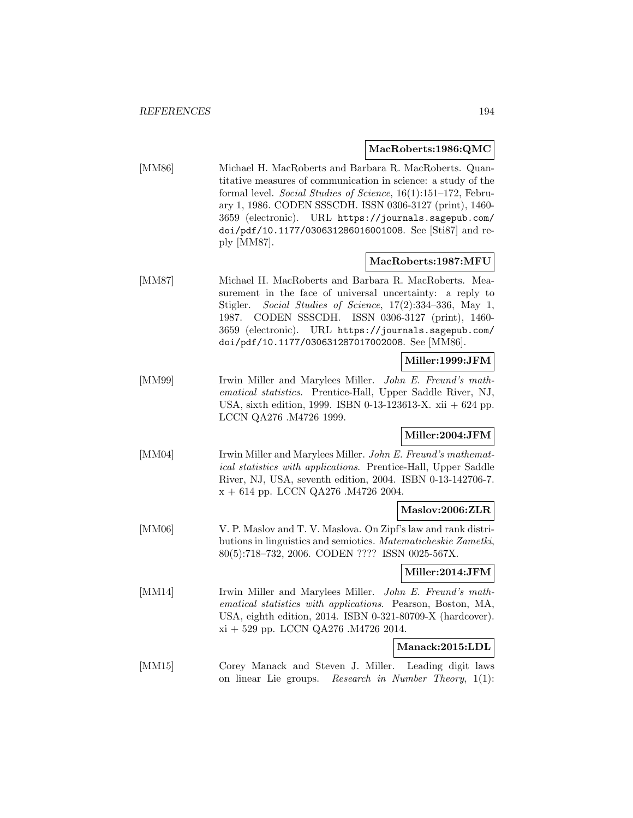#### **MacRoberts:1986:QMC**

[MM86] Michael H. MacRoberts and Barbara R. MacRoberts. Quantitative measures of communication in science: a study of the formal level. Social Studies of Science, 16(1):151–172, February 1, 1986. CODEN SSSCDH. ISSN 0306-3127 (print), 1460- 3659 (electronic). URL https://journals.sagepub.com/ doi/pdf/10.1177/030631286016001008. See [Sti87] and reply [MM87].

# **MacRoberts:1987:MFU**

[MM87] Michael H. MacRoberts and Barbara R. MacRoberts. Measurement in the face of universal uncertainty: a reply to Stigler. Social Studies of Science, 17(2):334–336, May 1, 1987. CODEN SSSCDH. ISSN 0306-3127 (print), 1460- 3659 (electronic). URL https://journals.sagepub.com/ doi/pdf/10.1177/030631287017002008. See [MM86].

# **Miller:1999:JFM**

[MM99] Irwin Miller and Marylees Miller. John E. Freund's mathematical statistics. Prentice-Hall, Upper Saddle River, NJ, USA, sixth edition, 1999. ISBN 0-13-123613-X. xii + 624 pp. LCCN QA276 .M4726 1999.

# **Miller:2004:JFM**

[MM04] Irwin Miller and Marylees Miller. John E. Freund's mathematical statistics with applications. Prentice-Hall, Upper Saddle River, NJ, USA, seventh edition, 2004. ISBN 0-13-142706-7. x + 614 pp. LCCN QA276 .M4726 2004.

# **Maslov:2006:ZLR**

[MM06] V. P. Maslov and T. V. Maslova. On Zipf's law and rank distributions in linguistics and semiotics. Matematicheskie Zametki, 80(5):718–732, 2006. CODEN ???? ISSN 0025-567X.

# **Miller:2014:JFM**

[MM14] Irwin Miller and Marylees Miller. John E. Freund's mathematical statistics with applications. Pearson, Boston, MA, USA, eighth edition, 2014. ISBN 0-321-80709-X (hardcover). xi + 529 pp. LCCN QA276 .M4726 2014.

#### **Manack:2015:LDL**

[MM15] Corey Manack and Steven J. Miller. Leading digit laws on linear Lie groups. Research in Number Theory, 1(1):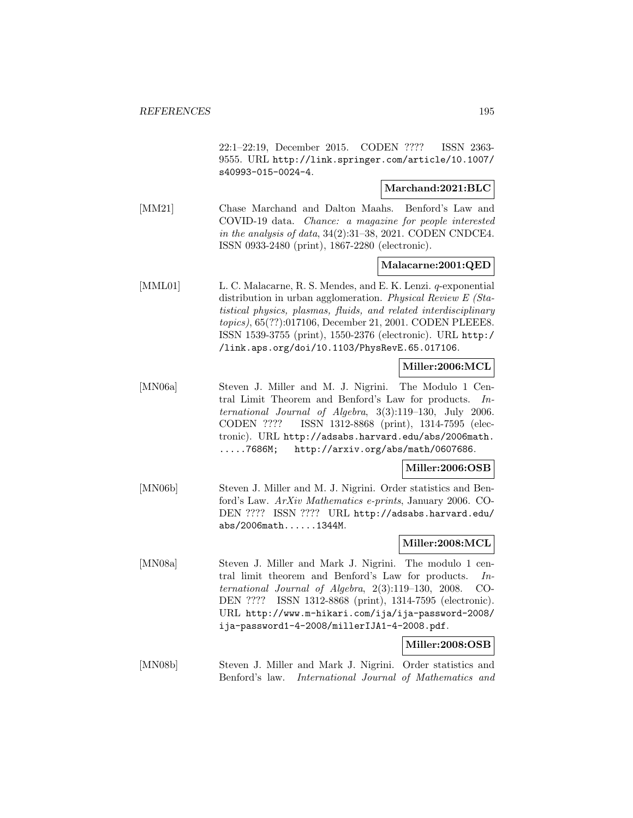22:1–22:19, December 2015. CODEN ???? ISSN 2363- 9555. URL http://link.springer.com/article/10.1007/ s40993-015-0024-4.

# **Marchand:2021:BLC**

[MM21] Chase Marchand and Dalton Maahs. Benford's Law and COVID-19 data. Chance: a magazine for people interested in the analysis of data,  $34(2):31-38$ ,  $2021$ . CODEN CNDCE4. ISSN 0933-2480 (print), 1867-2280 (electronic).

# **Malacarne:2001:QED**

[MML01] L. C. Malacarne, R. S. Mendes, and E. K. Lenzi. q-exponential distribution in urban agglomeration. Physical Review E (Statistical physics, plasmas, fluids, and related interdisciplinary topics), 65(??):017106, December 21, 2001. CODEN PLEEE8. ISSN 1539-3755 (print), 1550-2376 (electronic). URL http:/ /link.aps.org/doi/10.1103/PhysRevE.65.017106.

# **Miller:2006:MCL**

[MN06a] Steven J. Miller and M. J. Nigrini. The Modulo 1 Central Limit Theorem and Benford's Law for products. International Journal of Algebra, 3(3):119–130, July 2006. CODEN ???? ISSN 1312-8868 (print), 1314-7595 (electronic). URL http://adsabs.harvard.edu/abs/2006math. .....7686M; http://arxiv.org/abs/math/0607686.

# **Miller:2006:OSB**

[MN06b] Steven J. Miller and M. J. Nigrini. Order statistics and Benford's Law. ArXiv Mathematics e-prints, January 2006. CO-DEN ???? ISSN ???? URL http://adsabs.harvard.edu/ abs/2006math......1344M.

# **Miller:2008:MCL**

[MN08a] Steven J. Miller and Mark J. Nigrini. The modulo 1 central limit theorem and Benford's Law for products. International Journal of Algebra, 2(3):119–130, 2008. CO-DEN ???? ISSN 1312-8868 (print), 1314-7595 (electronic). URL http://www.m-hikari.com/ija/ija-password-2008/ ija-password1-4-2008/millerIJA1-4-2008.pdf.

# **Miller:2008:OSB**

[MN08b] Steven J. Miller and Mark J. Nigrini. Order statistics and Benford's law. International Journal of Mathematics and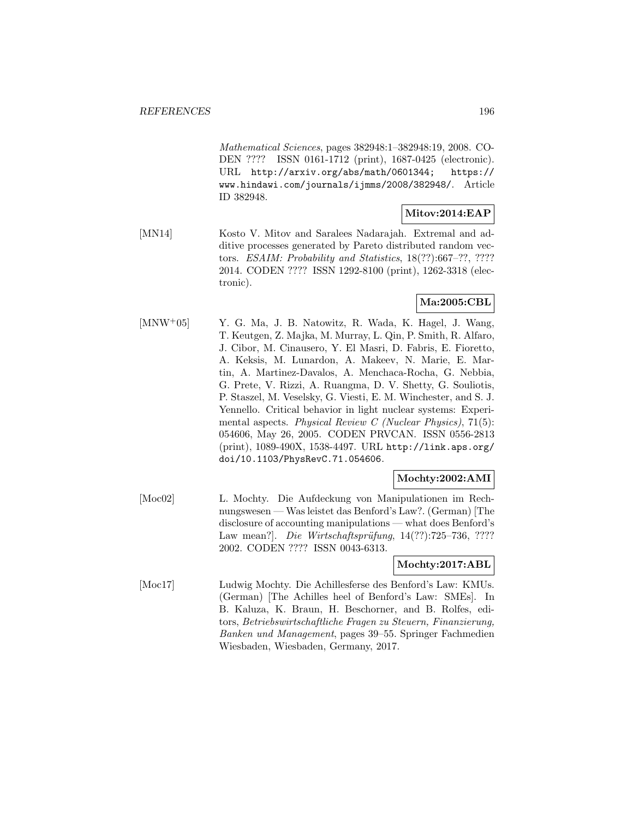Mathematical Sciences, pages 382948:1–382948:19, 2008. CO-DEN ???? ISSN 0161-1712 (print), 1687-0425 (electronic). URL http://arxiv.org/abs/math/0601344; https:// www.hindawi.com/journals/ijmms/2008/382948/. Article ID 382948.

# **Mitov:2014:EAP**

[MN14] Kosto V. Mitov and Saralees Nadarajah. Extremal and additive processes generated by Pareto distributed random vectors. ESAIM: Probability and Statistics, 18(??):667–??, ???? 2014. CODEN ???? ISSN 1292-8100 (print), 1262-3318 (electronic).

# **Ma:2005:CBL**

[MNW<sup>+</sup>05] Y. G. Ma, J. B. Natowitz, R. Wada, K. Hagel, J. Wang, T. Keutgen, Z. Majka, M. Murray, L. Qin, P. Smith, R. Alfaro, J. Cibor, M. Cinausero, Y. El Masri, D. Fabris, E. Fioretto, A. Keksis, M. Lunardon, A. Makeev, N. Marie, E. Martin, A. Martinez-Davalos, A. Menchaca-Rocha, G. Nebbia, G. Prete, V. Rizzi, A. Ruangma, D. V. Shetty, G. Souliotis, P. Staszel, M. Veselsky, G. Viesti, E. M. Winchester, and S. J. Yennello. Critical behavior in light nuclear systems: Experimental aspects. Physical Review C (Nuclear Physics),  $71(5)$ : 054606, May 26, 2005. CODEN PRVCAN. ISSN 0556-2813 (print), 1089-490X, 1538-4497. URL http://link.aps.org/ doi/10.1103/PhysRevC.71.054606.

# **Mochty:2002:AMI**

[Moc02] L. Mochty. Die Aufdeckung von Manipulationen im Rechnungswesen — Was leistet das Benford's Law?. (German) [The disclosure of accounting manipulations — what does Benford's Law mean?]. Die Wirtschaftsprüfung,  $14(??)$ :725–736, ???? 2002. CODEN ???? ISSN 0043-6313.

# **Mochty:2017:ABL**

[Moc17] Ludwig Mochty. Die Achillesferse des Benford's Law: KMUs. (German) [The Achilles heel of Benford's Law: SMEs]. In B. Kaluza, K. Braun, H. Beschorner, and B. Rolfes, editors, Betriebswirtschaftliche Fragen zu Steuern, Finanzierung, Banken und Management, pages 39–55. Springer Fachmedien Wiesbaden, Wiesbaden, Germany, 2017.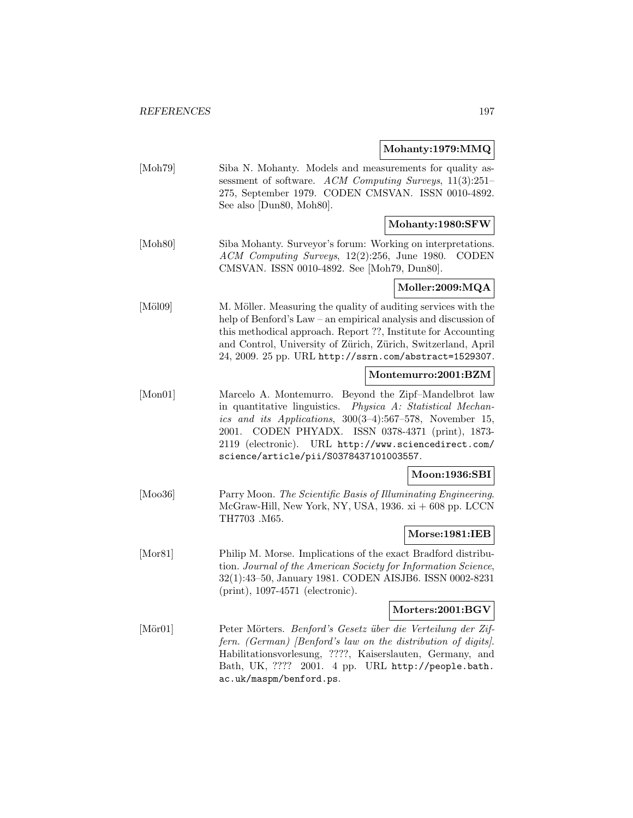# **Mohanty:1979:MMQ**

|                  | Monanty:1979:MMQ                                                                                                                                                                                                                                                                                                                              |  |
|------------------|-----------------------------------------------------------------------------------------------------------------------------------------------------------------------------------------------------------------------------------------------------------------------------------------------------------------------------------------------|--|
| [Moh79]          | Siba N. Mohanty. Models and measurements for quality as-<br>sessment of software. ACM Computing Surveys, $11(3):251-$<br>275, September 1979. CODEN CMSVAN. ISSN 0010-4892.<br>See also [Dun80, Moh80].                                                                                                                                       |  |
|                  | Mohanty:1980:SFW                                                                                                                                                                                                                                                                                                                              |  |
| $[{\rm Moh80}]$  | Siba Mohanty. Surveyor's forum: Working on interpretations.<br>$ACM$ Computing Surveys, $12(2):256$ , June 1980.<br><b>CODEN</b><br>CMSVAN. ISSN 0010-4892. See [Moh79, Dun80].                                                                                                                                                               |  |
|                  | Moller:2009:MQA                                                                                                                                                                                                                                                                                                                               |  |
| $[M\ddot{o}l09]$ | M. Möller. Measuring the quality of auditing services with the<br>help of Benford's Law – an empirical analysis and discussion of<br>this methodical approach. Report ??, Institute for Accounting<br>and Control, University of Zürich, Zürich, Switzerland, April<br>24, 2009. 25 pp. URL http://ssrn.com/abstract=1529307.                 |  |
|                  | Montemurro:2001:BZM                                                                                                                                                                                                                                                                                                                           |  |
| [Mon01]          | Marcelo A. Montemurro. Beyond the Zipf-Mandelbrot law<br>in quantitative linguistics.<br>Physica A: Statistical Mechan-<br>ics and its Applications, 300(3-4):567-578, November 15,<br>CODEN PHYADX. ISSN 0378-4371 (print), 1873-<br>2001.<br>2119 (electronic). URL http://www.sciencedirect.com/<br>science/article/pii/S0378437101003557. |  |
|                  | Moon:1936:SBI                                                                                                                                                                                                                                                                                                                                 |  |
| [Moo36]          | Parry Moon. The Scientific Basis of Illuminating Engineering.<br>McGraw-Hill, New York, NY, USA, 1936. $xi + 608$ pp. LCCN<br>TH7703 .M65.                                                                                                                                                                                                    |  |
|                  | Morse:1981:IEB                                                                                                                                                                                                                                                                                                                                |  |
| [Mor81]          | Philip M. Morse. Implications of the exact Bradford distribu-<br>tion. Journal of the American Society for Information Science,<br>32(1):43-50, January 1981. CODEN AISJB6. ISSN 0002-8231<br>$(print), 1097-4571$ (electronic).                                                                                                              |  |
|                  | Morters: 2001: BGV                                                                                                                                                                                                                                                                                                                            |  |
| $[\text{Mör}01]$ | Peter Mörters. Benford's Gesetz über die Verteilung der Zif-<br>fern. (German) [Benford's law on the distribution of digits].<br>Habilitationsvorlesung, ????, Kaiserslauten, Germany, and<br>Bath, UK, ????<br>2001. 4 pp. URL http://people.bath.<br>ac.uk/maspm/benford.ps.                                                                |  |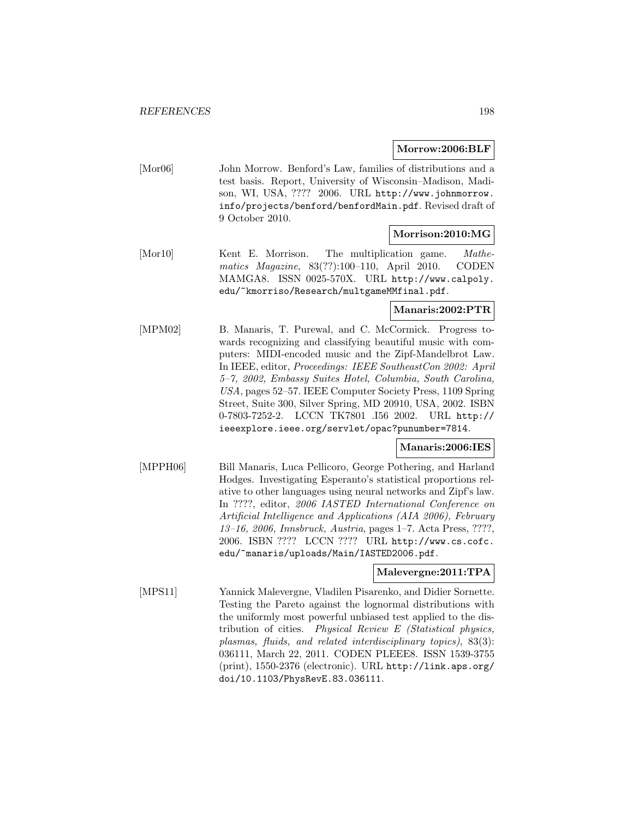#### **Morrow:2006:BLF**

[Mor06] John Morrow. Benford's Law, families of distributions and a test basis. Report, University of Wisconsin–Madison, Madison, WI, USA, ???? 2006. URL http://www.johnmorrow. info/projects/benford/benfordMain.pdf. Revised draft of 9 October 2010.

# **Morrison:2010:MG**

[Mor10] Kent E. Morrison. The multiplication game. Mathematics Magazine, 83(??):100–110, April 2010. CODEN MAMGA8. ISSN 0025-570X. URL http://www.calpoly. edu/~kmorriso/Research/multgameMMfinal.pdf.

# **Manaris:2002:PTR**

[MPM02] B. Manaris, T. Purewal, and C. McCormick. Progress towards recognizing and classifying beautiful music with computers: MIDI-encoded music and the Zipf-Mandelbrot Law. In IEEE, editor, Proceedings: IEEE SoutheastCon 2002: April 5–7, 2002, Embassy Suites Hotel, Columbia, South Carolina, USA, pages 52–57. IEEE Computer Society Press, 1109 Spring Street, Suite 300, Silver Spring, MD 20910, USA, 2002. ISBN 0-7803-7252-2. LCCN TK7801 .I56 2002. URL http:// ieeexplore.ieee.org/servlet/opac?punumber=7814.

# **Manaris:2006:IES**

[MPPH06] Bill Manaris, Luca Pellicoro, George Pothering, and Harland Hodges. Investigating Esperanto's statistical proportions relative to other languages using neural networks and Zipf's law. In ????, editor, 2006 IASTED International Conference on Artificial Intelligence and Applications (AIA 2006), February 13–16, 2006, Innsbruck, Austria, pages 1–7. Acta Press, ????, 2006. ISBN ???? LCCN ???? URL http://www.cs.cofc. edu/~manaris/uploads/Main/IASTED2006.pdf.

# **Malevergne:2011:TPA**

[MPS11] Yannick Malevergne, Vladilen Pisarenko, and Didier Sornette. Testing the Pareto against the lognormal distributions with the uniformly most powerful unbiased test applied to the distribution of cities. Physical Review E (Statistical physics, plasmas, fluids, and related interdisciplinary topics), 83(3): 036111, March 22, 2011. CODEN PLEEE8. ISSN 1539-3755 (print), 1550-2376 (electronic). URL http://link.aps.org/ doi/10.1103/PhysRevE.83.036111.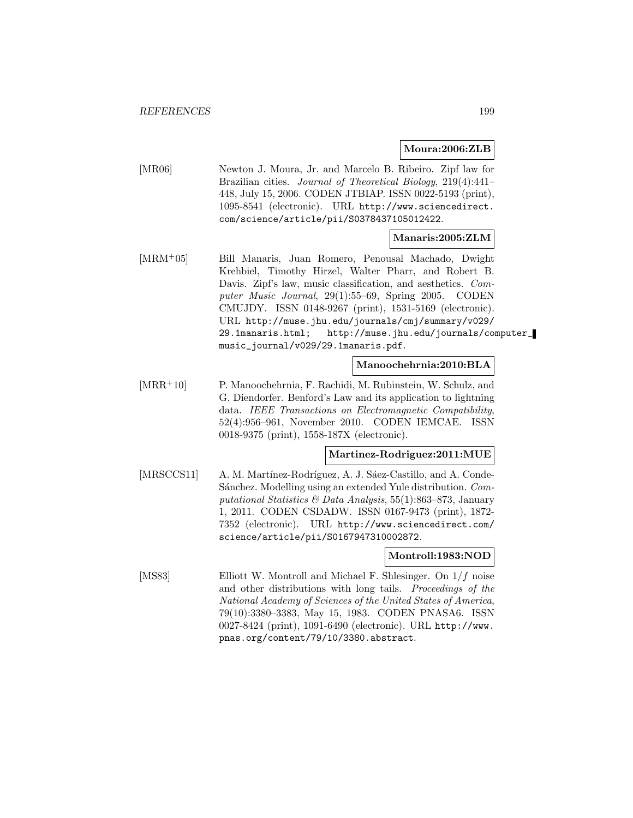#### **Moura:2006:ZLB**

[MR06] Newton J. Moura, Jr. and Marcelo B. Ribeiro. Zipf law for Brazilian cities. Journal of Theoretical Biology, 219(4):441– 448, July 15, 2006. CODEN JTBIAP. ISSN 0022-5193 (print), 1095-8541 (electronic). URL http://www.sciencedirect. com/science/article/pii/S0378437105012422.

# **Manaris:2005:ZLM**

[MRM<sup>+</sup>05] Bill Manaris, Juan Romero, Penousal Machado, Dwight Krehbiel, Timothy Hirzel, Walter Pharr, and Robert B. Davis. Zipf's law, music classification, and aesthetics. Computer Music Journal, 29(1):55–69, Spring 2005. CODEN CMUJDY. ISSN 0148-9267 (print), 1531-5169 (electronic). URL http://muse.jhu.edu/journals/cmj/summary/v029/ 29.1manaris.html; http://muse.jhu.edu/journals/computer\_ music\_journal/v029/29.1manaris.pdf.

# **Manoochehrnia:2010:BLA**

[MRR<sup>+</sup>10] P. Manoochehrnia, F. Rachidi, M. Rubinstein, W. Schulz, and G. Diendorfer. Benford's Law and its application to lightning data. IEEE Transactions on Electromagnetic Compatibility, 52(4):956–961, November 2010. CODEN IEMCAE. ISSN 0018-9375 (print), 1558-187X (electronic).

# **Martinez-Rodriguez:2011:MUE**

[MRSCCS11] A. M. Martínez-Rodríguez, A. J. Sáez-Castillo, and A. Conde-Sánchez. Modelling using an extended Yule distribution. Computational Statistics & Data Analysis,  $55(1):863-873$ , January 1, 2011. CODEN CSDADW. ISSN 0167-9473 (print), 1872- 7352 (electronic). URL http://www.sciencedirect.com/ science/article/pii/S0167947310002872.

#### **Montroll:1983:NOD**

[MS83] Elliott W. Montroll and Michael F. Shlesinger. On 1/f noise and other distributions with long tails. Proceedings of the National Academy of Sciences of the United States of America, 79(10):3380–3383, May 15, 1983. CODEN PNASA6. ISSN 0027-8424 (print), 1091-6490 (electronic). URL http://www. pnas.org/content/79/10/3380.abstract.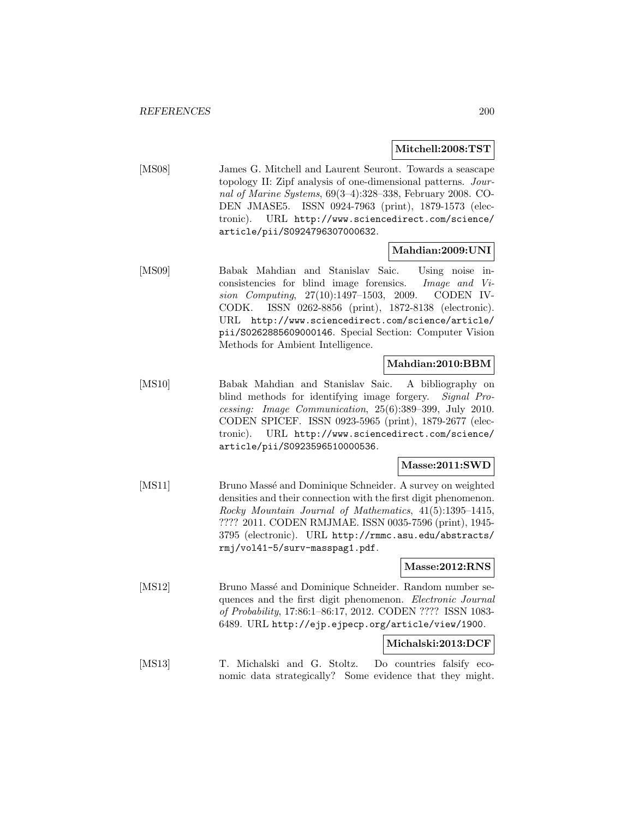#### **Mitchell:2008:TST**

[MS08] James G. Mitchell and Laurent Seuront. Towards a seascape topology II: Zipf analysis of one-dimensional patterns. Journal of Marine Systems, 69(3–4):328–338, February 2008. CO-DEN JMASE5. ISSN 0924-7963 (print), 1879-1573 (electronic). URL http://www.sciencedirect.com/science/ article/pii/S0924796307000632.

# **Mahdian:2009:UNI**

[MS09] Babak Mahdian and Stanislav Saic. Using noise inconsistencies for blind image forensics. Image and Vision Computing, 27(10):1497–1503, 2009. CODEN IV-CODK. ISSN 0262-8856 (print), 1872-8138 (electronic). URL http://www.sciencedirect.com/science/article/ pii/S0262885609000146. Special Section: Computer Vision Methods for Ambient Intelligence.

# **Mahdian:2010:BBM**

[MS10] Babak Mahdian and Stanislav Saic. A bibliography on blind methods for identifying image forgery. Signal Processing: Image Communication, 25(6):389–399, July 2010. CODEN SPICEF. ISSN 0923-5965 (print), 1879-2677 (electronic). URL http://www.sciencedirect.com/science/ article/pii/S0923596510000536.

# **Masse:2011:SWD**

[MS11] Bruno Massé and Dominique Schneider. A survey on weighted densities and their connection with the first digit phenomenon. Rocky Mountain Journal of Mathematics, 41(5):1395–1415, ???? 2011. CODEN RMJMAE. ISSN 0035-7596 (print), 1945- 3795 (electronic). URL http://rmmc.asu.edu/abstracts/ rmj/vol41-5/surv-masspag1.pdf.

# **Masse:2012:RNS**

[MS12] Bruno Massé and Dominique Schneider. Random number sequences and the first digit phenomenon. Electronic Journal of Probability, 17:86:1–86:17, 2012. CODEN ???? ISSN 1083- 6489. URL http://ejp.ejpecp.org/article/view/1900.

#### **Michalski:2013:DCF**

[MS13] T. Michalski and G. Stoltz. Do countries falsify economic data strategically? Some evidence that they might.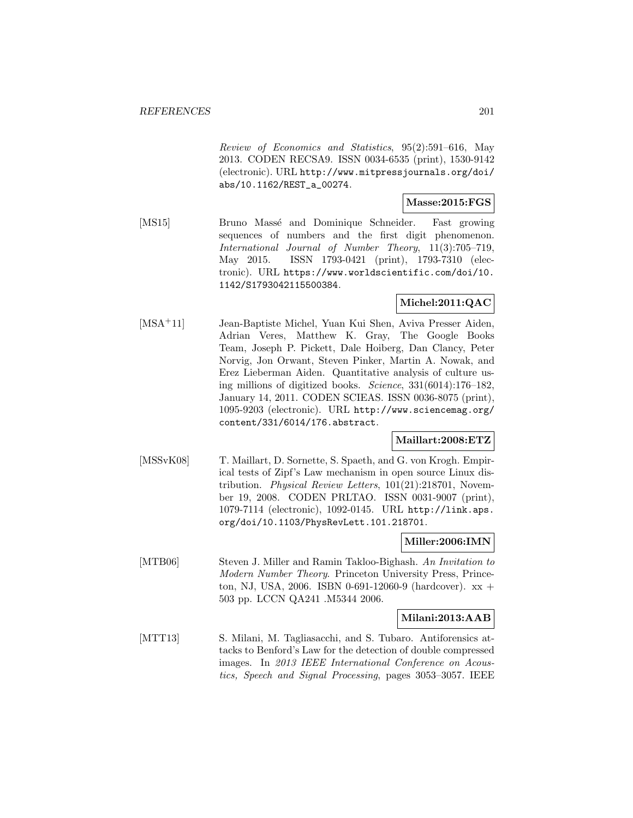Review of Economics and Statistics, 95(2):591–616, May 2013. CODEN RECSA9. ISSN 0034-6535 (print), 1530-9142 (electronic). URL http://www.mitpressjournals.org/doi/ abs/10.1162/REST\_a\_00274.

#### **Masse:2015:FGS**

[MS15] Bruno Massé and Dominique Schneider. Fast growing sequences of numbers and the first digit phenomenon. International Journal of Number Theory, 11(3):705–719, May 2015. ISSN 1793-0421 (print), 1793-7310 (electronic). URL https://www.worldscientific.com/doi/10. 1142/S1793042115500384.

# **Michel:2011:QAC**

[MSA<sup>+</sup>11] Jean-Baptiste Michel, Yuan Kui Shen, Aviva Presser Aiden, Adrian Veres, Matthew K. Gray, The Google Books Team, Joseph P. Pickett, Dale Hoiberg, Dan Clancy, Peter Norvig, Jon Orwant, Steven Pinker, Martin A. Nowak, and Erez Lieberman Aiden. Quantitative analysis of culture using millions of digitized books. Science, 331(6014):176–182, January 14, 2011. CODEN SCIEAS. ISSN 0036-8075 (print), 1095-9203 (electronic). URL http://www.sciencemag.org/ content/331/6014/176.abstract.

#### **Maillart:2008:ETZ**

[MSSvK08] T. Maillart, D. Sornette, S. Spaeth, and G. von Krogh. Empirical tests of Zipf's Law mechanism in open source Linux distribution. Physical Review Letters, 101(21):218701, November 19, 2008. CODEN PRLTAO. ISSN 0031-9007 (print), 1079-7114 (electronic), 1092-0145. URL http://link.aps. org/doi/10.1103/PhysRevLett.101.218701.

#### **Miller:2006:IMN**

[MTB06] Steven J. Miller and Ramin Takloo-Bighash. An Invitation to Modern Number Theory. Princeton University Press, Princeton, NJ, USA, 2006. ISBN 0-691-12060-9 (hardcover).  $xx +$ 503 pp. LCCN QA241 .M5344 2006.

# **Milani:2013:AAB**

[MTT13] S. Milani, M. Tagliasacchi, and S. Tubaro. Antiforensics attacks to Benford's Law for the detection of double compressed images. In 2013 IEEE International Conference on Acoustics, Speech and Signal Processing, pages 3053–3057. IEEE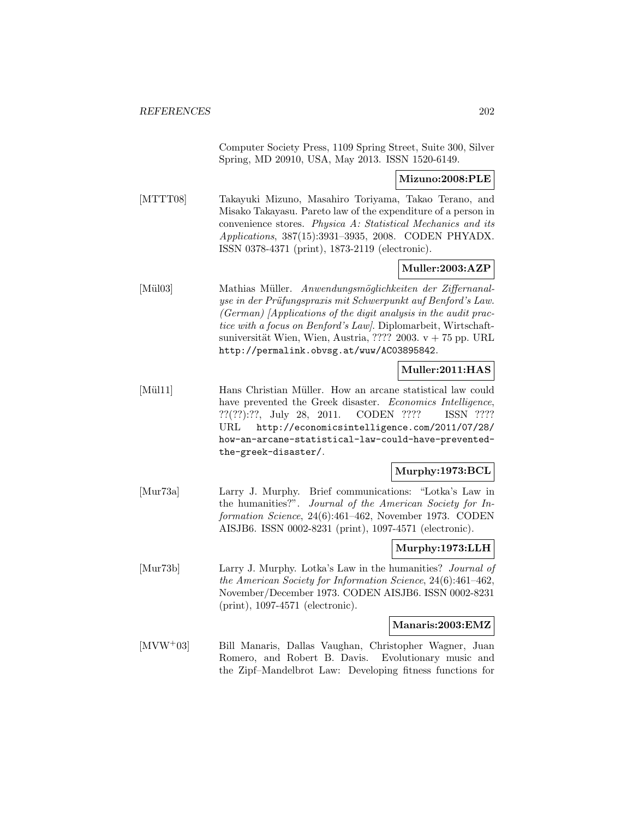Computer Society Press, 1109 Spring Street, Suite 300, Silver Spring, MD 20910, USA, May 2013. ISSN 1520-6149.

# **Mizuno:2008:PLE**

[MTTT08] Takayuki Mizuno, Masahiro Toriyama, Takao Terano, and Misako Takayasu. Pareto law of the expenditure of a person in convenience stores. Physica A: Statistical Mechanics and its Applications, 387(15):3931–3935, 2008. CODEN PHYADX. ISSN 0378-4371 (print), 1873-2119 (electronic).

# **Muller:2003:AZP**

[Mül03] Mathias Müller. Anwendungsmöglichkeiten der Ziffernanalyse in der Prüfungspraxis mit Schwerpunkt auf Benford's Law. (German) [Applications of the digit analysis in the audit practice with a focus on Benford's Law]. Diplomarbeit, Wirtschaftsuniversität Wien, Wien, Austria, ???? 2003.  $v + 75$  pp. URL http://permalink.obvsg.at/wuw/AC03895842.

# **Muller:2011:HAS**

[Mül11] Hans Christian Müller. How an arcane statistical law could have prevented the Greek disaster. Economics Intelligence, ??(??):??, July 28, 2011. CODEN ???? ISSN ???? URL http://economicsintelligence.com/2011/07/28/ how-an-arcane-statistical-law-could-have-preventedthe-greek-disaster/.

# **Murphy:1973:BCL**

[Mur73a] Larry J. Murphy. Brief communications: "Lotka's Law in the humanities?". Journal of the American Society for Information Science, 24(6):461–462, November 1973. CODEN AISJB6. ISSN 0002-8231 (print), 1097-4571 (electronic).

# **Murphy:1973:LLH**

[Mur73b] Larry J. Murphy. Lotka's Law in the humanities? Journal of the American Society for Information Science, 24(6):461–462, November/December 1973. CODEN AISJB6. ISSN 0002-8231 (print), 1097-4571 (electronic).

# **Manaris:2003:EMZ**

[MVW<sup>+</sup>03] Bill Manaris, Dallas Vaughan, Christopher Wagner, Juan Romero, and Robert B. Davis. Evolutionary music and the Zipf–Mandelbrot Law: Developing fitness functions for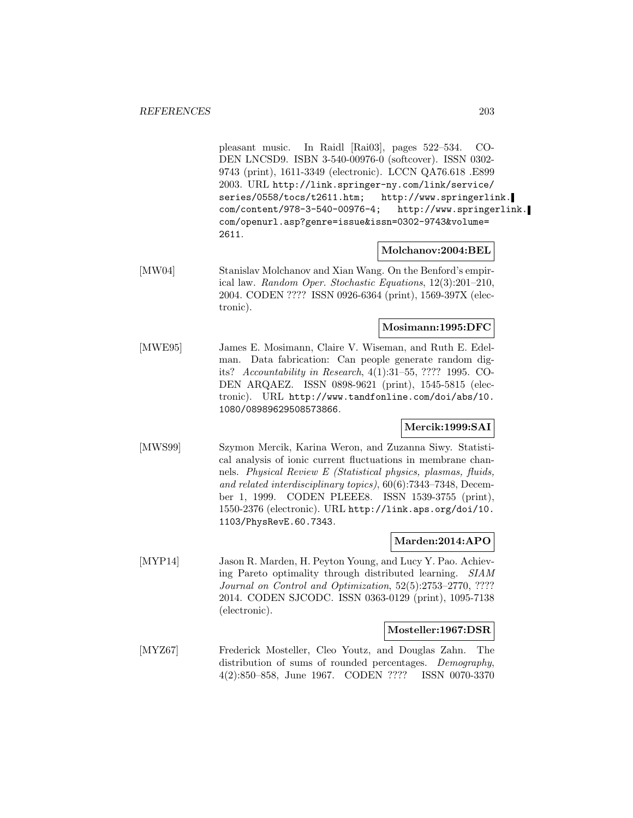pleasant music. In Raidl [Rai03], pages 522–534. CO-DEN LNCSD9. ISBN 3-540-00976-0 (softcover). ISSN 0302- 9743 (print), 1611-3349 (electronic). LCCN QA76.618 .E899 2003. URL http://link.springer-ny.com/link/service/ series/0558/tocs/t2611.htm; http://www.springerlink. com/content/978-3-540-00976-4; http://www.springerlink. com/openurl.asp?genre=issue&issn=0302-9743&volume= 2611.

# **Molchanov:2004:BEL**

[MW04] Stanislav Molchanov and Xian Wang. On the Benford's empirical law. Random Oper. Stochastic Equations, 12(3):201–210, 2004. CODEN ???? ISSN 0926-6364 (print), 1569-397X (electronic).

#### **Mosimann:1995:DFC**

[MWE95] James E. Mosimann, Claire V. Wiseman, and Ruth E. Edelman. Data fabrication: Can people generate random digits? Accountability in Research, 4(1):31–55, ???? 1995. CO-DEN ARQAEZ. ISSN 0898-9621 (print), 1545-5815 (electronic). URL http://www.tandfonline.com/doi/abs/10. 1080/08989629508573866.

# **Mercik:1999:SAI**

[MWS99] Szymon Mercik, Karina Weron, and Zuzanna Siwy. Statistical analysis of ionic current fluctuations in membrane channels. Physical Review E (Statistical physics, plasmas, fluids, and related interdisciplinary topics), 60(6):7343–7348, December 1, 1999. CODEN PLEEE8. ISSN 1539-3755 (print), 1550-2376 (electronic). URL http://link.aps.org/doi/10. 1103/PhysRevE.60.7343.

# **Marden:2014:APO**

[MYP14] Jason R. Marden, H. Peyton Young, and Lucy Y. Pao. Achieving Pareto optimality through distributed learning. SIAM Journal on Control and Optimization, 52(5):2753–2770, ???? 2014. CODEN SJCODC. ISSN 0363-0129 (print), 1095-7138 (electronic).

# **Mosteller:1967:DSR**

[MYZ67] Frederick Mosteller, Cleo Youtz, and Douglas Zahn. The distribution of sums of rounded percentages. Demography, 4(2):850–858, June 1967. CODEN ???? ISSN 0070-3370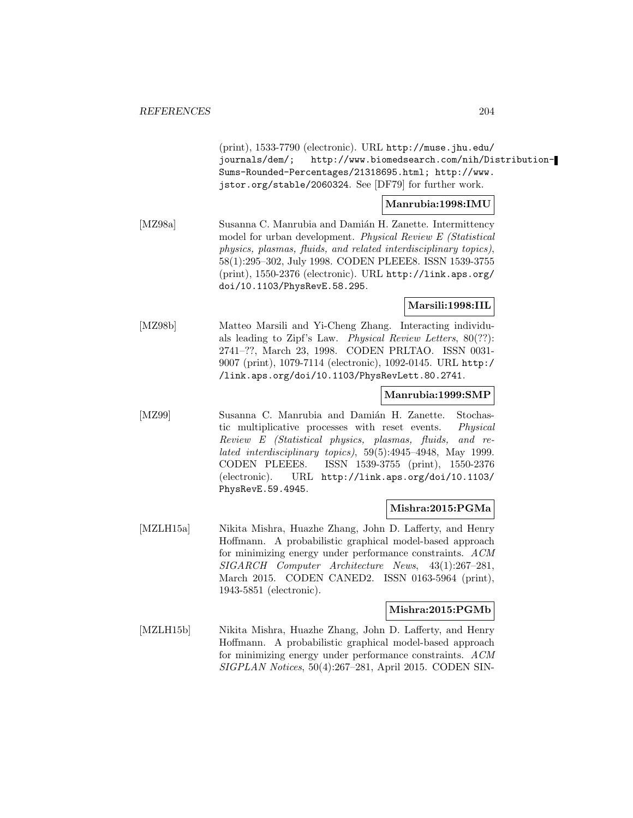(print), 1533-7790 (electronic). URL http://muse.jhu.edu/ journals/dem/; http://www.biomedsearch.com/nih/Distribution-Sums-Rounded-Percentages/21318695.html; http://www. jstor.org/stable/2060324. See [DF79] for further work. **Manrubia:1998:IMU** [MZ98a] Susanna C. Manrubia and Damián H. Zanette. Intermittency model for urban development. Physical Review E (Statistical physics, plasmas, fluids, and related interdisciplinary topics), 58(1):295–302, July 1998. CODEN PLEEE8. ISSN 1539-3755 (print), 1550-2376 (electronic). URL http://link.aps.org/ doi/10.1103/PhysRevE.58.295. **Marsili:1998:IIL** [MZ98b] Matteo Marsili and Yi-Cheng Zhang. Interacting individuals leading to Zipf's Law. Physical Review Letters, 80(??): 2741–??, March 23, 1998. CODEN PRLTAO. ISSN 0031- 9007 (print), 1079-7114 (electronic), 1092-0145. URL http:/ /link.aps.org/doi/10.1103/PhysRevLett.80.2741. **Manrubia:1999:SMP** [MZ99] Susanna C. Manrubia and Damián H. Zanette. Stochastic multiplicative processes with reset events. Physical Review E (Statistical physics, plasmas, fluids, and related interdisciplinary topics), 59(5):4945–4948, May 1999. CODEN PLEEE8. ISSN 1539-3755 (print), 1550-2376 (electronic). URL http://link.aps.org/doi/10.1103/ PhysRevE.59.4945. **Mishra:2015:PGMa** [MZLH15a] Nikita Mishra, Huazhe Zhang, John D. Lafferty, and Henry Hoffmann. A probabilistic graphical model-based approach for minimizing energy under performance constraints. ACM SIGARCH Computer Architecture News, 43(1):267–281, March 2015. CODEN CANED2. ISSN 0163-5964 (print), 1943-5851 (electronic). **Mishra:2015:PGMb** [MZLH15b] Nikita Mishra, Huazhe Zhang, John D. Lafferty, and Henry Hoffmann. A probabilistic graphical model-based approach for minimizing energy under performance constraints. ACM SIGPLAN Notices, 50(4):267–281, April 2015. CODEN SIN-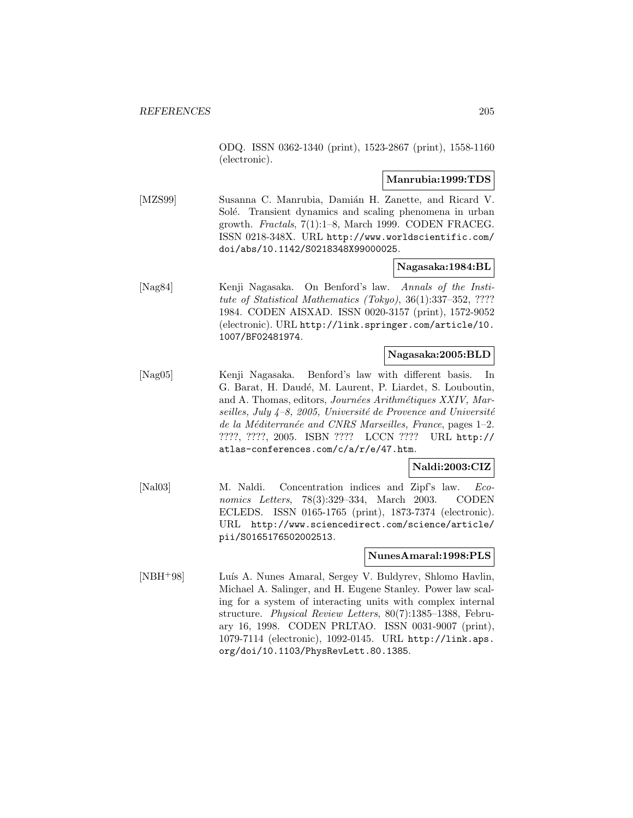ODQ. ISSN 0362-1340 (print), 1523-2867 (print), 1558-1160 (electronic).

#### **Manrubia:1999:TDS**

[MZS99] Susanna C. Manrubia, Damián H. Zanette, and Ricard V. Solé. Transient dynamics and scaling phenomena in urban growth. Fractals, 7(1):1–8, March 1999. CODEN FRACEG. ISSN 0218-348X. URL http://www.worldscientific.com/ doi/abs/10.1142/S0218348X99000025.

#### **Nagasaka:1984:BL**

[Nag84] Kenji Nagasaka. On Benford's law. Annals of the Institute of Statistical Mathematics (Tokyo), 36(1):337–352, ???? 1984. CODEN AISXAD. ISSN 0020-3157 (print), 1572-9052 (electronic). URL http://link.springer.com/article/10. 1007/BF02481974.

#### **Nagasaka:2005:BLD**

[Nag05] Kenji Nagasaka. Benford's law with different basis. In G. Barat, H. Daudé, M. Laurent, P. Liardet, S. Louboutin, and A. Thomas, editors, Journées Arithmétiques XXIV, Marseilles, July  $4-8$ , 2005, Université de Provence and Université de la Méditerranée and CNRS Marseilles, France, pages 1–2. ????, ????, 2005. ISBN ???? LCCN ???? URL http:// atlas-conferences.com/c/a/r/e/47.htm.

# **Naldi:2003:CIZ**

[Nal03] M. Naldi. Concentration indices and Zipf's law. Economics Letters, 78(3):329–334, March 2003. CODEN ECLEDS. ISSN 0165-1765 (print), 1873-7374 (electronic). URL http://www.sciencedirect.com/science/article/ pii/S0165176502002513.

#### **NunesAmaral:1998:PLS**

[NBH<sup>+</sup>98] Luís A. Nunes Amaral, Sergey V. Buldyrev, Shlomo Havlin, Michael A. Salinger, and H. Eugene Stanley. Power law scaling for a system of interacting units with complex internal structure. Physical Review Letters, 80(7):1385–1388, February 16, 1998. CODEN PRLTAO. ISSN 0031-9007 (print), 1079-7114 (electronic), 1092-0145. URL http://link.aps. org/doi/10.1103/PhysRevLett.80.1385.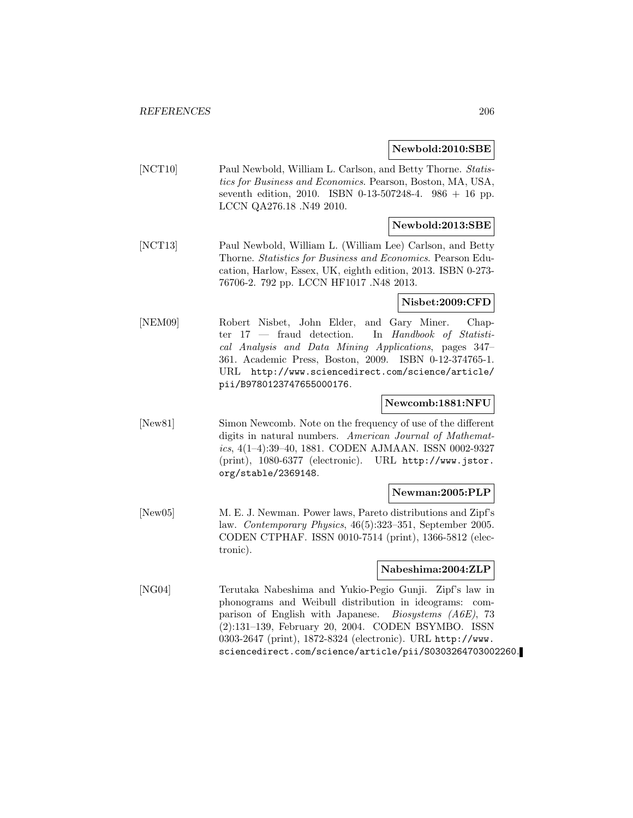#### **Newbold:2010:SBE**

[NCT10] Paul Newbold, William L. Carlson, and Betty Thorne. Statistics for Business and Economics. Pearson, Boston, MA, USA, seventh edition, 2010. ISBN 0-13-507248-4. 986 + 16 pp. LCCN QA276.18 .N49 2010.

# **Newbold:2013:SBE**

[NCT13] Paul Newbold, William L. (William Lee) Carlson, and Betty Thorne. Statistics for Business and Economics. Pearson Education, Harlow, Essex, UK, eighth edition, 2013. ISBN 0-273- 76706-2. 792 pp. LCCN HF1017 .N48 2013.

#### **Nisbet:2009:CFD**

[NEM09] Robert Nisbet, John Elder, and Gary Miner. Chapter 17 — fraud detection. In Handbook of Statistical Analysis and Data Mining Applications, pages 347– 361. Academic Press, Boston, 2009. ISBN 0-12-374765-1. URL http://www.sciencedirect.com/science/article/ pii/B9780123747655000176.

#### **Newcomb:1881:NFU**

[New81] Simon Newcomb. Note on the frequency of use of the different digits in natural numbers. American Journal of Mathematics, 4(1–4):39–40, 1881. CODEN AJMAAN. ISSN 0002-9327 (print), 1080-6377 (electronic). URL http://www.jstor. org/stable/2369148.

# **Newman:2005:PLP**

[New05] M. E. J. Newman. Power laws, Pareto distributions and Zipf's law. Contemporary Physics, 46(5):323–351, September 2005. CODEN CTPHAF. ISSN 0010-7514 (print), 1366-5812 (electronic).

#### **Nabeshima:2004:ZLP**

[NG04] Terutaka Nabeshima and Yukio-Pegio Gunji. Zipf's law in phonograms and Weibull distribution in ideograms: comparison of English with Japanese. Biosystems (A6E), 73 (2):131–139, February 20, 2004. CODEN BSYMBO. ISSN 0303-2647 (print), 1872-8324 (electronic). URL http://www. sciencedirect.com/science/article/pii/S0303264703002260.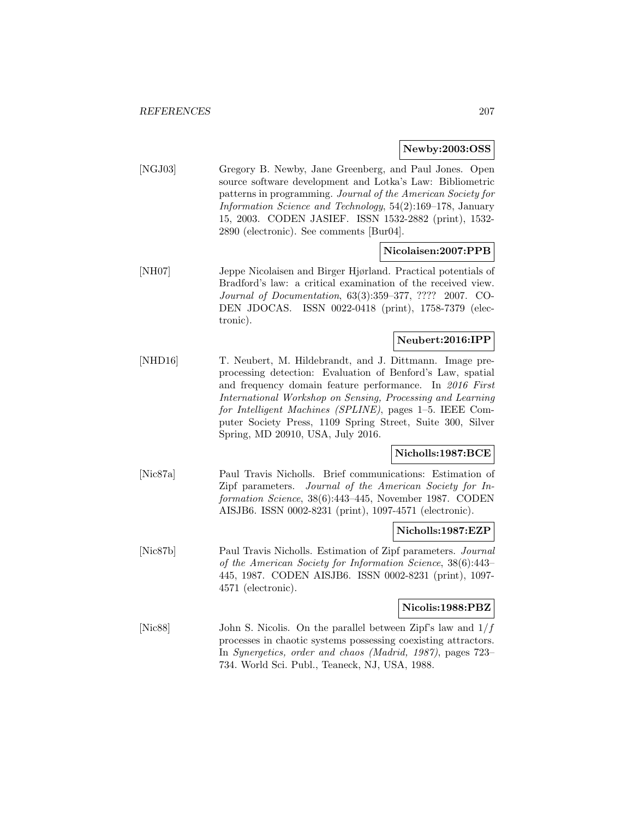# **Newby:2003:OSS**

[NGJ03] Gregory B. Newby, Jane Greenberg, and Paul Jones. Open source software development and Lotka's Law: Bibliometric patterns in programming. Journal of the American Society for Information Science and Technology, 54(2):169–178, January 15, 2003. CODEN JASIEF. ISSN 1532-2882 (print), 1532- 2890 (electronic). See comments [Bur04].

# **Nicolaisen:2007:PPB**

[NH07] Jeppe Nicolaisen and Birger Hjørland. Practical potentials of Bradford's law: a critical examination of the received view. Journal of Documentation, 63(3):359–377, ???? 2007. CO-DEN JDOCAS. ISSN 0022-0418 (print), 1758-7379 (electronic).

# **Neubert:2016:IPP**

[NHD16] T. Neubert, M. Hildebrandt, and J. Dittmann. Image preprocessing detection: Evaluation of Benford's Law, spatial and frequency domain feature performance. In 2016 First International Workshop on Sensing, Processing and Learning for Intelligent Machines (SPLINE), pages 1–5. IEEE Computer Society Press, 1109 Spring Street, Suite 300, Silver Spring, MD 20910, USA, July 2016.

# **Nicholls:1987:BCE**

[Nic87a] Paul Travis Nicholls. Brief communications: Estimation of Zipf parameters. Journal of the American Society for Information Science, 38(6):443–445, November 1987. CODEN AISJB6. ISSN 0002-8231 (print), 1097-4571 (electronic).

#### **Nicholls:1987:EZP**

[Nic87b] Paul Travis Nicholls. Estimation of Zipf parameters. Journal of the American Society for Information Science, 38(6):443– 445, 1987. CODEN AISJB6. ISSN 0002-8231 (print), 1097- 4571 (electronic).

#### **Nicolis:1988:PBZ**

[Nic88] John S. Nicolis. On the parallel between Zipf's law and  $1/f$ processes in chaotic systems possessing coexisting attractors. In Synergetics, order and chaos (Madrid, 1987), pages 723– 734. World Sci. Publ., Teaneck, NJ, USA, 1988.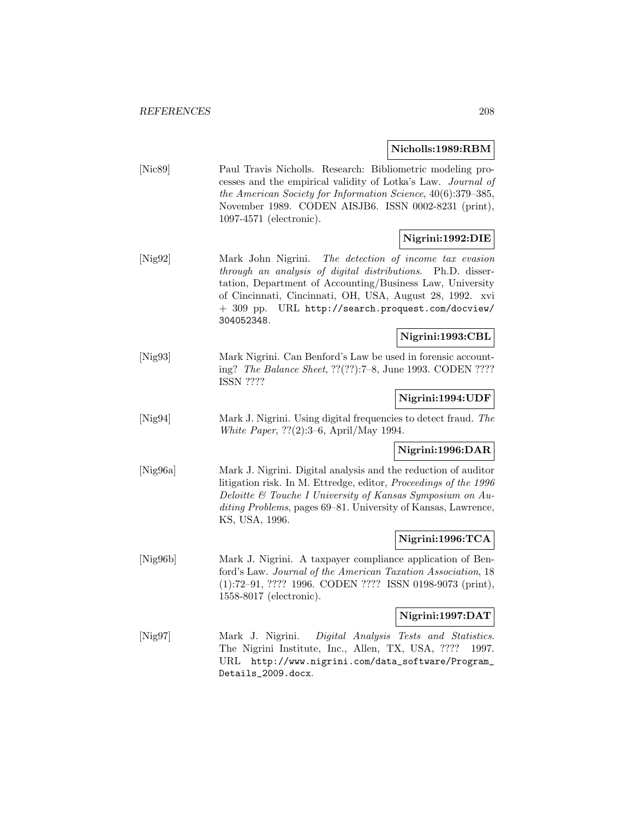#### **Nicholls:1989:RBM**

[Nic89] Paul Travis Nicholls. Research: Bibliometric modeling processes and the empirical validity of Lotka's Law. Journal of the American Society for Information Science, 40(6):379–385, November 1989. CODEN AISJB6. ISSN 0002-8231 (print), 1097-4571 (electronic).

# **Nigrini:1992:DIE**

[Nig92] Mark John Nigrini. The detection of income tax evasion through an analysis of digital distributions. Ph.D. dissertation, Department of Accounting/Business Law, University of Cincinnati, Cincinnati, OH, USA, August 28, 1992. xvi + 309 pp. URL http://search.proquest.com/docview/ 304052348.

# **Nigrini:1993:CBL**

[Nig93] Mark Nigrini. Can Benford's Law be used in forensic accounting? The Balance Sheet, ??(??):7–8, June 1993. CODEN ???? ISSN ????

# **Nigrini:1994:UDF**

[Nig94] Mark J. Nigrini. Using digital frequencies to detect fraud. The White Paper, ??(2):3–6, April/May 1994.

# **Nigrini:1996:DAR**

[Nig96a] Mark J. Nigrini. Digital analysis and the reduction of auditor litigation risk. In M. Ettredge, editor, Proceedings of the 1996 Deloitte & Touche I University of Kansas Symposium on Auditing Problems, pages 69–81. University of Kansas, Lawrence, KS, USA, 1996.

# **Nigrini:1996:TCA**

[Nig96b] Mark J. Nigrini. A taxpayer compliance application of Benford's Law. Journal of the American Taxation Association, 18 (1):72–91, ???? 1996. CODEN ???? ISSN 0198-9073 (print), 1558-8017 (electronic).

# **Nigrini:1997:DAT**

[Nig97] Mark J. Nigrini. Digital Analysis Tests and Statistics. The Nigrini Institute, Inc., Allen, TX, USA, ???? 1997. URL http://www.nigrini.com/data\_software/Program\_ Details\_2009.docx.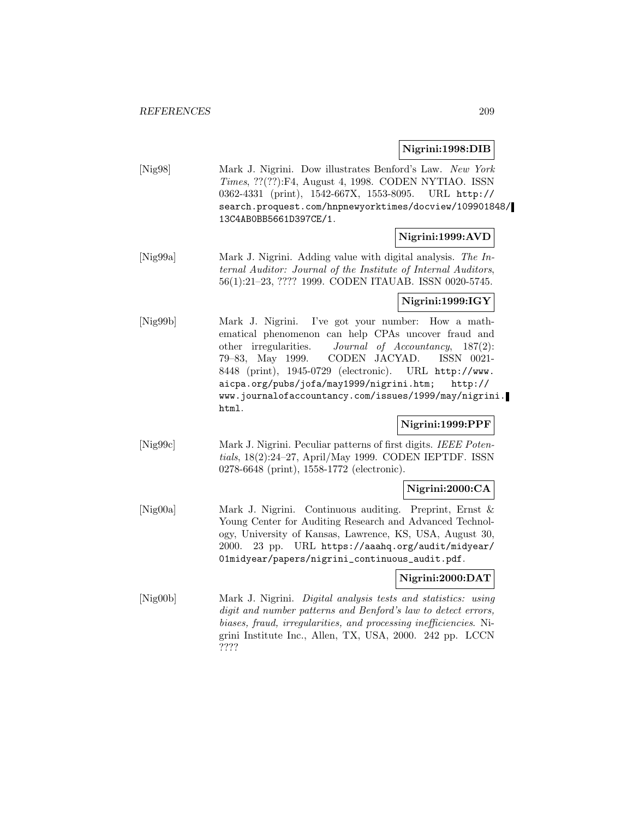#### **Nigrini:1998:DIB**

[Nig98] Mark J. Nigrini. Dow illustrates Benford's Law. New York Times, ??(??):F4, August 4, 1998. CODEN NYTIAO. ISSN 0362-4331 (print), 1542-667X, 1553-8095. URL http:// search.proquest.com/hnpnewyorktimes/docview/109901848/ 13C4AB0BB5661D397CE/1.

# **Nigrini:1999:AVD**

[Nig99a] Mark J. Nigrini. Adding value with digital analysis. The Internal Auditor: Journal of the Institute of Internal Auditors, 56(1):21–23, ???? 1999. CODEN ITAUAB. ISSN 0020-5745.

#### **Nigrini:1999:IGY**

[Nig99b] Mark J. Nigrini. I've got your number: How a mathematical phenomenon can help CPAs uncover fraud and other irregularities. Journal of Accountancy, 187(2): 79–83, May 1999. CODEN JACYAD. ISSN 0021- 8448 (print), 1945-0729 (electronic). URL http://www. aicpa.org/pubs/jofa/may1999/nigrini.htm; http:// www.journalofaccountancy.com/issues/1999/may/nigrini. html.

# **Nigrini:1999:PPF**

[Nig99c] Mark J. Nigrini. Peculiar patterns of first digits. IEEE Potentials, 18(2):24–27, April/May 1999. CODEN IEPTDF. ISSN 0278-6648 (print), 1558-1772 (electronic).

# **Nigrini:2000:CA**

[Nig00a] Mark J. Nigrini. Continuous auditing. Preprint, Ernst & Young Center for Auditing Research and Advanced Technology, University of Kansas, Lawrence, KS, USA, August 30, 2000. 23 pp. URL https://aaahq.org/audit/midyear/ 01midyear/papers/nigrini\_continuous\_audit.pdf.

# **Nigrini:2000:DAT**

[Nig00b] Mark J. Nigrini. Digital analysis tests and statistics: using digit and number patterns and Benford's law to detect errors, biases, fraud, irregularities, and processing inefficiencies. Nigrini Institute Inc., Allen, TX, USA, 2000. 242 pp. LCCN ????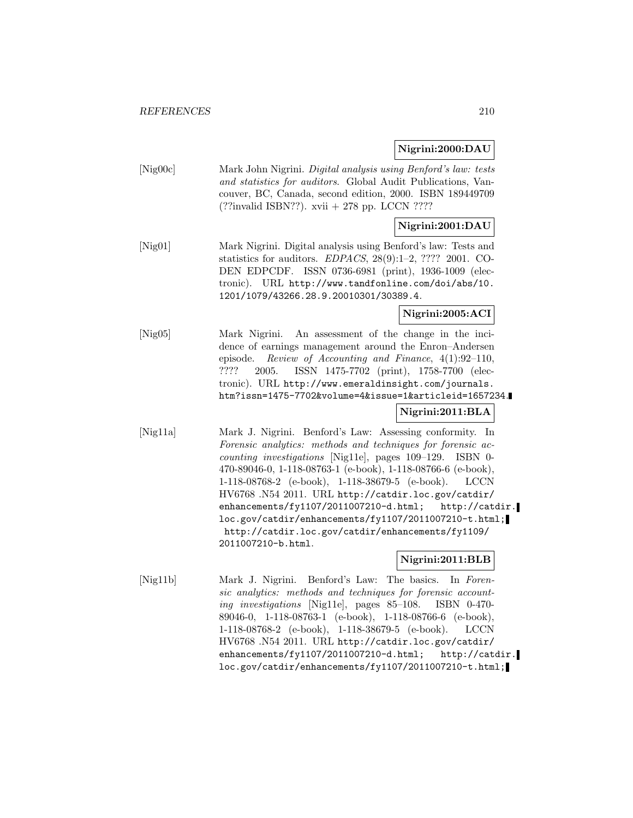#### **Nigrini:2000:DAU**

[Nig00c] Mark John Nigrini. Digital analysis using Benford's law: tests and statistics for auditors. Global Audit Publications, Vancouver, BC, Canada, second edition, 2000. ISBN 189449709 (??invalid ISBN??). xvii + 278 pp. LCCN ????

# **Nigrini:2001:DAU**

[Nig01] Mark Nigrini. Digital analysis using Benford's law: Tests and statistics for auditors. EDPACS, 28(9):1–2, ???? 2001. CO-DEN EDPCDF. ISSN 0736-6981 (print), 1936-1009 (electronic). URL http://www.tandfonline.com/doi/abs/10. 1201/1079/43266.28.9.20010301/30389.4.

# **Nigrini:2005:ACI**

[Nig05] Mark Nigrini. An assessment of the change in the incidence of earnings management around the Enron–Andersen episode. Review of Accounting and Finance, 4(1):92–110, ???? 2005. ISSN 1475-7702 (print), 1758-7700 (electronic). URL http://www.emeraldinsight.com/journals. htm?issn=1475-7702&volume=4&issue=1&articleid=1657234.

# **Nigrini:2011:BLA**

[Nig11a] Mark J. Nigrini. Benford's Law: Assessing conformity. In Forensic analytics: methods and techniques for forensic accounting investigations [Nig11e], pages 109–129. ISBN 0- 470-89046-0, 1-118-08763-1 (e-book), 1-118-08766-6 (e-book), 1-118-08768-2 (e-book), 1-118-38679-5 (e-book). LCCN HV6768 .N54 2011. URL http://catdir.loc.gov/catdir/ enhancements/fy1107/2011007210-d.html; http://catdir. loc.gov/catdir/enhancements/fy1107/2011007210-t.html; http://catdir.loc.gov/catdir/enhancements/fy1109/ 2011007210-b.html.

# **Nigrini:2011:BLB**

[Nig11b] Mark J. Nigrini. Benford's Law: The basics. In Forensic analytics: methods and techniques for forensic accounting investigations [Nig11e], pages 85–108. ISBN 0-470- 89046-0, 1-118-08763-1 (e-book), 1-118-08766-6 (e-book), 1-118-08768-2 (e-book), 1-118-38679-5 (e-book). LCCN HV6768 .N54 2011. URL http://catdir.loc.gov/catdir/ enhancements/fy1107/2011007210-d.html; http://catdir. loc.gov/catdir/enhancements/fy1107/2011007210-t.html;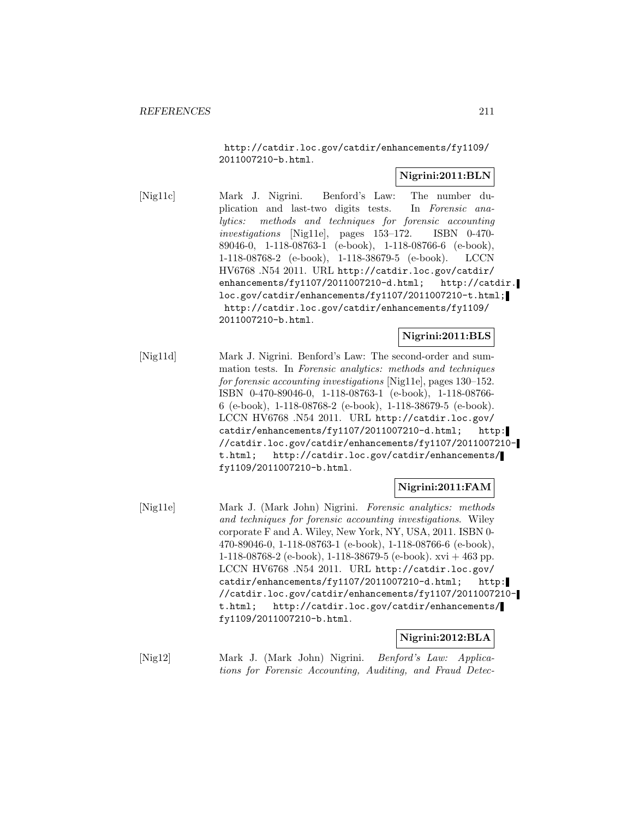http://catdir.loc.gov/catdir/enhancements/fy1109/ 2011007210-b.html.

# **Nigrini:2011:BLN**

[Nig11c] Mark J. Nigrini. Benford's Law: The number duplication and last-two digits tests. In Forensic analytics: methods and techniques for forensic accounting investigations [Nig11e], pages 153–172. ISBN 0-470- 89046-0, 1-118-08763-1 (e-book), 1-118-08766-6 (e-book), 1-118-08768-2 (e-book), 1-118-38679-5 (e-book). LCCN HV6768 .N54 2011. URL http://catdir.loc.gov/catdir/ enhancements/fy1107/2011007210-d.html; http://catdir. loc.gov/catdir/enhancements/fy1107/2011007210-t.html; http://catdir.loc.gov/catdir/enhancements/fy1109/ 2011007210-b.html.

# **Nigrini:2011:BLS**

[Nig11d] Mark J. Nigrini. Benford's Law: The second-order and summation tests. In Forensic analytics: methods and techniques for forensic accounting investigations [Nig11e], pages 130–152. ISBN 0-470-89046-0, 1-118-08763-1 (e-book), 1-118-08766- 6 (e-book), 1-118-08768-2 (e-book), 1-118-38679-5 (e-book). LCCN HV6768 .N54 2011. URL http://catdir.loc.gov/ catdir/enhancements/fy1107/2011007210-d.html; http: //catdir.loc.gov/catdir/enhancements/fy1107/2011007210 t.html; http://catdir.loc.gov/catdir/enhancements/ fy1109/2011007210-b.html.

# **Nigrini:2011:FAM**

[Nig11e] Mark J. (Mark John) Nigrini. Forensic analytics: methods and techniques for forensic accounting investigations. Wiley corporate F and A. Wiley, New York, NY, USA, 2011. ISBN 0- 470-89046-0, 1-118-08763-1 (e-book), 1-118-08766-6 (e-book), 1-118-08768-2 (e-book), 1-118-38679-5 (e-book). xvi + 463 pp. LCCN HV6768 .N54 2011. URL http://catdir.loc.gov/ catdir/enhancements/fy1107/2011007210-d.html; http: //catdir.loc.gov/catdir/enhancements/fy1107/2011007210 t.html; http://catdir.loc.gov/catdir/enhancements/ fy1109/2011007210-b.html.

# **Nigrini:2012:BLA**

[Nig12] Mark J. (Mark John) Nigrini. Benford's Law: Applications for Forensic Accounting, Auditing, and Fraud Detec-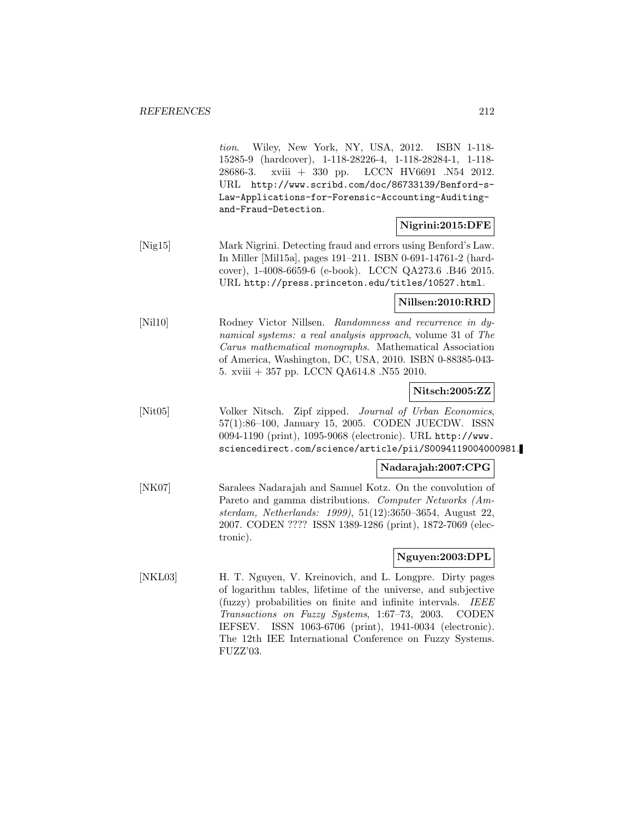tion. Wiley, New York, NY, USA, 2012. ISBN 1-118- 15285-9 (hardcover), 1-118-28226-4, 1-118-28284-1, 1-118- 28686-3. xviii + 330 pp. LCCN HV6691 .N54 2012. URL http://www.scribd.com/doc/86733139/Benford-s-Law-Applications-for-Forensic-Accounting-Auditingand-Fraud-Detection.

# **Nigrini:2015:DFE**

[Nig15] Mark Nigrini. Detecting fraud and errors using Benford's Law. In Miller [Mil15a], pages 191–211. ISBN 0-691-14761-2 (hardcover), 1-4008-6659-6 (e-book). LCCN QA273.6 .B46 2015. URL http://press.princeton.edu/titles/10527.html.

#### **Nillsen:2010:RRD**

[Nil10] Rodney Victor Nillsen. Randomness and recurrence in dynamical systems: a real analysis approach, volume 31 of The Carus mathematical monographs. Mathematical Association of America, Washington, DC, USA, 2010. ISBN 0-88385-043- 5. xviii + 357 pp. LCCN QA614.8 .N55 2010.

# **Nitsch:2005:ZZ**

[Nit05] Volker Nitsch. Zipf zipped. Journal of Urban Economics, 57(1):86–100, January 15, 2005. CODEN JUECDW. ISSN 0094-1190 (print), 1095-9068 (electronic). URL http://www. sciencedirect.com/science/article/pii/S0094119004000981.

#### **Nadarajah:2007:CPG**

[NK07] Saralees Nadarajah and Samuel Kotz. On the convolution of Pareto and gamma distributions. Computer Networks (Amsterdam, Netherlands: 1999), 51(12):3650–3654, August 22, 2007. CODEN ???? ISSN 1389-1286 (print), 1872-7069 (electronic).

# **Nguyen:2003:DPL**

[NKL03] H. T. Nguyen, V. Kreinovich, and L. Longpre. Dirty pages of logarithm tables, lifetime of the universe, and subjective (fuzzy) probabilities on finite and infinite intervals. IEEE Transactions on Fuzzy Systems, 1:67–73, 2003. CODEN IEFSEV. ISSN 1063-6706 (print), 1941-0034 (electronic). The 12th IEE International Conference on Fuzzy Systems. FUZZ'03.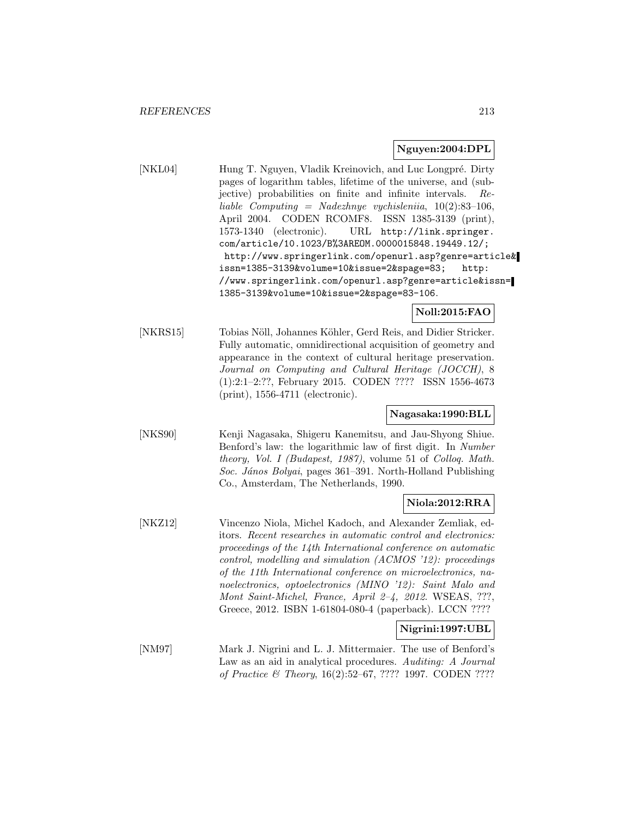#### **Nguyen:2004:DPL**

[NKL04] Hung T. Nguyen, Vladik Kreinovich, and Luc Longpré. Dirty pages of logarithm tables, lifetime of the universe, and (subjective) probabilities on finite and infinite intervals. Reliable Computing = Nadezhnye vychisleniia, 10(2):83–106, April 2004. CODEN RCOMF8. ISSN 1385-3139 (print), 1573-1340 (electronic). URL http://link.springer. com/article/10.1023/B%3AREOM.0000015848.19449.12/; http://www.springerlink.com/openurl.asp?genre=article& issn=1385-3139&volume=10&issue=2&spage=83; http: //www.springerlink.com/openurl.asp?genre=article&issn= 1385-3139&volume=10&issue=2&spage=83-106.

# **Noll:2015:FAO**

[NKRS15] Tobias Nöll, Johannes Köhler, Gerd Reis, and Didier Stricker. Fully automatic, omnidirectional acquisition of geometry and appearance in the context of cultural heritage preservation. Journal on Computing and Cultural Heritage (JOCCH), 8 (1):2:1–2:??, February 2015. CODEN ???? ISSN 1556-4673 (print), 1556-4711 (electronic).

# **Nagasaka:1990:BLL**

[NKS90] Kenji Nagasaka, Shigeru Kanemitsu, and Jau-Shyong Shiue. Benford's law: the logarithmic law of first digit. In Number theory, Vol. I (Budapest, 1987), volume 51 of Colloq. Math. Soc. János Bolyai, pages 361–391. North-Holland Publishing Co., Amsterdam, The Netherlands, 1990.

# **Niola:2012:RRA**

[NKZ12] Vincenzo Niola, Michel Kadoch, and Alexander Zemliak, editors. Recent researches in automatic control and electronics: proceedings of the 14th International conference on automatic control, modelling and simulation (ACMOS '12): proceedings of the 11th International conference on microelectronics, nanoelectronics, optoelectronics (MINO '12): Saint Malo and Mont Saint-Michel, France, April 2–4, 2012. WSEAS, ???, Greece, 2012. ISBN 1-61804-080-4 (paperback). LCCN ????

# **Nigrini:1997:UBL**

[NM97] Mark J. Nigrini and L. J. Mittermaier. The use of Benford's Law as an aid in analytical procedures. Auditing: A Journal of Practice & Theory, 16(2):52–67, ???? 1997. CODEN ????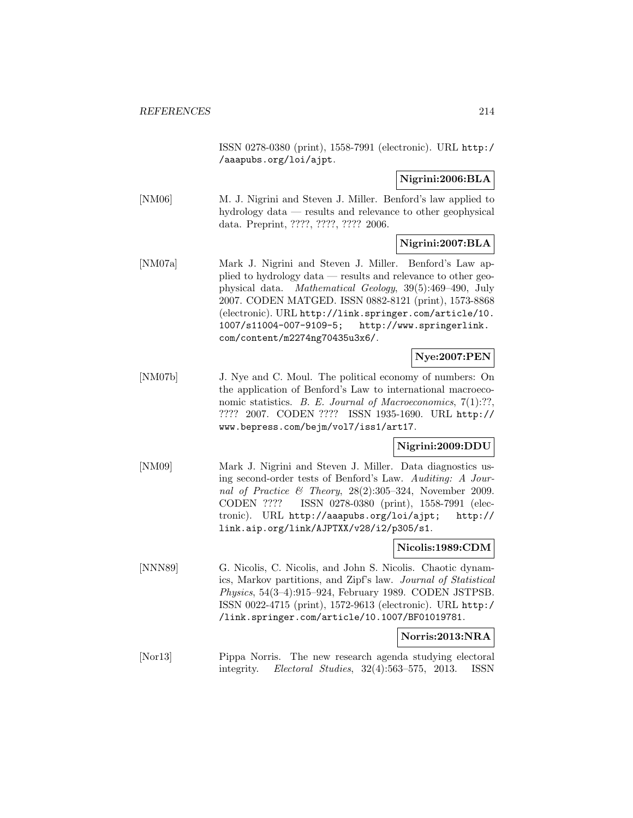ISSN 0278-0380 (print), 1558-7991 (electronic). URL http:/ /aaapubs.org/loi/ajpt.

# **Nigrini:2006:BLA**

[NM06] M. J. Nigrini and Steven J. Miller. Benford's law applied to hydrology data — results and relevance to other geophysical data. Preprint, ????, ????, ???? 2006.

# **Nigrini:2007:BLA**

[NM07a] Mark J. Nigrini and Steven J. Miller. Benford's Law applied to hydrology data — results and relevance to other geophysical data. Mathematical Geology, 39(5):469–490, July 2007. CODEN MATGED. ISSN 0882-8121 (print), 1573-8868 (electronic). URL http://link.springer.com/article/10. 1007/s11004-007-9109-5; http://www.springerlink. com/content/m2274ng70435u3x6/.

# **Nye:2007:PEN**

[NM07b] J. Nye and C. Moul. The political economy of numbers: On the application of Benford's Law to international macroeconomic statistics. B. E. Journal of Macroeconomics, 7(1):??, ???? 2007. CODEN ???? ISSN 1935-1690. URL http:// www.bepress.com/bejm/vol7/iss1/art17.

# **Nigrini:2009:DDU**

[NM09] Mark J. Nigrini and Steven J. Miller. Data diagnostics using second-order tests of Benford's Law. Auditing: A Journal of Practice & Theory, 28(2):305–324, November 2009. CODEN ???? ISSN 0278-0380 (print), 1558-7991 (electronic). URL http://aaapubs.org/loi/ajpt; http:// link.aip.org/link/AJPTXX/v28/i2/p305/s1.

# **Nicolis:1989:CDM**

[NNN89] G. Nicolis, C. Nicolis, and John S. Nicolis. Chaotic dynamics, Markov partitions, and Zipf's law. Journal of Statistical Physics, 54(3–4):915–924, February 1989. CODEN JSTPSB. ISSN 0022-4715 (print), 1572-9613 (electronic). URL http:/ /link.springer.com/article/10.1007/BF01019781.

#### **Norris:2013:NRA**

[Nor13] Pippa Norris. The new research agenda studying electoral integrity. Electoral Studies, 32(4):563–575, 2013. ISSN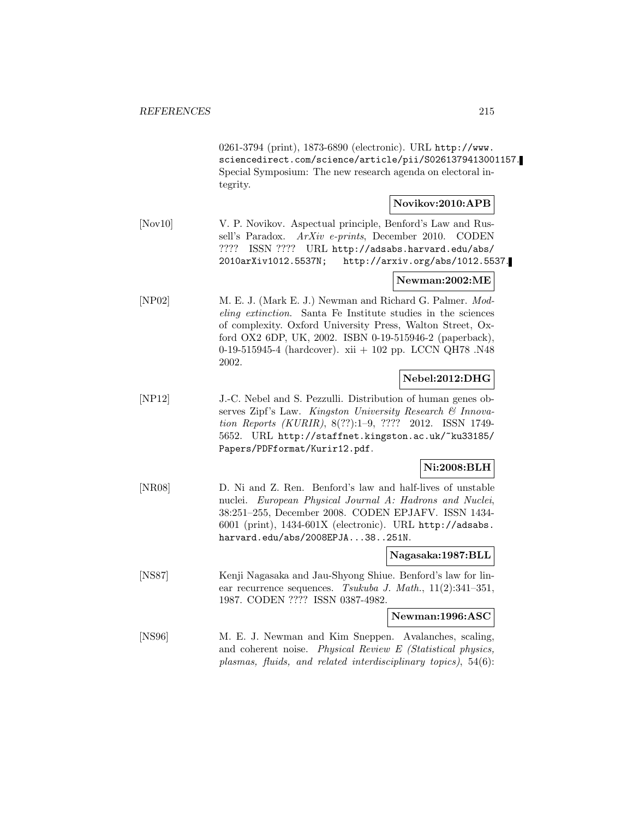0261-3794 (print), 1873-6890 (electronic). URL http://www. sciencedirect.com/science/article/pii/S0261379413001157. Special Symposium: The new research agenda on electoral integrity.

# **Novikov:2010:APB**

[Nov10] V. P. Novikov. Aspectual principle, Benford's Law and Russell's Paradox. ArXiv e-prints, December 2010. CODEN ???? ISSN ???? URL http://adsabs.harvard.edu/abs/ 2010arXiv1012.5537N; http://arxiv.org/abs/1012.5537.

#### **Newman:2002:ME**

[NP02] M. E. J. (Mark E. J.) Newman and Richard G. Palmer. Modeling extinction. Santa Fe Institute studies in the sciences of complexity. Oxford University Press, Walton Street, Oxford OX2 6DP, UK, 2002. ISBN 0-19-515946-2 (paperback), 0-19-515945-4 (hardcover). xii + 102 pp. LCCN QH78 .N48 2002.

# **Nebel:2012:DHG**

[NP12] J.-C. Nebel and S. Pezzulli. Distribution of human genes observes Zipf's Law. Kingston University Research  $\mathcal{B}$  Innovation Reports (KURIR), 8(??):1–9, ???? 2012. ISSN 1749- 5652. URL http://staffnet.kingston.ac.uk/~ku33185/ Papers/PDFformat/Kurir12.pdf.

# **Ni:2008:BLH**

[NR08] D. Ni and Z. Ren. Benford's law and half-lives of unstable nuclei. European Physical Journal A: Hadrons and Nuclei, 38:251–255, December 2008. CODEN EPJAFV. ISSN 1434- 6001 (print), 1434-601X (electronic). URL http://adsabs. harvard.edu/abs/2008EPJA...38..251N.

# **Nagasaka:1987:BLL**

[NS87] Kenji Nagasaka and Jau-Shyong Shiue. Benford's law for linear recurrence sequences. Tsukuba J. Math., 11(2):341–351, 1987. CODEN ???? ISSN 0387-4982.

**Newman:1996:ASC**

[NS96] M. E. J. Newman and Kim Sneppen. Avalanches, scaling, and coherent noise. Physical Review E (Statistical physics, plasmas, fluids, and related interdisciplinary topics), 54(6):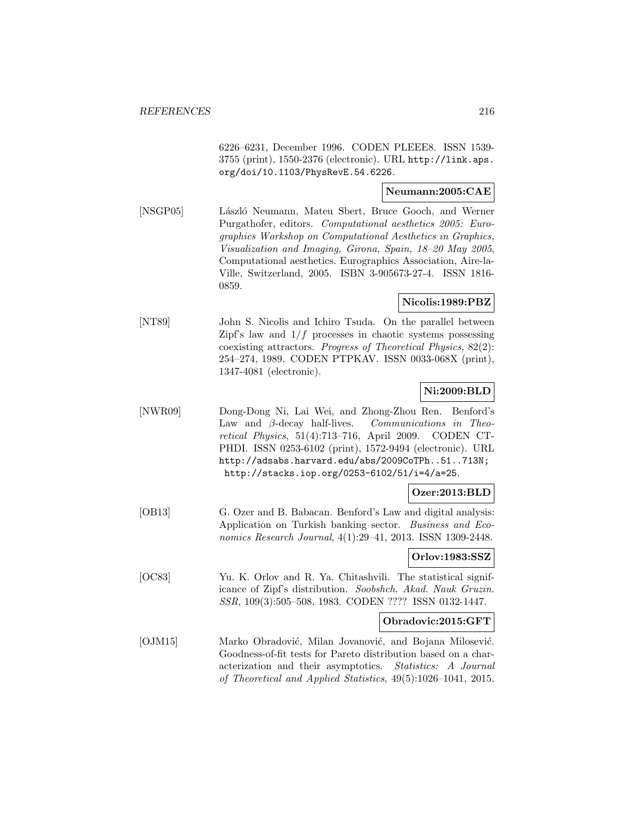6226–6231, December 1996. CODEN PLEEE8. ISSN 1539- 3755 (print), 1550-2376 (electronic). URL http://link.aps. org/doi/10.1103/PhysRevE.54.6226.

# **Neumann:2005:CAE**

[NSGP05] László Neumann, Mateu Sbert, Bruce Gooch, and Werner Purgathofer, editors. Computational aesthetics 2005: Eurographics Workshop on Computational Aesthetics in Graphics, Visualization and Imaging, Girona, Spain, 18–20 May 2005, Computational aesthetics. Eurographics Association, Aire-la-Ville, Switzerland, 2005. ISBN 3-905673-27-4. ISSN 1816- 0859.

#### **Nicolis:1989:PBZ**

[NT89] John S. Nicolis and Ichiro Tsuda. On the parallel between Zipf's law and  $1/f$  processes in chaotic systems possessing coexisting attractors. Progress of Theoretical Physics, 82(2): 254–274, 1989. CODEN PTPKAV. ISSN 0033-068X (print), 1347-4081 (electronic).

# **Ni:2009:BLD**

[NWR09] Dong-Dong Ni, Lai Wei, and Zhong-Zhou Ren. Benford's Law and β-decay half-lives. Communications in Theoretical Physics, 51(4):713–716, April 2009. CODEN CT-PHDI. ISSN 0253-6102 (print), 1572-9494 (electronic). URL http://adsabs.harvard.edu/abs/2009CoTPh..51..713N; http://stacks.iop.org/0253-6102/51/i=4/a=25.

# **Ozer:2013:BLD**

[OB13] G. Ozer and B. Babacan. Benford's Law and digital analysis: Application on Turkish banking sector. Business and Economics Research Journal, 4(1):29–41, 2013. ISSN 1309-2448.

#### **Orlov:1983:SSZ**

[OC83] Yu. K. Orlov and R. Ya. Chitashvili. The statistical significance of Zipf's distribution. Soobshch. Akad. Nauk Gruzin. SSR, 109(3):505–508, 1983. CODEN ???? ISSN 0132-1447.

#### **Obradovic:2015:GFT**

[OJM15] Marko Obradović, Milan Jovanović, and Bojana Milosević. Goodness-of-fit tests for Pareto distribution based on a characterization and their asymptotics. Statistics: A Journal of Theoretical and Applied Statistics, 49(5):1026–1041, 2015.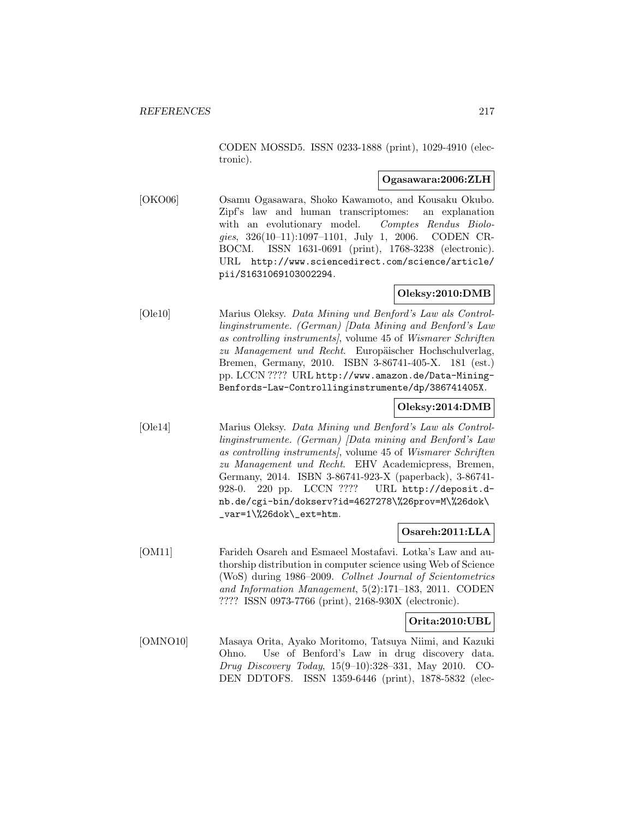CODEN MOSSD5. ISSN 0233-1888 (print), 1029-4910 (electronic).

#### **Ogasawara:2006:ZLH**

[OKO06] Osamu Ogasawara, Shoko Kawamoto, and Kousaku Okubo. Zipf's law and human transcriptomes: an explanation with an evolutionary model. Comptes Rendus Biologies, 326(10–11):1097–1101, July 1, 2006. CODEN CR-BOCM. ISSN 1631-0691 (print), 1768-3238 (electronic). URL http://www.sciencedirect.com/science/article/ pii/S1631069103002294.

# **Oleksy:2010:DMB**

[Ole10] Marius Oleksy. Data Mining und Benford's Law als Controllinginstrumente. (German) [Data Mining and Benford's Law as controlling instruments], volume 45 of Wismarer Schriften zu Management und Recht. Europäischer Hochschulverlag, Bremen, Germany, 2010. ISBN 3-86741-405-X. 181 (est.) pp. LCCN ???? URL http://www.amazon.de/Data-Mining-Benfords-Law-Controllinginstrumente/dp/386741405X.

# **Oleksy:2014:DMB**

[Ole14] Marius Oleksy. Data Mining und Benford's Law als Controllinginstrumente. (German) [Data mining and Benford's Law as controlling instruments], volume 45 of Wismarer Schriften zu Management und Recht. EHV Academicpress, Bremen, Germany, 2014. ISBN 3-86741-923-X (paperback), 3-86741- 928-0. 220 pp. LCCN ???? URL http://deposit.dnb.de/cgi-bin/dokserv?id=4627278\%26prov=M\%26dok\  $_{\text{var=1}\%26dok\text{-}ext=htm.}$ 

# **Osareh:2011:LLA**

[OM11] Farideh Osareh and Esmaeel Mostafavi. Lotka's Law and authorship distribution in computer science using Web of Science (WoS) during 1986–2009. Collnet Journal of Scientometrics and Information Management, 5(2):171–183, 2011. CODEN ???? ISSN 0973-7766 (print), 2168-930X (electronic).

# **Orita:2010:UBL**

[OMNO10] Masaya Orita, Ayako Moritomo, Tatsuya Niimi, and Kazuki Ohno. Use of Benford's Law in drug discovery data. Drug Discovery Today, 15(9–10):328–331, May 2010. CO-DEN DDTOFS. ISSN 1359-6446 (print), 1878-5832 (elec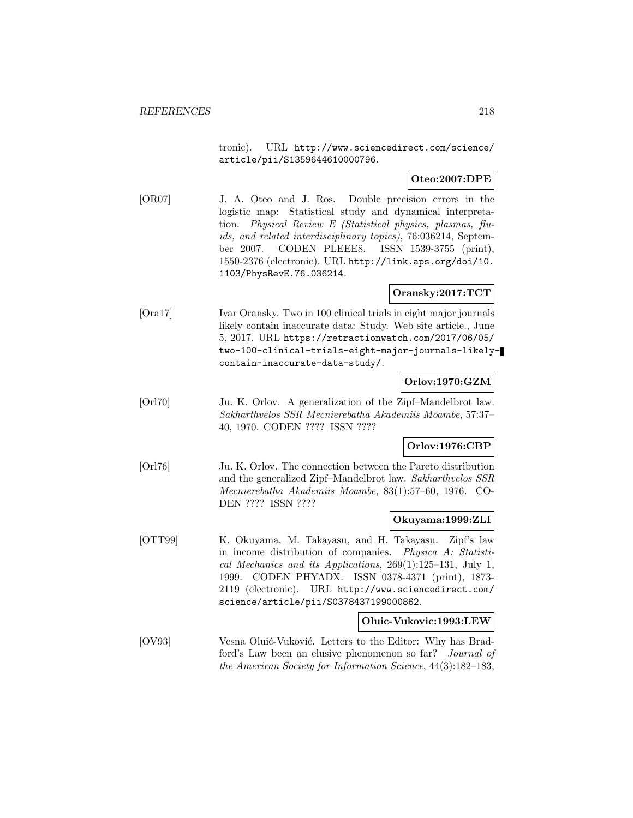tronic). URL http://www.sciencedirect.com/science/ article/pii/S1359644610000796.

## **Oteo:2007:DPE**

[OR07] J. A. Oteo and J. Ros. Double precision errors in the logistic map: Statistical study and dynamical interpretation. Physical Review E (Statistical physics, plasmas, fluids, and related interdisciplinary topics), 76:036214, September 2007. CODEN PLEEE8. ISSN 1539-3755 (print), 1550-2376 (electronic). URL http://link.aps.org/doi/10. 1103/PhysRevE.76.036214.

# **Oransky:2017:TCT**

[Ora17] Ivar Oransky. Two in 100 clinical trials in eight major journals likely contain inaccurate data: Study. Web site article., June 5, 2017. URL https://retractionwatch.com/2017/06/05/ two-100-clinical-trials-eight-major-journals-likelycontain-inaccurate-data-study/.

# **Orlov:1970:GZM**

[Orl70] Ju. K. Orlov. A generalization of the Zipf–Mandelbrot law. Sakharthvelos SSR Mecnierebatha Akademiis Moambe, 57:37– 40, 1970. CODEN ???? ISSN ????

# **Orlov:1976:CBP**

[Orl76] Ju. K. Orlov. The connection between the Pareto distribution and the generalized Zipf–Mandelbrot law. Sakharthvelos SSR Mecnierebatha Akademiis Moambe, 83(1):57–60, 1976. CO-DEN ???? ISSN ????

#### **Okuyama:1999:ZLI**

[OTT99] K. Okuyama, M. Takayasu, and H. Takayasu. Zipf's law in income distribution of companies. Physica A: Statistical Mechanics and its Applications, 269(1):125–131, July 1, 1999. CODEN PHYADX. ISSN 0378-4371 (print), 1873- 2119 (electronic). URL http://www.sciencedirect.com/ science/article/pii/S0378437199000862.

#### **Oluic-Vukovic:1993:LEW**

[OV93] Vesna Oluić-Vuković. Letters to the Editor: Why has Bradford's Law been an elusive phenomenon so far? Journal of the American Society for Information Science, 44(3):182–183,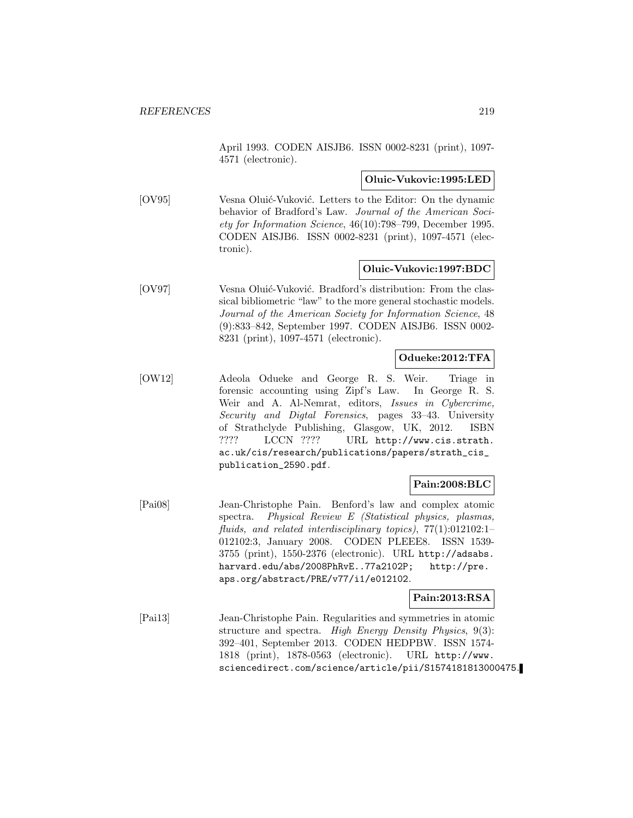April 1993. CODEN AISJB6. ISSN 0002-8231 (print), 1097- 4571 (electronic).

#### **Oluic-Vukovic:1995:LED**

[OV95] Vesna Oluić-Vuković. Letters to the Editor: On the dynamic behavior of Bradford's Law. Journal of the American Society for Information Science, 46(10):798–799, December 1995. CODEN AISJB6. ISSN 0002-8231 (print), 1097-4571 (electronic).

#### **Oluic-Vukovic:1997:BDC**

[OV97] Vesna Oluić-Vuković. Bradford's distribution: From the classical bibliometric "law" to the more general stochastic models. Journal of the American Society for Information Science, 48 (9):833–842, September 1997. CODEN AISJB6. ISSN 0002- 8231 (print), 1097-4571 (electronic).

## **Odueke:2012:TFA**

[OW12] Adeola Odueke and George R. S. Weir. Triage in forensic accounting using Zipf's Law. In George R. S. Weir and A. Al-Nemrat, editors, Issues in Cybercrime, Security and Digtal Forensics, pages 33–43. University of Strathclyde Publishing, Glasgow, UK, 2012. ISBN ???? LCCN ???? URL http://www.cis.strath. ac.uk/cis/research/publications/papers/strath\_cis\_ publication\_2590.pdf.

# **Pain:2008:BLC**

[Pai08] Jean-Christophe Pain. Benford's law and complex atomic spectra. Physical Review E (Statistical physics, plasmas, fluids, and related interdisciplinary topics),  $77(1):012102:1-$ 012102:3, January 2008. CODEN PLEEE8. ISSN 1539- 3755 (print), 1550-2376 (electronic). URL http://adsabs. harvard.edu/abs/2008PhRvE..77a2102P; http://pre. aps.org/abstract/PRE/v77/i1/e012102.

## **Pain:2013:RSA**

[Pai13] Jean-Christophe Pain. Regularities and symmetries in atomic structure and spectra. High Energy Density Physics, 9(3): 392–401, September 2013. CODEN HEDPBW. ISSN 1574- 1818 (print), 1878-0563 (electronic). URL http://www. sciencedirect.com/science/article/pii/S1574181813000475.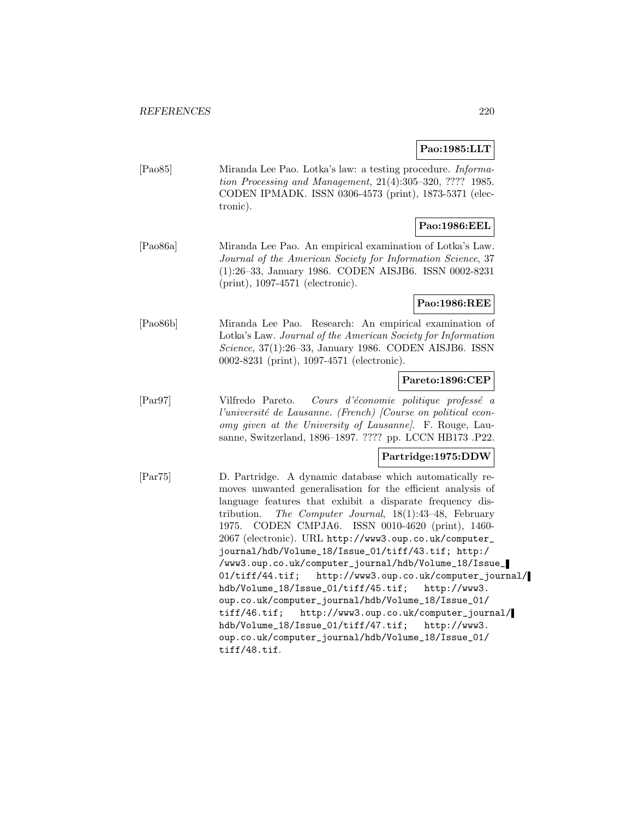# **Pao:1985:LLT**

[Pao85] Miranda Lee Pao. Lotka's law: a testing procedure. Information Processing and Management, 21(4):305–320, ???? 1985. CODEN IPMADK. ISSN 0306-4573 (print), 1873-5371 (electronic).

# **Pao:1986:EEL**

[Pao86a] Miranda Lee Pao. An empirical examination of Lotka's Law. Journal of the American Society for Information Science, 37 (1):26–33, January 1986. CODEN AISJB6. ISSN 0002-8231 (print), 1097-4571 (electronic).

## **Pao:1986:REE**

[Pao86b] Miranda Lee Pao. Research: An empirical examination of Lotka's Law. Journal of the American Society for Information Science, 37(1):26–33, January 1986. CODEN AISJB6. ISSN 0002-8231 (print), 1097-4571 (electronic).

# **Pareto:1896:CEP**

[Parg7] Vilfredo Pareto. Cours d'économie politique professé a l'université de Lausanne. (French)  $[Course\ on\ political\ econ$ omy given at the University of Lausanne]. F. Rouge, Lausanne, Switzerland, 1896–1897. ???? pp. LCCN HB173 .P22.

## **Partridge:1975:DDW**

[Par75] D. Partridge. A dynamic database which automatically removes unwanted generalisation for the efficient analysis of language features that exhibit a disparate frequency distribution. The Computer Journal, 18(1):43–48, February 1975. CODEN CMPJA6. ISSN 0010-4620 (print), 1460- 2067 (electronic). URL http://www3.oup.co.uk/computer\_ journal/hdb/Volume\_18/Issue\_01/tiff/43.tif; http:/ /www3.oup.co.uk/computer\_journal/hdb/Volume\_18/Issue\_ 01/tiff/44.tif; http://www3.oup.co.uk/computer\_journal/ hdb/Volume\_18/Issue\_01/tiff/45.tif; http://www3. oup.co.uk/computer\_journal/hdb/Volume\_18/Issue\_01/ tiff/46.tif; http://www3.oup.co.uk/computer\_journal/ hdb/Volume\_18/Issue\_01/tiff/47.tif; http://www3. oup.co.uk/computer\_journal/hdb/Volume\_18/Issue\_01/ tiff/48.tif.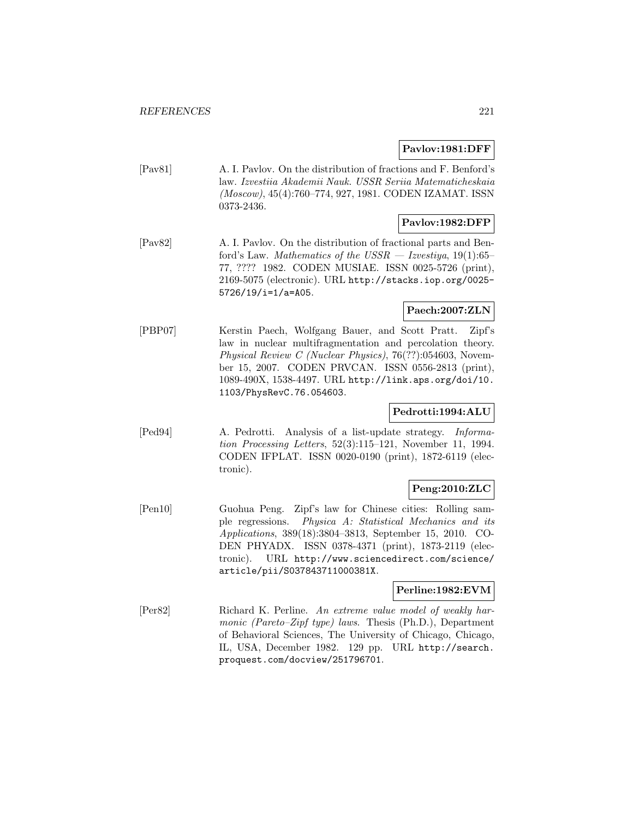#### **Pavlov:1981:DFF**

[Pav81] A. I. Pavlov. On the distribution of fractions and F. Benford's law. Izvestiia Akademii Nauk. USSR Seriia Matematicheskaia (Moscow), 45(4):760–774, 927, 1981. CODEN IZAMAT. ISSN 0373-2436.

## **Pavlov:1982:DFP**

[Pav82] A. I. Pavlov. On the distribution of fractional parts and Benford's Law. Mathematics of the  $USSR - Izvestiya, 19(1):65-$ 77, ???? 1982. CODEN MUSIAE. ISSN 0025-5726 (print), 2169-5075 (electronic). URL http://stacks.iop.org/0025- 5726/19/i=1/a=A05.

# **Paech:2007:ZLN**

[PBP07] Kerstin Paech, Wolfgang Bauer, and Scott Pratt. Zipf's law in nuclear multifragmentation and percolation theory. Physical Review C (Nuclear Physics), 76(??):054603, November 15, 2007. CODEN PRVCAN. ISSN 0556-2813 (print), 1089-490X, 1538-4497. URL http://link.aps.org/doi/10. 1103/PhysRevC.76.054603.

# **Pedrotti:1994:ALU**

[Ped94] A. Pedrotti. Analysis of a list-update strategy. Information Processing Letters, 52(3):115–121, November 11, 1994. CODEN IFPLAT. ISSN 0020-0190 (print), 1872-6119 (electronic).

# **Peng:2010:ZLC**

[Pen10] Guohua Peng. Zipf's law for Chinese cities: Rolling sample regressions. Physica A: Statistical Mechanics and its Applications, 389(18):3804–3813, September 15, 2010. CO-DEN PHYADX. ISSN 0378-4371 (print), 1873-2119 (electronic). URL http://www.sciencedirect.com/science/ article/pii/S037843711000381X.

#### **Perline:1982:EVM**

[Per82] Richard K. Perline. An extreme value model of weakly harmonic (Pareto–Zipf type) laws. Thesis (Ph.D.), Department of Behavioral Sciences, The University of Chicago, Chicago, IL, USA, December 1982. 129 pp. URL http://search. proquest.com/docview/251796701.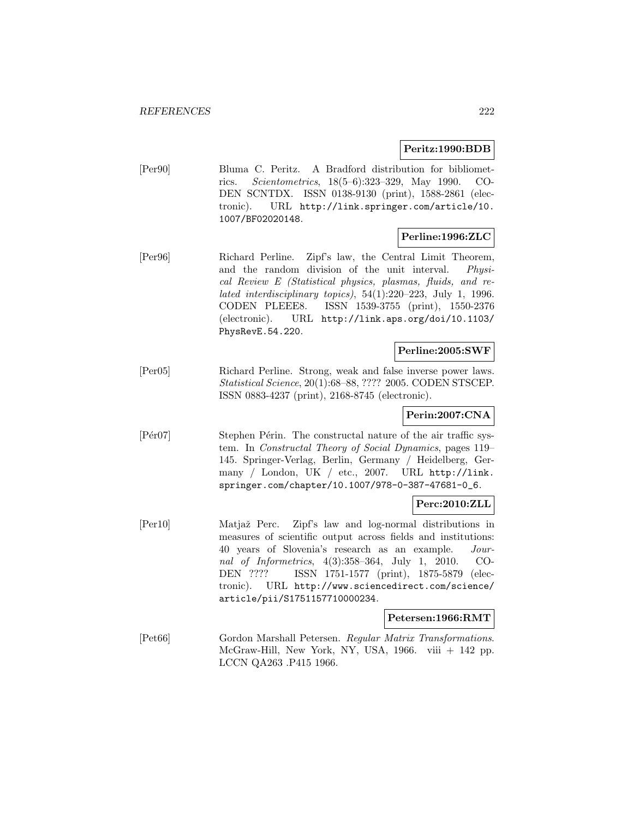#### **Peritz:1990:BDB**

[Per90] Bluma C. Peritz. A Bradford distribution for bibliometrics. Scientometrics, 18(5–6):323–329, May 1990. CO-DEN SCNTDX. ISSN 0138-9130 (print), 1588-2861 (electronic). URL http://link.springer.com/article/10. 1007/BF02020148.

#### **Perline:1996:ZLC**

[Per96] Richard Perline. Zipf's law, the Central Limit Theorem, and the random division of the unit interval. Physical Review E (Statistical physics, plasmas, fluids, and related interdisciplinary topics), 54(1):220–223, July 1, 1996. CODEN PLEEE8. ISSN 1539-3755 (print), 1550-2376 (electronic). URL http://link.aps.org/doi/10.1103/ PhysRevE.54.220.

#### **Perline:2005:SWF**

[Per05] Richard Perline. Strong, weak and false inverse power laws. Statistical Science, 20(1):68–88, ???? 2005. CODEN STSCEP. ISSN 0883-4237 (print), 2168-8745 (electronic).

# **Perin:2007:CNA**

[Pér07] Stephen Périn. The constructal nature of the air traffic system. In Constructal Theory of Social Dynamics, pages 119– 145. Springer-Verlag, Berlin, Germany / Heidelberg, Germany / London, UK / etc., 2007. URL http://link. springer.com/chapter/10.1007/978-0-387-47681-0\_6.

# **Perc:2010:ZLL**

[Per10] Matjaˇz Perc. Zipf's law and log-normal distributions in measures of scientific output across fields and institutions: 40 years of Slovenia's research as an example. Journal of Informetrics, 4(3):358–364, July 1, 2010. CO-DEN ???? ISSN 1751-1577 (print), 1875-5879 (electronic). URL http://www.sciencedirect.com/science/ article/pii/S1751157710000234.

#### **Petersen:1966:RMT**

[Pet66] Gordon Marshall Petersen. Regular Matrix Transformations. McGraw-Hill, New York, NY, USA,  $1966$ . viii  $+ 142$  pp. LCCN QA263 .P415 1966.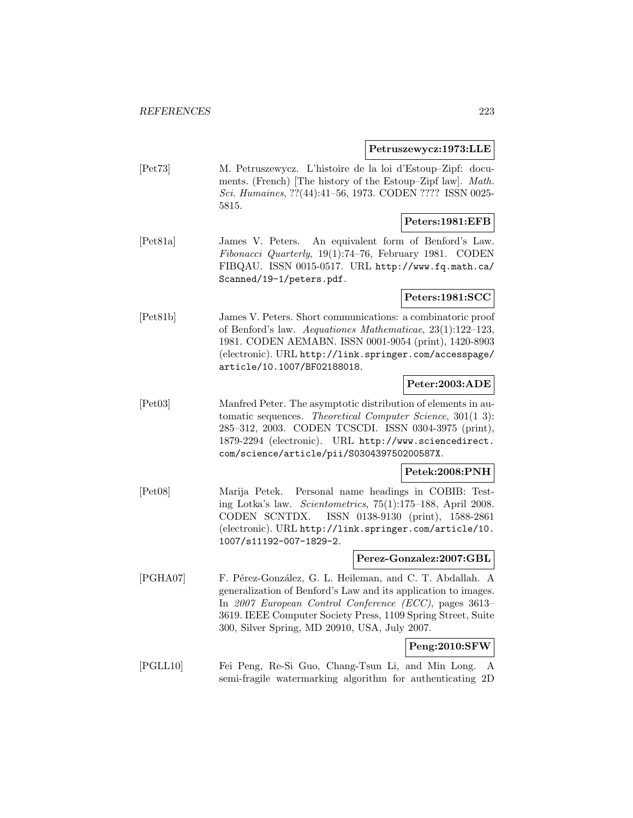#### **Petruszewycz:1973:LLE**

[Pet73] M. Petruszewycz. L'histoire de la loi d'Estoup–Zipf: documents. (French) [The history of the Estoup–Zipf law]. Math. Sci. Humaines, ??(44):41–56, 1973. CODEN ???? ISSN 0025- 5815.

## **Peters:1981:EFB**

[Pet81a] James V. Peters. An equivalent form of Benford's Law. Fibonacci Quarterly, 19(1):74–76, February 1981. CODEN FIBQAU. ISSN 0015-0517. URL http://www.fq.math.ca/ Scanned/19-1/peters.pdf.

## **Peters:1981:SCC**

[Pet81b] James V. Peters. Short communications: a combinatoric proof of Benford's law. Aequationes Mathematicae, 23(1):122–123, 1981. CODEN AEMABN. ISSN 0001-9054 (print), 1420-8903 (electronic). URL http://link.springer.com/accesspage/ article/10.1007/BF02188018.

# **Peter:2003:ADE**

[Pet03] Manfred Peter. The asymptotic distribution of elements in automatic sequences. Theoretical Computer Science, 301(1 3): 285–312, 2003. CODEN TCSCDI. ISSN 0304-3975 (print), 1879-2294 (electronic). URL http://www.sciencedirect. com/science/article/pii/S030439750200587X.

#### **Petek:2008:PNH**

[Pet08] Marija Petek. Personal name headings in COBIB: Testing Lotka's law. Scientometrics, 75(1):175–188, April 2008. CODEN SCNTDX. ISSN 0138-9130 (print), 1588-2861 (electronic). URL http://link.springer.com/article/10. 1007/s11192-007-1829-2.

#### **Perez-Gonzalez:2007:GBL**

[PGHA07] F. Pérez-González, G. L. Heileman, and C. T. Abdallah. A generalization of Benford's Law and its application to images. In 2007 European Control Conference (ECC), pages 3613– 3619. IEEE Computer Society Press, 1109 Spring Street, Suite 300, Silver Spring, MD 20910, USA, July 2007.

# **Peng:2010:SFW**

[PGLL10] Fei Peng, Re-Si Guo, Chang-Tsun Li, and Min Long. A semi-fragile watermarking algorithm for authenticating 2D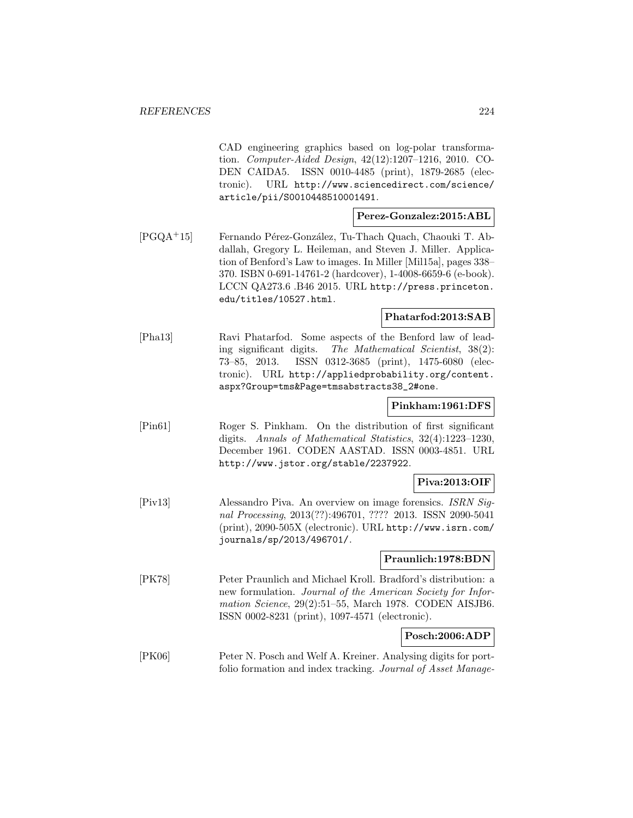CAD engineering graphics based on log-polar transformation. Computer-Aided Design, 42(12):1207–1216, 2010. CO-DEN CAIDA5. ISSN 0010-4485 (print), 1879-2685 (electronic). URL http://www.sciencedirect.com/science/ article/pii/S0010448510001491.

#### **Perez-Gonzalez:2015:ABL**

[PGQA+15] Fernando Pérez-González, Tu-Thach Quach, Chaouki T. Abdallah, Gregory L. Heileman, and Steven J. Miller. Application of Benford's Law to images. In Miller [Mil15a], pages 338– 370. ISBN 0-691-14761-2 (hardcover), 1-4008-6659-6 (e-book). LCCN QA273.6 .B46 2015. URL http://press.princeton. edu/titles/10527.html.

#### **Phatarfod:2013:SAB**

[Pha13] Ravi Phatarfod. Some aspects of the Benford law of leading significant digits. The Mathematical Scientist, 38(2): 73–85, 2013. ISSN 0312-3685 (print), 1475-6080 (electronic). URL http://appliedprobability.org/content. aspx?Group=tms&Page=tmsabstracts38\_2#one.

#### **Pinkham:1961:DFS**

[Pin61] Roger S. Pinkham. On the distribution of first significant digits. Annals of Mathematical Statistics, 32(4):1223–1230, December 1961. CODEN AASTAD. ISSN 0003-4851. URL http://www.jstor.org/stable/2237922.

## **Piva:2013:OIF**

[Piv13] Alessandro Piva. An overview on image forensics. ISRN Signal Processing, 2013(??):496701, ???? 2013. ISSN 2090-5041 (print), 2090-505X (electronic). URL http://www.isrn.com/ journals/sp/2013/496701/.

#### **Praunlich:1978:BDN**

[PK78] Peter Praunlich and Michael Kroll. Bradford's distribution: a new formulation. Journal of the American Society for Information Science, 29(2):51–55, March 1978. CODEN AISJB6. ISSN 0002-8231 (print), 1097-4571 (electronic).

# **Posch:2006:ADP**

[PK06] Peter N. Posch and Welf A. Kreiner. Analysing digits for portfolio formation and index tracking. Journal of Asset Manage-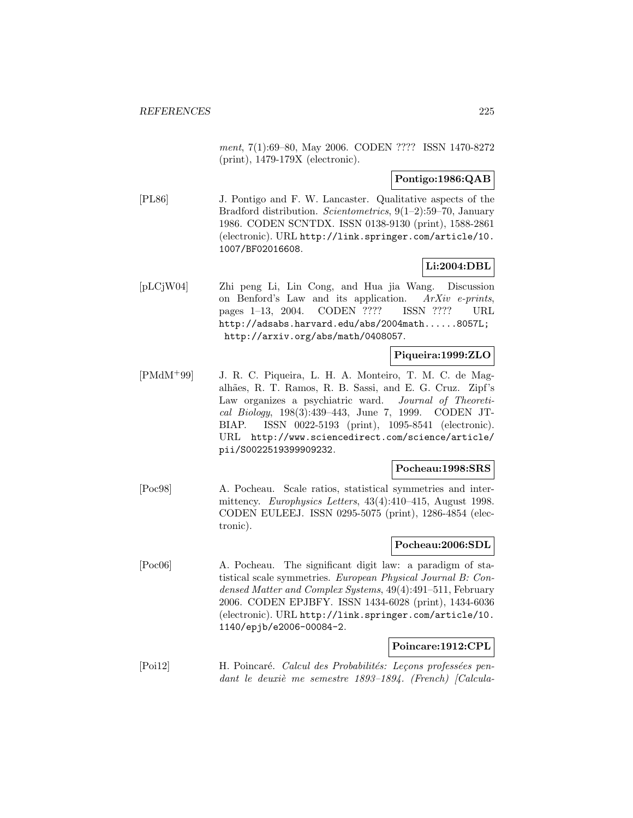ment, 7(1):69-80, May 2006. CODEN ???? ISSN 1470-8272 (print), 1479-179X (electronic).

## **Pontigo:1986:QAB**

[PL86] J. Pontigo and F. W. Lancaster. Qualitative aspects of the Bradford distribution. Scientometrics, 9(1–2):59–70, January 1986. CODEN SCNTDX. ISSN 0138-9130 (print), 1588-2861 (electronic). URL http://link.springer.com/article/10. 1007/BF02016608.

# **Li:2004:DBL**

[pLCjW04] Zhi peng Li, Lin Cong, and Hua jia Wang. Discussion on Benford's Law and its application. ArXiv e-prints, pages 1–13, 2004. CODEN ???? ISSN ???? URL http://adsabs.harvard.edu/abs/2004math......8057L; http://arxiv.org/abs/math/0408057.

# **Piqueira:1999:ZLO**

[PMdM<sup>+</sup>99] J. R. C. Piqueira, L. H. A. Monteiro, T. M. C. de Magalhães, R. T. Ramos, R. B. Sassi, and E. G. Cruz. Zipf's Law organizes a psychiatric ward. Journal of Theoretical Biology, 198(3):439–443, June 7, 1999. CODEN JT-BIAP. ISSN 0022-5193 (print), 1095-8541 (electronic). URL http://www.sciencedirect.com/science/article/ pii/S0022519399909232.

#### **Pocheau:1998:SRS**

[Poc98] A. Pocheau. Scale ratios, statistical symmetries and intermittency. Europhysics Letters, 43(4):410–415, August 1998. CODEN EULEEJ. ISSN 0295-5075 (print), 1286-4854 (electronic).

# **Pocheau:2006:SDL**

[Poc06] A. Pocheau. The significant digit law: a paradigm of statistical scale symmetries. European Physical Journal B: Condensed Matter and Complex Systems, 49(4):491–511, February 2006. CODEN EPJBFY. ISSN 1434-6028 (print), 1434-6036 (electronic). URL http://link.springer.com/article/10. 1140/epjb/e2006-00084-2.

# **Poincare:1912:CPL**

[Poi12] H. Poincaré. Calcul des Probabilités: Leçons professées pendant le deuxiè me semestre  $1893-1894$ . (French) [Calcula-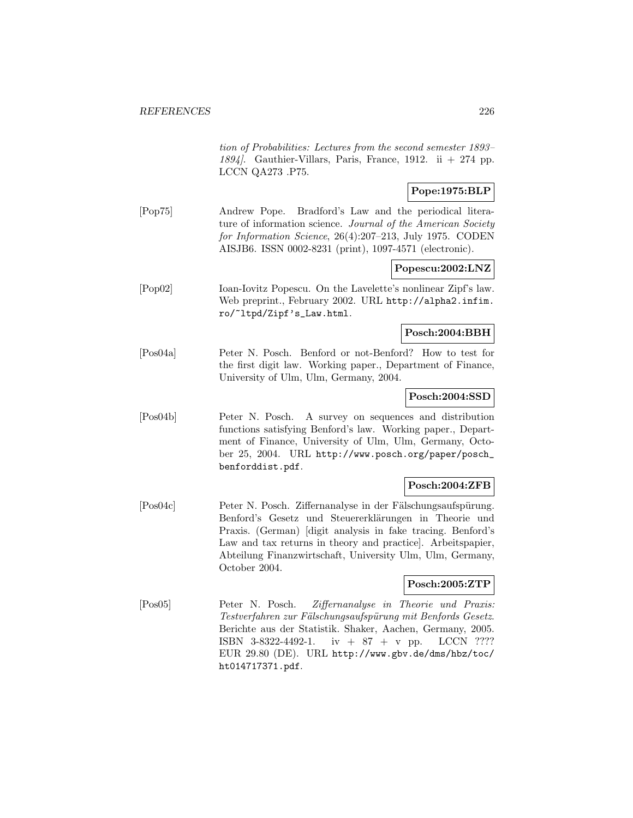tion of Probabilities: Lectures from the second semester 1893– 1894. Gauthier-Villars, Paris, France, 1912. ii  $+274$  pp. LCCN QA273 .P75.

# **Pope:1975:BLP**

[Pop75] Andrew Pope. Bradford's Law and the periodical literature of information science. Journal of the American Society for Information Science, 26(4):207–213, July 1975. CODEN AISJB6. ISSN 0002-8231 (print), 1097-4571 (electronic).

## **Popescu:2002:LNZ**

[Pop02] Ioan-Iovitz Popescu. On the Lavelette's nonlinear Zipf's law. Web preprint., February 2002. URL http://alpha2.infim. ro/~ltpd/Zipf's\_Law.html.

## **Posch:2004:BBH**

[Pos04a] Peter N. Posch. Benford or not-Benford? How to test for the first digit law. Working paper., Department of Finance, University of Ulm, Ulm, Germany, 2004.

## **Posch:2004:SSD**

[Pos04b] Peter N. Posch. A survey on sequences and distribution functions satisfying Benford's law. Working paper., Department of Finance, University of Ulm, Ulm, Germany, October 25, 2004. URL http://www.posch.org/paper/posch\_ benforddist.pdf.

# **Posch:2004:ZFB**

[Pos04c] Peter N. Posch. Ziffernanalyse in der Fälschungsaufspürung. Benford's Gesetz und Steuererklärungen in Theorie und Praxis. (German) [digit analysis in fake tracing. Benford's Law and tax returns in theory and practice]. Arbeitspapier, Abteilung Finanzwirtschaft, University Ulm, Ulm, Germany, October 2004.

# **Posch:2005:ZTP**

[Pos05] Peter N. Posch. Ziffernanalyse in Theorie und Praxis: Testverfahren zur Fälschungsaufspürung mit Benfords Gesetz. Berichte aus der Statistik. Shaker, Aachen, Germany, 2005. ISBN 3-8322-4492-1. iv + 87 + v pp. LCCN ???? EUR 29.80 (DE). URL http://www.gbv.de/dms/hbz/toc/ ht014717371.pdf.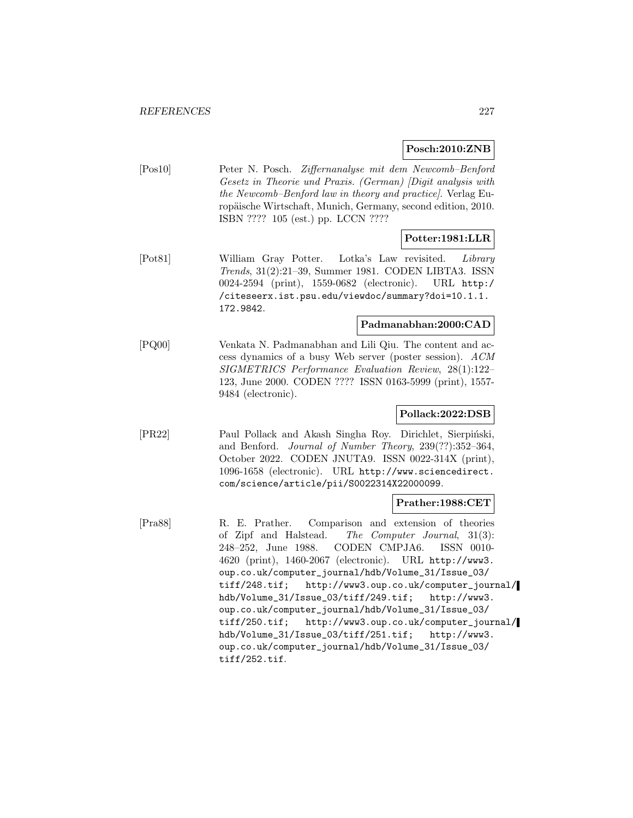## **Posch:2010:ZNB**

[Pos10] Peter N. Posch. Ziffernanalyse mit dem Newcomb–Benford Gesetz in Theorie und Praxis. (German) [Digit analysis with the Newcomb–Benford law in theory and practice]. Verlag Europäische Wirtschaft, Munich, Germany, second edition, 2010. ISBN ???? 105 (est.) pp. LCCN ????

## **Potter:1981:LLR**

[Pot81] William Gray Potter. Lotka's Law revisited. Library Trends, 31(2):21–39, Summer 1981. CODEN LIBTA3. ISSN 0024-2594 (print), 1559-0682 (electronic). URL http:/ /citeseerx.ist.psu.edu/viewdoc/summary?doi=10.1.1. 172.9842.

# **Padmanabhan:2000:CAD**

[PQ00] Venkata N. Padmanabhan and Lili Qiu. The content and access dynamics of a busy Web server (poster session). ACM SIGMETRICS Performance Evaluation Review, 28(1):122– 123, June 2000. CODEN ???? ISSN 0163-5999 (print), 1557- 9484 (electronic).

#### **Pollack:2022:DSB**

[PR22] Paul Pollack and Akash Singha Roy. Dirichlet, Sierpiński, and Benford. Journal of Number Theory, 239(??):352–364, October 2022. CODEN JNUTA9. ISSN 0022-314X (print), 1096-1658 (electronic). URL http://www.sciencedirect. com/science/article/pii/S0022314X22000099.

#### **Prather:1988:CET**

[Pra88] R. E. Prather. Comparison and extension of theories of Zipf and Halstead. The Computer Journal, 31(3): 248–252, June 1988. CODEN CMPJA6. ISSN 0010- 4620 (print), 1460-2067 (electronic). URL http://www3. oup.co.uk/computer\_journal/hdb/Volume\_31/Issue\_03/ tiff/248.tif; http://www3.oup.co.uk/computer\_journal/ hdb/Volume\_31/Issue\_03/tiff/249.tif; http://www3. oup.co.uk/computer\_journal/hdb/Volume\_31/Issue\_03/ tiff/250.tif; http://www3.oup.co.uk/computer\_journal/ hdb/Volume\_31/Issue\_03/tiff/251.tif; http://www3. oup.co.uk/computer\_journal/hdb/Volume\_31/Issue\_03/ tiff/252.tif.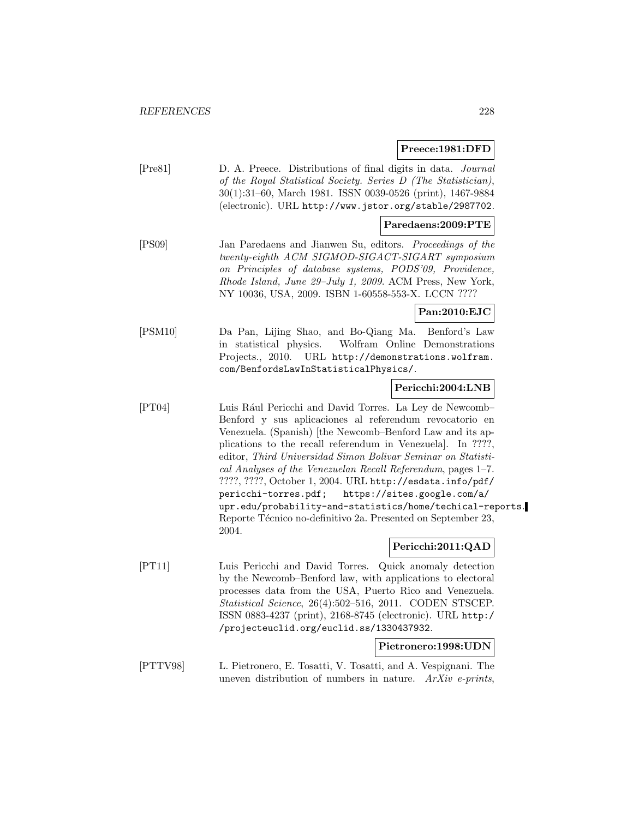#### **Preece:1981:DFD**

[Pre81] D. A. Preece. Distributions of final digits in data. Journal of the Royal Statistical Society. Series D (The Statistician), 30(1):31–60, March 1981. ISSN 0039-0526 (print), 1467-9884 (electronic). URL http://www.jstor.org/stable/2987702.

#### **Paredaens:2009:PTE**

[PS09] Jan Paredaens and Jianwen Su, editors. Proceedings of the twenty-eighth ACM SIGMOD-SIGACT-SIGART symposium on Principles of database systems, PODS'09, Providence, Rhode Island, June 29–July 1, 2009. ACM Press, New York, NY 10036, USA, 2009. ISBN 1-60558-553-X. LCCN ????

## **Pan:2010:EJC**

[PSM10] Da Pan, Lijing Shao, and Bo-Qiang Ma. Benford's Law in statistical physics. Wolfram Online Demonstrations Projects., 2010. URL http://demonstrations.wolfram. com/BenfordsLawInStatisticalPhysics/.

#### **Pericchi:2004:LNB**

[PT04] Luis R´aul Pericchi and David Torres. La Ley de Newcomb– Benford y sus aplicaciones al referendum revocatorio en Venezuela. (Spanish) [the Newcomb–Benford Law and its applications to the recall referendum in Venezuela]. In ????, editor, Third Universidad Simon Bolivar Seminar on Statistical Analyses of the Venezuelan Recall Referendum, pages 1–7. ????, ????, October 1, 2004. URL http://esdata.info/pdf/ pericchi-torres.pdf; https://sites.google.com/a/ upr.edu/probability-and-statistics/home/techical-reports. Reporte Técnico no-definitivo 2a. Presented on September 23, 2004.

# **Pericchi:2011:QAD**

[PT11] Luis Pericchi and David Torres. Quick anomaly detection by the Newcomb–Benford law, with applications to electoral processes data from the USA, Puerto Rico and Venezuela. Statistical Science, 26(4):502–516, 2011. CODEN STSCEP. ISSN 0883-4237 (print), 2168-8745 (electronic). URL http:/ /projecteuclid.org/euclid.ss/1330437932.

## **Pietronero:1998:UDN**

[PTTV98] L. Pietronero, E. Tosatti, V. Tosatti, and A. Vespignani. The uneven distribution of numbers in nature.  $ArXiv$  e-prints,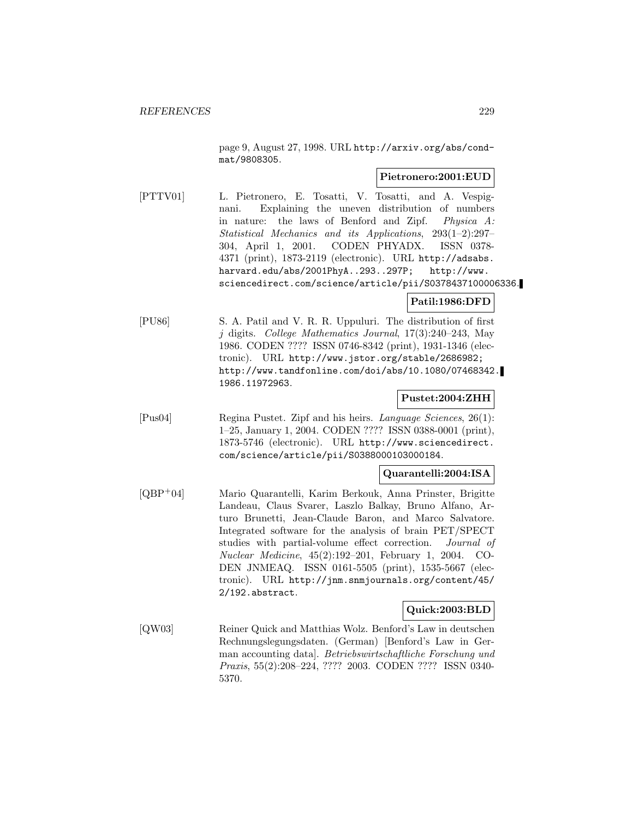page 9, August 27, 1998. URL http://arxiv.org/abs/condmat/9808305.

#### **Pietronero:2001:EUD**

[PTTV01] L. Pietronero, E. Tosatti, V. Tosatti, and A. Vespignani. Explaining the uneven distribution of numbers in nature: the laws of Benford and Zipf. Physica A: Statistical Mechanics and its Applications, 293(1–2):297– 304, April 1, 2001. CODEN PHYADX. ISSN 0378- 4371 (print), 1873-2119 (electronic). URL http://adsabs. harvard.edu/abs/2001PhyA..293..297P; http://www. sciencedirect.com/science/article/pii/S0378437100006336.

## **Patil:1986:DFD**

[PU86] S. A. Patil and V. R. R. Uppuluri. The distribution of first j digits. College Mathematics Journal, 17(3):240–243, May 1986. CODEN ???? ISSN 0746-8342 (print), 1931-1346 (electronic). URL http://www.jstor.org/stable/2686982; http://www.tandfonline.com/doi/abs/10.1080/07468342. 1986.11972963.

## **Pustet:2004:ZHH**

[Pus04] Regina Pustet. Zipf and his heirs. Language Sciences, 26(1): 1–25, January 1, 2004. CODEN ???? ISSN 0388-0001 (print), 1873-5746 (electronic). URL http://www.sciencedirect. com/science/article/pii/S0388000103000184.

#### **Quarantelli:2004:ISA**

[QBP<sup>+</sup>04] Mario Quarantelli, Karim Berkouk, Anna Prinster, Brigitte Landeau, Claus Svarer, Laszlo Balkay, Bruno Alfano, Arturo Brunetti, Jean-Claude Baron, and Marco Salvatore. Integrated software for the analysis of brain PET/SPECT studies with partial-volume effect correction. Journal of Nuclear Medicine, 45(2):192–201, February 1, 2004. CO-DEN JNMEAQ. ISSN 0161-5505 (print), 1535-5667 (electronic). URL http://jnm.snmjournals.org/content/45/ 2/192.abstract.

#### **Quick:2003:BLD**

[QW03] Reiner Quick and Matthias Wolz. Benford's Law in deutschen Rechnungslegungsdaten. (German) [Benford's Law in German accounting data]. Betriebswirtschaftliche Forschung und Praxis, 55(2):208–224, ???? 2003. CODEN ???? ISSN 0340- 5370.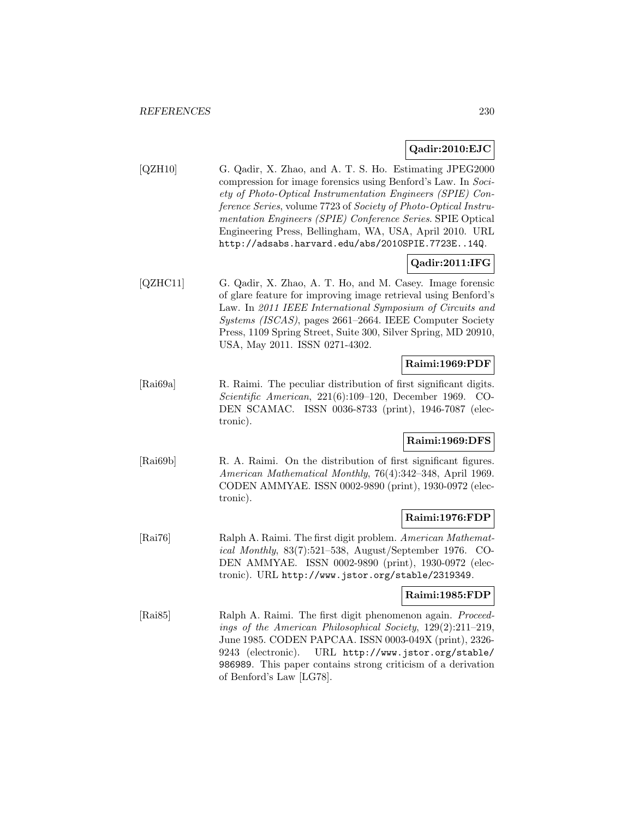## **Qadir:2010:EJC**

[QZH10] G. Qadir, X. Zhao, and A. T. S. Ho. Estimating JPEG2000 compression for image forensics using Benford's Law. In Society of Photo-Optical Instrumentation Engineers (SPIE) Conference Series, volume 7723 of Society of Photo-Optical Instrumentation Engineers (SPIE) Conference Series. SPIE Optical Engineering Press, Bellingham, WA, USA, April 2010. URL http://adsabs.harvard.edu/abs/2010SPIE.7723E..14Q.

# **Qadir:2011:IFG**

[QZHC11] G. Qadir, X. Zhao, A. T. Ho, and M. Casey. Image forensic of glare feature for improving image retrieval using Benford's Law. In 2011 IEEE International Symposium of Circuits and Systems (ISCAS), pages 2661–2664. IEEE Computer Society Press, 1109 Spring Street, Suite 300, Silver Spring, MD 20910, USA, May 2011. ISSN 0271-4302.

# **Raimi:1969:PDF**

[Rai69a] R. Raimi. The peculiar distribution of first significant digits. Scientific American, 221(6):109–120, December 1969. CO-DEN SCAMAC. ISSN 0036-8733 (print), 1946-7087 (electronic).

#### **Raimi:1969:DFS**

[Rai69b] R. A. Raimi. On the distribution of first significant figures. American Mathematical Monthly, 76(4):342–348, April 1969. CODEN AMMYAE. ISSN 0002-9890 (print), 1930-0972 (electronic).

#### **Raimi:1976:FDP**

[Rai76] Ralph A. Raimi. The first digit problem. American Mathematical Monthly, 83(7):521–538, August/September 1976. CO-DEN AMMYAE. ISSN 0002-9890 (print), 1930-0972 (electronic). URL http://www.jstor.org/stable/2319349.

## **Raimi:1985:FDP**

[Rai85] Ralph A. Raimi. The first digit phenomenon again. Proceedings of the American Philosophical Society, 129(2):211–219, June 1985. CODEN PAPCAA. ISSN 0003-049X (print), 2326- 9243 (electronic). URL http://www.jstor.org/stable/ 986989. This paper contains strong criticism of a derivation of Benford's Law [LG78].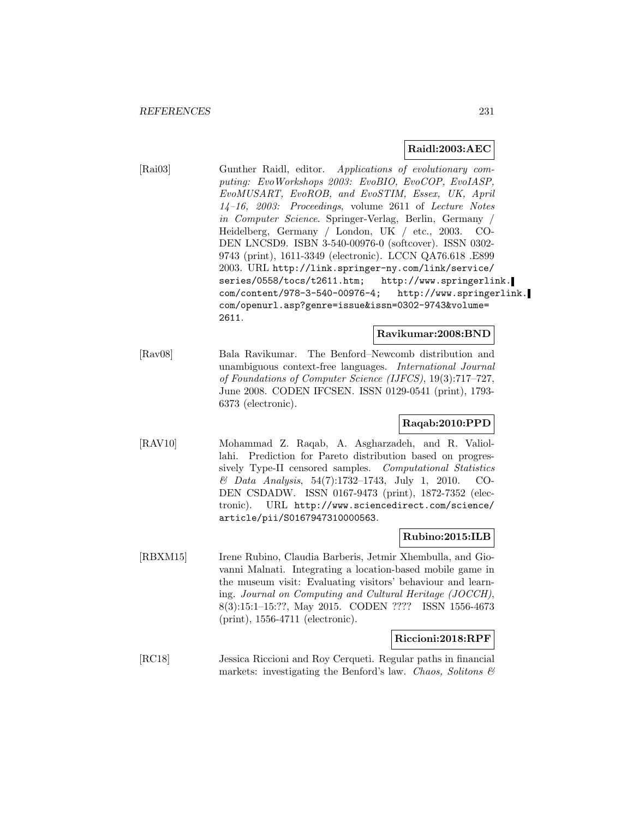## **Raidl:2003:AEC**

[Rai03] Gunther Raidl, editor. Applications of evolutionary computing: EvoWorkshops 2003: EvoBIO, EvoCOP, EvoIASP, EvoMUSART, EvoROB, and EvoSTIM, Essex, UK, April 14–16, 2003: Proceedings, volume 2611 of Lecture Notes in Computer Science. Springer-Verlag, Berlin, Germany / Heidelberg, Germany / London, UK / etc., 2003. CO-DEN LNCSD9. ISBN 3-540-00976-0 (softcover). ISSN 0302- 9743 (print), 1611-3349 (electronic). LCCN QA76.618 .E899 2003. URL http://link.springer-ny.com/link/service/ series/0558/tocs/t2611.htm; http://www.springerlink. com/content/978-3-540-00976-4; http://www.springerlink. com/openurl.asp?genre=issue&issn=0302-9743&volume= 2611.

#### **Ravikumar:2008:BND**

[Rav08] Bala Ravikumar. The Benford–Newcomb distribution and unambiguous context-free languages. International Journal of Foundations of Computer Science (IJFCS), 19(3):717–727, June 2008. CODEN IFCSEN. ISSN 0129-0541 (print), 1793- 6373 (electronic).

# **Raqab:2010:PPD**

[RAV10] Mohammad Z. Raqab, A. Asgharzadeh, and R. Valiollahi. Prediction for Pareto distribution based on progressively Type-II censored samples. Computational Statistics & Data Analysis, 54(7):1732–1743, July 1, 2010. CO-DEN CSDADW. ISSN 0167-9473 (print), 1872-7352 (electronic). URL http://www.sciencedirect.com/science/ article/pii/S0167947310000563.

#### **Rubino:2015:ILB**

[RBXM15] Irene Rubino, Claudia Barberis, Jetmir Xhembulla, and Giovanni Malnati. Integrating a location-based mobile game in the museum visit: Evaluating visitors' behaviour and learning. Journal on Computing and Cultural Heritage (JOCCH), 8(3):15:1–15:??, May 2015. CODEN ???? ISSN 1556-4673 (print), 1556-4711 (electronic).

## **Riccioni:2018:RPF**

[RC18] Jessica Riccioni and Roy Cerqueti. Regular paths in financial markets: investigating the Benford's law. Chaos, Solitons  $\mathcal{B}$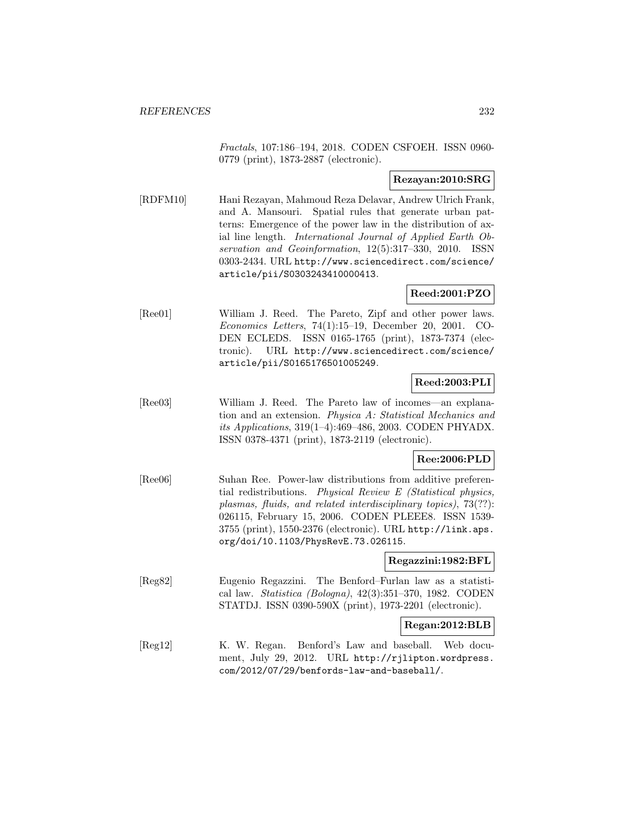Fractals, 107:186–194, 2018. CODEN CSFOEH. ISSN 0960- 0779 (print), 1873-2887 (electronic).

## **Rezayan:2010:SRG**

[RDFM10] Hani Rezayan, Mahmoud Reza Delavar, Andrew Ulrich Frank, and A. Mansouri. Spatial rules that generate urban patterns: Emergence of the power law in the distribution of axial line length. International Journal of Applied Earth Observation and Geoinformation, 12(5):317–330, 2010. ISSN 0303-2434. URL http://www.sciencedirect.com/science/ article/pii/S0303243410000413.

## **Reed:2001:PZO**

[Ree01] William J. Reed. The Pareto, Zipf and other power laws. Economics Letters, 74(1):15–19, December 20, 2001. CO-DEN ECLEDS. ISSN 0165-1765 (print), 1873-7374 (electronic). URL http://www.sciencedirect.com/science/ article/pii/S0165176501005249.

# **Reed:2003:PLI**

[Ree03] William J. Reed. The Pareto law of incomes—an explanation and an extension. Physica A: Statistical Mechanics and its Applications, 319(1–4):469–486, 2003. CODEN PHYADX. ISSN 0378-4371 (print), 1873-2119 (electronic).

# **Ree:2006:PLD**

[Ree06] Suhan Ree. Power-law distributions from additive preferential redistributions. Physical Review E (Statistical physics, plasmas, fluids, and related interdisciplinary topics), 73(??): 026115, February 15, 2006. CODEN PLEEE8. ISSN 1539- 3755 (print), 1550-2376 (electronic). URL http://link.aps. org/doi/10.1103/PhysRevE.73.026115.

## **Regazzini:1982:BFL**

[Reg82] Eugenio Regazzini. The Benford–Furlan law as a statistical law. Statistica (Bologna), 42(3):351–370, 1982. CODEN STATDJ. ISSN 0390-590X (print), 1973-2201 (electronic).

#### **Regan:2012:BLB**

[Reg12] K. W. Regan. Benford's Law and baseball. Web document, July 29, 2012. URL http://rjlipton.wordpress. com/2012/07/29/benfords-law-and-baseball/.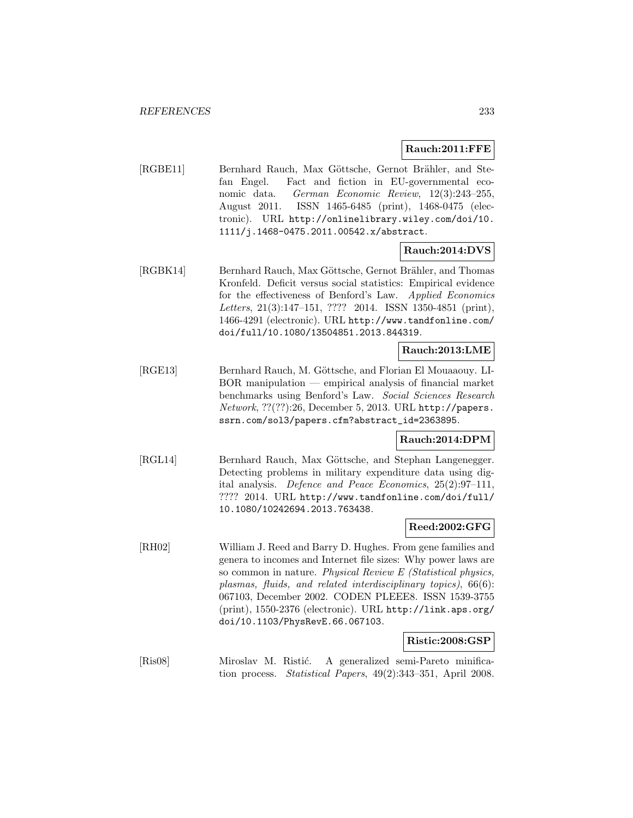## **Rauch:2011:FFE**

[RGBE11] Bernhard Rauch, Max Göttsche, Gernot Brähler, and Stefan Engel. Fact and fiction in EU-governmental economic data. German Economic Review, 12(3):243–255, August 2011. ISSN 1465-6485 (print), 1468-0475 (electronic). URL http://onlinelibrary.wiley.com/doi/10. 1111/j.1468-0475.2011.00542.x/abstract.

## **Rauch:2014:DVS**

[RGBK14] Bernhard Rauch, Max Göttsche, Gernot Brähler, and Thomas Kronfeld. Deficit versus social statistics: Empirical evidence for the effectiveness of Benford's Law. Applied Economics Letters, 21(3):147-151, ???? 2014. ISSN 1350-4851 (print), 1466-4291 (electronic). URL http://www.tandfonline.com/ doi/full/10.1080/13504851.2013.844319.

## **Rauch:2013:LME**

[RGE13] Bernhard Rauch, M. Göttsche, and Florian El Mouaaouy. LI-BOR manipulation — empirical analysis of financial market benchmarks using Benford's Law. Social Sciences Research Network, ??(??):26, December 5, 2013. URL http://papers. ssrn.com/sol3/papers.cfm?abstract\_id=2363895.

#### **Rauch:2014:DPM**

[RGL14] Bernhard Rauch, Max Göttsche, and Stephan Langenegger. Detecting problems in military expenditure data using digital analysis. Defence and Peace Economics, 25(2):97–111, ???? 2014. URL http://www.tandfonline.com/doi/full/ 10.1080/10242694.2013.763438.

# **Reed:2002:GFG**

[RH02] William J. Reed and Barry D. Hughes. From gene families and genera to incomes and Internet file sizes: Why power laws are so common in nature. Physical Review E (Statistical physics, plasmas, fluids, and related interdisciplinary topics), 66(6): 067103, December 2002. CODEN PLEEE8. ISSN 1539-3755 (print), 1550-2376 (electronic). URL http://link.aps.org/ doi/10.1103/PhysRevE.66.067103.

# **Ristic:2008:GSP**

[Ris08] Miroslav M. Ristić. A generalized semi-Pareto minification process. Statistical Papers, 49(2):343–351, April 2008.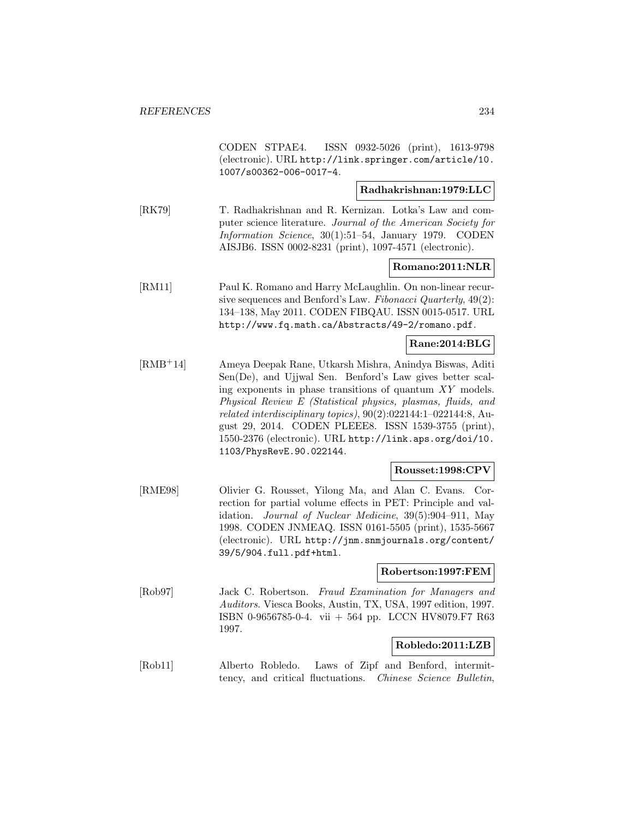CODEN STPAE4. ISSN 0932-5026 (print), 1613-9798 (electronic). URL http://link.springer.com/article/10. 1007/s00362-006-0017-4.

## **Radhakrishnan:1979:LLC**

[RK79] T. Radhakrishnan and R. Kernizan. Lotka's Law and computer science literature. Journal of the American Society for Information Science, 30(1):51–54, January 1979. CODEN AISJB6. ISSN 0002-8231 (print), 1097-4571 (electronic).

## **Romano:2011:NLR**

[RM11] Paul K. Romano and Harry McLaughlin. On non-linear recursive sequences and Benford's Law. Fibonacci Quarterly, 49(2): 134–138, May 2011. CODEN FIBQAU. ISSN 0015-0517. URL http://www.fq.math.ca/Abstracts/49-2/romano.pdf.

## **Rane:2014:BLG**

[RMB<sup>+</sup>14] Ameya Deepak Rane, Utkarsh Mishra, Anindya Biswas, Aditi Sen(De), and Ujjwal Sen. Benford's Law gives better scaling exponents in phase transitions of quantum XY models. Physical Review E (Statistical physics, plasmas, fluids, and related interdisciplinary topics), 90(2):022144:1–022144:8, August 29, 2014. CODEN PLEEE8. ISSN 1539-3755 (print), 1550-2376 (electronic). URL http://link.aps.org/doi/10. 1103/PhysRevE.90.022144.

## **Rousset:1998:CPV**

[RME98] Olivier G. Rousset, Yilong Ma, and Alan C. Evans. Correction for partial volume effects in PET: Principle and validation. Journal of Nuclear Medicine, 39(5):904–911, May 1998. CODEN JNMEAQ. ISSN 0161-5505 (print), 1535-5667 (electronic). URL http://jnm.snmjournals.org/content/ 39/5/904.full.pdf+html.

#### **Robertson:1997:FEM**

[Rob97] Jack C. Robertson. Fraud Examination for Managers and Auditors. Viesca Books, Austin, TX, USA, 1997 edition, 1997. ISBN 0-9656785-0-4. vii + 564 pp. LCCN HV8079.F7 R63 1997.

#### **Robledo:2011:LZB**

[Rob11] Alberto Robledo. Laws of Zipf and Benford, intermittency, and critical fluctuations. Chinese Science Bulletin,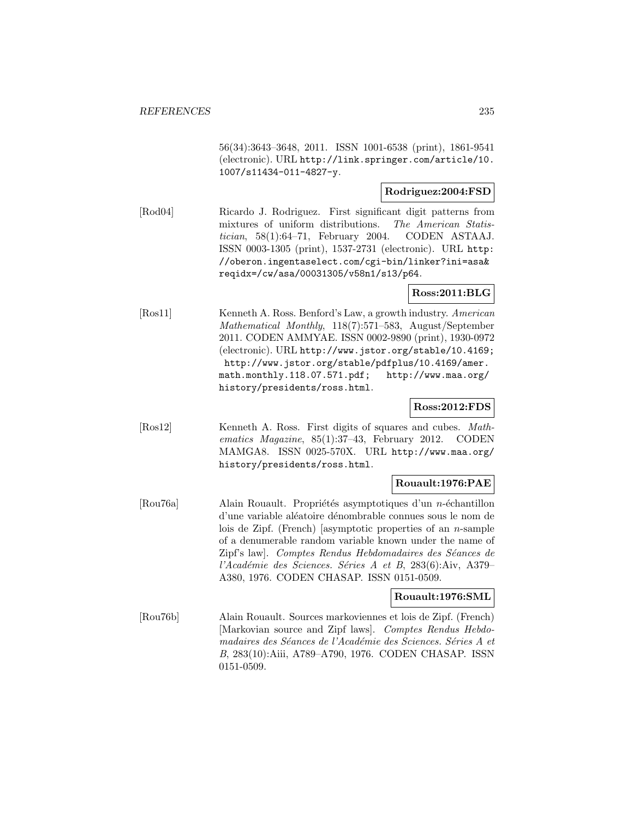56(34):3643–3648, 2011. ISSN 1001-6538 (print), 1861-9541 (electronic). URL http://link.springer.com/article/10. 1007/s11434-011-4827-y.

## **Rodriguez:2004:FSD**

[Rod04] Ricardo J. Rodriguez. First significant digit patterns from mixtures of uniform distributions. The American Statis $tician$ ,  $58(1):64-71$ , February 2004. CODEN ASTAAJ. ISSN 0003-1305 (print), 1537-2731 (electronic). URL http: //oberon.ingentaselect.com/cgi-bin/linker?ini=asa& reqidx=/cw/asa/00031305/v58n1/s13/p64.

#### **Ross:2011:BLG**

[Ros11] Kenneth A. Ross. Benford's Law, a growth industry. American Mathematical Monthly, 118(7):571–583, August/September 2011. CODEN AMMYAE. ISSN 0002-9890 (print), 1930-0972 (electronic). URL http://www.jstor.org/stable/10.4169; http://www.jstor.org/stable/pdfplus/10.4169/amer. math.monthly.118.07.571.pdf; http://www.maa.org/ history/presidents/ross.html.

# **Ross:2012:FDS**

[Ros12] Kenneth A. Ross. First digits of squares and cubes. Mathematics Magazine, 85(1):37–43, February 2012. CODEN MAMGA8. ISSN 0025-570X. URL http://www.maa.org/ history/presidents/ross.html.

# **Rouault:1976:PAE**

[Rou76a] Alain Rouault. Propriétés asymptotiques d'un n-échantillon d'une variable aléatoire dénombrable connues sous le nom de lois de Zipf. (French) [asymptotic properties of an  $n$ -sample of a denumerable random variable known under the name of Zipf's law]. Comptes Rendus Hebdomadaires des Séances de l'Académie des Sciences. Séries A et B, 283(6):Aiv, A379– A380, 1976. CODEN CHASAP. ISSN 0151-0509.

## **Rouault:1976:SML**

[Rou76b] Alain Rouault. Sources markoviennes et lois de Zipf. (French) [Markovian source and Zipf laws]. Comptes Rendus Hebdomadaires des Séances de l'Académie des Sciences. Séries A et B, 283(10):Aiii, A789–A790, 1976. CODEN CHASAP. ISSN 0151-0509.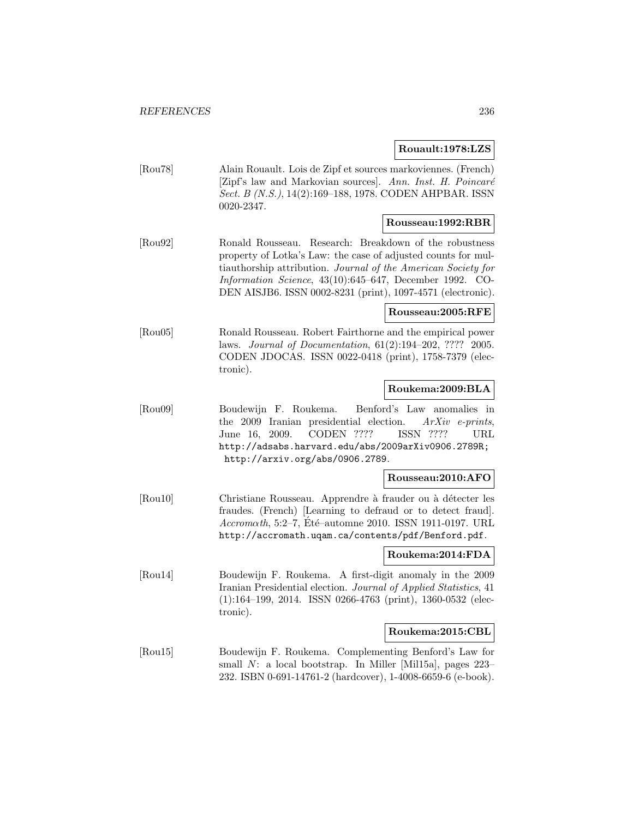#### **Rouault:1978:LZS**

[Rou78] Alain Rouault. Lois de Zipf et sources markoviennes. (French)  $[Zipf's law and Markovian sources]$ . Ann. Inst. H. Poincaré Sect. B (N.S.), 14(2):169–188, 1978. CODEN AHPBAR. ISSN 0020-2347.

## **Rousseau:1992:RBR**

[Rou92] Ronald Rousseau. Research: Breakdown of the robustness property of Lotka's Law: the case of adjusted counts for multiauthorship attribution. Journal of the American Society for Information Science, 43(10):645–647, December 1992. CO-DEN AISJB6. ISSN 0002-8231 (print), 1097-4571 (electronic).

## **Rousseau:2005:RFE**

[Rou05] Ronald Rousseau. Robert Fairthorne and the empirical power laws. Journal of Documentation, 61(2):194–202, ???? 2005. CODEN JDOCAS. ISSN 0022-0418 (print), 1758-7379 (electronic).

#### **Roukema:2009:BLA**

[Rou09] Boudewijn F. Roukema. Benford's Law anomalies in the 2009 Iranian presidential election.  $ArXiv$  e-prints, June 16, 2009. CODEN ???? ISSN ???? URL http://adsabs.harvard.edu/abs/2009arXiv0906.2789R; http://arxiv.org/abs/0906.2789.

#### **Rousseau:2010:AFO**

[Rou10] Christiane Rousseau. Apprendre à frauder ou à détecter les fraudes. (French) [Learning to defraud or to detect fraud].  $Accrom \alpha th$ , 5:2–7, Eté–automne 2010. ISSN 1911-0197. URL http://accromath.uqam.ca/contents/pdf/Benford.pdf.

#### **Roukema:2014:FDA**

[Rou14] Boudewijn F. Roukema. A first-digit anomaly in the 2009 Iranian Presidential election. Journal of Applied Statistics, 41 (1):164–199, 2014. ISSN 0266-4763 (print), 1360-0532 (electronic).

#### **Roukema:2015:CBL**

[Rou15] Boudewijn F. Roukema. Complementing Benford's Law for small N: a local bootstrap. In Miller [Mil15a], pages 223– 232. ISBN 0-691-14761-2 (hardcover), 1-4008-6659-6 (e-book).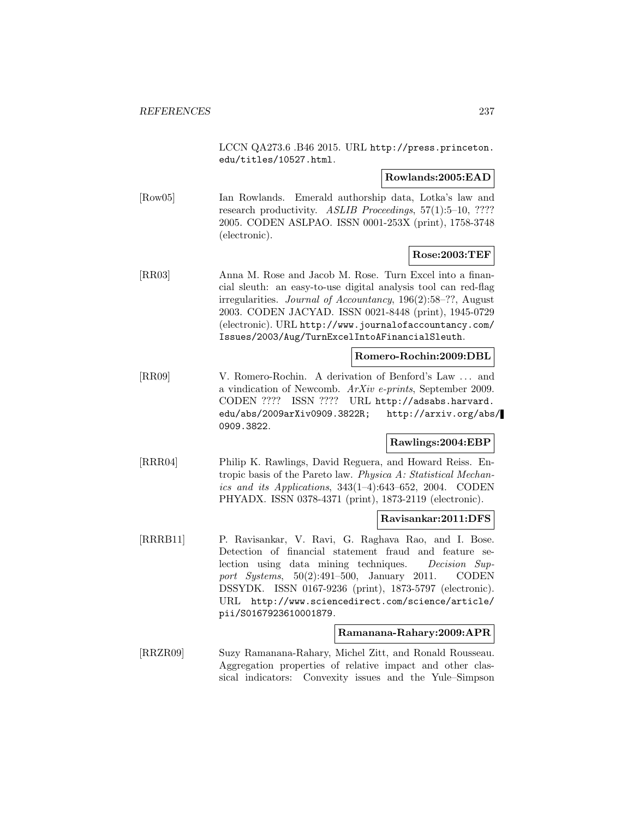LCCN QA273.6 .B46 2015. URL http://press.princeton. edu/titles/10527.html.

#### **Rowlands:2005:EAD**

[Row05] Ian Rowlands. Emerald authorship data, Lotka's law and research productivity. ASLIB Proceedings, 57(1):5-10, ???? 2005. CODEN ASLPAO. ISSN 0001-253X (print), 1758-3748 (electronic).

# **Rose:2003:TEF**

[RR03] Anna M. Rose and Jacob M. Rose. Turn Excel into a financial sleuth: an easy-to-use digital analysis tool can red-flag irregularities. Journal of Accountancy, 196(2):58–??, August 2003. CODEN JACYAD. ISSN 0021-8448 (print), 1945-0729 (electronic). URL http://www.journalofaccountancy.com/ Issues/2003/Aug/TurnExcelIntoAFinancialSleuth.

#### **Romero-Rochin:2009:DBL**

[RR09] V. Romero-Rochin. A derivation of Benford's Law ... and a vindication of Newcomb. ArXiv e-prints, September 2009. CODEN ???? ISSN ???? URL http://adsabs.harvard. edu/abs/2009arXiv0909.3822R; http://arxiv.org/abs/ 0909.3822.

# **Rawlings:2004:EBP**

[RRR04] Philip K. Rawlings, David Reguera, and Howard Reiss. Entropic basis of the Pareto law. Physica A: Statistical Mechanics and its Applications, 343(1–4):643–652, 2004. CODEN PHYADX. ISSN 0378-4371 (print), 1873-2119 (electronic).

#### **Ravisankar:2011:DFS**

[RRRB11] P. Ravisankar, V. Ravi, G. Raghava Rao, and I. Bose. Detection of financial statement fraud and feature selection using data mining techniques. Decision Support Systems, 50(2):491–500, January 2011. CODEN DSSYDK. ISSN 0167-9236 (print), 1873-5797 (electronic). URL http://www.sciencedirect.com/science/article/ pii/S0167923610001879.

#### **Ramanana-Rahary:2009:APR**

[RRZR09] Suzy Ramanana-Rahary, Michel Zitt, and Ronald Rousseau. Aggregation properties of relative impact and other classical indicators: Convexity issues and the Yule–Simpson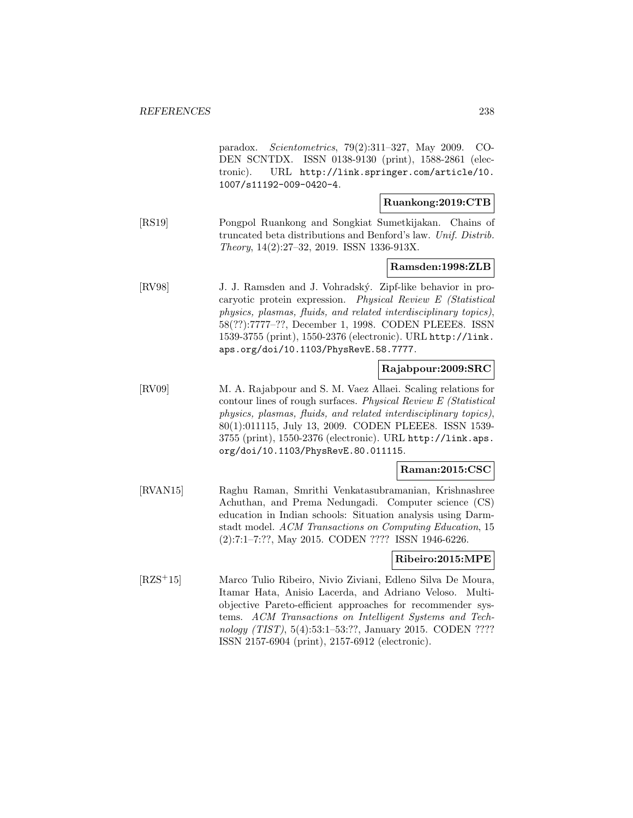paradox. Scientometrics, 79(2):311–327, May 2009. CO-DEN SCNTDX. ISSN 0138-9130 (print), 1588-2861 (electronic). URL http://link.springer.com/article/10. 1007/s11192-009-0420-4.

#### **Ruankong:2019:CTB**

[RS19] Pongpol Ruankong and Songkiat Sumetkijakan. Chains of truncated beta distributions and Benford's law. Unif. Distrib. Theory, 14(2):27–32, 2019. ISSN 1336-913X.

## **Ramsden:1998:ZLB**

[RV98] J. J. Ramsden and J. Vohradský. Zipf-like behavior in procaryotic protein expression. Physical Review E (Statistical physics, plasmas, fluids, and related interdisciplinary topics), 58(??):7777–??, December 1, 1998. CODEN PLEEE8. ISSN 1539-3755 (print), 1550-2376 (electronic). URL http://link. aps.org/doi/10.1103/PhysRevE.58.7777.

## **Rajabpour:2009:SRC**

[RV09] M. A. Rajabpour and S. M. Vaez Allaei. Scaling relations for contour lines of rough surfaces. Physical Review E (Statistical physics, plasmas, fluids, and related interdisciplinary topics), 80(1):011115, July 13, 2009. CODEN PLEEE8. ISSN 1539- 3755 (print), 1550-2376 (electronic). URL http://link.aps. org/doi/10.1103/PhysRevE.80.011115.

#### **Raman:2015:CSC**

[RVAN15] Raghu Raman, Smrithi Venkatasubramanian, Krishnashree Achuthan, and Prema Nedungadi. Computer science (CS) education in Indian schools: Situation analysis using Darmstadt model. ACM Transactions on Computing Education, 15 (2):7:1–7:??, May 2015. CODEN ???? ISSN 1946-6226.

#### **Ribeiro:2015:MPE**

[RZS<sup>+</sup>15] Marco Tulio Ribeiro, Nivio Ziviani, Edleno Silva De Moura, Itamar Hata, Anisio Lacerda, and Adriano Veloso. Multiobjective Pareto-efficient approaches for recommender systems. ACM Transactions on Intelligent Systems and Technology (TIST), 5(4):53:1–53:??, January 2015. CODEN ???? ISSN 2157-6904 (print), 2157-6912 (electronic).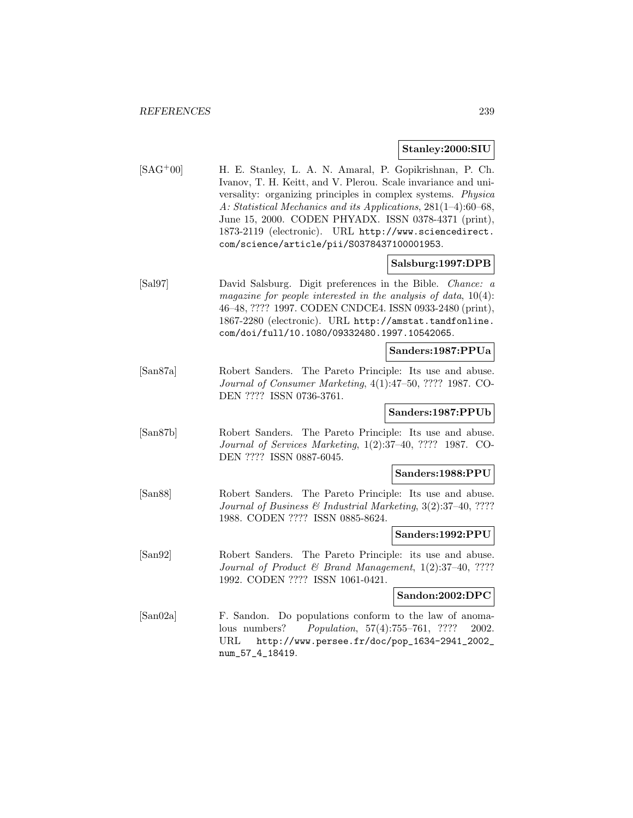#### **Stanley:2000:SIU**

[SAG<sup>+</sup>00] H. E. Stanley, L. A. N. Amaral, P. Gopikrishnan, P. Ch. Ivanov, T. H. Keitt, and V. Plerou. Scale invariance and universality: organizing principles in complex systems. Physica A: Statistical Mechanics and its Applications, 281(1–4):60–68, June 15, 2000. CODEN PHYADX. ISSN 0378-4371 (print), 1873-2119 (electronic). URL http://www.sciencedirect. com/science/article/pii/S0378437100001953.

#### **Salsburg:1997:DPB**

[Sal97] David Salsburg. Digit preferences in the Bible. Chance: a magazine for people interested in the analysis of data,  $10(4)$ : 46–48, ???? 1997. CODEN CNDCE4. ISSN 0933-2480 (print), 1867-2280 (electronic). URL http://amstat.tandfonline. com/doi/full/10.1080/09332480.1997.10542065.

**Sanders:1987:PPUa**

[San87a] Robert Sanders. The Pareto Principle: Its use and abuse. Journal of Consumer Marketing, 4(1):47–50, ???? 1987. CO-DEN ???? ISSN 0736-3761.

# **Sanders:1987:PPUb**

[San87b] Robert Sanders. The Pareto Principle: Its use and abuse. Journal of Services Marketing, 1(2):37–40, ???? 1987. CO-DEN ???? ISSN 0887-6045.

#### **Sanders:1988:PPU**

[San88] Robert Sanders. The Pareto Principle: Its use and abuse. Journal of Business & Industrial Marketing, 3(2):37–40, ???? 1988. CODEN ???? ISSN 0885-8624.

#### **Sanders:1992:PPU**

[San92] Robert Sanders. The Pareto Principle: its use and abuse. Journal of Product & Brand Management, 1(2):37–40, ???? 1992. CODEN ???? ISSN 1061-0421.

## **Sandon:2002:DPC**

[San02a] F. Sandon. Do populations conform to the law of anomalous numbers? Population, 57(4):755–761, ???? 2002. URL http://www.persee.fr/doc/pop\_1634-2941\_2002\_ num\_57\_4\_18419.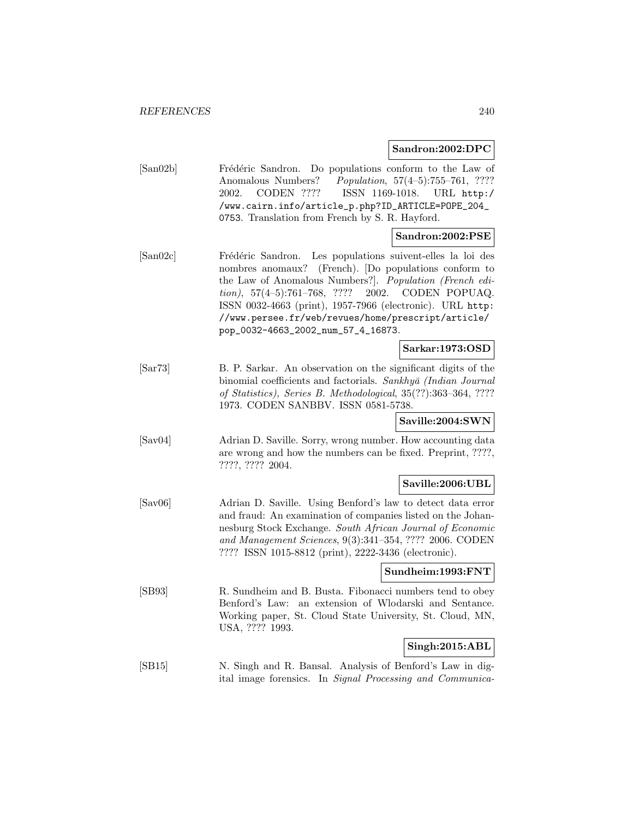#### **Sandron:2002:DPC**

[San02b] Frédéric Sandron. Do populations conform to the Law of Anomalous Numbers? Population, 57(4-5):755-761, ???? 2002. CODEN ???? ISSN 1169-1018. URL http:/ /www.cairn.info/article\_p.php?ID\_ARTICLE=POPE\_204\_ 0753. Translation from French by S. R. Hayford.

# **Sandron:2002:PSE**

[San02c] Frédéric Sandron. Les populations suivent-elles la loi des nombres anomaux? (French). [Do populations conform to the Law of Anomalous Numbers?]. Population (French edition), 57(4–5):761–768, ???? 2002. CODEN POPUAQ. ISSN 0032-4663 (print), 1957-7966 (electronic). URL http: //www.persee.fr/web/revues/home/prescript/article/ pop\_0032-4663\_2002\_num\_57\_4\_16873.

#### **Sarkar:1973:OSD**

[Sar73] B. P. Sarkar. An observation on the significant digits of the binomial coefficients and factorials. Sankhyā (Indian Journal of Statistics), Series B. Methodological, 35(??):363–364, ???? 1973. CODEN SANBBV. ISSN 0581-5738.

## **Saville:2004:SWN**

[Sav04] Adrian D. Saville. Sorry, wrong number. How accounting data are wrong and how the numbers can be fixed. Preprint, ????, ????, ???? 2004.

# **Saville:2006:UBL**

[Sav06] Adrian D. Saville. Using Benford's law to detect data error and fraud: An examination of companies listed on the Johannesburg Stock Exchange. South African Journal of Economic and Management Sciences, 9(3):341–354, ???? 2006. CODEN ???? ISSN 1015-8812 (print), 2222-3436 (electronic).

#### **Sundheim:1993:FNT**

[SB93] R. Sundheim and B. Busta. Fibonacci numbers tend to obey Benford's Law: an extension of Wlodarski and Sentance. Working paper, St. Cloud State University, St. Cloud, MN, USA, ???? 1993.

# **Singh:2015:ABL**

[SB15] N. Singh and R. Bansal. Analysis of Benford's Law in digital image forensics. In Signal Processing and Communica-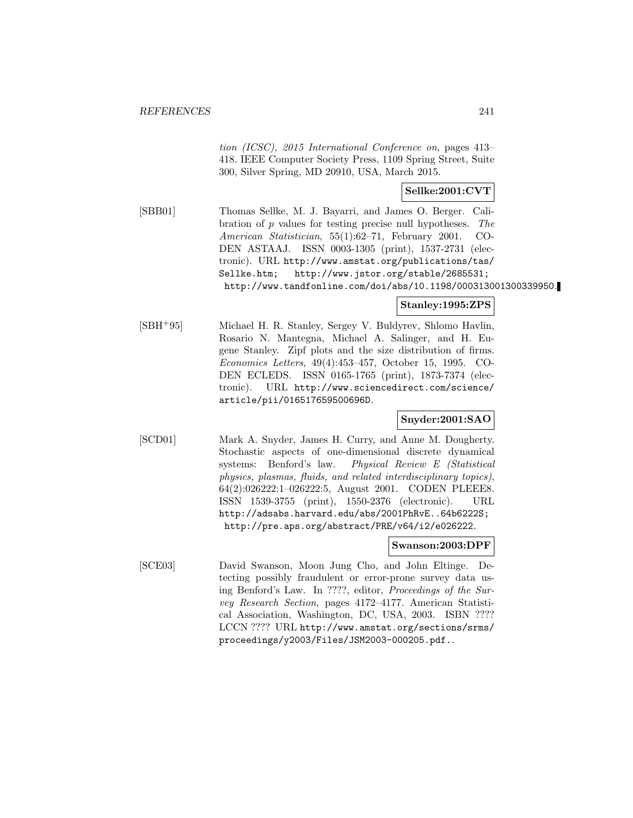tion (ICSC), 2015 International Conference on, pages 413– 418. IEEE Computer Society Press, 1109 Spring Street, Suite 300, Silver Spring, MD 20910, USA, March 2015.

# **Sellke:2001:CVT**

[SBB01] Thomas Sellke, M. J. Bayarri, and James O. Berger. Calibration of p values for testing precise null hypotheses. The American Statistician, 55(1):62–71, February 2001. CO-DEN ASTAAJ. ISSN 0003-1305 (print), 1537-2731 (electronic). URL http://www.amstat.org/publications/tas/ Sellke.htm; http://www.jstor.org/stable/2685531; http://www.tandfonline.com/doi/abs/10.1198/000313001300339950.

## **Stanley:1995:ZPS**

[SBH<sup>+</sup>95] Michael H. R. Stanley, Sergey V. Buldyrev, Shlomo Havlin, Rosario N. Mantegna, Michael A. Salinger, and H. Eugene Stanley. Zipf plots and the size distribution of firms. Economics Letters, 49(4):453–457, October 15, 1995. CO-DEN ECLEDS. ISSN 0165-1765 (print), 1873-7374 (electronic). URL http://www.sciencedirect.com/science/ article/pii/016517659500696D.

# **Snyder:2001:SAO**

[SCD01] Mark A. Snyder, James H. Curry, and Anne M. Dougherty. Stochastic aspects of one-dimensional discrete dynamical systems: Benford's law. Physical Review E (Statistical physics, plasmas, fluids, and related interdisciplinary topics), 64(2):026222:1–026222:5, August 2001. CODEN PLEEE8. ISSN 1539-3755 (print), 1550-2376 (electronic). URL http://adsabs.harvard.edu/abs/2001PhRvE..64b6222S; http://pre.aps.org/abstract/PRE/v64/i2/e026222.

# **Swanson:2003:DPF**

[SCE03] David Swanson, Moon Jung Cho, and John Eltinge. Detecting possibly fraudulent or error-prone survey data using Benford's Law. In ????, editor, Proceedings of the Survey Research Section, pages 4172–4177. American Statistical Association, Washington, DC, USA, 2003. ISBN ???? LCCN ???? URL http://www.amstat.org/sections/srms/ proceedings/y2003/Files/JSM2003-000205.pdf..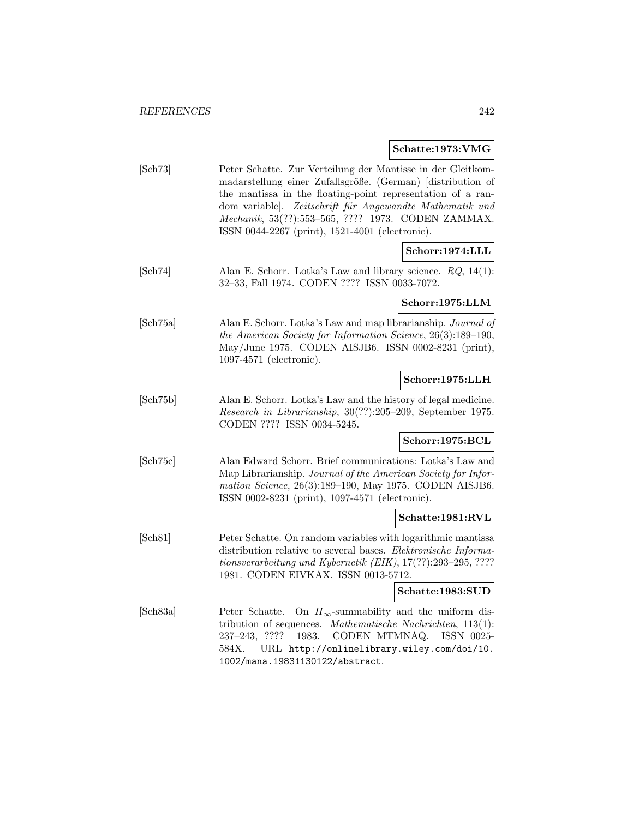# **Schatte:1973:VMG**

| $\lbrack \text{Sch} 73 \rbrack$ | Peter Schatte. Zur Verteilung der Mantisse in der Gleitkom-<br>madarstellung einer Zufallsgröße. (German) [distribution of<br>the mantissa in the floating-point representation of a ran-<br>dom variable]. Zeitschrift für Angewandte Mathematik und<br>Mechanik, 53(??):553-565, ???? 1973. CODEN ZAMMAX.<br>ISSN 0044-2267 (print), 1521-4001 (electronic). |
|---------------------------------|----------------------------------------------------------------------------------------------------------------------------------------------------------------------------------------------------------------------------------------------------------------------------------------------------------------------------------------------------------------|
|                                 | Schorr:1974:LLL                                                                                                                                                                                                                                                                                                                                                |
| $\lbrack \mathrm{Sch}74\rbrack$ | Alan E. Schorr. Lotka's Law and library science. $RQ$ , 14(1):<br>32-33, Fall 1974. CODEN ???? ISSN 0033-7072.                                                                                                                                                                                                                                                 |
|                                 | Schorr:1975:LLM                                                                                                                                                                                                                                                                                                                                                |
| [Sch75a]                        | Alan E. Schorr. Lotka's Law and map librarianship. Journal of<br>the American Society for Information Science, 26(3):189-190,<br>May/June 1975. CODEN AISJB6. ISSN 0002-8231 (print),<br>1097-4571 (electronic).                                                                                                                                               |
|                                 | Schorr:1975:LLH                                                                                                                                                                                                                                                                                                                                                |
| [Sch75b]                        | Alan E. Schorr. Lotka's Law and the history of legal medicine.<br>Research in Librarianship, 30(??):205-209, September 1975.<br>CODEN ???? ISSN 0034-5245.                                                                                                                                                                                                     |
|                                 | Schorr:1975:BCL                                                                                                                                                                                                                                                                                                                                                |
| [Sch75c]                        | Alan Edward Schorr. Brief communications: Lotka's Law and<br>Map Librarianship. Journal of the American Society for Infor-<br>mation Science, 26(3):189-190, May 1975. CODEN AISJB6.<br>ISSN 0002-8231 (print), 1097-4571 (electronic).                                                                                                                        |
|                                 | Schatte:1981:RVL                                                                                                                                                                                                                                                                                                                                               |
| [Sch81]                         | Peter Schatte. On random variables with logarithmic mantissa<br>distribution relative to several bases. Elektronische Informa-<br>tionsverarbeitung und Kybernetik (EIK), $17(??):293-295, ????$<br>1981. CODEN EIVKAX. ISSN 0013-5712.                                                                                                                        |
|                                 | Schatte:1983:SUD                                                                                                                                                                                                                                                                                                                                               |
| [Sch83a]                        | On $H_{\infty}$ -summability and the uniform dis-<br>Peter Schatte.<br>tribution of sequences. Mathematische Nachrichten, 113(1):<br>????<br>1983.<br>CODEN MTMNAQ.<br>ISSN 0025-<br>$237 - 243$ ,<br>URL http://onlinelibrary.wiley.com/doi/10.<br>584X.<br>1002/mana.19831130122/abstract.                                                                   |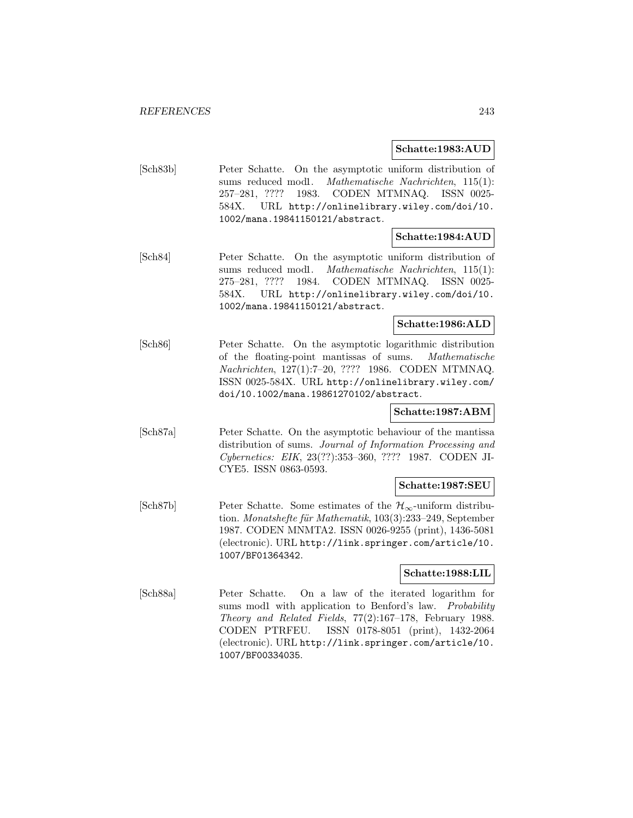#### **Schatte:1983:AUD**

[Sch83b] Peter Schatte. On the asymptotic uniform distribution of sums reduced mod1. Mathematische Nachrichten, 115(1): 257–281, ???? 1983. CODEN MTMNAQ. ISSN 0025- 584X. URL http://onlinelibrary.wiley.com/doi/10. 1002/mana.19841150121/abstract.

#### **Schatte:1984:AUD**

[Sch84] Peter Schatte. On the asymptotic uniform distribution of sums reduced mod1. Mathematische Nachrichten, 115(1): 275–281, ???? 1984. CODEN MTMNAQ. ISSN 0025- 584X. URL http://onlinelibrary.wiley.com/doi/10. 1002/mana.19841150121/abstract.

# **Schatte:1986:ALD**

[Sch86] Peter Schatte. On the asymptotic logarithmic distribution of the floating-point mantissas of sums. Mathematische Nachrichten, 127(1):7–20, ???? 1986. CODEN MTMNAQ. ISSN 0025-584X. URL http://onlinelibrary.wiley.com/ doi/10.1002/mana.19861270102/abstract.

# **Schatte:1987:ABM**

[Sch87a] Peter Schatte. On the asymptotic behaviour of the mantissa distribution of sums. Journal of Information Processing and Cybernetics: EIK, 23(??):353–360, ???? 1987. CODEN JI-CYE5. ISSN 0863-0593.

#### **Schatte:1987:SEU**

 $[Sch87b]$  Peter Schatte. Some estimates of the  $\mathcal{H}_{\infty}$ -uniform distribution. Monatshefte für Mathematik,  $103(3):233-249$ , September 1987. CODEN MNMTA2. ISSN 0026-9255 (print), 1436-5081 (electronic). URL http://link.springer.com/article/10. 1007/BF01364342.

#### **Schatte:1988:LIL**

[Sch88a] Peter Schatte. On a law of the iterated logarithm for sums mod1 with application to Benford's law. Probability Theory and Related Fields, 77(2):167–178, February 1988. CODEN PTRFEU. ISSN 0178-8051 (print), 1432-2064 (electronic). URL http://link.springer.com/article/10. 1007/BF00334035.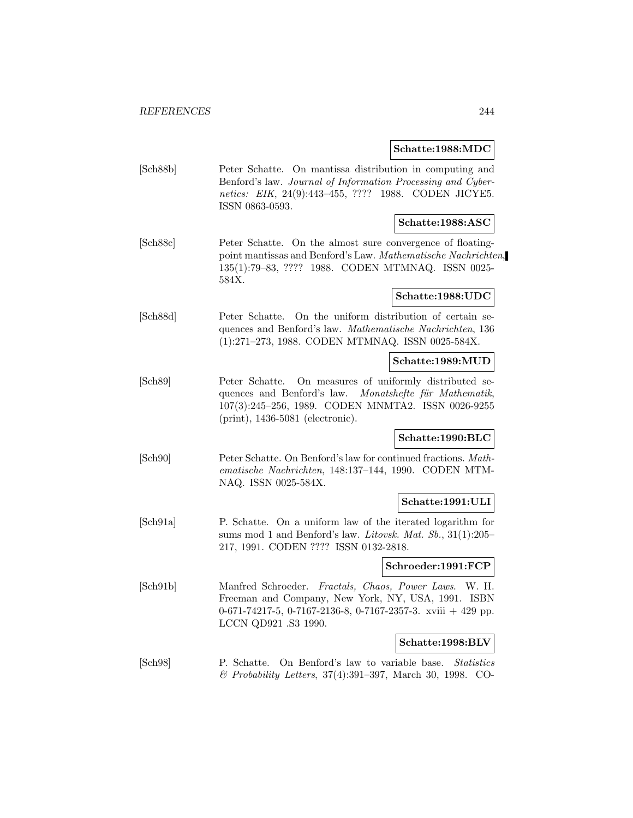**Schatte:1988:MDC**

| [Sch88b] | Peter Schatte. On mantissa distribution in computing and    |
|----------|-------------------------------------------------------------|
|          | Benford's law. Journal of Information Processing and Cyber- |
|          | netics: EIK, 24(9):443-455, ???? 1988. CODEN JICYE5.        |
|          | ISSN 0863-0593.                                             |
|          | $ \operatorname{Schatter:1988:ASC} $                        |

[Sch88c] Peter Schatte. On the almost sure convergence of floatingpoint mantissas and Benford's Law. Mathematische Nachrichten, 135(1):79–83, ???? 1988. CODEN MTMNAQ. ISSN 0025- 584X.

#### **Schatte:1988:UDC**

[Sch88d] Peter Schatte. On the uniform distribution of certain sequences and Benford's law. Mathematische Nachrichten, 136 (1):271–273, 1988. CODEN MTMNAQ. ISSN 0025-584X.

#### **Schatte:1989:MUD**

[Sch89] Peter Schatte. On measures of uniformly distributed sequences and Benford's law. Monatshefte für Mathematik, 107(3):245–256, 1989. CODEN MNMTA2. ISSN 0026-9255 (print), 1436-5081 (electronic).

#### **Schatte:1990:BLC**

[Sch90] Peter Schatte. On Benford's law for continued fractions. Mathematische Nachrichten, 148:137–144, 1990. CODEN MTM-NAQ. ISSN 0025-584X.

## **Schatte:1991:ULI**

[Sch91a] P. Schatte. On a uniform law of the iterated logarithm for sums mod 1 and Benford's law. Litovsk. Mat. Sb., 31(1):205– 217, 1991. CODEN ???? ISSN 0132-2818.

#### **Schroeder:1991:FCP**

[Sch91b] Manfred Schroeder. Fractals, Chaos, Power Laws. W. H. Freeman and Company, New York, NY, USA, 1991. ISBN 0-671-74217-5, 0-7167-2136-8, 0-7167-2357-3. xviii + 429 pp. LCCN QD921 .S3 1990.

#### **Schatte:1998:BLV**

[Sch98] P. Schatte. On Benford's law to variable base. Statistics & Probability Letters, 37(4):391–397, March 30, 1998. CO-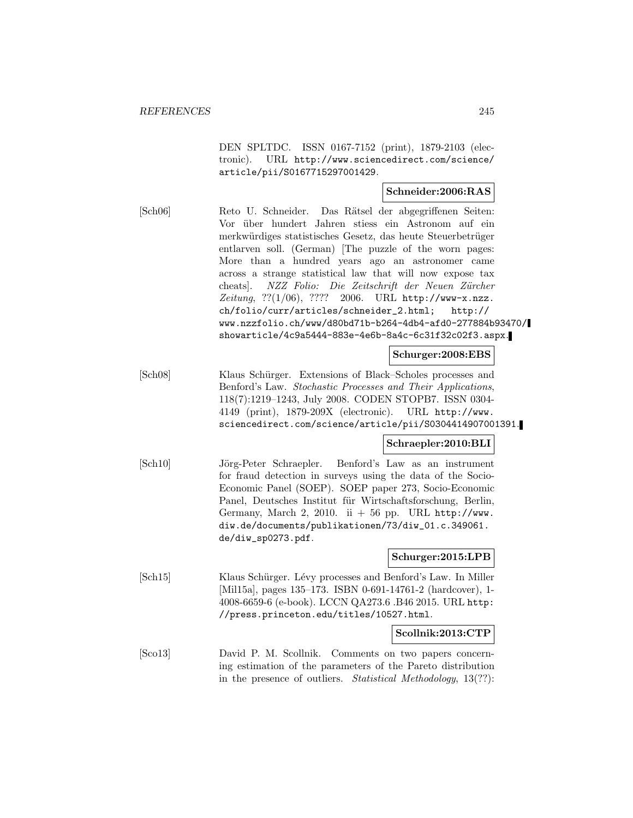DEN SPLTDC. ISSN 0167-7152 (print), 1879-2103 (electronic). URL http://www.sciencedirect.com/science/ article/pii/S0167715297001429.

# **Schneider:2006:RAS**

[Sch06] Reto U. Schneider. Das R¨atsel der abgegriffenen Seiten: Vor über hundert Jahren stiess ein Astronom auf ein merkwürdiges statistisches Gesetz, das heute Steuerbetrüger entlarven soll. (German) [The puzzle of the worn pages: More than a hundred years ago an astronomer came across a strange statistical law that will now expose tax cheats]. NZZ Folio: Die Zeitschrift der Neuen Zürcher Zeitung,  $??(1/06)$ ,  $????2006$ . URL http://www-x.nzz. ch/folio/curr/articles/schneider\_2.html; http:// www.nzzfolio.ch/www/d80bd71b-b264-4db4-afd0-277884b93470/ showarticle/4c9a5444-883e-4e6b-8a4c-6c31f32c02f3.aspx.

#### **Schurger:2008:EBS**

[Sch08] Klaus Schürger. Extensions of Black–Scholes processes and Benford's Law. Stochastic Processes and Their Applications, 118(7):1219–1243, July 2008. CODEN STOPB7. ISSN 0304- 4149 (print), 1879-209X (electronic). URL http://www. sciencedirect.com/science/article/pii/S0304414907001391.

#### **Schraepler:2010:BLI**

[Sch10] J¨org-Peter Schraepler. Benford's Law as an instrument for fraud detection in surveys using the data of the Socio-Economic Panel (SOEP). SOEP paper 273, Socio-Economic Panel, Deutsches Institut für Wirtschaftsforschung, Berlin, Germany, March 2, 2010. ii  $+56$  pp. URL http://www. diw.de/documents/publikationen/73/diw\_01.c.349061. de/diw\_sp0273.pdf.

#### **Schurger:2015:LPB**

[Sch15] Klaus Schürger. Lévy processes and Benford's Law. In Miller [Mil15a], pages 135–173. ISBN 0-691-14761-2 (hardcover), 1-4008-6659-6 (e-book). LCCN QA273.6 .B46 2015. URL http: //press.princeton.edu/titles/10527.html.

#### **Scollnik:2013:CTP**

[Sco13] David P. M. Scollnik. Comments on two papers concerning estimation of the parameters of the Pareto distribution in the presence of outliers. Statistical Methodology, 13(??):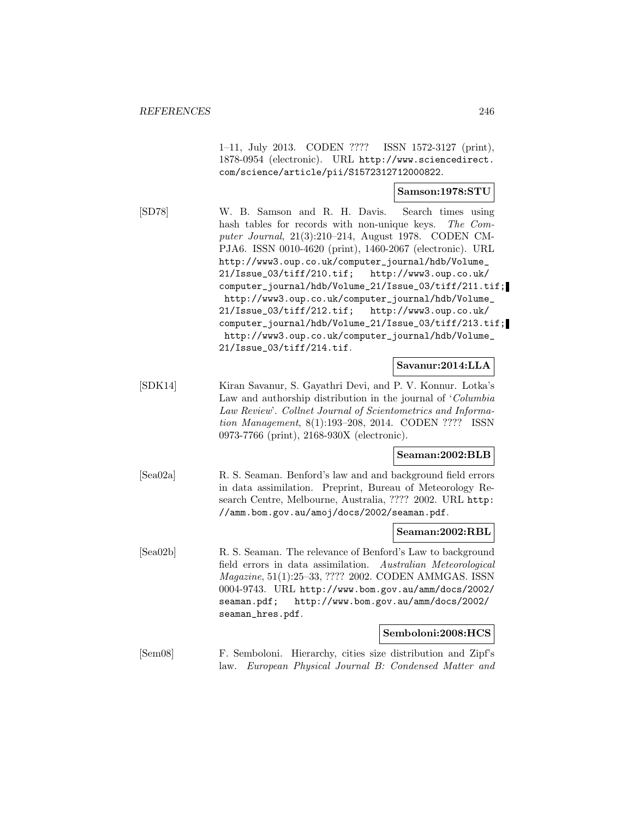1–11, July 2013. CODEN ???? ISSN 1572-3127 (print), 1878-0954 (electronic). URL http://www.sciencedirect. com/science/article/pii/S1572312712000822.

#### **Samson:1978:STU**

[SD78] W. B. Samson and R. H. Davis. Search times using hash tables for records with non-unique keys. The Computer Journal, 21(3):210–214, August 1978. CODEN CM-PJA6. ISSN 0010-4620 (print), 1460-2067 (electronic). URL http://www3.oup.co.uk/computer\_journal/hdb/Volume\_ 21/Issue\_03/tiff/210.tif; http://www3.oup.co.uk/ computer\_journal/hdb/Volume\_21/Issue\_03/tiff/211.tif; http://www3.oup.co.uk/computer\_journal/hdb/Volume\_ 21/Issue\_03/tiff/212.tif; http://www3.oup.co.uk/ computer\_journal/hdb/Volume\_21/Issue\_03/tiff/213.tif; http://www3.oup.co.uk/computer\_journal/hdb/Volume\_ 21/Issue\_03/tiff/214.tif.

## **Savanur:2014:LLA**

[SDK14] Kiran Savanur, S. Gayathri Devi, and P. V. Konnur. Lotka's Law and authorship distribution in the journal of 'Columbia Law Review'. Collnet Journal of Scientometrics and Information Management, 8(1):193–208, 2014. CODEN ???? ISSN 0973-7766 (print), 2168-930X (electronic).

#### **Seaman:2002:BLB**

[Sea02a] R. S. Seaman. Benford's law and and background field errors in data assimilation. Preprint, Bureau of Meteorology Research Centre, Melbourne, Australia, ???? 2002. URL http: //amm.bom.gov.au/amoj/docs/2002/seaman.pdf.

#### **Seaman:2002:RBL**

[Sea02b] R. S. Seaman. The relevance of Benford's Law to background field errors in data assimilation. Australian Meteorological Magazine, 51(1):25–33, ???? 2002. CODEN AMMGAS. ISSN 0004-9743. URL http://www.bom.gov.au/amm/docs/2002/ seaman.pdf; http://www.bom.gov.au/amm/docs/2002/ seaman\_hres.pdf.

#### **Semboloni:2008:HCS**

[Sem08] F. Semboloni. Hierarchy, cities size distribution and Zipf's law. European Physical Journal B: Condensed Matter and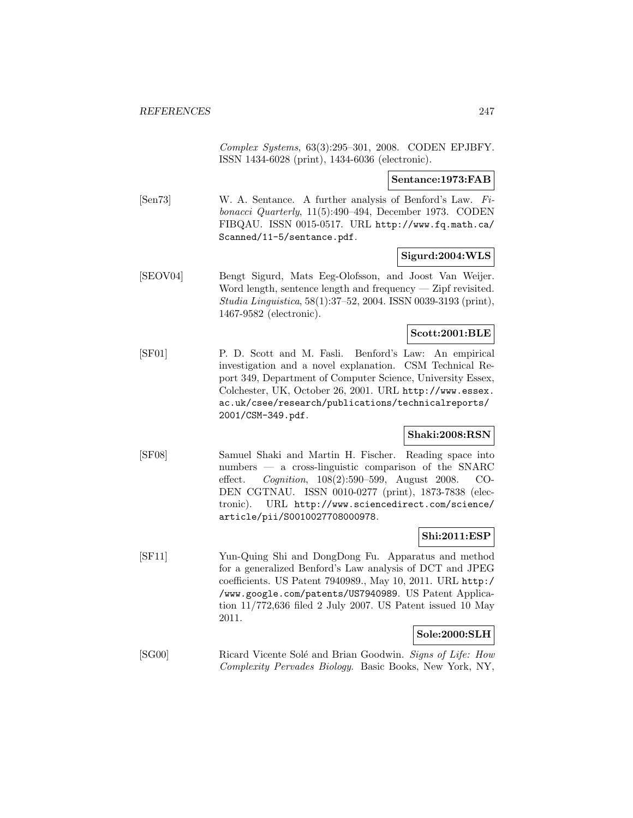Complex Systems, 63(3):295–301, 2008. CODEN EPJBFY. ISSN 1434-6028 (print), 1434-6036 (electronic).

**Sentance:1973:FAB**

[Sen73] W. A. Sentance. A further analysis of Benford's Law. Fibonacci Quarterly, 11(5):490–494, December 1973. CODEN FIBQAU. ISSN 0015-0517. URL http://www.fq.math.ca/ Scanned/11-5/sentance.pdf.

## **Sigurd:2004:WLS**

[SEOV04] Bengt Sigurd, Mats Eeg-Olofsson, and Joost Van Weijer. Word length, sentence length and frequency — Zipf revisited. Studia Linguistica, 58(1):37–52, 2004. ISSN 0039-3193 (print), 1467-9582 (electronic).

#### **Scott:2001:BLE**

[SF01] P. D. Scott and M. Fasli. Benford's Law: An empirical investigation and a novel explanation. CSM Technical Report 349, Department of Computer Science, University Essex, Colchester, UK, October 26, 2001. URL http://www.essex. ac.uk/csee/research/publications/technicalreports/ 2001/CSM-349.pdf.

#### **Shaki:2008:RSN**

[SF08] Samuel Shaki and Martin H. Fischer. Reading space into numbers — a cross-linguistic comparison of the SNARC effect. Cognition, 108(2):590–599, August 2008. CO-DEN CGTNAU. ISSN 0010-0277 (print), 1873-7838 (electronic). URL http://www.sciencedirect.com/science/ article/pii/S0010027708000978.

# **Shi:2011:ESP**

[SF11] Yun-Quing Shi and DongDong Fu. Apparatus and method for a generalized Benford's Law analysis of DCT and JPEG coefficients. US Patent 7940989., May 10, 2011. URL http:/ /www.google.com/patents/US7940989. US Patent Application 11/772,636 filed 2 July 2007. US Patent issued 10 May 2011.

# **Sole:2000:SLH**

[SG00] Ricard Vicente Solé and Brian Goodwin. Signs of Life: How Complexity Pervades Biology. Basic Books, New York, NY,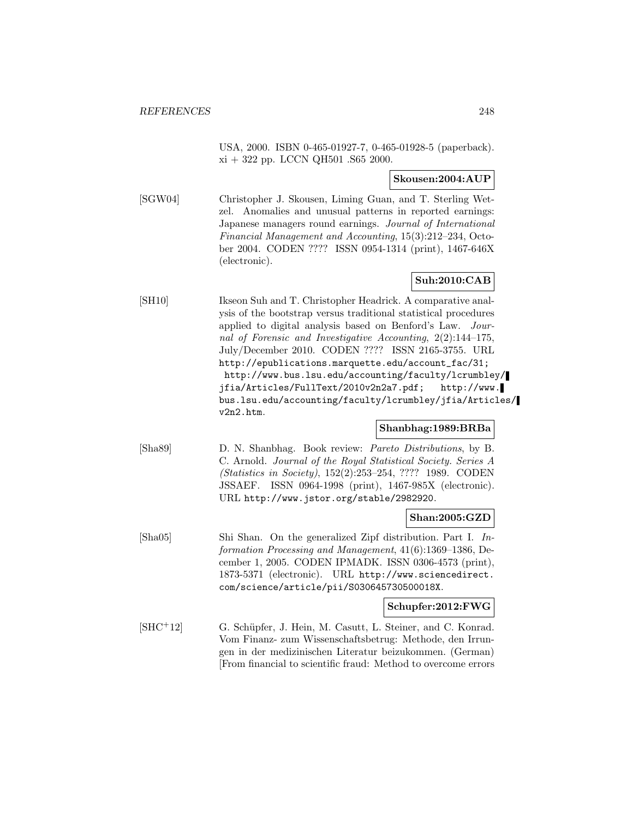USA, 2000. ISBN 0-465-01927-7, 0-465-01928-5 (paperback). xi + 322 pp. LCCN QH501 .S65 2000.

#### **Skousen:2004:AUP**

[SGW04] Christopher J. Skousen, Liming Guan, and T. Sterling Wetzel. Anomalies and unusual patterns in reported earnings: Japanese managers round earnings. Journal of International Financial Management and Accounting, 15(3):212–234, October 2004. CODEN ???? ISSN 0954-1314 (print), 1467-646X (electronic).

# **Suh:2010:CAB**

[SH10] Ikseon Suh and T. Christopher Headrick. A comparative analysis of the bootstrap versus traditional statistical procedures applied to digital analysis based on Benford's Law. Journal of Forensic and Investigative Accounting, 2(2):144–175, July/December 2010. CODEN ???? ISSN 2165-3755. URL http://epublications.marquette.edu/account\_fac/31; http://www.bus.lsu.edu/accounting/faculty/lcrumbley/ jfia/Articles/FullText/2010v2n2a7.pdf; http://www. bus.lsu.edu/accounting/faculty/lcrumbley/jfia/Articles/ v2n2.htm.

## **Shanbhag:1989:BRBa**

[Sha89] D. N. Shanbhag. Book review: Pareto Distributions, by B. C. Arnold. Journal of the Royal Statistical Society. Series A (Statistics in Society), 152(2):253–254, ???? 1989. CODEN JSSAEF. ISSN 0964-1998 (print), 1467-985X (electronic). URL http://www.jstor.org/stable/2982920.

#### **Shan:2005:GZD**

[Sha05] Shi Shan. On the generalized Zipf distribution. Part I. Information Processing and Management, 41(6):1369–1386, December 1, 2005. CODEN IPMADK. ISSN 0306-4573 (print), 1873-5371 (electronic). URL http://www.sciencedirect. com/science/article/pii/S030645730500018X.

#### **Schupfer:2012:FWG**

[SHC<sup>+</sup>12] G. Schüpfer, J. Hein, M. Casutt, L. Steiner, and C. Konrad. Vom Finanz- zum Wissenschaftsbetrug: Methode, den Irrungen in der medizinischen Literatur beizukommen. (German) [From financial to scientific fraud: Method to overcome errors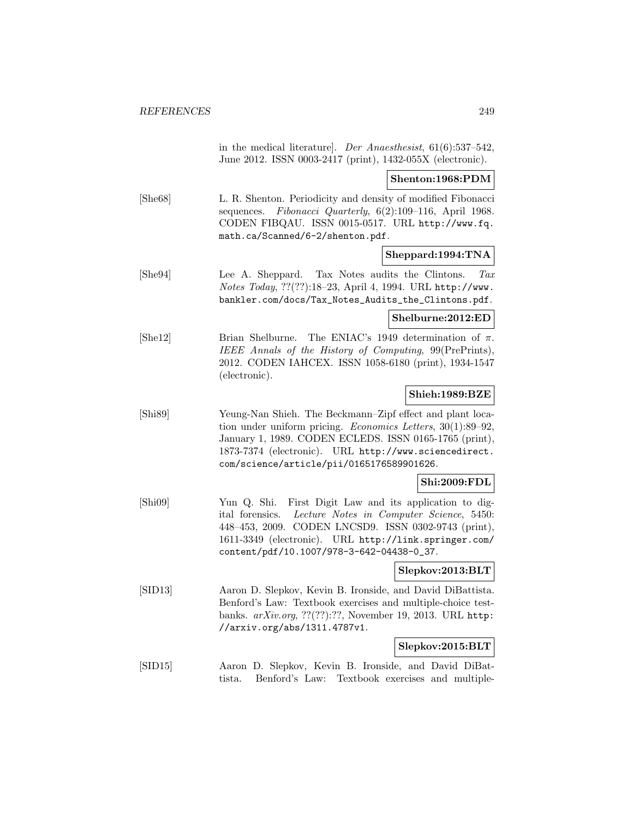in the medical literature]. Der Anaesthesist, 61(6):537–542, June 2012. ISSN 0003-2417 (print), 1432-055X (electronic).

#### **Shenton:1968:PDM**

[She68] L. R. Shenton. Periodicity and density of modified Fibonacci sequences. Fibonacci Quarterly, 6(2):109–116, April 1968. CODEN FIBQAU. ISSN 0015-0517. URL http://www.fq. math.ca/Scanned/6-2/shenton.pdf.

# **Sheppard:1994:TNA**

[She94] Lee A. Sheppard. Tax Notes audits the Clintons. Tax Notes Today, ??(??):18–23, April 4, 1994. URL http://www. bankler.com/docs/Tax\_Notes\_Audits\_the\_Clintons.pdf.

#### **Shelburne:2012:ED**

[She12] Brian Shelburne. The ENIAC's 1949 determination of  $\pi$ . IEEE Annals of the History of Computing, 99(PrePrints), 2012. CODEN IAHCEX. ISSN 1058-6180 (print), 1934-1547 (electronic).

## **Shieh:1989:BZE**

[Shi89] Yeung-Nan Shieh. The Beckmann–Zipf effect and plant location under uniform pricing. Economics Letters, 30(1):89–92, January 1, 1989. CODEN ECLEDS. ISSN 0165-1765 (print), 1873-7374 (electronic). URL http://www.sciencedirect. com/science/article/pii/0165176589901626.

# **Shi:2009:FDL**

[Shi09] Yun Q. Shi. First Digit Law and its application to digital forensics. Lecture Notes in Computer Science, 5450: 448–453, 2009. CODEN LNCSD9. ISSN 0302-9743 (print), 1611-3349 (electronic). URL http://link.springer.com/ content/pdf/10.1007/978-3-642-04438-0\_37.

#### **Slepkov:2013:BLT**

[SID13] Aaron D. Slepkov, Kevin B. Ironside, and David DiBattista. Benford's Law: Textbook exercises and multiple-choice testbanks. arXiv.org, ??(??):??, November 19, 2013. URL http: //arxiv.org/abs/1311.4787v1.

#### **Slepkov:2015:BLT**

[SID15] Aaron D. Slepkov, Kevin B. Ironside, and David DiBattista. Benford's Law: Textbook exercises and multiple-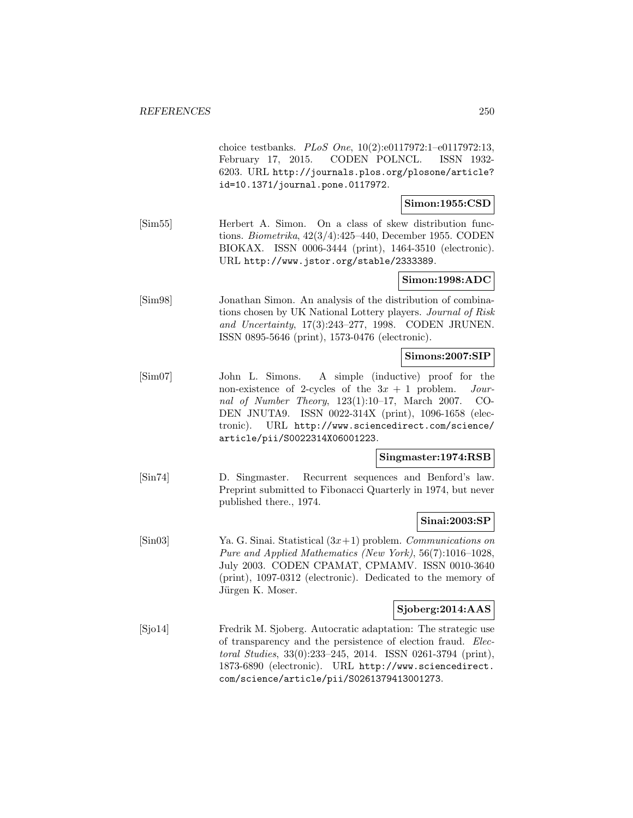|                                | choice testbanks. PLoS One, $10(2):e0117972:1-e0117972:13$ ,<br>CODEN POLNCL.<br>February 17, 2015.<br>ISSN 1932-<br>6203. URL http://journals.plos.org/plosone/article?<br>id=10.1371/journal.pone.0117972.                                                                                                                              |
|--------------------------------|-------------------------------------------------------------------------------------------------------------------------------------------------------------------------------------------------------------------------------------------------------------------------------------------------------------------------------------------|
|                                | Simon: 1955: CSD                                                                                                                                                                                                                                                                                                                          |
| $\left[\text{Sim55}\right]$    | Herbert A. Simon.<br>On a class of skew distribution func-<br>tions. Biometrika, $42(3/4):425-440$ , December 1955. CODEN<br>ISSN 0006-3444 (print), 1464-3510 (electronic).<br>BIOKAX.<br>URL http://www.jstor.org/stable/2333389.                                                                                                       |
|                                | Simon:1998:ADC                                                                                                                                                                                                                                                                                                                            |
| [Sim98]                        | Jonathan Simon. An analysis of the distribution of combina-<br>tions chosen by UK National Lottery players. Journal of Risk<br>and Uncertainty, 17(3):243-277, 1998. CODEN JRUNEN.<br>ISSN 0895-5646 (print), 1573-0476 (electronic).                                                                                                     |
|                                | Simons:2007:SIP                                                                                                                                                                                                                                                                                                                           |
| $\lbrack \text{Sim07} \rbrack$ | A simple (inductive) proof for the<br>John L. Simons.<br>non-existence of 2-cycles of the $3x + 1$ problem.<br>$Jour-$<br>nal of Number Theory, $123(1):10-17$ , March 2007.<br>CO-<br>ISSN 0022-314X (print), 1096-1658 (elec-<br>DEN JNUTA9.<br>URL http://www.sciencedirect.com/science/<br>tronic).<br>article/pii/S0022314X06001223. |
|                                | Singmaster:1974:RSB                                                                                                                                                                                                                                                                                                                       |
| $[\text{Sin}74]$               | Recurrent sequences and Benford's law.<br>D. Singmaster.<br>Preprint submitted to Fibonacci Quarterly in 1974, but never<br>published there., 1974.                                                                                                                                                                                       |
|                                | Sinai:2003:SP                                                                                                                                                                                                                                                                                                                             |
| $[\text{Sin}03]$               | Ya. G. Sinai. Statistical $(3x+1)$ problem. Communications on<br>Pure and Applied Mathematics (New York), 56(7):1016-1028,<br>July 2003. CODEN CPAMAT, CPMAMV. ISSN 0010-3640<br>(print), 1097-0312 (electronic). Dedicated to the memory of<br>Jürgen K. Moser.                                                                          |
|                                | Sjoberg:2014:AAS                                                                                                                                                                                                                                                                                                                          |
| [Sjo14]                        | Fredrik M. Sjoberg. Autocratic adaptation: The strategic use<br>of transparency and the persistence of election fraud. Elec-<br>toral Studies, 33(0):233-245, 2014. ISSN 0261-3794 (print),<br>1873-6890 (electronic). URL http://www.sciencedirect.                                                                                      |

com/science/article/pii/S0261379413001273.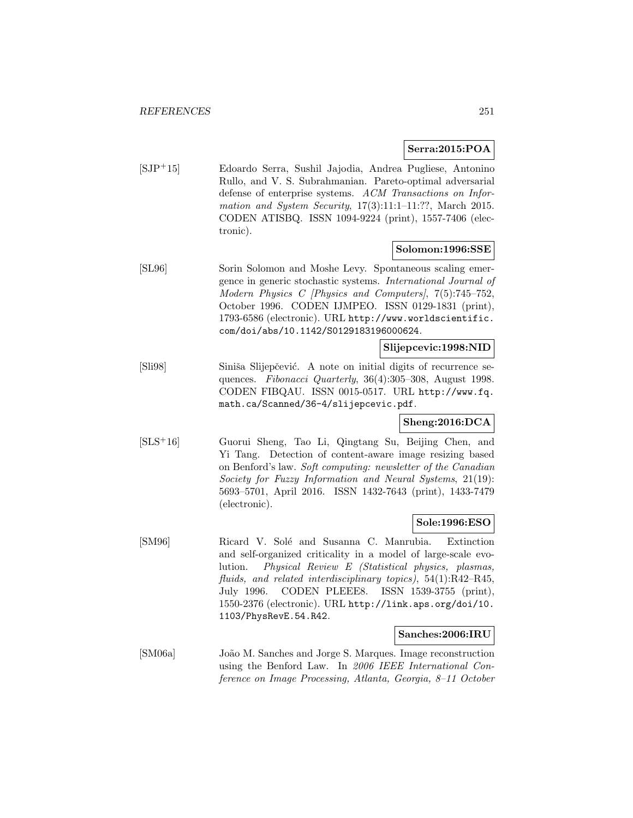## **Serra:2015:POA**

[SJP<sup>+</sup>15] Edoardo Serra, Sushil Jajodia, Andrea Pugliese, Antonino Rullo, and V. S. Subrahmanian. Pareto-optimal adversarial defense of enterprise systems. ACM Transactions on Information and System Security,  $17(3):11:1-11:??$ , March 2015. CODEN ATISBQ. ISSN 1094-9224 (print), 1557-7406 (electronic).

#### **Solomon:1996:SSE**

[SL96] Sorin Solomon and Moshe Levy. Spontaneous scaling emergence in generic stochastic systems. International Journal of Modern Physics C [Physics and Computers], 7(5):745–752, October 1996. CODEN IJMPEO. ISSN 0129-1831 (print), 1793-6586 (electronic). URL http://www.worldscientific. com/doi/abs/10.1142/S0129183196000624.

#### **Slijepcevic:1998:NID**

[Sli98] Siniša Slijepčević. A note on initial digits of recurrence sequences. Fibonacci Quarterly, 36(4):305-308, August 1998. CODEN FIBQAU. ISSN 0015-0517. URL http://www.fq. math.ca/Scanned/36-4/slijepcevic.pdf.

# **Sheng:2016:DCA**

[SLS<sup>+</sup>16] Guorui Sheng, Tao Li, Qingtang Su, Beijing Chen, and Yi Tang. Detection of content-aware image resizing based on Benford's law. Soft computing: newsletter of the Canadian Society for Fuzzy Information and Neural Systems, 21(19): 5693–5701, April 2016. ISSN 1432-7643 (print), 1433-7479 (electronic).

#### **Sole:1996:ESO**

[SM96] Ricard V. Sol´e and Susanna C. Manrubia. Extinction and self-organized criticality in a model of large-scale evolution. Physical Review E (Statistical physics, plasmas, fluids, and related interdisciplinary topics), 54(1):R42–R45, July 1996. CODEN PLEEE8. ISSN 1539-3755 (print), 1550-2376 (electronic). URL http://link.aps.org/doi/10. 1103/PhysRevE.54.R42.

#### **Sanches:2006:IRU**

[SM06a] João M. Sanches and Jorge S. Marques. Image reconstruction using the Benford Law. In 2006 IEEE International Conference on Image Processing, Atlanta, Georgia, 8–11 October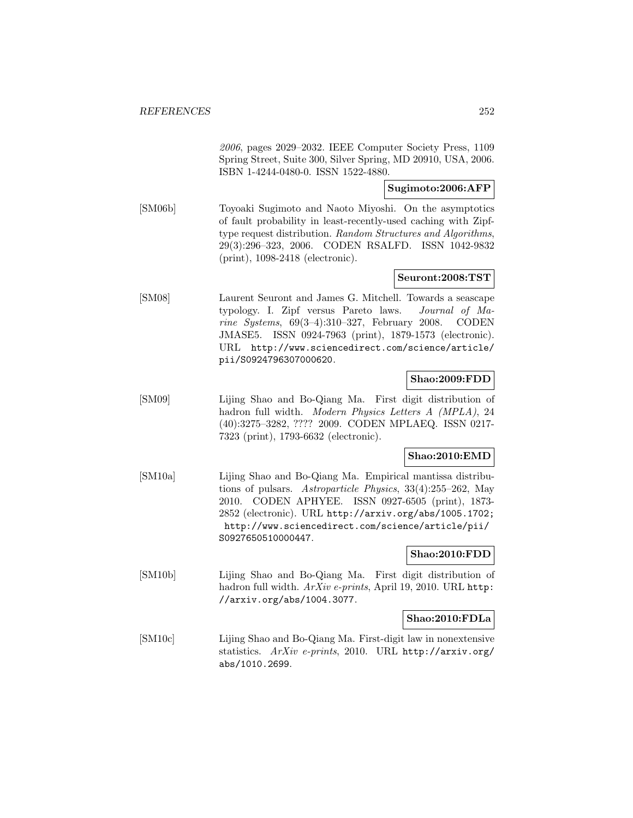2006, pages 2029–2032. IEEE Computer Society Press, 1109 Spring Street, Suite 300, Silver Spring, MD 20910, USA, 2006. ISBN 1-4244-0480-0. ISSN 1522-4880.

# **Sugimoto:2006:AFP**

[SM06b] Toyoaki Sugimoto and Naoto Miyoshi. On the asymptotics of fault probability in least-recently-used caching with Zipftype request distribution. Random Structures and Algorithms, 29(3):296–323, 2006. CODEN RSALFD. ISSN 1042-9832 (print), 1098-2418 (electronic).

## **Seuront:2008:TST**

[SM08] Laurent Seuront and James G. Mitchell. Towards a seascape typology. I. Zipf versus Pareto laws. Journal of Marine Systems, 69(3–4):310–327, February 2008. CODEN JMASE5. ISSN 0924-7963 (print), 1879-1573 (electronic). URL http://www.sciencedirect.com/science/article/ pii/S0924796307000620.

#### **Shao:2009:FDD**

[SM09] Lijing Shao and Bo-Qiang Ma. First digit distribution of hadron full width. Modern Physics Letters A (MPLA), 24 (40):3275–3282, ???? 2009. CODEN MPLAEQ. ISSN 0217- 7323 (print), 1793-6632 (electronic).

## **Shao:2010:EMD**

[SM10a] Lijing Shao and Bo-Qiang Ma. Empirical mantissa distributions of pulsars. Astroparticle Physics, 33(4):255–262, May 2010. CODEN APHYEE. ISSN 0927-6505 (print), 1873- 2852 (electronic). URL http://arxiv.org/abs/1005.1702; http://www.sciencedirect.com/science/article/pii/ S0927650510000447.

#### **Shao:2010:FDD**

[SM10b] Lijing Shao and Bo-Qiang Ma. First digit distribution of hadron full width. ArXiv e-prints, April 19, 2010. URL http: //arxiv.org/abs/1004.3077.

#### **Shao:2010:FDLa**

[SM10c] Lijing Shao and Bo-Qiang Ma. First-digit law in nonextensive statistics. ArXiv e-prints, 2010. URL http://arxiv.org/ abs/1010.2699.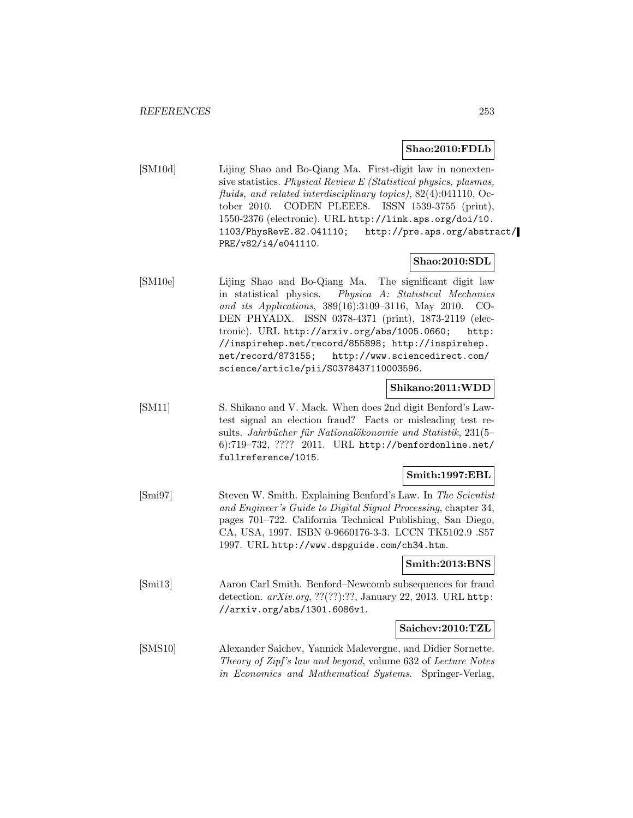#### **Shao:2010:FDLb**

[SM10d] Lijing Shao and Bo-Qiang Ma. First-digit law in nonextensive statistics. Physical Review E (Statistical physics, plasmas, fluids, and related interdisciplinary topics), 82(4):041110, October 2010. CODEN PLEEE8. ISSN 1539-3755 (print), 1550-2376 (electronic). URL http://link.aps.org/doi/10. 1103/PhysRevE.82.041110; http://pre.aps.org/abstract/ PRE/v82/i4/e041110.

#### **Shao:2010:SDL**

[SM10e] Lijing Shao and Bo-Qiang Ma. The significant digit law in statistical physics. Physica A: Statistical Mechanics and its Applications, 389(16):3109–3116, May 2010. CO-DEN PHYADX. ISSN 0378-4371 (print), 1873-2119 (electronic). URL http://arxiv.org/abs/1005.0660; http: //inspirehep.net/record/855898; http://inspirehep. net/record/873155; http://www.sciencedirect.com/ science/article/pii/S0378437110003596.

#### **Shikano:2011:WDD**

[SM11] S. Shikano and V. Mack. When does 2nd digit Benford's Lawtest signal an election fraud? Facts or misleading test results. Jahrbücher für Nationalökonomie und Statistik, 231(5– 6):719–732, ???? 2011. URL http://benfordonline.net/ fullreference/1015.

#### **Smith:1997:EBL**

[Smi97] Steven W. Smith. Explaining Benford's Law. In The Scientist and Engineer's Guide to Digital Signal Processing, chapter 34, pages 701–722. California Technical Publishing, San Diego, CA, USA, 1997. ISBN 0-9660176-3-3. LCCN TK5102.9 .S57 1997. URL http://www.dspguide.com/ch34.htm.

#### **Smith:2013:BNS**

[Smi13] Aaron Carl Smith. Benford–Newcomb subsequences for fraud detection. arXiv.org, ??(??):??, January 22, 2013. URL http: //arxiv.org/abs/1301.6086v1.

#### **Saichev:2010:TZL**

[SMS10] Alexander Saichev, Yannick Malevergne, and Didier Sornette. Theory of Zipf's law and beyond, volume 632 of Lecture Notes in Economics and Mathematical Systems. Springer-Verlag,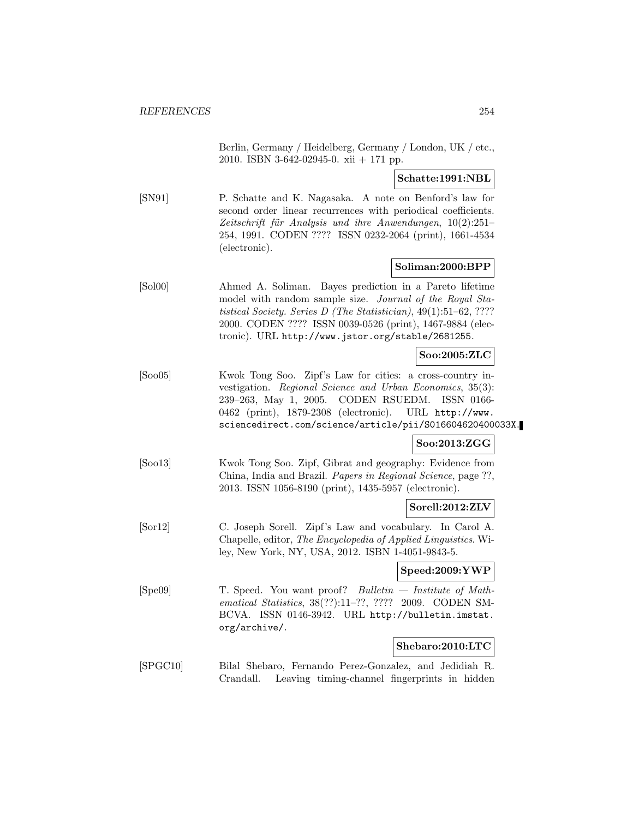Berlin, Germany / Heidelberg, Germany / London, UK / etc., 2010. ISBN 3-642-02945-0. xii + 171 pp.

**Schatte:1991:NBL**

[SN91] P. Schatte and K. Nagasaka. A note on Benford's law for second order linear recurrences with periodical coefficients. Zeitschrift für Analysis und ihre Anwendungen,  $10(2):251-$ 254, 1991. CODEN ???? ISSN 0232-2064 (print), 1661-4534 (electronic).

#### **Soliman:2000:BPP**

[Sol00] Ahmed A. Soliman. Bayes prediction in a Pareto lifetime model with random sample size. Journal of the Royal Statistical Society. Series D (The Statistician), 49(1):51–62, ???? 2000. CODEN ???? ISSN 0039-0526 (print), 1467-9884 (electronic). URL http://www.jstor.org/stable/2681255.

### **Soo:2005:ZLC**

[Soo05] Kwok Tong Soo. Zipf's Law for cities: a cross-country investigation. Regional Science and Urban Economics, 35(3): 239–263, May 1, 2005. CODEN RSUEDM. ISSN 0166- 0462 (print), 1879-2308 (electronic). URL http://www. sciencedirect.com/science/article/pii/S016604620400033X.

#### **Soo:2013:ZGG**

[Soo13] Kwok Tong Soo. Zipf, Gibrat and geography: Evidence from China, India and Brazil. Papers in Regional Science, page ??, 2013. ISSN 1056-8190 (print), 1435-5957 (electronic).

#### **Sorell:2012:ZLV**

[Sor12] C. Joseph Sorell. Zipf's Law and vocabulary. In Carol A. Chapelle, editor, The Encyclopedia of Applied Linguistics. Wiley, New York, NY, USA, 2012. ISBN 1-4051-9843-5.

# **Speed:2009:YWP**

[Spe09] T. Speed. You want proof? Bulletin — Institute of Mathematical Statistics, 38(??):11–??, ???? 2009. CODEN SM-BCVA. ISSN 0146-3942. URL http://bulletin.imstat. org/archive/.

# **Shebaro:2010:LTC**

[SPGC10] Bilal Shebaro, Fernando Perez-Gonzalez, and Jedidiah R. Crandall. Leaving timing-channel fingerprints in hidden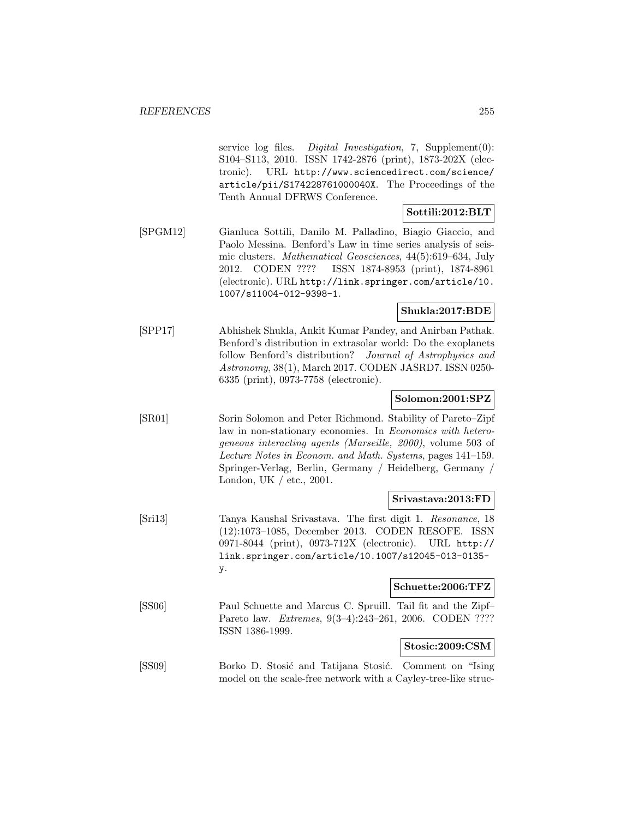service log files. Digital Investigation, 7, Supplement $(0)$ : S104–S113, 2010. ISSN 1742-2876 (print), 1873-202X (electronic). URL http://www.sciencedirect.com/science/ article/pii/S174228761000040X. The Proceedings of the Tenth Annual DFRWS Conference.

### **Sottili:2012:BLT**

[SPGM12] Gianluca Sottili, Danilo M. Palladino, Biagio Giaccio, and Paolo Messina. Benford's Law in time series analysis of seismic clusters. Mathematical Geosciences, 44(5):619–634, July 2012. CODEN ???? ISSN 1874-8953 (print), 1874-8961 (electronic). URL http://link.springer.com/article/10. 1007/s11004-012-9398-1.

### **Shukla:2017:BDE**

[SPP17] Abhishek Shukla, Ankit Kumar Pandey, and Anirban Pathak. Benford's distribution in extrasolar world: Do the exoplanets follow Benford's distribution? Journal of Astrophysics and Astronomy, 38(1), March 2017. CODEN JASRD7. ISSN 0250- 6335 (print), 0973-7758 (electronic).

### **Solomon:2001:SPZ**

[SR01] Sorin Solomon and Peter Richmond. Stability of Pareto–Zipf law in non-stationary economies. In Economics with heterogeneous interacting agents (Marseille, 2000), volume 503 of Lecture Notes in Econom. and Math. Systems, pages 141–159. Springer-Verlag, Berlin, Germany / Heidelberg, Germany / London, UK / etc., 2001.

### **Srivastava:2013:FD**

[Sri13] Tanya Kaushal Srivastava. The first digit 1. Resonance, 18 (12):1073–1085, December 2013. CODEN RESOFE. ISSN 0971-8044 (print), 0973-712X (electronic). URL http:// link.springer.com/article/10.1007/s12045-013-0135 y.

# **Schuette:2006:TFZ**

[SS06] Paul Schuette and Marcus C. Spruill. Tail fit and the Zipf– Pareto law. Extremes, 9(3–4):243–261, 2006. CODEN ???? ISSN 1386-1999.

# **Stosic:2009:CSM**

[SS09] Borko D. Stosić and Tatijana Stosić. Comment on "Ising" model on the scale-free network with a Cayley-tree-like struc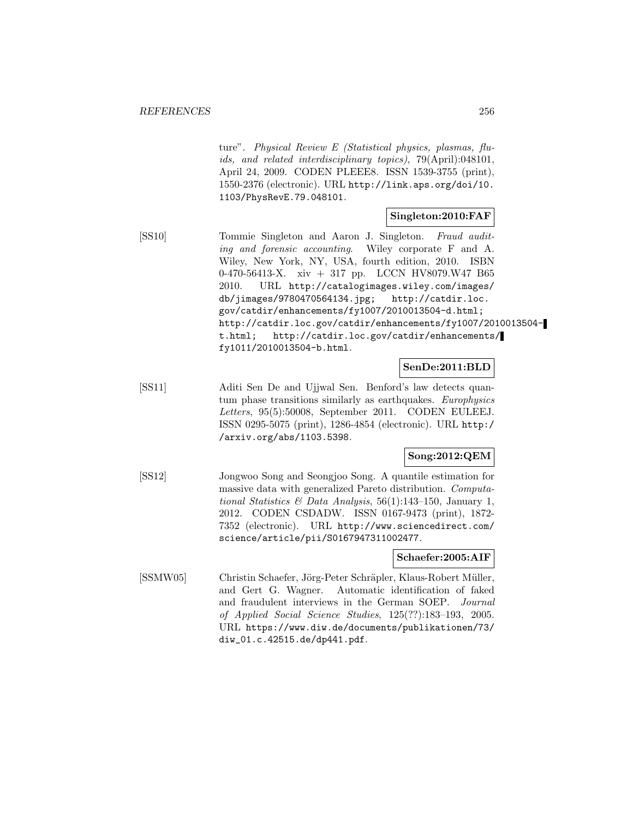ture". Physical Review E (Statistical physics, plasmas, fluids, and related interdisciplinary topics), 79(April):048101, April 24, 2009. CODEN PLEEE8. ISSN 1539-3755 (print), 1550-2376 (electronic). URL http://link.aps.org/doi/10. 1103/PhysRevE.79.048101.

### **Singleton:2010:FAF**

[SS10] Tommie Singleton and Aaron J. Singleton. Fraud auditing and forensic accounting. Wiley corporate F and A. Wiley, New York, NY, USA, fourth edition, 2010. ISBN 0-470-56413-X. xiv + 317 pp. LCCN HV8079.W47 B65 2010. URL http://catalogimages.wiley.com/images/ db/jimages/9780470564134.jpg; http://catdir.loc. gov/catdir/enhancements/fy1007/2010013504-d.html; http://catdir.loc.gov/catdir/enhancements/fy1007/2010013504 t.html; http://catdir.loc.gov/catdir/enhancements/ fy1011/2010013504-b.html.

**SenDe:2011:BLD**

[SS11] Aditi Sen De and Ujjwal Sen. Benford's law detects quantum phase transitions similarly as earthquakes. Europhysics Letters, 95(5):50008, September 2011. CODEN EULEEJ. ISSN 0295-5075 (print), 1286-4854 (electronic). URL http:/ /arxiv.org/abs/1103.5398.

# **Song:2012:QEM**

[SS12] Jongwoo Song and Seongjoo Song. A quantile estimation for massive data with generalized Pareto distribution. Computational Statistics & Data Analysis, 56(1):143-150, January 1, 2012. CODEN CSDADW. ISSN 0167-9473 (print), 1872- 7352 (electronic). URL http://www.sciencedirect.com/ science/article/pii/S0167947311002477.

#### **Schaefer:2005:AIF**

[SSMW05] Christin Schaefer, Jörg-Peter Schräpler, Klaus-Robert Müller, and Gert G. Wagner. Automatic identification of faked and fraudulent interviews in the German SOEP. Journal of Applied Social Science Studies, 125(??):183–193, 2005. URL https://www.diw.de/documents/publikationen/73/ diw\_01.c.42515.de/dp441.pdf.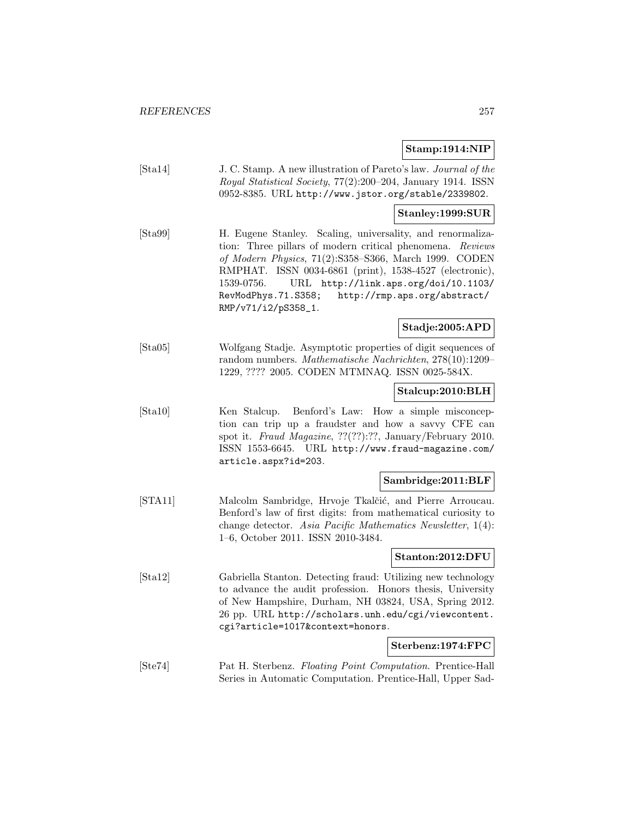### **Stamp:1914:NIP**

[Sta14] J. C. Stamp. A new illustration of Pareto's law. Journal of the Royal Statistical Society, 77(2):200–204, January 1914. ISSN 0952-8385. URL http://www.jstor.org/stable/2339802.

### **Stanley:1999:SUR**

[Sta99] H. Eugene Stanley. Scaling, universality, and renormalization: Three pillars of modern critical phenomena. Reviews of Modern Physics, 71(2):S358–S366, March 1999. CODEN RMPHAT. ISSN 0034-6861 (print), 1538-4527 (electronic), 1539-0756. URL http://link.aps.org/doi/10.1103/ RevModPhys.71.S358; http://rmp.aps.org/abstract/ RMP/v71/i2/pS358\_1.

# **Stadje:2005:APD**

[Sta05] Wolfgang Stadje. Asymptotic properties of digit sequences of random numbers. Mathematische Nachrichten, 278(10):1209– 1229, ???? 2005. CODEN MTMNAQ. ISSN 0025-584X.

#### **Stalcup:2010:BLH**

[Sta10] Ken Stalcup. Benford's Law: How a simple misconception can trip up a fraudster and how a savvy CFE can spot it. Fraud Magazine, ??(??):??, January/February 2010. ISSN 1553-6645. URL http://www.fraud-magazine.com/ article.aspx?id=203.

#### **Sambridge:2011:BLF**

[STA11] Malcolm Sambridge, Hrvoje Tkalčić, and Pierre Arroucau. Benford's law of first digits: from mathematical curiosity to change detector. Asia Pacific Mathematics Newsletter, 1(4): 1–6, October 2011. ISSN 2010-3484.

#### **Stanton:2012:DFU**

[Sta12] Gabriella Stanton. Detecting fraud: Utilizing new technology to advance the audit profession. Honors thesis, University of New Hampshire, Durham, NH 03824, USA, Spring 2012. 26 pp. URL http://scholars.unh.edu/cgi/viewcontent. cgi?article=1017&context=honors.

#### **Sterbenz:1974:FPC**

[Ste74] Pat H. Sterbenz. Floating Point Computation. Prentice-Hall Series in Automatic Computation. Prentice-Hall, Upper Sad-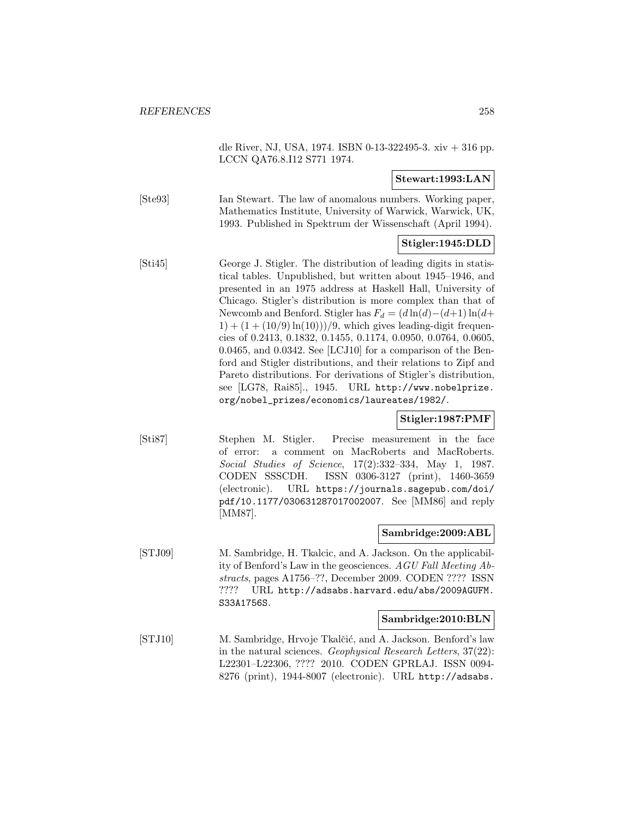dle River, NJ, USA, 1974. ISBN 0-13-322495-3. xiv + 316 pp. LCCN QA76.8.I12 S771 1974.

#### **Stewart:1993:LAN**

[Ste93] Ian Stewart. The law of anomalous numbers. Working paper, Mathematics Institute, University of Warwick, Warwick, UK, 1993. Published in Spektrum der Wissenschaft (April 1994).

### **Stigler:1945:DLD**

[Sti45] George J. Stigler. The distribution of leading digits in statistical tables. Unpublished, but written about 1945–1946, and presented in an 1975 address at Haskell Hall, University of Chicago. Stigler's distribution is more complex than that of Newcomb and Benford. Stigler has  $F_d = (d \ln(d) - (d+1) \ln(d+1))$  $1 + (1 + (10/9) \ln(10)))/9$ , which gives leading-digit frequencies of 0.2413, 0.1832, 0.1455, 0.1174, 0.0950, 0.0764, 0.0605, 0.0465, and 0.0342. See [LCJ10] for a comparison of the Benford and Stigler distributions, and their relations to Zipf and Pareto distributions. For derivations of Stigler's distribution, see [LG78, Rai85]., 1945. URL http://www.nobelprize. org/nobel\_prizes/economics/laureates/1982/.

#### **Stigler:1987:PMF**

[Sti87] Stephen M. Stigler. Precise measurement in the face of error: a comment on MacRoberts and MacRoberts. Social Studies of Science, 17(2):332–334, May 1, 1987. CODEN SSSCDH. ISSN 0306-3127 (print), 1460-3659 (electronic). URL https://journals.sagepub.com/doi/ pdf/10.1177/030631287017002007. See [MM86] and reply [MM87].

#### **Sambridge:2009:ABL**

[STJ09] M. Sambridge, H. Tkalcic, and A. Jackson. On the applicability of Benford's Law in the geosciences. AGU Fall Meeting Abstracts, pages A1756–??, December 2009. CODEN ???? ISSN ???? URL http://adsabs.harvard.edu/abs/2009AGUFM. S33A1756S.

#### **Sambridge:2010:BLN**

[STJ10] M. Sambridge, Hrvoje Tkalčić, and A. Jackson. Benford's law in the natural sciences. Geophysical Research Letters, 37(22): L22301–L22306, ???? 2010. CODEN GPRLAJ. ISSN 0094- 8276 (print), 1944-8007 (electronic). URL http://adsabs.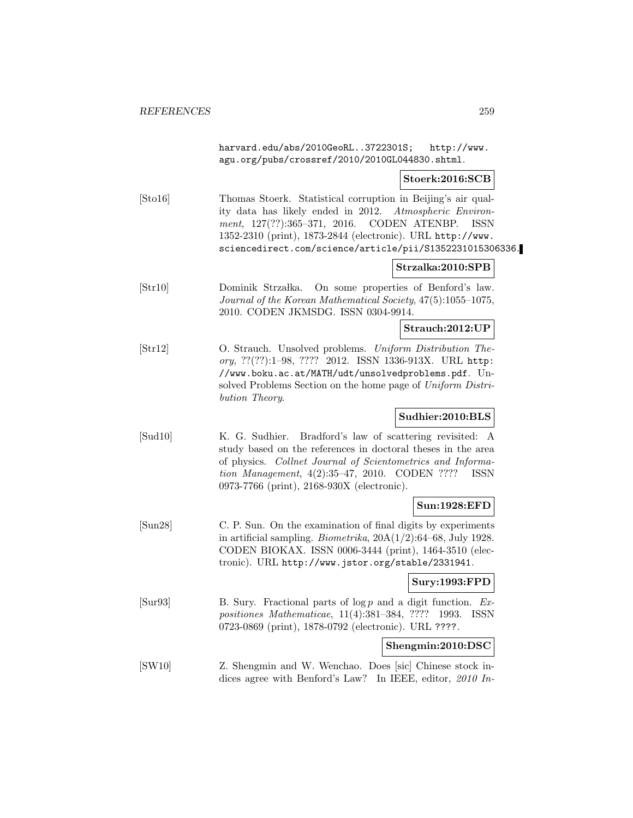harvard.edu/abs/2010GeoRL..3722301S; http://www. agu.org/pubs/crossref/2010/2010GL044830.shtml.

#### **Stoerk:2016:SCB**

[Sto16] Thomas Stoerk. Statistical corruption in Beijing's air quality data has likely ended in 2012. Atmospheric Environment, 127(??):365–371, 2016. CODEN ATENBP. ISSN 1352-2310 (print), 1873-2844 (electronic). URL http://www. sciencedirect.com/science/article/pii/S1352231015306336.

#### **Strzalka:2010:SPB**

[Str10] Dominik Strzałka. On some properties of Benford's law. Journal of the Korean Mathematical Society, 47(5):1055–1075, 2010. CODEN JKMSDG. ISSN 0304-9914.

**Strauch:2012:UP**

[Str12] O. Strauch. Unsolved problems. Uniform Distribution Theory, ??(??):1–98, ???? 2012. ISSN 1336-913X. URL http: //www.boku.ac.at/MATH/udt/unsolvedproblems.pdf. Unsolved Problems Section on the home page of Uniform Distribution Theory.

### **Sudhier:2010:BLS**

[Sud10] K. G. Sudhier. Bradford's law of scattering revisited: A study based on the references in doctoral theses in the area of physics. Collnet Journal of Scientometrics and Information Management, 4(2):35–47, 2010. CODEN ???? ISSN 0973-7766 (print), 2168-930X (electronic).

#### **Sun:1928:EFD**

[Sun28] C. P. Sun. On the examination of final digits by experiments in artificial sampling. *Biometrika*,  $20A(1/2):64-68$ , July 1928. CODEN BIOKAX. ISSN 0006-3444 (print), 1464-3510 (electronic). URL http://www.jstor.org/stable/2331941.

#### **Sury:1993:FPD**

[Sur93] B. Sury. Fractional parts of  $\log p$  and a digit function. Expositiones Mathematicae, 11(4):381–384, ???? 1993. ISSN 0723-0869 (print), 1878-0792 (electronic). URL ????.

#### **Shengmin:2010:DSC**

[SW10] Z. Shengmin and W. Wenchao. Does [sic] Chinese stock indices agree with Benford's Law? In IEEE, editor, 2010 In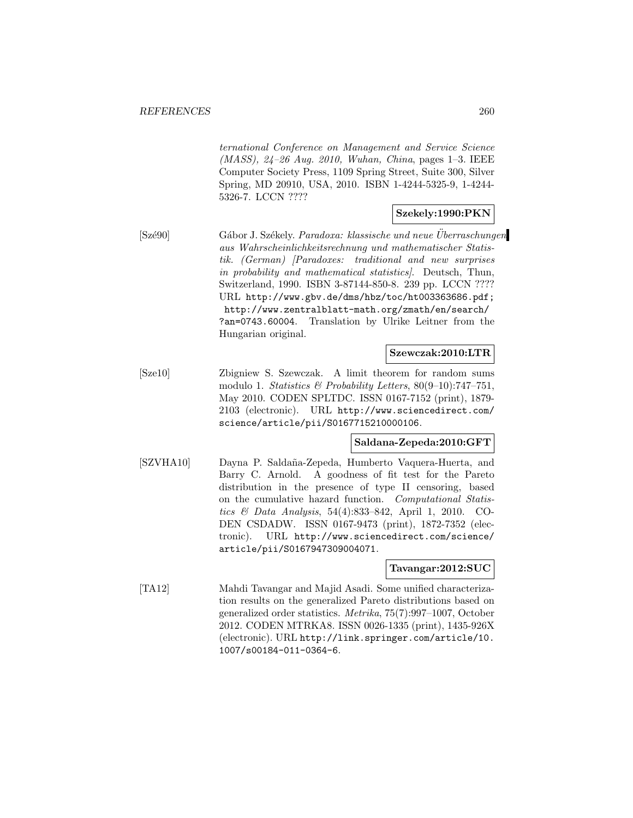ternational Conference on Management and Service Science (MASS), 24–26 Aug. 2010, Wuhan, China, pages 1–3. IEEE Computer Society Press, 1109 Spring Street, Suite 300, Silver Spring, MD 20910, USA, 2010. ISBN 1-4244-5325-9, 1-4244- 5326-7. LCCN ????

#### **Szekely:1990:PKN**

[Szé90] Gábor J. Székely. *Paradoxa: klassische und neue Uberraschungen* aus Wahrscheinlichkeitsrechnung und mathematischer Statistik. (German) [Paradoxes: traditional and new surprises in probability and mathematical statistics]. Deutsch, Thun, Switzerland, 1990. ISBN 3-87144-850-8. 239 pp. LCCN ???? URL http://www.gbv.de/dms/hbz/toc/ht003363686.pdf; http://www.zentralblatt-math.org/zmath/en/search/ ?an=0743.60004. Translation by Ulrike Leitner from the Hungarian original.

### **Szewczak:2010:LTR**

[Sze10] Zbigniew S. Szewczak. A limit theorem for random sums modulo 1. Statistics & Probability Letters,  $80(9-10)$ :747-751, May 2010. CODEN SPLTDC. ISSN 0167-7152 (print), 1879- 2103 (electronic). URL http://www.sciencedirect.com/ science/article/pii/S0167715210000106.

### **Saldana-Zepeda:2010:GFT**

[SZVHA10] Dayna P. Salda˜na-Zepeda, Humberto Vaquera-Huerta, and Barry C. Arnold. A goodness of fit test for the Pareto distribution in the presence of type II censoring, based on the cumulative hazard function. Computational Statistics & Data Analysis, 54(4):833–842, April 1, 2010. CO-DEN CSDADW. ISSN 0167-9473 (print), 1872-7352 (electronic). URL http://www.sciencedirect.com/science/ article/pii/S0167947309004071.

#### **Tavangar:2012:SUC**

[TA12] Mahdi Tavangar and Majid Asadi. Some unified characterization results on the generalized Pareto distributions based on generalized order statistics. Metrika, 75(7):997–1007, October 2012. CODEN MTRKA8. ISSN 0026-1335 (print), 1435-926X (electronic). URL http://link.springer.com/article/10. 1007/s00184-011-0364-6.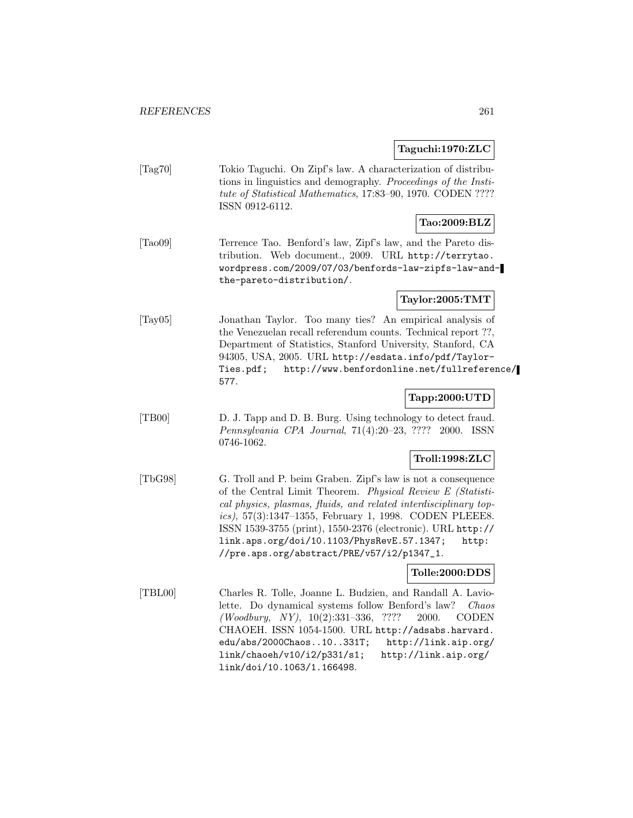#### **Taguchi:1970:ZLC**

[Tag70] Tokio Taguchi. On Zipf's law. A characterization of distributions in linguistics and demography. Proceedings of the Institute of Statistical Mathematics, 17:83–90, 1970. CODEN ???? ISSN 0912-6112.

# **Tao:2009:BLZ**

[Tao09] Terrence Tao. Benford's law, Zipf's law, and the Pareto distribution. Web document., 2009. URL http://terrytao. wordpress.com/2009/07/03/benfords-law-zipfs-law-andthe-pareto-distribution/.

#### **Taylor:2005:TMT**

[Tay05] Jonathan Taylor. Too many ties? An empirical analysis of the Venezuelan recall referendum counts. Technical report ??, Department of Statistics, Stanford University, Stanford, CA 94305, USA, 2005. URL http://esdata.info/pdf/Taylor-Ties.pdf; http://www.benfordonline.net/fullreference/ 577.

### **Tapp:2000:UTD**

[TB00] D. J. Tapp and D. B. Burg. Using technology to detect fraud. Pennsylvania CPA Journal, 71(4):20–23, ???? 2000. ISSN 0746-1062.

# **Troll:1998:ZLC**

[TbG98] G. Troll and P. beim Graben. Zipf's law is not a consequence of the Central Limit Theorem. Physical Review E (Statistical physics, plasmas, fluids, and related interdisciplinary topics), 57(3):1347–1355, February 1, 1998. CODEN PLEEE8. ISSN 1539-3755 (print), 1550-2376 (electronic). URL http:// link.aps.org/doi/10.1103/PhysRevE.57.1347; http: //pre.aps.org/abstract/PRE/v57/i2/p1347\_1.

### **Tolle:2000:DDS**

[TBL00] Charles R. Tolle, Joanne L. Budzien, and Randall A. Laviolette. Do dynamical systems follow Benford's law? Chaos (Woodbury, NY), 10(2):331–336, ???? 2000. CODEN CHAOEH. ISSN 1054-1500. URL http://adsabs.harvard. edu/abs/2000Chaos..10..331T; http://link.aip.org/ link/chaoeh/v10/i2/p331/s1; http://link.aip.org/ link/doi/10.1063/1.166498.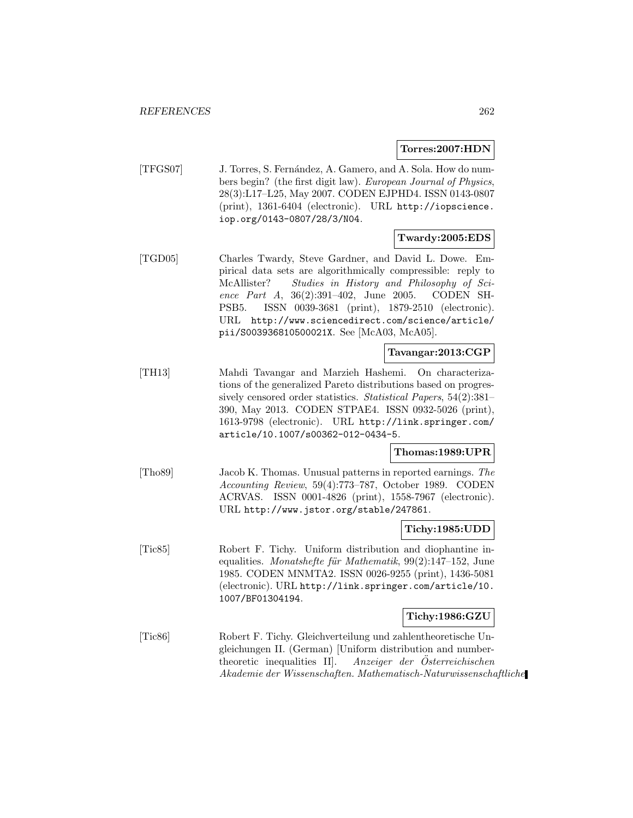**Torres:2007:HDN**

[TFGS07] J. Torres, S. Fern´andez, A. Gamero, and A. Sola. How do numbers begin? (the first digit law). European Journal of Physics, 28(3):L17–L25, May 2007. CODEN EJPHD4. ISSN 0143-0807 (print), 1361-6404 (electronic). URL http://iopscience. iop.org/0143-0807/28/3/N04.

### **Twardy:2005:EDS**

[TGD05] Charles Twardy, Steve Gardner, and David L. Dowe. Empirical data sets are algorithmically compressible: reply to McAllister? Studies in History and Philosophy of Science Part A, 36(2):391–402, June 2005. CODEN SH-PSB5. ISSN 0039-3681 (print), 1879-2510 (electronic). URL http://www.sciencedirect.com/science/article/ pii/S003936810500021X. See [McA03, McA05].

### **Tavangar:2013:CGP**

[TH13] Mahdi Tavangar and Marzieh Hashemi. On characterizations of the generalized Pareto distributions based on progressively censored order statistics. Statistical Papers, 54(2):381– 390, May 2013. CODEN STPAE4. ISSN 0932-5026 (print), 1613-9798 (electronic). URL http://link.springer.com/ article/10.1007/s00362-012-0434-5.

### **Thomas:1989:UPR**

[Tho89] Jacob K. Thomas. Unusual patterns in reported earnings. The Accounting Review, 59(4):773–787, October 1989. CODEN ACRVAS. ISSN 0001-4826 (print), 1558-7967 (electronic). URL http://www.jstor.org/stable/247861.

#### **Tichy:1985:UDD**

[Tic85] Robert F. Tichy. Uniform distribution and diophantine inequalities. Monatshefte für Mathematik,  $99(2):147-152$ , June 1985. CODEN MNMTA2. ISSN 0026-9255 (print), 1436-5081 (electronic). URL http://link.springer.com/article/10. 1007/BF01304194.

#### **Tichy:1986:GZU**

[Tic86] Robert F. Tichy. Gleichverteilung und zahlentheoretische Ungleichungen II. (German) [Uniform distribution and numbertheoretic inequalities II]. Anzeiger der Österreichischen Akademie der Wissenschaften. Mathematisch-Naturwissenschaftliche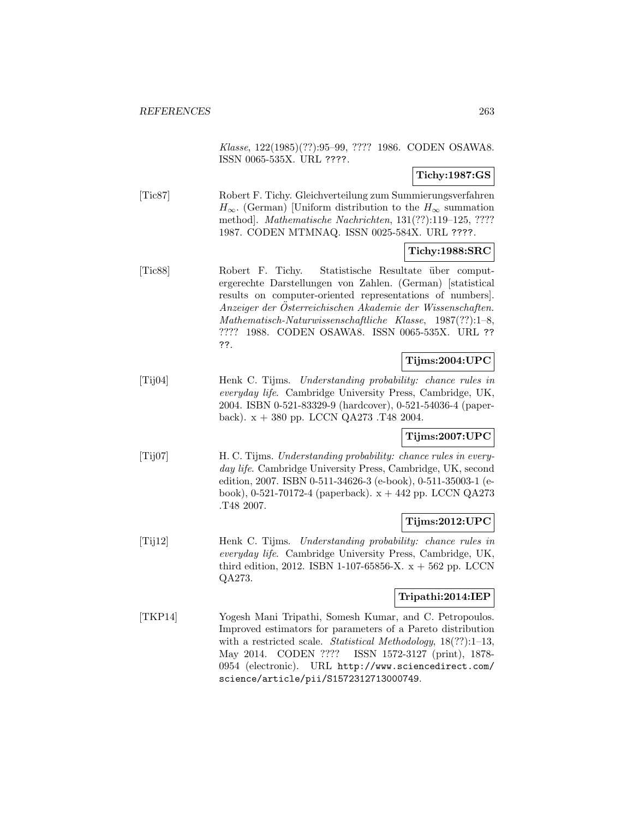Klasse, 122(1985)(??):95–99, ???? 1986. CODEN OSAWA8. ISSN 0065-535X. URL ????.

**Tichy:1987:GS**

[Tic87] Robert F. Tichy. Gleichverteilung zum Summierungsverfahren  $H_{\infty}$ . (German) [Uniform distribution to the  $H_{\infty}$  summation method]. Mathematische Nachrichten, 131(??):119–125, ???? 1987. CODEN MTMNAQ. ISSN 0025-584X. URL ????.

### **Tichy:1988:SRC**

[Tic88] Robert F. Tichy. Statistische Resultate ¨uber computergerechte Darstellungen von Zahlen. (German) [statistical results on computer-oriented representations of numbers]. Anzeiger der Osterreichischen Akademie der Wissenschaften. ¨ Mathematisch-Naturwissenschaftliche Klasse, 1987(??):1–8, ???? 1988. CODEN OSAWA8. ISSN 0065-535X. URL ?? ??.

# **Tijms:2004:UPC**

[Tij04] Henk C. Tijms. Understanding probability: chance rules in everyday life. Cambridge University Press, Cambridge, UK, 2004. ISBN 0-521-83329-9 (hardcover), 0-521-54036-4 (paperback).  $x + 380$  pp. LCCN QA273 .T48 2004.

# **Tijms:2007:UPC**

[Tij07] H. C. Tijms. Understanding probability: chance rules in everyday life. Cambridge University Press, Cambridge, UK, second edition, 2007. ISBN 0-511-34626-3 (e-book), 0-511-35003-1 (ebook), 0-521-70172-4 (paperback).  $x + 442$  pp. LCCN QA273 .T48 2007.

### **Tijms:2012:UPC**

[Tij12] Henk C. Tijms. Understanding probability: chance rules in everyday life. Cambridge University Press, Cambridge, UK, third edition, 2012. ISBN 1-107-65856-X.  $x + 562$  pp. LCCN QA273.

# **Tripathi:2014:IEP**

[TKP14] Yogesh Mani Tripathi, Somesh Kumar, and C. Petropoulos. Improved estimators for parameters of a Pareto distribution with a restricted scale. Statistical Methodology, 18(??):1-13, May 2014. CODEN ???? ISSN 1572-3127 (print), 1878- 0954 (electronic). URL http://www.sciencedirect.com/ science/article/pii/S1572312713000749.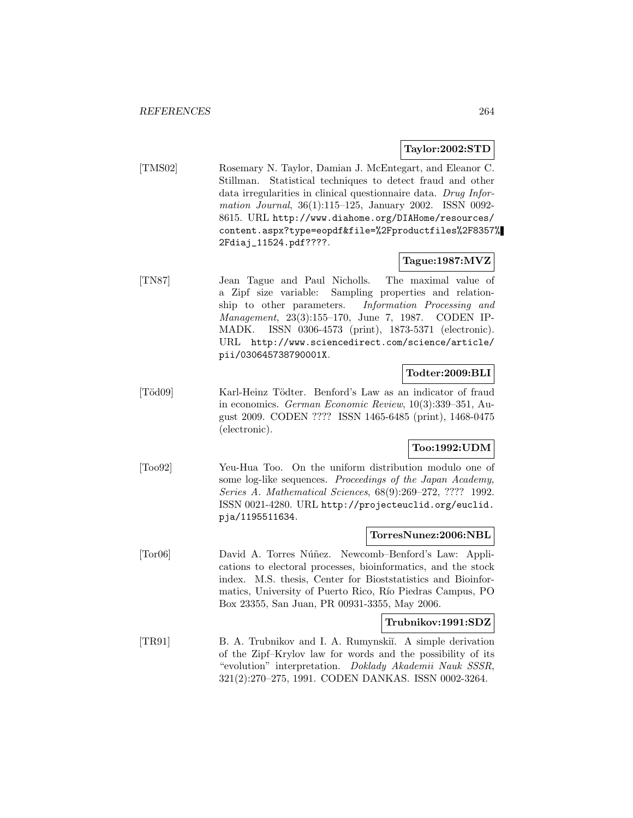### **Taylor:2002:STD**

[TMS02] Rosemary N. Taylor, Damian J. McEntegart, and Eleanor C. Stillman. Statistical techniques to detect fraud and other data irregularities in clinical questionnaire data. Drug Information Journal, 36(1):115–125, January 2002. ISSN 0092- 8615. URL http://www.diahome.org/DIAHome/resources/ content.aspx?type=eopdf&file=%2Fproductfiles%2F8357% 2Fdiaj\_11524.pdf????.

### **Tague:1987:MVZ**

[TN87] Jean Tague and Paul Nicholls. The maximal value of a Zipf size variable: Sampling properties and relationship to other parameters. Information Processing and Management, 23(3):155–170, June 7, 1987. CODEN IP-MADK. ISSN 0306-4573 (print), 1873-5371 (electronic). URL http://www.sciencedirect.com/science/article/ pii/030645738790001X.

# **Todter:2009:BLI**

[Töd09] Karl-Heinz Tödter. Benford's Law as an indicator of fraud in economics. German Economic Review, 10(3):339–351, August 2009. CODEN ???? ISSN 1465-6485 (print), 1468-0475 (electronic).

### **Too:1992:UDM**

[Too92] Yeu-Hua Too. On the uniform distribution modulo one of some log-like sequences. Proceedings of the Japan Academy, Series A. Mathematical Sciences, 68(9):269–272, ???? 1992. ISSN 0021-4280. URL http://projecteuclid.org/euclid. pja/1195511634.

# **TorresNunez:2006:NBL**

[Tor06] David A. Torres Núñez. Newcomb–Benford's Law: Applications to electoral processes, bioinformatics, and the stock index. M.S. thesis, Center for Bioststatistics and Bioinformatics, University of Puerto Rico, Río Piedras Campus, PO Box 23355, San Juan, PR 00931-3355, May 2006.

### **Trubnikov:1991:SDZ**

[TR91] B. A. Trubnikov and I. A. Rumynskiı̆. A simple derivation of the Zipf–Krylov law for words and the possibility of its "evolution" interpretation. Doklady Akademii Nauk SSSR, 321(2):270–275, 1991. CODEN DANKAS. ISSN 0002-3264.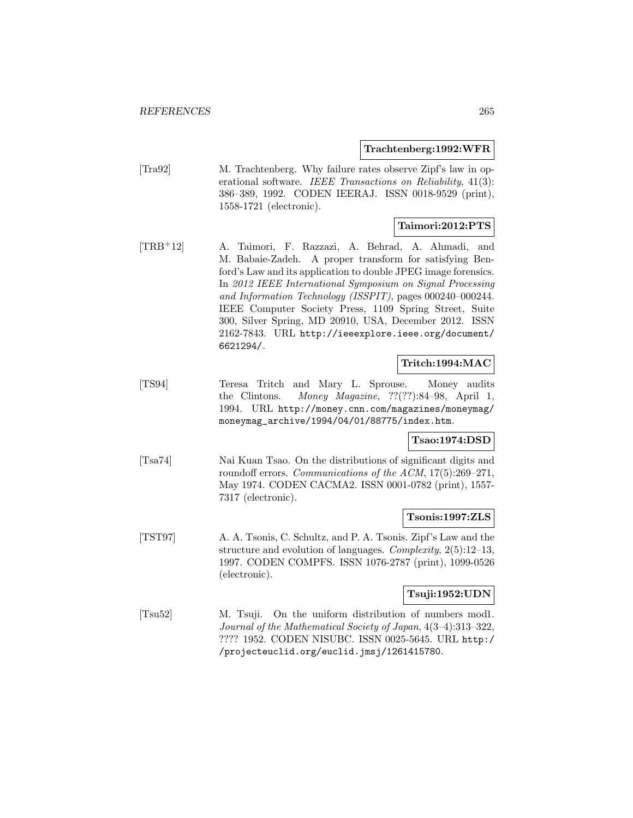#### **Trachtenberg:1992:WFR**

[Tra92] M. Trachtenberg. Why failure rates observe Zipf's law in operational software. IEEE Transactions on Reliability, 41(3): 386–389, 1992. CODEN IEERAJ. ISSN 0018-9529 (print), 1558-1721 (electronic).

### **Taimori:2012:PTS**

[TRB<sup>+</sup>12] A. Taimori, F. Razzazi, A. Behrad, A. Ahmadi, and M. Babaie-Zadeh. A proper transform for satisfying Benford's Law and its application to double JPEG image forensics. In 2012 IEEE International Symposium on Signal Processing and Information Technology (ISSPIT), pages 000240–000244. IEEE Computer Society Press, 1109 Spring Street, Suite 300, Silver Spring, MD 20910, USA, December 2012. ISSN 2162-7843. URL http://ieeexplore.ieee.org/document/ 6621294/.

### **Tritch:1994:MAC**

[TS94] Teresa Tritch and Mary L. Sprouse. Money audits the Clintons. Money Magazine, ??(??):84–98, April 1, 1994. URL http://money.cnn.com/magazines/moneymag/ moneymag\_archive/1994/04/01/88775/index.htm.

#### **Tsao:1974:DSD**

[Tsa74] Nai Kuan Tsao. On the distributions of significant digits and roundoff errors. Communications of the ACM, 17(5):269–271, May 1974. CODEN CACMA2. ISSN 0001-0782 (print), 1557- 7317 (electronic).

#### **Tsonis:1997:ZLS**

[TST97] A. A. Tsonis, C. Schultz, and P. A. Tsonis. Zipf's Law and the structure and evolution of languages. Complexity, 2(5):12–13, 1997. CODEN COMPFS. ISSN 1076-2787 (print), 1099-0526 (electronic).

### **Tsuji:1952:UDN**

[Tsu52] M. Tsuji. On the uniform distribution of numbers mod1. Journal of the Mathematical Society of Japan, 4(3–4):313–322, ???? 1952. CODEN NISUBC. ISSN 0025-5645. URL http:/ /projecteuclid.org/euclid.jmsj/1261415780.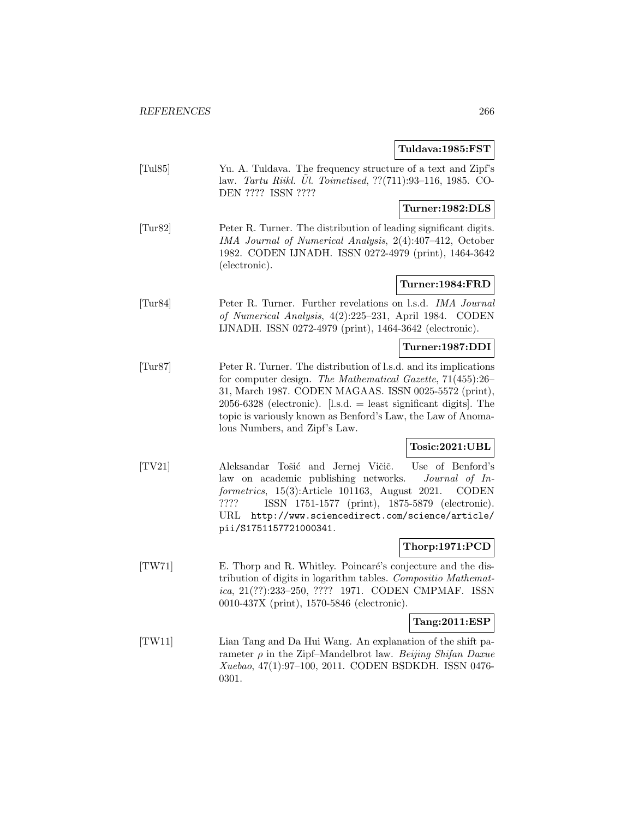### **Tuldava:1985:FST**

[Tul85] Yu. A. Tuldava. The frequency structure of a text and Zipf's law. *Tartu Riikl. Ül. Toimetised*,  $??(711):93-116$ , 1985. CO-DEN ???? ISSN ????

### **Turner:1982:DLS**

[Tur82] Peter R. Turner. The distribution of leading significant digits. IMA Journal of Numerical Analysis, 2(4):407–412, October 1982. CODEN IJNADH. ISSN 0272-4979 (print), 1464-3642 (electronic).

#### **Turner:1984:FRD**

[Tur84] Peter R. Turner. Further revelations on l.s.d. IMA Journal of Numerical Analysis, 4(2):225–231, April 1984. CODEN IJNADH. ISSN 0272-4979 (print), 1464-3642 (electronic).

### **Turner:1987:DDI**

[Tur87] Peter R. Turner. The distribution of l.s.d. and its implications for computer design. The Mathematical Gazette, 71(455):26– 31, March 1987. CODEN MAGAAS. ISSN 0025-5572 (print), 2056-6328 (electronic). [l.s.d. = least significant digits]. The topic is variously known as Benford's Law, the Law of Anomalous Numbers, and Zipf's Law.

### **Tosic:2021:UBL**

[TV21] Aleksandar Tošić and Jernej Vičič. Use of Benford's law on academic publishing networks. Journal of Informetrics, 15(3):Article 101163, August 2021. CODEN ???? ISSN 1751-1577 (print), 1875-5879 (electronic). URL http://www.sciencedirect.com/science/article/ pii/S1751157721000341.

### **Thorp:1971:PCD**

[TW71] E. Thorp and R. Whitley. Poincaré's conjecture and the distribution of digits in logarithm tables. Compositio Mathematica, 21(??):233–250, ???? 1971. CODEN CMPMAF. ISSN 0010-437X (print), 1570-5846 (electronic).

#### **Tang:2011:ESP**

[TW11] Lian Tang and Da Hui Wang. An explanation of the shift parameter  $\rho$  in the Zipf–Mandelbrot law. Beijing Shifan Daxue Xuebao, 47(1):97–100, 2011. CODEN BSDKDH. ISSN 0476- 0301.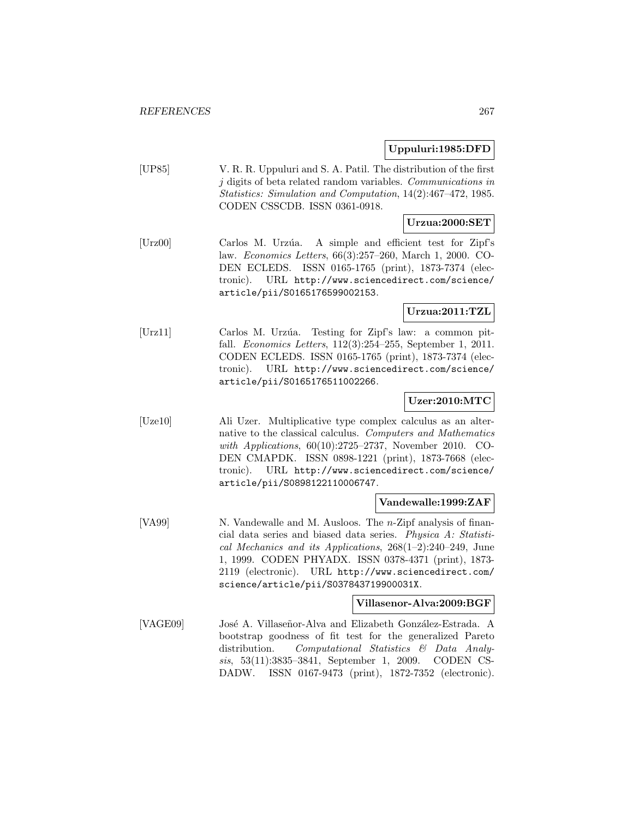### **Uppuluri:1985:DFD**

[UP85] V. R. R. Uppuluri and S. A. Patil. The distribution of the first j digits of beta related random variables. Communications in Statistics: Simulation and Computation, 14(2):467–472, 1985. CODEN CSSCDB. ISSN 0361-0918.

# **Urzua:2000:SET**

[Urz00] Carlos M. Urzúa. A simple and efficient test for Zipf's law. Economics Letters, 66(3):257–260, March 1, 2000. CO-DEN ECLEDS. ISSN 0165-1765 (print), 1873-7374 (electronic). URL http://www.sciencedirect.com/science/ article/pii/S0165176599002153.

# **Urzua:2011:TZL**

[Urz11] Carlos M. Urz´ua. Testing for Zipf's law: a common pitfall. Economics Letters, 112(3):254–255, September 1, 2011. CODEN ECLEDS. ISSN 0165-1765 (print), 1873-7374 (electronic). URL http://www.sciencedirect.com/science/ article/pii/S0165176511002266.

### **Uzer:2010:MTC**

[Uze10] Ali Uzer. Multiplicative type complex calculus as an alternative to the classical calculus. Computers and Mathematics with Applications, 60(10):2725–2737, November 2010. CO-DEN CMAPDK. ISSN 0898-1221 (print), 1873-7668 (electronic). URL http://www.sciencedirect.com/science/ article/pii/S0898122110006747.

#### **Vandewalle:1999:ZAF**

[VA99] N. Vandewalle and M. Ausloos. The *n*-Zipf analysis of financial data series and biased data series. Physica A: Statistical Mechanics and its Applications, 268(1–2):240–249, June 1, 1999. CODEN PHYADX. ISSN 0378-4371 (print), 1873- 2119 (electronic). URL http://www.sciencedirect.com/ science/article/pii/S037843719900031X.

#### **Villasenor-Alva:2009:BGF**

[VAGE09] José A. Villaseñor-Alva and Elizabeth González-Estrada. A bootstrap goodness of fit test for the generalized Pareto distribution. Computational Statistics & Data Analysis, 53(11):3835–3841, September 1, 2009. CODEN CS-DADW. ISSN 0167-9473 (print), 1872-7352 (electronic).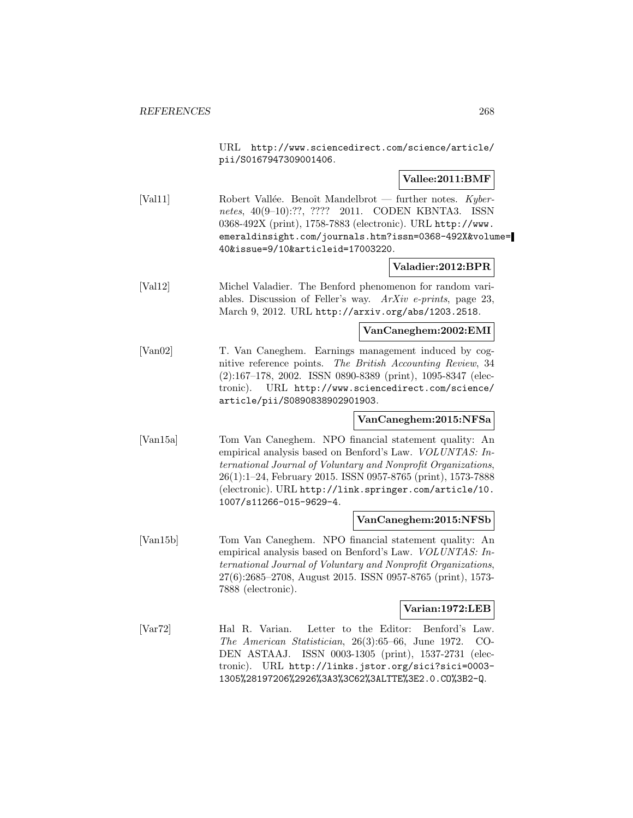URL http://www.sciencedirect.com/science/article/ pii/S0167947309001406.

#### **Vallee:2011:BMF**

[Val11] Robert Vallée. Benoît Mandelbrot — further notes.  $Kyber$ netes, 40(9-10):??, ???? 2011. CODEN KBNTA3. ISSN 0368-492X (print), 1758-7883 (electronic). URL http://www. emeraldinsight.com/journals.htm?issn=0368-492X&volume= 40&issue=9/10&articleid=17003220.

#### **Valadier:2012:BPR**

[Val12] Michel Valadier. The Benford phenomenon for random variables. Discussion of Feller's way. ArXiv e-prints, page 23, March 9, 2012. URL http://arxiv.org/abs/1203.2518.

**VanCaneghem:2002:EMI**

[Van02] T. Van Caneghem. Earnings management induced by cognitive reference points. The British Accounting Review, 34 (2):167–178, 2002. ISSN 0890-8389 (print), 1095-8347 (electronic). URL http://www.sciencedirect.com/science/ article/pii/S0890838902901903.

#### **VanCaneghem:2015:NFSa**

[Van15a] Tom Van Caneghem. NPO financial statement quality: An empirical analysis based on Benford's Law. VOLUNTAS: International Journal of Voluntary and Nonprofit Organizations, 26(1):1–24, February 2015. ISSN 0957-8765 (print), 1573-7888 (electronic). URL http://link.springer.com/article/10. 1007/s11266-015-9629-4.

#### **VanCaneghem:2015:NFSb**

[Van15b] Tom Van Caneghem. NPO financial statement quality: An empirical analysis based on Benford's Law. VOLUNTAS: International Journal of Voluntary and Nonprofit Organizations, 27(6):2685–2708, August 2015. ISSN 0957-8765 (print), 1573- 7888 (electronic).

#### **Varian:1972:LEB**

[Var72] Hal R. Varian. Letter to the Editor: Benford's Law. The American Statistician, 26(3):65–66, June 1972. CO-DEN ASTAAJ. ISSN 0003-1305 (print), 1537-2731 (electronic). URL http://links.jstor.org/sici?sici=0003- 1305%28197206%2926%3A3%3C62%3ALTTE%3E2.0.CO%3B2-Q.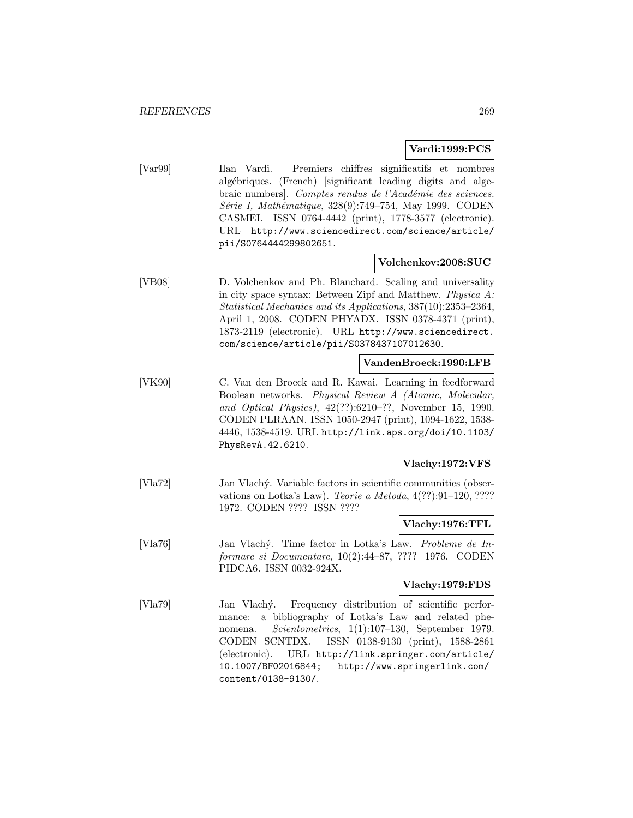### **Vardi:1999:PCS**

[Var99] Ilan Vardi. Premiers chiffres significatifs et nombres algébriques. (French) [significant leading digits and algebraic numbers]. Comptes rendus de l'Académie des sciences. Série I, Mathématique, 328(9):749–754, May 1999. CODEN CASMEI. ISSN 0764-4442 (print), 1778-3577 (electronic). URL http://www.sciencedirect.com/science/article/ pii/S0764444299802651.

#### **Volchenkov:2008:SUC**

[VB08] D. Volchenkov and Ph. Blanchard. Scaling and universality in city space syntax: Between Zipf and Matthew. Physica A: Statistical Mechanics and its Applications, 387(10):2353–2364, April 1, 2008. CODEN PHYADX. ISSN 0378-4371 (print), 1873-2119 (electronic). URL http://www.sciencedirect. com/science/article/pii/S0378437107012630.

### **VandenBroeck:1990:LFB**

[VK90] C. Van den Broeck and R. Kawai. Learning in feedforward Boolean networks. Physical Review A (Atomic, Molecular, and Optical Physics), 42(??):6210–??, November 15, 1990. CODEN PLRAAN. ISSN 1050-2947 (print), 1094-1622, 1538- 4446, 1538-4519. URL http://link.aps.org/doi/10.1103/ PhysRevA.42.6210.

### **Vlachy:1972:VFS**

[Vla72] Jan Vlach´y. Variable factors in scientific communities (observations on Lotka's Law). Teorie a Metoda, 4(??):91–120, ???? 1972. CODEN ???? ISSN ????

#### **Vlachy:1976:TFL**

[Vla76] Jan Vlachý. Time factor in Lotka's Law. Probleme de Informare si Documentare, 10(2):44–87, ???? 1976. CODEN PIDCA6. ISSN 0032-924X.

#### **Vlachy:1979:FDS**

[Vla79] Jan Vlach´y. Frequency distribution of scientific performance: a bibliography of Lotka's Law and related phenomena. Scientometrics, 1(1):107–130, September 1979. CODEN SCNTDX. ISSN 0138-9130 (print), 1588-2861 (electronic). URL http://link.springer.com/article/ 10.1007/BF02016844; http://www.springerlink.com/ content/0138-9130/.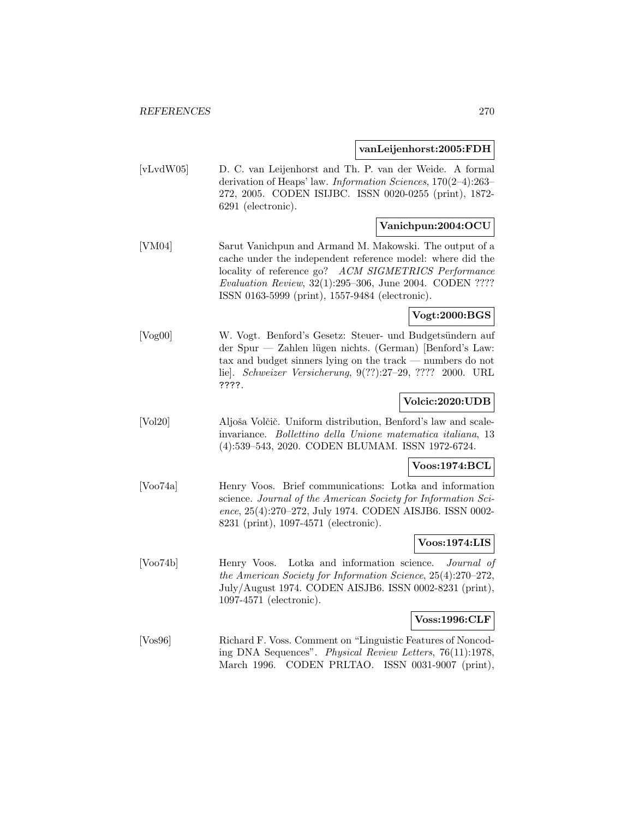#### **vanLeijenhorst:2005:FDH**

[vLvdW05] D. C. van Leijenhorst and Th. P. van der Weide. A formal derivation of Heaps' law. Information Sciences, 170(2–4):263– 272, 2005. CODEN ISIJBC. ISSN 0020-0255 (print), 1872- 6291 (electronic).

### **Vanichpun:2004:OCU**

[VM04] Sarut Vanichpun and Armand M. Makowski. The output of a cache under the independent reference model: where did the locality of reference go? ACM SIGMETRICS Performance Evaluation Review, 32(1):295–306, June 2004. CODEN ???? ISSN 0163-5999 (print), 1557-9484 (electronic).

### **Vogt:2000:BGS**

[Vog00] W. Vogt. Benford's Gesetz: Steuer- und Budgetsündern auf der Spur — Zahlen lügen nichts. (German) [Benford's Law: tax and budget sinners lying on the track — numbers do not lie]. Schweizer Versicherung, 9(??):27–29, ???? 2000. URL ????.

### **Volcic:2020:UDB**

[Vol20] Aljoša Volčič. Uniform distribution, Benford's law and scaleinvariance. Bollettino della Unione matematica italiana, 13 (4):539–543, 2020. CODEN BLUMAM. ISSN 1972-6724.

#### **Voos:1974:BCL**

[Voo74a] Henry Voos. Brief communications: Lotka and information science. Journal of the American Society for Information Science, 25(4):270–272, July 1974. CODEN AISJB6. ISSN 0002- 8231 (print), 1097-4571 (electronic).

#### **Voos:1974:LIS**

[Voo74b] Henry Voos. Lotka and information science. Journal of the American Society for Information Science, 25(4):270–272, July/August 1974. CODEN AISJB6. ISSN 0002-8231 (print), 1097-4571 (electronic).

#### **Voss:1996:CLF**

[Vos96] Richard F. Voss. Comment on "Linguistic Features of Noncoding DNA Sequences". Physical Review Letters, 76(11):1978, March 1996. CODEN PRLTAO. ISSN 0031-9007 (print),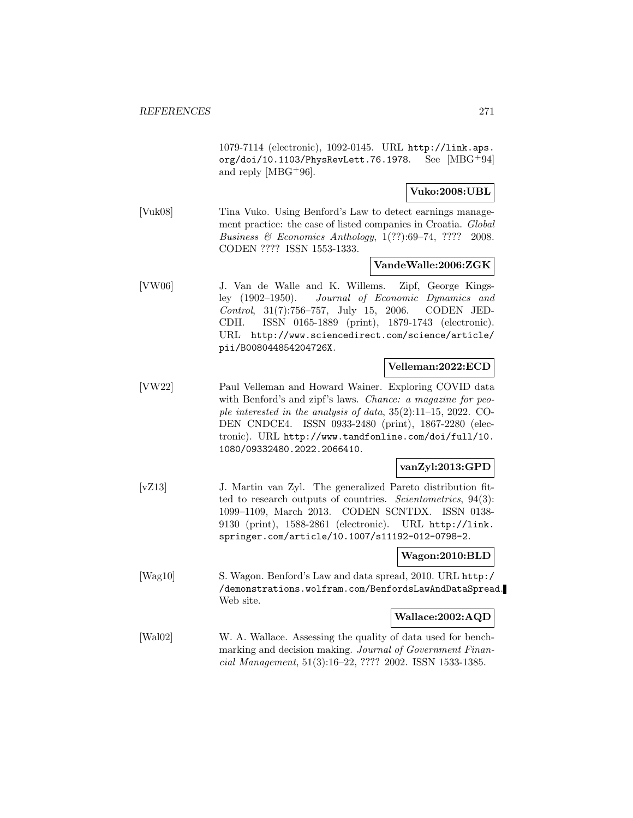1079-7114 (electronic), 1092-0145. URL http://link.aps. org/doi/10.1103/PhysRevLett.76.1978. See [MBG<sup>+</sup>94] and reply [MBG+96].

### **Vuko:2008:UBL**

[Vuk08] Tina Vuko. Using Benford's Law to detect earnings management practice: the case of listed companies in Croatia. Global Business & Economics Anthology, 1(??):69–74, ???? 2008. CODEN ???? ISSN 1553-1333.

#### **VandeWalle:2006:ZGK**

[VW06] J. Van de Walle and K. Willems. Zipf, George Kingsley (1902–1950). Journal of Economic Dynamics and Control, 31(7):756–757, July 15, 2006. CODEN JED-CDH. ISSN 0165-1889 (print), 1879-1743 (electronic). URL http://www.sciencedirect.com/science/article/ pii/B008044854204726X.

#### **Velleman:2022:ECD**

[VW22] Paul Velleman and Howard Wainer. Exploring COVID data with Benford's and zipf's laws. *Chance: a magazine for peo*ple interested in the analysis of data, 35(2):11–15, 2022. CO-DEN CNDCE4. ISSN 0933-2480 (print), 1867-2280 (electronic). URL http://www.tandfonline.com/doi/full/10. 1080/09332480.2022.2066410.

#### **vanZyl:2013:GPD**

[vZ13] J. Martin van Zyl. The generalized Pareto distribution fitted to research outputs of countries. Scientometrics, 94(3): 1099–1109, March 2013. CODEN SCNTDX. ISSN 0138- 9130 (print), 1588-2861 (electronic). URL http://link. springer.com/article/10.1007/s11192-012-0798-2.

#### **Wagon:2010:BLD**

[Wag10] S. Wagon. Benford's Law and data spread, 2010. URL http:/ /demonstrations.wolfram.com/BenfordsLawAndDataSpread. Web site.

#### **Wallace:2002:AQD**

[Wal02] W. A. Wallace. Assessing the quality of data used for benchmarking and decision making. Journal of Government Financial Management, 51(3):16–22, ???? 2002. ISSN 1533-1385.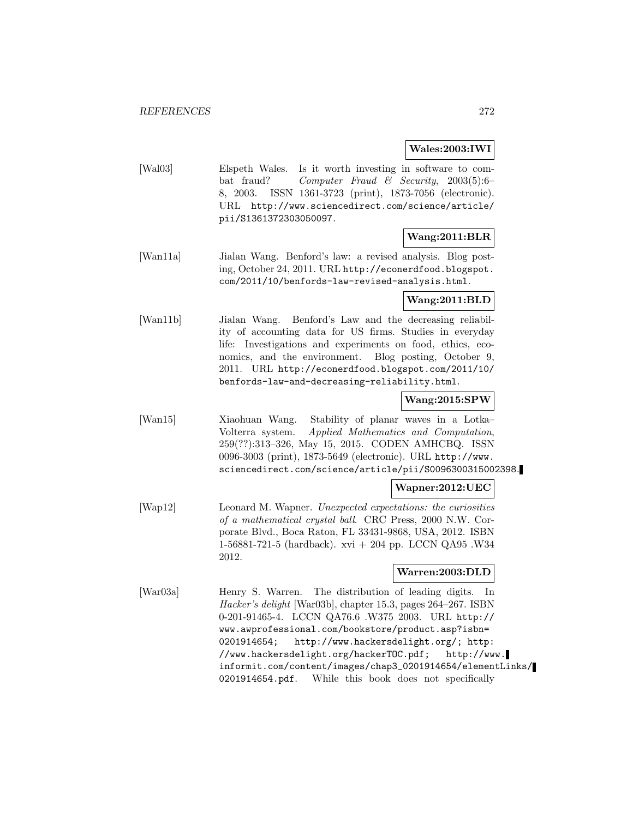#### **Wales:2003:IWI**

[Wal03] Elspeth Wales. Is it worth investing in software to combat fraud? Computer Fraud & Security, 2003(5):6– 8, 2003. ISSN 1361-3723 (print), 1873-7056 (electronic). URL http://www.sciencedirect.com/science/article/ pii/S1361372303050097.

# **Wang:2011:BLR**

[Wan11a] Jialan Wang. Benford's law: a revised analysis. Blog posting, October 24, 2011. URL http://econerdfood.blogspot. com/2011/10/benfords-law-revised-analysis.html.

### **Wang:2011:BLD**

[Wan11b] Jialan Wang. Benford's Law and the decreasing reliability of accounting data for US firms. Studies in everyday life: Investigations and experiments on food, ethics, economics, and the environment. Blog posting, October 9, 2011. URL http://econerdfood.blogspot.com/2011/10/ benfords-law-and-decreasing-reliability.html.

# **Wang:2015:SPW**

[Wan15] Xiaohuan Wang. Stability of planar waves in a Lotka– Volterra system. Applied Mathematics and Computation, 259(??):313–326, May 15, 2015. CODEN AMHCBQ. ISSN 0096-3003 (print), 1873-5649 (electronic). URL http://www. sciencedirect.com/science/article/pii/S0096300315002398.

### **Wapner:2012:UEC**

[Wap12] Leonard M. Wapner. Unexpected expectations: the curiosities of a mathematical crystal ball. CRC Press, 2000 N.W. Corporate Blvd., Boca Raton, FL 33431-9868, USA, 2012. ISBN 1-56881-721-5 (hardback). xvi + 204 pp. LCCN QA95 .W34 2012.

#### **Warren:2003:DLD**

[War03a] Henry S. Warren. The distribution of leading digits. In Hacker's delight [War03b], chapter 15.3, pages 264–267. ISBN 0-201-91465-4. LCCN QA76.6 .W375 2003. URL http:// www.awprofessional.com/bookstore/product.asp?isbn= 0201914654; http://www.hackersdelight.org/; http: //www.hackersdelight.org/hackerTOC.pdf; http://www. informit.com/content/images/chap3\_0201914654/elementLinks/ 0201914654.pdf. While this book does not specifically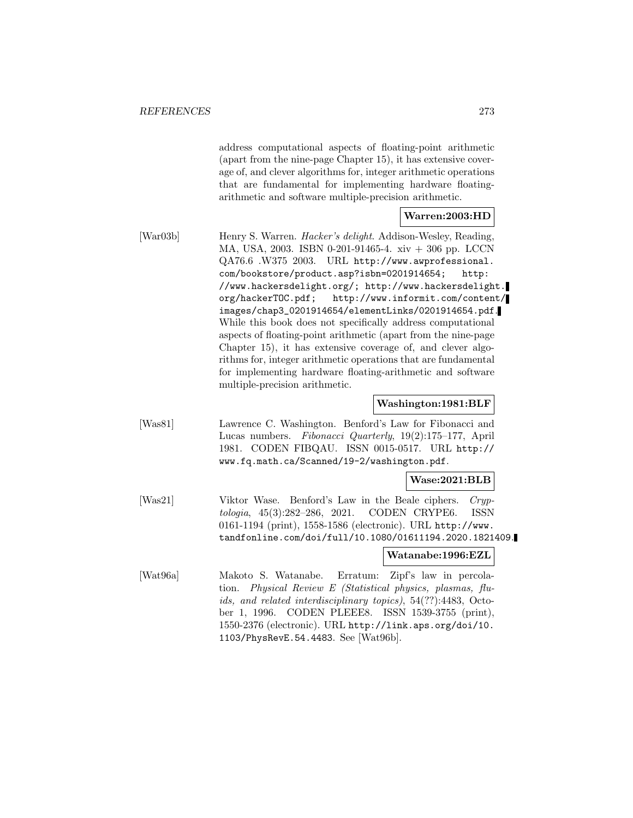address computational aspects of floating-point arithmetic (apart from the nine-page Chapter 15), it has extensive coverage of, and clever algorithms for, integer arithmetic operations that are fundamental for implementing hardware floatingarithmetic and software multiple-precision arithmetic.

#### **Warren:2003:HD**

[War03b] Henry S. Warren. *Hacker's delight*. Addison-Wesley, Reading, MA, USA, 2003. ISBN 0-201-91465-4. xiv + 306 pp. LCCN QA76.6 .W375 2003. URL http://www.awprofessional. com/bookstore/product.asp?isbn=0201914654; http: //www.hackersdelight.org/; http://www.hackersdelight. org/hackerTOC.pdf; http://www.informit.com/content/ images/chap3\_0201914654/elementLinks/0201914654.pdf. While this book does not specifically address computational aspects of floating-point arithmetic (apart from the nine-page Chapter 15), it has extensive coverage of, and clever algorithms for, integer arithmetic operations that are fundamental for implementing hardware floating-arithmetic and software multiple-precision arithmetic.

#### **Washington:1981:BLF**

[Was81] Lawrence C. Washington. Benford's Law for Fibonacci and Lucas numbers. Fibonacci Quarterly, 19(2):175–177, April 1981. CODEN FIBQAU. ISSN 0015-0517. URL http:// www.fq.math.ca/Scanned/19-2/washington.pdf.

#### **Wase:2021:BLB**

[Was21] Viktor Wase. Benford's Law in the Beale ciphers. Cryptologia, 45(3):282–286, 2021. CODEN CRYPE6. ISSN 0161-1194 (print), 1558-1586 (electronic). URL http://www. tandfonline.com/doi/full/10.1080/01611194.2020.1821409.

### **Watanabe:1996:EZL**

[Wat96a] Makoto S. Watanabe. Erratum: Zipf's law in percolation. Physical Review E (Statistical physics, plasmas, fluids, and related interdisciplinary topics), 54(??):4483, October 1, 1996. CODEN PLEEE8. ISSN 1539-3755 (print), 1550-2376 (electronic). URL http://link.aps.org/doi/10. 1103/PhysRevE.54.4483. See [Wat96b].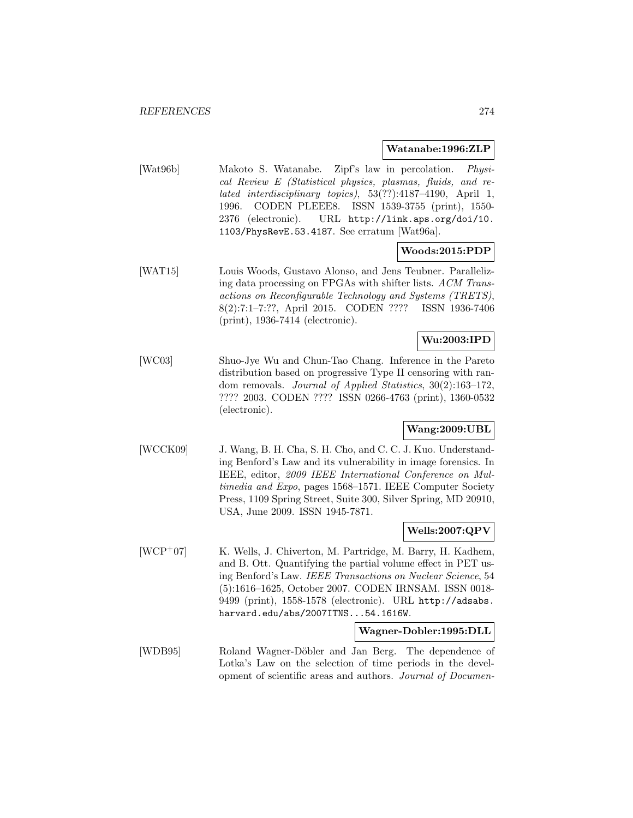#### **Watanabe:1996:ZLP**

[Wat96b] Makoto S. Watanabe. Zipf's law in percolation. Physical Review E (Statistical physics, plasmas, fluids, and related interdisciplinary topics), 53(??):4187–4190, April 1, 1996. CODEN PLEEE8. ISSN 1539-3755 (print), 1550- 2376 (electronic). URL http://link.aps.org/doi/10. 1103/PhysRevE.53.4187. See erratum [Wat96a].

### **Woods:2015:PDP**

[WAT15] Louis Woods, Gustavo Alonso, and Jens Teubner. Parallelizing data processing on FPGAs with shifter lists. ACM Transactions on Reconfigurable Technology and Systems (TRETS), 8(2):7:1–7:??, April 2015. CODEN ???? ISSN 1936-7406 (print), 1936-7414 (electronic).

# **Wu:2003:IPD**

[WC03] Shuo-Jye Wu and Chun-Tao Chang. Inference in the Pareto distribution based on progressive Type II censoring with random removals. Journal of Applied Statistics, 30(2):163–172, ???? 2003. CODEN ???? ISSN 0266-4763 (print), 1360-0532 (electronic).

# **Wang:2009:UBL**

[WCCK09] J. Wang, B. H. Cha, S. H. Cho, and C. C. J. Kuo. Understanding Benford's Law and its vulnerability in image forensics. In IEEE, editor, 2009 IEEE International Conference on Multimedia and Expo, pages 1568–1571. IEEE Computer Society Press, 1109 Spring Street, Suite 300, Silver Spring, MD 20910, USA, June 2009. ISSN 1945-7871.

### **Wells:2007:QPV**

[WCP<sup>+</sup>07] K. Wells, J. Chiverton, M. Partridge, M. Barry, H. Kadhem, and B. Ott. Quantifying the partial volume effect in PET using Benford's Law. IEEE Transactions on Nuclear Science, 54 (5):1616–1625, October 2007. CODEN IRNSAM. ISSN 0018- 9499 (print), 1558-1578 (electronic). URL http://adsabs. harvard.edu/abs/2007ITNS...54.1616W.

#### **Wagner-Dobler:1995:DLL**

[WDB95] Roland Wagner-Döbler and Jan Berg. The dependence of Lotka's Law on the selection of time periods in the development of scientific areas and authors. Journal of Documen-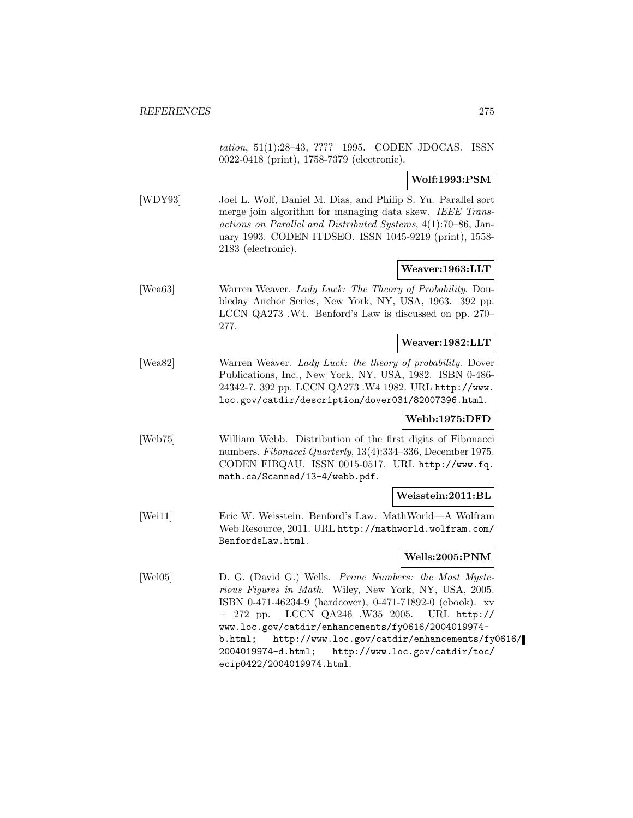tation, 51(1):28–43, ???? 1995. CODEN JDOCAS. ISSN 0022-0418 (print), 1758-7379 (electronic).

**Wolf:1993:PSM**

[WDY93] Joel L. Wolf, Daniel M. Dias, and Philip S. Yu. Parallel sort merge join algorithm for managing data skew. IEEE Transactions on Parallel and Distributed Systems, 4(1):70–86, January 1993. CODEN ITDSEO. ISSN 1045-9219 (print), 1558- 2183 (electronic).

#### **Weaver:1963:LLT**

[Wea63] Warren Weaver. Lady Luck: The Theory of Probability. Doubleday Anchor Series, New York, NY, USA, 1963. 392 pp. LCCN QA273 .W4. Benford's Law is discussed on pp. 270– 277.

### **Weaver:1982:LLT**

[Wea82] Warren Weaver. Lady Luck: the theory of probability. Dover Publications, Inc., New York, NY, USA, 1982. ISBN 0-486- 24342-7. 392 pp. LCCN QA273 .W4 1982. URL http://www. loc.gov/catdir/description/dover031/82007396.html.

#### **Webb:1975:DFD**

[Web75] William Webb. Distribution of the first digits of Fibonacci numbers. Fibonacci Quarterly, 13(4):334–336, December 1975. CODEN FIBQAU. ISSN 0015-0517. URL http://www.fq. math.ca/Scanned/13-4/webb.pdf.

#### **Weisstein:2011:BL**

[Wei11] Eric W. Weisstein. Benford's Law. MathWorld—A Wolfram Web Resource, 2011. URL http://mathworld.wolfram.com/ BenfordsLaw.html.

#### **Wells:2005:PNM**

[Wel05] D. G. (David G.) Wells. Prime Numbers: the Most Mysterious Figures in Math. Wiley, New York, NY, USA, 2005. ISBN 0-471-46234-9 (hardcover), 0-471-71892-0 (ebook). xv + 272 pp. LCCN QA246 .W35 2005. URL http:// www.loc.gov/catdir/enhancements/fy0616/2004019974 b.html; http://www.loc.gov/catdir/enhancements/fy0616/ 2004019974-d.html; http://www.loc.gov/catdir/toc/ ecip0422/2004019974.html.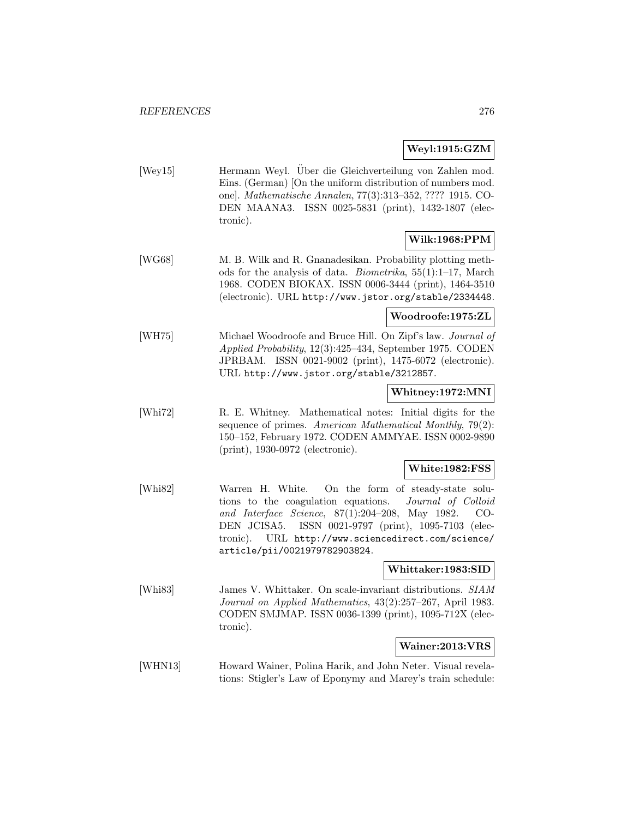### **Weyl:1915:GZM**

[Wey15] Hermann Weyl. Über die Gleichverteilung von Zahlen mod. Eins. (German) [On the uniform distribution of numbers mod. one]. Mathematische Annalen, 77(3):313–352, ???? 1915. CO-DEN MAANA3. ISSN 0025-5831 (print), 1432-1807 (electronic).

# **Wilk:1968:PPM**

[WG68] M. B. Wilk and R. Gnanadesikan. Probability plotting methods for the analysis of data. Biometrika, 55(1):1–17, March 1968. CODEN BIOKAX. ISSN 0006-3444 (print), 1464-3510 (electronic). URL http://www.jstor.org/stable/2334448.

### **Woodroofe:1975:ZL**

[WH75] Michael Woodroofe and Bruce Hill. On Zipf's law. Journal of Applied Probability, 12(3):425–434, September 1975. CODEN JPRBAM. ISSN 0021-9002 (print), 1475-6072 (electronic). URL http://www.jstor.org/stable/3212857.

### **Whitney:1972:MNI**

[Whi72] R. E. Whitney. Mathematical notes: Initial digits for the sequence of primes. American Mathematical Monthly, 79(2): 150–152, February 1972. CODEN AMMYAE. ISSN 0002-9890 (print), 1930-0972 (electronic).

### **White:1982:FSS**

[Whi82] Warren H. White. On the form of steady-state solutions to the coagulation equations. Journal of Colloid and Interface Science, 87(1):204–208, May 1982. CO-DEN JCISA5. ISSN 0021-9797 (print), 1095-7103 (electronic). URL http://www.sciencedirect.com/science/ article/pii/0021979782903824.

### **Whittaker:1983:SID**

[Whi83] James V. Whittaker. On scale-invariant distributions. SIAM Journal on Applied Mathematics, 43(2):257–267, April 1983. CODEN SMJMAP. ISSN 0036-1399 (print), 1095-712X (electronic).

### **Wainer:2013:VRS**

[WHN13] Howard Wainer, Polina Harik, and John Neter. Visual revelations: Stigler's Law of Eponymy and Marey's train schedule: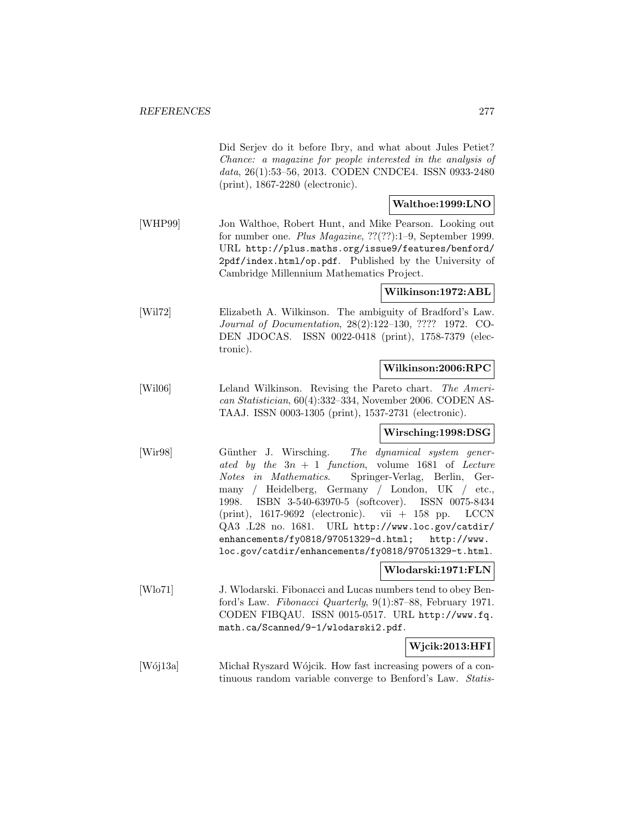Did Serjev do it before Ibry, and what about Jules Petiet? Chance: a magazine for people interested in the analysis of data, 26(1):53–56, 2013. CODEN CNDCE4. ISSN 0933-2480 (print), 1867-2280 (electronic).

### **Walthoe:1999:LNO**

[WHP99] Jon Walthoe, Robert Hunt, and Mike Pearson. Looking out for number one. Plus Magazine, ??(??):1–9, September 1999. URL http://plus.maths.org/issue9/features/benford/ 2pdf/index.html/op.pdf. Published by the University of Cambridge Millennium Mathematics Project.

### **Wilkinson:1972:ABL**

[Wil72] Elizabeth A. Wilkinson. The ambiguity of Bradford's Law. Journal of Documentation, 28(2):122–130, ???? 1972. CO-DEN JDOCAS. ISSN 0022-0418 (print), 1758-7379 (electronic).

### **Wilkinson:2006:RPC**

[Wil06] Leland Wilkinson. Revising the Pareto chart. The American Statistician, 60(4):332–334, November 2006. CODEN AS-TAAJ. ISSN 0003-1305 (print), 1537-2731 (electronic).

#### **Wirsching:1998:DSG**

[Wir98] Günther J. Wirsching. The dynamical system generated by the  $3n + 1$  function, volume 1681 of Lecture Notes in Mathematics. Springer-Verlag, Berlin, Germany / Heidelberg, Germany / London, UK / etc., 1998. ISBN 3-540-63970-5 (softcover). ISSN 0075-8434  $(print)$ , 1617-9692 (electronic). vii  $+$  158 pp. LCCN QA3 .L28 no. 1681. URL http://www.loc.gov/catdir/ enhancements/fy0818/97051329-d.html; http://www. loc.gov/catdir/enhancements/fy0818/97051329-t.html.

#### **Wlodarski:1971:FLN**

[Wlo71] J. Wlodarski. Fibonacci and Lucas numbers tend to obey Benford's Law. Fibonacci Quarterly, 9(1):87–88, February 1971. CODEN FIBQAU. ISSN 0015-0517. URL http://www.fq. math.ca/Scanned/9-1/wlodarski2.pdf.

# **Wjcik:2013:HFI**

[Wój13a] Michał Ryszard Wójcik. How fast increasing powers of a continuous random variable converge to Benford's Law. Statis-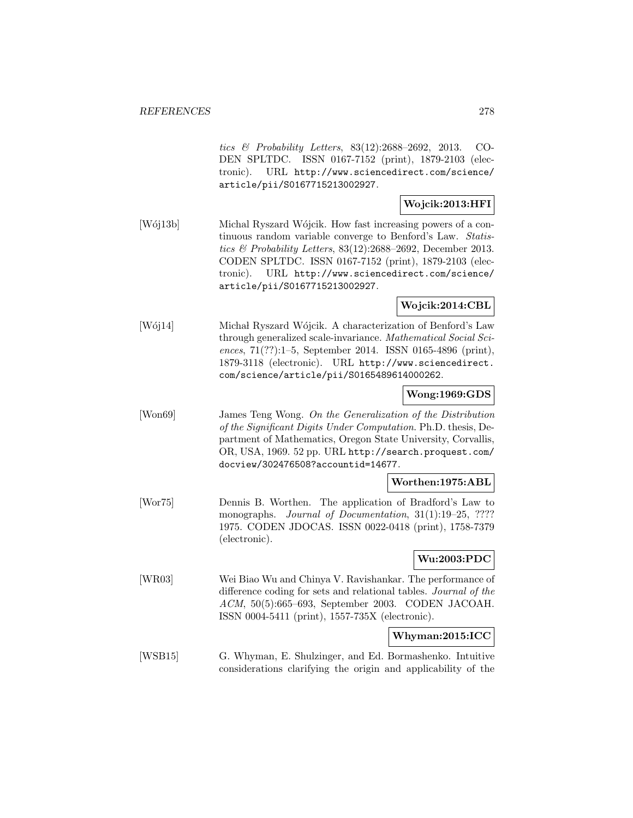tics & Probability Letters, 83(12):2688–2692, 2013. CO-DEN SPLTDC. ISSN 0167-7152 (print), 1879-2103 (electronic). URL http://www.sciencedirect.com/science/ article/pii/S0167715213002927.

# **Wojcik:2013:HFI**

[Woj13b] Michal Ryszard Wójcik. How fast increasing powers of a continuous random variable converge to Benford's Law. Statistics & Probability Letters,  $83(12):2688-2692$ , December 2013. CODEN SPLTDC. ISSN 0167-7152 (print), 1879-2103 (electronic). URL http://www.sciencedirect.com/science/ article/pii/S0167715213002927.

# **Wojcik:2014:CBL**

[Wój14] Michał Ryszard Wójcik. A characterization of Benford's Law through generalized scale-invariance. Mathematical Social Sciences, 71(??):1–5, September 2014. ISSN 0165-4896 (print), 1879-3118 (electronic). URL http://www.sciencedirect. com/science/article/pii/S0165489614000262.

### **Wong:1969:GDS**

[Won69] James Teng Wong. On the Generalization of the Distribution of the Significant Digits Under Computation. Ph.D. thesis, Department of Mathematics, Oregon State University, Corvallis, OR, USA, 1969. 52 pp. URL http://search.proquest.com/ docview/302476508?accountid=14677.

#### **Worthen:1975:ABL**

[Wor75] Dennis B. Worthen. The application of Bradford's Law to monographs. *Journal of Documentation*, 31(1):19–25, ???? 1975. CODEN JDOCAS. ISSN 0022-0418 (print), 1758-7379 (electronic).

### **Wu:2003:PDC**

[WR03] Wei Biao Wu and Chinya V. Ravishankar. The performance of difference coding for sets and relational tables. Journal of the ACM, 50(5):665–693, September 2003. CODEN JACOAH. ISSN 0004-5411 (print), 1557-735X (electronic).

# **Whyman:2015:ICC**

[WSB15] G. Whyman, E. Shulzinger, and Ed. Bormashenko. Intuitive considerations clarifying the origin and applicability of the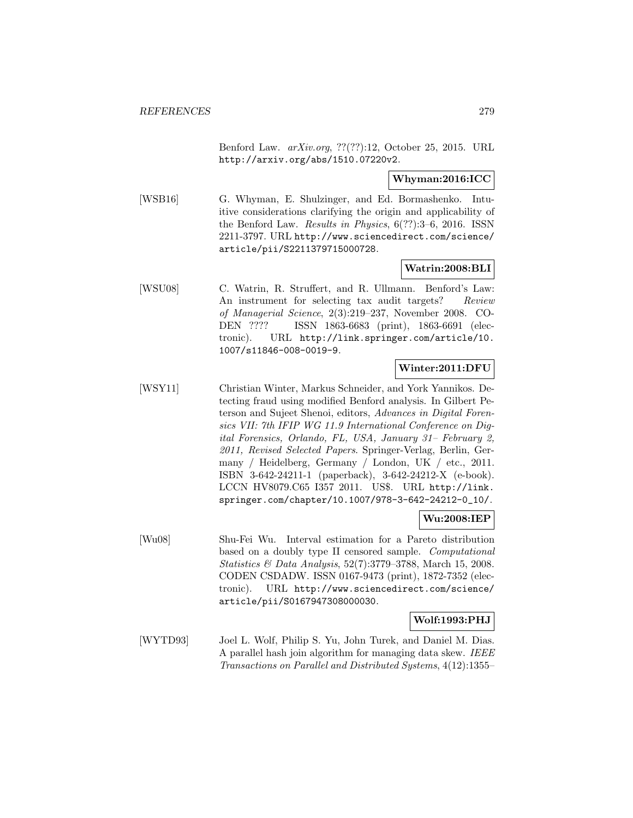Benford Law. arXiv.org, ??(??):12, October 25, 2015. URL http://arxiv.org/abs/1510.07220v2.

### **Whyman:2016:ICC**

[WSB16] G. Whyman, E. Shulzinger, and Ed. Bormashenko. Intuitive considerations clarifying the origin and applicability of the Benford Law. Results in Physics, 6(??):3–6, 2016. ISSN 2211-3797. URL http://www.sciencedirect.com/science/ article/pii/S2211379715000728.

### **Watrin:2008:BLI**

[WSU08] C. Watrin, R. Struffert, and R. Ullmann. Benford's Law: An instrument for selecting tax audit targets? Review of Managerial Science, 2(3):219–237, November 2008. CO-DEN ???? ISSN 1863-6683 (print), 1863-6691 (electronic). URL http://link.springer.com/article/10. 1007/s11846-008-0019-9.

# **Winter:2011:DFU**

[WSY11] Christian Winter, Markus Schneider, and York Yannikos. Detecting fraud using modified Benford analysis. In Gilbert Peterson and Sujeet Shenoi, editors, Advances in Digital Forensics VII: 7th IFIP WG 11.9 International Conference on Digital Forensics, Orlando, FL, USA, January 31– February 2, 2011, Revised Selected Papers. Springer-Verlag, Berlin, Germany / Heidelberg, Germany / London, UK / etc., 2011. ISBN 3-642-24211-1 (paperback), 3-642-24212-X (e-book). LCCN HV8079.C65 I357 2011. US\$. URL http://link. springer.com/chapter/10.1007/978-3-642-24212-0\_10/.

#### **Wu:2008:IEP**

[Wu08] Shu-Fei Wu. Interval estimation for a Pareto distribution based on a doubly type II censored sample. Computational Statistics & Data Analysis, 52(7):3779–3788, March 15, 2008. CODEN CSDADW. ISSN 0167-9473 (print), 1872-7352 (electronic). URL http://www.sciencedirect.com/science/ article/pii/S0167947308000030.

### **Wolf:1993:PHJ**

[WYTD93] Joel L. Wolf, Philip S. Yu, John Turek, and Daniel M. Dias. A parallel hash join algorithm for managing data skew. IEEE Transactions on Parallel and Distributed Systems, 4(12):1355–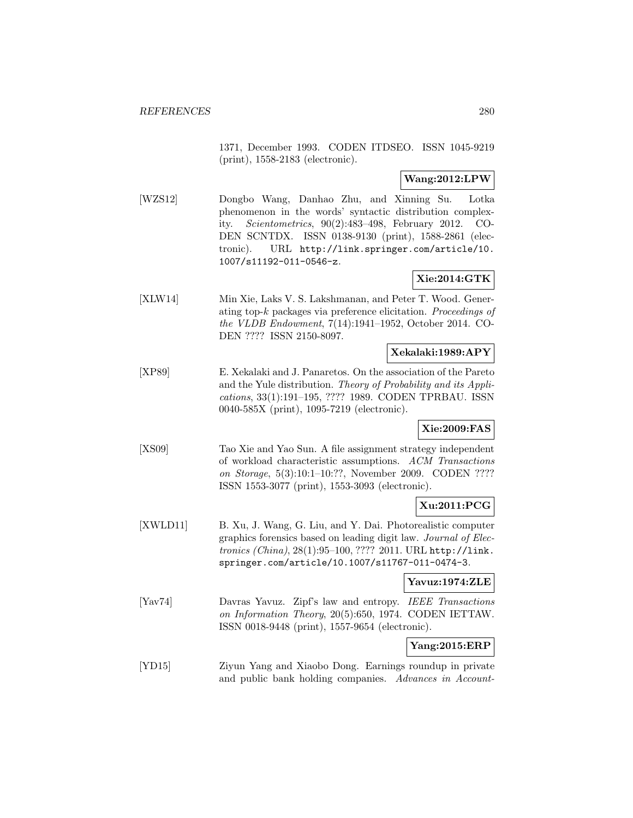1371, December 1993. CODEN ITDSEO. ISSN 1045-9219 (print), 1558-2183 (electronic).

# **Wang:2012:LPW**

[WZS12] Dongbo Wang, Danhao Zhu, and Xinning Su. Lotka phenomenon in the words' syntactic distribution complexity. Scientometrics, 90(2):483–498, February 2012. CO-DEN SCNTDX. ISSN 0138-9130 (print), 1588-2861 (electronic). URL http://link.springer.com/article/10. 1007/s11192-011-0546-z.

# **Xie:2014:GTK**

[XLW14] Min Xie, Laks V. S. Lakshmanan, and Peter T. Wood. Generating top- $k$  packages via preference elicitation. Proceedings of the VLDB Endowment, 7(14):1941–1952, October 2014. CO-DEN ???? ISSN 2150-8097.

# **Xekalaki:1989:APY**

[XP89] E. Xekalaki and J. Panaretos. On the association of the Pareto and the Yule distribution. Theory of Probability and its Applications, 33(1):191–195, ???? 1989. CODEN TPRBAU. ISSN 0040-585X (print), 1095-7219 (electronic).

# **Xie:2009:FAS**

[XS09] Tao Xie and Yao Sun. A file assignment strategy independent of workload characteristic assumptions. ACM Transactions on Storage, 5(3):10:1–10:??, November 2009. CODEN ???? ISSN 1553-3077 (print), 1553-3093 (electronic).

# **Xu:2011:PCG**

[XWLD11] B. Xu, J. Wang, G. Liu, and Y. Dai. Photorealistic computer graphics forensics based on leading digit law. Journal of Electronics (China), 28(1):95–100, ???? 2011. URL http://link. springer.com/article/10.1007/s11767-011-0474-3.

#### **Yavuz:1974:ZLE**

[Yav74] Davras Yavuz. Zipf's law and entropy. IEEE Transactions on Information Theory, 20(5):650, 1974. CODEN IETTAW. ISSN 0018-9448 (print), 1557-9654 (electronic).

# **Yang:2015:ERP**

[YD15] Ziyun Yang and Xiaobo Dong. Earnings roundup in private and public bank holding companies. Advances in Account-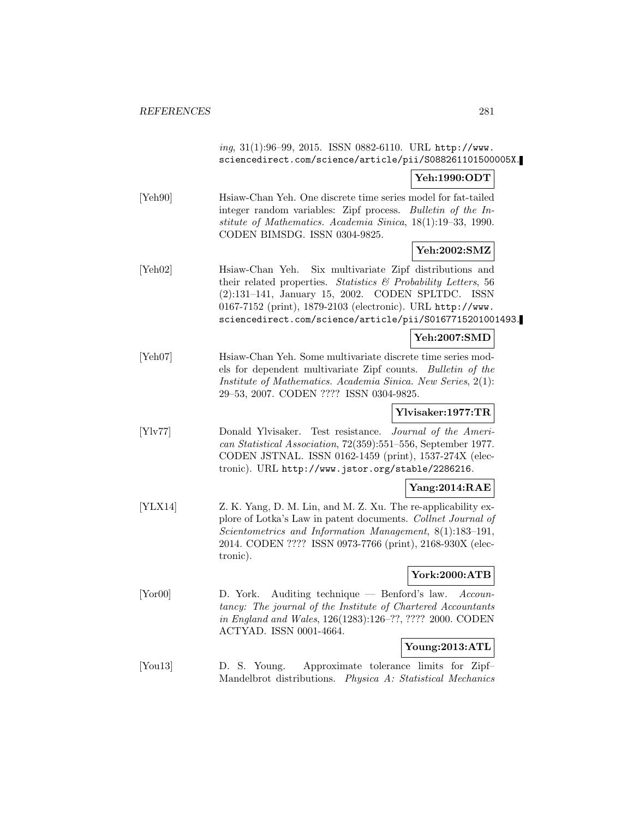|                                | ing, 31(1):96-99, 2015. ISSN 0882-6110. URL http://www.<br>sciencedirect.com/science/article/pii/S088261101500005X.                                                                                                                                                                                                     |
|--------------------------------|-------------------------------------------------------------------------------------------------------------------------------------------------------------------------------------------------------------------------------------------------------------------------------------------------------------------------|
|                                | Yeh:1990:ODT                                                                                                                                                                                                                                                                                                            |
| [Yeh90]                        | Hsiaw-Chan Yeh. One discrete time series model for fat-tailed<br>integer random variables: Zipf process. Bulletin of the In-<br>stitute of Mathematics. Academia Sinica, 18(1):19-33, 1990.<br>CODEN BIMSDG. ISSN 0304-9825.                                                                                            |
|                                | Yeh:2002:SMZ                                                                                                                                                                                                                                                                                                            |
| [Yeh02]                        | Six multivariate Zipf distributions and<br>Hsiaw-Chan Yeh.<br>their related properties. Statistics $\mathcal{B}$ Probability Letters, 56<br>(2):131-141, January 15, 2002. CODEN SPLTDC. ISSN<br>0167-7152 (print), 1879-2103 (electronic). URL http://www.<br>sciencedirect.com/science/article/pii/S0167715201001493. |
|                                | Yeh:2007:SMD                                                                                                                                                                                                                                                                                                            |
| [Yeh07]                        | Hsiaw-Chan Yeh. Some multivariate discrete time series mod-<br>els for dependent multivariate Zipf counts. Bulletin of the<br>Institute of Mathematics. Academia Sinica. New Series, 2(1):<br>29-53, 2007. CODEN ???? ISSN 0304-9825.                                                                                   |
|                                | Ylvisaker:1977:TR                                                                                                                                                                                                                                                                                                       |
| [Y] <sub>V</sub> 77            | Donald Ylvisaker. Test resistance.<br>Journal of the Ameri-<br>can Statistical Association, 72(359):551-556, September 1977.<br>CODEN JSTNAL. ISSN 0162-1459 (print), 1537-274X (elec-<br>tronic). URL http://www.jstor.org/stable/2286216.                                                                             |
|                                | Yang:2014:RAE                                                                                                                                                                                                                                                                                                           |
| [YLX14]                        | Z. K. Yang, D. M. Lin, and M. Z. Xu. The re-applicability ex-<br>plore of Lotka's Law in patent documents. Collnet Journal of<br>Scientometrics and Information Management, 8(1):183-191,<br>2014. CODEN ???? ISSN 0973-7766 (print), 2168-930X (elec-<br>tronic).                                                      |
|                                | York:2000:ATB                                                                                                                                                                                                                                                                                                           |
| $[\text{Yor}00]$               | Auditing technique $-$ Benford's law.<br>D. York.<br>Accoun-<br>tancy: The journal of the Institute of Chartered Accountants<br>in England and Wales, 126(1283):126-??, ???? 2000. CODEN<br>ACTYAD. ISSN 0001-4664.                                                                                                     |
|                                | Young:2013:ATL                                                                                                                                                                                                                                                                                                          |
| $\lbrack \text{You13} \rbrack$ | D. S. Young.<br>Approximate tolerance limits for Zipf-<br>Mandelbrot distributions. Physica A: Statistical Mechanics                                                                                                                                                                                                    |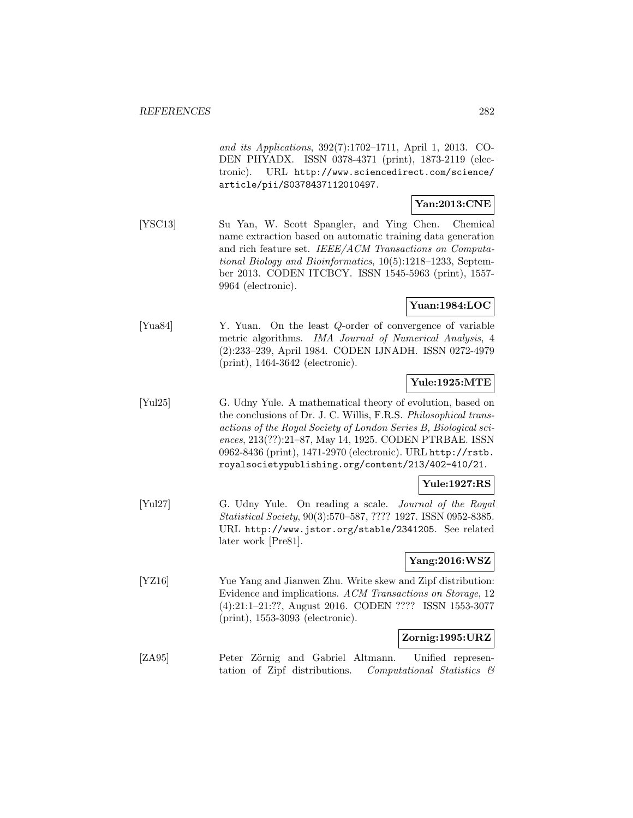and its Applications, 392(7):1702–1711, April 1, 2013. CO-DEN PHYADX. ISSN 0378-4371 (print), 1873-2119 (electronic). URL http://www.sciencedirect.com/science/ article/pii/S0378437112010497.

# **Yan:2013:CNE**

[YSC13] Su Yan, W. Scott Spangler, and Ying Chen. Chemical name extraction based on automatic training data generation and rich feature set. IEEE/ACM Transactions on Computational Biology and Bioinformatics, 10(5):1218–1233, September 2013. CODEN ITCBCY. ISSN 1545-5963 (print), 1557- 9964 (electronic).

# **Yuan:1984:LOC**

[Yua84] Y. Yuan. On the least Q-order of convergence of variable metric algorithms. IMA Journal of Numerical Analysis, 4 (2):233–239, April 1984. CODEN IJNADH. ISSN 0272-4979 (print), 1464-3642 (electronic).

# **Yule:1925:MTE**

[Yul25] G. Udny Yule. A mathematical theory of evolution, based on the conclusions of Dr. J. C. Willis, F.R.S. Philosophical transactions of the Royal Society of London Series B, Biological sciences, 213(??):21–87, May 14, 1925. CODEN PTRBAE. ISSN 0962-8436 (print), 1471-2970 (electronic). URL http://rstb. royalsocietypublishing.org/content/213/402-410/21.

# **Yule:1927:RS**

[Yul27] G. Udny Yule. On reading a scale. Journal of the Royal Statistical Society, 90(3):570–587, ???? 1927. ISSN 0952-8385. URL http://www.jstor.org/stable/2341205. See related later work [Pre81].

# **Yang:2016:WSZ**

[YZ16] Yue Yang and Jianwen Zhu. Write skew and Zipf distribution: Evidence and implications. ACM Transactions on Storage, 12 (4):21:1–21:??, August 2016. CODEN ???? ISSN 1553-3077 (print), 1553-3093 (electronic).

#### **Zornig:1995:URZ**

[ZA95] Peter Zörnig and Gabriel Altmann. Unified representation of Zipf distributions. Computational Statistics &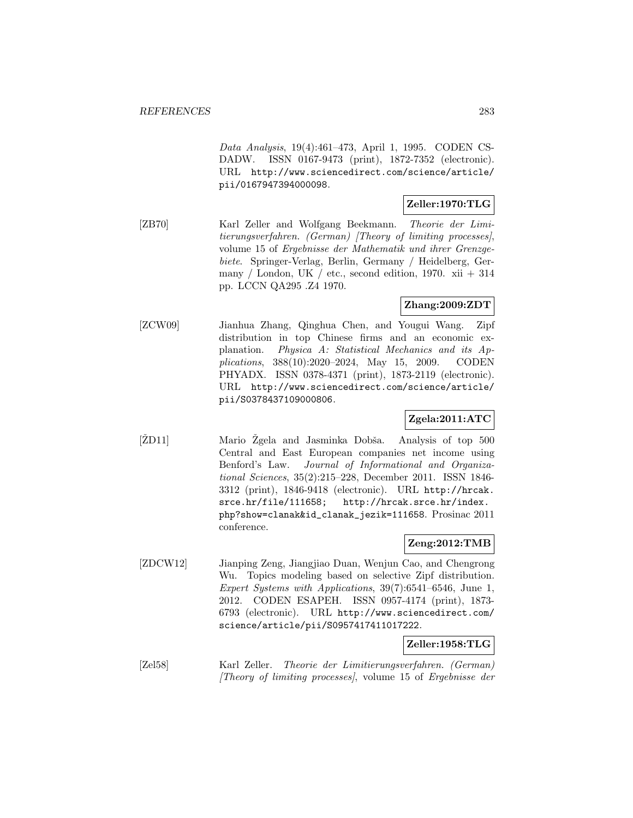Data Analysis, 19(4):461–473, April 1, 1995. CODEN CS-DADW. ISSN 0167-9473 (print), 1872-7352 (electronic). URL http://www.sciencedirect.com/science/article/ pii/0167947394000098.

# **Zeller:1970:TLG**

[ZB70] Karl Zeller and Wolfgang Beekmann. Theorie der Limitierungsverfahren. (German) [Theory of limiting processes], volume 15 of Ergebnisse der Mathematik und ihrer Grenzgebiete. Springer-Verlag, Berlin, Germany / Heidelberg, Germany / London, UK / etc., second edition, 1970. xii  $+314$ pp. LCCN QA295 .Z4 1970.

### **Zhang:2009:ZDT**

[ZCW09] Jianhua Zhang, Qinghua Chen, and Yougui Wang. Zipf distribution in top Chinese firms and an economic explanation. Physica A: Statistical Mechanics and its Applications, 388(10):2020–2024, May 15, 2009. CODEN PHYADX. ISSN 0378-4371 (print), 1873-2119 (electronic). URL http://www.sciencedirect.com/science/article/ pii/S0378437109000806.

# **Zgela:2011:ATC**

[ZD11] Mario Zgela and Jasminka Dobša. Analysis of top 500 Central and East European companies net income using Benford's Law. Journal of Informational and Organizational Sciences, 35(2):215–228, December 2011. ISSN 1846- 3312 (print), 1846-9418 (electronic). URL http://hrcak. srce.hr/file/111658; http://hrcak.srce.hr/index. php?show=clanak&id\_clanak\_jezik=111658. Prosinac 2011 conference.

# **Zeng:2012:TMB**

[ZDCW12] Jianping Zeng, Jiangjiao Duan, Wenjun Cao, and Chengrong Wu. Topics modeling based on selective Zipf distribution. Expert Systems with Applications, 39(7):6541–6546, June 1, 2012. CODEN ESAPEH. ISSN 0957-4174 (print), 1873- 6793 (electronic). URL http://www.sciencedirect.com/ science/article/pii/S0957417411017222.

### **Zeller:1958:TLG**

[Zel58] Karl Zeller. Theorie der Limitierungsverfahren. (German) [Theory of limiting processes], volume 15 of Ergebnisse der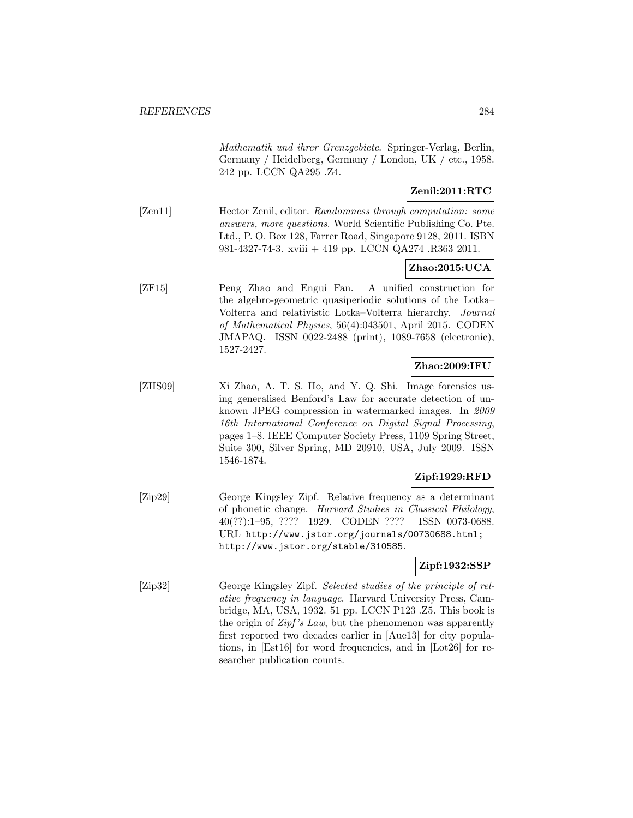Mathematik und ihrer Grenzgebiete. Springer-Verlag, Berlin, Germany / Heidelberg, Germany / London, UK / etc., 1958. 242 pp. LCCN QA295 .Z4.

# **Zenil:2011:RTC**

[Zen11] Hector Zenil, editor. Randomness through computation: some answers, more questions. World Scientific Publishing Co. Pte. Ltd., P. O. Box 128, Farrer Road, Singapore 9128, 2011. ISBN 981-4327-74-3. xviii + 419 pp. LCCN QA274 .R363 2011.

# **Zhao:2015:UCA**

[ZF15] Peng Zhao and Engui Fan. A unified construction for the algebro-geometric quasiperiodic solutions of the Lotka– Volterra and relativistic Lotka–Volterra hierarchy. Journal of Mathematical Physics, 56(4):043501, April 2015. CODEN JMAPAQ. ISSN 0022-2488 (print), 1089-7658 (electronic), 1527-2427.

# **Zhao:2009:IFU**

[ZHS09] Xi Zhao, A. T. S. Ho, and Y. Q. Shi. Image forensics using generalised Benford's Law for accurate detection of unknown JPEG compression in watermarked images. In 2009 16th International Conference on Digital Signal Processing, pages 1–8. IEEE Computer Society Press, 1109 Spring Street, Suite 300, Silver Spring, MD 20910, USA, July 2009. ISSN 1546-1874.

### **Zipf:1929:RFD**

[Zip29] George Kingsley Zipf. Relative frequency as a determinant of phonetic change. Harvard Studies in Classical Philology, 40(??):1–95, ???? 1929. CODEN ???? ISSN 0073-0688. URL http://www.jstor.org/journals/00730688.html; http://www.jstor.org/stable/310585.

### **Zipf:1932:SSP**

[Zip32] George Kingsley Zipf. Selected studies of the principle of relative frequency in language. Harvard University Press, Cambridge, MA, USA, 1932. 51 pp. LCCN P123 .Z5. This book is the origin of Zipf's Law, but the phenomenon was apparently first reported two decades earlier in [Aue13] for city populations, in [Est16] for word frequencies, and in [Lot26] for researcher publication counts.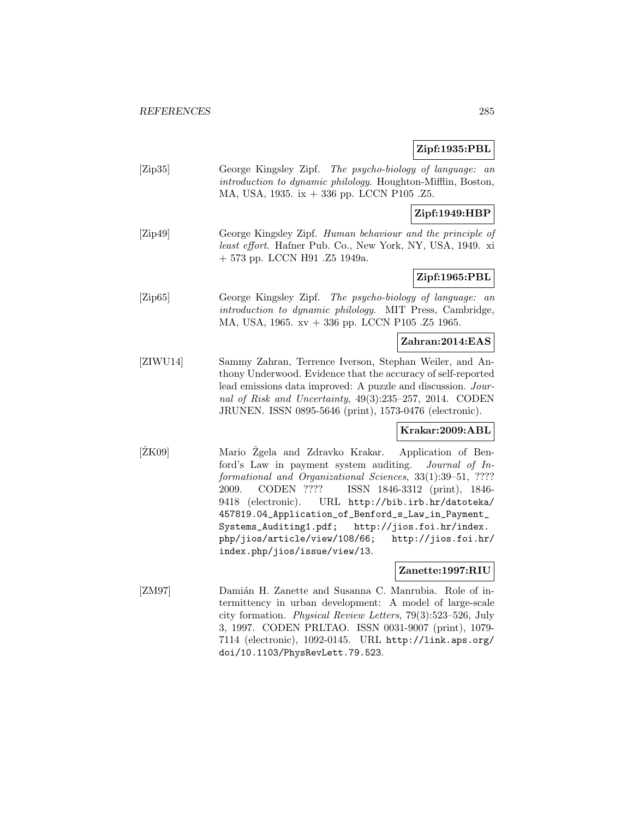# **Zipf:1935:PBL**

| [Zip35]         | George Kingsley Zipf. The psycho-biology of language: an<br>introduction to dynamic philology. Houghton-Mifflin, Boston,<br>MA, USA, 1935. ix + 336 pp. LCCN P105 .Z5.                                                                                                                                                                                                                                                                                                                                  |
|-----------------|---------------------------------------------------------------------------------------------------------------------------------------------------------------------------------------------------------------------------------------------------------------------------------------------------------------------------------------------------------------------------------------------------------------------------------------------------------------------------------------------------------|
|                 | Zipf:1949:HBP                                                                                                                                                                                                                                                                                                                                                                                                                                                                                           |
| [Zip49]         | George Kingsley Zipf. Human behaviour and the principle of<br>least effort. Hafner Pub. Co., New York, NY, USA, 1949. xi<br>$+573$ pp. LCCN H91 .Z5 1949a.                                                                                                                                                                                                                                                                                                                                              |
|                 | Zipf:1965:PBL                                                                                                                                                                                                                                                                                                                                                                                                                                                                                           |
| [Zip65]         | George Kingsley Zipf. The psycho-biology of language:<br>a n<br>introduction to dynamic philology. MIT Press, Cambridge,<br>MA, USA, 1965. xv + 336 pp. LCCN P105.Z5 1965.                                                                                                                                                                                                                                                                                                                              |
|                 | Zahran:2014:EAS                                                                                                                                                                                                                                                                                                                                                                                                                                                                                         |
| [ZIWU14]        | Sammy Zahran, Terrence Iverson, Stephan Weiler, and An-<br>thony Underwood. Evidence that the accuracy of self-reported<br>lead emissions data improved: A puzzle and discussion. Jour-<br>nal of Risk and Uncertainty, 49(3):235-257, 2014. CODEN<br>JRUNEN. ISSN 0895-5646 (print), 1573-0476 (electronic).                                                                                                                                                                                           |
|                 | Krakar:2009:ABL                                                                                                                                                                                                                                                                                                                                                                                                                                                                                         |
| $[\text{ŽK09}]$ | Mario Zgela and Zdravko Krakar.<br>Application of Ben-<br>ford's Law in payment system auditing.<br>Journal of In-<br>formational and Organizational Sciences, 33(1):39-51, ????<br>CODEN ????<br>ISSN 1846-3312 (print), 1846-<br>2009.<br>9418 (electronic).<br>URL http://bib.irb.hr/datoteka/<br>457819.04_Application_of_Benford_s_Law_in_Payment_<br>Systems_Auditing1.pdf;<br>http://jios.foi.hr/index.<br>php/jios/article/view/108/66;<br>http://jios.foi.hr/<br>index.php/jios/issue/view/13. |
|                 | Zanette:1997:RIU                                                                                                                                                                                                                                                                                                                                                                                                                                                                                        |
| [ZM97]          | Damián H. Zanette and Susanna C. Manrubia. Role of in-<br>termittency in urban development: A model of large-scale<br>city formation. Physical Review Letters, 79(3):523-526, July<br>3, 1997. CODEN PRLTAO. ISSN 0031-9007 (print), 1079-<br>7114 (electronic), 1092-0145. URL http://link.aps.org/<br>doi/10.1103/PhysRevLett.79.523.                                                                                                                                                                 |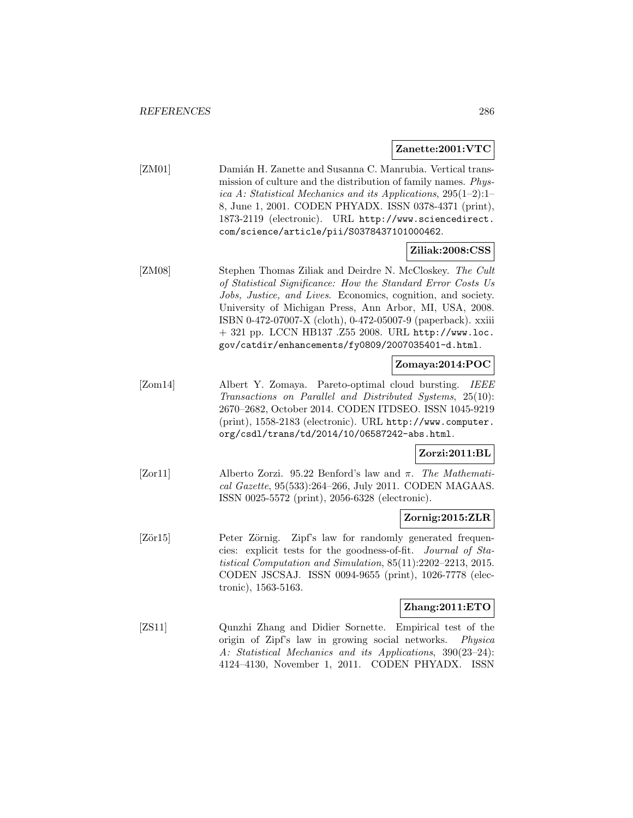#### **Zanette:2001:VTC**

[ZM01] Damián H. Zanette and Susanna C. Manrubia. Vertical transmission of culture and the distribution of family names. Physica A: Statistical Mechanics and its Applications, 295(1–2):1– 8, June 1, 2001. CODEN PHYADX. ISSN 0378-4371 (print), 1873-2119 (electronic). URL http://www.sciencedirect. com/science/article/pii/S0378437101000462.

### **Ziliak:2008:CSS**

[ZM08] Stephen Thomas Ziliak and Deirdre N. McCloskey. The Cult of Statistical Significance: How the Standard Error Costs Us Jobs, Justice, and Lives. Economics, cognition, and society. University of Michigan Press, Ann Arbor, MI, USA, 2008. ISBN 0-472-07007-X (cloth), 0-472-05007-9 (paperback). xxiii + 321 pp. LCCN HB137 .Z55 2008. URL http://www.loc. gov/catdir/enhancements/fy0809/2007035401-d.html.

#### **Zomaya:2014:POC**

[Zom14] Albert Y. Zomaya. Pareto-optimal cloud bursting. IEEE Transactions on Parallel and Distributed Systems, 25(10): 2670–2682, October 2014. CODEN ITDSEO. ISSN 1045-9219 (print), 1558-2183 (electronic). URL http://www.computer. org/csdl/trans/td/2014/10/06587242-abs.html.

### **Zorzi:2011:BL**

[Zor11] Alberto Zorzi. 95.22 Benford's law and  $\pi$ . The Mathematical Gazette, 95(533):264–266, July 2011. CODEN MAGAAS. ISSN 0025-5572 (print), 2056-6328 (electronic).

#### **Zornig:2015:ZLR**

[Zör15] Peter Zörnig. Zipf's law for randomly generated frequencies: explicit tests for the goodness-of-fit. Journal of Statistical Computation and Simulation, 85(11):2202–2213, 2015. CODEN JSCSAJ. ISSN 0094-9655 (print), 1026-7778 (electronic), 1563-5163.

#### **Zhang:2011:ETO**

[ZS11] Qunzhi Zhang and Didier Sornette. Empirical test of the origin of Zipf's law in growing social networks. Physica A: Statistical Mechanics and its Applications, 390(23–24): 4124–4130, November 1, 2011. CODEN PHYADX. ISSN